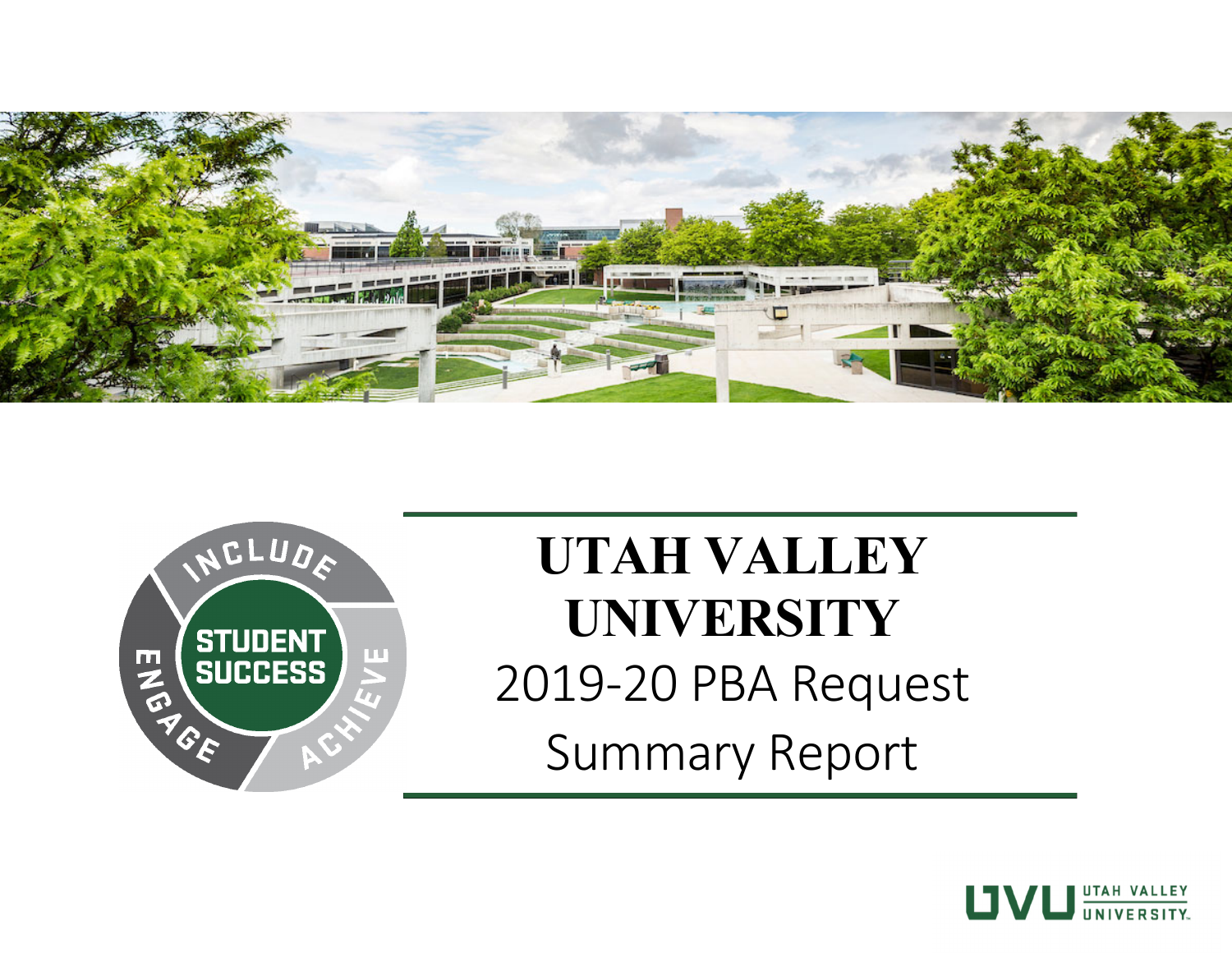



# **UTAH VALLEY UNIVERSITY**  2019 ‐20 PBA Request Summary Report

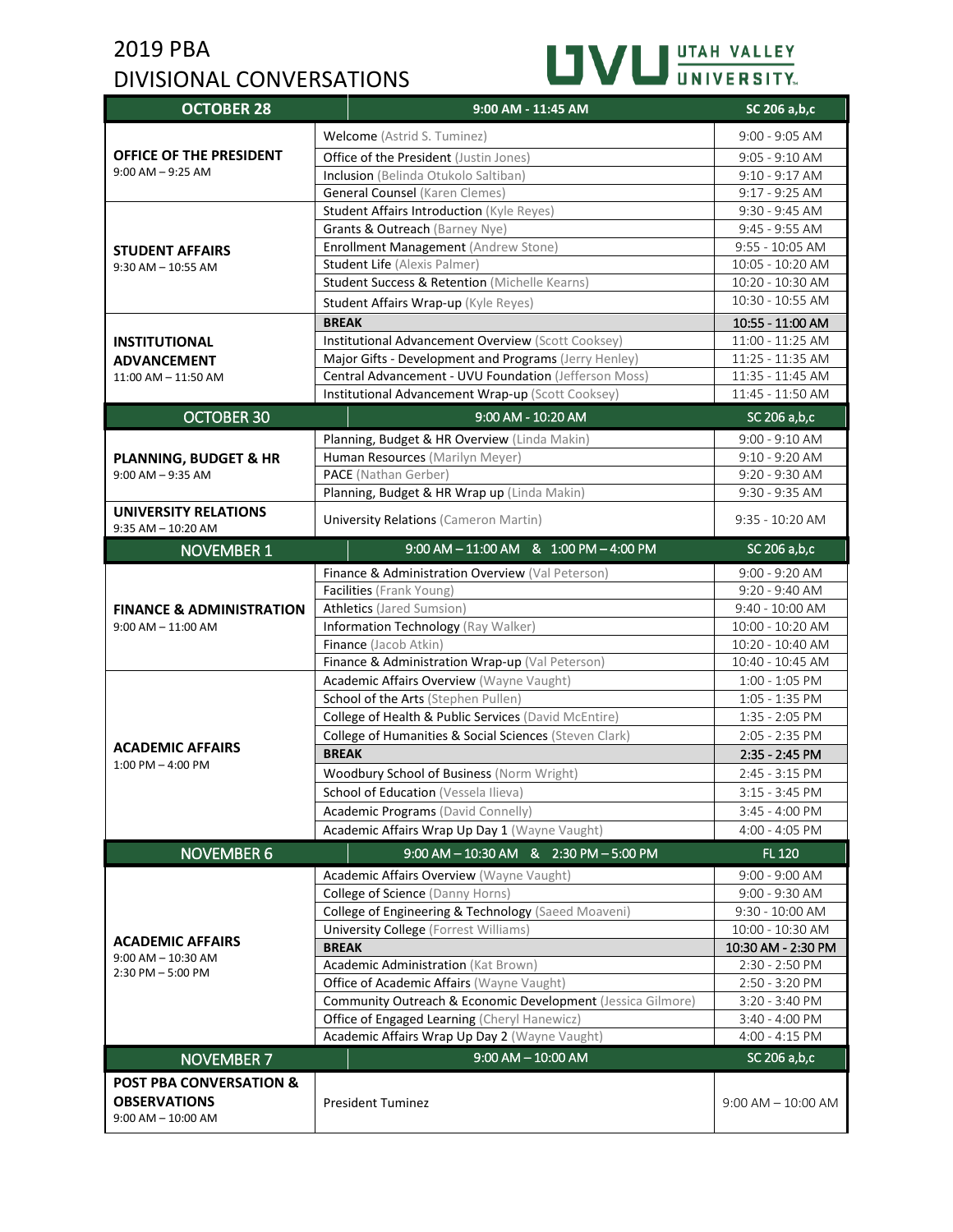# 2019 PBA DIVISIONAL CONVERSATIONS



| <b>OCTOBER 28</b>                                     | 9:00 AM - 11:45 AM                                          | SC 206 a,b,c          |
|-------------------------------------------------------|-------------------------------------------------------------|-----------------------|
|                                                       | Welcome (Astrid S. Tuminez)                                 | $9:00 - 9:05$ AM      |
| OFFICE OF THE PRESIDENT                               | Office of the President (Justin Jones)                      | $9:05 - 9:10$ AM      |
| $9:00$ AM $-9:25$ AM                                  | Inclusion (Belinda Otukolo Saltiban)                        | $9:10 - 9:17$ AM      |
|                                                       | <b>General Counsel (Karen Clemes)</b>                       | $9:17 - 9:25$ AM      |
|                                                       | Student Affairs Introduction (Kyle Reyes)                   | 9:30 - 9:45 AM        |
|                                                       | Grants & Outreach (Barney Nye)                              | 9:45 - 9:55 AM        |
| <b>STUDENT AFFAIRS</b>                                | Enrollment Management (Andrew Stone)                        | 9:55 - 10:05 AM       |
| $9:30$ AM $- 10:55$ AM                                | Student Life (Alexis Palmer)                                | 10:05 - 10:20 AM      |
|                                                       | Student Success & Retention (Michelle Kearns)               | 10:20 - 10:30 AM      |
|                                                       | Student Affairs Wrap-up (Kyle Reyes)                        | 10:30 - 10:55 AM      |
|                                                       | <b>BREAK</b>                                                | 10:55 - 11:00 AM      |
| <b>INSTITUTIONAL</b>                                  | Institutional Advancement Overview (Scott Cooksey)          | 11:00 - 11:25 AM      |
| <b>ADVANCEMENT</b>                                    | Major Gifts - Development and Programs (Jerry Henley)       | 11:25 - 11:35 AM      |
| 11:00 AM - 11:50 AM                                   | Central Advancement - UVU Foundation (Jefferson Moss)       | 11:35 - 11:45 AM      |
|                                                       | Institutional Advancement Wrap-up (Scott Cooksey)           | 11:45 - 11:50 AM      |
| <b>OCTOBER 30</b>                                     | 9:00 AM - 10:20 AM                                          | SC 206 a,b,c          |
|                                                       | Planning, Budget & HR Overview (Linda Makin)                | $9:00 - 9:10$ AM      |
| <b>PLANNING, BUDGET &amp; HR</b>                      | Human Resources (Marilyn Meyer)                             | $9:10 - 9:20$ AM      |
| $9:00$ AM $-9:35$ AM                                  | PACE (Nathan Gerber)                                        | 9:20 - 9:30 AM        |
|                                                       | Planning, Budget & HR Wrap up (Linda Makin)                 | $9:30 - 9:35$ AM      |
| <b>UNIVERSITY RELATIONS</b><br>$9:35$ AM $- 10:20$ AM | <b>University Relations (Cameron Martin)</b>                | $9:35 - 10:20$ AM     |
| <b>NOVEMBER 1</b>                                     | 9:00 AM - 11:00 AM & 1:00 PM - 4:00 PM                      | SC 206 a,b,c          |
|                                                       | Finance & Administration Overview (Val Peterson)            | $9:00 - 9:20$ AM      |
|                                                       | Facilities (Frank Young)                                    | 9:20 - 9:40 AM        |
| <b>FINANCE &amp; ADMINISTRATION</b>                   | <b>Athletics</b> (Jared Sumsion)                            | 9:40 - 10:00 AM       |
| $9:00$ AM $- 11:00$ AM                                | Information Technology (Ray Walker)                         | 10:00 - 10:20 AM      |
|                                                       | Finance (Jacob Atkin)                                       | 10:20 - 10:40 AM      |
|                                                       | Finance & Administration Wrap-up (Val Peterson)             | 10:40 - 10:45 AM      |
|                                                       | Academic Affairs Overview (Wayne Vaught)                    | 1:00 - 1:05 PM        |
|                                                       | School of the Arts (Stephen Pullen)                         | 1:05 - 1:35 PM        |
|                                                       | College of Health & Public Services (David McEntire)        | 1:35 - 2:05 PM        |
| <b>ACADEMIC AFFAIRS</b>                               | College of Humanities & Social Sciences (Steven Clark)      | 2:05 - 2:35 PM        |
| $1:00$ PM $-$ 4:00 PM                                 | <b>BREAK</b>                                                | 2:35 - 2:45 PM        |
|                                                       | Woodbury School of Business (Norm Wright)                   | 2:45 - 3:15 PM        |
|                                                       | School of Education (Vessela Ilieva)                        | $3:15 - 3:45$ PM      |
|                                                       | Academic Programs (David Connelly)                          | $3:45 - 4:00$ PM      |
|                                                       | Academic Affairs Wrap Up Day 1 (Wayne Vaught)               | 4:00 - 4:05 PM        |
| <b>NOVEMBER 6</b>                                     | 9:00 AM - 10:30 AM & 2:30 PM - 5:00 PM                      | FL 120                |
|                                                       | Academic Affairs Overview (Wayne Vaught)                    | 9:00 - 9:00 AM        |
|                                                       | College of Science (Danny Horns)                            | 9:00 - 9:30 AM        |
|                                                       | College of Engineering & Technology (Saeed Moaveni)         | 9:30 - 10:00 AM       |
|                                                       | <b>University College</b> (Forrest Williams)                | 10:00 - 10:30 AM      |
| <b>ACADEMIC AFFAIRS</b><br>$9:00$ AM $- 10:30$ AM     | <b>BREAK</b>                                                | 10:30 AM - 2:30 PM    |
| 2:30 PM - 5:00 PM                                     | Academic Administration (Kat Brown)                         | 2:30 - 2:50 PM        |
|                                                       | Office of Academic Affairs (Wayne Vaught)                   | 2:50 - 3:20 PM        |
|                                                       | Community Outreach & Economic Development (Jessica Gilmore) | 3:20 - 3:40 PM        |
|                                                       | Office of Engaged Learning (Cheryl Hanewicz)                | 3:40 - 4:00 PM        |
|                                                       | Academic Affairs Wrap Up Day 2 (Wayne Vaught)               | 4:00 - 4:15 PM        |
| <b>NOVEMBER 7</b>                                     | $9:00$ AM $-$ 10:00 AM                                      | SC 206 a,b,c          |
| <b>POST PBA CONVERSATION &amp;</b>                    |                                                             |                       |
| <b>OBSERVATIONS</b>                                   | <b>President Tuminez</b>                                    | $9:00$ AM $-10:00$ AM |
| $9:00$ AM $- 10:00$ AM                                |                                                             |                       |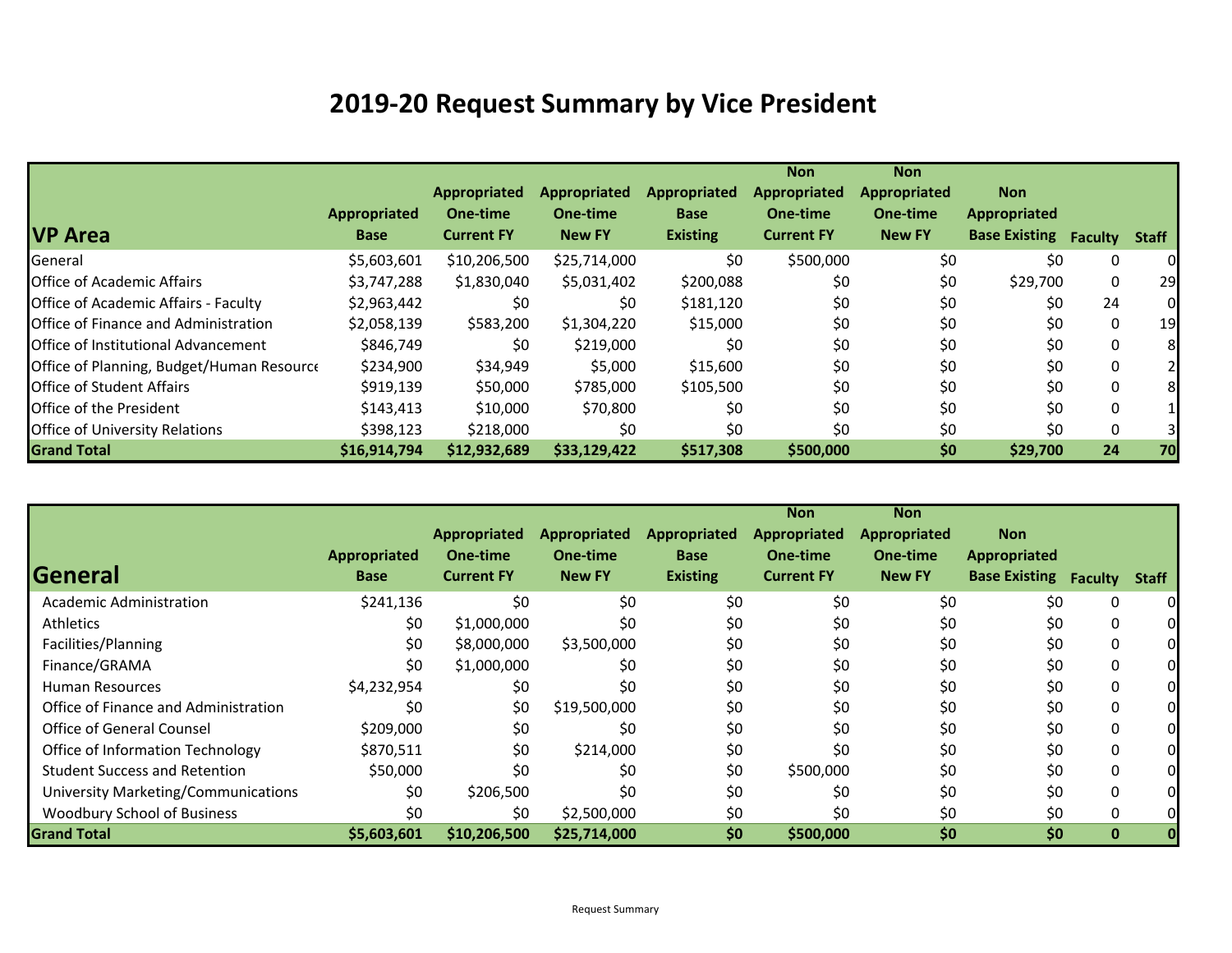# **2019‐20 Request Summary by Vice President**

|                                             |                     |                   |                     |                     | <b>Non</b>          | <b>Non</b>          |                      |                |              |
|---------------------------------------------|---------------------|-------------------|---------------------|---------------------|---------------------|---------------------|----------------------|----------------|--------------|
|                                             |                     | Appropriated      | <b>Appropriated</b> | <b>Appropriated</b> | <b>Appropriated</b> | <b>Appropriated</b> | <b>Non</b>           |                |              |
|                                             | <b>Appropriated</b> | One-time          | One-time            | <b>Base</b>         | One-time            | One-time            | <b>Appropriated</b>  |                |              |
| <b>VP Area</b>                              | <b>Base</b>         | <b>Current FY</b> | <b>New FY</b>       | <b>Existing</b>     | <b>Current FY</b>   | <b>New FY</b>       | <b>Base Existing</b> | <b>Faculty</b> | <b>Staff</b> |
| General                                     | \$5,603,601         | \$10,206,500      | \$25,714,000        | \$0                 | \$500,000           | \$0                 | \$0                  | 0              | 0            |
| Office of Academic Affairs                  | \$3,747,288         | \$1,830,040       | \$5,031,402         | \$200,088           | \$0                 | \$0                 | \$29,700             | 0              | 29           |
| <b>Office of Academic Affairs - Faculty</b> | \$2,963,442         | \$0               | \$0                 | \$181,120           | \$0                 | \$0                 | \$0                  | 24             | 0            |
| Office of Finance and Administration        | \$2,058,139         | \$583,200         | \$1,304,220         | \$15,000            | \$0                 | \$0                 | \$0                  | $\mathbf{0}$   | 19           |
| Office of Institutional Advancement         | \$846,749           | \$0               | \$219,000           | \$0                 | \$0                 | \$0                 | \$0                  | $\mathbf{0}$   | 8            |
| Office of Planning, Budget/Human Resource   | \$234,900           | \$34,949          | \$5,000             | \$15,600            | \$0                 | \$0                 | \$0                  | 0              | 2            |
| <b>Office of Student Affairs</b>            | \$919,139           | \$50,000          | \$785,000           | \$105,500           | \$0                 | \$0                 | \$0                  | 0              | 8            |
| Office of the President                     | \$143,413           | \$10,000          | \$70,800            | \$0                 | \$0                 | \$0                 | \$0                  | $\Omega$       |              |
| <b>Office of University Relations</b>       | \$398,123           | \$218,000         | \$0                 | \$0                 | \$0                 | \$0                 | \$0                  | 0              |              |
| <b>Grand Total</b>                          | \$16,914,794        | \$12,932,689      | \$33,129,422        | \$517,308           | \$500,000           | \$0                 | \$29,700             | 24             | 70           |

|                                      |              |                   |                     |                     | <b>Non</b>          | <b>Non</b>    |                              |             |              |
|--------------------------------------|--------------|-------------------|---------------------|---------------------|---------------------|---------------|------------------------------|-------------|--------------|
|                                      |              | Appropriated      | <b>Appropriated</b> | <b>Appropriated</b> | <b>Appropriated</b> | Appropriated  | <b>Non</b>                   |             |              |
|                                      | Appropriated | One-time          | One-time            | <b>Base</b>         | One-time            | One-time      | <b>Appropriated</b>          |             |              |
| General                              | Base         | <b>Current FY</b> | <b>New FY</b>       | <b>Existing</b>     | <b>Current FY</b>   | <b>New FY</b> | <b>Base Existing Faculty</b> |             | <b>Staff</b> |
| <b>Academic Administration</b>       | \$241,136    | \$0               | \$0                 | \$0                 | \$0                 | \$0           | \$0                          | 0           |              |
| Athletics                            | \$0          | \$1,000,000       | \$0                 | \$0                 | \$0                 | \$0           | \$0                          | 0           |              |
| Facilities/Planning                  | \$0          | \$8,000,000       | \$3,500,000         | \$0                 | \$0                 | \$0           | \$0                          | 0           |              |
| Finance/GRAMA                        | \$0          | \$1,000,000       | \$0                 | \$0                 | \$0                 | \$0           | \$0                          | 0           |              |
| <b>Human Resources</b>               | \$4,232,954  | \$0               | \$0                 | \$0                 | \$0                 | \$0           | \$0                          | 0           |              |
| Office of Finance and Administration | \$0          | \$0               | \$19,500,000        | \$0                 | \$0                 | \$0           | \$0                          | 0           |              |
| Office of General Counsel            | \$209,000    | \$0               | \$0                 | \$0                 | \$0                 | \$0           | \$0                          | 0           |              |
| Office of Information Technology     | \$870,511    | \$0               | \$214,000           | \$0                 | \$0                 | \$0           | \$0                          | 0           |              |
| <b>Student Success and Retention</b> | \$50,000     | \$0               | \$0                 | \$0                 | \$500,000           | \$0           | \$0                          | 0           |              |
| University Marketing/Communications  | \$0          | \$206,500         | \$0                 | \$0                 | \$0                 | \$0           | \$0                          | 0           |              |
| Woodbury School of Business          | \$0          | \$0               | \$2,500,000         | \$0                 | \$0                 | \$0           | \$0                          | 0           |              |
| <b>Grand Total</b>                   | \$5,603,601  | \$10,206,500      | \$25,714,000        | \$0                 | \$500,000           | \$0           | \$0                          | $\mathbf 0$ | 0            |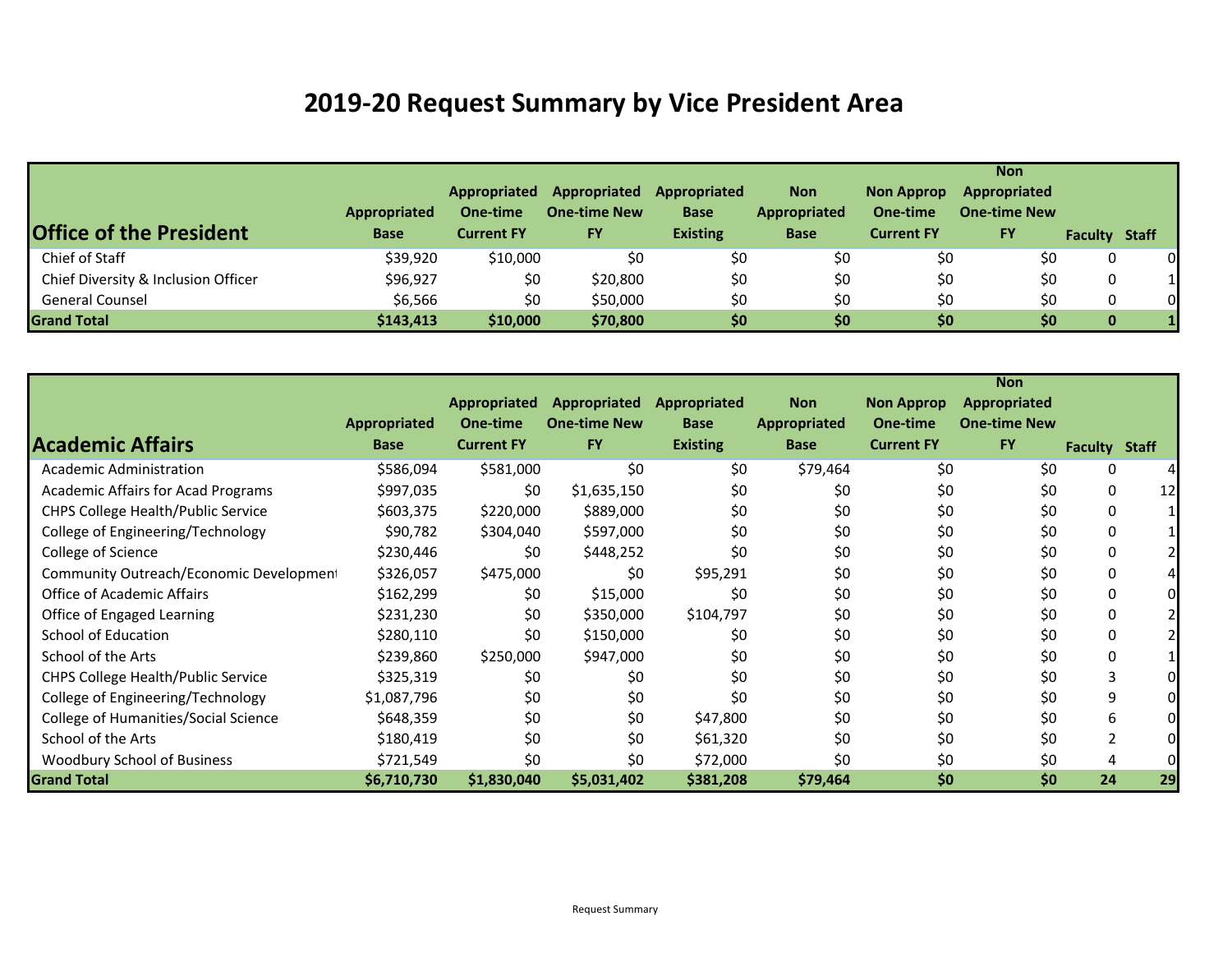## **2019‐20 Request Summary by Vice President Area**

| <b>Office of the President</b>      | Appropriated<br><b>Base</b> | Appropriated<br>One-time<br><b>Current FY</b> | Appropriated<br><b>One-time New</b><br><b>FY</b> | Appropriated<br><b>Base</b><br><b>Existing</b> | <b>Non</b><br>Appropriated<br><b>Base</b> | <b>Non Approp</b><br>One-time<br><b>Current FY</b> | <b>Non</b><br>Appropriated<br><b>One-time New</b><br><b>FY</b> | <b>Faculty Staff</b> |          |
|-------------------------------------|-----------------------------|-----------------------------------------------|--------------------------------------------------|------------------------------------------------|-------------------------------------------|----------------------------------------------------|----------------------------------------------------------------|----------------------|----------|
|                                     |                             |                                               |                                                  |                                                |                                           |                                                    |                                                                |                      |          |
| Chief of Staff                      | \$39,920                    | \$10,000                                      | \$0                                              | \$0                                            | \$0                                       | \$0                                                | \$0                                                            | 0                    | 0        |
| Chief Diversity & Inclusion Officer | \$96,927                    | \$0                                           | \$20,800                                         | \$0                                            | \$0                                       | \$0                                                | \$0                                                            | 0                    |          |
| <b>General Counsel</b>              | \$6,566                     | \$0                                           | \$50,000                                         | \$0                                            | \$0                                       | \$0                                                | \$0                                                            | 0                    | $\Omega$ |
| <b>Grand Total</b>                  | \$143,413                   | \$10,000                                      | \$70,800                                         | \$0\$                                          | \$0                                       | \$0                                                | \$0                                                            | 0                    |          |

|                                           |                     |                     |                     |                 |                     |                   | <b>Non</b>          |                      |                 |
|-------------------------------------------|---------------------|---------------------|---------------------|-----------------|---------------------|-------------------|---------------------|----------------------|-----------------|
|                                           |                     | <b>Appropriated</b> | <b>Appropriated</b> | Appropriated    | <b>Non</b>          | <b>Non Approp</b> | <b>Appropriated</b> |                      |                 |
|                                           | <b>Appropriated</b> | One-time            | <b>One-time New</b> | <b>Base</b>     | <b>Appropriated</b> | One-time          | <b>One-time New</b> |                      |                 |
| <b>Academic Affairs</b>                   | <b>Base</b>         | <b>Current FY</b>   | <b>FY</b>           | <b>Existing</b> | <b>Base</b>         | <b>Current FY</b> | <b>FY</b>           | <b>Faculty Staff</b> |                 |
| Academic Administration                   | \$586,094           | \$581,000           | \$0                 | \$0             | \$79,464            | \$0               | \$0                 | 0                    |                 |
| <b>Academic Affairs for Acad Programs</b> | \$997,035           | \$0                 | \$1,635,150         | \$0             | \$0                 | \$0               | \$0                 | 0                    | 12 <sub>l</sub> |
| CHPS College Health/Public Service        | \$603,375           | \$220,000           | \$889,000           | \$0             | \$0                 | \$0               | \$0                 | 0                    |                 |
| College of Engineering/Technology         | \$90,782            | \$304,040           | \$597,000           | \$0             | \$0                 | \$0               | \$0                 | 0                    |                 |
| College of Science                        | \$230,446           | \$0                 | \$448,252           | \$0             | \$0                 | \$0               | \$0                 | 0                    |                 |
| Community Outreach/Economic Development   | \$326,057           | \$475,000           | \$0                 | \$95,291        | \$0                 | \$0               | \$0                 | 0                    |                 |
| <b>Office of Academic Affairs</b>         | \$162,299           | \$0                 | \$15,000            | \$0             | \$0                 | \$0               | \$0                 | 0                    |                 |
| Office of Engaged Learning                | \$231,230           | \$0                 | \$350,000           | \$104,797       | \$0                 | \$0               | \$0                 | 0                    |                 |
| <b>School of Education</b>                | \$280,110           | \$0                 | \$150,000           | \$0             | \$0                 | \$0               | \$0                 | 0                    |                 |
| School of the Arts                        | \$239,860           | \$250,000           | \$947,000           | \$0             | \$0                 | \$0               | \$0                 | 0                    |                 |
| CHPS College Health/Public Service        | \$325,319           | \$0                 | \$0                 | \$0             | \$0                 | \$0               | \$0                 | 3                    |                 |
| College of Engineering/Technology         | \$1,087,796         | \$0                 | \$0                 | \$0             | \$0                 | \$0               | \$0                 | 9                    |                 |
| College of Humanities/Social Science      | \$648,359           | \$0                 | \$0                 | \$47,800        | \$0                 | \$0               | \$0                 | 6                    |                 |
| School of the Arts                        | \$180,419           | \$0                 | \$0                 | \$61,320        | \$0                 | \$0               | \$0                 | $\overline{2}$       |                 |
| Woodbury School of Business               | \$721,549           | \$0                 | \$0                 | \$72,000        | \$0                 | \$0               | \$0                 | 4                    |                 |
| <b>Grand Total</b>                        | \$6,710,730         | \$1,830,040         | \$5,031,402         | \$381,208       | \$79,464            | \$0               | \$0                 | 24                   | 29              |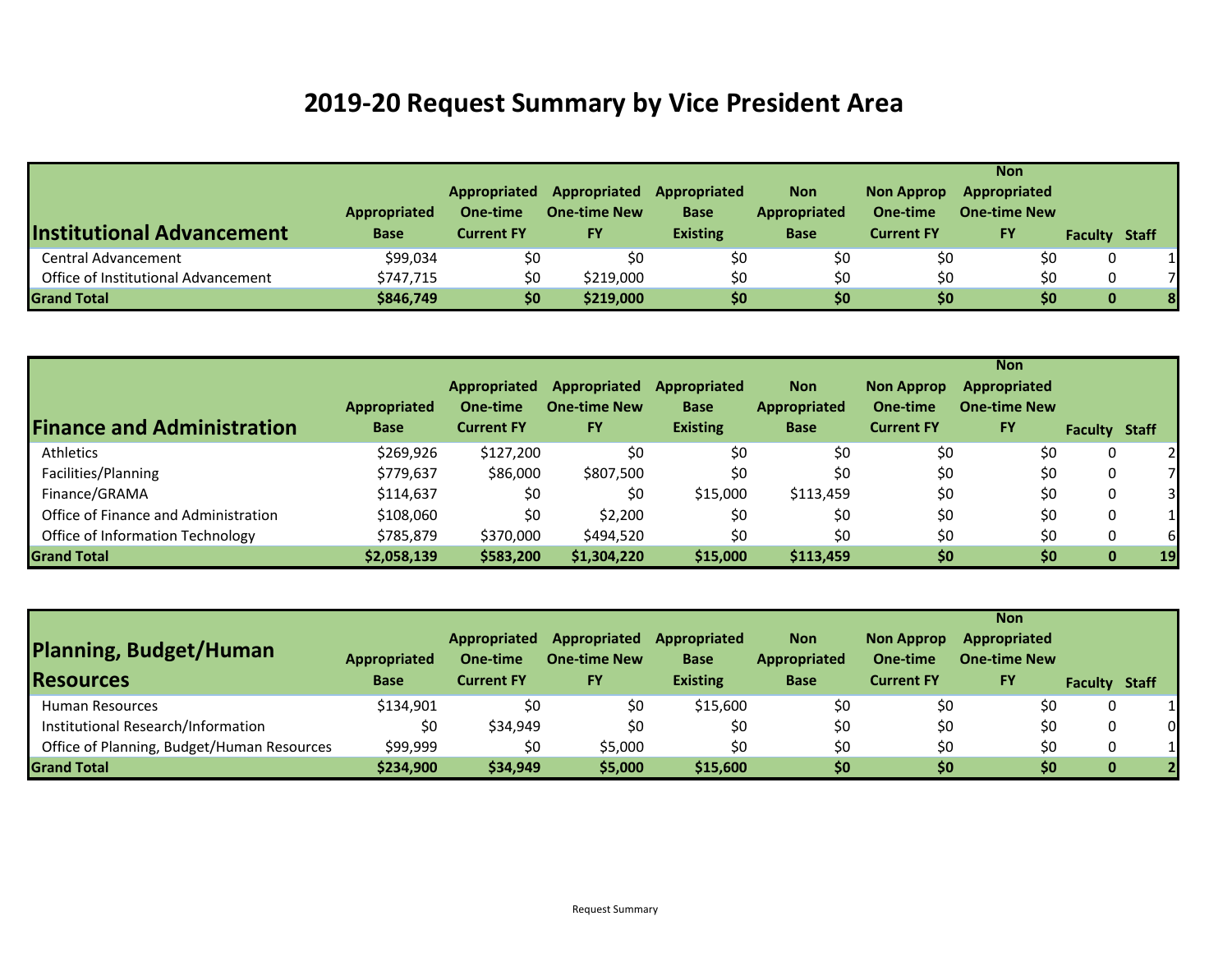## **2019‐20 Request Summary by Vice President Area**

| <b>Institutional Advancement</b>    | Appropriated<br><b>Base</b> | Appropriated<br>One-time<br><b>Current FY</b> | Appropriated<br><b>One-time New</b><br><b>FY</b> | Appropriated<br><b>Base</b><br><b>Existing</b> | <b>Non</b><br>Appropriated<br><b>Base</b> | <b>Non Approp</b><br>One-time<br><b>Current FY</b> | <b>Non</b><br>Appropriated<br><b>One-time New</b><br><b>FY</b> | <b>Faculty Staff</b> |   |
|-------------------------------------|-----------------------------|-----------------------------------------------|--------------------------------------------------|------------------------------------------------|-------------------------------------------|----------------------------------------------------|----------------------------------------------------------------|----------------------|---|
| <b>Central Advancement</b>          | \$99,034                    | \$0                                           | \$0                                              | \$0                                            | \$0                                       | \$0                                                | \$0                                                            |                      |   |
| Office of Institutional Advancement | \$747,715                   | \$0                                           | \$219,000                                        | \$0                                            | \$0                                       | \$0                                                | \$0                                                            |                      |   |
| <b>Grand Total</b>                  | \$846,749                   | \$0                                           | \$219,000                                        | \$0                                            | \$0                                       | \$0                                                | \$0                                                            | 0                    | 8 |

|                                      |                                    |                                               |                                                  |                                                |                                                  |                                                    | <b>Non</b>                                              |                      |    |
|--------------------------------------|------------------------------------|-----------------------------------------------|--------------------------------------------------|------------------------------------------------|--------------------------------------------------|----------------------------------------------------|---------------------------------------------------------|----------------------|----|
| <b>Finance and Administration</b>    | <b>Appropriated</b><br><b>Base</b> | Appropriated<br>One-time<br><b>Current FY</b> | Appropriated<br><b>One-time New</b><br><b>FY</b> | Appropriated<br><b>Base</b><br><b>Existing</b> | <b>Non</b><br><b>Appropriated</b><br><b>Base</b> | <b>Non Approp</b><br>One-time<br><b>Current FY</b> | <b>Appropriated</b><br><b>One-time New</b><br><b>FY</b> | <b>Faculty Staff</b> |    |
| Athletics                            | \$269,926                          | \$127,200                                     | \$0                                              | \$0                                            | \$0                                              | \$0                                                | \$0                                                     | 0                    |    |
| Facilities/Planning                  | \$779,637                          | \$86,000                                      | \$807,500                                        | \$0                                            | \$0                                              | \$0                                                | \$0                                                     | 0                    |    |
| Finance/GRAMA                        | \$114,637                          | \$0                                           | \$0                                              | \$15,000                                       | \$113,459                                        | \$0                                                | \$0                                                     | 0                    |    |
| Office of Finance and Administration | \$108,060                          | \$0                                           | \$2,200                                          | \$0                                            | \$0                                              | \$0                                                | \$0                                                     |                      |    |
| Office of Information Technology     | \$785,879                          | \$370,000                                     | \$494,520                                        | \$0                                            | \$0                                              | \$0                                                | \$0                                                     |                      | 61 |
| <b>Grand Total</b>                   | \$2,058,139                        | \$583,200                                     | \$1,304,220                                      | \$15,000                                       | \$113,459                                        | \$0                                                | \$0                                                     | $\bf{0}$             | 19 |

| Planning, Budget/Human<br><b>Resources</b> | <b>Appropriated</b><br><b>Base</b> | Appropriated<br>One-time<br><b>Current FY</b> | Appropriated<br><b>One-time New</b><br><b>FY</b> | Appropriated<br><b>Base</b><br><b>Existing</b> | <b>Non</b><br>Appropriated<br><b>Base</b> | <b>Non Approp</b><br>One-time<br><b>Current FY</b> | <b>Non</b><br>Appropriated<br><b>One-time New</b><br><b>FY</b> | <b>Faculty Staff</b> |    |
|--------------------------------------------|------------------------------------|-----------------------------------------------|--------------------------------------------------|------------------------------------------------|-------------------------------------------|----------------------------------------------------|----------------------------------------------------------------|----------------------|----|
| <b>Human Resources</b>                     | \$134.901                          | \$0                                           | \$0                                              | \$15,600                                       | \$0                                       | \$0                                                | \$0                                                            | 0                    |    |
| Institutional Research/Information         | \$0                                | \$34,949                                      | \$0                                              | \$0                                            | \$0                                       | \$0                                                | \$0                                                            | 0                    | 01 |
| Office of Planning, Budget/Human Resources | \$99,999                           | \$0                                           | \$5,000                                          | \$0                                            | \$0                                       | \$0                                                | \$0                                                            | 0                    | 11 |
| <b>Grand Total</b>                         | \$234,900                          | \$34,949                                      | \$5,000                                          | \$15,600                                       | \$0                                       | \$0                                                | \$0                                                            | $\mathbf 0$          |    |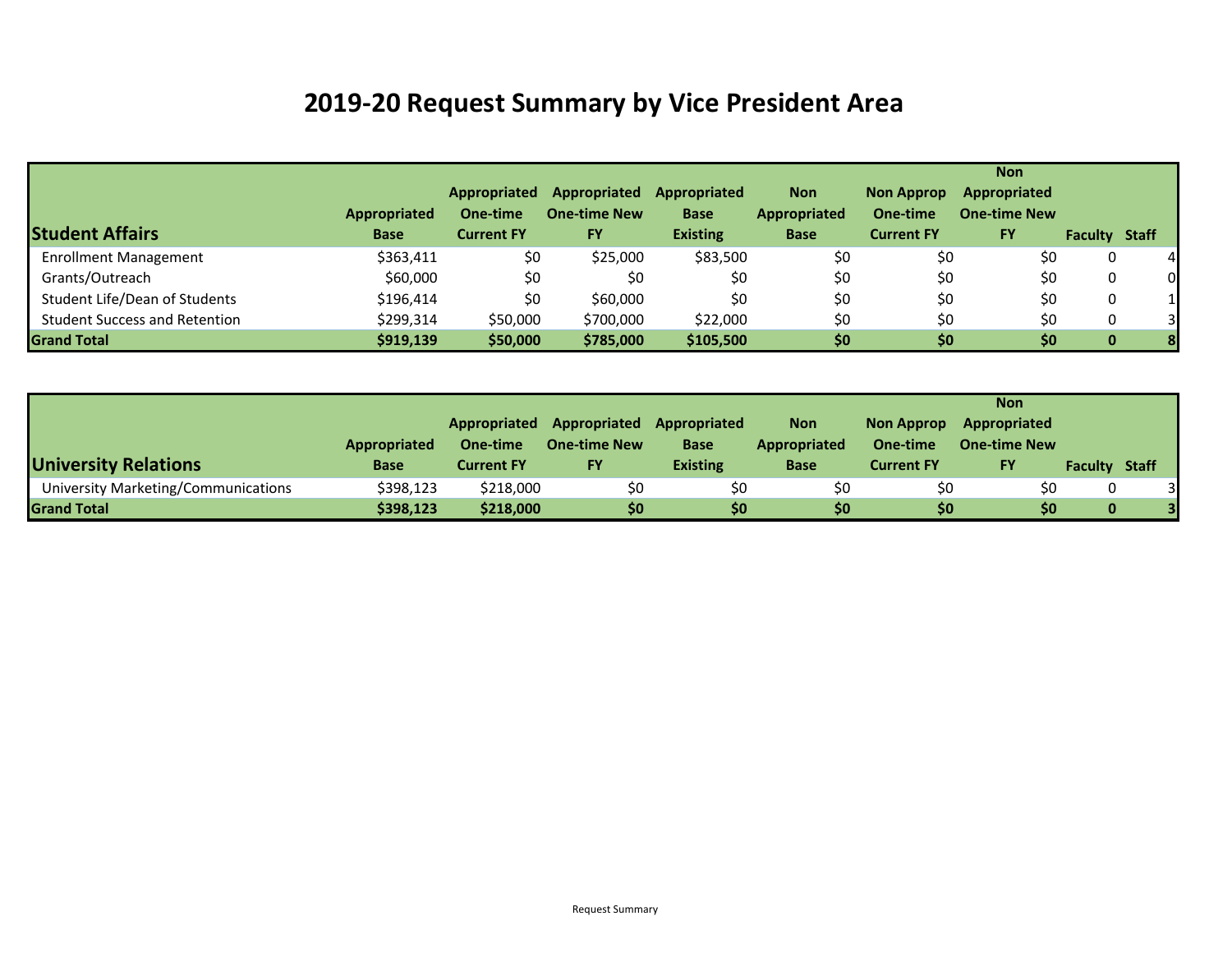## **2019‐20 Request Summary by Vice President Area**

|                                      |                     |                     |                     |                 |              |                   | <b>Non</b>          |                      |                |
|--------------------------------------|---------------------|---------------------|---------------------|-----------------|--------------|-------------------|---------------------|----------------------|----------------|
|                                      |                     | <b>Appropriated</b> | Appropriated        | Appropriated    | <b>Non</b>   | <b>Non Approp</b> | Appropriated        |                      |                |
|                                      | <b>Appropriated</b> | One-time            | <b>One-time New</b> | <b>Base</b>     | Appropriated | One-time          | <b>One-time New</b> |                      |                |
| <b>Student Affairs</b>               | <b>Base</b>         | <b>Current FY</b>   | <b>FY</b>           | <b>Existing</b> | <b>Base</b>  | <b>Current FY</b> | <b>FY</b>           | <b>Faculty Staff</b> |                |
| <b>Enrollment Management</b>         | \$363,411           | \$0                 | \$25,000            | \$83,500        | \$0          | \$0               | \$0                 | 0                    | $\overline{a}$ |
| Grants/Outreach                      | \$60,000            | \$0                 | \$0                 | \$0             | \$0          | \$0               | \$0                 | 0                    | $\Omega$       |
| Student Life/Dean of Students        | \$196,414           | \$0                 | \$60,000            | \$0             | \$0          | \$0               | \$0                 | 0                    |                |
| <b>Student Success and Retention</b> | \$299,314           | \$50,000            | \$700,000           | \$22,000        | \$0          | \$0               | \$0                 | 0                    | $\overline{3}$ |
| <b>Grand Total</b>                   | \$919,139           | \$50,000            | \$785,000           | \$105,500       | \$0          | \$0               | \$0                 | 0                    | 8              |

|                                     |              |                   |                     |                 |                     |                   | <b>Non</b>          |                      |  |
|-------------------------------------|--------------|-------------------|---------------------|-----------------|---------------------|-------------------|---------------------|----------------------|--|
|                                     |              | Appropriated      | Appropriated        | Appropriated    | <b>Non</b>          | <b>Non Approp</b> | Appropriated        |                      |  |
|                                     | Appropriated | One-time          | <b>One-time New</b> | <b>Base</b>     | <b>Appropriated</b> | One-time          | <b>One-time New</b> |                      |  |
| <b>University Relations</b>         | <b>Base</b>  | <b>Current FY</b> | <b>FY</b>           | <b>Existing</b> | <b>Base</b>         | <b>Current FY</b> | <b>FY</b>           | <b>Faculty Staff</b> |  |
| University Marketing/Communications | \$398,123    | \$218,000         | \$0                 | \$0             | \$0                 | \$0               | \$0                 | 0                    |  |
| <b>Grand Total</b>                  | \$398,123    | \$218,000         | \$0                 | \$0             | \$0                 | \$0               | \$0                 | 0                    |  |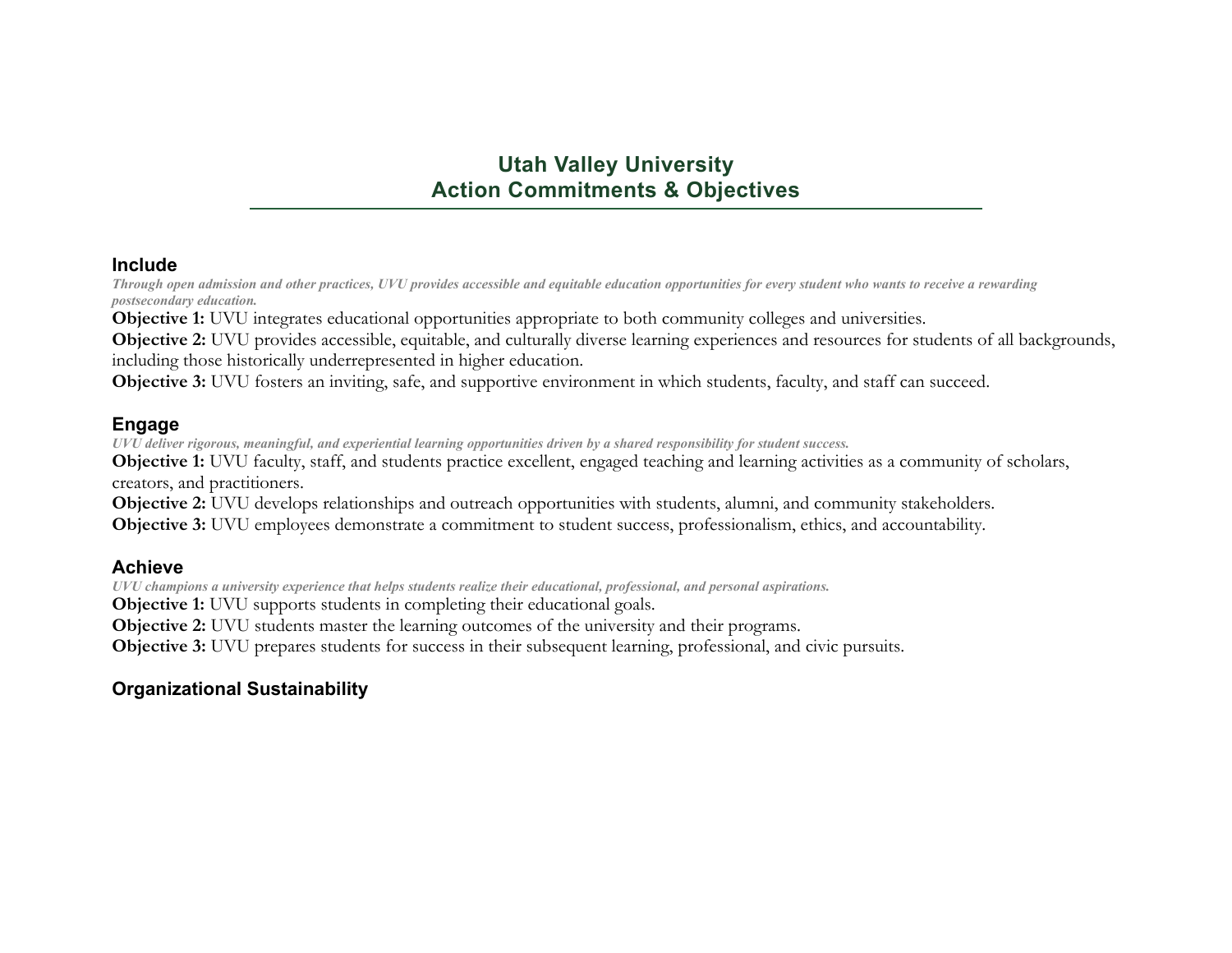## **Utah Valley University Action Commitments & Objectives**

#### **Include**

*Through open admission and other practices, UVU provides accessible and equitable education opportunities for every student who wants to receive a rewarding postsecondary education.* 

**Objective 1:** UVU integrates educational opportunities appropriate to both community colleges and universities.

**Objective 2:** UVU provides accessible, equitable, and culturally diverse learning experiences and resources for students of all backgrounds, including those historically underrepresented in higher education.

**Objective 3:** UVU fosters an inviting, safe, and supportive environment in which students, faculty, and staff can succeed.

#### **Engage**

*UVU deliver rigorous, meaningful, and experiential learning opportunities driven by a shared responsibility for student success.*

**Objective 1:** UVU faculty, staff, and students practice excellent, engaged teaching and learning activities as a community of scholars, creators, and practitioners.

**Objective 2:** UVU develops relationships and outreach opportunities with students, alumni, and community stakeholders.

**Objective 3:** UVU employees demonstrate a commitment to student success, professionalism, ethics, and accountability.

#### **Achieve**

*UVU champions a university experience that helps students realize their educational, professional, and personal aspirations.* 

**Objective 1:** UVU supports students in completing their educational goals.

**Objective 2:** UVU students master the learning outcomes of the university and their programs.

**Objective 3:** UVU prepares students for success in their subsequent learning, professional, and civic pursuits.

### **Organizational Sustainability**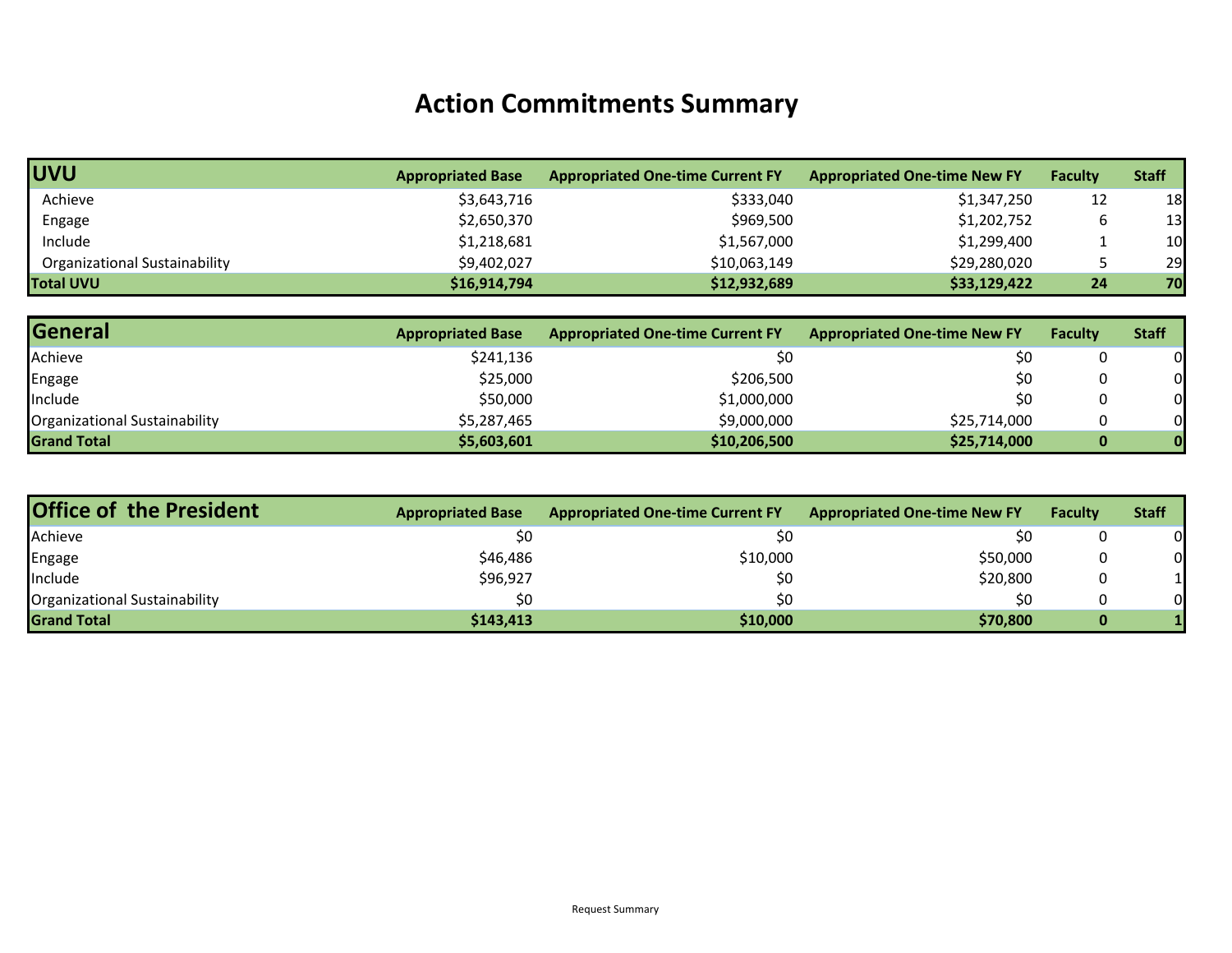## **Action Commitments Summary**

| <b>UVU</b>                    | <b>Appropriated Base</b> | <b>Appropriated One-time Current FY</b> | <b>Appropriated One-time New FY</b> | <b>Faculty</b>  | <b>Staff</b> |
|-------------------------------|--------------------------|-----------------------------------------|-------------------------------------|-----------------|--------------|
| Achieve                       | \$3,643,716              | \$333,040                               | \$1,347,250                         | 12              | 18           |
| Engage                        | \$2,650,370              | \$969,500                               | \$1,202,752                         |                 | 13           |
| Include                       | \$1,218,681              | \$1,567,000                             | \$1,299,400                         |                 | 10           |
| Organizational Sustainability | \$9,402,027              | \$10,063,149                            | \$29,280,020                        |                 | 29           |
| <b>Total UVU</b>              | \$16,914,794             | \$12,932,689                            | \$33,129,422                        | 24 <sub>1</sub> | 70           |

| <b>General</b>                | <b>Appropriated Base</b> | <b>Appropriated One-time Current FY</b> | <b>Appropriated One-time New FY</b> | <b>Faculty</b> | <b>Staff</b> |
|-------------------------------|--------------------------|-----------------------------------------|-------------------------------------|----------------|--------------|
| Achieve                       | \$241,136                | \$0                                     | \$0                                 |                |              |
| Engage                        | \$25,000                 | \$206,500                               | \$0                                 |                |              |
| Include                       | \$50,000                 | \$1,000,000                             | \$0                                 |                |              |
| Organizational Sustainability | \$5,287,465              | \$9,000,000                             | \$25,714,000                        |                |              |
| <b>Grand Total</b>            | \$5,603,601              | \$10,206,500                            | \$25,714,000                        | 0              |              |

| <b>Office of the President</b> | <b>Appropriated Base</b> | <b>Appropriated One-time Current FY</b> | <b>Appropriated One-time New FY</b> | <b>Faculty</b> | <b>Staff</b> |
|--------------------------------|--------------------------|-----------------------------------------|-------------------------------------|----------------|--------------|
| Achieve                        | \$0                      |                                         |                                     |                | 0            |
| Engage                         | \$46,486                 | \$10,000                                | \$50,000                            |                | 0            |
| Include                        | \$96,927                 |                                         | \$20,800                            |                |              |
| Organizational Sustainability  | \$0                      | \$0                                     | ŚС                                  |                | 0            |
| <b>Grand Total</b>             | \$143,413                | \$10,000                                | \$70,800                            |                |              |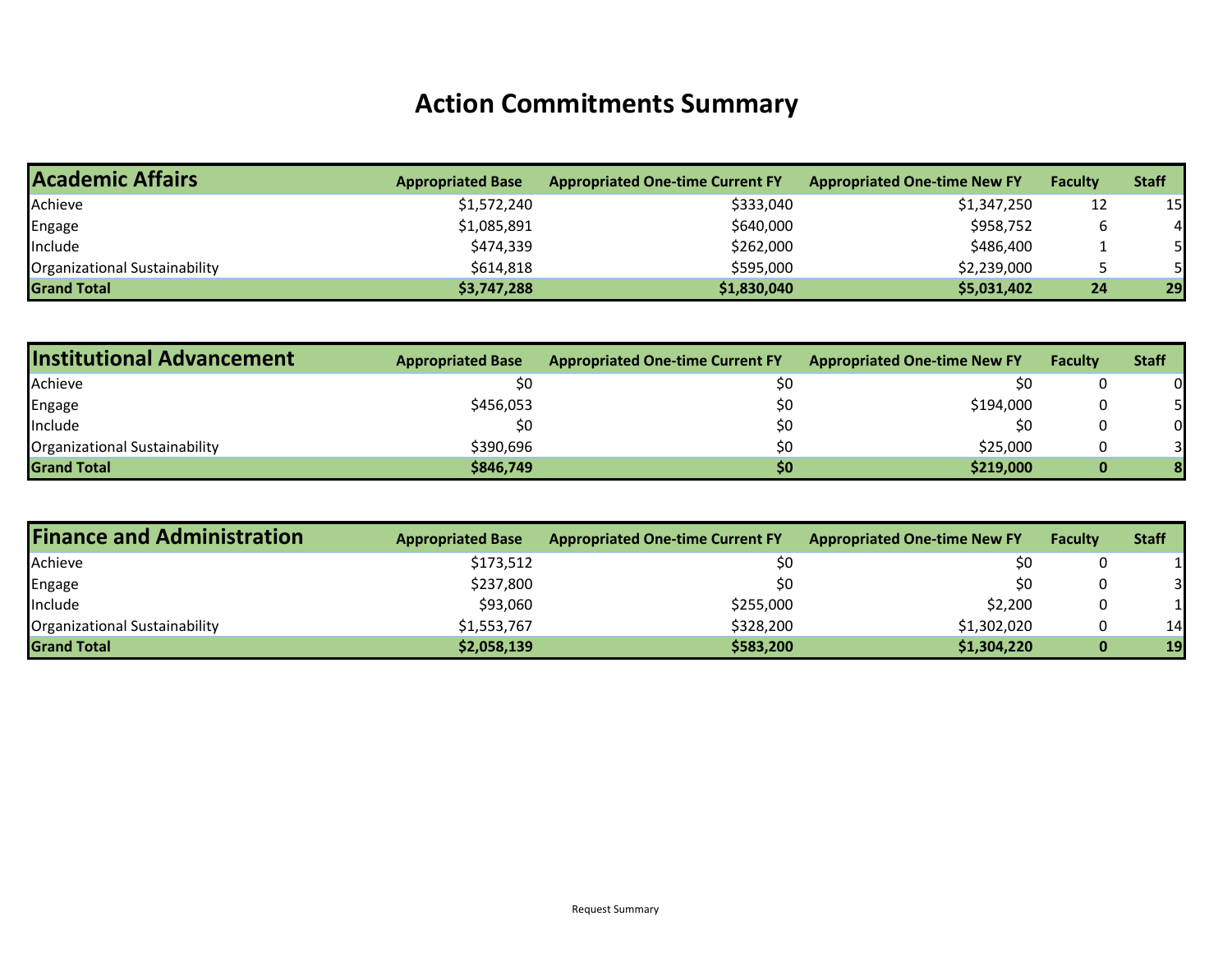## **Action Commitments Summary**

| <b>Academic Affairs</b>       | <b>Appropriated Base</b> | <b>Appropriated One-time Current FY</b> | <b>Appropriated One-time New FY</b> | <b>Faculty</b>  | <b>Staff</b> |
|-------------------------------|--------------------------|-----------------------------------------|-------------------------------------|-----------------|--------------|
| Achieve                       | \$1,572,240              | \$333,040                               | \$1,347,250                         | 12              | 15           |
| Engage                        | \$1,085,891              | \$640,000                               | \$958,752                           |                 |              |
| Include                       | \$474,339                | \$262,000                               | \$486,400                           |                 |              |
| Organizational Sustainability | \$614,818                | \$595,000                               | \$2,239,000                         |                 |              |
| <b>Grand Total</b>            | \$3,747,288              | \$1,830,040                             | \$5,031,402                         | 24 <sub>1</sub> | 29           |

| <b>Institutional Advancement</b> | <b>Appropriated Base</b> | <b>Appropriated One-time Current FY</b> | <b>Appropriated One-time New FY</b> | <b>Faculty</b> | <b>Staff</b> |
|----------------------------------|--------------------------|-----------------------------------------|-------------------------------------|----------------|--------------|
| Achieve                          | Ś0                       |                                         | \$0                                 |                |              |
| Engage                           | \$456,053                |                                         | \$194,000                           |                |              |
| <b>Include</b>                   | S0                       | S0                                      | \$0                                 |                | 01           |
| Organizational Sustainability    | \$390.696                | \$0                                     | \$25,000                            |                |              |
| <b>Grand Total</b>               | \$846,749                | \$0                                     | \$219,000                           |                |              |

| <b>Finance and Administration</b> | <b>Appropriated Base</b> | <b>Appropriated One-time Current FY</b> | <b>Appropriated One-time New FY</b> | <b>Faculty</b> | <b>Staff</b> |
|-----------------------------------|--------------------------|-----------------------------------------|-------------------------------------|----------------|--------------|
| Achieve                           | \$173,512                |                                         | \$0                                 |                |              |
| Engage                            | \$237,800                |                                         | \$0                                 |                | 31           |
| Include                           | \$93,060                 | \$255,000                               | \$2,200                             |                |              |
| Organizational Sustainability     | \$1,553,767              | \$328,200                               | \$1,302,020                         |                | 14           |
| <b>Grand Total</b>                | \$2,058,139              | \$583,200                               | \$1,304,220                         |                | 19           |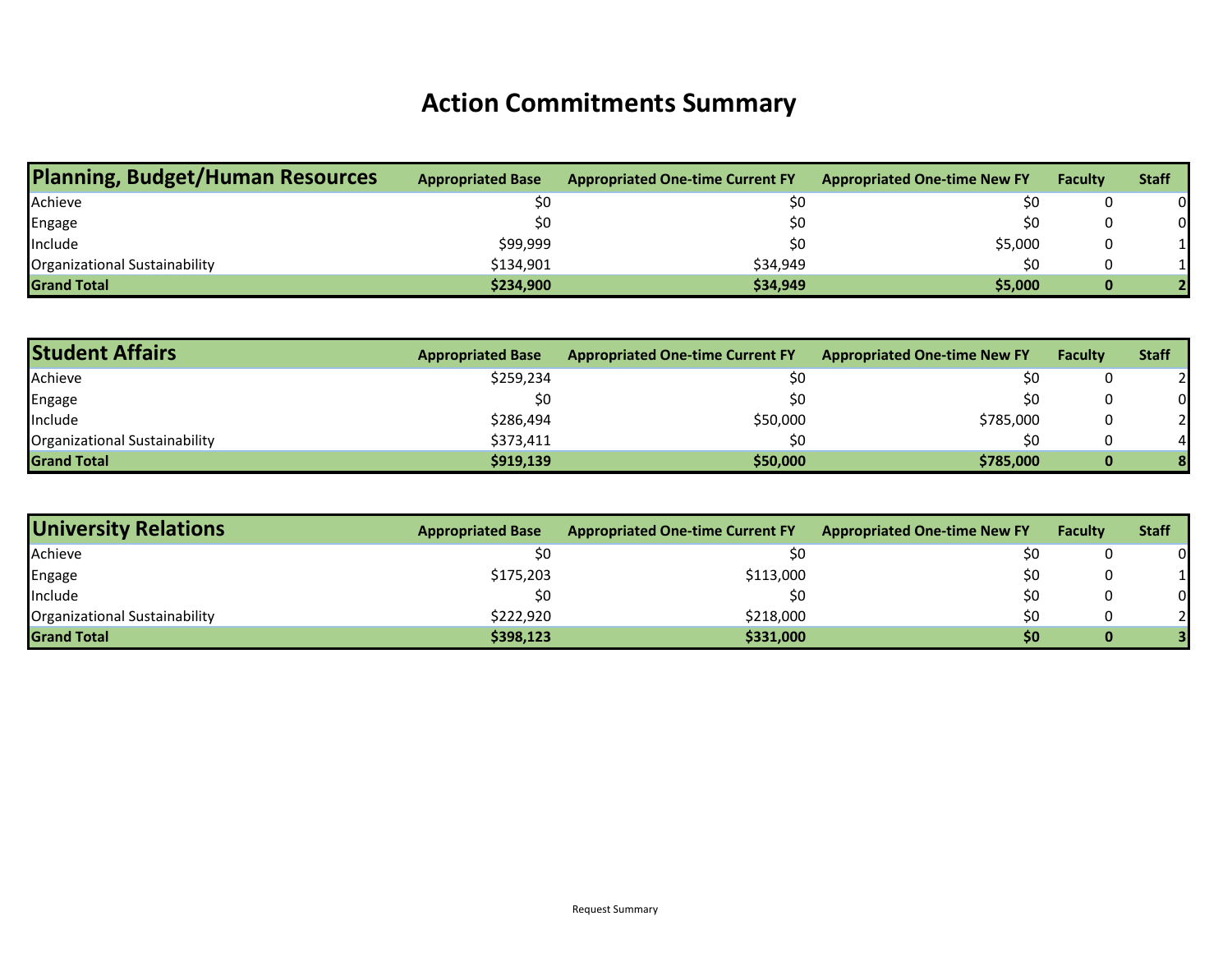## **Action Commitments Summary**

| <b>Planning, Budget/Human Resources</b> | <b>Appropriated Base</b> | <b>Appropriated One-time Current FY</b> | <b>Appropriated One-time New FY</b> | <b>Faculty</b> | <b>Staff</b> |
|-----------------------------------------|--------------------------|-----------------------------------------|-------------------------------------|----------------|--------------|
| Achieve                                 | \$0                      | \$0                                     | \$0                                 |                | 0            |
| Engage                                  | SO.                      | \$0                                     | \$0                                 |                | 0            |
| Include                                 | \$99,999                 | \$0                                     | \$5,000                             |                |              |
| <b>Organizational Sustainability</b>    | \$134,901                | \$34,949                                | \$C                                 |                |              |
| <b>Grand Total</b>                      | \$234,900                | \$34,949                                | \$5,000                             | 0              |              |

| <b>Student Affairs</b>        | <b>Appropriated Base</b> | <b>Appropriated One-time Current FY</b> | <b>Appropriated One-time New FY</b> | <b>Faculty</b> | <b>Staff</b> |
|-------------------------------|--------------------------|-----------------------------------------|-------------------------------------|----------------|--------------|
| Achieve                       | \$259,234                | \$0                                     |                                     | υ              |              |
| Engage                        | \$0                      | \$0                                     | \$0                                 |                | 0            |
| <b>Include</b>                | \$286,494                | \$50,000                                | \$785,000                           |                |              |
| Organizational Sustainability | \$373,411                | \$0                                     | \$C                                 | 0              |              |
| <b>Grand Total</b>            | \$919,139                | \$50,000                                | \$785,000                           |                |              |

| <b>University Relations</b>          | <b>Appropriated Base</b> | <b>Appropriated One-time Current FY</b> | <b>Appropriated One-time New FY</b> | <b>Faculty</b> | <b>Staff</b> |
|--------------------------------------|--------------------------|-----------------------------------------|-------------------------------------|----------------|--------------|
| Achieve                              | \$0                      | \$0                                     | \$0                                 |                | <sub>0</sub> |
| Engage                               | \$175,203                | \$113,000                               | \$0                                 |                |              |
| Include                              | \$0                      | \$0                                     | \$0                                 |                | 0            |
| <b>Organizational Sustainability</b> | \$222.920                | \$218,000                               | \$0                                 |                |              |
| <b>Grand Total</b>                   | \$398,123                | \$331,000                               | \$0                                 | 0              |              |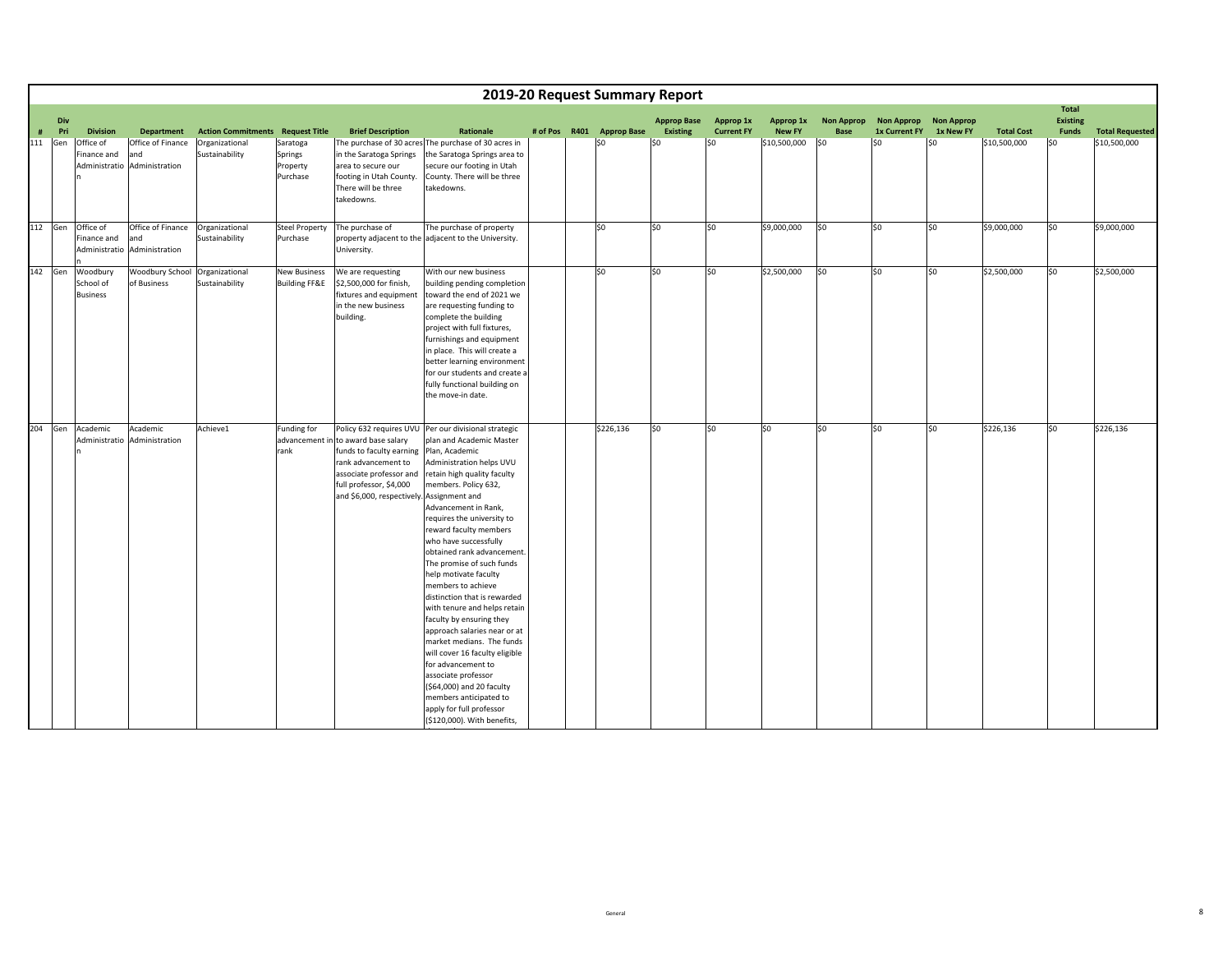|      | 2019-20 Request Summary Report |                                                  |                                                           |                                  |                                                 |                                                                                                                                                                                           |                                                                                                                                                                                                                                                                                                                                                                                                                                                                                                                                                                                                                                                                                                            |  |  |                           |                    |                   |               |                   |                   |                   |                   |                                 |                        |
|------|--------------------------------|--------------------------------------------------|-----------------------------------------------------------|----------------------------------|-------------------------------------------------|-------------------------------------------------------------------------------------------------------------------------------------------------------------------------------------------|------------------------------------------------------------------------------------------------------------------------------------------------------------------------------------------------------------------------------------------------------------------------------------------------------------------------------------------------------------------------------------------------------------------------------------------------------------------------------------------------------------------------------------------------------------------------------------------------------------------------------------------------------------------------------------------------------------|--|--|---------------------------|--------------------|-------------------|---------------|-------------------|-------------------|-------------------|-------------------|---------------------------------|------------------------|
|      | Div                            |                                                  |                                                           |                                  |                                                 |                                                                                                                                                                                           |                                                                                                                                                                                                                                                                                                                                                                                                                                                                                                                                                                                                                                                                                                            |  |  |                           | <b>Approp Base</b> | Approp 1x         | Approp 1x     | <b>Non Approp</b> | <b>Non Approp</b> | <b>Non Approp</b> |                   | <b>Total</b><br><b>Existing</b> |                        |
| $\#$ | Pri                            | <b>Division</b>                                  | <b>Department</b>                                         | <b>Action Commitments</b>        | <b>Request Title</b>                            | <b>Brief Description</b>                                                                                                                                                                  | Rationale                                                                                                                                                                                                                                                                                                                                                                                                                                                                                                                                                                                                                                                                                                  |  |  | # of Pos R401 Approp Base | <b>Existing</b>    | <b>Current FY</b> | <b>New FY</b> | <b>Base</b>       | 1x Current FY     | 1x New FY         | <b>Total Cost</b> | Funds                           | <b>Total Requested</b> |
| 111  | Gen                            | Office of<br>Finance and                         | Office of Finance<br>and<br>Administratio Administration  | Organizational<br>Sustainability | Saratoga<br>Springs<br>Property<br>Purchase     | in the Saratoga Springs<br>area to secure our<br>footing in Utah County.<br>There will be three<br>takedowns.                                                                             | The purchase of 30 acres The purchase of 30 acres in<br>the Saratoga Springs area to<br>secure our footing in Utah<br>County. There will be three<br>takedowns.                                                                                                                                                                                                                                                                                                                                                                                                                                                                                                                                            |  |  | \$0                       | SO                 | \$0               | \$10,500,000  | l\$0              | \$0               | \$0               | \$10,500,000      | \$0                             | \$10,500,000           |
| 112  | Gen                            | Office of<br>Finance and<br>Administratio        | Office of Finance Organizational<br>and<br>Administration | Sustainability                   | <b>Steel Property</b><br>Purchase               | The purchase of<br>University.                                                                                                                                                            | The purchase of property<br>property adjacent to the adjacent to the University.                                                                                                                                                                                                                                                                                                                                                                                                                                                                                                                                                                                                                           |  |  | \$0                       | SO.                | \$0               | \$9,000,000   | \$0               | \$0               | \$0               | \$9,000,000       | \$0                             | \$9,000,000            |
|      |                                | 142 Gen Woodbury<br>School of<br><b>Business</b> | Woodbury School Organizational<br>of Business             | Sustainability                   | <b>New Business</b><br><b>Building FF&amp;E</b> | We are requesting<br>\$2,500,000 for finish,<br>fixtures and equipment<br>in the new business<br>building.                                                                                | With our new business<br>building pending completion<br>toward the end of 2021 we<br>are requesting funding to<br>complete the building<br>project with full fixtures,<br>furnishings and equipment<br>in place. This will create a<br>better learning environment<br>for our students and create a<br>fully functional building on<br>the move-in date.                                                                                                                                                                                                                                                                                                                                                   |  |  | SO <sub>2</sub>           | SO.                | S <sub>0</sub>    | \$2,500,000   | lso               | \$0               | \$0               | \$2,500,000       | \$0                             | \$2,500,000            |
| 204  |                                | Gen Academic                                     | Academic                                                  | Achieve1                         | Funding for                                     |                                                                                                                                                                                           | Policy 632 requires UVU Per our divisional strategic                                                                                                                                                                                                                                                                                                                                                                                                                                                                                                                                                                                                                                                       |  |  | \$226,136                 | SO.                | \$0               | \$0           | \$0               | \$0               | \$0               | \$226,136         | \$0                             | \$226,136              |
|      |                                |                                                  | Administratio Administration                              |                                  | rank                                            | advancement in to award base salary<br>funds to faculty earning<br>rank advancement to<br>associate professor and<br>full professor, \$4,000<br>and \$6,000, respectively. Assignment and | plan and Academic Master<br>Plan, Academic<br>Administration helps UVU<br>retain high quality faculty<br>members. Policy 632,<br>Advancement in Rank,<br>requires the university to<br>reward faculty members<br>who have successfully<br>obtained rank advancement.<br>The promise of such funds<br>help motivate faculty<br>members to achieve<br>distinction that is rewarded<br>with tenure and helps retain<br>faculty by ensuring they<br>approach salaries near or at<br>market medians. The funds<br>will cover 16 faculty eligible<br>for advancement to<br>associate professor<br>(\$64,000) and 20 faculty<br>members anticipated to<br>apply for full professor<br>(\$120,000). With benefits, |  |  |                           |                    |                   |               |                   |                   |                   |                   |                                 |                        |

hl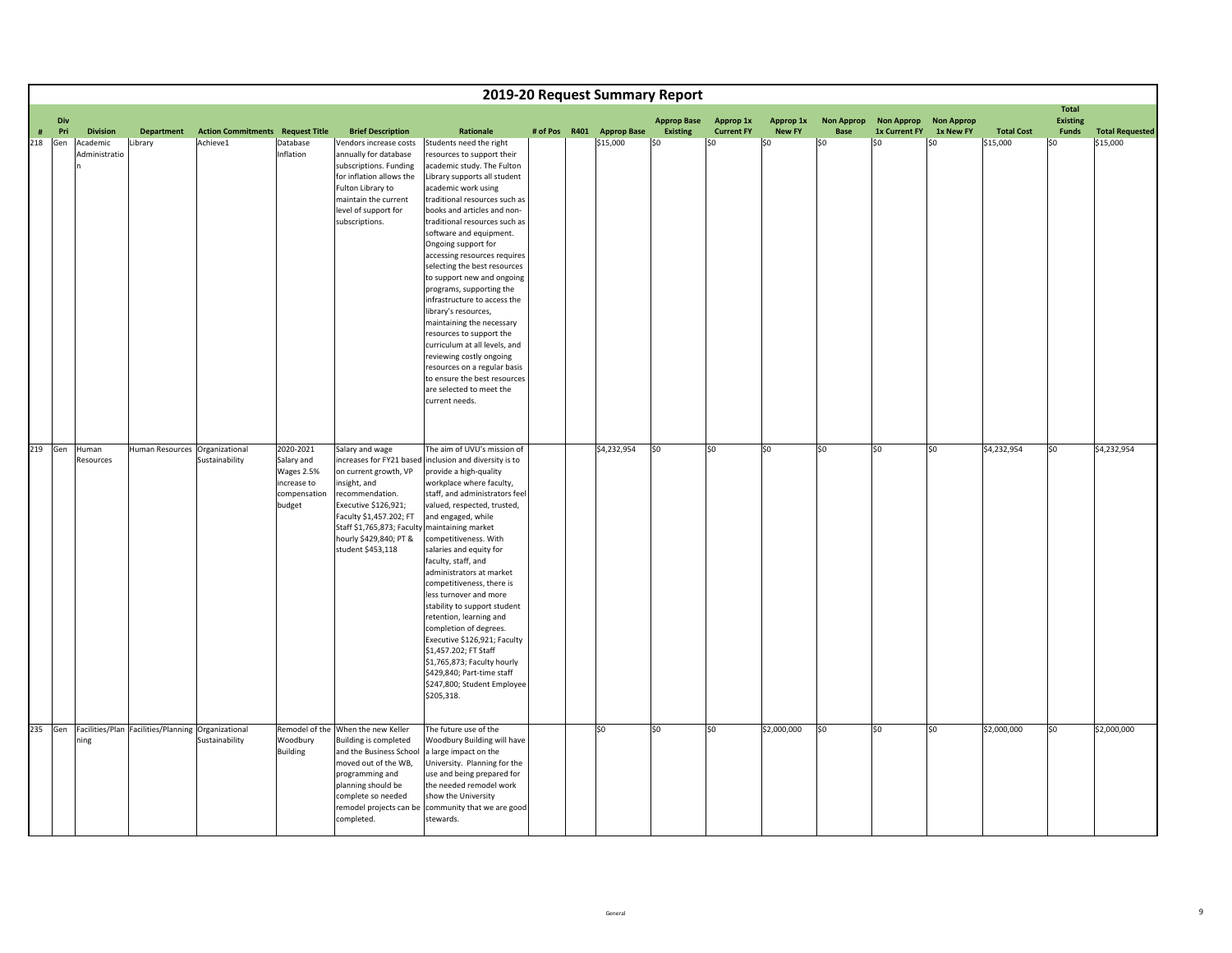|   | 2019-20 Request Summary Report |                                                            |                                |                                         |                                                                                |                                                                                                                                                                                                                                |                                                                                                                                                                                                                                                                                                                                                                                                                                                                                                                                                                                                                                                                                                                    |  |  |                           |                    |                   |               |                   |                       |           |                   |                                 |                        |
|---|--------------------------------|------------------------------------------------------------|--------------------------------|-----------------------------------------|--------------------------------------------------------------------------------|--------------------------------------------------------------------------------------------------------------------------------------------------------------------------------------------------------------------------------|--------------------------------------------------------------------------------------------------------------------------------------------------------------------------------------------------------------------------------------------------------------------------------------------------------------------------------------------------------------------------------------------------------------------------------------------------------------------------------------------------------------------------------------------------------------------------------------------------------------------------------------------------------------------------------------------------------------------|--|--|---------------------------|--------------------|-------------------|---------------|-------------------|-----------------------|-----------|-------------------|---------------------------------|------------------------|
|   |                                | Div                                                        |                                |                                         |                                                                                |                                                                                                                                                                                                                                |                                                                                                                                                                                                                                                                                                                                                                                                                                                                                                                                                                                                                                                                                                                    |  |  |                           | <b>Approp Base</b> | <b>Approp 1x</b>  | Approp 1x     | <b>Non Approp</b> | Non Approp Non Approp |           |                   | <b>Total</b><br><b>Existing</b> |                        |
| # | Pri                            | <b>Division</b>                                            | <b>Department</b>              | <b>Action Commitments Request Title</b> |                                                                                | <b>Brief Description</b>                                                                                                                                                                                                       | Rationale                                                                                                                                                                                                                                                                                                                                                                                                                                                                                                                                                                                                                                                                                                          |  |  | # of Pos R401 Approp Base | <b>Existing</b>    | <b>Current FY</b> | <b>New FY</b> | <b>Base</b>       | 1x Current FY         | 1x New FY | <b>Total Cost</b> | Funds                           | <b>Total Requested</b> |
|   | 218 Gen                        | Academic<br>Administratio                                  | Library                        | Achieve1                                | Database<br>Inflation                                                          | Vendors increase costs<br>annually for database<br>subscriptions. Funding<br>for inflation allows the<br>Fulton Library to<br>maintain the current<br>level of support for<br>subscriptions.                                   | Students need the right<br>esources to support their<br>academic study. The Fulton<br>Library supports all student<br>academic work using<br>traditional resources such as<br>books and articles and non-<br>traditional resources such as<br>software and equipment.<br>Ongoing support for<br>accessing resources requires<br>selecting the best resources<br>to support new and ongoing<br>programs, supporting the<br>infrastructure to access the<br>library's resources,<br>maintaining the necessary<br>resources to support the<br>curriculum at all levels, and<br>reviewing costly ongoing<br>resources on a regular basis<br>to ensure the best resources<br>are selected to meet the<br>current needs. |  |  | \$15,000                  | \$0                | SO                | \$0           | \$0               | \$0                   | \$0       | \$15,000          | \$0                             | \$15,000               |
|   | 219 Gen                        | Human<br>Resources                                         | Human Resources Organizational | Sustainability                          | 2020-2021<br>Salary and<br>Wages 2.5%<br>increase to<br>compensation<br>budget | Salary and wage<br>on current growth, VP<br>insight, and<br>recommendation.<br>Executive \$126,921;<br>Faculty \$1,457.202; FT<br>Staff \$1,765,873; Faculty maintaining market<br>hourly \$429,840; PT &<br>student \$453,118 | The aim of UVU's mission of<br>increases for FY21 based inclusion and diversity is to<br>provide a high-quality<br>workplace where faculty,<br>staff, and administrators feel<br>valued, respected, trusted,<br>and engaged, while<br>competitiveness. With<br>salaries and equity for<br>faculty, staff, and<br>administrators at market<br>competitiveness, there is<br>less turnover and more<br>stability to support student<br>retention, learning and<br>completion of degrees.<br>Executive \$126,921; Faculty<br>\$1,457.202; FT Staff<br>\$1,765,873; Faculty hourly<br>\$429,840; Part-time staff<br>\$247,800; Student Employee<br>\$205,318.                                                           |  |  | \$4,232,954               | \$0                | \$0               | \$0           | \$0               | \$0                   | \$0       | \$4,232,954       | \$0                             | \$4,232,954            |
|   | 235 Gen                        | Facilities/Plan Facilities/Planning Organizational<br>ning |                                | Sustainability                          | Woodbury<br><b>Building</b>                                                    | Remodel of the When the new Keller<br><b>Building is completed</b><br>and the Business School<br>moved out of the WB,<br>programming and<br>planning should be<br>complete so needed<br>completed.                             | The future use of the<br>Woodbury Building will have<br>a large impact on the<br>University. Planning for the<br>use and being prepared for<br>the needed remodel work<br>show the University<br>remodel projects can be community that we are good<br>stewards.                                                                                                                                                                                                                                                                                                                                                                                                                                                   |  |  | \$0                       | \$0                | \$0               | \$2,000,000   | \$0               | \$0                   | \$0       | \$2,000,000       | \$0                             | \$2,000,000            |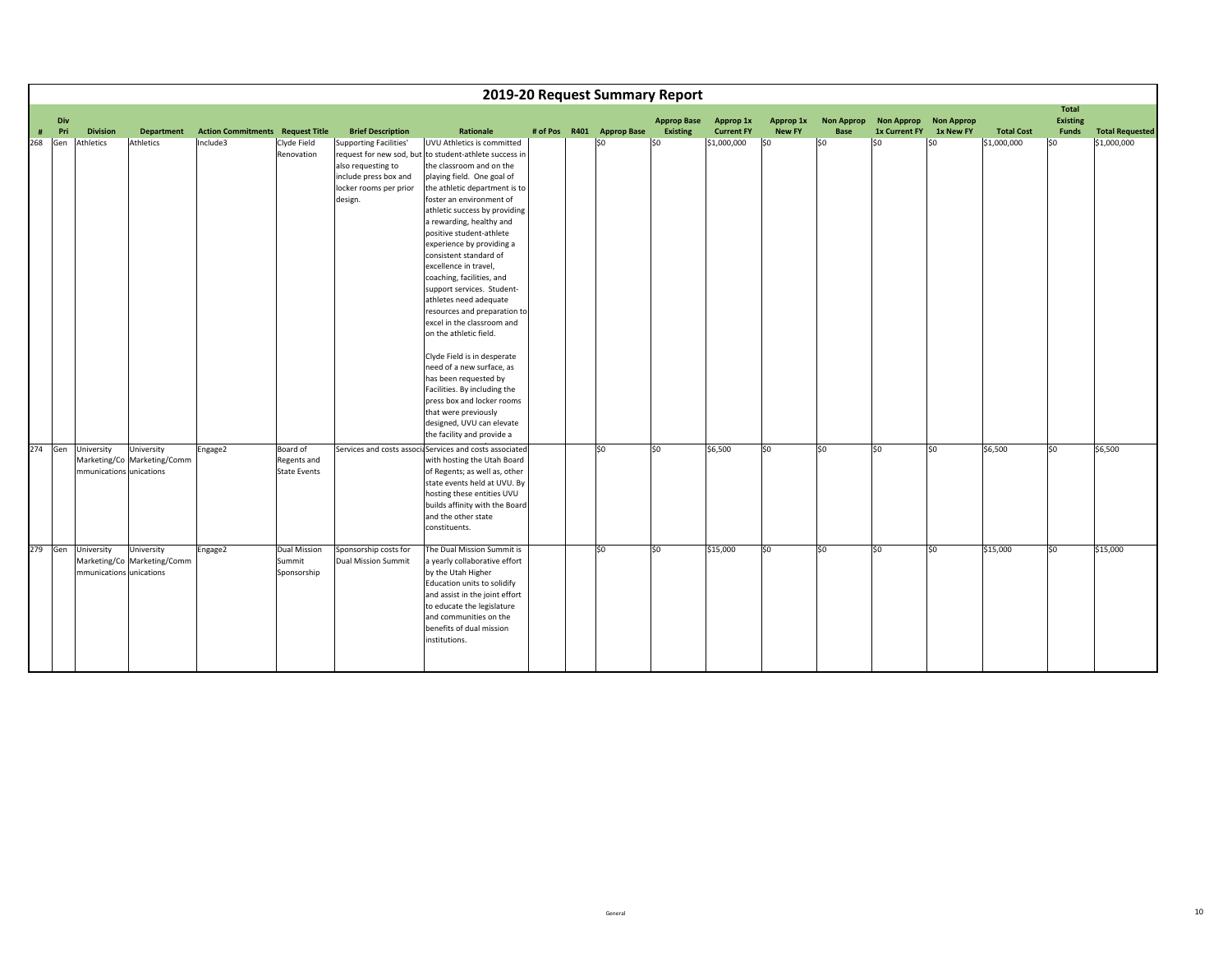|     | 2019-20 Request Summary Report |                                       |                                           |                                                     |                                                |                                                                                                                   |                                                                                                                                                                                                                                                                                                                                                                                                                                                                                                                                                                                                                                                                                                                                                                           |  |  |                                  |                                       |                                |                            |                           |                                    |                                |                   |                                          |                                       |
|-----|--------------------------------|---------------------------------------|-------------------------------------------|-----------------------------------------------------|------------------------------------------------|-------------------------------------------------------------------------------------------------------------------|---------------------------------------------------------------------------------------------------------------------------------------------------------------------------------------------------------------------------------------------------------------------------------------------------------------------------------------------------------------------------------------------------------------------------------------------------------------------------------------------------------------------------------------------------------------------------------------------------------------------------------------------------------------------------------------------------------------------------------------------------------------------------|--|--|----------------------------------|---------------------------------------|--------------------------------|----------------------------|---------------------------|------------------------------------|--------------------------------|-------------------|------------------------------------------|---------------------------------------|
| #   | Div<br>Pri                     | <b>Division</b>                       | <b>Department</b>                         |                                                     |                                                | <b>Brief Description</b>                                                                                          | Rationale                                                                                                                                                                                                                                                                                                                                                                                                                                                                                                                                                                                                                                                                                                                                                                 |  |  |                                  | <b>Approp Base</b><br><b>Existing</b> | Approp 1x<br><b>Current FY</b> | Approp 1x<br><b>New FY</b> | <b>Non Approp</b><br>Base | <b>Non Approp</b><br>1x Current FY | <b>Non Approp</b><br>1x New FY | <b>Total Cost</b> | <b>Total</b><br>Existing<br><b>Funds</b> |                                       |
| 268 | Gen                            | Athletics                             | Athletics                                 | <b>Action Commitments Request Title</b><br>Include3 | Clyde Field<br>Renovation                      | <b>Supporting Facilities'</b><br>also requesting to<br>include press box and<br>locker rooms per prior<br>design. | UVU Athletics is committed<br>request for new sod, but to student-athlete success in<br>the classroom and on the<br>playing field. One goal of<br>the athletic department is to<br>foster an environment of<br>athletic success by providing<br>a rewarding, healthy and<br>positive student-athlete<br>experience by providing a<br>consistent standard of<br>excellence in travel,<br>coaching, facilities, and<br>support services. Student-<br>athletes need adequate<br>resources and preparation to<br>excel in the classroom and<br>on the athletic field.<br>Clyde Field is in desperate<br>need of a new surface, as<br>has been requested by<br>Facilities. By including the<br>press box and locker rooms<br>that were previously<br>designed, UVU can elevate |  |  | # of Pos R401 Approp Base<br>\$0 | SO                                    | \$1,000,000                    | \$0                        | \$0                       | \$0                                | \$0                            | \$1,000,000       | SO                                       | <b>Total Requested</b><br>\$1,000,000 |
| 274 | Gen                            | University<br>mmunications unications | University<br>Marketing/Co Marketing/Comm | Engage2                                             | Board of<br>Regents and<br><b>State Events</b> |                                                                                                                   | the facility and provide a<br>Services and costs associaServices and costs associated<br>with hosting the Utah Board<br>of Regents; as well as, other<br>state events held at UVU. By<br>hosting these entities UVU<br>builds affinity with the Board<br>and the other state<br>constituents.                                                                                                                                                                                                                                                                                                                                                                                                                                                                             |  |  | lso                              | \$0                                   | \$6,500                        | lso                        | lso                       | \$0                                | \$0                            | \$6,500           | lso                                      | \$6,500                               |
| 279 | Gen                            | University<br>mmunications unications | University<br>Marketing/Co Marketing/Comm | Engage2                                             | <b>Dual Mission</b><br>Summit<br>Sponsorship   | Sponsorship costs for<br>Dual Mission Summit                                                                      | The Dual Mission Summit is<br>a yearly collaborative effort<br>by the Utah Higher<br>Education units to solidify<br>and assist in the joint effort<br>to educate the legislature<br>and communities on the<br>benefits of dual mission<br>institutions.                                                                                                                                                                                                                                                                                                                                                                                                                                                                                                                   |  |  | lso                              | \$0                                   | \$15,000                       | SO.                        | lso                       | \$0                                | lso                            | \$15,000          | so                                       | \$15,000                              |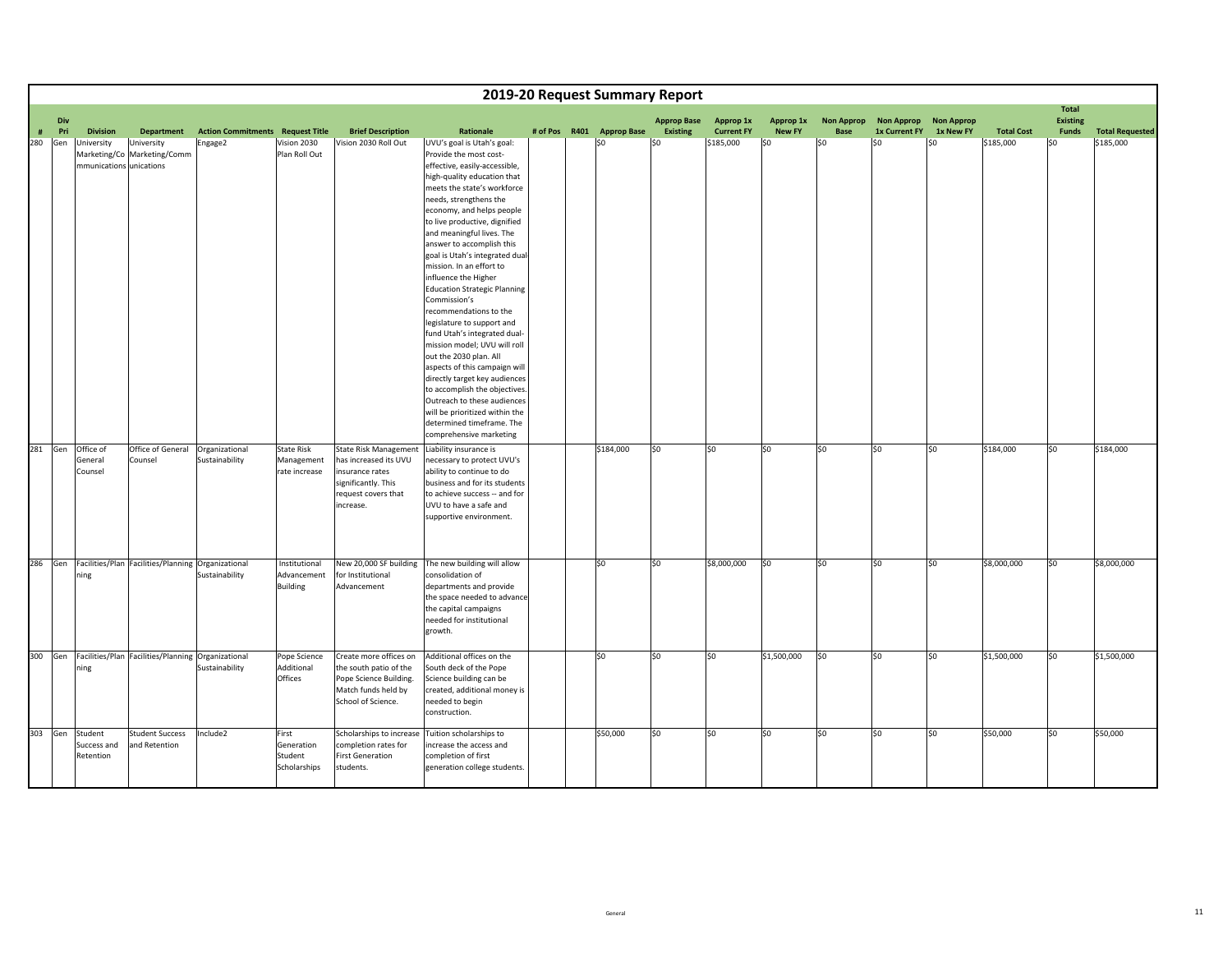|      | 2019-20 Request Summary Report |                                                                                       |                                         |                                                 |                                                                                                                                     |                                                                                                                                                                                                                                                                                                                                                                                                                                                                                                                                                                                                                                                                                                                                                                                                        |  |  |                           |                    |                   |               |                   |                   |                   |                   |                   |                        |
|------|--------------------------------|---------------------------------------------------------------------------------------|-----------------------------------------|-------------------------------------------------|-------------------------------------------------------------------------------------------------------------------------------------|--------------------------------------------------------------------------------------------------------------------------------------------------------------------------------------------------------------------------------------------------------------------------------------------------------------------------------------------------------------------------------------------------------------------------------------------------------------------------------------------------------------------------------------------------------------------------------------------------------------------------------------------------------------------------------------------------------------------------------------------------------------------------------------------------------|--|--|---------------------------|--------------------|-------------------|---------------|-------------------|-------------------|-------------------|-------------------|-------------------|------------------------|
|      | Div                            |                                                                                       |                                         |                                                 |                                                                                                                                     |                                                                                                                                                                                                                                                                                                                                                                                                                                                                                                                                                                                                                                                                                                                                                                                                        |  |  |                           | <b>Approp Base</b> | Approp 1x         | Approp 1x     | <b>Non Approp</b> | <b>Non Approp</b> | <b>Non Approp</b> |                   | Total<br>Existing |                        |
| $\#$ | Pri                            | <b>Division</b><br><b>Department</b>                                                  | <b>Action Commitments Request Title</b> |                                                 | <b>Brief Description</b>                                                                                                            | Rationale                                                                                                                                                                                                                                                                                                                                                                                                                                                                                                                                                                                                                                                                                                                                                                                              |  |  | # of Pos R401 Approp Base | <b>Existing</b>    | <b>Current FY</b> | <b>New FY</b> | Base              | 1x Current FY     | 1x New FY         | <b>Total Cost</b> | Funds             | <b>Total Requested</b> |
| 280  | Gen                            | University<br>University<br>Marketing/Co<br>Marketing/Comm<br>mmunications unications | Engage2                                 | Vision 2030<br>Plan Roll Out                    | Vision 2030 Roll Out                                                                                                                | UVU's goal is Utah's goal:<br>Provide the most cost-<br>effective, easily-accessible,<br>high-quality education that<br>meets the state's workforce<br>needs, strengthens the<br>economy, and helps people<br>to live productive, dignified<br>and meaningful lives. The<br>answer to accomplish this<br>goal is Utah's integrated dual-<br>mission. In an effort to<br>influence the Higher<br><b>Education Strategic Planning</b><br>Commission's<br>recommendations to the<br>legislature to support and<br>fund Utah's integrated dual-<br>mission model; UVU will roll<br>out the 2030 plan. All<br>aspects of this campaign will<br>directly target key audiences<br>to accomplish the objectives.<br>Outreach to these audiences<br>will be prioritized within the<br>determined timeframe. The |  |  | \$0                       | \$0                | \$185,000         | \$0           | \$0               | \$0               | \$0               | \$185,000         | \$0               | \$185,000              |
|      | 281 Gen                        | Office of<br>Office of General<br>General<br>Counsel<br>Counsel                       | Organizational<br>Sustainability        | State Risk<br>Management<br>rate increase       | <b>State Risk Management</b><br>has increased its UVU<br>insurance rates<br>significantly. This<br>request covers that<br>increase. | comprehensive marketing<br>Liability insurance is<br>necessary to protect UVU's<br>ability to continue to do<br>business and for its students<br>to achieve success -- and for<br>UVU to have a safe and<br>supportive environment.                                                                                                                                                                                                                                                                                                                                                                                                                                                                                                                                                                    |  |  | \$184,000                 | \$0                | \$0               | \$0           | so                | \$0               | \$0               | \$184,000         | lso               | \$184,000              |
|      | 286 Gen                        | Facilities/Plan Facilities/Planning Organizational<br>ning                            | Sustainability                          | Institutional<br>Advancement<br><b>Building</b> | New 20,000 SF building<br>for Institutional<br>Advancement                                                                          | The new building will allow<br>consolidation of<br>departments and provide<br>the space needed to advance<br>the capital campaigns<br>needed for institutional<br>growth.                                                                                                                                                                                                                                                                                                                                                                                                                                                                                                                                                                                                                              |  |  | SO <sub>2</sub>           | \$0                | \$8,000,000       | lso           | lso               | \$0               | \$0               | \$8,000,000       | so.               | \$8,000,000            |
|      | 300 Gen                        | Facilities/Plan Facilities/Planning Organizational<br>ning                            | Sustainability                          | Pope Science<br>Additional<br>Offices           | Create more offices on<br>the south patio of the<br>Pope Science Building.<br>Match funds held by<br>School of Science.             | Additional offices on the<br>South deck of the Pope<br>Science building can be<br>created, additional money is<br>needed to begin<br>construction.                                                                                                                                                                                                                                                                                                                                                                                                                                                                                                                                                                                                                                                     |  |  | \$0                       | \$0                | \$0               | \$1,500,000   | so                | \$0               | \$0               | \$1,500,000       | so                | \$1,500,000            |
|      | 303 Gen                        | Student<br><b>Student Success</b><br>Success and<br>and Retention<br>Retention        | Include2                                | First<br>Generation<br>Student<br>Scholarships  | Scholarships to increase<br>completion rates for<br><b>First Generation</b><br>students.                                            | Tuition scholarships to<br>increase the access and<br>completion of first<br>generation college students.                                                                                                                                                                                                                                                                                                                                                                                                                                                                                                                                                                                                                                                                                              |  |  | \$50,000                  | \$0                | \$0               | l\$0          | \$0               | \$0               | \$0               | \$50,000          | \$0               | \$50,000               |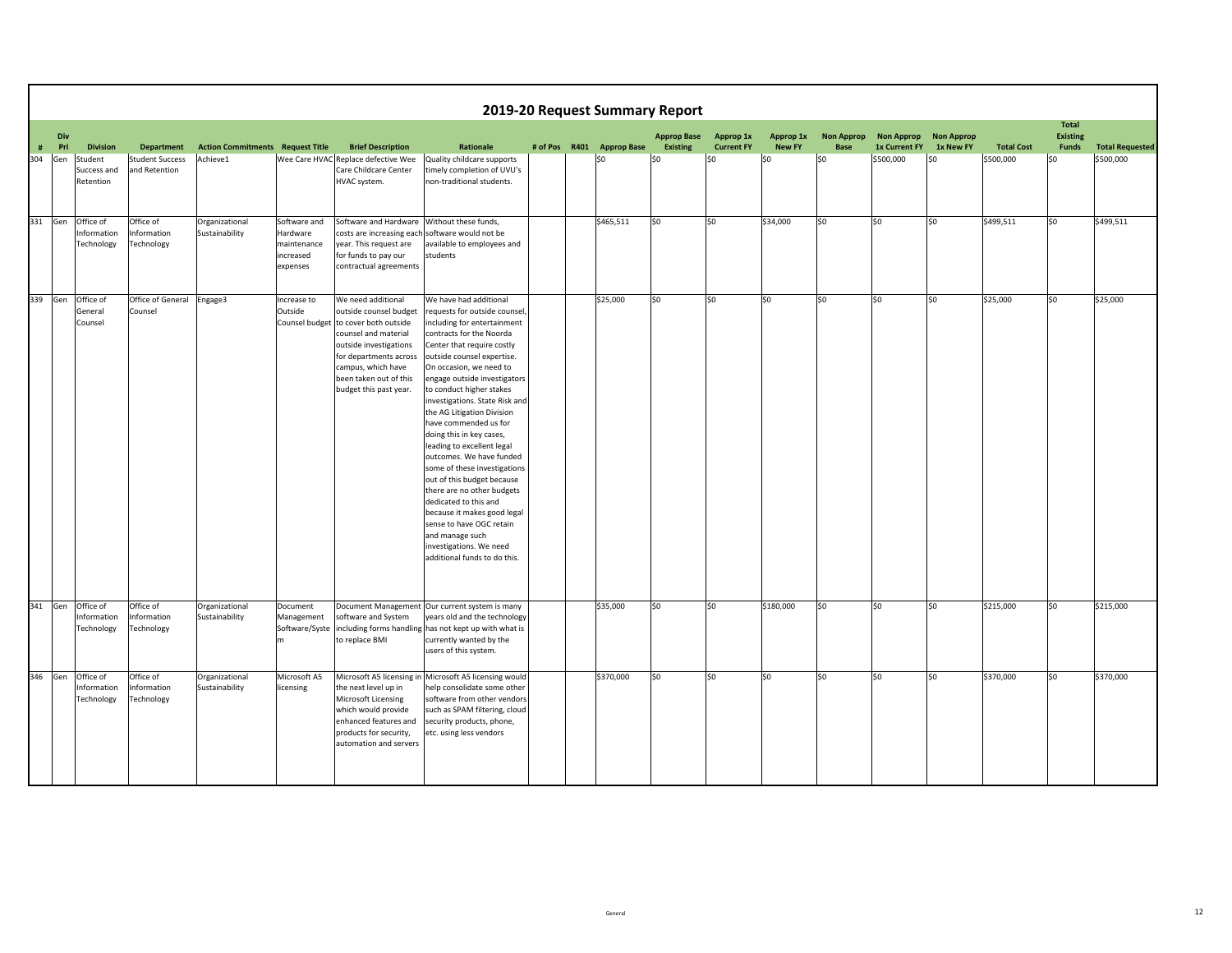|      | 2019-20 Request Summary Report<br><b>Total</b> |                                        |                                         |                                  |                                                                  |                                                                                                                                                                                                                                            |                                                                                                                                                                                                                                                                                                                                                                                                                                                                                                                                                                                                                                                                                                                    |  |  |                           |                    |                   |               |                   |                       |           |                   |                 |                        |
|------|------------------------------------------------|----------------------------------------|-----------------------------------------|----------------------------------|------------------------------------------------------------------|--------------------------------------------------------------------------------------------------------------------------------------------------------------------------------------------------------------------------------------------|--------------------------------------------------------------------------------------------------------------------------------------------------------------------------------------------------------------------------------------------------------------------------------------------------------------------------------------------------------------------------------------------------------------------------------------------------------------------------------------------------------------------------------------------------------------------------------------------------------------------------------------------------------------------------------------------------------------------|--|--|---------------------------|--------------------|-------------------|---------------|-------------------|-----------------------|-----------|-------------------|-----------------|------------------------|
|      | Div                                            |                                        |                                         |                                  |                                                                  |                                                                                                                                                                                                                                            |                                                                                                                                                                                                                                                                                                                                                                                                                                                                                                                                                                                                                                                                                                                    |  |  |                           | <b>Approp Base</b> | Approp 1x         | Approp 1x     | <b>Non Approp</b> | Non Approp Non Approp |           |                   | <b>Existing</b> |                        |
| $\#$ | Pri                                            | <b>Division</b>                        | <b>Department</b>                       | <b>Action Commitments</b>        | <b>Request Title</b>                                             | <b>Brief Description</b>                                                                                                                                                                                                                   | Rationale                                                                                                                                                                                                                                                                                                                                                                                                                                                                                                                                                                                                                                                                                                          |  |  | # of Pos R401 Approp Base | <b>Existing</b>    | <b>Current FY</b> | <b>New FY</b> | <b>Base</b>       | 1x Current FY         | 1x New FY | <b>Total Cost</b> | Funds           | <b>Total Requested</b> |
| 304  | Gen                                            | Student<br>Success and<br>Retention    | <b>Student Success</b><br>and Retention | Achieve1                         |                                                                  | Wee Care HVAC Replace defective Wee<br>Care Childcare Center<br>HVAC system.                                                                                                                                                               | Quality childcare supports<br>timely completion of UVU's<br>non-traditional students.                                                                                                                                                                                                                                                                                                                                                                                                                                                                                                                                                                                                                              |  |  | \$0                       | \$0                | \$0               | S0            | SO.               | \$500,000             | \$0       | \$500,000         | \$0             | \$500,000              |
| 331  | Gen                                            | Office of<br>Information<br>Technology | Office of<br>Information<br>Technology  | Organizational<br>Sustainability | Software and<br>Hardware<br>maintenance<br>increased<br>expenses | Software and Hardware<br>costs are increasing each software would not be<br>year. This request are<br>for funds to pay our<br>contractual agreements                                                                                       | Without these funds,<br>available to employees and<br>students                                                                                                                                                                                                                                                                                                                                                                                                                                                                                                                                                                                                                                                     |  |  | \$465,511                 | SO                 | lso               | \$34,000      | l\$0              | \$0                   | \$0       | \$499,511         | lso             | \$499,511              |
| 339  | Gen                                            | Office of<br>General<br>Counsel        | Office of General<br>Counsel            | Engage3                          | Increase to<br>Outside                                           | We need additional<br>outside counsel budget<br>Counsel budget to cover both outside<br>counsel and material<br>outside investigations<br>for departments across<br>campus, which have<br>been taken out of this<br>budget this past year. | We have had additional<br>requests for outside counsel,<br>including for entertainment<br>contracts for the Noorda<br>Center that require costly<br>outside counsel expertise.<br>On occasion, we need to<br>engage outside investigators<br>to conduct higher stakes<br>investigations. State Risk and<br>the AG Litigation Division<br>have commended us for<br>doing this in key cases,<br>leading to excellent legal<br>outcomes. We have funded<br>some of these investigations<br>out of this budget because<br>there are no other budgets<br>dedicated to this and<br>because it makes good legal<br>sense to have OGC retain<br>and manage such<br>investigations. We need<br>additional funds to do this. |  |  | \$25,000                  | \$0                | 50                | lso           | \$0               | \$0                   | \$0       | \$25,000          | lso             | \$25,000               |
| 341  | Gen                                            | Office of<br>Information<br>Technology | Office of<br>Information<br>Technology  | Organizational<br>Sustainability | Document<br>Management<br>Software/Syste<br>m.                   | software and System<br>to replace BMI                                                                                                                                                                                                      | Document Management Our current system is many<br>years old and the technology<br>including forms handling has not kept up with what is<br>currently wanted by the<br>users of this system.                                                                                                                                                                                                                                                                                                                                                                                                                                                                                                                        |  |  | \$35,000                  | \$0                | lso               | \$180,000     | \$0               | \$0                   | \$0       | \$215,000         | so              | \$215,000              |
| 346  | Gen                                            | Office of<br>Information<br>Technology | Office of<br>Information<br>Technology  | Organizational<br>Sustainability | Microsoft A5<br>licensing                                        | the next level up in<br>Microsoft Licensing<br>which would provide<br>enhanced features and<br>products for security,<br>automation and servers                                                                                            | Microsoft A5 licensing in Microsoft A5 licensing would<br>help consolidate some other<br>software from other vendors<br>such as SPAM filtering, cloud<br>security products, phone,<br>etc. using less vendors                                                                                                                                                                                                                                                                                                                                                                                                                                                                                                      |  |  | \$370,000                 | \$0                | 50                | lso           | lso               | \$0                   | \$0       | \$370,000         | 50              | \$370,000              |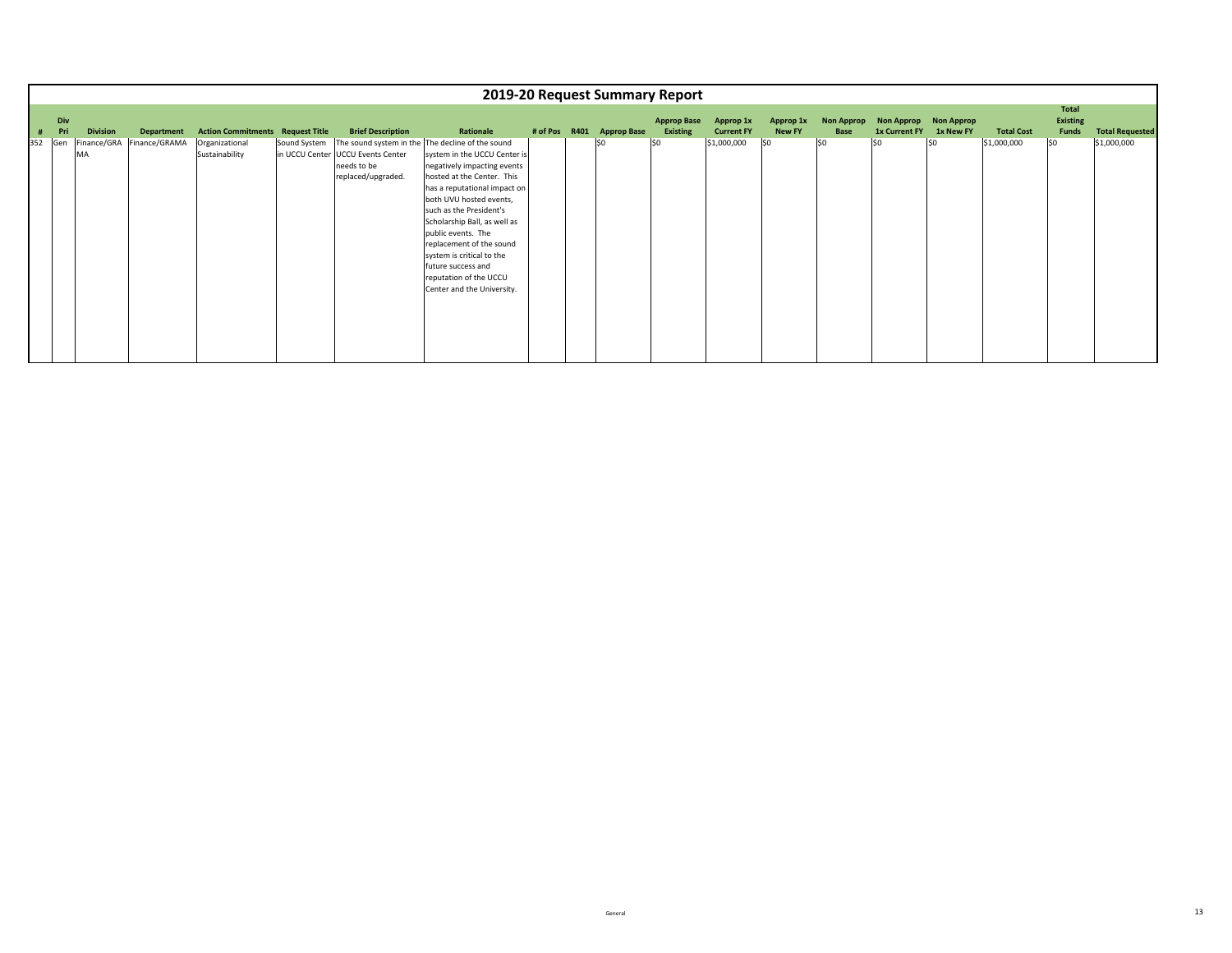|     |     |                 |                           |                                         |              |                                                                        |                                                                                                                                                                                                                                                                                                                                                                                                                                  |  | 2019-20 Request Summary Report |                                |                                |                            |                                  |                                    |                                |                   |                          |                        |
|-----|-----|-----------------|---------------------------|-----------------------------------------|--------------|------------------------------------------------------------------------|----------------------------------------------------------------------------------------------------------------------------------------------------------------------------------------------------------------------------------------------------------------------------------------------------------------------------------------------------------------------------------------------------------------------------------|--|--------------------------------|--------------------------------|--------------------------------|----------------------------|----------------------------------|------------------------------------|--------------------------------|-------------------|--------------------------|------------------------|
|     | Div |                 |                           |                                         |              |                                                                        |                                                                                                                                                                                                                                                                                                                                                                                                                                  |  |                                |                                |                                |                            |                                  |                                    |                                |                   | Total                    |                        |
|     | Pri | <b>Division</b> | Department                | <b>Action Commitments Request Title</b> |              | <b>Brief Description</b>                                               | Rationale                                                                                                                                                                                                                                                                                                                                                                                                                        |  | # of Pos R401 Approp Base      | <b>Approp Base</b><br>Existing | Approp 1x<br><b>Current FY</b> | Approp 1x<br><b>New FY</b> | <b>Non Approp</b><br><b>Base</b> | <b>Non Approp</b><br>1x Current FY | <b>Non Approp</b><br>1x New FY | <b>Total Cost</b> | <b>Existing</b><br>Funds | <b>Total Requested</b> |
| 352 | Gen | MA              | Finance/GRA Finance/GRAMA | Organizational<br>Sustainability        | Sound System | in UCCU Center UCCU Events Center<br>needs to be<br>replaced/upgraded. | The sound system in the The decline of the sound<br>system in the UCCU Center is<br>negatively impacting events<br>hosted at the Center. This<br>has a reputational impact on<br>both UVU hosted events,<br>such as the President's<br>Scholarship Ball, as well as<br>public events. The<br>replacement of the sound<br>system is critical to the<br>future success and<br>reputation of the UCCU<br>Center and the University. |  | l\$0                           | S <sub>0</sub>                 | \$1,000,000                    | 50                         | \$0                              | \$0                                | \$0                            | \$1,000,000       | lso                      | \$1,000,000            |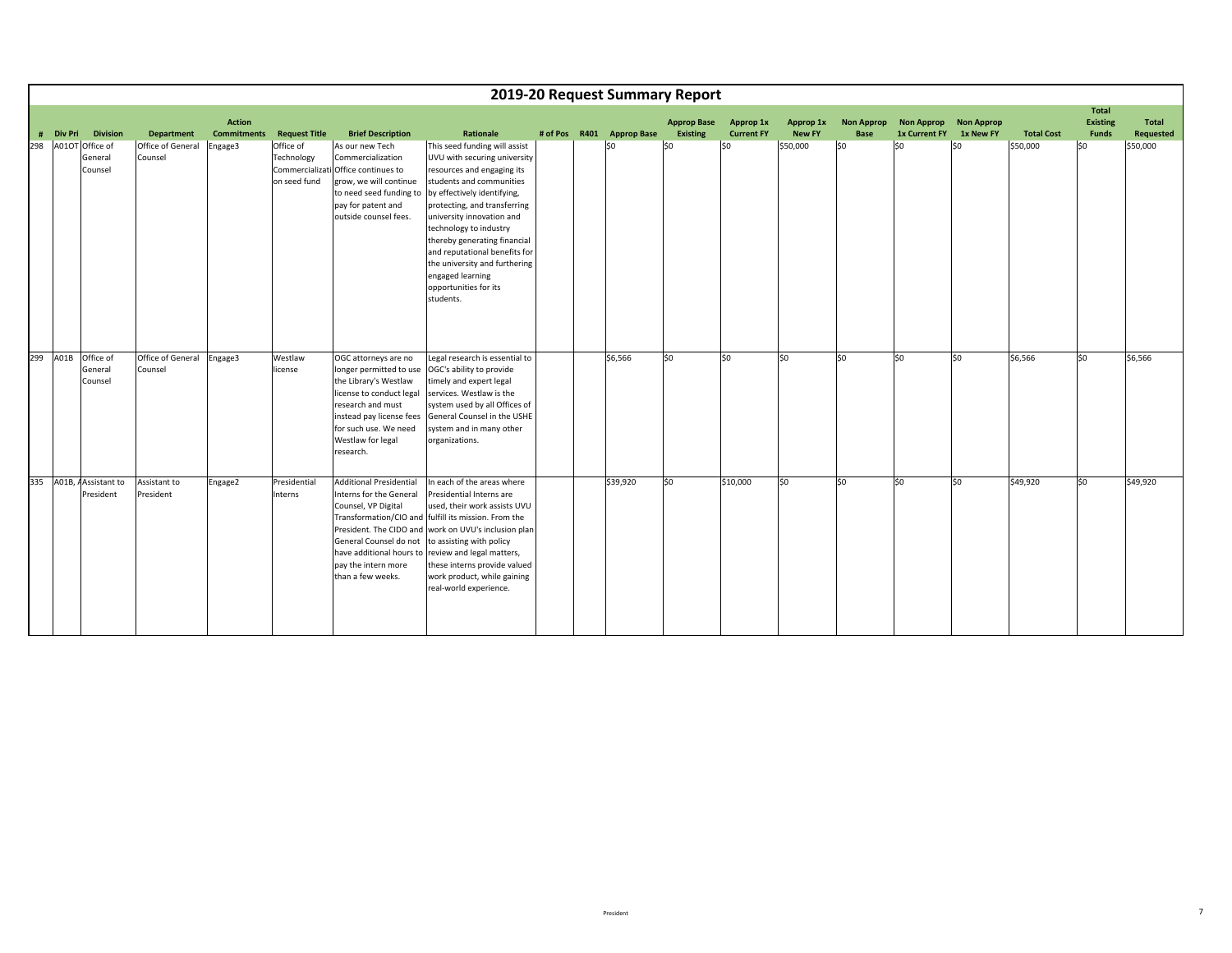|     |                |                                       |                              |                                     |                                         |                                                                                                                                                                                      |                                                                                                                                                                                                                                                                                                                                                                                                                                   |  | 2019-20 Request Summary Report |                                       |                                |                            |                                  |                                           |                                |                   |                                                 |                           |
|-----|----------------|---------------------------------------|------------------------------|-------------------------------------|-----------------------------------------|--------------------------------------------------------------------------------------------------------------------------------------------------------------------------------------|-----------------------------------------------------------------------------------------------------------------------------------------------------------------------------------------------------------------------------------------------------------------------------------------------------------------------------------------------------------------------------------------------------------------------------------|--|--------------------------------|---------------------------------------|--------------------------------|----------------------------|----------------------------------|-------------------------------------------|--------------------------------|-------------------|-------------------------------------------------|---------------------------|
| #   | <b>Div Pri</b> | <b>Division</b>                       | <b>Department</b>            | <b>Action</b><br><b>Commitments</b> | <b>Request Title</b>                    | <b>Brief Description</b>                                                                                                                                                             | Rationale                                                                                                                                                                                                                                                                                                                                                                                                                         |  | # of Pos R401 Approp Base      | <b>Approp Base</b><br><b>Existing</b> | Approp 1x<br><b>Current FY</b> | Approp 1x<br><b>New FY</b> | <b>Non Approp</b><br><b>Base</b> | <b>Non Approp</b><br><b>1x Current FY</b> | <b>Non Approp</b><br>1x New FY | <b>Total Cost</b> | <b>Total</b><br><b>Existing</b><br><b>Funds</b> | <b>Total</b><br>Requested |
| 298 |                | A01OT Office of<br>General<br>Counsel | Office of General<br>Counsel | Engage3                             | Office of<br>Technology<br>on seed fund | As our new Tech<br>Commercialization<br>Commercializati Office continues to<br>grow, we will continue<br>pay for patent and<br>outside counsel fees.                                 | This seed funding will assist<br>UVU with securing university<br>resources and engaging its<br>students and communities<br>to need seed funding to by effectively identifying,<br>protecting, and transferring<br>university innovation and<br>technology to industry<br>thereby generating financial<br>and reputational benefits for<br>the university and furthering<br>engaged learning<br>opportunities for its<br>students. |  | lso                            | \$0                                   | S <sub>0</sub>                 | \$50,000                   | lso                              | \$0                                       | \$0                            | \$50,000          | \$0                                             | \$50,000                  |
| 299 | A01B           | Office of<br>General<br>Counsel       | Office of General<br>Counsel | Engage3                             | Westlaw<br>license                      | OGC attorneys are no<br>longer permitted to use<br>the Library's Westlaw<br>license to conduct legal<br>research and must<br>for such use. We need<br>Westlaw for legal<br>research. | Legal research is essential to<br>OGC's ability to provide<br>timely and expert legal<br>services. Westlaw is the<br>system used by all Offices of<br>instead pay license fees General Counsel in the USHE<br>system and in many other<br>organizations.                                                                                                                                                                          |  | \$6,566                        | lso                                   | \$0                            | 50                         | \$0                              | \$0                                       | \$0                            | \$6,566           | 50                                              | \$6,566                   |
| 335 |                | A01B, AAssistant to<br>President      | Assistant to<br>President    | Engage2                             | Presidential<br>Interns                 | <b>Additional Presidential</b><br>Interns for the General<br>Counsel, VP Digital<br>General Counsel do not<br>pay the intern more<br>than a few weeks.                               | In each of the areas where<br>Presidential Interns are<br>used, their work assists UVU<br>Transformation/CIO and fulfill its mission. From the<br>President. The CIDO and work on UVU's inclusion plan<br>to assisting with policy<br>have additional hours to review and legal matters,<br>these interns provide valued<br>work product, while gaining<br>real-world experience.                                                 |  | \$39,920                       | lso                                   | \$10,000                       | SO                         | lso                              | lso                                       | \$0                            | \$49,920          | \$0                                             | \$49,920                  |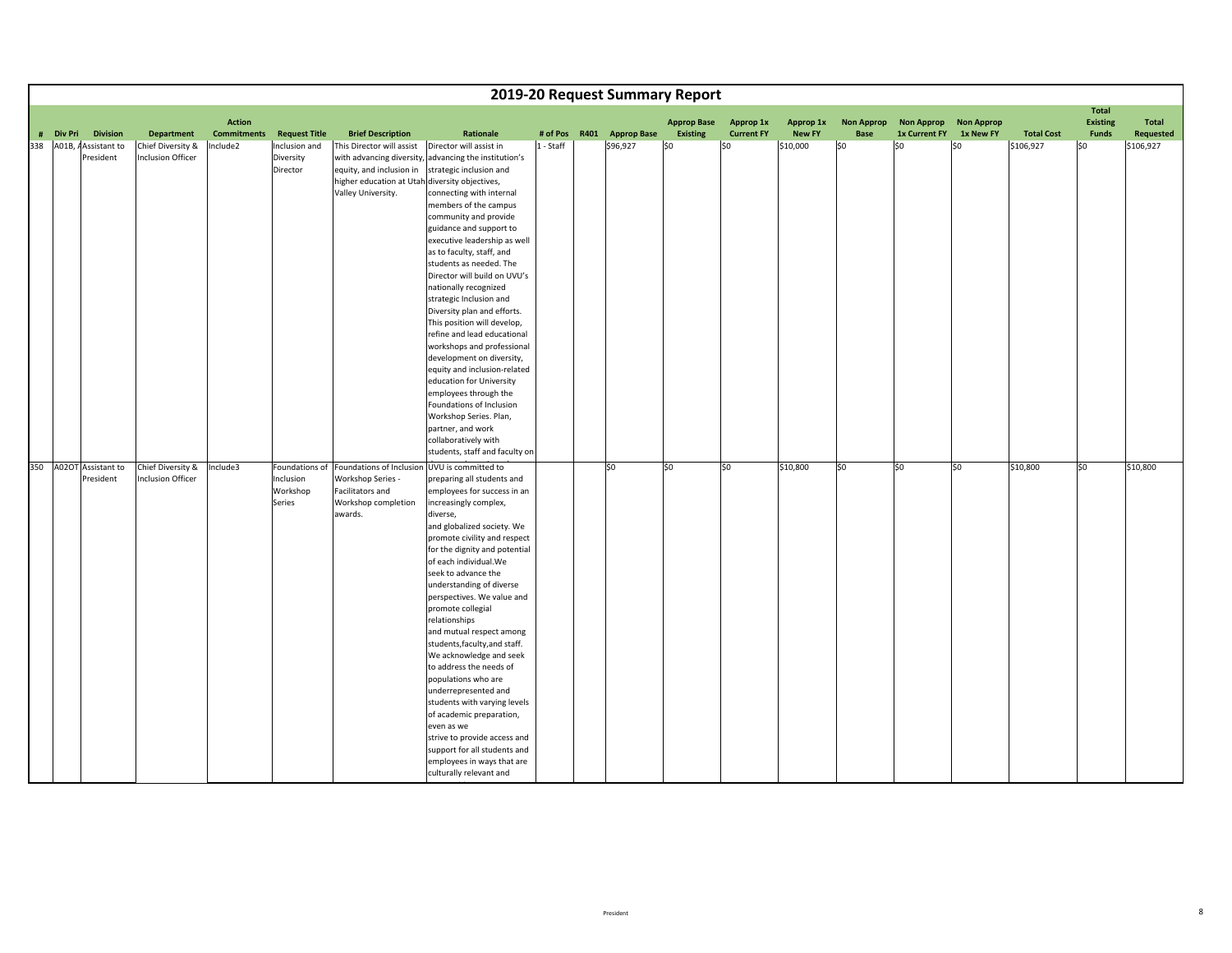|                                      |                                        |                   |                                            |                                                                                                                                                                                 |                                                                                                                                                                                                                                                                                                                                                                                                                                                                                                                                                                                                                                                                                                                     |           |      |                    | 2019-20 Request Summary Report |                   |               |                   |                      |                   |                   |                                 |                  |
|--------------------------------------|----------------------------------------|-------------------|--------------------------------------------|---------------------------------------------------------------------------------------------------------------------------------------------------------------------------------|---------------------------------------------------------------------------------------------------------------------------------------------------------------------------------------------------------------------------------------------------------------------------------------------------------------------------------------------------------------------------------------------------------------------------------------------------------------------------------------------------------------------------------------------------------------------------------------------------------------------------------------------------------------------------------------------------------------------|-----------|------|--------------------|--------------------------------|-------------------|---------------|-------------------|----------------------|-------------------|-------------------|---------------------------------|------------------|
|                                      |                                        |                   | <b>Action</b>                              |                                                                                                                                                                                 |                                                                                                                                                                                                                                                                                                                                                                                                                                                                                                                                                                                                                                                                                                                     |           |      |                    | <b>Approp Base</b>             | Approp 1x         | Approp 1x     | <b>Non Approp</b> | <b>Non Approp</b>    | <b>Non Approp</b> |                   | <b>Total</b><br><b>Existing</b> | <b>Total</b>     |
| # Div Pri<br><b>Division</b>         |                                        | <b>Department</b> | <b>Commitments</b><br><b>Request Title</b> | <b>Brief Description</b>                                                                                                                                                        | Rationale                                                                                                                                                                                                                                                                                                                                                                                                                                                                                                                                                                                                                                                                                                           | # of Pos  | R401 | <b>Approp Base</b> | <b>Existing</b>                | <b>Current FY</b> | <b>New FY</b> | <b>Base</b>       | <b>1x Current FY</b> | 1x New FY         | <b>Total Cost</b> | <b>Funds</b>                    | <b>Requested</b> |
| 338 A01B, AAssistant to<br>President | Chief Diversity &<br>Inclusion Officer | Include2          | Inclusion and<br>Diversity<br>Director     | This Director will assist   Director will assist in<br>equity, and inclusion in strategic inclusion and<br>higher education at Utah diversity objectives,<br>Valley University. | with advancing diversity, advancing the institution's<br>connecting with internal<br>members of the campus<br>community and provide<br>guidance and support to<br>executive leadership as well<br>as to faculty, staff, and<br>students as needed. The<br>Director will build on UVU's<br>nationally recognized<br>strategic Inclusion and<br>Diversity plan and efforts.<br>This position will develop,<br>refine and lead educational                                                                                                                                                                                                                                                                             | 1 - Staff |      | \$96,927           | SO.                            | l\$0              | \$10,000      | \$0               | \$0                  | \$0               | \$106,927         | <b>SO</b>                       | \$106,927        |
|                                      |                                        |                   |                                            |                                                                                                                                                                                 | workshops and professional<br>development on diversity,<br>equity and inclusion-related<br>education for University<br>employees through the<br>Foundations of Inclusion<br>Workshop Series. Plan,<br>partner, and work<br>collaboratively with<br>students, staff and faculty on                                                                                                                                                                                                                                                                                                                                                                                                                                   |           |      |                    |                                |                   |               |                   |                      |                   |                   |                                 |                  |
| 350 A02OT Assistant to<br>President  | Chief Diversity &<br>Inclusion Officer | Include3          | Inclusion<br>Workshop<br><b>Series</b>     | Foundations of Foundations of Inclusion UVU is committed to<br>Workshop Series -<br><b>Facilitators and</b><br>Workshop completion<br>awards.                                   | preparing all students and<br>employees for success in an<br>increasingly complex,<br>diverse,<br>and globalized society. We<br>promote civility and respect<br>for the dignity and potential<br>of each individual. We<br>seek to advance the<br>understanding of diverse<br>perspectives. We value and<br>promote collegial<br>relationships<br>and mutual respect among<br>students, faculty, and staff.<br>We acknowledge and seek<br>to address the needs of<br>populations who are<br>underrepresented and<br>students with varying levels<br>of academic preparation,<br>even as we<br>strive to provide access and<br>support for all students and<br>employees in ways that are<br>culturally relevant and |           |      | S <sub>0</sub>     | \$0                            | S <sub>0</sub>    | \$10,800      | \$0               | 50                   | \$0               | \$10,800          | lso                             | \$10,800         |

ibl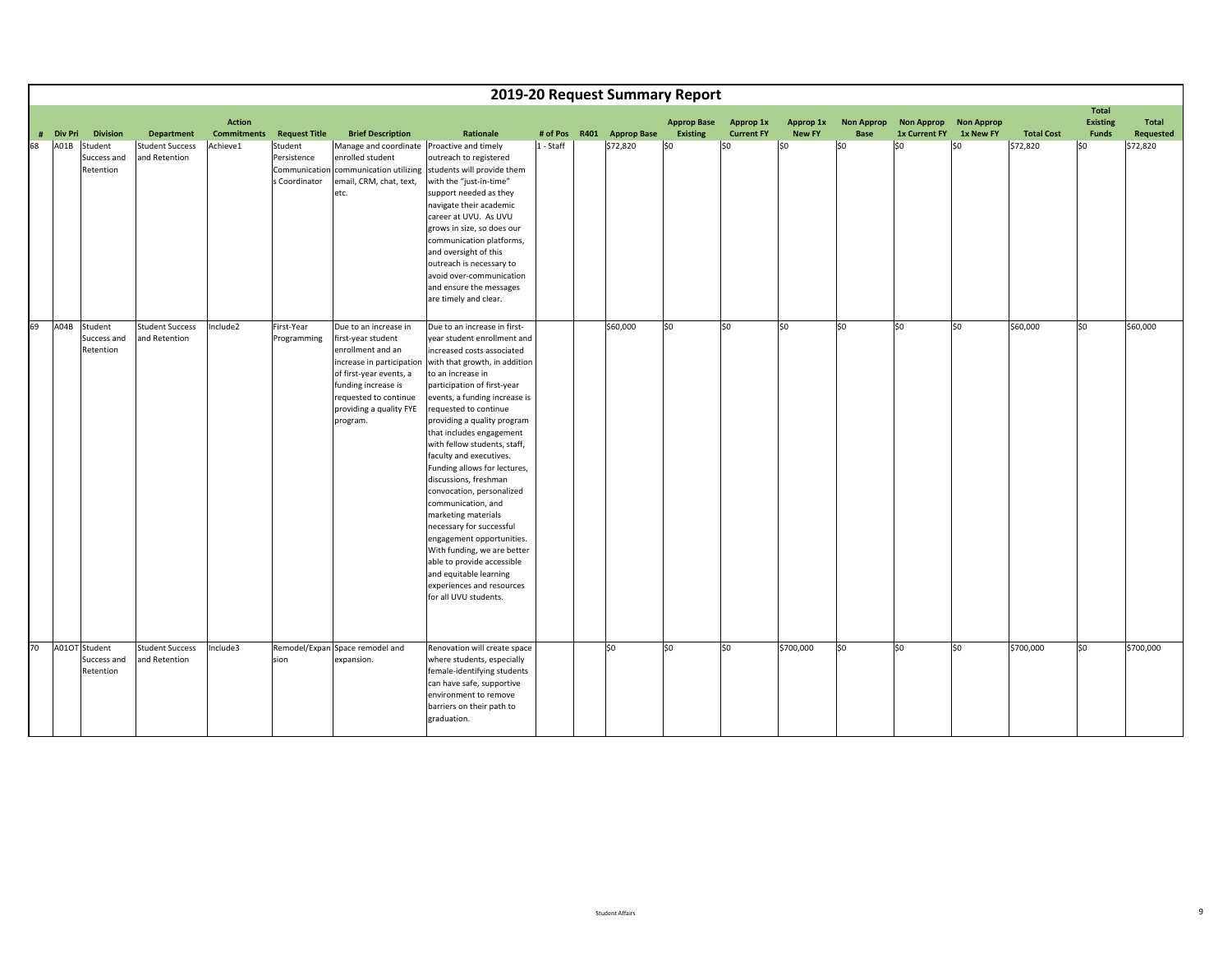|    |                                             |                                         |                                     |                                         |                                                                                                                                                                                    |                                                                                                                                                                                                                                                                                                                                                                                                                                                                                                                                                                                                                                                                                                                                   | 2019-20 Request Summary Report |                  |                                |                                |                            |                                  |                                    |                                |                   |                                                 |                                  |
|----|---------------------------------------------|-----------------------------------------|-------------------------------------|-----------------------------------------|------------------------------------------------------------------------------------------------------------------------------------------------------------------------------------|-----------------------------------------------------------------------------------------------------------------------------------------------------------------------------------------------------------------------------------------------------------------------------------------------------------------------------------------------------------------------------------------------------------------------------------------------------------------------------------------------------------------------------------------------------------------------------------------------------------------------------------------------------------------------------------------------------------------------------------|--------------------------------|------------------|--------------------------------|--------------------------------|----------------------------|----------------------------------|------------------------------------|--------------------------------|-------------------|-------------------------------------------------|----------------------------------|
| #  | <b>Div Pri</b><br><b>Division</b>           | <b>Department</b>                       | <b>Action</b><br><b>Commitments</b> | <b>Request Title</b>                    | <b>Brief Description</b>                                                                                                                                                           | Rationale                                                                                                                                                                                                                                                                                                                                                                                                                                                                                                                                                                                                                                                                                                                         | # of Pos                       | R401 Approp Base | <b>Approp Base</b><br>Existing | Approp 1x<br><b>Current FY</b> | Approp 1x<br><b>New FY</b> | <b>Non Approp</b><br><b>Base</b> | <b>Non Approp</b><br>1x Current FY | <b>Non Approp</b><br>1x New FY | <b>Total Cost</b> | <b>Total</b><br><b>Existing</b><br><b>Funds</b> | <b>Total</b><br><b>Requested</b> |
| 68 | A01B<br>Student<br>Success and<br>Retention | <b>Student Success</b><br>and Retention | Achieve1                            | Student<br>Persistence<br>s Coordinator | Manage and coordinate Proactive and timely<br>enrolled student<br>email, CRM, chat, text,<br>etc.                                                                                  | outreach to registered<br>Communication communication utilizing students will provide them<br>with the "just-in-time"<br>support needed as they<br>navigate their academic<br>career at UVU. As UVU<br>grows in size, so does our<br>communication platforms,<br>and oversight of this<br>outreach is necessary to<br>avoid over-communication<br>and ensure the messages<br>are timely and clear.                                                                                                                                                                                                                                                                                                                                | $1 - Staff$                    | \$72,820         | \$0                            | \$0                            | \$0                        | \$0                              | lso                                | \$0                            | \$72,820          | \$0                                             | \$72,820                         |
| 69 | A04B<br>Student<br>Success and<br>Retention | <b>Student Success</b><br>and Retention | Include2                            | First-Year<br>Programming               | Due to an increase in<br>first-year student<br>enrollment and an<br>of first-year events, a<br>funding increase is<br>requested to continue<br>providing a quality FYE<br>program. | Due to an increase in first-<br>year student enrollment and<br>increased costs associated<br>increase in participation with that growth, in addition<br>to an increase in<br>participation of first-year<br>events, a funding increase is<br>requested to continue<br>providing a quality program<br>that includes engagement<br>with fellow students, staff,<br>faculty and executives.<br>Funding allows for lectures,<br>discussions, freshman<br>convocation, personalized<br>communication, and<br>marketing materials<br>necessary for successful<br>engagement opportunities.<br>With funding, we are better<br>able to provide accessible<br>and equitable learning<br>experiences and resources<br>for all UVU students. |                                | \$60,000         | lso                            | \$0                            | \$0                        | \$0                              | \$0                                | \$0                            | \$60,000          | \$0                                             | \$60,000                         |
| 70 | A01OT Student<br>Success and<br>Retention   | <b>Student Success</b><br>and Retention | Include3                            | sion                                    | Remodel/Expan Space remodel and<br>expansion.                                                                                                                                      | Renovation will create space<br>where students, especially<br>female-identifying students<br>can have safe, supportive<br>environment to remove<br>barriers on their path to<br>graduation.                                                                                                                                                                                                                                                                                                                                                                                                                                                                                                                                       |                                | so               | S <sub>0</sub>                 | \$0                            | \$700,000                  | so                               | \$0                                | \$0                            | \$700,000         | \$0                                             | \$700,000                        |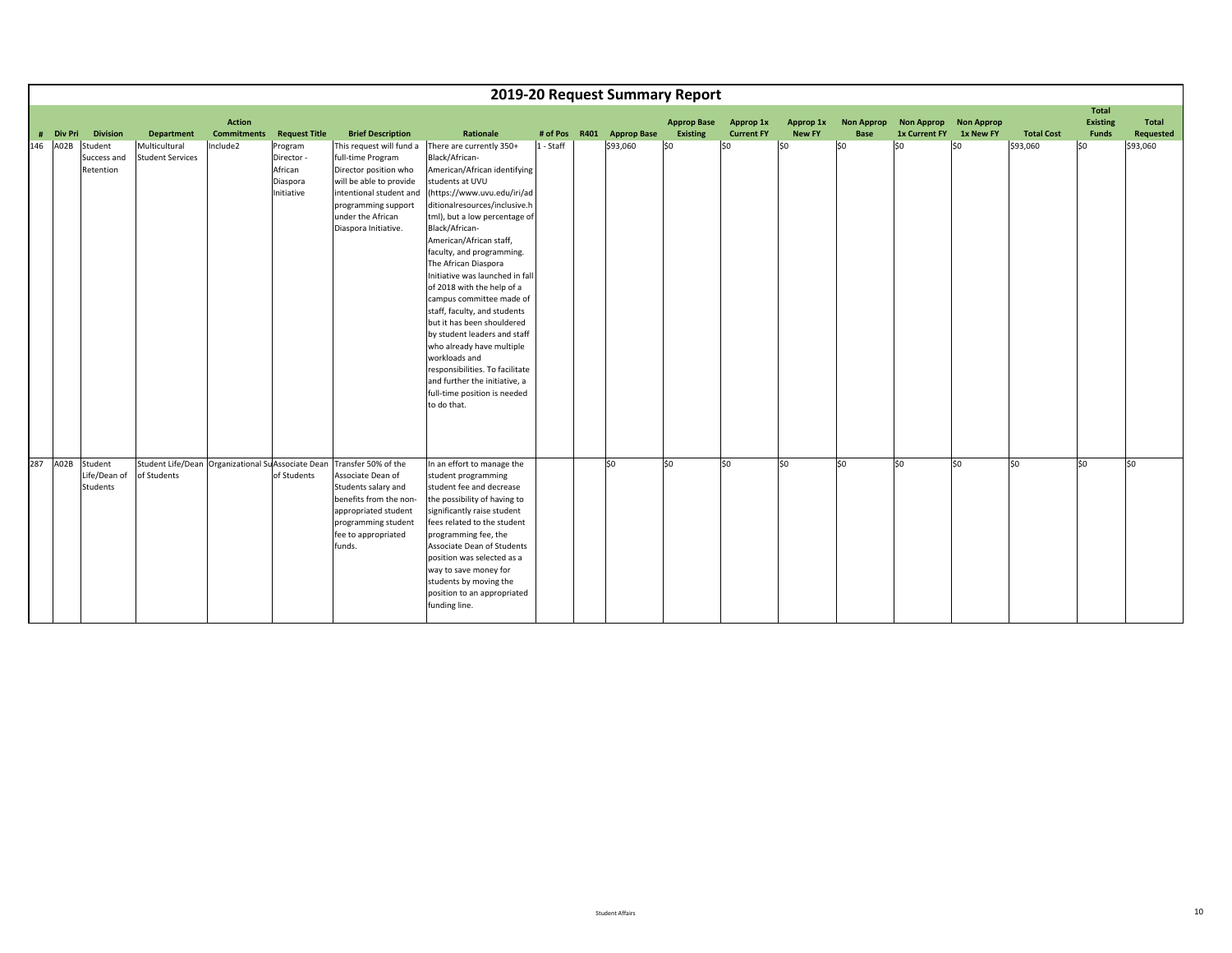|     |           |                                                 |                                                                   |                                     |                                                            |                                                                                                                                                                                                  |                                                                                                                                                                                                                                                                                                                                                                                                                                                                                                                                                                                                                                                              |           | 2019-20 Request Summary Report |                                       |                                |                            |                                  |                                               |           |                   |                                          |                           |
|-----|-----------|-------------------------------------------------|-------------------------------------------------------------------|-------------------------------------|------------------------------------------------------------|--------------------------------------------------------------------------------------------------------------------------------------------------------------------------------------------------|--------------------------------------------------------------------------------------------------------------------------------------------------------------------------------------------------------------------------------------------------------------------------------------------------------------------------------------------------------------------------------------------------------------------------------------------------------------------------------------------------------------------------------------------------------------------------------------------------------------------------------------------------------------|-----------|--------------------------------|---------------------------------------|--------------------------------|----------------------------|----------------------------------|-----------------------------------------------|-----------|-------------------|------------------------------------------|---------------------------|
|     | # Div Pri | <b>Division</b>                                 | <b>Department</b>                                                 | <b>Action</b><br><b>Commitments</b> | <b>Request Title</b>                                       | <b>Brief Description</b>                                                                                                                                                                         | Rationale                                                                                                                                                                                                                                                                                                                                                                                                                                                                                                                                                                                                                                                    |           | # of Pos R401 Approp Base      | <b>Approp Base</b><br><b>Existing</b> | Approp 1x<br><b>Current FY</b> | Approp 1x<br><b>New FY</b> | <b>Non Approp</b><br><b>Base</b> | Non Approp Non Approp<br><b>1x Current FY</b> | 1x New FY | <b>Total Cost</b> | Total<br><b>Existing</b><br><b>Funds</b> | <b>Total</b><br>Requested |
| 146 | A02B      | Student<br>Success and<br>Retention             | Multicultural<br><b>Student Services</b>                          | Include2                            | Program<br>Director -<br>African<br>Diaspora<br>Initiative | This request will fund a<br>full-time Program<br>Director position who<br>will be able to provide<br>intentional student and<br>programming support<br>under the African<br>Diaspora Initiative. | There are currently 350+<br>Black/African-<br>American/African identifying<br>students at UVU<br>(https://www.uvu.edu/iri/ad<br>ditionalresources/inclusive.h<br>tml), but a low percentage of<br>Black/African-<br>American/African staff,<br>faculty, and programming.<br>The African Diaspora<br>Initiative was launched in fall<br>of 2018 with the help of a<br>campus committee made of<br>staff, faculty, and students<br>but it has been shouldered<br>by student leaders and staff<br>who already have multiple<br>workloads and<br>responsibilities. To facilitate<br>and further the initiative, a<br>full-time position is needed<br>to do that. | 1 - Staff | \$93,060                       | SO.                                   | lso                            | lso                        | lso                              | lso                                           | \$0       | \$93,060          | lso                                      | \$93,060                  |
| 287 |           | A02B Student<br>Life/Dean of<br><b>Students</b> | Student Life/Dean Organizational Su Associate Dean<br>of Students |                                     | of Students                                                | Transfer 50% of the<br>Associate Dean of<br>Students salary and<br>benefits from the non-<br>appropriated student<br>programming student<br>fee to appropriated<br>funds.                        | In an effort to manage the<br>student programming<br>student fee and decrease<br>the possibility of having to<br>significantly raise student<br>fees related to the student<br>programming fee, the<br>Associate Dean of Students<br>position was selected as a<br>way to save money for<br>students by moving the<br>position to an appropriated<br>funding line.                                                                                                                                                                                                                                                                                           |           | lso.                           | \$0                                   | \$0                            | 50                         | lso                              | lso                                           | \$0       | \$0               | \$0                                      | \$0                       |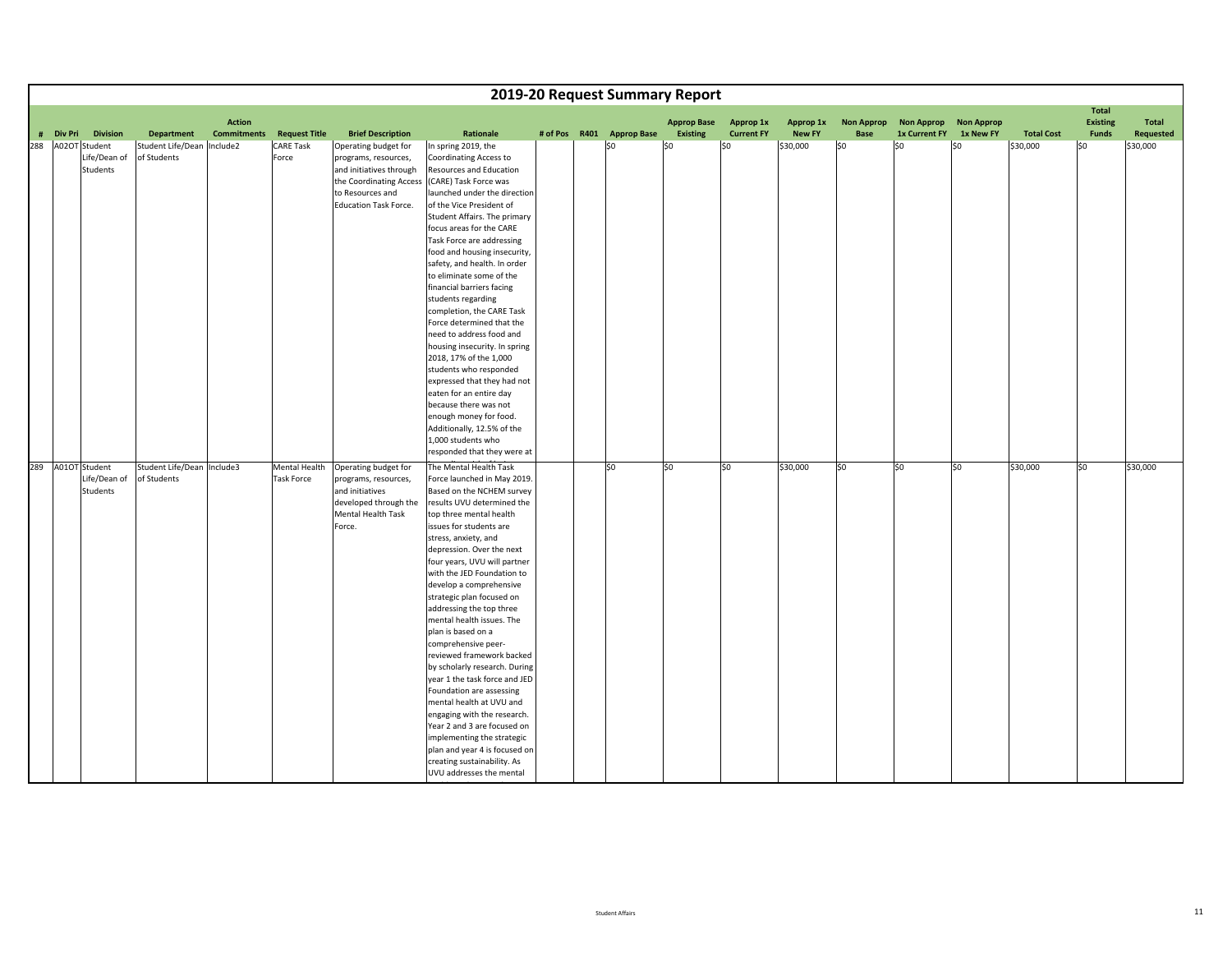|                   |                 |                            |                                     |                      |                              |                                                  |  |                           | 2019-20 Request Summary Report        |                                |                            |                                  |                                    |                                |                   |                          |                           |
|-------------------|-----------------|----------------------------|-------------------------------------|----------------------|------------------------------|--------------------------------------------------|--|---------------------------|---------------------------------------|--------------------------------|----------------------------|----------------------------------|------------------------------------|--------------------------------|-------------------|--------------------------|---------------------------|
|                   |                 |                            |                                     |                      |                              |                                                  |  |                           |                                       |                                |                            |                                  |                                    |                                |                   | <b>Total</b>             |                           |
| # Div Pri         | <b>Division</b> | <b>Department</b>          | <b>Action</b><br><b>Commitments</b> | <b>Request Title</b> | <b>Brief Description</b>     | Rationale                                        |  | # of Pos R401 Approp Base | <b>Approp Base</b><br><b>Existing</b> | Approp 1x<br><b>Current FY</b> | Approp 1x<br><b>New FY</b> | <b>Non Approp</b><br><b>Base</b> | <b>Non Approp</b><br>1x Current FY | <b>Non Approp</b><br>1x New FY | <b>Total Cost</b> | <b>Existing</b><br>Funds | Total<br><b>Requested</b> |
| 288 A02OT Student |                 | Student Life/Dean Include2 |                                     | <b>CARE Task</b>     | Operating budget for         | In spring 2019, the                              |  | SO.                       | l\$0                                  | \$0                            | \$30,000                   | l\$0                             | $ $ \$0                            | \$0                            | \$30,000          | \$0                      | \$30,000                  |
|                   | Life/Dean of    | of Students                |                                     | Force                | programs, resources,         | <b>Coordinating Access to</b>                    |  |                           |                                       |                                |                            |                                  |                                    |                                |                   |                          |                           |
|                   | Students        |                            |                                     |                      | and initiatives through      | Resources and Education                          |  |                           |                                       |                                |                            |                                  |                                    |                                |                   |                          |                           |
|                   |                 |                            |                                     |                      | the Coordinating Access      | (CARE) Task Force was                            |  |                           |                                       |                                |                            |                                  |                                    |                                |                   |                          |                           |
|                   |                 |                            |                                     |                      | to Resources and             | launched under the direction                     |  |                           |                                       |                                |                            |                                  |                                    |                                |                   |                          |                           |
|                   |                 |                            |                                     |                      | <b>Education Task Force.</b> | of the Vice President of                         |  |                           |                                       |                                |                            |                                  |                                    |                                |                   |                          |                           |
|                   |                 |                            |                                     |                      |                              | Student Affairs. The primary                     |  |                           |                                       |                                |                            |                                  |                                    |                                |                   |                          |                           |
|                   |                 |                            |                                     |                      |                              | focus areas for the CARE                         |  |                           |                                       |                                |                            |                                  |                                    |                                |                   |                          |                           |
|                   |                 |                            |                                     |                      |                              | Task Force are addressing                        |  |                           |                                       |                                |                            |                                  |                                    |                                |                   |                          |                           |
|                   |                 |                            |                                     |                      |                              | food and housing insecurity,                     |  |                           |                                       |                                |                            |                                  |                                    |                                |                   |                          |                           |
|                   |                 |                            |                                     |                      |                              | safety, and health. In order                     |  |                           |                                       |                                |                            |                                  |                                    |                                |                   |                          |                           |
|                   |                 |                            |                                     |                      |                              | to eliminate some of the                         |  |                           |                                       |                                |                            |                                  |                                    |                                |                   |                          |                           |
|                   |                 |                            |                                     |                      |                              | financial barriers facing                        |  |                           |                                       |                                |                            |                                  |                                    |                                |                   |                          |                           |
|                   |                 |                            |                                     |                      |                              | students regarding                               |  |                           |                                       |                                |                            |                                  |                                    |                                |                   |                          |                           |
|                   |                 |                            |                                     |                      |                              | completion, the CARE Task                        |  |                           |                                       |                                |                            |                                  |                                    |                                |                   |                          |                           |
|                   |                 |                            |                                     |                      |                              | Force determined that the                        |  |                           |                                       |                                |                            |                                  |                                    |                                |                   |                          |                           |
|                   |                 |                            |                                     |                      |                              | need to address food and                         |  |                           |                                       |                                |                            |                                  |                                    |                                |                   |                          |                           |
|                   |                 |                            |                                     |                      |                              | housing insecurity. In spring                    |  |                           |                                       |                                |                            |                                  |                                    |                                |                   |                          |                           |
|                   |                 |                            |                                     |                      |                              | 2018, 17% of the 1,000<br>students who responded |  |                           |                                       |                                |                            |                                  |                                    |                                |                   |                          |                           |
|                   |                 |                            |                                     |                      |                              | expressed that they had not                      |  |                           |                                       |                                |                            |                                  |                                    |                                |                   |                          |                           |
|                   |                 |                            |                                     |                      |                              | eaten for an entire day                          |  |                           |                                       |                                |                            |                                  |                                    |                                |                   |                          |                           |
|                   |                 |                            |                                     |                      |                              | because there was not                            |  |                           |                                       |                                |                            |                                  |                                    |                                |                   |                          |                           |
|                   |                 |                            |                                     |                      |                              | enough money for food.                           |  |                           |                                       |                                |                            |                                  |                                    |                                |                   |                          |                           |
|                   |                 |                            |                                     |                      |                              | Additionally, 12.5% of the                       |  |                           |                                       |                                |                            |                                  |                                    |                                |                   |                          |                           |
|                   |                 |                            |                                     |                      |                              | 1,000 students who                               |  |                           |                                       |                                |                            |                                  |                                    |                                |                   |                          |                           |
|                   |                 |                            |                                     |                      |                              | responded that they were at                      |  |                           |                                       |                                |                            |                                  |                                    |                                |                   |                          |                           |
| 289 A01OT Student |                 | Student Life/Dean Include3 |                                     | Mental Health        | Operating budget for         | The Mental Health Task                           |  | so                        | S <sub>0</sub>                        | \$0                            | \$30,000                   | \$0                              | lso                                | \$0                            | \$30,000          | \$0                      | \$30,000                  |
|                   | Life/Dean of    | of Students                |                                     | <b>Task Force</b>    | programs, resources,         | Force launched in May 2019.                      |  |                           |                                       |                                |                            |                                  |                                    |                                |                   |                          |                           |
|                   | Students        |                            |                                     |                      | and initiatives              | Based on the NCHEM survey                        |  |                           |                                       |                                |                            |                                  |                                    |                                |                   |                          |                           |
|                   |                 |                            |                                     |                      | developed through the        | results UVU determined the                       |  |                           |                                       |                                |                            |                                  |                                    |                                |                   |                          |                           |
|                   |                 |                            |                                     |                      | <b>Mental Health Task</b>    | top three mental health                          |  |                           |                                       |                                |                            |                                  |                                    |                                |                   |                          |                           |
|                   |                 |                            |                                     |                      | Force.                       | issues for students are                          |  |                           |                                       |                                |                            |                                  |                                    |                                |                   |                          |                           |
|                   |                 |                            |                                     |                      |                              | stress, anxiety, and                             |  |                           |                                       |                                |                            |                                  |                                    |                                |                   |                          |                           |
|                   |                 |                            |                                     |                      |                              | depression. Over the next                        |  |                           |                                       |                                |                            |                                  |                                    |                                |                   |                          |                           |
|                   |                 |                            |                                     |                      |                              | four years, UVU will partner                     |  |                           |                                       |                                |                            |                                  |                                    |                                |                   |                          |                           |
|                   |                 |                            |                                     |                      |                              | with the JED Foundation to                       |  |                           |                                       |                                |                            |                                  |                                    |                                |                   |                          |                           |
|                   |                 |                            |                                     |                      |                              | develop a comprehensive                          |  |                           |                                       |                                |                            |                                  |                                    |                                |                   |                          |                           |
|                   |                 |                            |                                     |                      |                              | strategic plan focused on                        |  |                           |                                       |                                |                            |                                  |                                    |                                |                   |                          |                           |
|                   |                 |                            |                                     |                      |                              | addressing the top three                         |  |                           |                                       |                                |                            |                                  |                                    |                                |                   |                          |                           |
|                   |                 |                            |                                     |                      |                              | mental health issues. The                        |  |                           |                                       |                                |                            |                                  |                                    |                                |                   |                          |                           |
|                   |                 |                            |                                     |                      |                              | plan is based on a                               |  |                           |                                       |                                |                            |                                  |                                    |                                |                   |                          |                           |
|                   |                 |                            |                                     |                      |                              | comprehensive peer-<br>reviewed framework backed |  |                           |                                       |                                |                            |                                  |                                    |                                |                   |                          |                           |
|                   |                 |                            |                                     |                      |                              | by scholarly research. During                    |  |                           |                                       |                                |                            |                                  |                                    |                                |                   |                          |                           |
|                   |                 |                            |                                     |                      |                              | year 1 the task force and JED                    |  |                           |                                       |                                |                            |                                  |                                    |                                |                   |                          |                           |
|                   |                 |                            |                                     |                      |                              | Foundation are assessing                         |  |                           |                                       |                                |                            |                                  |                                    |                                |                   |                          |                           |
|                   |                 |                            |                                     |                      |                              | mental health at UVU and                         |  |                           |                                       |                                |                            |                                  |                                    |                                |                   |                          |                           |
|                   |                 |                            |                                     |                      |                              | engaging with the research.                      |  |                           |                                       |                                |                            |                                  |                                    |                                |                   |                          |                           |
|                   |                 |                            |                                     |                      |                              | Year 2 and 3 are focused on                      |  |                           |                                       |                                |                            |                                  |                                    |                                |                   |                          |                           |
|                   |                 |                            |                                     |                      |                              | implementing the strategic                       |  |                           |                                       |                                |                            |                                  |                                    |                                |                   |                          |                           |
|                   |                 |                            |                                     |                      |                              | plan and year 4 is focused on                    |  |                           |                                       |                                |                            |                                  |                                    |                                |                   |                          |                           |
|                   |                 |                            |                                     |                      |                              | creating sustainability. As                      |  |                           |                                       |                                |                            |                                  |                                    |                                |                   |                          |                           |
|                   |                 |                            |                                     |                      |                              | UVU addresses the mental                         |  |                           |                                       |                                |                            |                                  |                                    |                                |                   |                          |                           |

h lth

id i h t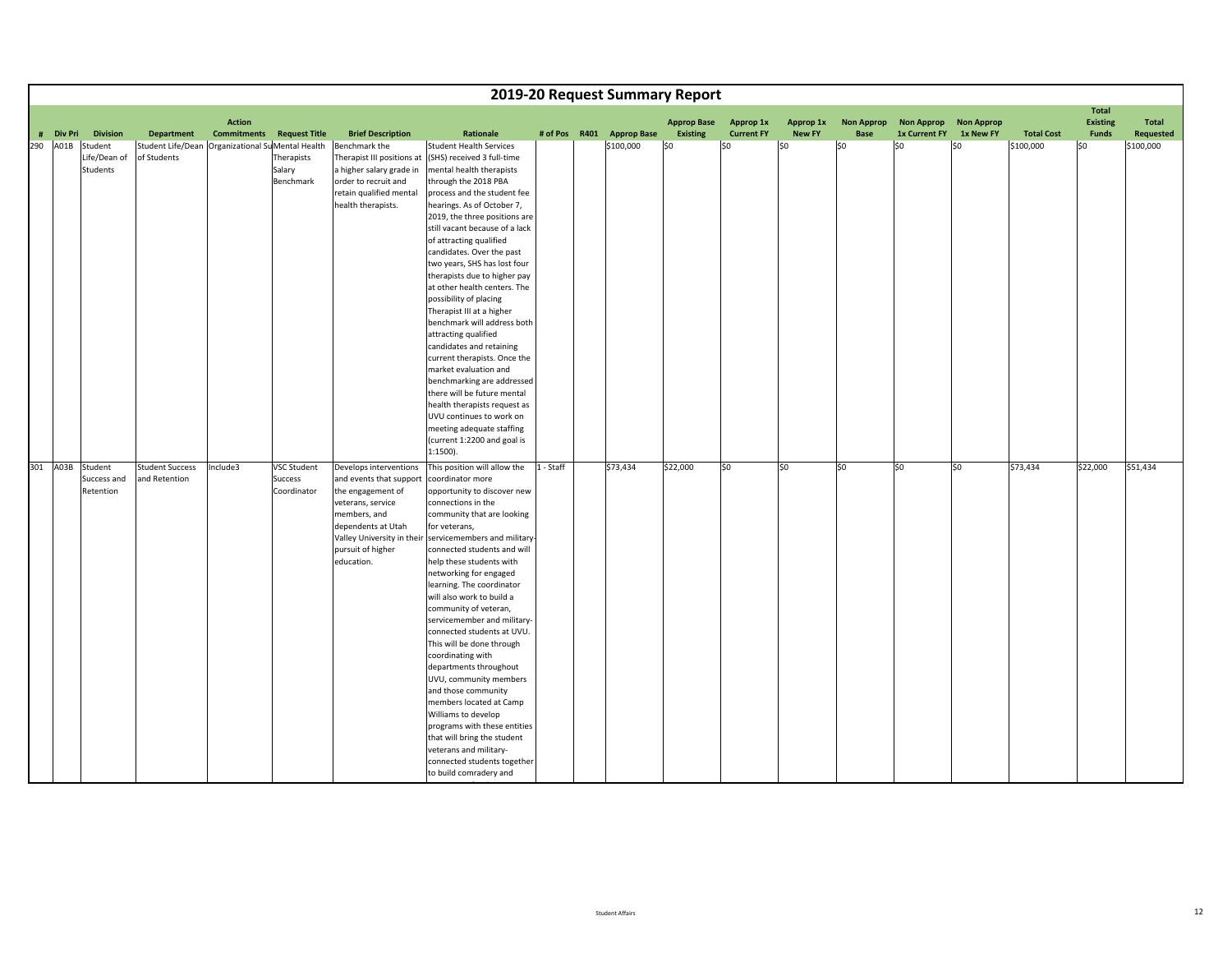|           |                  |                                                  |                                     |                      |                            |                                                           |               | 2019-20 Request Summary Report |                                |                                |                            |                           |                                        |           |                   |                          |                           |
|-----------|------------------|--------------------------------------------------|-------------------------------------|----------------------|----------------------------|-----------------------------------------------------------|---------------|--------------------------------|--------------------------------|--------------------------------|----------------------------|---------------------------|----------------------------------------|-----------|-------------------|--------------------------|---------------------------|
|           |                  |                                                  |                                     |                      |                            |                                                           |               |                                |                                |                                |                            |                           |                                        |           |                   | <b>Total</b>             |                           |
| # Div Pri | <b>Division</b>  | <b>Department</b>                                | <b>Action</b><br><b>Commitments</b> | <b>Request Title</b> | <b>Brief Description</b>   | Rationale                                                 | # of Pos R401 | <b>Approp Base</b>             | <b>Approp Base</b><br>Existing | Approp 1x<br><b>Current FY</b> | Approp 1x<br><b>New FY</b> | <b>Non Approp</b><br>Base | Non Approp Non Approp<br>1x Current FY | 1x New FY | <b>Total Cost</b> | <b>Existing</b><br>Funds | Total<br><b>Requested</b> |
| 290 A01B  | Student          | Student Life/Dean Organizational SuMental Health |                                     |                      | Benchmark the              | <b>Student Health Services</b>                            |               | \$100,000                      | l\$0                           | \$0                            | \$0                        | \$0                       | \$0                                    | \$0       | \$100,000         | \$0                      | \$100,000                 |
|           | Life/Dean of     | of Students                                      |                                     | Therapists           | Therapist III positions at | (SHS) received 3 full-time                                |               |                                |                                |                                |                            |                           |                                        |           |                   |                          |                           |
|           | Students         |                                                  |                                     | Salary               | a higher salary grade in   | mental health therapists                                  |               |                                |                                |                                |                            |                           |                                        |           |                   |                          |                           |
|           |                  |                                                  |                                     | Benchmark            | order to recruit and       | through the 2018 PBA                                      |               |                                |                                |                                |                            |                           |                                        |           |                   |                          |                           |
|           |                  |                                                  |                                     |                      | retain qualified mental    | process and the student fee                               |               |                                |                                |                                |                            |                           |                                        |           |                   |                          |                           |
|           |                  |                                                  |                                     |                      | health therapists.         | hearings. As of October 7,                                |               |                                |                                |                                |                            |                           |                                        |           |                   |                          |                           |
|           |                  |                                                  |                                     |                      |                            | 2019, the three positions are                             |               |                                |                                |                                |                            |                           |                                        |           |                   |                          |                           |
|           |                  |                                                  |                                     |                      |                            | still vacant because of a lack                            |               |                                |                                |                                |                            |                           |                                        |           |                   |                          |                           |
|           |                  |                                                  |                                     |                      |                            | of attracting qualified                                   |               |                                |                                |                                |                            |                           |                                        |           |                   |                          |                           |
|           |                  |                                                  |                                     |                      |                            | candidates. Over the past<br>two years, SHS has lost four |               |                                |                                |                                |                            |                           |                                        |           |                   |                          |                           |
|           |                  |                                                  |                                     |                      |                            | therapists due to higher pay                              |               |                                |                                |                                |                            |                           |                                        |           |                   |                          |                           |
|           |                  |                                                  |                                     |                      |                            | at other health centers. The                              |               |                                |                                |                                |                            |                           |                                        |           |                   |                          |                           |
|           |                  |                                                  |                                     |                      |                            | possibility of placing                                    |               |                                |                                |                                |                            |                           |                                        |           |                   |                          |                           |
|           |                  |                                                  |                                     |                      |                            | Therapist III at a higher                                 |               |                                |                                |                                |                            |                           |                                        |           |                   |                          |                           |
|           |                  |                                                  |                                     |                      |                            | benchmark will address both                               |               |                                |                                |                                |                            |                           |                                        |           |                   |                          |                           |
|           |                  |                                                  |                                     |                      |                            | attracting qualified                                      |               |                                |                                |                                |                            |                           |                                        |           |                   |                          |                           |
|           |                  |                                                  |                                     |                      |                            | candidates and retaining                                  |               |                                |                                |                                |                            |                           |                                        |           |                   |                          |                           |
|           |                  |                                                  |                                     |                      |                            | current therapists. Once the                              |               |                                |                                |                                |                            |                           |                                        |           |                   |                          |                           |
|           |                  |                                                  |                                     |                      |                            | market evaluation and                                     |               |                                |                                |                                |                            |                           |                                        |           |                   |                          |                           |
|           |                  |                                                  |                                     |                      |                            | benchmarking are addressed                                |               |                                |                                |                                |                            |                           |                                        |           |                   |                          |                           |
|           |                  |                                                  |                                     |                      |                            | there will be future mental                               |               |                                |                                |                                |                            |                           |                                        |           |                   |                          |                           |
|           |                  |                                                  |                                     |                      |                            | health therapists request as<br>UVU continues to work on  |               |                                |                                |                                |                            |                           |                                        |           |                   |                          |                           |
|           |                  |                                                  |                                     |                      |                            | meeting adequate staffing                                 |               |                                |                                |                                |                            |                           |                                        |           |                   |                          |                           |
|           |                  |                                                  |                                     |                      |                            | (current 1:2200 and goal is                               |               |                                |                                |                                |                            |                           |                                        |           |                   |                          |                           |
|           |                  |                                                  |                                     |                      |                            | $1:1500$ ).                                               |               |                                |                                |                                |                            |                           |                                        |           |                   |                          |                           |
|           | 301 A03B Student | <b>Student Success</b>                           | Include3                            | <b>VSC Student</b>   | Develops interventions     | This position will allow the                              | 1 - Staff     | \$73,434                       | \$22,000                       | \$0                            | lso                        | \$0                       | \$0                                    | \$0       | \$73,434          | \$22,000                 | \$51,434                  |
|           | Success and      | and Retention                                    |                                     | Success              | and events that support    | coordinator more                                          |               |                                |                                |                                |                            |                           |                                        |           |                   |                          |                           |
|           | Retention        |                                                  |                                     | Coordinator          | the engagement of          | opportunity to discover new                               |               |                                |                                |                                |                            |                           |                                        |           |                   |                          |                           |
|           |                  |                                                  |                                     |                      | veterans, service          | connections in the                                        |               |                                |                                |                                |                            |                           |                                        |           |                   |                          |                           |
|           |                  |                                                  |                                     |                      | members, and               | community that are looking                                |               |                                |                                |                                |                            |                           |                                        |           |                   |                          |                           |
|           |                  |                                                  |                                     |                      | dependents at Utah         | for veterans,                                             |               |                                |                                |                                |                            |                           |                                        |           |                   |                          |                           |
|           |                  |                                                  |                                     |                      |                            | Valley University in their servicemembers and military    |               |                                |                                |                                |                            |                           |                                        |           |                   |                          |                           |
|           |                  |                                                  |                                     |                      | pursuit of higher          | connected students and will                               |               |                                |                                |                                |                            |                           |                                        |           |                   |                          |                           |
|           |                  |                                                  |                                     |                      | education.                 | help these students with                                  |               |                                |                                |                                |                            |                           |                                        |           |                   |                          |                           |
|           |                  |                                                  |                                     |                      |                            | networking for engaged                                    |               |                                |                                |                                |                            |                           |                                        |           |                   |                          |                           |
|           |                  |                                                  |                                     |                      |                            | learning. The coordinator                                 |               |                                |                                |                                |                            |                           |                                        |           |                   |                          |                           |
|           |                  |                                                  |                                     |                      |                            | will also work to build a<br>community of veteran,        |               |                                |                                |                                |                            |                           |                                        |           |                   |                          |                           |
|           |                  |                                                  |                                     |                      |                            | servicemember and military-                               |               |                                |                                |                                |                            |                           |                                        |           |                   |                          |                           |
|           |                  |                                                  |                                     |                      |                            | connected students at UVU.                                |               |                                |                                |                                |                            |                           |                                        |           |                   |                          |                           |
|           |                  |                                                  |                                     |                      |                            | This will be done through                                 |               |                                |                                |                                |                            |                           |                                        |           |                   |                          |                           |
|           |                  |                                                  |                                     |                      |                            | coordinating with                                         |               |                                |                                |                                |                            |                           |                                        |           |                   |                          |                           |
|           |                  |                                                  |                                     |                      |                            | departments throughout                                    |               |                                |                                |                                |                            |                           |                                        |           |                   |                          |                           |
|           |                  |                                                  |                                     |                      |                            | UVU, community members                                    |               |                                |                                |                                |                            |                           |                                        |           |                   |                          |                           |
|           |                  |                                                  |                                     |                      |                            | and those community                                       |               |                                |                                |                                |                            |                           |                                        |           |                   |                          |                           |
|           |                  |                                                  |                                     |                      |                            | members located at Camp                                   |               |                                |                                |                                |                            |                           |                                        |           |                   |                          |                           |
|           |                  |                                                  |                                     |                      |                            | Williams to develop                                       |               |                                |                                |                                |                            |                           |                                        |           |                   |                          |                           |
|           |                  |                                                  |                                     |                      |                            | programs with these entities                              |               |                                |                                |                                |                            |                           |                                        |           |                   |                          |                           |
|           |                  |                                                  |                                     |                      |                            | that will bring the student                               |               |                                |                                |                                |                            |                           |                                        |           |                   |                          |                           |
|           |                  |                                                  |                                     |                      |                            | veterans and military-                                    |               |                                |                                |                                |                            |                           |                                        |           |                   |                          |                           |
|           |                  |                                                  |                                     |                      |                            | connected students together                               |               |                                |                                |                                |                            |                           |                                        |           |                   |                          |                           |
|           |                  |                                                  |                                     |                      |                            | to build comradery and                                    |               |                                |                                |                                |                            |                           |                                        |           |                   |                          |                           |

it $\overline{\phantom{a}}$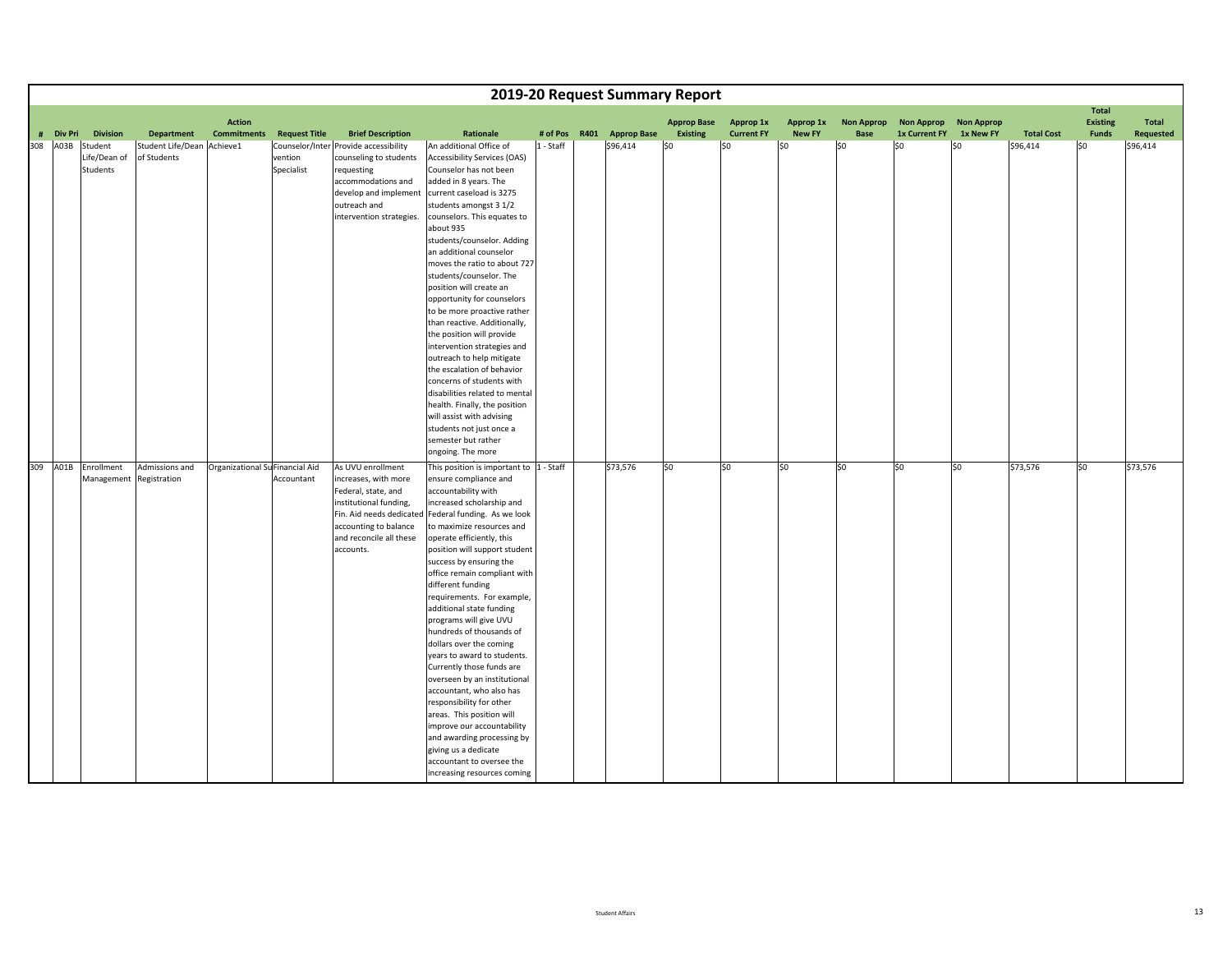|             |                         |                            |                                     |                      |                                       |                                                           |           | 2019-20 Request Summary Report |                                       |                                |                            |                                  |                                    |                                |                   |                          |                           |
|-------------|-------------------------|----------------------------|-------------------------------------|----------------------|---------------------------------------|-----------------------------------------------------------|-----------|--------------------------------|---------------------------------------|--------------------------------|----------------------------|----------------------------------|------------------------------------|--------------------------------|-------------------|--------------------------|---------------------------|
|             |                         |                            |                                     |                      |                                       |                                                           |           |                                |                                       |                                |                            |                                  |                                    |                                |                   | <b>Total</b>             |                           |
| # Div Pri   | <b>Division</b>         | <b>Department</b>          | <b>Action</b><br><b>Commitments</b> | <b>Request Title</b> | <b>Brief Description</b>              | Rationale                                                 | # of Pos  | R401 Approp Base               | <b>Approp Base</b><br><b>Existing</b> | Approp 1x<br><b>Current FY</b> | Approp 1x<br><b>New FY</b> | <b>Non Approp</b><br><b>Base</b> | <b>Non Approp</b><br>1x Current FY | <b>Non Approp</b><br>1x New FY | <b>Total Cost</b> | <b>Existing</b><br>Funds | Total<br><b>Requested</b> |
| A03B<br>308 | Student                 | Student Life/Dean Achieve1 |                                     |                      | Counselor/Inter Provide accessibility | An additional Office of                                   | 1 - Staff | \$96,414                       | SO.                                   | \$0                            | \$0                        | \$0                              | \$0                                | \$0                            | \$96,414          | \$0                      | \$96,414                  |
|             | Life/Dean of            | of Students                |                                     | vention              | counseling to students                | <b>Accessibility Services (OAS)</b>                       |           |                                |                                       |                                |                            |                                  |                                    |                                |                   |                          |                           |
|             | Students                |                            |                                     | Specialist           | requesting                            | Counselor has not been                                    |           |                                |                                       |                                |                            |                                  |                                    |                                |                   |                          |                           |
|             |                         |                            |                                     |                      | accommodations and                    | added in 8 years. The                                     |           |                                |                                       |                                |                            |                                  |                                    |                                |                   |                          |                           |
|             |                         |                            |                                     |                      | develop and implement                 | current caseload is 3275                                  |           |                                |                                       |                                |                            |                                  |                                    |                                |                   |                          |                           |
|             |                         |                            |                                     |                      | outreach and                          | students amongst 3 1/2                                    |           |                                |                                       |                                |                            |                                  |                                    |                                |                   |                          |                           |
|             |                         |                            |                                     |                      | intervention strategies.              | counselors. This equates to                               |           |                                |                                       |                                |                            |                                  |                                    |                                |                   |                          |                           |
|             |                         |                            |                                     |                      |                                       | about 935                                                 |           |                                |                                       |                                |                            |                                  |                                    |                                |                   |                          |                           |
|             |                         |                            |                                     |                      |                                       | students/counselor. Adding                                |           |                                |                                       |                                |                            |                                  |                                    |                                |                   |                          |                           |
|             |                         |                            |                                     |                      |                                       | an additional counselor                                   |           |                                |                                       |                                |                            |                                  |                                    |                                |                   |                          |                           |
|             |                         |                            |                                     |                      |                                       | moves the ratio to about 727                              |           |                                |                                       |                                |                            |                                  |                                    |                                |                   |                          |                           |
|             |                         |                            |                                     |                      |                                       | students/counselor. The                                   |           |                                |                                       |                                |                            |                                  |                                    |                                |                   |                          |                           |
|             |                         |                            |                                     |                      |                                       | position will create an                                   |           |                                |                                       |                                |                            |                                  |                                    |                                |                   |                          |                           |
|             |                         |                            |                                     |                      |                                       | opportunity for counselors                                |           |                                |                                       |                                |                            |                                  |                                    |                                |                   |                          |                           |
|             |                         |                            |                                     |                      |                                       | to be more proactive rather                               |           |                                |                                       |                                |                            |                                  |                                    |                                |                   |                          |                           |
|             |                         |                            |                                     |                      |                                       | than reactive. Additionally,<br>the position will provide |           |                                |                                       |                                |                            |                                  |                                    |                                |                   |                          |                           |
|             |                         |                            |                                     |                      |                                       | intervention strategies and                               |           |                                |                                       |                                |                            |                                  |                                    |                                |                   |                          |                           |
|             |                         |                            |                                     |                      |                                       | outreach to help mitigate                                 |           |                                |                                       |                                |                            |                                  |                                    |                                |                   |                          |                           |
|             |                         |                            |                                     |                      |                                       | the escalation of behavior                                |           |                                |                                       |                                |                            |                                  |                                    |                                |                   |                          |                           |
|             |                         |                            |                                     |                      |                                       | concerns of students with                                 |           |                                |                                       |                                |                            |                                  |                                    |                                |                   |                          |                           |
|             |                         |                            |                                     |                      |                                       | disabilities related to mental                            |           |                                |                                       |                                |                            |                                  |                                    |                                |                   |                          |                           |
|             |                         |                            |                                     |                      |                                       | health. Finally, the position                             |           |                                |                                       |                                |                            |                                  |                                    |                                |                   |                          |                           |
|             |                         |                            |                                     |                      |                                       | will assist with advising                                 |           |                                |                                       |                                |                            |                                  |                                    |                                |                   |                          |                           |
|             |                         |                            |                                     |                      |                                       | students not just once a                                  |           |                                |                                       |                                |                            |                                  |                                    |                                |                   |                          |                           |
|             |                         |                            |                                     |                      |                                       | semester but rather                                       |           |                                |                                       |                                |                            |                                  |                                    |                                |                   |                          |                           |
|             |                         |                            |                                     |                      |                                       | ongoing. The more                                         |           |                                |                                       |                                |                            |                                  |                                    |                                |                   |                          |                           |
| 309         | A01B Enrollment         | Admissions and             | Organizational Su Financial Aid     |                      | As UVU enrollment                     | This position is important to  1 - Staff                  |           | \$73,576                       | \$0                                   | SO.                            | \$0                        | \$0                              | lso                                | \$0                            | \$73,576          | \$0                      | \$73,576                  |
|             | Management Registration |                            |                                     | Accountant           | increases, with more                  | ensure compliance and                                     |           |                                |                                       |                                |                            |                                  |                                    |                                |                   |                          |                           |
|             |                         |                            |                                     |                      | Federal, state, and                   | accountability with                                       |           |                                |                                       |                                |                            |                                  |                                    |                                |                   |                          |                           |
|             |                         |                            |                                     |                      | institutional funding,                | increased scholarship and                                 |           |                                |                                       |                                |                            |                                  |                                    |                                |                   |                          |                           |
|             |                         |                            |                                     |                      | Fin. Aid needs dedicated              | Federal funding. As we look                               |           |                                |                                       |                                |                            |                                  |                                    |                                |                   |                          |                           |
|             |                         |                            |                                     |                      | accounting to balance                 | to maximize resources and                                 |           |                                |                                       |                                |                            |                                  |                                    |                                |                   |                          |                           |
|             |                         |                            |                                     |                      | and reconcile all these               | operate efficiently, this                                 |           |                                |                                       |                                |                            |                                  |                                    |                                |                   |                          |                           |
|             |                         |                            |                                     |                      | accounts.                             | position will support student                             |           |                                |                                       |                                |                            |                                  |                                    |                                |                   |                          |                           |
|             |                         |                            |                                     |                      |                                       | success by ensuring the                                   |           |                                |                                       |                                |                            |                                  |                                    |                                |                   |                          |                           |
|             |                         |                            |                                     |                      |                                       | office remain compliant with<br>different funding         |           |                                |                                       |                                |                            |                                  |                                    |                                |                   |                          |                           |
|             |                         |                            |                                     |                      |                                       | requirements. For example,                                |           |                                |                                       |                                |                            |                                  |                                    |                                |                   |                          |                           |
|             |                         |                            |                                     |                      |                                       | additional state funding                                  |           |                                |                                       |                                |                            |                                  |                                    |                                |                   |                          |                           |
|             |                         |                            |                                     |                      |                                       | programs will give UVU                                    |           |                                |                                       |                                |                            |                                  |                                    |                                |                   |                          |                           |
|             |                         |                            |                                     |                      |                                       | hundreds of thousands of                                  |           |                                |                                       |                                |                            |                                  |                                    |                                |                   |                          |                           |
|             |                         |                            |                                     |                      |                                       | dollars over the coming                                   |           |                                |                                       |                                |                            |                                  |                                    |                                |                   |                          |                           |
|             |                         |                            |                                     |                      |                                       | years to award to students.                               |           |                                |                                       |                                |                            |                                  |                                    |                                |                   |                          |                           |
|             |                         |                            |                                     |                      |                                       | Currently those funds are                                 |           |                                |                                       |                                |                            |                                  |                                    |                                |                   |                          |                           |
|             |                         |                            |                                     |                      |                                       | overseen by an institutional                              |           |                                |                                       |                                |                            |                                  |                                    |                                |                   |                          |                           |
|             |                         |                            |                                     |                      |                                       | accountant, who also has                                  |           |                                |                                       |                                |                            |                                  |                                    |                                |                   |                          |                           |
|             |                         |                            |                                     |                      |                                       | responsibility for other                                  |           |                                |                                       |                                |                            |                                  |                                    |                                |                   |                          |                           |
|             |                         |                            |                                     |                      |                                       | areas. This position will                                 |           |                                |                                       |                                |                            |                                  |                                    |                                |                   |                          |                           |
|             |                         |                            |                                     |                      |                                       | improve our accountability                                |           |                                |                                       |                                |                            |                                  |                                    |                                |                   |                          |                           |
|             |                         |                            |                                     |                      |                                       | and awarding processing by                                |           |                                |                                       |                                |                            |                                  |                                    |                                |                   |                          |                           |
|             |                         |                            |                                     |                      |                                       | giving us a dedicate                                      |           |                                |                                       |                                |                            |                                  |                                    |                                |                   |                          |                           |
|             |                         |                            |                                     |                      |                                       | accountant to oversee the                                 |           |                                |                                       |                                |                            |                                  |                                    |                                |                   |                          |                           |
|             |                         |                            |                                     |                      |                                       | increasing resources coming                               |           |                                |                                       |                                |                            |                                  |                                    |                                |                   |                          |                           |

t<u>UVU</u>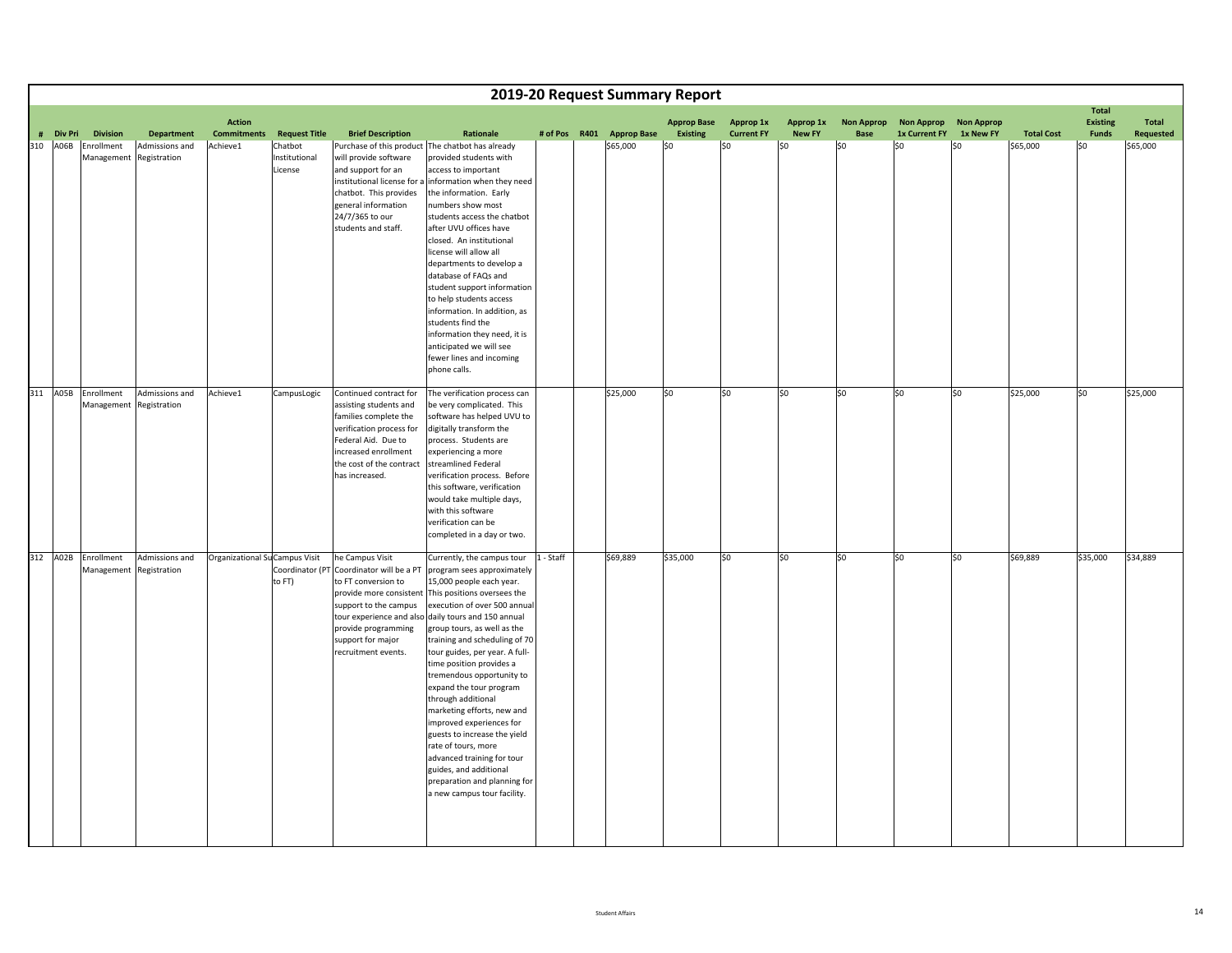|     |           |                                                               |                                     |                                |                                                             |                                                                                                                                                                                                    |                                                                                                                                                                                                                                                                                                                                                                                                                                                                                                                                                                                                                                                                                        |           | 2019-20 Request Summary Report        |                        |                          |                      |                    |                       |                  |                               |                          |                       |
|-----|-----------|---------------------------------------------------------------|-------------------------------------|--------------------------------|-------------------------------------------------------------|----------------------------------------------------------------------------------------------------------------------------------------------------------------------------------------------------|----------------------------------------------------------------------------------------------------------------------------------------------------------------------------------------------------------------------------------------------------------------------------------------------------------------------------------------------------------------------------------------------------------------------------------------------------------------------------------------------------------------------------------------------------------------------------------------------------------------------------------------------------------------------------------------|-----------|---------------------------------------|------------------------|--------------------------|----------------------|--------------------|-----------------------|------------------|-------------------------------|--------------------------|-----------------------|
|     |           |                                                               |                                     | <b>Action</b>                  |                                                             |                                                                                                                                                                                                    |                                                                                                                                                                                                                                                                                                                                                                                                                                                                                                                                                                                                                                                                                        |           |                                       | <b>Approp Base</b>     | Approp 1x                | Approp 1x            | <b>Non Approp</b>  | Non Approp Non Approp |                  |                               | Total<br><b>Existing</b> | <b>Total</b>          |
| 310 | # Div Pri | <b>Division</b><br>A06B Enrollment<br>Management Registration | <b>Department</b><br>Admissions and | <b>Commitments</b><br>Achieve1 | <b>Request Title</b><br>Chatbot<br>Institutional<br>License | <b>Brief Description</b><br>will provide software<br>and support for an<br>institutional license for a<br>chatbot. This provides<br>general information<br>24/7/365 to our<br>students and staff.  | <b>Rationale</b><br>Purchase of this product The chatbot has already<br>provided students with<br>access to important<br>information when they need<br>the information. Early<br>numbers show most<br>students access the chatbot<br>after UVU offices have<br>closed. An institutional<br>license will allow all<br>departments to develop a<br>database of FAQs and<br>student support information<br>to help students access<br>information. In addition, as<br>students find the<br>information they need, it is<br>anticipated we will see<br>fewer lines and incoming<br>phone calls.                                                                                            |           | # of Pos R401 Approp Base<br>\$65,000 | <b>Existing</b><br>\$0 | <b>Current FY</b><br>\$0 | <b>New FY</b><br>\$0 | <b>Base</b><br> 50 | 1x Current FY<br>\$0  | 1x New FY<br>\$0 | <b>Total Cost</b><br>\$65,000 | Funds<br>\$0             | Requested<br>\$65,000 |
| 311 |           | A05B Enrollment<br>Management Registration                    | Admissions and                      | Achieve1                       | CampusLogic                                                 | Continued contract for<br>assisting students and<br>families complete the<br>verification process for<br>Federal Aid. Due to<br>increased enrollment<br>the cost of the contract<br>has increased. | The verification process can<br>be very complicated. This<br>software has helped UVU to<br>digitally transform the<br>process. Students are<br>experiencing a more<br>streamlined Federal<br>verification process. Before<br>this software, verification<br>would take multiple days,<br>with this software<br>verification can be<br>completed in a day or two.                                                                                                                                                                                                                                                                                                                       |           | \$25,000                              | \$0                    | \$0                      | \$0                  | \$0                | \$0                   | \$0              | \$25,000                      | \$0                      | \$25,000              |
| 312 |           | A02B Enrollment<br>Management Registration                    | Admissions and                      | Organizational Su Campus Visit | to FT)                                                      | he Campus Visit<br>Coordinator (PT Coordinator will be a PT<br>to FT conversion to<br>support to the campus<br>provide programming<br>support for major<br>recruitment events.                     | Currently, the campus tour<br>program sees approximately<br>15,000 people each year.<br>provide more consistent This positions oversees the<br>execution of over 500 annual<br>tour experience and also daily tours and 150 annual<br>group tours, as well as the<br>training and scheduling of 70<br>tour guides, per year. A full-<br>time position provides a<br>tremendous opportunity to<br>expand the tour program<br>through additional<br>marketing efforts, new and<br>improved experiences for<br>guests to increase the yield<br>rate of tours, more<br>advanced training for tour<br>guides, and additional<br>preparation and planning for<br>a new campus tour facility. | 1 - Staff | \$69,889                              | \$35,000               | SO.                      | \$0                  | $ 50\rangle$       | \$0                   | \$0              | \$69,889                      | \$35,000                 | \$34,889              |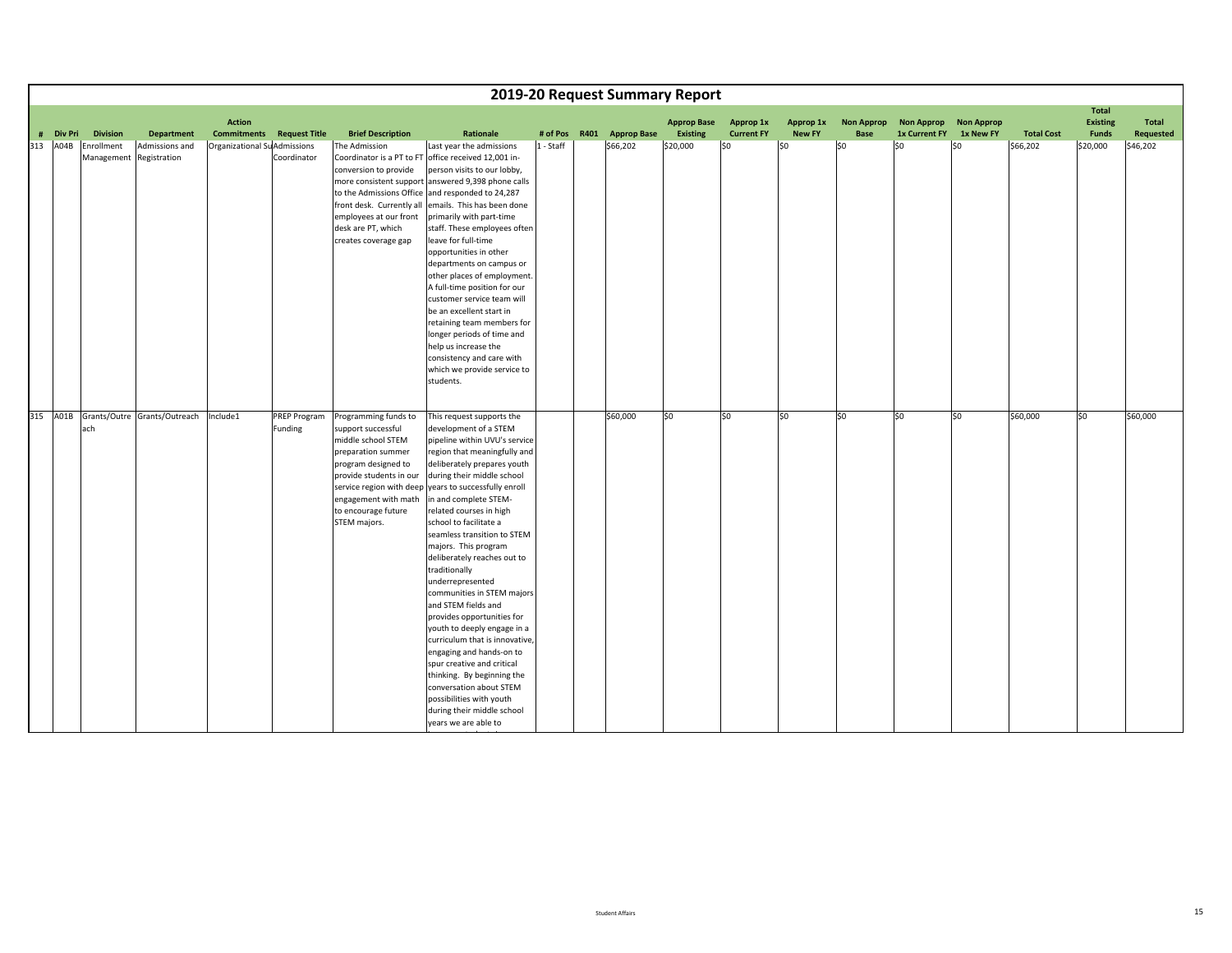|           |                          |                                       |                                                             |                                                                                                                                                                                                         |                                                                                                                                                                                                                                                                                                                                                                                                                                                                                                                                                                                                                                                                                                                                                                                                             |           |      |                    | 2019-20 Request Summary Report |                                |                            |                                  |                                    |                                |                   |                                                 |                                  |
|-----------|--------------------------|---------------------------------------|-------------------------------------------------------------|---------------------------------------------------------------------------------------------------------------------------------------------------------------------------------------------------------|-------------------------------------------------------------------------------------------------------------------------------------------------------------------------------------------------------------------------------------------------------------------------------------------------------------------------------------------------------------------------------------------------------------------------------------------------------------------------------------------------------------------------------------------------------------------------------------------------------------------------------------------------------------------------------------------------------------------------------------------------------------------------------------------------------------|-----------|------|--------------------|--------------------------------|--------------------------------|----------------------------|----------------------------------|------------------------------------|--------------------------------|-------------------|-------------------------------------------------|----------------------------------|
| # Div Pri | <b>Division</b>          | <b>Department</b>                     | <b>Action</b><br><b>Commitments</b><br><b>Request Title</b> | <b>Brief Description</b>                                                                                                                                                                                | Rationale                                                                                                                                                                                                                                                                                                                                                                                                                                                                                                                                                                                                                                                                                                                                                                                                   | # of Pos  | R401 | <b>Approp Base</b> | <b>Approp Base</b><br>Existing | Approp 1x<br><b>Current FY</b> | Approp 1x<br><b>New FY</b> | <b>Non Approp</b><br><b>Base</b> | <b>Non Approp</b><br>1x Current FY | <b>Non Approp</b><br>1x New FY | <b>Total Cost</b> | <b>Total</b><br><b>Existing</b><br><b>Funds</b> | <b>Total</b><br><b>Requested</b> |
| 313 A04B  | Enrollment<br>Management | Admissions and<br>Registration        | Organizational SuAdmissions<br>Coordinator                  | The Admission<br>conversion to provide<br>employees at our front<br>desk are PT, which<br>creates coverage gap                                                                                          | Last year the admissions<br>Coordinator is a PT to FT office received 12,001 in-<br>person visits to our lobby,<br>more consistent support answered 9,398 phone calls<br>to the Admissions Office and responded to 24,287<br>front desk. Currently all emails. This has been done<br>primarily with part-time<br>staff. These employees often<br>leave for full-time<br>opportunities in other<br>departments on campus or<br>other places of employment.<br>A full-time position for our<br>customer service team will<br>be an excellent start in<br>retaining team members for<br>longer periods of time and<br>help us increase the<br>consistency and care with<br>which we provide service to<br>students.                                                                                            | 1 - Staff |      | \$66,202           | \$20,000                       | \$0                            | \$0                        | \$0                              | \$0                                | \$0                            | \$66,202          | \$20,000                                        | \$46,202                         |
|           | ach                      | 315 A01B Grants/Outre Grants/Outreach | Include1<br><b>PREP Program</b><br>Funding                  | Programming funds to<br>support successful<br>middle school STEM<br>preparation summer<br>program designed to<br>provide students in our<br>engagement with math<br>to encourage future<br>STEM majors. | This request supports the<br>development of a STEM<br>pipeline within UVU's service<br>region that meaningfully and<br>deliberately prepares youth<br>during their middle school<br>service region with deep years to successfully enroll<br>in and complete STEM-<br>related courses in high<br>school to facilitate a<br>seamless transition to STEM<br>majors. This program<br>deliberately reaches out to<br>traditionally<br>underrepresented<br>communities in STEM majors<br>and STEM fields and<br>provides opportunities for<br>youth to deeply engage in a<br>curriculum that is innovative,<br>engaging and hands-on to<br>spur creative and critical<br>thinking. By beginning the<br>conversation about STEM<br>possibilities with youth<br>during their middle school<br>years we are able to |           |      | \$60,000           | 50                             | \$0                            | \$0                        | \$0                              | \$0                                | \$0                            | \$60,000          | \$0                                             | \$60,000                         |

ita ta 1980 a tsa

i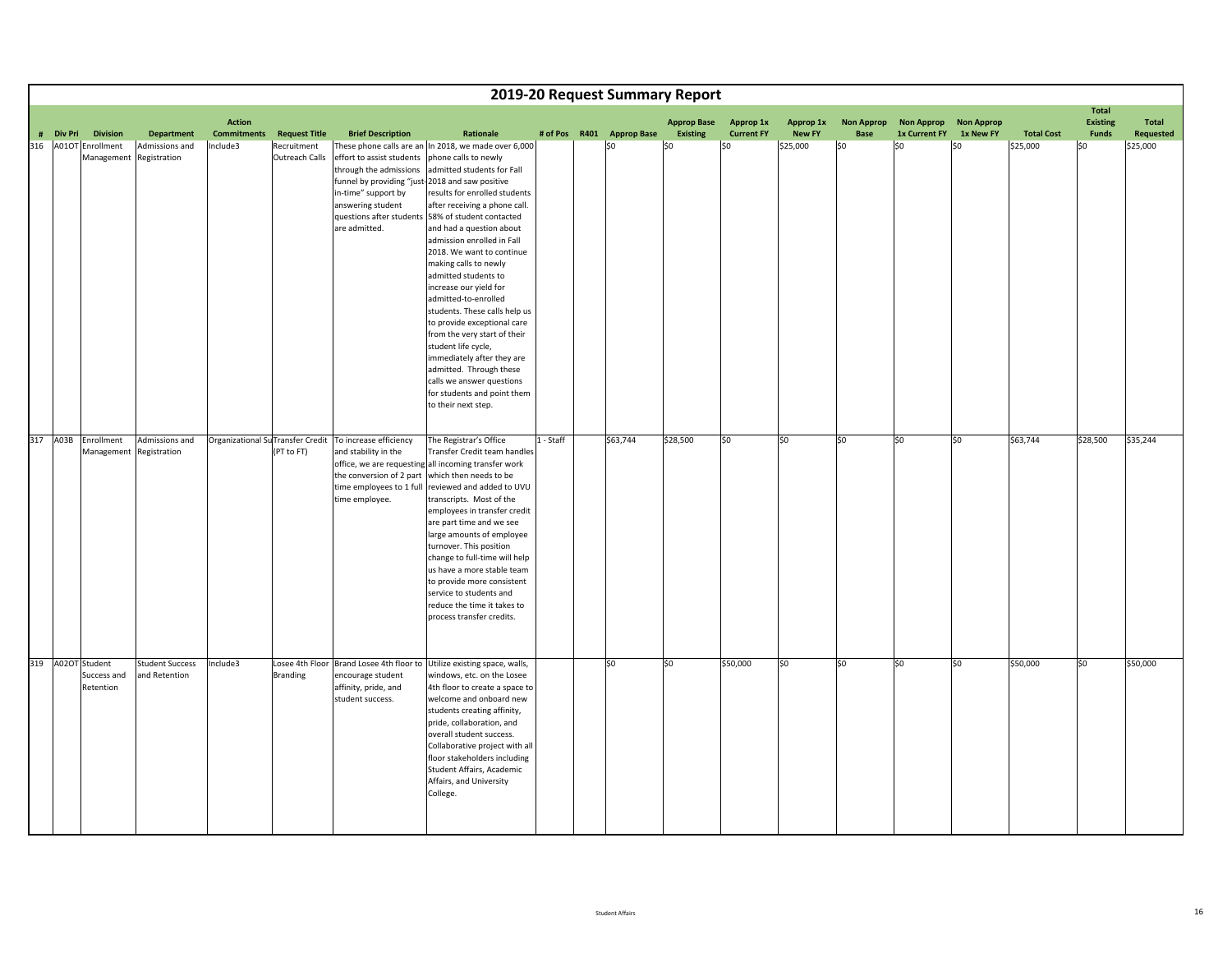|           |                                             |                                         |                    |                               |                                                                                                                                                                                          |                                                                                                                                                                                                                                                                                                                                                                                                                                                                                                                                                                                                                                                                        |           | 2019-20 Request Summary Report |                    |                   |               |                   |                       |           |                   |                          |              |
|-----------|---------------------------------------------|-----------------------------------------|--------------------|-------------------------------|------------------------------------------------------------------------------------------------------------------------------------------------------------------------------------------|------------------------------------------------------------------------------------------------------------------------------------------------------------------------------------------------------------------------------------------------------------------------------------------------------------------------------------------------------------------------------------------------------------------------------------------------------------------------------------------------------------------------------------------------------------------------------------------------------------------------------------------------------------------------|-----------|--------------------------------|--------------------|-------------------|---------------|-------------------|-----------------------|-----------|-------------------|--------------------------|--------------|
|           |                                             |                                         | <b>Action</b>      |                               |                                                                                                                                                                                          |                                                                                                                                                                                                                                                                                                                                                                                                                                                                                                                                                                                                                                                                        |           |                                | <b>Approp Base</b> | Approp 1x         | Approp 1x     | <b>Non Approp</b> | Non Approp Non Approp |           |                   | Total<br><b>Existing</b> | <b>Total</b> |
| # Div Pri | <b>Division</b>                             | <b>Department</b>                       | <b>Commitments</b> | <b>Request Title</b>          | <b>Brief Description</b>                                                                                                                                                                 | Rationale                                                                                                                                                                                                                                                                                                                                                                                                                                                                                                                                                                                                                                                              |           | # of Pos R401 Approp Base      | Existing           | <b>Current FY</b> | <b>New FY</b> | <b>Base</b>       | 1x Current FY         | 1x New FY | <b>Total Cost</b> | <b>Funds</b>             | Requested    |
| 316       | A01OT Enrollment<br>Management Registration | Admissions and                          | Include3           | Recruitment<br>Outreach Calls | effort to assist students phone calls to newly<br>through the admissions<br>funnel by providing "just-2018 and saw positive<br>in-time" support by<br>answering student<br>are admitted. | These phone calls are an In 2018, we made over 6,000<br>admitted students for Fall<br>results for enrolled students<br>after receiving a phone call.<br>questions after students 58% of student contacted<br>and had a question about<br>admission enrolled in Fall<br>2018. We want to continue<br>making calls to newly<br>admitted students to<br>increase our yield for<br>admitted-to-enrolled<br>students. These calls help us<br>to provide exceptional care<br>from the very start of their<br>student life cycle,<br>immediately after they are<br>admitted. Through these<br>calls we answer questions<br>for students and point them<br>to their next step. |           | ISO                            | \$0                | \$0               | \$25,000      | \$0               | SO.                   | \$0       | \$25,000          | \$0                      | \$25,000     |
| 317       | A03B Enrollment<br>Management Registration  | Admissions and                          |                    | (PT to FT)                    | Organizational Su Transfer Credit To increase efficiency<br>and stability in the<br>the conversion of 2 part which then needs to be<br>time employee.                                    | The Registrar's Office<br>Transfer Credit team handles<br>office, we are requesting all incoming transfer work<br>time employees to 1 full reviewed and added to UVU<br>transcripts. Most of the<br>employees in transfer credit<br>are part time and we see<br>large amounts of employee<br>turnover. This position<br>change to full-time will help<br>us have a more stable team<br>to provide more consistent<br>service to students and<br>reduce the time it takes to<br>process transfer credits.                                                                                                                                                               | 1 - Staff | \$63,744                       | \$28,500           | \$0               | \$0           | \$0               | \$0                   | \$0       | \$63,744          | \$28,500                 | \$35,244     |
| 319       | A02OT Student<br>Success and<br>Retention   | <b>Student Success</b><br>and Retention | Include3           | Branding                      | encourage student<br>affinity, pride, and<br>student success.                                                                                                                            | Losee 4th Floor Brand Losee 4th floor to Utilize existing space, walls,<br>windows, etc. on the Losee<br>4th floor to create a space to<br>welcome and onboard new<br>students creating affinity,<br>pride, collaboration, and<br>overall student success.<br>Collaborative project with all<br>floor stakeholders including<br>Student Affairs, Academic<br>Affairs, and University<br>College.                                                                                                                                                                                                                                                                       |           | \$0                            | \$0                | \$50,000          | \$0           | \$0               | \$0                   | \$0       | \$50,000          | \$0                      | \$50,000     |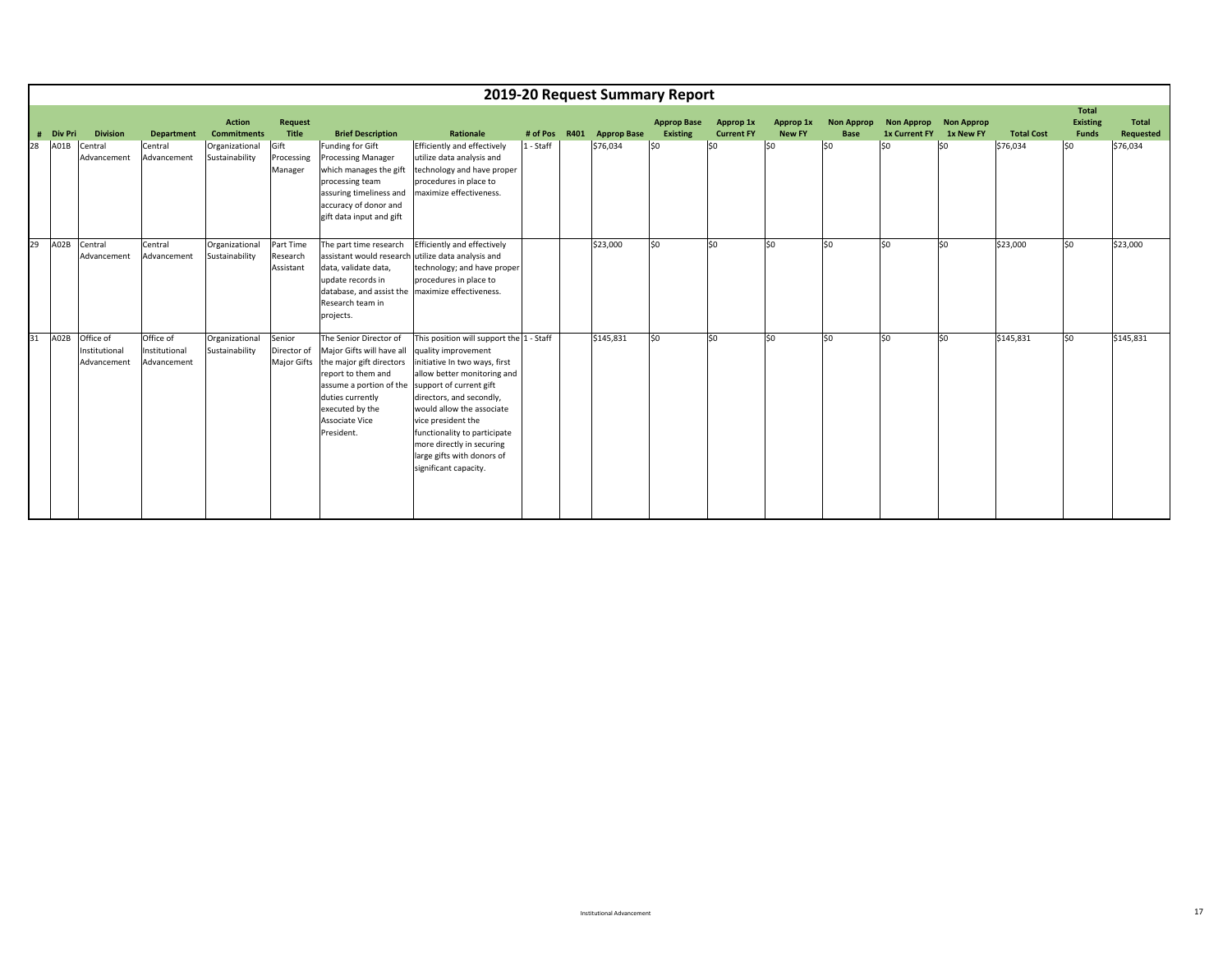|    |           |                                                |                                           |                                     |                                    |                                                                                                                                                                                                                                             |                                                                                                                                                                                                                                                                                                                                    |             |      |                    | 2019-20 Request Summary Report |                                |                            |                                  |                                                  |     |                   |                                                 |                           |
|----|-----------|------------------------------------------------|-------------------------------------------|-------------------------------------|------------------------------------|---------------------------------------------------------------------------------------------------------------------------------------------------------------------------------------------------------------------------------------------|------------------------------------------------------------------------------------------------------------------------------------------------------------------------------------------------------------------------------------------------------------------------------------------------------------------------------------|-------------|------|--------------------|--------------------------------|--------------------------------|----------------------------|----------------------------------|--------------------------------------------------|-----|-------------------|-------------------------------------------------|---------------------------|
|    | # Div Pri | <b>Division</b>                                | <b>Department</b>                         | <b>Action</b><br><b>Commitments</b> | Request<br>Title                   | <b>Brief Description</b>                                                                                                                                                                                                                    | Rationale                                                                                                                                                                                                                                                                                                                          | # of Pos    | R401 | <b>Approp Base</b> | <b>Approp Base</b><br>Existing | Approp 1x<br><b>Current FY</b> | Approp 1x<br><b>New FY</b> | <b>Non Approp</b><br><b>Base</b> | Non Approp Non Approp<br>1x Current FY 1x New FY |     | <b>Total Cost</b> | <b>Total</b><br><b>Existing</b><br><b>Funds</b> | <b>Total</b><br>Requested |
| 28 | A01B      | Central<br>Advancement                         | Central<br>Advancement                    | Organizational<br>Sustainability    | Gift<br>Processing<br>Manager      | <b>Funding for Gift</b><br><b>Processing Manager</b><br>which manages the gift<br>processing team<br>assuring timeliness and<br>accuracy of donor and<br>gift data input and gift                                                           | Efficiently and effectively<br>utilize data analysis and<br>technology and have proper<br>procedures in place to<br>maximize effectiveness.                                                                                                                                                                                        | $1 - Staff$ |      | \$76,034           | \$0                            | lso                            | \$0                        | 50                               | \$0                                              | \$0 | \$76,034          | \$0                                             | \$76,034                  |
| 29 | A02B      | Central<br>Advancement                         | Central<br>Advancement                    | Organizational<br>Sustainability    | Part Time<br>Research<br>Assistant | The part time research<br>assistant would research utilize data analysis and<br>data, validate data,<br>update records in<br>database, and assist the maximize effectiveness.<br>Research team in<br>projects.                              | Efficiently and effectively<br>technology; and have proper<br>procedures in place to                                                                                                                                                                                                                                               |             |      | \$23,000           | \$0                            | lso                            | \$0                        | lso                              | \$0                                              | lso | \$23,000          | lso                                             | \$23,000                  |
| 31 |           | A02B Office of<br>Institutional<br>Advancement | Office of<br>Institutional<br>Advancement | Organizational<br>Sustainability    | Senior<br>Director of              | The Senior Director of<br>Major Gifts will have all<br>Major Gifts the major gift directors<br>report to them and<br>assume a portion of the support of current gift<br>duties currently<br>executed by the<br>Associate Vice<br>President. | This position will support the 1 - Staff<br>quality improvement<br>initiative In two ways, first<br>allow better monitoring and<br>directors, and secondly,<br>would allow the associate<br>vice president the<br>functionality to participate<br>more directly in securing<br>large gifts with donors of<br>significant capacity. |             |      | \$145,831          | \$0                            | lso                            | \$0                        | lso                              | 50                                               | lso | \$145,831         | lso                                             | \$145,831                 |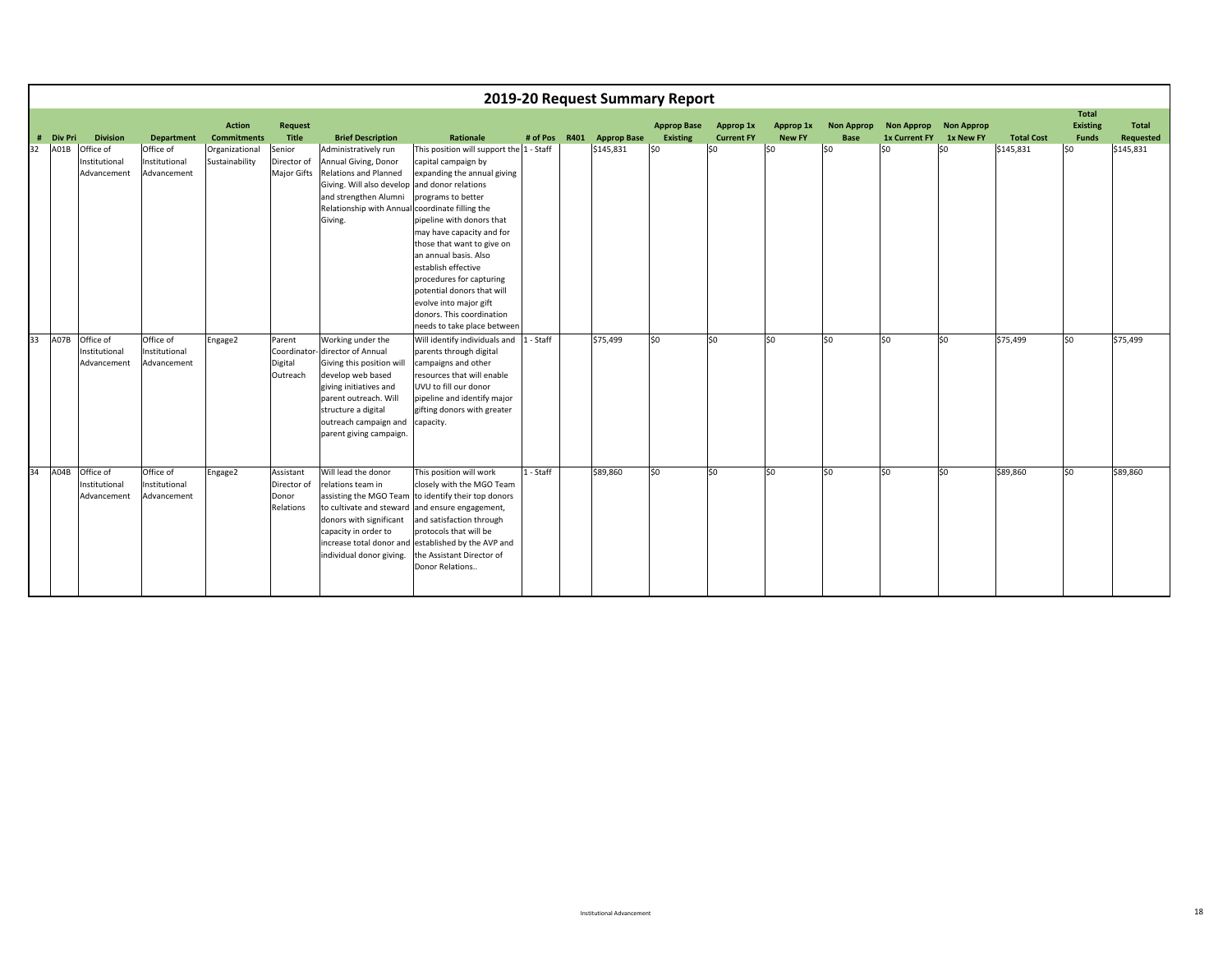|    |                     |                                           |                                           |                                     |                                                |                                                                                                                                                                                                                         |                                                                                                                                                                                                                                                                                                                                                                                                                                     |           |      |                    | 2019-20 Request Summary Report        |                                |                            |                                  |                                           |                                |                   |                                                 |                                  |
|----|---------------------|-------------------------------------------|-------------------------------------------|-------------------------------------|------------------------------------------------|-------------------------------------------------------------------------------------------------------------------------------------------------------------------------------------------------------------------------|-------------------------------------------------------------------------------------------------------------------------------------------------------------------------------------------------------------------------------------------------------------------------------------------------------------------------------------------------------------------------------------------------------------------------------------|-----------|------|--------------------|---------------------------------------|--------------------------------|----------------------------|----------------------------------|-------------------------------------------|--------------------------------|-------------------|-------------------------------------------------|----------------------------------|
|    | <b>Div Pri</b><br># | <b>Division</b>                           | <b>Department</b>                         | <b>Action</b><br><b>Commitments</b> | <b>Request</b><br>Title                        | <b>Brief Description</b>                                                                                                                                                                                                | <b>Rationale</b>                                                                                                                                                                                                                                                                                                                                                                                                                    | # of Pos  | R401 | <b>Approp Base</b> | <b>Approp Base</b><br><b>Existing</b> | Approp 1x<br><b>Current FY</b> | Approp 1x<br><b>New FY</b> | <b>Non Approp</b><br><b>Base</b> | <b>Non Approp</b><br><b>1x Current FY</b> | <b>Non Approp</b><br>1x New FY | <b>Total Cost</b> | <b>Total</b><br><b>Existing</b><br><b>Funds</b> | <b>Total</b><br><b>Requested</b> |
| 32 | A01B                | Office of<br>Institutional<br>Advancement | Office of<br>Institutional<br>Advancement | Organizational<br>Sustainability    | Senior<br>Director of<br>Major Gifts           | Administratively run<br>Annual Giving, Donor<br>Relations and Planned<br>Giving. Will also develop<br>and strengthen Alumni<br>Relationship with Annual coordinate filling the<br>Giving.                               | This position will support the 1 - Staff<br>capital campaign by<br>expanding the annual giving<br>and donor relations<br>programs to better<br>pipeline with donors that<br>may have capacity and for<br>those that want to give on<br>an annual basis. Also<br>establish effective<br>procedures for capturing<br>potential donors that will<br>evolve into major gift<br>donors. This coordination<br>needs to take place between |           |      | \$145,831          | 50                                    | \$0                            | \$0                        | \$0                              | \$0                                       | \$0                            | \$145,831         | \$0                                             | \$145,831                        |
| 33 | A07B                | Office of<br>Institutional<br>Advancement | Office of<br>Institutional<br>Advancement | Engage2                             | Parent<br>Coordinator<br>Digital<br>Outreach   | Working under the<br>director of Annual<br>Giving this position will<br>develop web based<br>giving initiatives and<br>parent outreach. Will<br>structure a digital<br>outreach campaign and<br>parent giving campaign. | Will identify individuals and<br>parents through digital<br>campaigns and other<br>resources that will enable<br>UVU to fill our donor<br>pipeline and identify major<br>gifting donors with greater<br>capacity.                                                                                                                                                                                                                   | 1 - Staff |      | \$75,499           | lso                                   | \$0                            | S <sub>0</sub>             | \$0                              | \$0                                       | lso                            | \$75,499          | \$0                                             | \$75,499                         |
| 34 | A04B                | Office of<br>Institutional<br>Advancement | Office of<br>Institutional<br>Advancement | Engage2                             | Assistant<br>Director of<br>Donor<br>Relations | Will lead the donor<br>relations team in<br>assisting the MGO Team<br>donors with significant<br>capacity in order to<br>individual donor giving.                                                                       | This position will work<br>closely with the MGO Team<br>to identify their top donors<br>to cultivate and steward and ensure engagement,<br>and satisfaction through<br>protocols that will be<br>increase total donor and established by the AVP and<br>the Assistant Director of<br>Donor Relations                                                                                                                                | 1 - Staff |      | \$89,860           | lso                                   | so                             | \$0                        | \$0                              | \$0                                       | lso                            | \$89,860          | \$0                                             | \$89.860                         |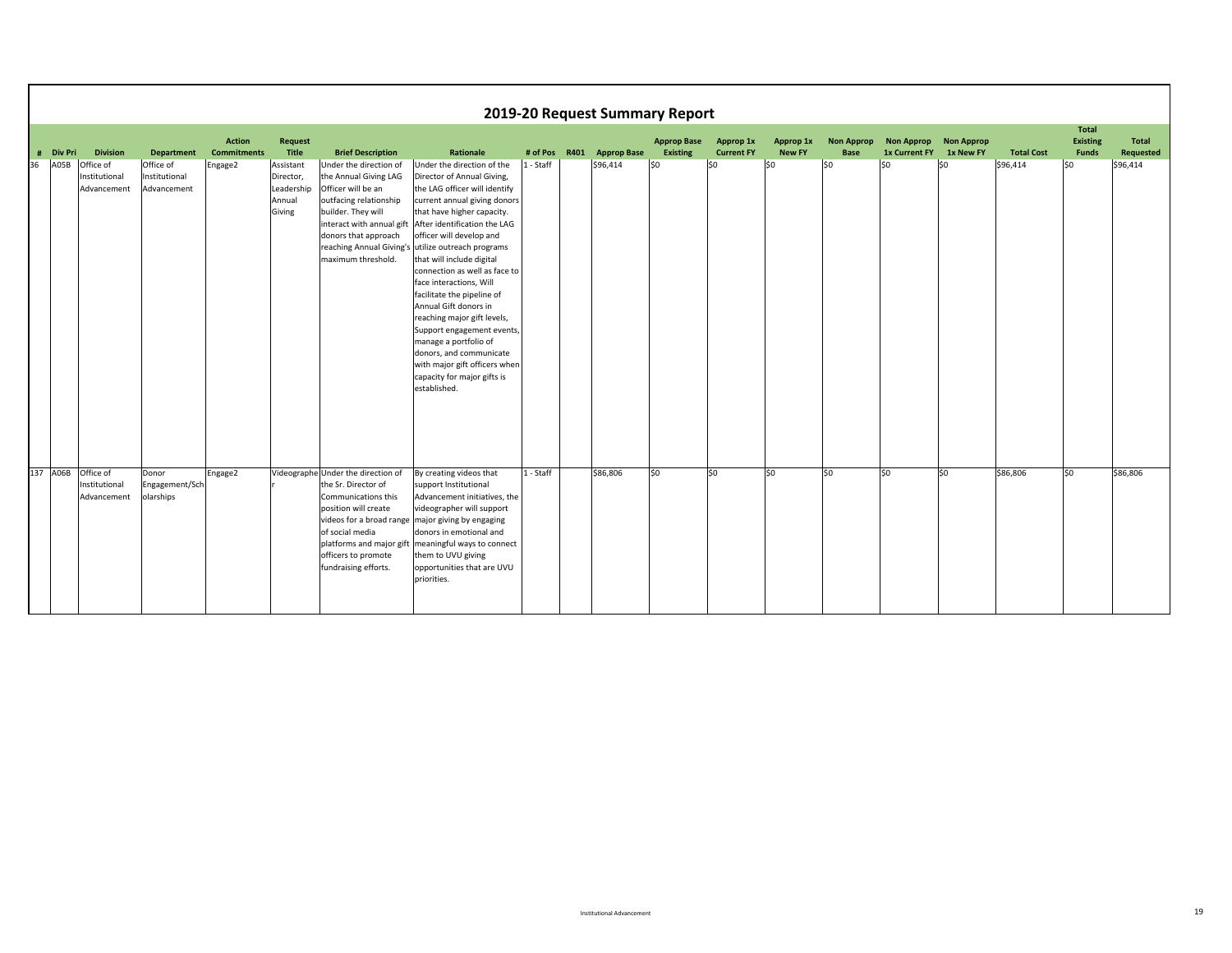|    |           |                                           |                                           |                                     |                                                          |                                                                                                                                                                                                  |                                                                                                                                                                                                                                                                                                                                                                                                                                                                                                                                                                                                                            |           |                  | 2019-20 Request Summary Report        |                                |                            |                                  |                                        |           |                   |                                          |                    |
|----|-----------|-------------------------------------------|-------------------------------------------|-------------------------------------|----------------------------------------------------------|--------------------------------------------------------------------------------------------------------------------------------------------------------------------------------------------------|----------------------------------------------------------------------------------------------------------------------------------------------------------------------------------------------------------------------------------------------------------------------------------------------------------------------------------------------------------------------------------------------------------------------------------------------------------------------------------------------------------------------------------------------------------------------------------------------------------------------------|-----------|------------------|---------------------------------------|--------------------------------|----------------------------|----------------------------------|----------------------------------------|-----------|-------------------|------------------------------------------|--------------------|
|    | # Div Pri | <b>Division</b>                           | <b>Department</b>                         | <b>Action</b><br><b>Commitments</b> | <b>Request</b><br>Title                                  | <b>Brief Description</b>                                                                                                                                                                         | Rationale                                                                                                                                                                                                                                                                                                                                                                                                                                                                                                                                                                                                                  | # of Pos  | R401 Approp Base | <b>Approp Base</b><br><b>Existing</b> | Approp 1x<br><b>Current FY</b> | Approp 1x<br><b>New FY</b> | <b>Non Approp</b><br><b>Base</b> | Non Approp Non Approp<br>1x Current FY | 1x New FY | <b>Total Cost</b> | <b>Total</b><br><b>Existing</b><br>Funds | Total<br>Requested |
| 36 | A05B      | Office of<br>Institutional<br>Advancement | Office of<br>Institutional<br>Advancement | Engage2                             | Assistant<br>Director,<br>Leadership<br>Annual<br>Giving | Under the direction of<br>the Annual Giving LAG<br>Officer will be an<br>outfacing relationship<br>builder. They will<br>interact with annual gift<br>donors that approach<br>maximum threshold. | Under the direction of the<br>Director of Annual Giving,<br>the LAG officer will identify<br>current annual giving donors<br>that have higher capacity.<br>After identification the LAG<br>officer will develop and<br>reaching Annual Giving's utilize outreach programs<br>that will include digital<br>connection as well as face to<br>face interactions, Will<br>facilitate the pipeline of<br>Annual Gift donors in<br>reaching major gift levels,<br>Support engagement events,<br>manage a portfolio of<br>donors, and communicate<br>with major gift officers when<br>capacity for major gifts is<br>established. | 1 - Staff | \$96,414         | 50                                    | lso                            | S <sub>0</sub>             | SO                               | \$0                                    | \$0       | \$96,414          | \$0                                      | \$96,414           |
|    | 137 A06B  | Office of<br>Institutional<br>Advancement | Donor<br>Engagement/Sch<br>olarships      | Engage2                             |                                                          | Videographe Under the direction of<br>the Sr. Director of<br>Communications this<br>position will create<br>of social media<br>officers to promote<br>fundraising efforts.                       | By creating videos that<br>support Institutional<br>Advancement initiatives, the<br>videographer will support<br>videos for a broad range major giving by engaging<br>donors in emotional and<br>platforms and major gift   meaningful ways to connect<br>them to UVU giving<br>opportunities that are UVU<br>priorities.                                                                                                                                                                                                                                                                                                  | 1 - Staff | \$86,806         | \$0                                   | lso                            | \$0                        | lso                              | \$0                                    | \$0       | \$86,806          | \$0                                      | \$86,806           |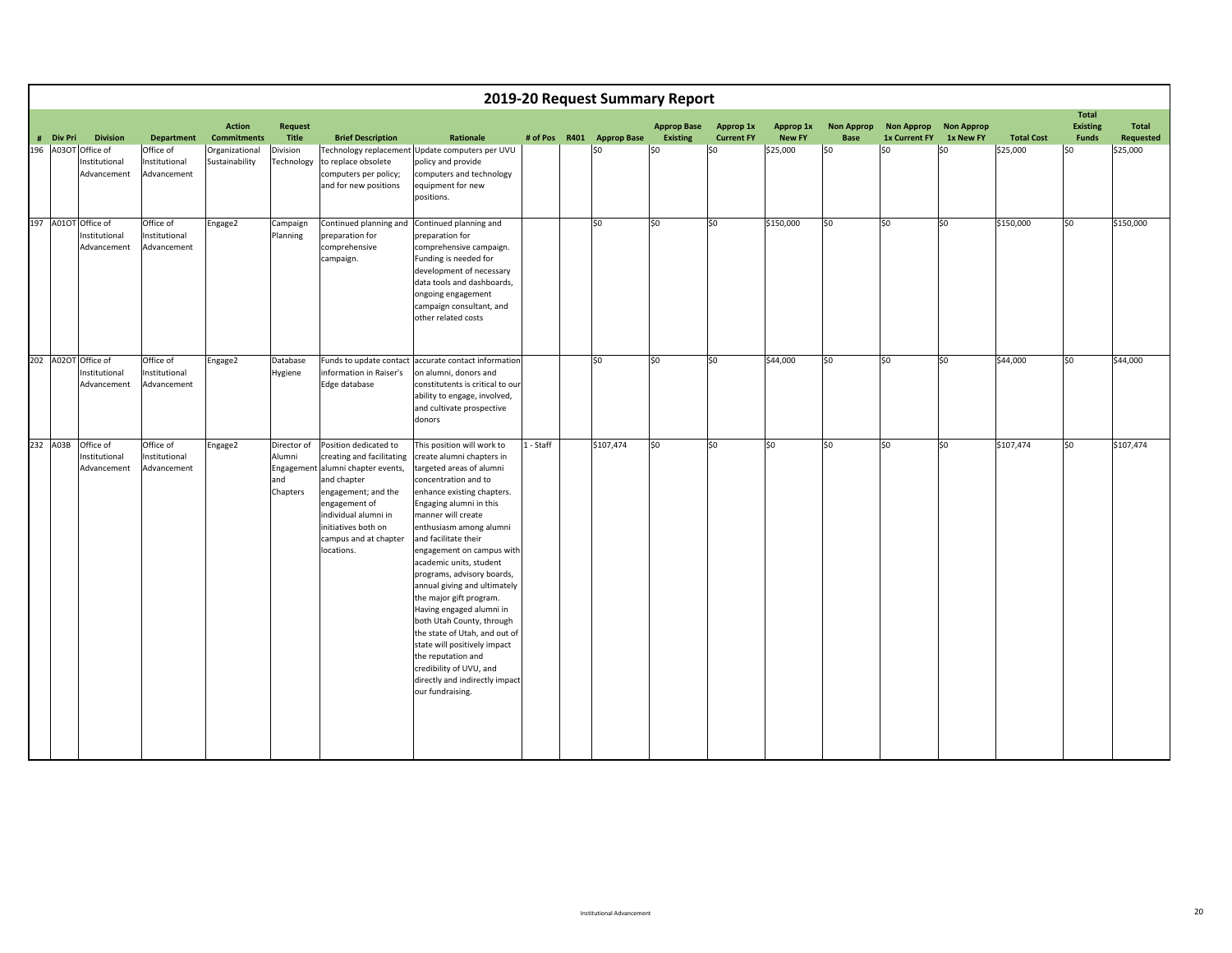|           |                                                     |                                           |                                     |                                          |                                                                                                                                                                                                                                      |                                                                                                                                                                                                                                                                                                                                                                                                                                                                                                                                                                                                                                 | 2019-20 Request Summary Report |                  |                                       |                                |                            |                                  |                                           |                                |                   |                                                 |                           |
|-----------|-----------------------------------------------------|-------------------------------------------|-------------------------------------|------------------------------------------|--------------------------------------------------------------------------------------------------------------------------------------------------------------------------------------------------------------------------------------|---------------------------------------------------------------------------------------------------------------------------------------------------------------------------------------------------------------------------------------------------------------------------------------------------------------------------------------------------------------------------------------------------------------------------------------------------------------------------------------------------------------------------------------------------------------------------------------------------------------------------------|--------------------------------|------------------|---------------------------------------|--------------------------------|----------------------------|----------------------------------|-------------------------------------------|--------------------------------|-------------------|-------------------------------------------------|---------------------------|
| # Div Pri | <b>Division</b>                                     | <b>Department</b>                         | <b>Action</b><br><b>Commitments</b> | <b>Request</b><br>Title                  | <b>Brief Description</b>                                                                                                                                                                                                             | Rationale                                                                                                                                                                                                                                                                                                                                                                                                                                                                                                                                                                                                                       | # of Pos                       | R401 Approp Base | <b>Approp Base</b><br><b>Existing</b> | Approp 1x<br><b>Current FY</b> | Approp 1x<br><b>New FY</b> | <b>Non Approp</b><br><b>Base</b> | <b>Non Approp</b><br><b>1x Current FY</b> | <b>Non Approp</b><br>1x New FY | <b>Total Cost</b> | <b>Total</b><br><b>Existing</b><br><b>Funds</b> | <b>Total</b><br>Requested |
| 196 A03OT | Office of<br>nstitutional<br>Advancement            | Office of<br>Institutional<br>Advancement | Organizational<br>Sustainability    | Division<br>echnology                    | to replace obsolete<br>computers per policy;<br>and for new positions                                                                                                                                                                | Technology replacement Update computers per UVU<br>policy and provide<br>computers and technology<br>equipment for new<br>positions.                                                                                                                                                                                                                                                                                                                                                                                                                                                                                            |                                | lso              | \$0                                   | \$0                            | \$25,000                   | \$0                              | \$0                                       | \$0                            | \$25,000          | \$0                                             | \$25,000                  |
|           | 197 A01OT Office of<br>Institutional<br>Advancement | Office of<br>Institutional<br>Advancement | Engage2                             | Campaign<br>Planning                     | preparation for<br>comprehensive<br>campaign.                                                                                                                                                                                        | Continued planning and Continued planning and<br>preparation for<br>comprehensive campaign.<br>Funding is needed for<br>development of necessary<br>data tools and dashboards,<br>ongoing engagement<br>campaign consultant, and<br>other related costs                                                                                                                                                                                                                                                                                                                                                                         |                                | lso              | \$0                                   | SO.                            | \$150,000                  | \$0                              | \$0                                       | 50                             | \$150,000         | \$0                                             | \$150,000                 |
|           | 202 A02OT Office of<br>Institutional<br>Advancement | Office of<br>Institutional<br>Advancement | Engage2                             | Database<br>Hygiene                      | information in Raiser's<br>Edge database                                                                                                                                                                                             | Funds to update contact accurate contact information<br>on alumni, donors and<br>constitutents is critical to our<br>ability to engage, involved,<br>and cultivate prospective<br>donors                                                                                                                                                                                                                                                                                                                                                                                                                                        |                                | lso.             | \$0                                   | \$0                            | \$44,000                   | S <sub>0</sub>                   | 50 <sub>2</sub>                           | S <sub>0</sub>                 | \$44,000          | \$0                                             | \$44,000                  |
| 232 A03B  | Office of<br>Institutional<br>Advancement           | Office of<br>Institutional<br>Advancement | Engage2                             | Director of<br>Alumni<br>and<br>Chapters | Position dedicated to<br>creating and facilitating<br>Engagement alumni chapter events,<br>and chapter<br>engagement; and the<br>engagement of<br>individual alumni in<br>initiatives both on<br>campus and at chapter<br>locations. | This position will work to<br>create alumni chapters in<br>targeted areas of alumni<br>concentration and to<br>enhance existing chapters.<br>Engaging alumni in this<br>manner will create<br>enthusiasm among alumni<br>and facilitate their<br>engagement on campus with<br>academic units, student<br>programs, advisory boards,<br>annual giving and ultimately<br>the major gift program.<br>Having engaged alumni in<br>both Utah County, through<br>the state of Utah, and out of<br>state will positively impact<br>the reputation and<br>credibility of UVU, and<br>directly and indirectly impact<br>our fundraising. | 1 - Staff                      | \$107,474        | \$0                                   | S <sub>0</sub>                 | \$0                        | \$0                              | \$0                                       | \$0                            | \$107,474         | \$0                                             | \$107,474                 |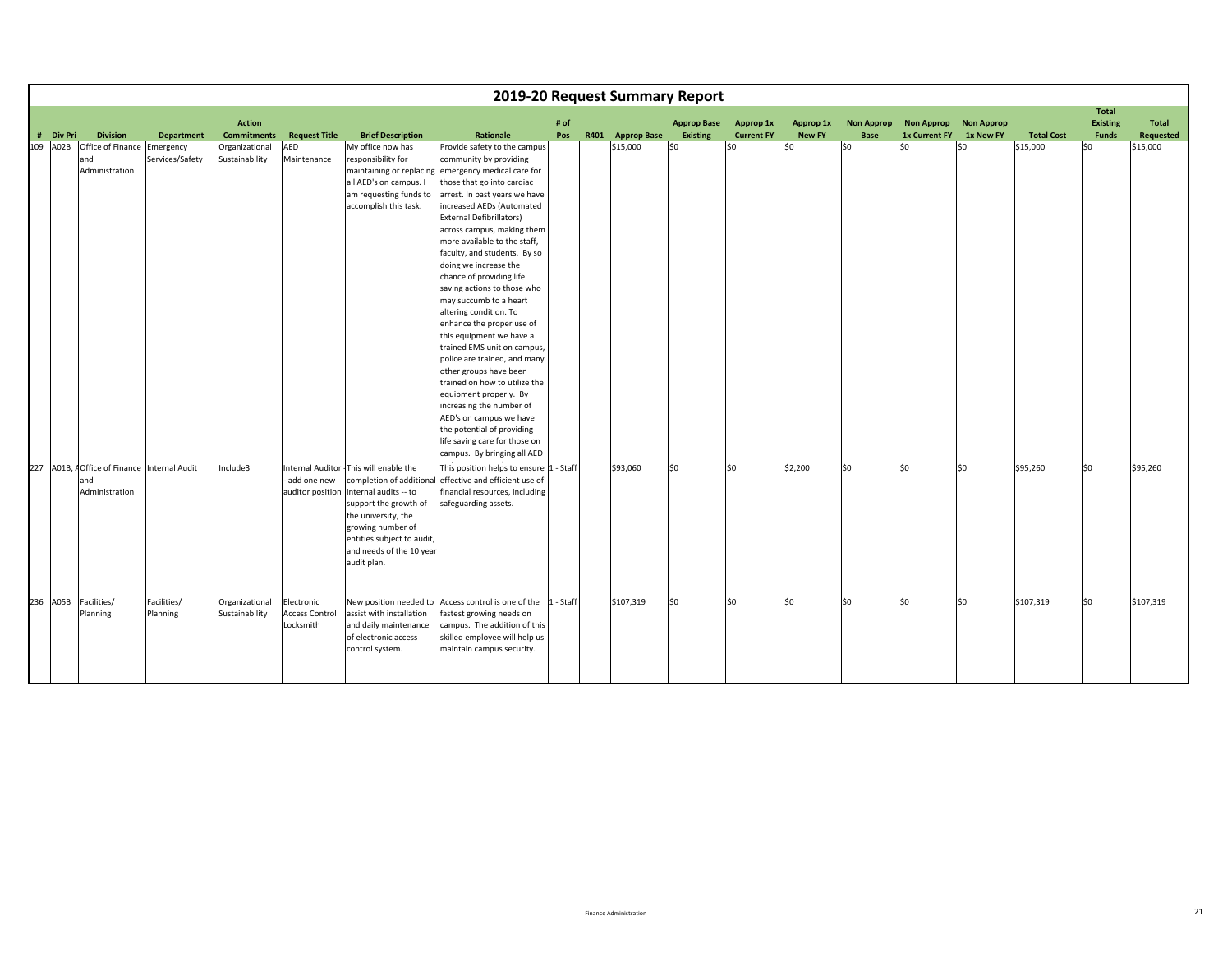|           |                                                      |                         |                                     |                                                  |                                                                                                                                                                                                |                                                                                                                                                                                                                                                                                                                                                                                                                                                                                                                                                                                                                                                                                                 |             | 2019-20 Request Summary Report |                                       |                                |                            |                           |                                        |           |                   |                                 |                           |
|-----------|------------------------------------------------------|-------------------------|-------------------------------------|--------------------------------------------------|------------------------------------------------------------------------------------------------------------------------------------------------------------------------------------------------|-------------------------------------------------------------------------------------------------------------------------------------------------------------------------------------------------------------------------------------------------------------------------------------------------------------------------------------------------------------------------------------------------------------------------------------------------------------------------------------------------------------------------------------------------------------------------------------------------------------------------------------------------------------------------------------------------|-------------|--------------------------------|---------------------------------------|--------------------------------|----------------------------|---------------------------|----------------------------------------|-----------|-------------------|---------------------------------|---------------------------|
|           |                                                      |                         |                                     |                                                  |                                                                                                                                                                                                |                                                                                                                                                                                                                                                                                                                                                                                                                                                                                                                                                                                                                                                                                                 |             |                                |                                       |                                |                            |                           |                                        |           |                   | <b>Total</b>                    |                           |
| # Div Pri | <b>Division</b>                                      | <b>Department</b>       | <b>Action</b><br><b>Commitments</b> | <b>Request Title</b>                             | <b>Brief Description</b>                                                                                                                                                                       | Rationale                                                                                                                                                                                                                                                                                                                                                                                                                                                                                                                                                                                                                                                                                       | # of<br>Pos | R401 Approp Base               | <b>Approp Base</b><br><b>Existing</b> | Approp 1x<br><b>Current FY</b> | Approp 1x<br><b>New FY</b> | <b>Non Approp</b><br>Base | Non Approp Non Approp<br>1x Current FY | 1x New FY | <b>Total Cost</b> | <b>Existing</b><br><b>Funds</b> | <b>Total</b><br>Requested |
|           |                                                      |                         |                                     |                                                  |                                                                                                                                                                                                |                                                                                                                                                                                                                                                                                                                                                                                                                                                                                                                                                                                                                                                                                                 |             |                                |                                       |                                |                            |                           |                                        |           |                   |                                 |                           |
| 109 A02B  | Office of Finance Emergency<br>and<br>Administration | Services/Safety         | Organizational<br>Sustainability    | AED<br>Maintenance                               | My office now has<br>responsibility for<br>all AED's on campus. I<br>am requesting funds to<br>accomplish this task.                                                                           | Provide safety to the campus<br>community by providing<br>maintaining or replacing emergency medical care for<br>those that go into cardiac<br>arrest. In past years we have<br>increased AEDs (Automated<br><b>External Defibrillators)</b><br>across campus, making them<br>more available to the staff,<br>faculty, and students. By so<br>doing we increase the<br>chance of providing life<br>saving actions to those who<br>may succumb to a heart<br>altering condition. To<br>enhance the proper use of<br>this equipment we have a<br>trained EMS unit on campus,<br>police are trained, and many<br>other groups have been<br>trained on how to utilize the<br>equipment properly. By |             | \$15,000                       | lso                                   | \$0                            | \$0                        | \$0                       | \$0                                    | \$0       | \$15,000          | \$0                             | \$15,000                  |
|           | 227 A01B, AOffice of Finance Internal Audit          |                         | Include3                            | Internal Auditor -                               | This will enable the                                                                                                                                                                           | increasing the number of<br>AED's on campus we have<br>the potential of providing<br>life saving care for those on<br>campus. By bringing all AED<br>This position helps to ensure 1 - Staff                                                                                                                                                                                                                                                                                                                                                                                                                                                                                                    |             | \$93,060                       | lso.                                  | SO.                            | \$2,200                    | \$0                       | \$0                                    | \$0       | \$95,260          | SO.                             | \$95,260                  |
|           | and<br>Administration                                |                         |                                     | add one new<br>auditor position                  | completion of additiona<br>internal audits -- to<br>support the growth of<br>the university, the<br>growing number of<br>entities subject to audit,<br>and needs of the 10 year<br>audit plan. | effective and efficient use of<br>financial resources, including<br>safeguarding assets.                                                                                                                                                                                                                                                                                                                                                                                                                                                                                                                                                                                                        |             |                                |                                       |                                |                            |                           |                                        |           |                   |                                 |                           |
|           | 236 A05B Facilities/<br>Planning                     | Facilities/<br>Planning | Organizational<br>Sustainability    | Electronic<br><b>Access Control</b><br>Locksmith | assist with installation<br>and daily maintenance<br>of electronic access<br>control system.                                                                                                   | New position needed to Access control is one of the<br>fastest growing needs on<br>campus. The addition of this<br>skilled employee will help us<br>maintain campus security.                                                                                                                                                                                                                                                                                                                                                                                                                                                                                                                   | 1 - Staff   | \$107,319                      | S <sub>0</sub>                        | SO.                            | \$0                        | \$0                       | \$0                                    | \$0       | \$107,319         | \$0                             | \$107,319                 |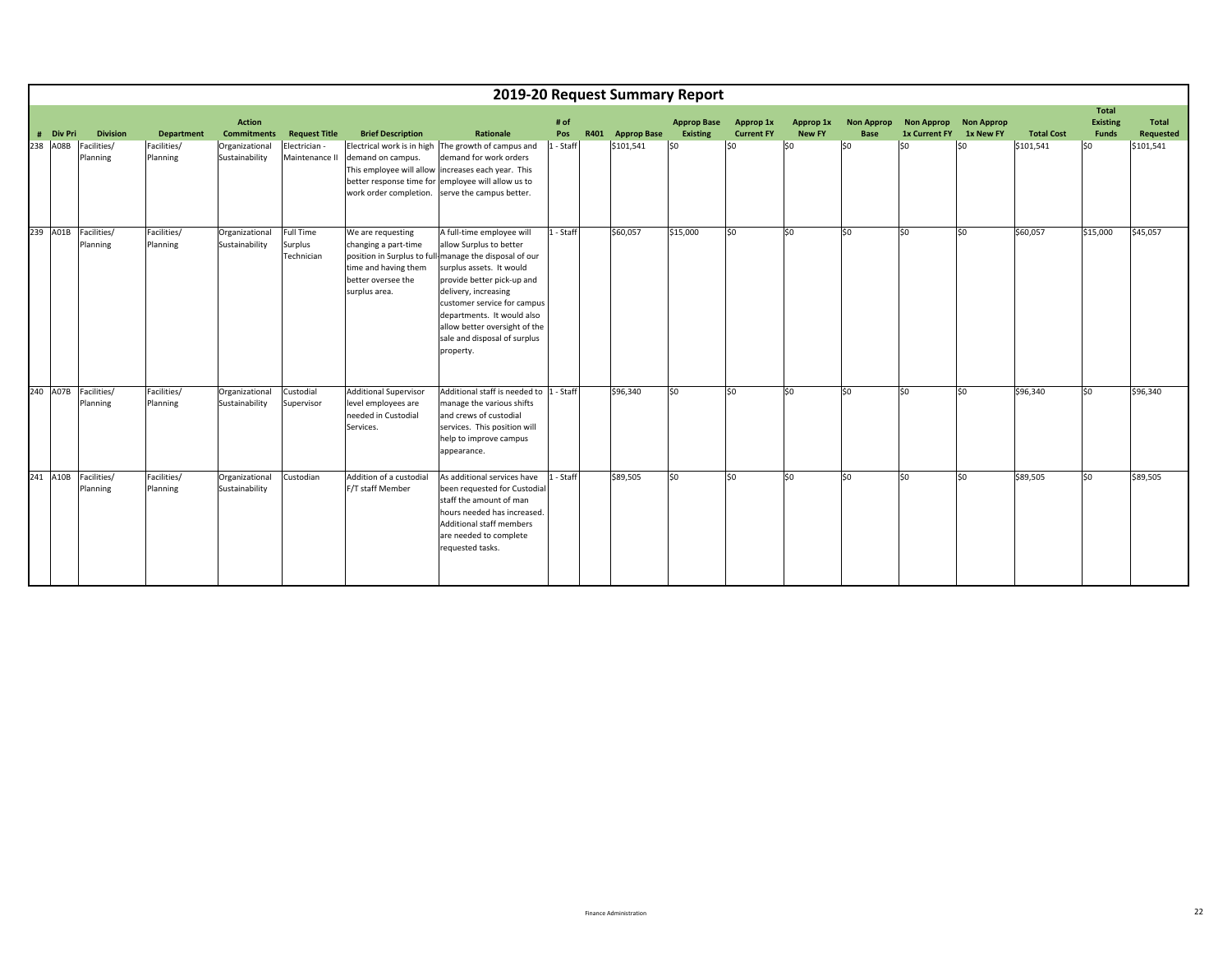|           |                                  |                         |                                     |                                    |                                                                                                          |                                                                                                                                                                                                                                                                                                                                             |             |      |                    | 2019-20 Request Summary Report |                                |                            |                           |                                           |                                |                   |                                   |                                  |
|-----------|----------------------------------|-------------------------|-------------------------------------|------------------------------------|----------------------------------------------------------------------------------------------------------|---------------------------------------------------------------------------------------------------------------------------------------------------------------------------------------------------------------------------------------------------------------------------------------------------------------------------------------------|-------------|------|--------------------|--------------------------------|--------------------------------|----------------------------|---------------------------|-------------------------------------------|--------------------------------|-------------------|-----------------------------------|----------------------------------|
| # Div Pri | <b>Division</b>                  | <b>Department</b>       | <b>Action</b><br><b>Commitments</b> | <b>Request Title</b>               | <b>Brief Description</b>                                                                                 | Rationale                                                                                                                                                                                                                                                                                                                                   | # of<br>Pos | R401 | <b>Approp Base</b> | <b>Approp Base</b><br>Existing | Approp 1x<br><b>Current FY</b> | Approp 1x<br><b>New FY</b> | <b>Non Approp</b><br>Base | <b>Non Approp</b><br><b>1x Current FY</b> | <b>Non Approp</b><br>1x New FY | <b>Total Cost</b> | Total<br><b>Existing</b><br>Funds | <b>Total</b><br><b>Requested</b> |
| 238 A08B  | Facilities/<br>Planning          | Facilities/<br>Planning | Organizational<br>Sustainability    | Electrician -<br>Maintenance II    | demand on campus.                                                                                        | Electrical work is in high The growth of campus and<br>demand for work orders<br>This employee will allow increases each year. This<br>better response time for employee will allow us to<br>work order completion. serve the campus better.                                                                                                | 1 - Staff   |      | \$101,541          | 50                             | S <sub>0</sub>                 | lso                        | lso                       | lso                                       | \$0                            | \$101,541         | \$0                               | \$101,541                        |
| 239 A01B  | Facilities/<br>Planning          | Facilities/<br>Planning | Organizational<br>Sustainability    | Full Time<br>Surplus<br>Technician | We are requesting<br>changing a part-time<br>time and having them<br>better oversee the<br>surplus area. | A full-time employee will<br>allow Surplus to better<br>position in Surplus to full-manage the disposal of our<br>surplus assets. It would<br>provide better pick-up and<br>delivery, increasing<br>customer service for campus<br>departments. It would also<br>allow better oversight of the<br>sale and disposal of surplus<br>property. | 1 - Staff   |      | \$60.057           | \$15,000                       | S <sub>0</sub>                 | S <sub>0</sub>             | \$0                       | lso                                       | \$0                            | \$60,057          | \$15,000                          | \$45,057                         |
|           | 240 A07B Facilities/<br>Planning | Facilities/<br>Planning | Organizational<br>Sustainability    | Custodial<br>Supervisor            | <b>Additional Supervisor</b><br>level employees are<br>needed in Custodial<br>Services.                  | Additional staff is needed to  1 - Staff<br>manage the various shifts<br>and crews of custodial<br>services. This position will<br>help to improve campus<br>appearance.                                                                                                                                                                    |             |      | \$96,340           | lso                            | S <sub>0</sub>                 | S <sub>0</sub>             | 50                        | lso                                       | \$0                            | \$96,340          | 50                                | \$96,340                         |
| 241 A10B  | Facilities/<br>Planning          | Facilities/<br>Planning | Organizational<br>Sustainability    | Custodian                          | Addition of a custodial<br>F/T staff Member                                                              | As additional services have<br>been requested for Custodial<br>staff the amount of man<br>hours needed has increased<br>Additional staff members<br>are needed to complete<br>requested tasks.                                                                                                                                              | 1 - Staff   |      | \$89,505           | lso                            | S <sub>0</sub>                 | lso.                       | \$0                       | lso                                       | \$0                            | \$89,505          | \$0                               | \$89,505                         |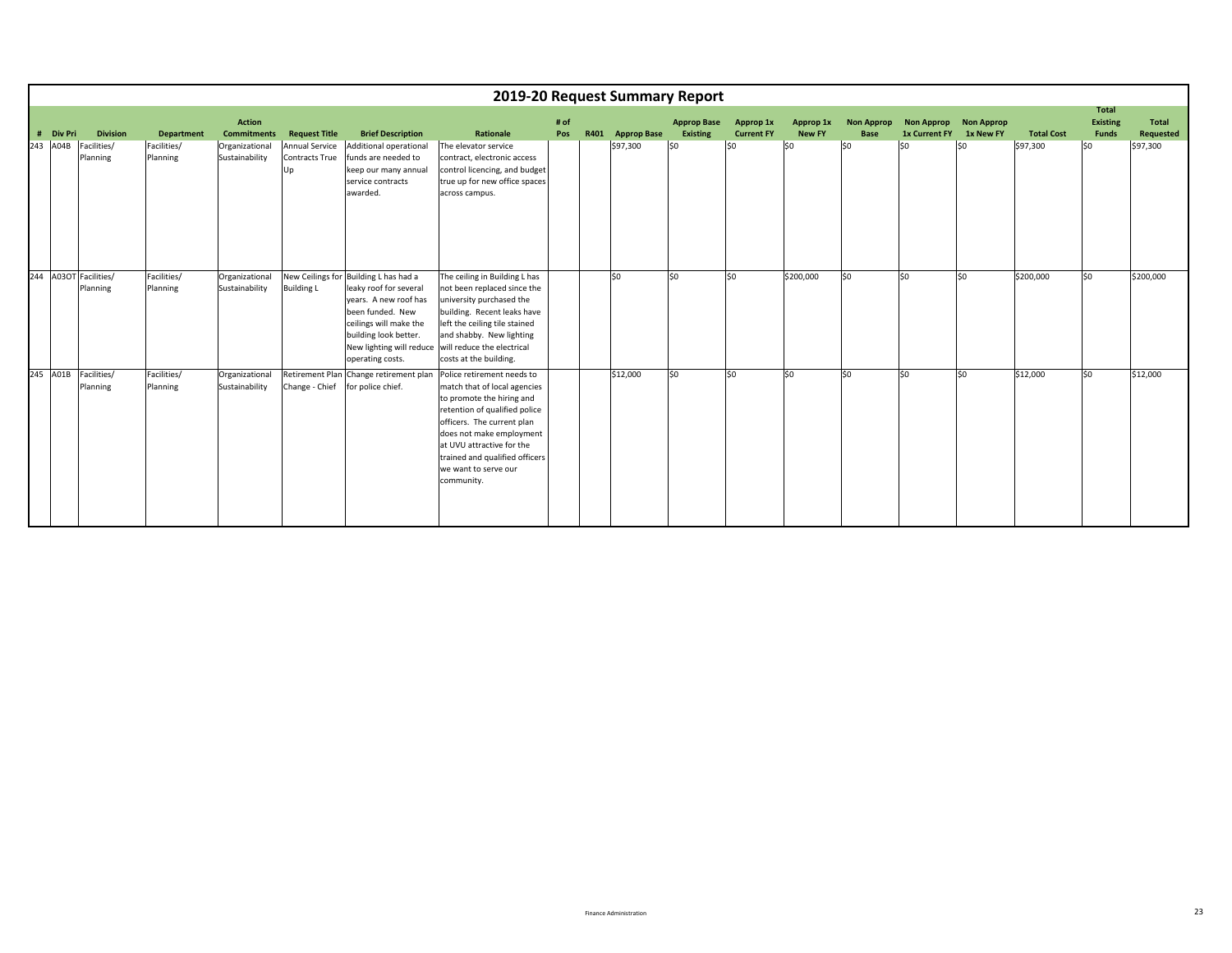|           |                                   |                         |                                     |                                               |                                                                                                                                                                                                                 |                                                                                                                                                                                                                                                                                         |             |      | 2019-20 Request Summary Report |                                |                                |                            |                                  |                                               |           |                   |                                          |                           |
|-----------|-----------------------------------|-------------------------|-------------------------------------|-----------------------------------------------|-----------------------------------------------------------------------------------------------------------------------------------------------------------------------------------------------------------------|-----------------------------------------------------------------------------------------------------------------------------------------------------------------------------------------------------------------------------------------------------------------------------------------|-------------|------|--------------------------------|--------------------------------|--------------------------------|----------------------------|----------------------------------|-----------------------------------------------|-----------|-------------------|------------------------------------------|---------------------------|
| # Div Pri | <b>Division</b>                   | <b>Department</b>       | <b>Action</b><br><b>Commitments</b> | <b>Request Title</b>                          | <b>Brief Description</b>                                                                                                                                                                                        | Rationale                                                                                                                                                                                                                                                                               | # of<br>Pos | R401 | <b>Approp Base</b>             | <b>Approp Base</b><br>Existing | Approp 1x<br><b>Current FY</b> | Approp 1x<br><b>New FY</b> | <b>Non Approp</b><br><b>Base</b> | Non Approp Non Approp<br><b>1x Current FY</b> | 1x New FY | <b>Total Cost</b> | <b>Total</b><br><b>Existing</b><br>Funds | <b>Total</b><br>Requested |
| 243 A04B  | Facilities/<br>Planning           | Facilities/<br>Planning | Organizational<br>Sustainability    | Annual Service<br><b>Contracts True</b><br>Up | Additional operational<br>funds are needed to<br>keep our many annual<br>service contracts<br>awarded.                                                                                                          | The elevator service<br>contract, electronic access<br>control licencing, and budget<br>true up for new office spaces<br>across campus.                                                                                                                                                 |             |      | \$97,300                       | SO.                            | lso                            | \$0                        | lso                              | lso                                           | SO.       | \$97,300          | lso                                      | \$97,300                  |
|           | 244 A03OT Facilities/<br>Planning | Facilities/<br>Planning | Organizational<br>Sustainability    | <b>Building L</b>                             | New Ceilings for Building L has had a<br>leaky roof for several<br>years. A new roof has<br>been funded. New<br>ceilings will make the<br>building look better.<br>New lighting will reduce<br>operating costs. | The ceiling in Building L has<br>not been replaced since the<br>university purchased the<br>building. Recent leaks have<br>left the ceiling tile stained<br>and shabby. New lighting<br>will reduce the electrical<br>costs at the building.                                            |             |      | lso                            | 50                             | lso                            | \$200,000                  | lso.                             | lso                                           | lso       | \$200,000         | lso                                      | \$200,000                 |
| 245 A01B  | Facilities/<br>Planning           | Facilities/<br>Planning | Organizational<br>Sustainability    | <b>Retirement Plan</b><br>Change - Chief      | Change retirement plan<br>for police chief.                                                                                                                                                                     | Police retirement needs to<br>match that of local agencies<br>to promote the hiring and<br>retention of qualified police<br>officers. The current plan<br>does not make employment<br>at UVU attractive for the<br>trained and qualified officers<br>we want to serve our<br>community. |             |      | \$12,000                       | 50                             | lso                            | \$0                        | lso.                             | $\overline{\text{SO}}$                        | lso       | \$12,000          | lso                                      | \$12,000                  |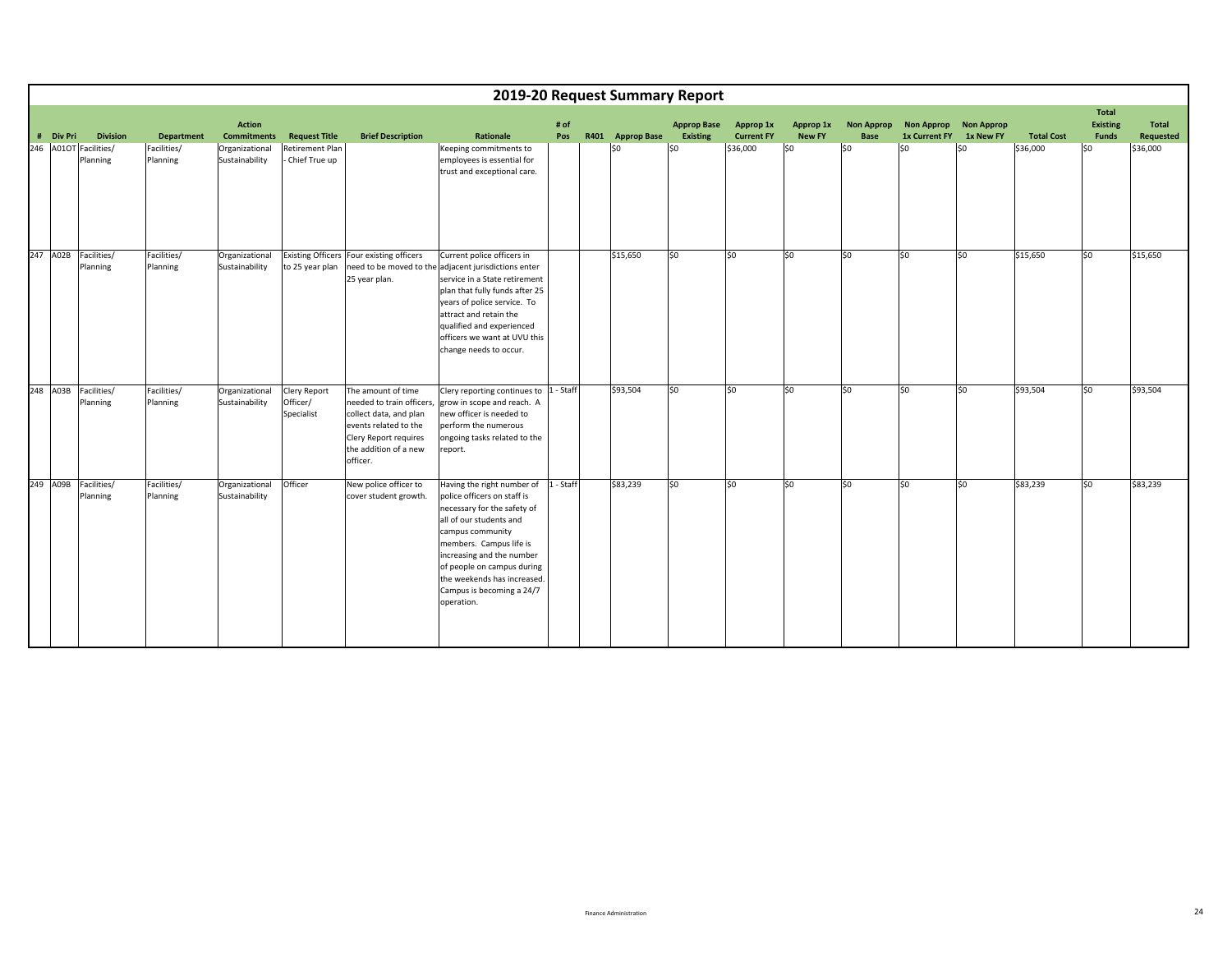|     |           |                                   |                         |                                     |                                        |                                                                                                                                                                  |                                                                                                                                                                                                                                                                                                        |             |                  | 2019-20 Request Summary Report        |                                |                            |                                  |                                           |                                |                   |                                          |                           |
|-----|-----------|-----------------------------------|-------------------------|-------------------------------------|----------------------------------------|------------------------------------------------------------------------------------------------------------------------------------------------------------------|--------------------------------------------------------------------------------------------------------------------------------------------------------------------------------------------------------------------------------------------------------------------------------------------------------|-------------|------------------|---------------------------------------|--------------------------------|----------------------------|----------------------------------|-------------------------------------------|--------------------------------|-------------------|------------------------------------------|---------------------------|
|     | # Div Pri | <b>Division</b>                   | <b>Department</b>       | <b>Action</b><br><b>Commitments</b> | <b>Request Title</b>                   | <b>Brief Description</b>                                                                                                                                         | Rationale                                                                                                                                                                                                                                                                                              | # of<br>Pos | R401 Approp Base | <b>Approp Base</b><br><b>Existing</b> | Approp 1x<br><b>Current FY</b> | Approp 1x<br><b>New FY</b> | <b>Non Approp</b><br><b>Base</b> | <b>Non Approp</b><br><b>1x Current FY</b> | <b>Non Approp</b><br>1x New FY | <b>Total Cost</b> | <b>Total</b><br><b>Existing</b><br>Funds | <b>Total</b><br>Requested |
|     |           | 246 A01OT Facilities/<br>Planning | Facilities/<br>Planning | Organizational<br>Sustainability    | Retirement Plan<br>Chief True up       |                                                                                                                                                                  | Keeping commitments to<br>employees is essential for<br>trust and exceptional care.                                                                                                                                                                                                                    |             | $ $ \$0          | \$0                                   | \$36,000                       | \$0                        | \$0                              | \$0                                       | SO.                            | \$36,000          | lso                                      | \$36,000                  |
|     | 247 A02B  | Facilities/<br>Planning           | Facilities/<br>Planning | Organizational<br>Sustainability    | to 25 year plan                        | Existing Officers Four existing officers<br>25 year plan.                                                                                                        | Current police officers in<br>need to be moved to the adjacent jurisdictions enter<br>service in a State retirement<br>plan that fully funds after 25<br>years of police service. To<br>attract and retain the<br>qualified and experienced<br>officers we want at UVU this<br>change needs to occur.  |             | \$15,650         | \$0                                   | S <sub>0</sub>                 | lso                        | lso.                             | lso                                       | lso                            | \$15,650          | lso.                                     | \$15,650                  |
| 248 | A03B      | Facilities/<br>Planning           | Facilities/<br>Planning | Organizational<br>Sustainability    | Clery Report<br>Officer/<br>Specialist | The amount of time<br>needed to train officers,<br>collect data, and plan<br>events related to the<br>Clery Report requires<br>the addition of a new<br>officer. | Clery reporting continues to  1 - Staff<br>grow in scope and reach. A<br>new officer is needed to<br>perform the numerous<br>ongoing tasks related to the<br>report.                                                                                                                                   |             | \$93,504         | lso                                   | S <sub>0</sub>                 | lso                        | \$0                              | lso                                       | lso                            | \$93,504          | lso                                      | \$93,504                  |
|     | 249 A09B  | Facilities/<br>Planning           | Facilities/<br>Planning | Organizational<br>Sustainability    | Officer                                | New police officer to<br>cover student growth.                                                                                                                   | Having the right number of<br>police officers on staff is<br>necessary for the safety of<br>all of our students and<br>campus community<br>members. Campus life is<br>increasing and the number<br>of people on campus during<br>the weekends has increased<br>Campus is becoming a 24/7<br>operation. | 1 - Staff   | \$83,239         | \$0                                   | lso                            | lso                        | lso                              | S <sub>0</sub>                            | lso                            | \$83,239          | SO.                                      | \$83,239                  |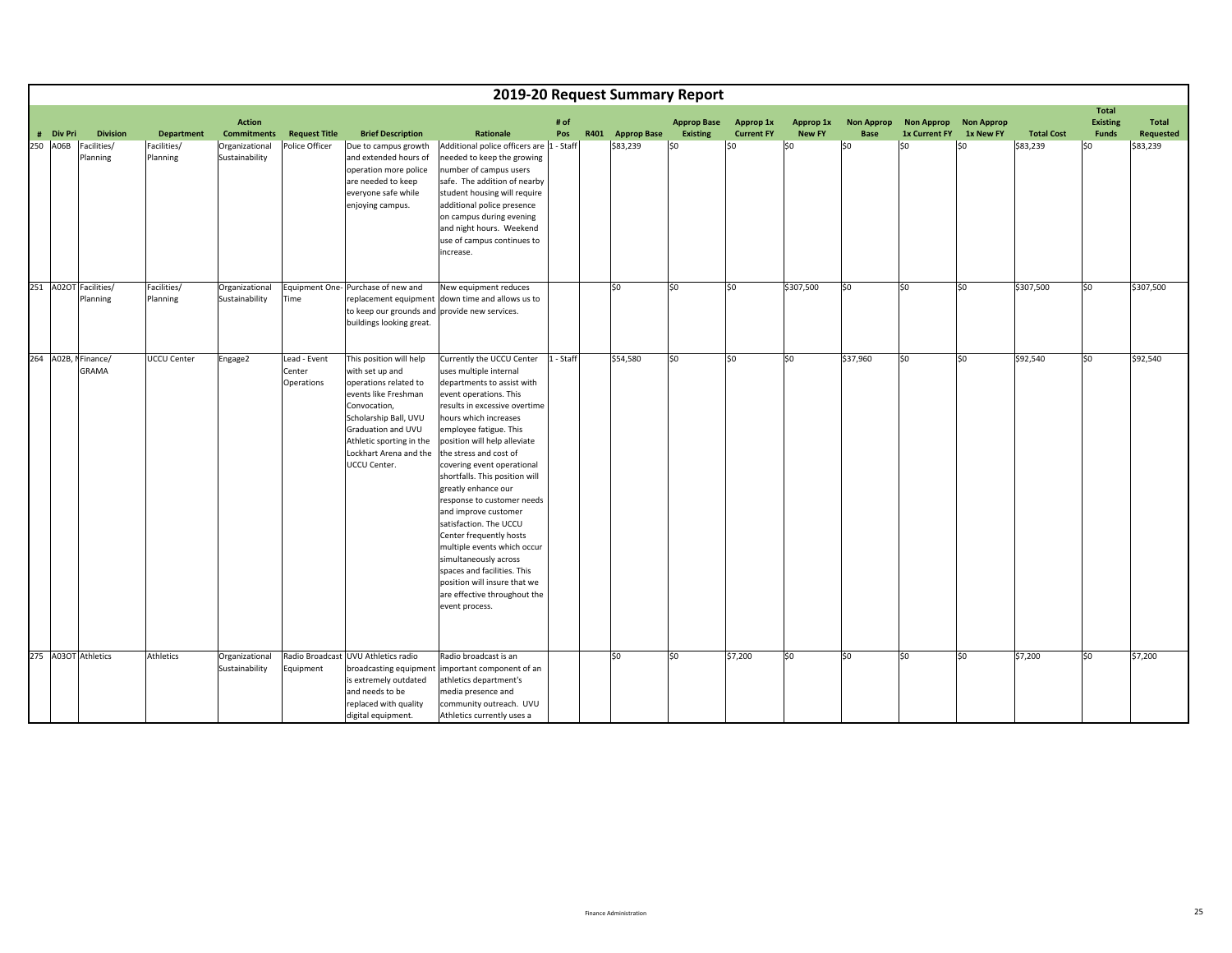|     |                       |                                     |                         |                                     |                                      |                                                                                                                                                                                                                                  |                                                                                                                                                                                                                                                                                                                                                                                                                                                                                                                                                                                                                                      |             |                  | 2019-20 Request Summary Report        |                                |                            |                           |                                    |                                |                   |                                          |                                  |
|-----|-----------------------|-------------------------------------|-------------------------|-------------------------------------|--------------------------------------|----------------------------------------------------------------------------------------------------------------------------------------------------------------------------------------------------------------------------------|--------------------------------------------------------------------------------------------------------------------------------------------------------------------------------------------------------------------------------------------------------------------------------------------------------------------------------------------------------------------------------------------------------------------------------------------------------------------------------------------------------------------------------------------------------------------------------------------------------------------------------------|-------------|------------------|---------------------------------------|--------------------------------|----------------------------|---------------------------|------------------------------------|--------------------------------|-------------------|------------------------------------------|----------------------------------|
|     | # Div Pri<br>250 A06B | <b>Division</b>                     | <b>Department</b>       | <b>Action</b><br><b>Commitments</b> | <b>Request Title</b>                 | <b>Brief Description</b>                                                                                                                                                                                                         | Rationale                                                                                                                                                                                                                                                                                                                                                                                                                                                                                                                                                                                                                            | # of<br>Pos | R401 Approp Base | <b>Approp Base</b><br><b>Existing</b> | Approp 1x<br><b>Current FY</b> | Approp 1x<br><b>New FY</b> | <b>Non Approp</b><br>Base | <b>Non Approp</b><br>1x Current FY | <b>Non Approp</b><br>1x New FY | <b>Total Cost</b> | Total<br><b>Existing</b><br><b>Funds</b> | <b>Total</b><br><b>Requested</b> |
|     |                       | Facilities/<br>Planning             | Facilities/<br>Planning | Organizational<br>Sustainability    | Police Officer                       | Due to campus growth<br>and extended hours of<br>operation more police<br>are needed to keep<br>everyone safe while<br>enjoying campus.                                                                                          | Additional police officers are 1 - Staff<br>needed to keep the growing<br>number of campus users<br>safe. The addition of nearby<br>student housing will require<br>additional police presence<br>on campus during evening<br>and night hours. Weekend<br>use of campus continues to<br>increase.                                                                                                                                                                                                                                                                                                                                    |             | \$83,239         | \$0                                   | lso                            | $ 50\rangle$               | lso                       | \$0                                | \$0                            | \$83,239          | SO.                                      | \$83,239                         |
| 251 |                       | A02OT Facilities/<br>Planning       | Facilities/<br>Planning | Organizational<br>Sustainability    | Time                                 | Equipment One- Purchase of new and<br>replacement equipment<br>to keep our grounds and provide new services.<br>buildings looking great.                                                                                         | New equipment reduces<br>down time and allows us to                                                                                                                                                                                                                                                                                                                                                                                                                                                                                                                                                                                  |             | lso              | \$0                                   | lso                            | \$307,500                  | \$0                       | \$0                                | \$0                            | \$307,500         | \$0                                      | \$307,500                        |
|     |                       | 264 A02B, NFinance/<br><b>GRAMA</b> | UCCU Center             | Engage2                             | Lead - Event<br>Center<br>Operations | This position will help<br>with set up and<br>operations related to<br>events like Freshman<br>Convocation,<br>Scholarship Ball, UVU<br>Graduation and UVU<br>Athletic sporting in the<br>Lockhart Arena and the<br>UCCU Center. | Currently the UCCU Center<br>uses multiple internal<br>departments to assist with<br>event operations. This<br>results in excessive overtime<br>hours which increases<br>employee fatigue. This<br>position will help alleviate<br>the stress and cost of<br>covering event operational<br>shortfalls. This position will<br>greatly enhance our<br>response to customer needs<br>and improve customer<br>satisfaction. The UCCU<br>Center frequently hosts<br>multiple events which occur<br>simultaneously across<br>spaces and facilities. This<br>position will insure that we<br>are effective throughout the<br>event process. | 1 - Staff   | \$54,580         | \$0                                   | lso                            | \$0                        | \$37,960                  | \$0                                | \$0                            | \$92,540          | \$0                                      | \$92,540                         |
| 275 |                       | <b>A03OT</b> Athletics              | Athletics               | Organizational<br>Sustainability    | Equipment                            | Radio Broadcast UVU Athletics radio<br>broadcasting equipment<br>is extremely outdated<br>and needs to be<br>replaced with quality<br>digital equipment.                                                                         | Radio broadcast is an<br>important component of an<br>athletics department's<br>media presence and<br>community outreach. UVU<br>Athletics currently uses a                                                                                                                                                                                                                                                                                                                                                                                                                                                                          |             | lso              | \$0                                   | \$7,200                        | \$0                        | \$0                       | \$0                                | \$0                            | \$7,200           | \$0                                      | \$7,200                          |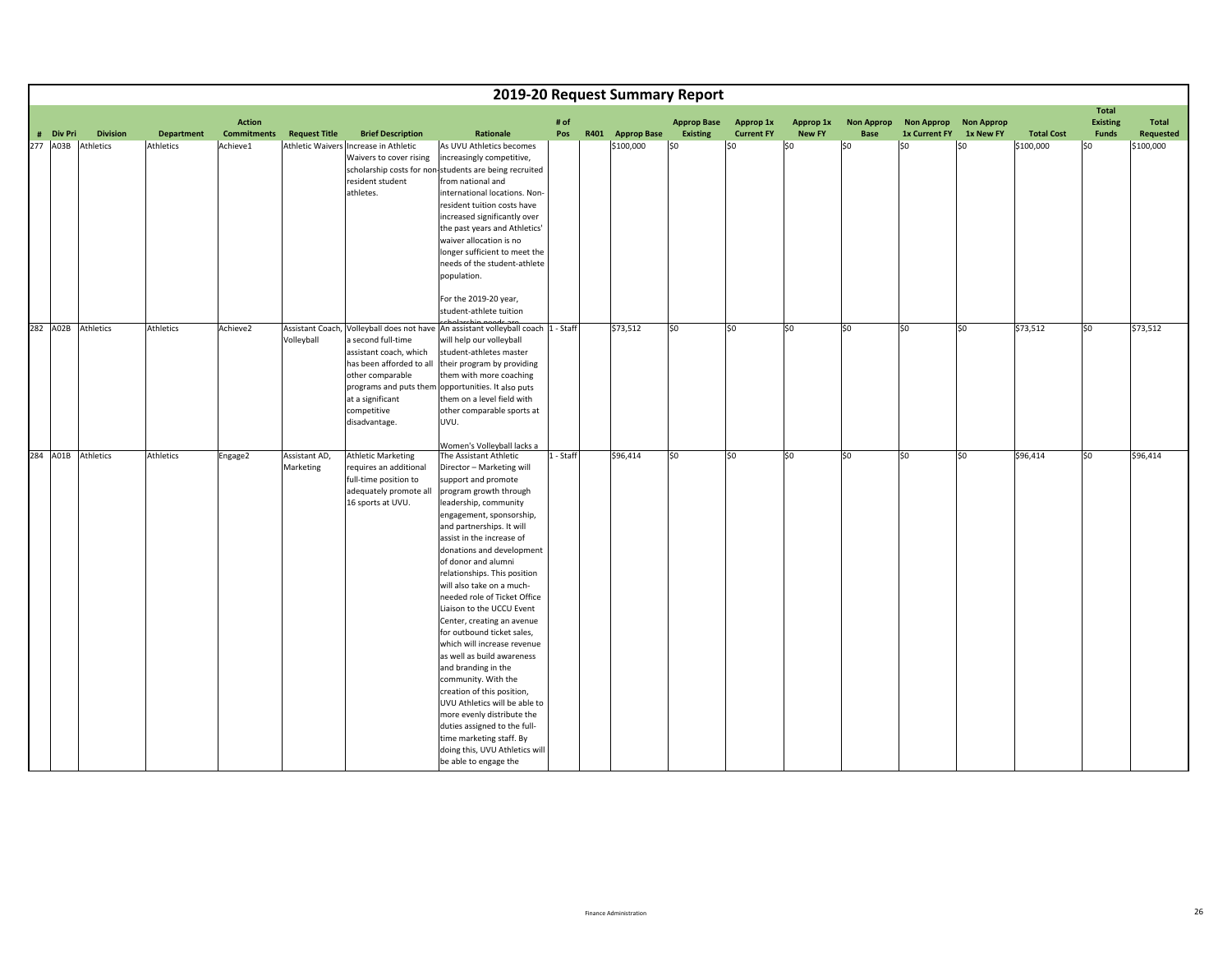|                    |                  |                   |                                     |                            |                                                                                                                                                  | 2019-20 Request Summary Report                                                                                                                                                                                                                                                                                                                                                                                                                                                                                                                                                                                                                                                                                                                                                                                             |             |                  |                                |                                |                            |                           |                                    |                                |                   |                                          |                    |
|--------------------|------------------|-------------------|-------------------------------------|----------------------------|--------------------------------------------------------------------------------------------------------------------------------------------------|----------------------------------------------------------------------------------------------------------------------------------------------------------------------------------------------------------------------------------------------------------------------------------------------------------------------------------------------------------------------------------------------------------------------------------------------------------------------------------------------------------------------------------------------------------------------------------------------------------------------------------------------------------------------------------------------------------------------------------------------------------------------------------------------------------------------------|-------------|------------------|--------------------------------|--------------------------------|----------------------------|---------------------------|------------------------------------|--------------------------------|-------------------|------------------------------------------|--------------------|
| # Div Pri          | <b>Division</b>  | <b>Department</b> | <b>Action</b><br><b>Commitments</b> | <b>Request Title</b>       | <b>Brief Description</b>                                                                                                                         | Rationale                                                                                                                                                                                                                                                                                                                                                                                                                                                                                                                                                                                                                                                                                                                                                                                                                  | # of<br>Pos | R401 Approp Base | <b>Approp Base</b><br>Existing | Approp 1x<br><b>Current FY</b> | Approp 1x<br><b>New FY</b> | <b>Non Approp</b><br>Base | <b>Non Approp</b><br>1x Current FY | <b>Non Approp</b><br>1x New FY | <b>Total Cost</b> | <b>Total</b><br><b>Existing</b><br>Funds | Total<br>Requested |
| 277 A03B           | <b>Athletics</b> | Athletics         | Achieve1                            |                            | Athletic Waivers Increase in Athletic<br>Waivers to cover rising<br>resident student<br>athletes.                                                | As UVU Athletics becomes<br>increasingly competitive,<br>scholarship costs for non-students are being recruited<br>from national and<br>international locations. Non-<br>resident tuition costs have<br>increased significantly over<br>the past years and Athletics'<br>waiver allocation is no<br>longer sufficient to meet the<br>needs of the student-athlete<br>population.<br>For the 2019-20 year,                                                                                                                                                                                                                                                                                                                                                                                                                  |             | \$100,000        | 50                             | \$0                            | SO.                        | SO.                       | $ $ \$0                            | SO.                            | \$100,000         | SO.                                      | \$100,000          |
| 282 A02B Athletics |                  | Athletics         | Achieve2                            | Volleyball                 | a second full-time<br>assistant coach, which<br>has been afforded to all<br>other comparable<br>at a significant<br>competitive<br>disadvantage. | student-athlete tuition<br>Assistant Coach, Volleyball does not have An assistant volleyball coach 1 - Staff<br>will help our volleyball<br>student-athletes master<br>their program by providing<br>them with more coaching<br>programs and puts them opportunities. It also puts<br>them on a level field with<br>other comparable sports at<br>UVU.                                                                                                                                                                                                                                                                                                                                                                                                                                                                     |             | \$73,512         | lso                            | so                             | \$0                        | lso                       | \$0                                | \$0                            | \$73,512          | lso                                      | \$73,512           |
| 284 A01B Athletics |                  | Athletics         | Engage2                             | Assistant AD,<br>Marketing | <b>Athletic Marketing</b><br>requires an additional<br>full-time position to<br>adequately promote all<br>16 sports at UVU.                      | Women's Volleyball lacks a<br>The Assistant Athletic<br>Director - Marketing will<br>support and promote<br>program growth through<br>leadership, community<br>engagement, sponsorship,<br>and partnerships. It will<br>assist in the increase of<br>donations and development<br>of donor and alumni<br>relationships. This position<br>will also take on a much-<br>needed role of Ticket Office<br>Liaison to the UCCU Event<br>Center, creating an avenue<br>for outbound ticket sales,<br>which will increase revenue<br>as well as build awareness<br>and branding in the<br>community. With the<br>creation of this position,<br>UVU Athletics will be able to<br>more evenly distribute the<br>duties assigned to the full-<br>time marketing staff. By<br>doing this, UVU Athletics will<br>be able to engage the | 1 - Staff   | \$96,414         | lso                            | \$0                            | so                         | lso                       | 50                                 | $\overline{50}$                | \$96,414          | lso                                      | \$96,414           |

ii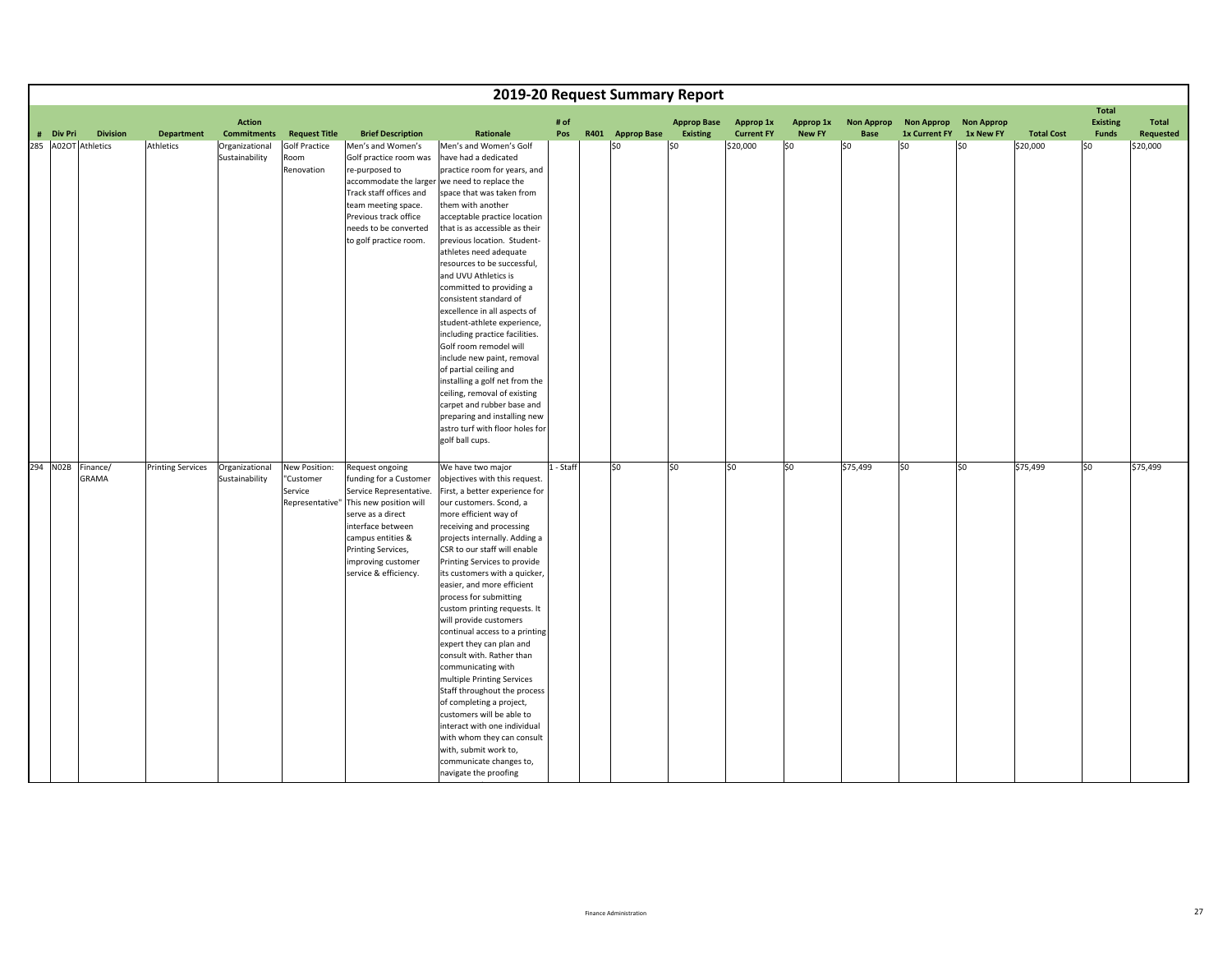|           |                            |                          |                                     |                                                          |                                                                                                                                                                                                                                    | 2019-20 Request Summary Report                                                                                                                                                                                                                                                                                                                                                                                                                                                                                                                                                                                                                                                                                                                                                                              |             |                  |                                       |                                |                            |                                  |                                    |                                |                   |                                          |                    |
|-----------|----------------------------|--------------------------|-------------------------------------|----------------------------------------------------------|------------------------------------------------------------------------------------------------------------------------------------------------------------------------------------------------------------------------------------|-------------------------------------------------------------------------------------------------------------------------------------------------------------------------------------------------------------------------------------------------------------------------------------------------------------------------------------------------------------------------------------------------------------------------------------------------------------------------------------------------------------------------------------------------------------------------------------------------------------------------------------------------------------------------------------------------------------------------------------------------------------------------------------------------------------|-------------|------------------|---------------------------------------|--------------------------------|----------------------------|----------------------------------|------------------------------------|--------------------------------|-------------------|------------------------------------------|--------------------|
| # Div Pri | <b>Division</b>            | <b>Department</b>        | <b>Action</b><br><b>Commitments</b> | <b>Request Title</b>                                     | <b>Brief Description</b>                                                                                                                                                                                                           | Rationale                                                                                                                                                                                                                                                                                                                                                                                                                                                                                                                                                                                                                                                                                                                                                                                                   | # of<br>Pos | R401 Approp Base | <b>Approp Base</b><br><b>Existing</b> | Approp 1x<br><b>Current FY</b> | Approp 1x<br><b>New FY</b> | <b>Non Approp</b><br><b>Base</b> | <b>Non Approp</b><br>1x Current FY | <b>Non Approp</b><br>1x New FY | <b>Total Cost</b> | <b>Total</b><br><b>Existing</b><br>Funds | Total<br>Requested |
|           | 285 A02OT Athletics        | Athletics                | Organizational<br>Sustainability    | <b>Golf Practice</b><br>Room<br>Renovation               | Men's and Women's<br>Golf practice room was<br>re-purposed to<br>Track staff offices and<br>team meeting space.<br>Previous track office<br>needs to be converted<br>to golf practice room.                                        | Men's and Women's Golf<br>have had a dedicated<br>practice room for years, and<br>accommodate the larger we need to replace the<br>space that was taken from<br>them with another<br>acceptable practice location<br>that is as accessible as their<br>previous location. Student-<br>athletes need adequate<br>resources to be successful,<br>and UVU Athletics is<br>committed to providing a<br>consistent standard of<br>excellence in all aspects of<br>student-athlete experience,<br>including practice facilities.<br>Golf room remodel will<br>include new paint, removal<br>of partial ceiling and<br>installing a golf net from the<br>ceiling, removal of existing<br>carpet and rubber base and<br>preparing and installing new<br>astro turf with floor holes for<br>golf ball cups.          |             | \$0              | \$0                                   | \$20,000                       | \$0                        | \$0                              | \$O                                | \$0                            | \$20,000          | \$0                                      | \$20,000           |
|           | 294 NO2B Finance/<br>GRAMA | <b>Printing Services</b> | Organizational<br>Sustainability    | New Position:<br>"Customer<br>Service<br>Representative' | Request ongoing<br>funding for a Customer<br>Service Representative.<br>This new position will<br>serve as a direct<br>interface between<br>campus entities &<br>Printing Services,<br>improving customer<br>service & efficiency. | We have two major<br>objectives with this request.<br>First, a better experience for<br>our customers. Scond, a<br>more efficient way of<br>receiving and processing<br>projects internally. Adding a<br>CSR to our staff will enable<br>Printing Services to provide<br>its customers with a quicker,<br>easier, and more efficient<br>process for submitting<br>custom printing requests. It<br>will provide customers<br>continual access to a printing<br>expert they can plan and<br>consult with. Rather than<br>communicating with<br>multiple Printing Services<br>Staff throughout the process<br>of completing a project,<br>customers will be able to<br>interact with one individual<br>with whom they can consult<br>with, submit work to,<br>communicate changes to,<br>navigate the proofing | 1 - Staff   | \$0              | \$0                                   | lso                            | 50                         | \$75,499                         | lso                                | \$0                            | \$75,499          | so                                       | \$75,499           |

i hin the control of the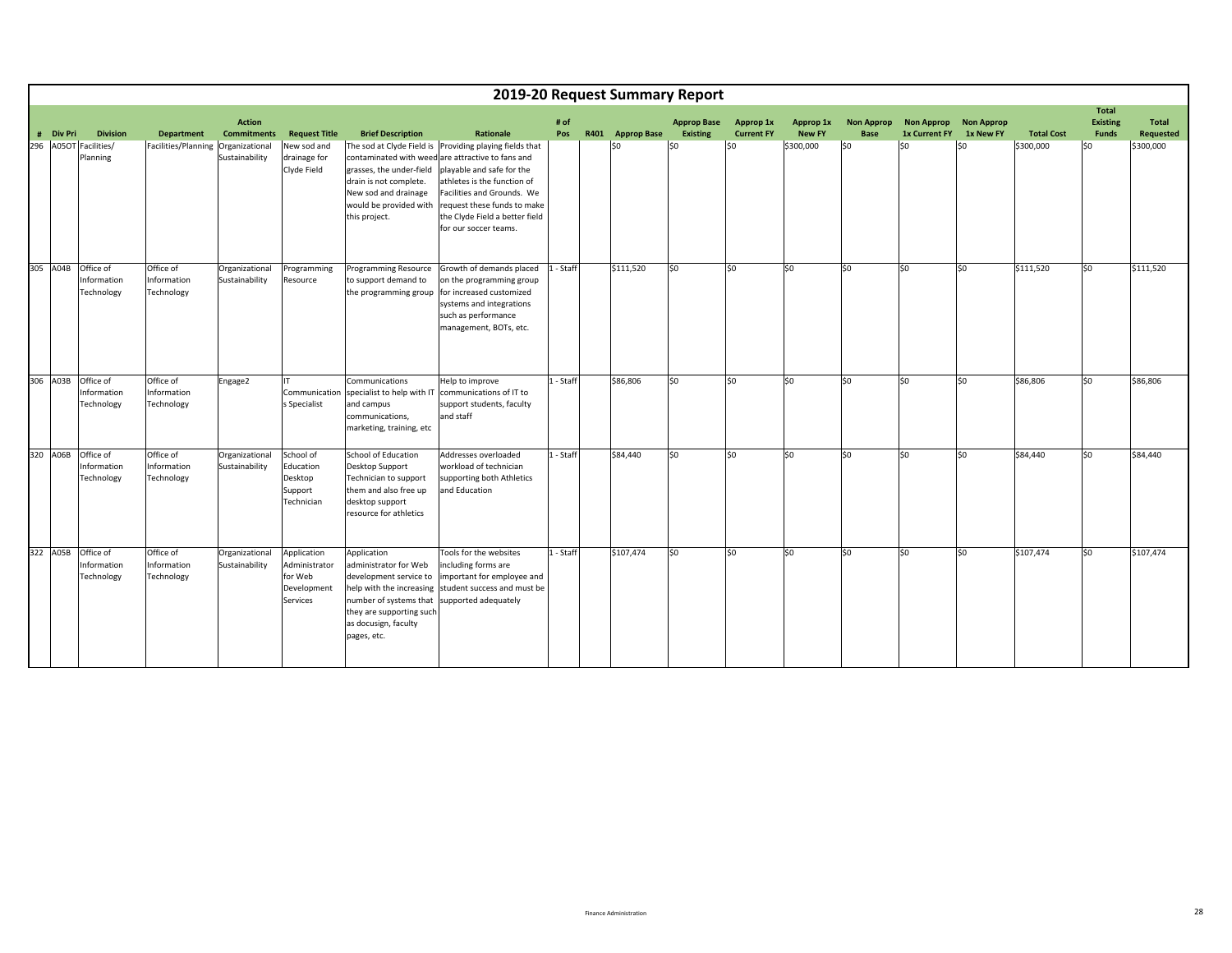|                       |                                        |                                        |                                     |                                                                           |                                                                                                                                                                                         |                                                                                                                                                                                                                                                 |             |      |                    | 2019-20 Request Summary Report        |                                |                            |                                  |                                           |                                |                   |                                          |                    |
|-----------------------|----------------------------------------|----------------------------------------|-------------------------------------|---------------------------------------------------------------------------|-----------------------------------------------------------------------------------------------------------------------------------------------------------------------------------------|-------------------------------------------------------------------------------------------------------------------------------------------------------------------------------------------------------------------------------------------------|-------------|------|--------------------|---------------------------------------|--------------------------------|----------------------------|----------------------------------|-------------------------------------------|--------------------------------|-------------------|------------------------------------------|--------------------|
| # Div Pri             | <b>Division</b>                        | <b>Department</b>                      | <b>Action</b><br><b>Commitments</b> | <b>Request Title</b>                                                      | <b>Brief Description</b>                                                                                                                                                                | <b>Rationale</b>                                                                                                                                                                                                                                | # of<br>Pos | R401 | <b>Approp Base</b> | <b>Approp Base</b><br><b>Existing</b> | Approp 1x<br><b>Current FY</b> | Approp 1x<br><b>New FY</b> | <b>Non Approp</b><br><b>Base</b> | <b>Non Approp</b><br><b>1x Current FY</b> | <b>Non Approp</b><br>1x New FY | <b>Total Cost</b> | <b>Total</b><br><b>Existing</b><br>Funds | Total<br>Requested |
| 296 A05OT Facilities/ | Planning                               | Facilities/Planning Organizational     | Sustainability                      | New sod and<br>drainage for<br>Clyde Field                                | The sod at Clyde Field is<br>contaminated with weed<br>grasses, the under-field<br>drain is not complete.<br>New sod and drainage<br>would be provided with<br>this project.            | Providing playing fields that<br>are attractive to fans and<br>playable and safe for the<br>athletes is the function of<br>Facilities and Grounds. We<br>request these funds to make<br>the Clyde Field a better field<br>for our soccer teams. |             |      | \$0                | lso                                   | \$0                            | \$300,000                  | \$0                              | \$0                                       | \$0                            | \$300,000         | lso                                      | \$300,000          |
| 305 A04B              | Office of<br>Information<br>Technology | Office of<br>Information<br>Technology | Organizational<br>Sustainability    | Programming<br>Resource                                                   | Programming Resource<br>to support demand to<br>the programming group                                                                                                                   | Growth of demands placed<br>on the programming group<br>for increased customized<br>systems and integrations<br>such as performance<br>management, BOTs, etc.                                                                                   | 1 - Staff   |      | \$111,520          | 50                                    | \$0                            | \$0                        | \$0                              | \$0                                       | \$0                            | \$111,520         | lso                                      | \$111,520          |
| 306 A03B              | Office of<br>Information<br>Technology | Office of<br>Information<br>Technology | Engage2                             | IT<br>Communication<br>s Specialist                                       | Communications<br>specialist to help with IT<br>and campus<br>communications,<br>marketing, training, etc                                                                               | Help to improve<br>communications of IT to<br>support students, faculty<br>and staff                                                                                                                                                            | 1 - Staff   |      | \$86,806           | lso                                   | \$0                            | \$0                        | \$0                              | \$0                                       | \$0                            | \$86,806          | S <sub>0</sub>                           | \$86,806           |
| 320 A06B              | Office of<br>Information<br>Technology | Office of<br>Information<br>Technology | Organizational<br>Sustainability    | School of<br>Education<br>Desktop<br>Support<br>Technician                | <b>School of Education</b><br>Desktop Support<br>Technician to support<br>them and also free up<br>desktop support<br>resource for athletics                                            | Addresses overloaded<br>workload of technician<br>supporting both Athletics<br>and Education                                                                                                                                                    | 1 - Staff   |      | \$84,440           | l\$0                                  | \$0                            | \$0                        | \$0                              | \$0                                       | \$0                            | \$84,440          | \$0                                      | \$84,440           |
| 322 A05B              | Office of<br>Information<br>Technology | Office of<br>Information<br>Technology | Organizational<br>Sustainability    | Application<br>Administrator<br>for Web<br>Development<br><b>Services</b> | Application<br>administrator for Web<br>development service to<br>help with the increasing<br>number of systems that<br>they are supporting such<br>as docusign, faculty<br>pages, etc. | Tools for the websites<br>including forms are<br>mportant for employee and<br>student success and must be<br>supported adequately                                                                                                               | 1 - Staff   |      | \$107,474          | lso                                   | \$0                            | \$0                        | so                               | lso                                       | lso                            | \$107,474         | lso                                      | \$107,474          |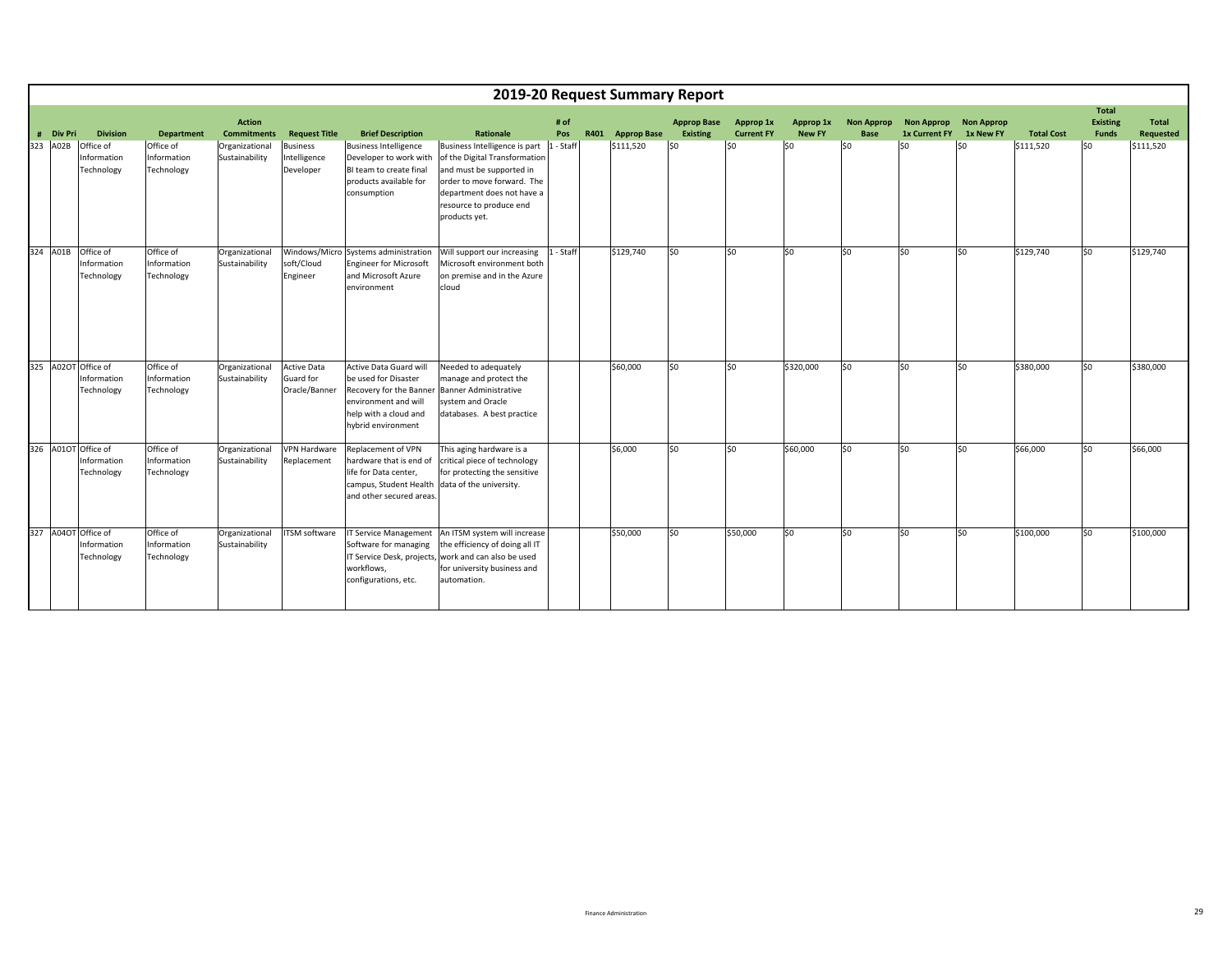|                     |                                        |                                        |                                     |                                                  |                                                                                                                                                  |                                                                                                                                                                                                    |             |      |                    | 2019-20 Request Summary Report        |                                |                            |                                  |                                           |                                |                   |                                          |                           |
|---------------------|----------------------------------------|----------------------------------------|-------------------------------------|--------------------------------------------------|--------------------------------------------------------------------------------------------------------------------------------------------------|----------------------------------------------------------------------------------------------------------------------------------------------------------------------------------------------------|-------------|------|--------------------|---------------------------------------|--------------------------------|----------------------------|----------------------------------|-------------------------------------------|--------------------------------|-------------------|------------------------------------------|---------------------------|
| # Div Pri           | <b>Division</b>                        | <b>Department</b>                      | <b>Action</b><br><b>Commitments</b> | <b>Request Title</b>                             | <b>Brief Description</b>                                                                                                                         | <b>Rationale</b>                                                                                                                                                                                   | # of<br>Pos | R401 | <b>Approp Base</b> | <b>Approp Base</b><br><b>Existing</b> | Approp 1x<br><b>Current FY</b> | Approp 1x<br><b>New FY</b> | <b>Non Approp</b><br><b>Base</b> | <b>Non Approp</b><br><b>1x Current FY</b> | <b>Non Approp</b><br>1x New FY | <b>Total Cost</b> | <b>Total</b><br><b>Existing</b><br>Funds | Total<br><b>Requested</b> |
| 323 A02B            | Office of<br>Information<br>Technology | Office of<br>Information<br>Technology | Organizational<br>Sustainability    | <b>Business</b><br>Intelligence<br>Developer     | <b>Business Intelligence</b><br>Developer to work with<br>BI team to create final<br>products available for<br>consumption                       | Business Intelligence is part<br>of the Digital Transformation<br>and must be supported in<br>order to move forward. The<br>department does not have a<br>resource to produce end<br>products yet. | 1 - Staff   |      | \$111,520          | 50                                    | S <sub>0</sub>                 | S <sub>0</sub>             | \$0                              | lso                                       | \$0                            | \$111,520         | lso                                      | \$111,520                 |
| 324 A01B            | Office of<br>Information<br>Technology | Office of<br>Information<br>Technology | Organizational<br>Sustainability    | soft/Cloud<br>Engineer                           | Windows/Micro Systems administration<br><b>Engineer for Microsoft</b><br>and Microsoft Azure<br>environment                                      | Will support our increasing<br>Microsoft environment both<br>on premise and in the Azure<br>cloud                                                                                                  | 1 - Staff   |      | \$129,740          | lso                                   | SO.                            | \$0                        | \$0                              | \$0                                       | \$0                            | \$129,740         | lso                                      | \$129,740                 |
| 325 A02OT Office of | Information<br>Technology              | Office of<br>Information<br>Technology | Organizational<br>Sustainability    | <b>Active Data</b><br>Guard for<br>Oracle/Banner | Active Data Guard will<br>be used for Disaster<br>Recovery for the Banner<br>environment and will<br>help with a cloud and<br>hybrid environment | Needed to adequately<br>manage and protect the<br><b>Banner Administrative</b><br>system and Oracle<br>databases. A best practice                                                                  |             |      | \$60,000           | lso                                   | \$0                            | \$320,000                  | S <sub>0</sub>                   | \$0                                       | \$0                            | \$380,000         | \$0                                      | \$380,000                 |
| 326 A01OT Office of | Information<br>Technology              | Office of<br>Information<br>Technology | Organizational<br>Sustainability    | <b>VPN Hardware</b><br>Replacement               | Replacement of VPN<br>hardware that is end of<br>life for Data center,<br>campus, Student Health<br>and other secured areas.                     | This aging hardware is a<br>critical piece of technology<br>for protecting the sensitive<br>data of the university.                                                                                |             |      | \$6,000            | lso                                   | \$0                            | \$60,000                   | lso.                             | \$0                                       | lso                            | \$66,000          | 50                                       | \$66,000                  |
| 327 A04OT Office of | Information<br>Technology              | Office of<br>Information<br>Technology | Organizational<br>Sustainability    | ITSM software                                    | <b>IT Service Management</b><br>Software for managing<br>IT Service Desk, projects<br>workflows,<br>configurations, etc.                         | An ITSM system will increase<br>the efficiency of doing all IT<br>work and can also be used<br>for university business and<br>automation.                                                          |             |      | \$50,000           | lso                                   | \$50,000                       | \$0                        | S <sub>0</sub>                   | \$0                                       | \$0                            | \$100,000         | lso                                      | \$100,000                 |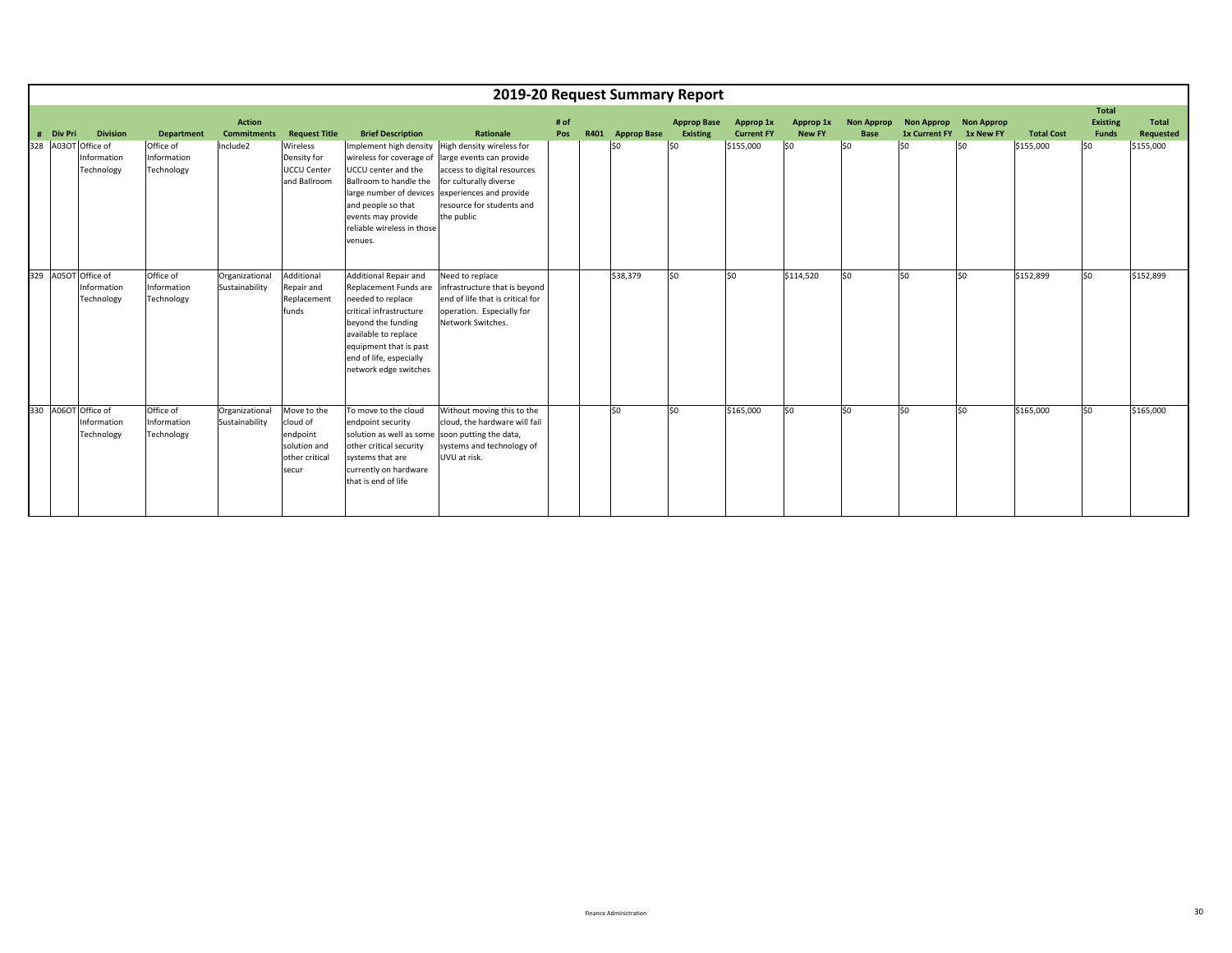|       |                |                                              |                                        |                                     |                                                                                |                                                                                                                                                                                                                                                                                                | 2019-20 Request Summary Report                                                                                                         |             |                  |                                       |                                |                     |                                  |                                               |           |                   |                                          |                    |
|-------|----------------|----------------------------------------------|----------------------------------------|-------------------------------------|--------------------------------------------------------------------------------|------------------------------------------------------------------------------------------------------------------------------------------------------------------------------------------------------------------------------------------------------------------------------------------------|----------------------------------------------------------------------------------------------------------------------------------------|-------------|------------------|---------------------------------------|--------------------------------|---------------------|----------------------------------|-----------------------------------------------|-----------|-------------------|------------------------------------------|--------------------|
| $\pm$ | <b>Div Pri</b> | <b>Division</b>                              | <b>Department</b>                      | <b>Action</b><br><b>Commitments</b> | <b>Request Title</b>                                                           | <b>Brief Description</b>                                                                                                                                                                                                                                                                       | Rationale                                                                                                                              | # of<br>Pos | R401 Approp Base | <b>Approp Base</b><br><b>Existing</b> | Approp 1x<br><b>Current FY</b> | Approp 1x<br>New FY | <b>Non Approp</b><br><b>Base</b> | Non Approp Non Approp<br><b>1x Current FY</b> | 1x New FY | <b>Total Cost</b> | Total<br><b>Existing</b><br><b>Funds</b> | Total<br>Requested |
| 328   |                | A03OT Office of<br>Information<br>Technology | Office of<br>Information<br>Technology | Include2                            | Wireless<br>Density for<br><b>UCCU Center</b><br>and Ballroom                  | Implement high density High density wireless for<br>wireless for coverage of large events can provide<br>UCCU center and the<br>Ballroom to handle the<br>large number of devices experiences and provide<br>and people so that<br>events may provide<br>reliable wireless in those<br>venues. | access to digital resources<br>for culturally diverse<br>resource for students and<br>the public                                       |             | \$0              | SO.                                   | \$155,000                      | 50                  | \$0                              | 50                                            | \$0       | \$155,000         | \$0                                      | \$155,000          |
| 329   |                | A05OT Office of<br>Information<br>Technology | Office of<br>Information<br>Technology | Organizational<br>Sustainability    | Additional<br>Repair and<br>Replacement<br>funds                               | Additional Repair and<br>Replacement Funds are<br>needed to replace<br>critical infrastructure<br>beyond the funding<br>available to replace<br>equipment that is past<br>end of life, especially<br>network edge switches                                                                     | Need to replace<br>infrastructure that is beyond<br>end of life that is critical for<br>operation. Especially for<br>Network Switches. |             | \$38,379         | S <sub>0</sub>                        | \$0                            | \$114,520           | \$0                              | \$0                                           | \$0       | \$152,899         | \$0                                      | \$152,899          |
| 330   |                | A06OT Office of<br>Information<br>Technology | Office of<br>Information<br>Technology | Organizational<br>Sustainability    | Move to the<br>cloud of<br>endpoint<br>solution and<br>other critical<br>secur | To move to the cloud<br>endpoint security<br>solution as well as some soon putting the data,<br>other critical security<br>systems that are<br>currently on hardware<br>that is end of life                                                                                                    | Without moving this to the<br>cloud, the hardware will fail<br>systems and technology of<br>UVU at risk.                               |             | \$0              | S <sub>0</sub>                        | \$165,000                      | lso                 | \$0                              | \$0                                           | \$0       | \$165,000         | \$0                                      | \$165,000          |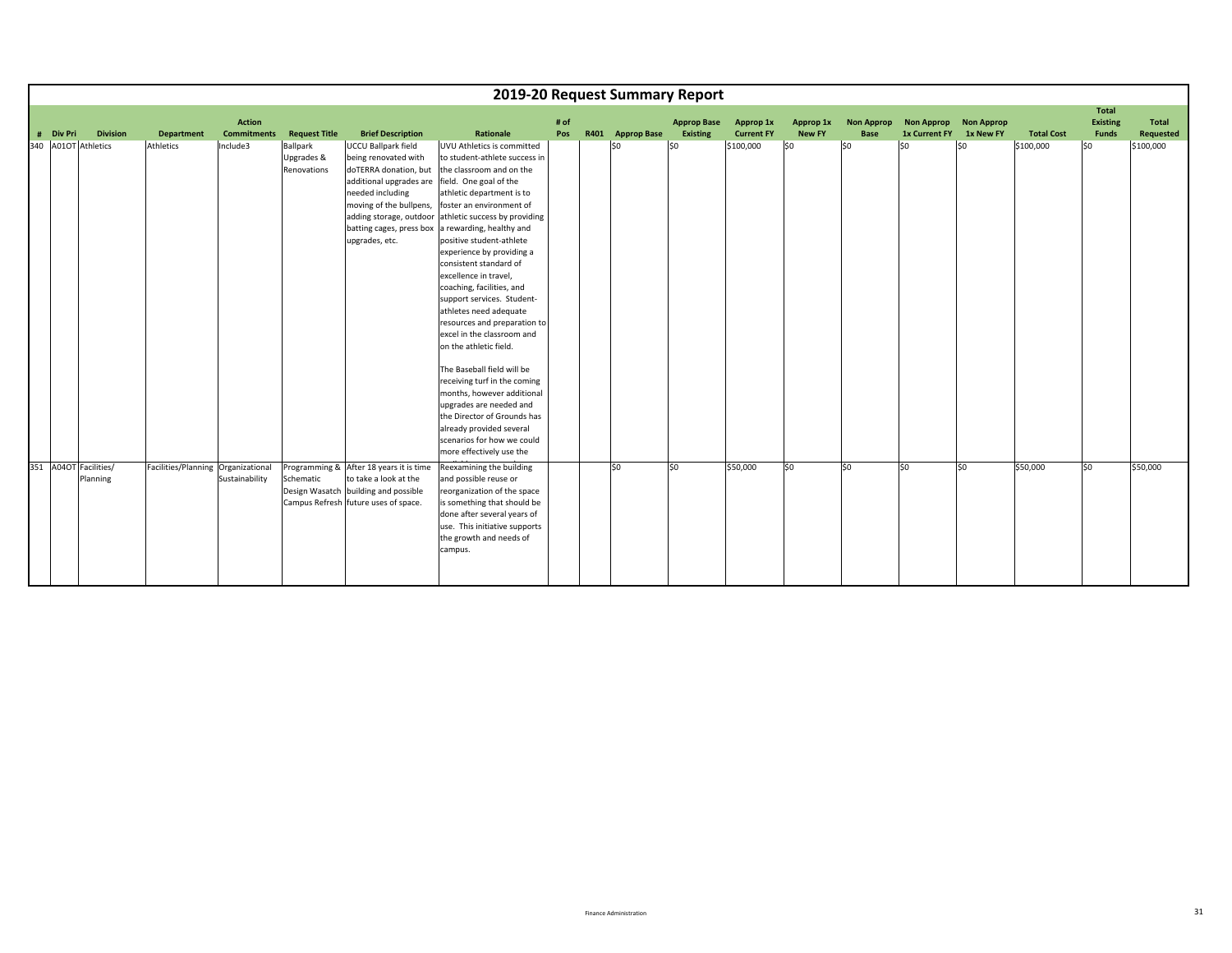|           |                                   |                                    |                    |                                       |                                                                                                                                                                                                                                | 2019-20 Request Summary Report                                                                                                                                                                                                                                                                                                                                                                                                                                                                                                                                                                                                                                                                                                                   |      |                  |                    |                   |               |                   |                         |     |                   |                          |                  |
|-----------|-----------------------------------|------------------------------------|--------------------|---------------------------------------|--------------------------------------------------------------------------------------------------------------------------------------------------------------------------------------------------------------------------------|--------------------------------------------------------------------------------------------------------------------------------------------------------------------------------------------------------------------------------------------------------------------------------------------------------------------------------------------------------------------------------------------------------------------------------------------------------------------------------------------------------------------------------------------------------------------------------------------------------------------------------------------------------------------------------------------------------------------------------------------------|------|------------------|--------------------|-------------------|---------------|-------------------|-------------------------|-----|-------------------|--------------------------|------------------|
|           |                                   |                                    | <b>Action</b>      |                                       |                                                                                                                                                                                                                                |                                                                                                                                                                                                                                                                                                                                                                                                                                                                                                                                                                                                                                                                                                                                                  | # of |                  | <b>Approp Base</b> | Approp 1x         | Approp 1x     | <b>Non Approp</b> | Non Approp Non Approp   |     |                   | Total<br><b>Existing</b> | Total            |
| # Div Pri | <b>Division</b>                   | <b>Department</b>                  | <b>Commitments</b> | <b>Request Title</b>                  | <b>Brief Description</b>                                                                                                                                                                                                       | Rationale                                                                                                                                                                                                                                                                                                                                                                                                                                                                                                                                                                                                                                                                                                                                        | Pos  | R401 Approp Base | Existing           | <b>Current FY</b> | <b>New FY</b> | <b>Base</b>       | 1x Current FY 1x New FY |     | <b>Total Cost</b> | <b>Funds</b>             | <b>Requested</b> |
|           | 340 A01OT Athletics               | Athletics                          | Include3           | Ballpark<br>Upgrades &<br>Renovations | <b>UCCU Ballpark field</b><br>being renovated with<br>doTERRA donation, but<br>additional upgrades are<br>needed including<br>moving of the bullpens,<br>adding storage, outdoor<br>batting cages, press box<br>upgrades, etc. | UVU Athletics is committed<br>to student-athlete success in<br>the classroom and on the<br>field. One goal of the<br>athletic department is to<br>foster an environment of<br>athletic success by providing<br>a rewarding, healthy and<br>positive student-athlete<br>experience by providing a<br>consistent standard of<br>excellence in travel,<br>coaching, facilities, and<br>support services. Student-<br>athletes need adequate<br>resources and preparation to<br>excel in the classroom and<br>on the athletic field.<br>The Baseball field will be<br>receiving turf in the coming<br>months, however additional<br>upgrades are needed and<br>the Director of Grounds has<br>already provided several<br>scenarios for how we could |      | lso              | \$0                | \$100,000         | \$0           | $\mathsf{S}$      | lso                     | lso | \$100,000         | lso                      | \$100,000        |
|           |                                   |                                    |                    |                                       |                                                                                                                                                                                                                                | more effectively use the                                                                                                                                                                                                                                                                                                                                                                                                                                                                                                                                                                                                                                                                                                                         |      |                  |                    |                   |               |                   |                         |     |                   |                          |                  |
|           | 351 A04OT Facilities/<br>Planning | Facilities/Planning Organizational | Sustainability     | Schematic                             | Programming & After 18 years it is time<br>to take a look at the<br>Design Wasatch building and possible<br>Campus Refresh future uses of space.                                                                               | Reexamining the building<br>and possible reuse or<br>reorganization of the space<br>is something that should be<br>done after several years of<br>use. This initiative supports<br>the growth and needs of<br>campus.                                                                                                                                                                                                                                                                                                                                                                                                                                                                                                                            |      | lso              | \$0                | \$50,000          | \$0           | lso.              | lso                     | lso | \$50,000          | lso.                     | \$50,000         |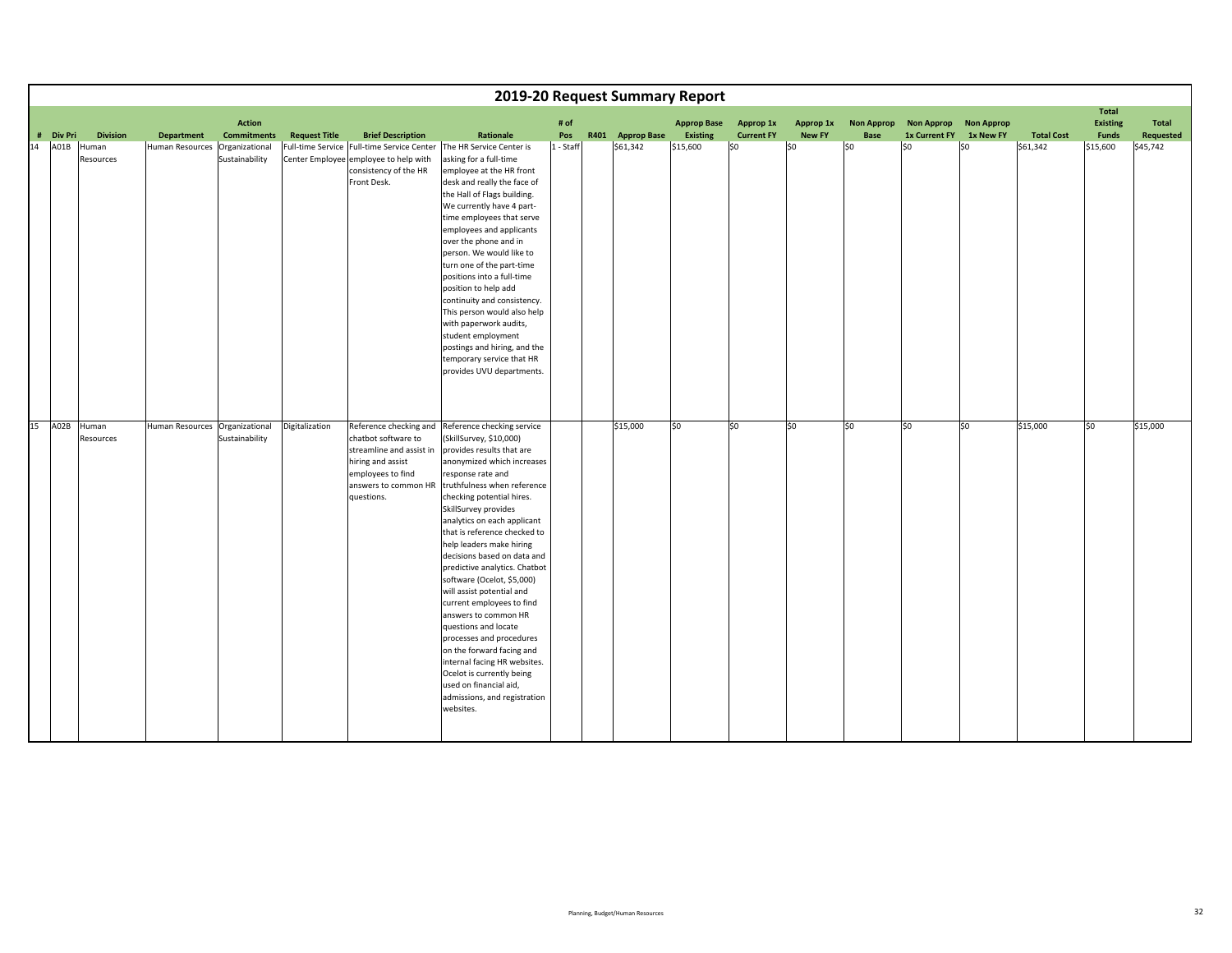|    |           |                    |                                |                                     |                      |                                                                                                                                                           |                                                                                                                                                                                                                                                                                                                                                                                                                                                                                                                                                                                                                                                                                                                           |             | 2019-20 Request Summary Report |                                |                                |                            |                           |                                           |                                |                   |                                                 |                    |
|----|-----------|--------------------|--------------------------------|-------------------------------------|----------------------|-----------------------------------------------------------------------------------------------------------------------------------------------------------|---------------------------------------------------------------------------------------------------------------------------------------------------------------------------------------------------------------------------------------------------------------------------------------------------------------------------------------------------------------------------------------------------------------------------------------------------------------------------------------------------------------------------------------------------------------------------------------------------------------------------------------------------------------------------------------------------------------------------|-------------|--------------------------------|--------------------------------|--------------------------------|----------------------------|---------------------------|-------------------------------------------|--------------------------------|-------------------|-------------------------------------------------|--------------------|
|    | # Div Pri | <b>Division</b>    | <b>Department</b>              | <b>Action</b><br><b>Commitments</b> | <b>Request Title</b> | <b>Brief Description</b>                                                                                                                                  | Rationale                                                                                                                                                                                                                                                                                                                                                                                                                                                                                                                                                                                                                                                                                                                 | # of<br>Pos | R401 Approp Base               | <b>Approp Base</b><br>Existing | Approp 1x<br><b>Current FY</b> | Approp 1x<br><b>New FY</b> | <b>Non Approp</b><br>Base | <b>Non Approp</b><br><b>1x Current FY</b> | <b>Non Approp</b><br>1x New FY | <b>Total Cost</b> | <b>Total</b><br><b>Existing</b><br><b>Funds</b> | Total<br>Requested |
| 14 | A01B      | Human<br>Resources | Human Resources                | Organizational<br>Sustainability    |                      | Full-time Service Full-time Service Center<br>Center Employee employee to help with<br>consistency of the HR<br>Front Desk.                               | The HR Service Center is<br>asking for a full-time<br>employee at the HR front<br>desk and really the face of<br>the Hall of Flags building.<br>We currently have 4 part-<br>time employees that serve<br>employees and applicants<br>over the phone and in<br>person. We would like to<br>turn one of the part-time<br>positions into a full-time<br>position to help add<br>continuity and consistency.<br>This person would also help<br>with paperwork audits,<br>student employment<br>postings and hiring, and the<br>temporary service that HR<br>provides UVU departments.                                                                                                                                        | 1 - Staff   | \$61,342                       | \$15,600                       | \$0                            | \$0                        | lso                       | SO.                                       | l\$0                           | \$61,342          | \$15,600                                        | \$45,742           |
| 15 | A02B      | Human<br>Resources | Human Resources Organizational | Sustainability                      | Digitalization       | Reference checking and<br>chatbot software to<br>streamline and assist in<br>hiring and assist<br>employees to find<br>answers to common HR<br>questions. | Reference checking service<br>(SkillSurvey, \$10,000)<br>provides results that are<br>anonymized which increases<br>response rate and<br>truthfulness when reference<br>checking potential hires.<br>SkillSurvey provides<br>analytics on each applicant<br>that is reference checked to<br>help leaders make hiring<br>decisions based on data and<br>predictive analytics. Chatbot<br>software (Ocelot, \$5,000)<br>will assist potential and<br>current employees to find<br>answers to common HR<br>questions and locate<br>processes and procedures<br>on the forward facing and<br>internal facing HR websites.<br>Ocelot is currently being<br>used on financial aid,<br>admissions, and registration<br>websites. |             | \$15,000                       | $\overline{50}$                | $\overline{\text{so}}$         | \$0                        | 50                        | 50                                        | 50                             | \$15,000          | 50                                              | \$15,000           |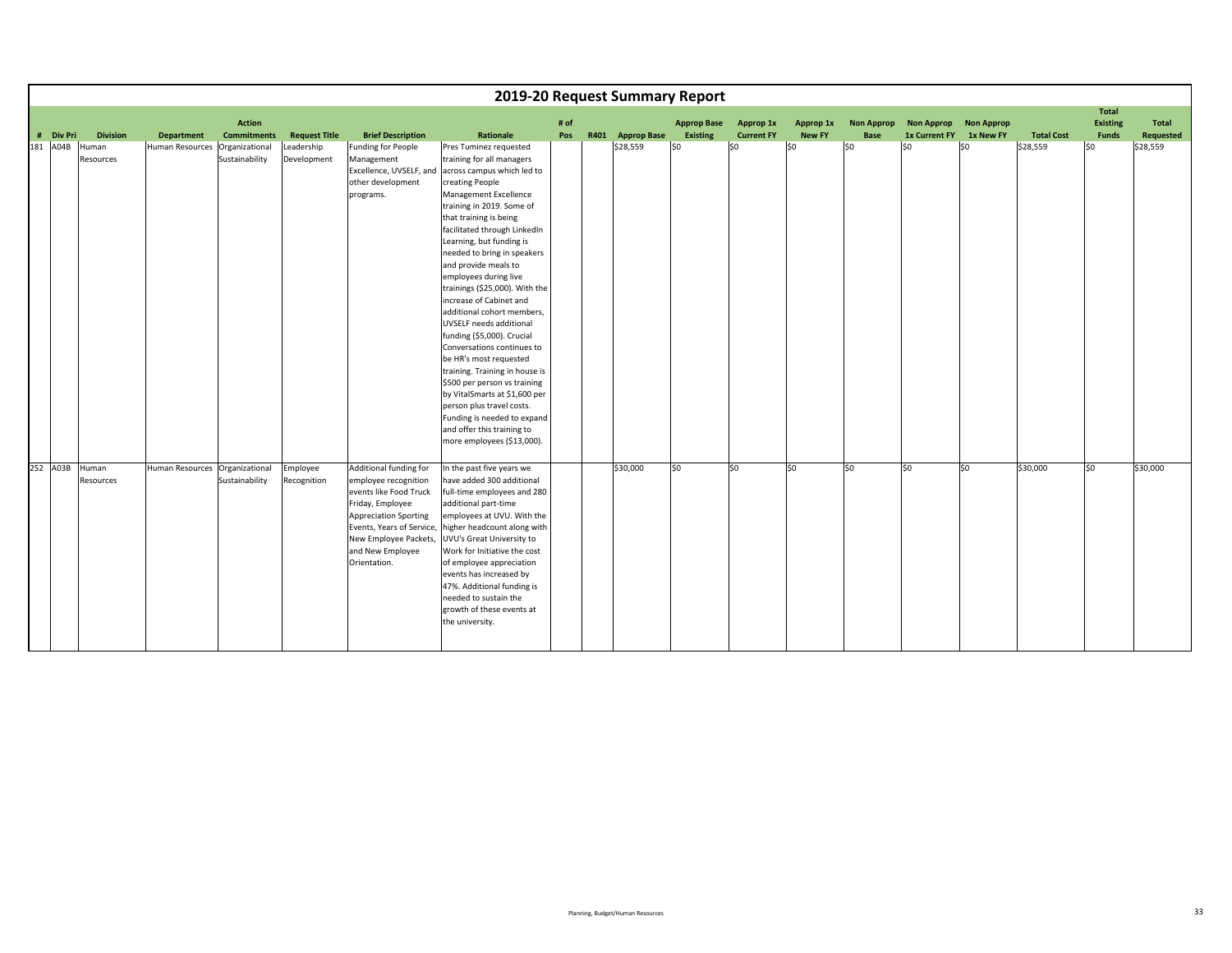|           |                 |                   |                    |                      |                              | 2019-20 Request Summary Report                           |      |                  |                    |                   |               |                   |                   |                   |                   |                                 |              |
|-----------|-----------------|-------------------|--------------------|----------------------|------------------------------|----------------------------------------------------------|------|------------------|--------------------|-------------------|---------------|-------------------|-------------------|-------------------|-------------------|---------------------------------|--------------|
|           |                 |                   | <b>Action</b>      |                      |                              |                                                          | # of |                  | <b>Approp Base</b> | Approp 1x         | Approp 1x     | <b>Non Approp</b> | <b>Non Approp</b> | <b>Non Approp</b> |                   | <b>Total</b><br><b>Existing</b> | <b>Total</b> |
| # Div Pri | <b>Division</b> | <b>Department</b> | <b>Commitments</b> | <b>Request Title</b> | <b>Brief Description</b>     | Rationale                                                | Pos  | R401 Approp Base | Existing           | <b>Current FY</b> | <b>New FY</b> | Base              | 1x Current FY     | 1x New FY         | <b>Total Cost</b> | Funds                           | Requested    |
| 181 A04B  | Human           | Human Resources   | Organizational     | Leadership           | <b>Funding for People</b>    | Pres Tuminez requested                                   |      | \$28,559         | lso                | lso               | lso           | SO.               | lso               | lso               | \$28,559          | lso                             | \$28,559     |
|           | Resources       |                   | Sustainability     | Development          | Management                   | training for all managers                                |      |                  |                    |                   |               |                   |                   |                   |                   |                                 |              |
|           |                 |                   |                    |                      | Excellence, UVSELF, and      | across campus which led to                               |      |                  |                    |                   |               |                   |                   |                   |                   |                                 |              |
|           |                 |                   |                    |                      | other development            | creating People                                          |      |                  |                    |                   |               |                   |                   |                   |                   |                                 |              |
|           |                 |                   |                    |                      | programs.                    | Management Excellence<br>training in 2019. Some of       |      |                  |                    |                   |               |                   |                   |                   |                   |                                 |              |
|           |                 |                   |                    |                      |                              | that training is being                                   |      |                  |                    |                   |               |                   |                   |                   |                   |                                 |              |
|           |                 |                   |                    |                      |                              | facilitated through LinkedIn                             |      |                  |                    |                   |               |                   |                   |                   |                   |                                 |              |
|           |                 |                   |                    |                      |                              | Learning, but funding is                                 |      |                  |                    |                   |               |                   |                   |                   |                   |                                 |              |
|           |                 |                   |                    |                      |                              | needed to bring in speakers                              |      |                  |                    |                   |               |                   |                   |                   |                   |                                 |              |
|           |                 |                   |                    |                      |                              | and provide meals to                                     |      |                  |                    |                   |               |                   |                   |                   |                   |                                 |              |
|           |                 |                   |                    |                      |                              | employees during live                                    |      |                  |                    |                   |               |                   |                   |                   |                   |                                 |              |
|           |                 |                   |                    |                      |                              | trainings (\$25,000). With the                           |      |                  |                    |                   |               |                   |                   |                   |                   |                                 |              |
|           |                 |                   |                    |                      |                              | increase of Cabinet and                                  |      |                  |                    |                   |               |                   |                   |                   |                   |                                 |              |
|           |                 |                   |                    |                      |                              | additional cohort members,                               |      |                  |                    |                   |               |                   |                   |                   |                   |                                 |              |
|           |                 |                   |                    |                      |                              | UVSELF needs additional                                  |      |                  |                    |                   |               |                   |                   |                   |                   |                                 |              |
|           |                 |                   |                    |                      |                              | funding (\$5,000). Crucial<br>Conversations continues to |      |                  |                    |                   |               |                   |                   |                   |                   |                                 |              |
|           |                 |                   |                    |                      |                              | be HR's most requested                                   |      |                  |                    |                   |               |                   |                   |                   |                   |                                 |              |
|           |                 |                   |                    |                      |                              | training. Training in house is                           |      |                  |                    |                   |               |                   |                   |                   |                   |                                 |              |
|           |                 |                   |                    |                      |                              | \$500 per person vs training                             |      |                  |                    |                   |               |                   |                   |                   |                   |                                 |              |
|           |                 |                   |                    |                      |                              | by VitalSmarts at \$1,600 per                            |      |                  |                    |                   |               |                   |                   |                   |                   |                                 |              |
|           |                 |                   |                    |                      |                              | person plus travel costs.                                |      |                  |                    |                   |               |                   |                   |                   |                   |                                 |              |
|           |                 |                   |                    |                      |                              | Funding is needed to expand                              |      |                  |                    |                   |               |                   |                   |                   |                   |                                 |              |
|           |                 |                   |                    |                      |                              | and offer this training to                               |      |                  |                    |                   |               |                   |                   |                   |                   |                                 |              |
|           |                 |                   |                    |                      |                              | more employees (\$13,000).                               |      |                  |                    |                   |               |                   |                   |                   |                   |                                 |              |
| 252 A03B  | Human           | Human Resources   | Organizational     | Employee             | Additional funding for       | In the past five years we                                |      | \$30,000         | lso                | \$0               | lso           | S <sub>0</sub>    | S <sub>0</sub>    | S <sub>0</sub>    | \$30,000          | S <sub>0</sub>                  | \$30,000     |
|           | Resources       |                   | Sustainability     | Recognition          | employee recognition         | have added 300 additional                                |      |                  |                    |                   |               |                   |                   |                   |                   |                                 |              |
|           |                 |                   |                    |                      | events like Food Truck       | full-time employees and 280                              |      |                  |                    |                   |               |                   |                   |                   |                   |                                 |              |
|           |                 |                   |                    |                      | Friday, Employee             | additional part-time                                     |      |                  |                    |                   |               |                   |                   |                   |                   |                                 |              |
|           |                 |                   |                    |                      | <b>Appreciation Sporting</b> | employees at UVU. With the                               |      |                  |                    |                   |               |                   |                   |                   |                   |                                 |              |
|           |                 |                   |                    |                      | Events, Years of Service,    | higher headcount along with                              |      |                  |                    |                   |               |                   |                   |                   |                   |                                 |              |
|           |                 |                   |                    |                      | New Employee Packets,        | UVU's Great University to                                |      |                  |                    |                   |               |                   |                   |                   |                   |                                 |              |
|           |                 |                   |                    |                      | and New Employee             | Work for Initiative the cost                             |      |                  |                    |                   |               |                   |                   |                   |                   |                                 |              |
|           |                 |                   |                    |                      | Orientation.                 | of employee appreciation                                 |      |                  |                    |                   |               |                   |                   |                   |                   |                                 |              |
|           |                 |                   |                    |                      |                              | events has increased by                                  |      |                  |                    |                   |               |                   |                   |                   |                   |                                 |              |
|           |                 |                   |                    |                      |                              | 47%. Additional funding is<br>needed to sustain the      |      |                  |                    |                   |               |                   |                   |                   |                   |                                 |              |
|           |                 |                   |                    |                      |                              | growth of these events at                                |      |                  |                    |                   |               |                   |                   |                   |                   |                                 |              |
|           |                 |                   |                    |                      |                              | the university.                                          |      |                  |                    |                   |               |                   |                   |                   |                   |                                 |              |
|           |                 |                   |                    |                      |                              |                                                          |      |                  |                    |                   |               |                   |                   |                   |                   |                                 |              |
|           |                 |                   |                    |                      |                              |                                                          |      |                  |                    |                   |               |                   |                   |                   |                   |                                 |              |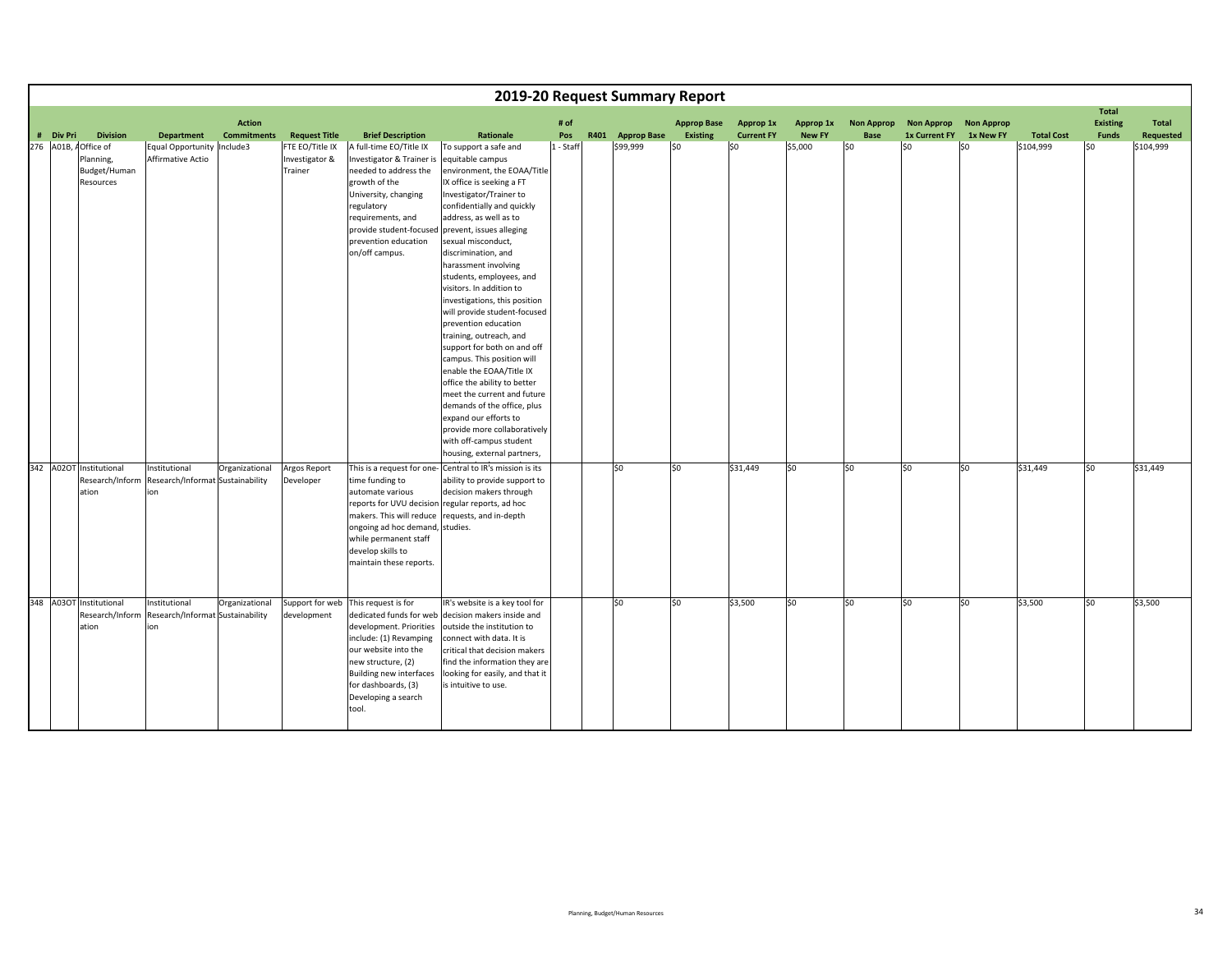|           |                                                                |                                                          |                                     |                                              |                                                                                                                                                                                                                                 |                                                                                                                                                                                                                                                                                                                                                                                                                                                                                                                                                                                                                                                                                                                                                                                 |             | 2019-20 Request Summary Report |                                       |                                |                            |                           |                                    |                                |                   |                                                 |                           |
|-----------|----------------------------------------------------------------|----------------------------------------------------------|-------------------------------------|----------------------------------------------|---------------------------------------------------------------------------------------------------------------------------------------------------------------------------------------------------------------------------------|---------------------------------------------------------------------------------------------------------------------------------------------------------------------------------------------------------------------------------------------------------------------------------------------------------------------------------------------------------------------------------------------------------------------------------------------------------------------------------------------------------------------------------------------------------------------------------------------------------------------------------------------------------------------------------------------------------------------------------------------------------------------------------|-------------|--------------------------------|---------------------------------------|--------------------------------|----------------------------|---------------------------|------------------------------------|--------------------------------|-------------------|-------------------------------------------------|---------------------------|
| # Div Pri | <b>Division</b>                                                | <b>Department</b>                                        | <b>Action</b><br><b>Commitments</b> | <b>Request Title</b>                         | <b>Brief Description</b>                                                                                                                                                                                                        | Rationale                                                                                                                                                                                                                                                                                                                                                                                                                                                                                                                                                                                                                                                                                                                                                                       | # of<br>Pos | R401 Approp Base               | <b>Approp Base</b><br><b>Existing</b> | Approp 1x<br><b>Current FY</b> | Approp 1x<br><b>New FY</b> | <b>Non Approp</b><br>Base | <b>Non Approp</b><br>1x Current FY | <b>Non Approp</b><br>1x New FY | <b>Total Cost</b> | <b>Total</b><br><b>Existing</b><br><b>Funds</b> | <b>Total</b><br>Requested |
|           | 276 A01B, AOffice of<br>Planning,<br>Budget/Human<br>Resources | Equal Opportunity Include3<br>Affirmative Actio          |                                     | FTE EO/Title IX<br>Investigator &<br>Trainer | A full-time EO/Title IX<br>Investigator & Trainer is<br>needed to address the<br>growth of the<br>University, changing<br>regulatory<br>requirements, and<br>provide student-focused<br>prevention education<br>on/off campus.  | To support a safe and<br>equitable campus<br>environment, the EOAA/Title<br>IX office is seeking a FT<br>Investigator/Trainer to<br>confidentially and quickly<br>address, as well as to<br>prevent, issues alleging<br>sexual misconduct,<br>discrimination, and<br>harassment involving<br>students, employees, and<br>visitors. In addition to<br>investigations, this position<br>will provide student-focused<br>prevention education<br>training, outreach, and<br>support for both on and off<br>campus. This position will<br>enable the EOAA/Title IX<br>office the ability to better<br>meet the current and future<br>demands of the office, plus<br>expand our efforts to<br>provide more collaboratively<br>with off-campus student<br>housing, external partners, | 1 - Staff   | \$99,999                       | \$0                                   | \$0                            | \$5,000                    | SO.                       | S <sub>0</sub>                     | S <sub>0</sub>                 | \$104,999         | lso                                             | \$104,999                 |
|           | 342 A02OT Institutional<br>Research/Inform<br>ation            | Institutional<br>Research/Informat Sustainability<br>ion | Organizational                      | Argos Report<br>Developer                    | time funding to<br>automate various<br>reports for UVU decision regular reports, ad hoc<br>makers. This will reduce<br>ongoing ad hoc demand, studies.<br>while permanent staff<br>develop skills to<br>maintain these reports. | This is a request for one- Central to IR's mission is its<br>ability to provide support to<br>decision makers through<br>requests, and in-depth                                                                                                                                                                                                                                                                                                                                                                                                                                                                                                                                                                                                                                 |             | lso                            | \$0                                   | \$31,449                       | \$0                        | SO.                       | S <sub>0</sub>                     | S <sub>0</sub>                 | \$31,449          | S <sub>0</sub>                                  | \$31,449                  |
|           | 348 A03OT Institutional<br>Research/Inform<br>ation            | Institutional<br>Research/Informat Sustainability<br>ion | Organizational                      | Support for web<br>development               | This request is for<br>development. Priorities<br>include: (1) Revamping<br>our website into the<br>new structure, (2)<br>Building new interfaces<br>for dashboards, (3)<br>Developing a search<br>tool.                        | IR's website is a key tool for<br>dedicated funds for web decision makers inside and<br>outside the institution to<br>connect with data. It is<br>critical that decision makers<br>find the information they are<br>looking for easily, and that it<br>is intuitive to use.                                                                                                                                                                                                                                                                                                                                                                                                                                                                                                     |             | lso                            | \$0                                   | \$3,500                        | so                         | \$0                       | S <sub>0</sub>                     | S <sub>0</sub>                 | \$3,500           | S <sub>0</sub>                                  | \$3,500                   |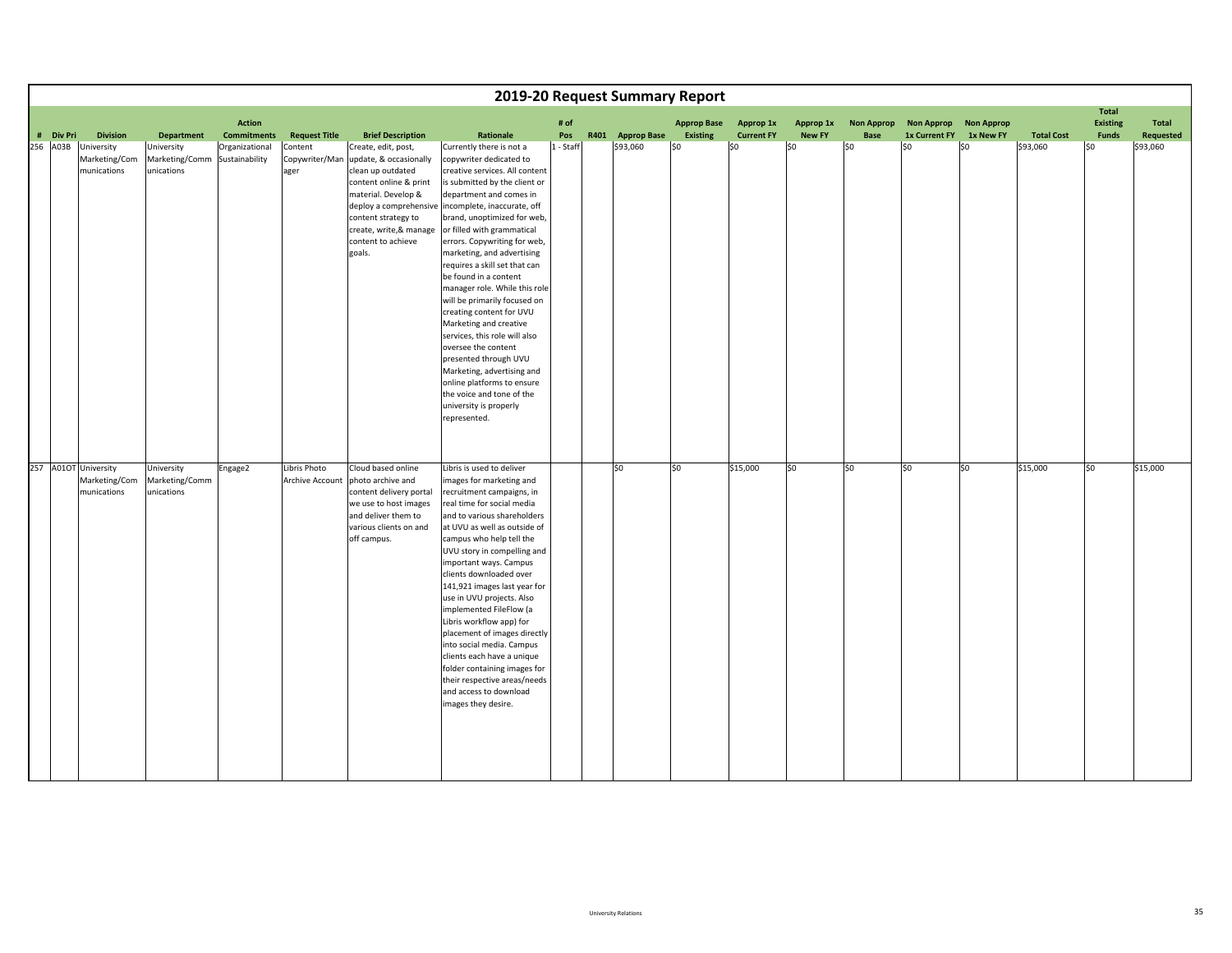|           |                                                      |                                            |                                     |                                   |                                                                                                                                                                                                       |                                                                                                                                                                                                                                                                                                                                                                                                                                                                                                                                                                                                                                                                                                                                         |             | 2019-20 Request Summary Report |                                |                                |                            |                           |                                    |                                |                   |                                          |                    |
|-----------|------------------------------------------------------|--------------------------------------------|-------------------------------------|-----------------------------------|-------------------------------------------------------------------------------------------------------------------------------------------------------------------------------------------------------|-----------------------------------------------------------------------------------------------------------------------------------------------------------------------------------------------------------------------------------------------------------------------------------------------------------------------------------------------------------------------------------------------------------------------------------------------------------------------------------------------------------------------------------------------------------------------------------------------------------------------------------------------------------------------------------------------------------------------------------------|-------------|--------------------------------|--------------------------------|--------------------------------|----------------------------|---------------------------|------------------------------------|--------------------------------|-------------------|------------------------------------------|--------------------|
| # Div Pri | <b>Division</b>                                      | <b>Department</b>                          | <b>Action</b><br><b>Commitments</b> | <b>Request Title</b>              | <b>Brief Description</b>                                                                                                                                                                              | Rationale                                                                                                                                                                                                                                                                                                                                                                                                                                                                                                                                                                                                                                                                                                                               | # of<br>Pos | R401 Approp Base               | <b>Approp Base</b><br>Existing | Approp 1x<br><b>Current FY</b> | Approp 1x<br><b>New FY</b> | <b>Non Approp</b><br>Base | <b>Non Approp</b><br>1x Current FY | <b>Non Approp</b><br>1x New FY | <b>Total Cost</b> | <b>Total</b><br><b>Existing</b><br>Funds | Total<br>Requested |
| 256 A03B  | University<br>Marketing/Com<br>munications           | University<br>Marketing/Comm<br>unications | Organizational<br>Sustainability    | Content<br>Copywriter/Man<br>ager | Create, edit, post,<br>update, & occasionally<br>clean up outdated<br>content online & print<br>material. Develop &<br>content strategy to<br>create, write, & manage<br>content to achieve<br>goals. | Currently there is not a<br>copywriter dedicated to<br>creative services. All content<br>is submitted by the client or<br>department and comes in<br>deploy a comprehensive incomplete, inaccurate, off<br>brand, unoptimized for web,<br>or filled with grammatical<br>errors. Copywriting for web,<br>marketing, and advertising<br>requires a skill set that can<br>be found in a content<br>manager role. While this role<br>will be primarily focused on<br>creating content for UVU<br>Marketing and creative<br>services, this role will also<br>oversee the content<br>presented through UVU<br>Marketing, advertising and<br>online platforms to ensure<br>the voice and tone of the<br>university is properly<br>represented. | 1 - Staff   | \$93,060                       | \$0                            | \$0                            | S <sub>0</sub>             | \$0                       | \$0                                | \$0                            | \$93,060          | \$0                                      | \$93,060           |
|           | 257 A01OT University<br>Marketing/Com<br>munications | University<br>Marketing/Comm<br>unications | Engage2                             | Libris Photo<br>Archive Account   | Cloud based online<br>photo archive and<br>content delivery portal<br>we use to host images<br>and deliver them to<br>various clients on and<br>off campus.                                           | Libris is used to deliver<br>images for marketing and<br>recruitment campaigns, in<br>real time for social media<br>and to various shareholders<br>at UVU as well as outside of<br>campus who help tell the<br>UVU story in compelling and<br>important ways. Campus<br>clients downloaded over<br>141,921 images last year for<br>use in UVU projects. Also<br>implemented FileFlow (a<br>Libris workflow app) for<br>placement of images directly<br>into social media. Campus<br>clients each have a unique<br>folder containing images for<br>their respective areas/needs<br>and access to download<br>images they desire.                                                                                                         |             | \$0                            | \$0                            | \$15,000                       | \$0                        | \$0                       | lso                                | \$0                            | \$15,000          | \$0                                      | \$15,000           |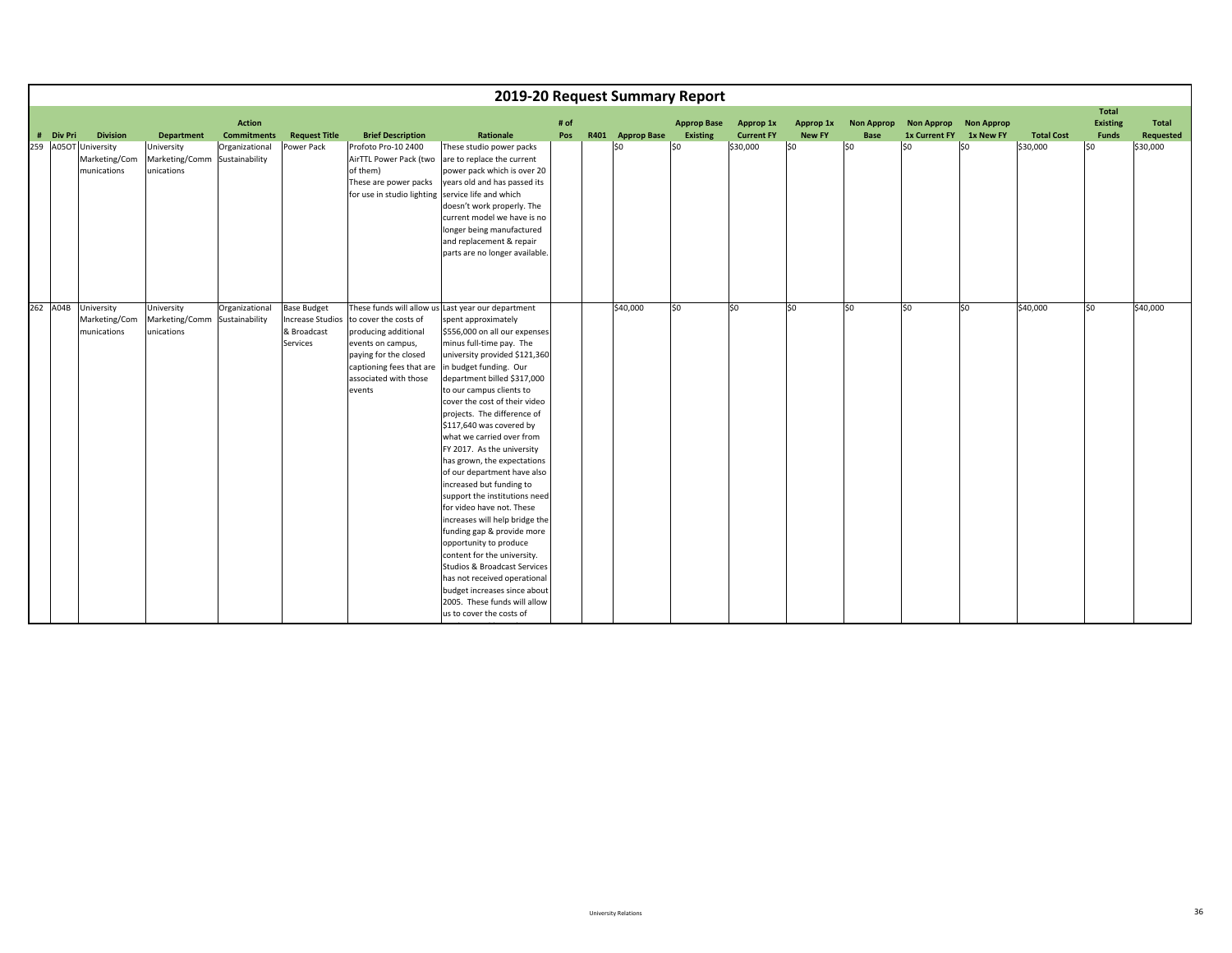|          |           |                                                                         |                                                                                |                                                       |                                                                                 |                                                                                                                                                            | 2019-20 Request Summary Report                                                                                                                                                                                                                                                                                                                                                                                                                                                                                                                                                                                                                                                                                                                                                                                                                                              |             |                         |                                       |                                            |                                   |                                         |                                                                 |                  |                               |                                                  |                                       |
|----------|-----------|-------------------------------------------------------------------------|--------------------------------------------------------------------------------|-------------------------------------------------------|---------------------------------------------------------------------------------|------------------------------------------------------------------------------------------------------------------------------------------------------------|-----------------------------------------------------------------------------------------------------------------------------------------------------------------------------------------------------------------------------------------------------------------------------------------------------------------------------------------------------------------------------------------------------------------------------------------------------------------------------------------------------------------------------------------------------------------------------------------------------------------------------------------------------------------------------------------------------------------------------------------------------------------------------------------------------------------------------------------------------------------------------|-------------|-------------------------|---------------------------------------|--------------------------------------------|-----------------------------------|-----------------------------------------|-----------------------------------------------------------------|------------------|-------------------------------|--------------------------------------------------|---------------------------------------|
|          | # Div Pri | <b>Division</b><br>259 A05OT University<br>Marketing/Com<br>munications | <b>Department</b><br>University<br>Marketing/Comm Sustainability<br>unications | <b>Action</b><br><b>Commitments</b><br>Organizational | <b>Request Title</b><br>Power Pack                                              | <b>Brief Description</b><br>Profoto Pro-10 2400<br>AirTTL Power Pack (two<br>of them)<br>These are power packs                                             | Rationale<br>These studio power packs<br>are to replace the current<br>power pack which is over 20<br>years old and has passed its                                                                                                                                                                                                                                                                                                                                                                                                                                                                                                                                                                                                                                                                                                                                          | # of<br>Pos | R401 Approp Base<br>\$0 | <b>Approp Base</b><br>Existing<br>SO. | Approp 1x<br><b>Current FY</b><br>\$30,000 | Approp 1x<br><b>New FY</b><br> 50 | <b>Non Approp</b><br><b>Base</b><br>lso | Non Approp Non Approp<br><b>1x Current FY</b><br>S <sub>0</sub> | 1x New FY<br>\$0 | <b>Total Cost</b><br>\$30,000 | Total<br><b>Existing</b><br><b>Funds</b><br>l\$0 | Total<br><b>Requested</b><br>\$30,000 |
|          |           |                                                                         |                                                                                |                                                       |                                                                                 | for use in studio lighting                                                                                                                                 | service life and which<br>doesn't work properly. The<br>current model we have is no<br>longer being manufactured<br>and replacement & repair<br>parts are no longer available.                                                                                                                                                                                                                                                                                                                                                                                                                                                                                                                                                                                                                                                                                              |             |                         |                                       |                                            |                                   |                                         |                                                                 |                  |                               |                                                  |                                       |
| 262 A04B |           | University<br>Marketing/Com<br>munications                              | University<br>Marketing/Comm Sustainability<br>unications                      | Organizational                                        | <b>Base Budget</b><br><b>Increase Studios</b><br>& Broadcast<br><b>Services</b> | to cover the costs of<br>producing additional<br>events on campus,<br>paying for the closed<br>captioning fees that are<br>associated with those<br>events | These funds will allow us Last year our department<br>spent approximately<br>\$556,000 on all our expenses<br>minus full-time pay. The<br>university provided \$121,360<br>in budget funding. Our<br>department billed \$317,000<br>to our campus clients to<br>cover the cost of their video<br>projects. The difference of<br>\$117,640 was covered by<br>what we carried over from<br>FY 2017. As the university<br>has grown, the expectations<br>of our department have also<br>increased but funding to<br>support the institutions need<br>for video have not. These<br>increases will help bridge the<br>funding gap & provide more<br>opportunity to produce<br>content for the university.<br><b>Studios &amp; Broadcast Services</b><br>has not received operational<br>budget increases since about<br>2005. These funds will allow<br>us to cover the costs of |             | \$40,000                | lso.                                  | \$0                                        | \$0                               | lso                                     | lso                                                             | \$0              | \$40,000                      | lso.                                             | \$40,000                              |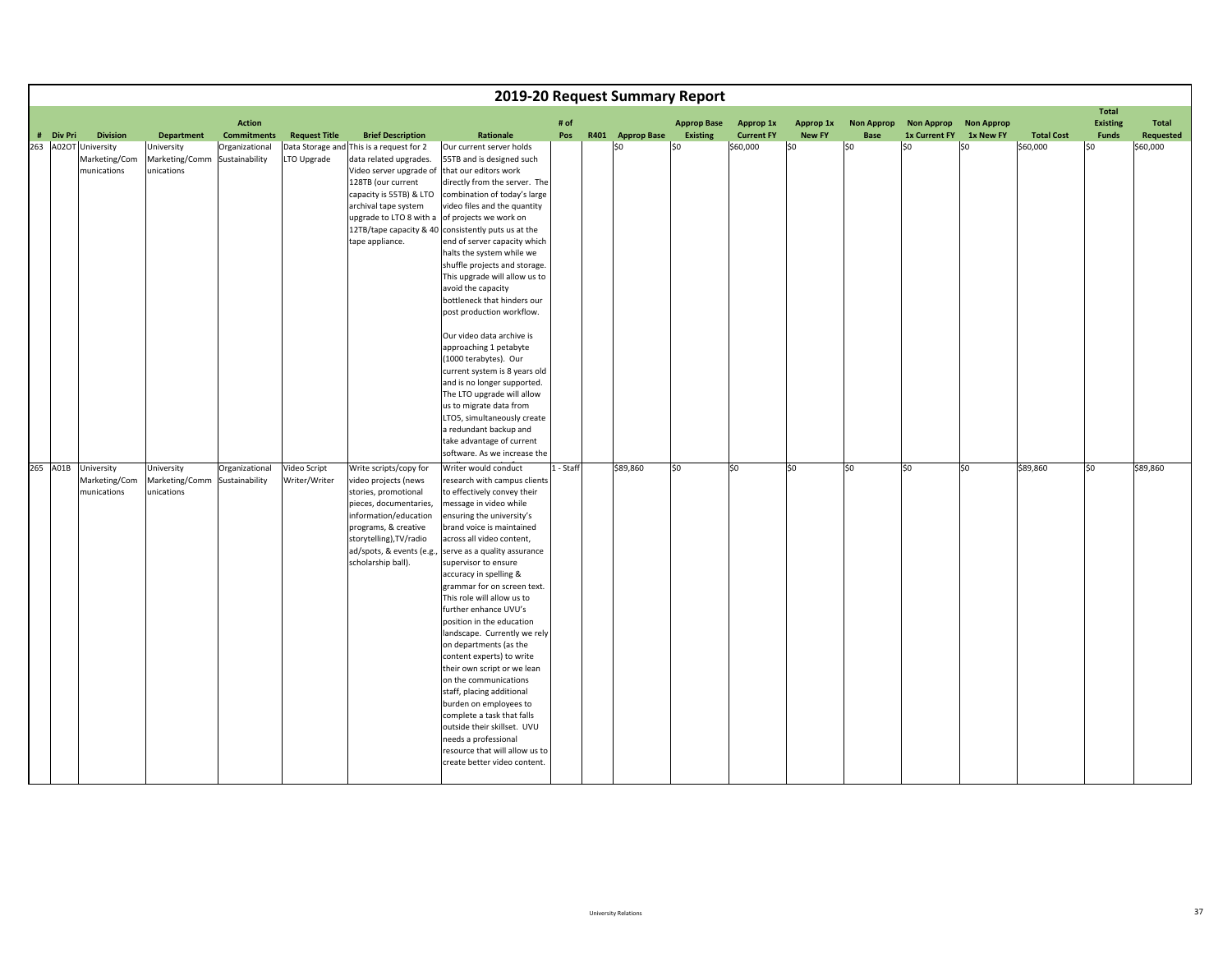|           |                                                                         |                                                                 |                                                        |                                     |                                                                                                                                                                                                                                             |                                                                                                                                                                                                                                                                                                                                                                                                                                                                                                                                                                                                                                                                                                                                                                                                                                     |           | 2019-20 Request Summary Report |                        |                               |                      |                   |                             |                   |                               |                                 |                       |
|-----------|-------------------------------------------------------------------------|-----------------------------------------------------------------|--------------------------------------------------------|-------------------------------------|---------------------------------------------------------------------------------------------------------------------------------------------------------------------------------------------------------------------------------------------|-------------------------------------------------------------------------------------------------------------------------------------------------------------------------------------------------------------------------------------------------------------------------------------------------------------------------------------------------------------------------------------------------------------------------------------------------------------------------------------------------------------------------------------------------------------------------------------------------------------------------------------------------------------------------------------------------------------------------------------------------------------------------------------------------------------------------------------|-----------|--------------------------------|------------------------|-------------------------------|----------------------|-------------------|-----------------------------|-------------------|-------------------------------|---------------------------------|-----------------------|
|           |                                                                         |                                                                 | <b>Action</b>                                          |                                     |                                                                                                                                                                                                                                             |                                                                                                                                                                                                                                                                                                                                                                                                                                                                                                                                                                                                                                                                                                                                                                                                                                     | # of      |                                | <b>Approp Base</b>     | Approp 1x                     | Approp 1x            | <b>Non Approp</b> | <b>Non Approp</b>           | <b>Non Approp</b> |                               | <b>Total</b><br><b>Existing</b> | Total                 |
| # Div Pri | <b>Division</b><br>263 A02OT University<br>Marketing/Com<br>munications | <b>Department</b><br>University<br>Marketing/Comm<br>unications | <b>Commitments</b><br>Organizational<br>Sustainability | <b>Request Title</b><br>LTO Upgrade | <b>Brief Description</b><br>Data Storage and This is a request for 2<br>data related upgrades.<br>Video server upgrade of that our editors work<br>128TB (our current<br>capacity is 55TB) & LTO<br>archival tape system<br>tape appliance. | Rationale<br>Our current server holds<br>55TB and is designed such<br>directly from the server. The<br>combination of today's large<br>video files and the quantity<br>upgrade to LTO 8 with a of projects we work on<br>12TB/tape capacity & 40 consistently puts us at the<br>end of server capacity which<br>halts the system while we<br>shuffle projects and storage.<br>This upgrade will allow us to<br>avoid the capacity<br>bottleneck that hinders our<br>post production workflow.<br>Our video data archive is<br>approaching 1 petabyte<br>(1000 terabytes). Our<br>current system is 8 years old<br>and is no longer supported.<br>The LTO upgrade will allow<br>us to migrate data from<br>LTO5, simultaneously create<br>a redundant backup and                                                                     | Pos       | R401 Approp Base<br>\$0        | <b>Existing</b><br>SO. | <b>Current FY</b><br>\$60,000 | <b>New FY</b><br> 50 | Base<br>SO        | <b>1x Current FY</b><br>lso | 1x New FY<br>l\$0 | <b>Total Cost</b><br>\$60,000 | <b>Funds</b><br>l\$0            | Requested<br>\$60,000 |
|           | 265 A01B University<br>Marketing/Com<br>munications                     | University<br>Marketing/Comm Sustainability<br>unications       | Organizational                                         | Video Script<br>Writer/Writer       | Write scripts/copy for<br>video projects (news<br>stories, promotional<br>pieces, documentaries,<br>information/education<br>programs, & creative<br>storytelling), TV/radio<br>ad/spots, & events (e.g.,<br>scholarship ball).             | take advantage of current<br>software. As we increase the<br>Writer would conduct<br>research with campus clients<br>to effectively convey their<br>message in video while<br>ensuring the university's<br>brand voice is maintained<br>across all video content,<br>serve as a quality assurance<br>supervisor to ensure<br>accuracy in spelling &<br>grammar for on screen text.<br>This role will allow us to<br>further enhance UVU's<br>position in the education<br>landscape. Currently we rely<br>on departments (as the<br>content experts) to write<br>their own script or we lean<br>on the communications<br>staff, placing additional<br>burden on employees to<br>complete a task that falls<br>outside their skillset. UVU<br>needs a professional<br>resource that will allow us to<br>create better video content. | 1 - Staff | \$89,860                       | \$0                    | lso                           | S <sub>0</sub>       | so                | so                          | S <sub>0</sub>    | \$89,860                      | so                              | \$89,860              |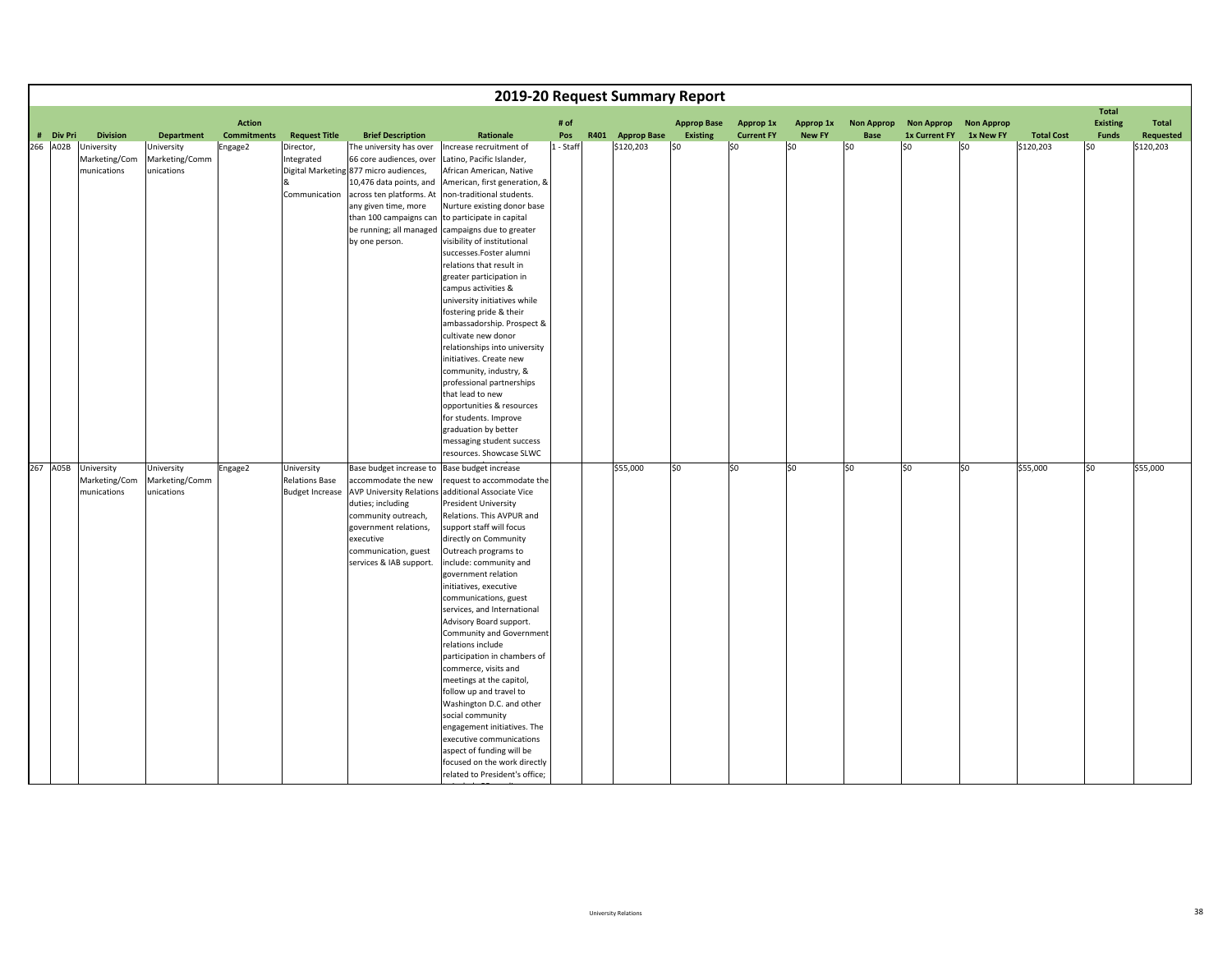|                       |                                                               |                                                                 |                               |                                                                  |                                                                                                                                                                                                                                                                                |                                                                                                                                                                                                                                                                                                                                                                                                                                                                                                                                                                                                                                                                                                                                                                   |                  | 2019-20 Request Summary Report |                     |                          |                      |                   |                             |                   |                                |                                 |                        |
|-----------------------|---------------------------------------------------------------|-----------------------------------------------------------------|-------------------------------|------------------------------------------------------------------|--------------------------------------------------------------------------------------------------------------------------------------------------------------------------------------------------------------------------------------------------------------------------------|-------------------------------------------------------------------------------------------------------------------------------------------------------------------------------------------------------------------------------------------------------------------------------------------------------------------------------------------------------------------------------------------------------------------------------------------------------------------------------------------------------------------------------------------------------------------------------------------------------------------------------------------------------------------------------------------------------------------------------------------------------------------|------------------|--------------------------------|---------------------|--------------------------|----------------------|-------------------|-----------------------------|-------------------|--------------------------------|---------------------------------|------------------------|
|                       |                                                               |                                                                 | <b>Action</b>                 |                                                                  |                                                                                                                                                                                                                                                                                |                                                                                                                                                                                                                                                                                                                                                                                                                                                                                                                                                                                                                                                                                                                                                                   | # of             |                                | <b>Approp Base</b>  | <b>Approp 1x</b>         | Approp 1x            | <b>Non Approp</b> | <b>Non Approp</b>           | <b>Non Approp</b> |                                | <b>Total</b><br><b>Existing</b> | <b>Total</b>           |
| # Div Pri<br>266 A02B | <b>Division</b><br>University<br>Marketing/Com<br>munications | <b>Department</b><br>University<br>Marketing/Comm<br>unications | <b>Commitments</b><br>Engage2 | <b>Request Title</b><br>Director,<br>Integrated<br>Communication | <b>Brief Description</b><br>The university has over<br>66 core audiences, over<br>Digital Marketing 877 micro audiences,<br>10,476 data points, and<br>across ten platforms. At<br>any given time, more<br>than 100 campaigns can<br>be running; all managed<br>by one person. | Rationale<br>Increase recruitment of<br>Latino, Pacific Islander,<br>African American, Native<br>American, first generation, &<br>non-traditional students.<br>Nurture existing donor base<br>to participate in capital<br>campaigns due to greater<br>visibility of institutional<br>successes.Foster alumni<br>relations that result in<br>greater participation in<br>campus activities &<br>university initiatives while<br>fostering pride & their<br>ambassadorship. Prospect &<br>cultivate new donor<br>relationships into university<br>initiatives. Create new<br>community, industry, &<br>professional partnerships<br>that lead to new<br>opportunities & resources<br>for students. Improve                                                         | Pos<br>1 - Staff | R401 Approp Base<br>\$120,203  | Existing<br>$ $ \$0 | <b>Current FY</b><br>\$0 | <b>New FY</b><br>\$0 | Base<br>\$0       | <b>1x Current FY</b><br>lso | 1x New FY<br>lso  | <b>Total Cost</b><br>\$120,203 | <b>Funds</b><br>SO.             | Requested<br>\$120,203 |
|                       |                                                               |                                                                 |                               |                                                                  |                                                                                                                                                                                                                                                                                | graduation by better<br>messaging student success<br>resources. Showcase SLWC                                                                                                                                                                                                                                                                                                                                                                                                                                                                                                                                                                                                                                                                                     |                  |                                |                     |                          |                      |                   |                             |                   |                                |                                 |                        |
| 267 A05B              | University<br>Marketing/Com<br>munications                    | University<br>Marketing/Comm<br>unications                      | Engage2                       | University<br><b>Relations Base</b><br><b>Budget Increase</b>    | Base budget increase to<br>accommodate the new<br><b>AVP University Relations</b><br>duties; including<br>community outreach,<br>government relations,<br>executive<br>communication, guest<br>services & IAB support.                                                         | Base budget increase<br>request to accommodate the<br>additional Associate Vice<br><b>President University</b><br>Relations. This AVPUR and<br>support staff will focus<br>directly on Community<br>Outreach programs to<br>include: community and<br>government relation<br>initiatives, executive<br>communications, guest<br>services, and International<br>Advisory Board support.<br>Community and Government<br>relations include<br>participation in chambers of<br>commerce, visits and<br>meetings at the capitol,<br>follow up and travel to<br>Washington D.C. and other<br>social community<br>engagement initiatives. The<br>executive communications<br>aspect of funding will be<br>focused on the work directly<br>related to President's office; |                  | \$55,000                       | \$0                 | lso                      | so                   | \$0               | lso                         | \$0               | \$55,000                       | SO.                             | \$55,000               |

ti <del>la ser</del> PRdi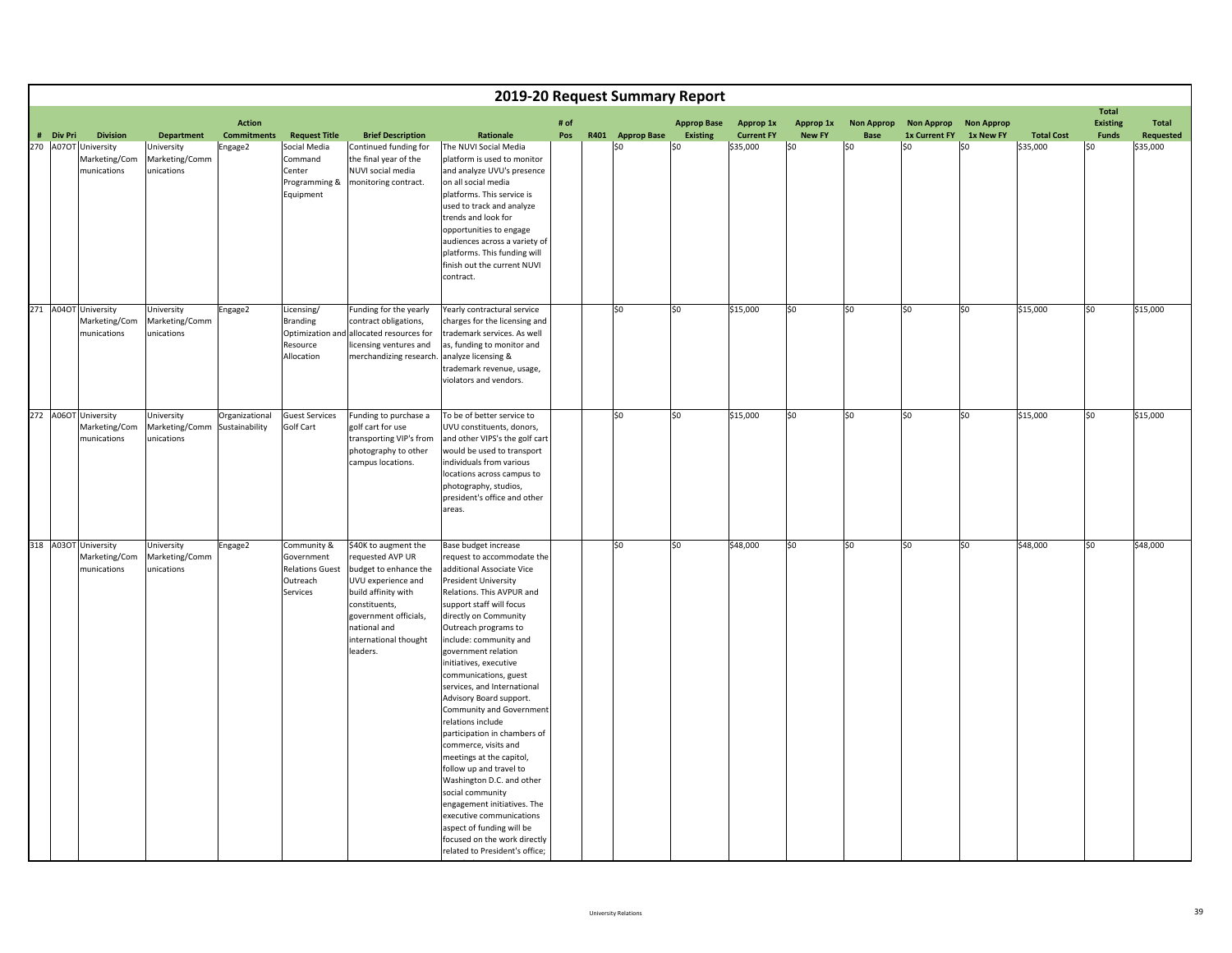|                                   |                                                 |                                                           |                               |                                                                                         |                                                                                                                                                                                                               | 2019-20 Request Summary Report                                                                                                                                                                                                                                                                                                                                                                                                                                                                                                                                                                                                                                                                                                                                   |      |                         |                    |                               |                      |                        |                      |                       |                               |                                 |                              |
|-----------------------------------|-------------------------------------------------|-----------------------------------------------------------|-------------------------------|-----------------------------------------------------------------------------------------|---------------------------------------------------------------------------------------------------------------------------------------------------------------------------------------------------------------|------------------------------------------------------------------------------------------------------------------------------------------------------------------------------------------------------------------------------------------------------------------------------------------------------------------------------------------------------------------------------------------------------------------------------------------------------------------------------------------------------------------------------------------------------------------------------------------------------------------------------------------------------------------------------------------------------------------------------------------------------------------|------|-------------------------|--------------------|-------------------------------|----------------------|------------------------|----------------------|-----------------------|-------------------------------|---------------------------------|------------------------------|
|                                   |                                                 |                                                           | <b>Action</b>                 |                                                                                         |                                                                                                                                                                                                               |                                                                                                                                                                                                                                                                                                                                                                                                                                                                                                                                                                                                                                                                                                                                                                  | # of |                         | <b>Approp Base</b> | Approp 1x                     | Approp 1x            | <b>Non Approp</b>      |                      | Non Approp Non Approp |                               | <b>Total</b><br><b>Existing</b> | <b>Total</b>                 |
| # Div Pri<br>270 A07OT University | <b>Division</b><br>Marketing/Com<br>munications | Department<br>University<br>Marketing/Comm<br>unications  | <b>Commitments</b><br>Engage2 | <b>Request Title</b><br>Social Media<br>Command<br>Center<br>Programming &<br>Equipment | <b>Brief Description</b><br>Continued funding for<br>the final year of the<br>NUVI social media<br>monitoring contract.                                                                                       | Rationale<br>The NUVI Social Media<br>platform is used to monitor<br>and analyze UVU's presence<br>on all social media<br>platforms. This service is<br>used to track and analyze<br>trends and look for<br>opportunities to engage<br>audiences across a variety of<br>platforms. This funding will<br>finish out the current NUVI<br>contract.                                                                                                                                                                                                                                                                                                                                                                                                                 | Pos  | R401 Approp Base<br>l≮∩ | Existing<br>\$0    | <b>Current FY</b><br>\$35,000 | <b>New FY</b><br>\$0 | Base<br>S <sub>0</sub> | 1x Current FY<br>\$0 | 1x New FY<br>\$0      | <b>Total Cost</b><br>\$35,000 | <b>Funds</b><br>\$0             | <b>Requested</b><br>\$35,000 |
| 271 A04OT University              | Marketing/Com<br>munications                    | University<br>Marketing/Comm<br>unications                | Engage2                       | Licensing/<br><b>Branding</b><br>Optimization and<br>Resource<br>Allocation             | Funding for the yearly<br>contract obligations,<br>allocated resources for<br>licensing ventures and<br>merchandizing research                                                                                | Yearly contractural service<br>charges for the licensing and<br>trademark services. As well<br>as, funding to monitor and<br>analyze licensing &<br>trademark revenue, usage,<br>violators and vendors.                                                                                                                                                                                                                                                                                                                                                                                                                                                                                                                                                          |      | \$0                     | \$0                | \$15,000                      | \$0                  | lso                    | \$0                  | \$0                   | \$15,000                      | S <sub>0</sub>                  | \$15,000                     |
| 272 A06OT University              | Marketing/Com<br>munications                    | University<br>Marketing/Comm Sustainability<br>unications | Organizational                | <b>Guest Services</b><br>Golf Cart                                                      | Funding to purchase a<br>golf cart for use<br>transporting VIP's from<br>photography to other<br>campus locations.                                                                                            | To be of better service to<br>UVU constituents, donors,<br>and other VIPS's the golf cart<br>would be used to transport<br>individuals from various<br>locations across campus to<br>photography, studios,<br>president's office and other<br>areas.                                                                                                                                                                                                                                                                                                                                                                                                                                                                                                             |      | \$0                     | \$0                | \$15,000                      | \$0                  | so                     | \$0                  | \$0                   | \$15,000                      | \$0                             | \$15,000                     |
| 318 A03OT University              | Marketing/Com<br>munications                    | University<br>Marketing/Comm<br>unications                | Engage2                       | Community &<br>Government<br><b>Relations Guest</b><br>Outreach<br>Services             | \$40K to augment the<br>requested AVP UR<br>budget to enhance the<br>UVU experience and<br>build affinity with<br>constituents,<br>government officials,<br>national and<br>international thought<br>leaders. | Base budget increase<br>equest to accommodate the<br>additional Associate Vice<br><b>President University</b><br>Relations. This AVPUR and<br>support staff will focus<br>directly on Community<br>Outreach programs to<br>include: community and<br>government relation<br>initiatives, executive<br>communications, guest<br>services, and International<br>Advisory Board support.<br>Community and Government<br>relations include<br>participation in chambers of<br>commerce, visits and<br>meetings at the capitol,<br>follow up and travel to<br>Washington D.C. and other<br>social community<br>engagement initiatives. The<br>executive communications<br>aspect of funding will be<br>focused on the work directly<br>related to President's office; |      | \$0                     | \$0                | \$48,000                      | \$0                  | \$0                    | \$0                  | \$0                   | \$48,000                      | \$0                             | \$48,000                     |

i <del>la ser</del> PRdi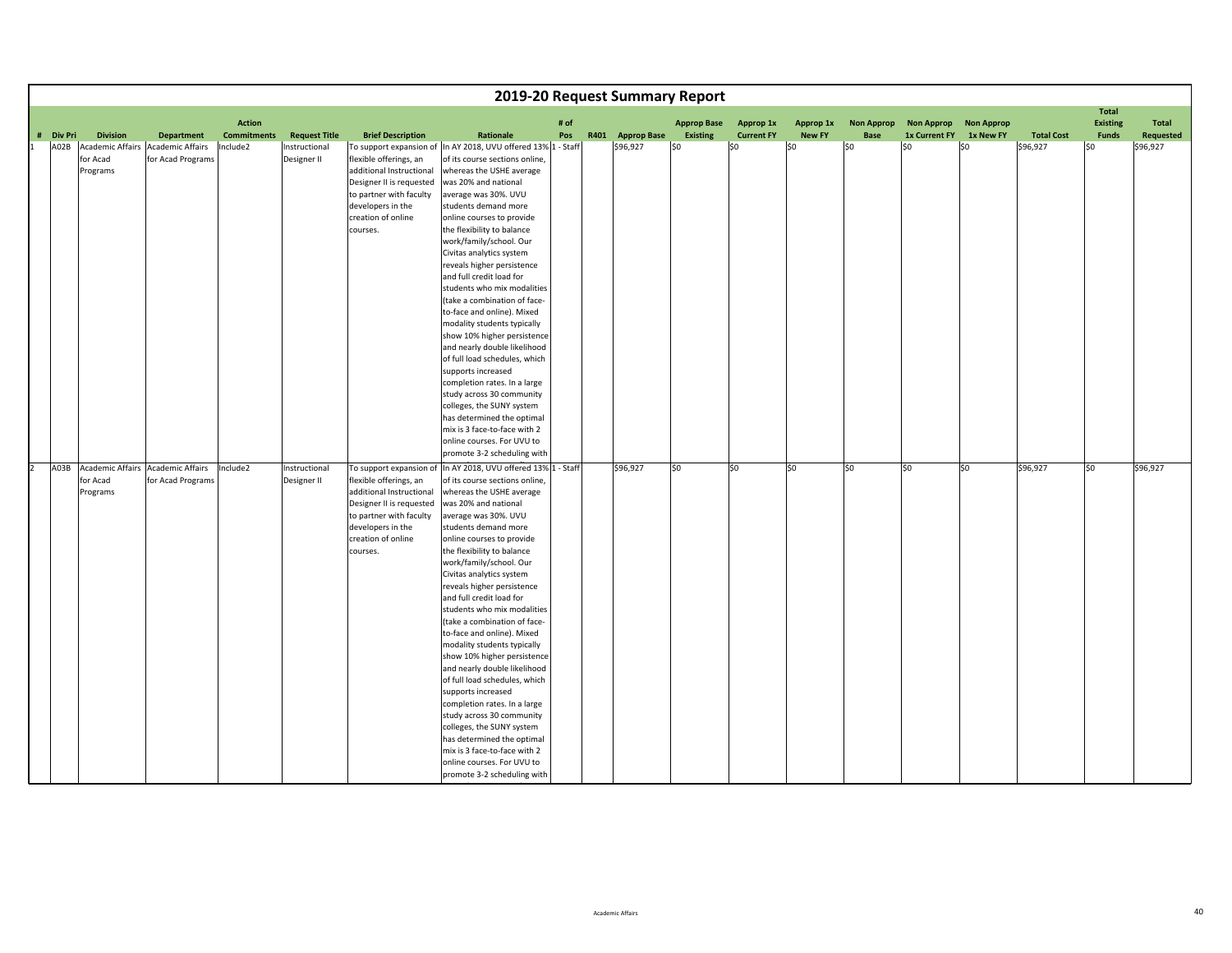|                   |                                                                    |                                                                   |                                |                                                      |                                                                                                                                                                                              |                                                                                                                                                                                                                                                                                                                                                                                                                                                                                                                                                                                                                                                                                                                                                                                                                                |      | 2019-20 Request Summary Report |                     |                          |                      |                   |                      |                   |                               |                                 |                       |
|-------------------|--------------------------------------------------------------------|-------------------------------------------------------------------|--------------------------------|------------------------------------------------------|----------------------------------------------------------------------------------------------------------------------------------------------------------------------------------------------|--------------------------------------------------------------------------------------------------------------------------------------------------------------------------------------------------------------------------------------------------------------------------------------------------------------------------------------------------------------------------------------------------------------------------------------------------------------------------------------------------------------------------------------------------------------------------------------------------------------------------------------------------------------------------------------------------------------------------------------------------------------------------------------------------------------------------------|------|--------------------------------|---------------------|--------------------------|----------------------|-------------------|----------------------|-------------------|-------------------------------|---------------------------------|-----------------------|
|                   |                                                                    |                                                                   | <b>Action</b>                  |                                                      |                                                                                                                                                                                              |                                                                                                                                                                                                                                                                                                                                                                                                                                                                                                                                                                                                                                                                                                                                                                                                                                | # of |                                | <b>Approp Base</b>  | <b>Approp 1x</b>         | Approp 1x            | <b>Non Approp</b> | <b>Non Approp</b>    | <b>Non Approp</b> |                               | <b>Total</b><br><b>Existing</b> | <b>Total</b>          |
| # Div Pri<br>A02B | <b>Division</b><br><b>Academic Affairs</b><br>for Acad<br>Programs | <b>Department</b><br><b>Academic Affairs</b><br>for Acad Programs | <b>Commitments</b><br>Include2 | <b>Request Title</b><br>Instructional<br>Designer II | <b>Brief Description</b><br>flexible offerings, an<br>additional Instructional<br>Designer II is requested<br>to partner with faculty<br>developers in the<br>creation of online<br>courses. | Rationale<br>To support expansion of In AY 2018, UVU offered 13% 1 - Staff<br>of its course sections online,<br>whereas the USHE average<br>was 20% and national<br>average was 30%. UVU<br>students demand more<br>online courses to provide<br>the flexibility to balance<br>work/family/school. Our<br>Civitas analytics system<br>reveals higher persistence<br>and full credit load for<br>students who mix modalities<br>(take a combination of face-<br>to-face and online). Mixed<br>modality students typically<br>show 10% higher persistence<br>and nearly double likelihood<br>of full load schedules, which<br>supports increased<br>completion rates. In a large<br>study across 30 community<br>colleges, the SUNY system<br>has determined the optimal                                                         | Pos  | R401 Approp Base<br>\$96,927   | Existing<br>$ $ \$0 | <b>Current FY</b><br>\$0 | <b>New FY</b><br>\$0 | Base<br>\$0       | 1x Current FY<br>\$0 | 1x New FY<br>\$0  | <b>Total Cost</b><br>\$96,927 | <b>Funds</b><br>SO.             | Requested<br>\$96,927 |
|                   |                                                                    |                                                                   |                                |                                                      |                                                                                                                                                                                              | mix is 3 face-to-face with 2<br>online courses. For UVU to<br>promote 3-2 scheduling with                                                                                                                                                                                                                                                                                                                                                                                                                                                                                                                                                                                                                                                                                                                                      |      |                                |                     |                          |                      |                   |                      |                   |                               |                                 |                       |
| A03B              | for Acad<br>Programs                                               | Academic Affairs Academic Affairs<br>for Acad Programs            | Include2                       | Instructional<br>Designer II                         | To support expansion of<br>flexible offerings, an<br>additional Instructional<br>Designer II is requested<br>to partner with faculty<br>developers in the<br>creation of online<br>courses.  | In AY 2018, UVU offered 13% 1 - Staff<br>of its course sections online,<br>whereas the USHE average<br>was 20% and national<br>average was 30%. UVU<br>students demand more<br>online courses to provide<br>the flexibility to balance<br>work/family/school. Our<br>Civitas analytics system<br>reveals higher persistence<br>and full credit load for<br>students who mix modalities<br>(take a combination of face-<br>to-face and online). Mixed<br>modality students typically<br>show 10% higher persistence<br>and nearly double likelihood<br>of full load schedules, which<br>supports increased<br>completion rates. In a large<br>study across 30 community<br>colleges, the SUNY system<br>has determined the optimal<br>mix is 3 face-to-face with 2<br>online courses. For UVU to<br>promote 3-2 scheduling with |      | \$96,927                       | \$0                 | \$0                      | \$0                  | \$0               | \$0                  | \$0               | \$96,927                      | \$0                             | \$96,927              |

id

line and the control of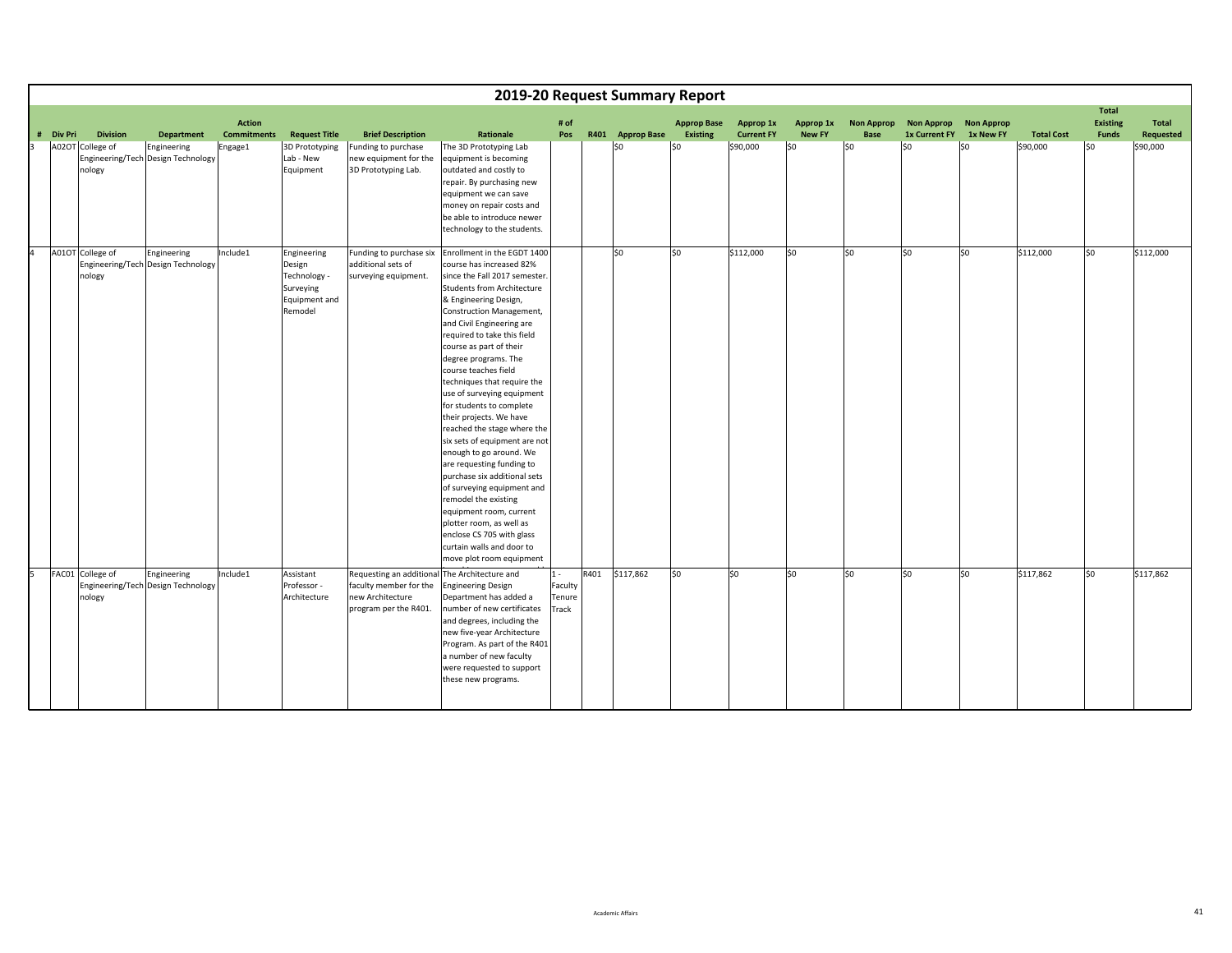|                              |                                                   |                                     |                                                                                |                                                                                                 | 2019-20 Request Summary Report                                                                                                                                                                                                                                                                                                                                                                                                                                                                                                                                                                                                                                                                                                                                                                           |                                     |      |                  |                                       |                                       |                            |                           |                                    |                                |                   |                                                 |                                  |
|------------------------------|---------------------------------------------------|-------------------------------------|--------------------------------------------------------------------------------|-------------------------------------------------------------------------------------------------|----------------------------------------------------------------------------------------------------------------------------------------------------------------------------------------------------------------------------------------------------------------------------------------------------------------------------------------------------------------------------------------------------------------------------------------------------------------------------------------------------------------------------------------------------------------------------------------------------------------------------------------------------------------------------------------------------------------------------------------------------------------------------------------------------------|-------------------------------------|------|------------------|---------------------------------------|---------------------------------------|----------------------------|---------------------------|------------------------------------|--------------------------------|-------------------|-------------------------------------------------|----------------------------------|
| # Div Pri<br><b>Division</b> | <b>Department</b>                                 | <b>Action</b><br><b>Commitments</b> | <b>Request Title</b>                                                           | <b>Brief Description</b>                                                                        | Rationale                                                                                                                                                                                                                                                                                                                                                                                                                                                                                                                                                                                                                                                                                                                                                                                                | # of<br>Pos                         |      | R401 Approp Base | <b>Approp Base</b><br><b>Existing</b> | <b>Approp 1x</b><br><b>Current FY</b> | Approp 1x<br><b>New FY</b> | <b>Non Approp</b><br>Base | <b>Non Approp</b><br>1x Current FY | <b>Non Approp</b><br>1x New FY | <b>Total Cost</b> | <b>Total</b><br><b>Existing</b><br><b>Funds</b> | <b>Total</b><br><b>Requested</b> |
| A02OT College of<br>nology   | Engineering<br>Engineering/Tech Design Technology | Engage1                             | 3D Prototyping<br>Lab - New<br>Equipment                                       | Funding to purchase<br>new equipment for the<br>3D Prototyping Lab.                             | The 3D Prototyping Lab<br>equipment is becoming<br>outdated and costly to<br>repair. By purchasing new<br>equipment we can save<br>money on repair costs and<br>be able to introduce newer<br>technology to the students.                                                                                                                                                                                                                                                                                                                                                                                                                                                                                                                                                                                |                                     |      | \$0              | \$0                                   | \$90,000                              | \$0                        | S <sub>0</sub>            | S <sub>0</sub>                     | lso                            | \$90,000          | \$0                                             | \$90,000                         |
| A01OT College of<br>nology   | Engineering<br>Engineering/Tech Design Technology | Include1                            | Engineering<br>Design<br>Technology -<br>Surveying<br>Equipment and<br>Remodel | Funding to purchase six<br>additional sets of<br>surveying equipment.                           | Enrollment in the EGDT 1400<br>course has increased 82%<br>since the Fall 2017 semester.<br><b>Students from Architecture</b><br>& Engineering Design,<br>Construction Management,<br>and Civil Engineering are<br>required to take this field<br>course as part of their<br>degree programs. The<br>course teaches field<br>techniques that require the<br>use of surveying equipment<br>for students to complete<br>their projects. We have<br>reached the stage where the<br>six sets of equipment are not<br>enough to go around. We<br>are requesting funding to<br>purchase six additional sets<br>of surveying equipment and<br>remodel the existing<br>equipment room, current<br>plotter room, as well as<br>enclose CS 705 with glass<br>curtain walls and door to<br>move plot room equipment |                                     |      | \$0              | \$0                                   | \$112,000                             | \$0                        | SO.                       | \$0                                | \$0                            | \$112,000         | \$0                                             | \$112,000                        |
| FAC01 College of<br>nology   | Engineering<br>Engineering/Tech Design Technology | Include1                            | Assistant<br>Professor -<br>Architecture                                       | Requesting an additional<br>faculty member for the<br>new Architecture<br>program per the R401. | The Architecture and<br><b>Engineering Design</b><br>Department has added a<br>number of new certificates<br>and degrees, including the<br>new five-year Architecture<br>Program. As part of the R401<br>a number of new faculty<br>were requested to support<br>these new programs.                                                                                                                                                                                                                                                                                                                                                                                                                                                                                                                     | $1 -$<br>Faculty<br>Tenure<br>Track | R401 | \$117,862        | \$0                                   | lso                                   | \$0                        | lso.                      | lso                                | SO.                            | \$117,862         | \$0                                             | \$117,862                        |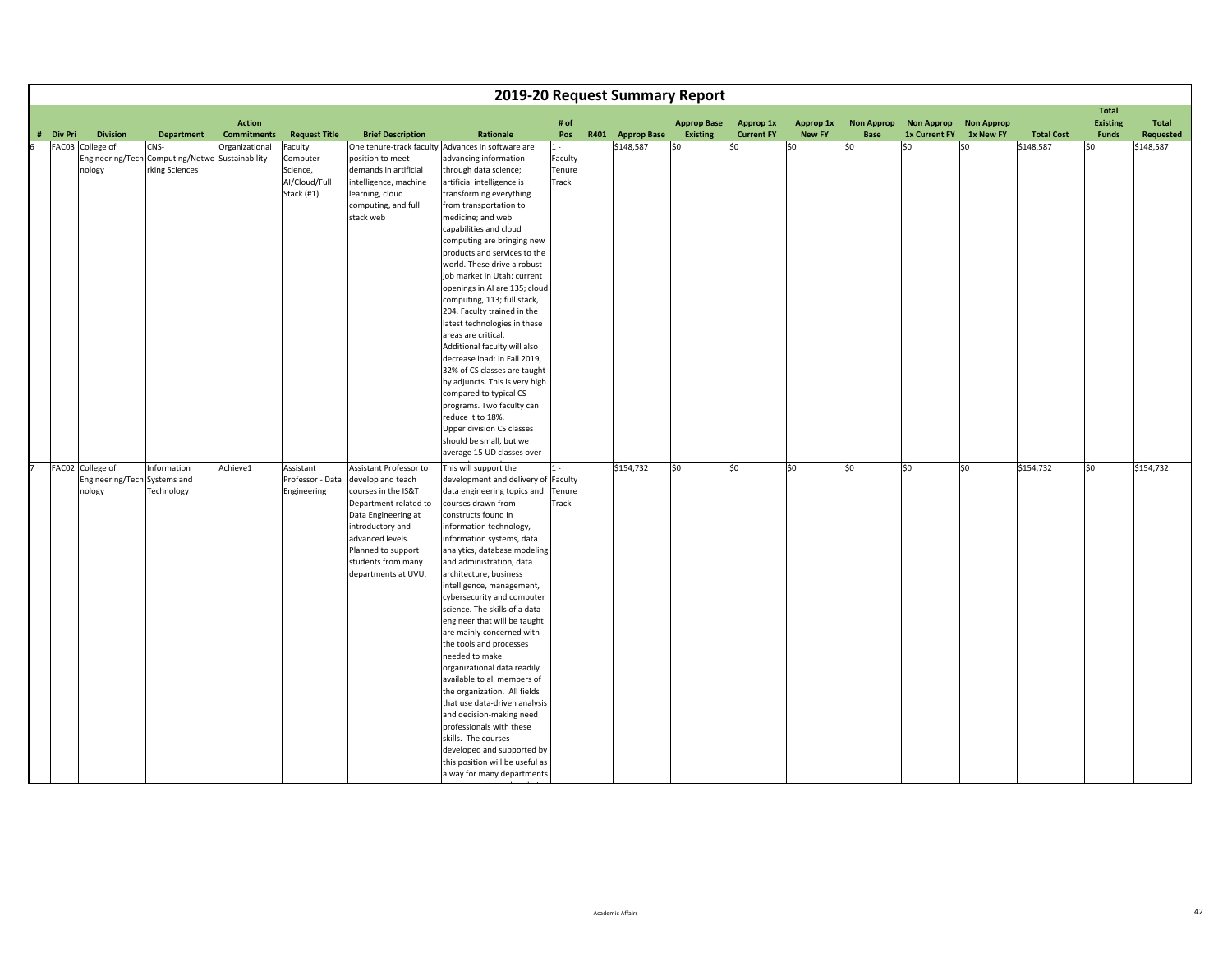|                     |                                                            |                                                                           |                                     |                                                                |                                                                                                                                                                                                                               |                                                                                                                                                                                                                                                                                                                                                                                                                                                                                                                                                                                                                                                                                                                                                                                                                                    |                                     | 2019-20 Request Summary Report |                                |                                |                            |                           |                                    |                                |                   |                                                 |                    |
|---------------------|------------------------------------------------------------|---------------------------------------------------------------------------|-------------------------------------|----------------------------------------------------------------|-------------------------------------------------------------------------------------------------------------------------------------------------------------------------------------------------------------------------------|------------------------------------------------------------------------------------------------------------------------------------------------------------------------------------------------------------------------------------------------------------------------------------------------------------------------------------------------------------------------------------------------------------------------------------------------------------------------------------------------------------------------------------------------------------------------------------------------------------------------------------------------------------------------------------------------------------------------------------------------------------------------------------------------------------------------------------|-------------------------------------|--------------------------------|--------------------------------|--------------------------------|----------------------------|---------------------------|------------------------------------|--------------------------------|-------------------|-------------------------------------------------|--------------------|
| <b>Div Pri</b><br># | <b>Division</b>                                            | <b>Department</b>                                                         | <b>Action</b><br><b>Commitments</b> | <b>Request Title</b>                                           | <b>Brief Description</b>                                                                                                                                                                                                      | Rationale                                                                                                                                                                                                                                                                                                                                                                                                                                                                                                                                                                                                                                                                                                                                                                                                                          | # of<br>Pos                         | R401 Approp Base               | <b>Approp Base</b><br>Existing | Approp 1x<br><b>Current FY</b> | Approp 1x<br><b>New FY</b> | <b>Non Approp</b><br>Base | <b>Non Approp</b><br>1x Current FY | <b>Non Approp</b><br>1x New FY | <b>Total Cost</b> | <b>Total</b><br><b>Existing</b><br><b>Funds</b> | Total<br>Requested |
| 6                   | FAC03 College of<br>nology                                 | CNS-<br>Engineering/Tech Computing/Netwo Sustainability<br>rking Sciences | Organizational                      | Faculty<br>Computer<br>Science,<br>Al/Cloud/Full<br>Stack (#1) | position to meet<br>demands in artificial<br>intelligence, machine<br>learning, cloud<br>computing, and full<br>stack web                                                                                                     | One tenure-track faculty Advances in software are<br>advancing information<br>through data science;<br>artificial intelligence is<br>transforming everything<br>from transportation to<br>medicine; and web<br>capabilities and cloud<br>computing are bringing new<br>products and services to the<br>world. These drive a robust<br>job market in Utah: current<br>openings in AI are 135; cloud<br>computing, 113; full stack,<br>204. Faculty trained in the<br>latest technologies in these<br>areas are critical.<br>Additional faculty will also<br>decrease load: in Fall 2019,<br>32% of CS classes are taught<br>by adjuncts. This is very high<br>compared to typical CS<br>programs. Two faculty can<br>reduce it to 18%.<br><b>Upper division CS classes</b><br>should be small, but we<br>average 15 UD classes over | $1 -$<br>Faculty<br>Tenure<br>Track | \$148,587                      | SO.                            | \$0                            | \$0                        | \$0                       | lso                                | \$0                            | \$148,587         | l\$0                                            | \$148,587          |
|                     | FAC02 College of<br>Engineering/Tech Systems and<br>nology | Information<br>Technology                                                 | Achieve1                            | Assistant<br>Professor - Data<br>Engineering                   | Assistant Professor to<br>develop and teach<br>courses in the IS&T<br>Department related to<br>Data Engineering at<br>introductory and<br>advanced levels.<br>Planned to support<br>students from many<br>departments at UVU. | This will support the<br>development and delivery of Faculty<br>data engineering topics and Tenure<br>courses drawn from<br>constructs found in<br>information technology,<br>information systems, data<br>analytics, database modeling<br>and administration, data<br>architecture, business<br>intelligence, management,<br>cybersecurity and computer<br>science. The skills of a data<br>engineer that will be taught<br>are mainly concerned with<br>the tools and processes<br>needed to make<br>organizational data readily<br>available to all members of<br>the organization. All fields<br>that use data-driven analysis<br>and decision-making need<br>professionals with these<br>skills. The courses<br>developed and supported by<br>this position will be useful as<br>a way for many departments                   | $1 -$<br>Track                      | \$154,732                      | so                             | \$0                            | \$0                        | \$0                       | \$0                                | so                             | \$154,732         | so                                              | \$154,732          |

hh i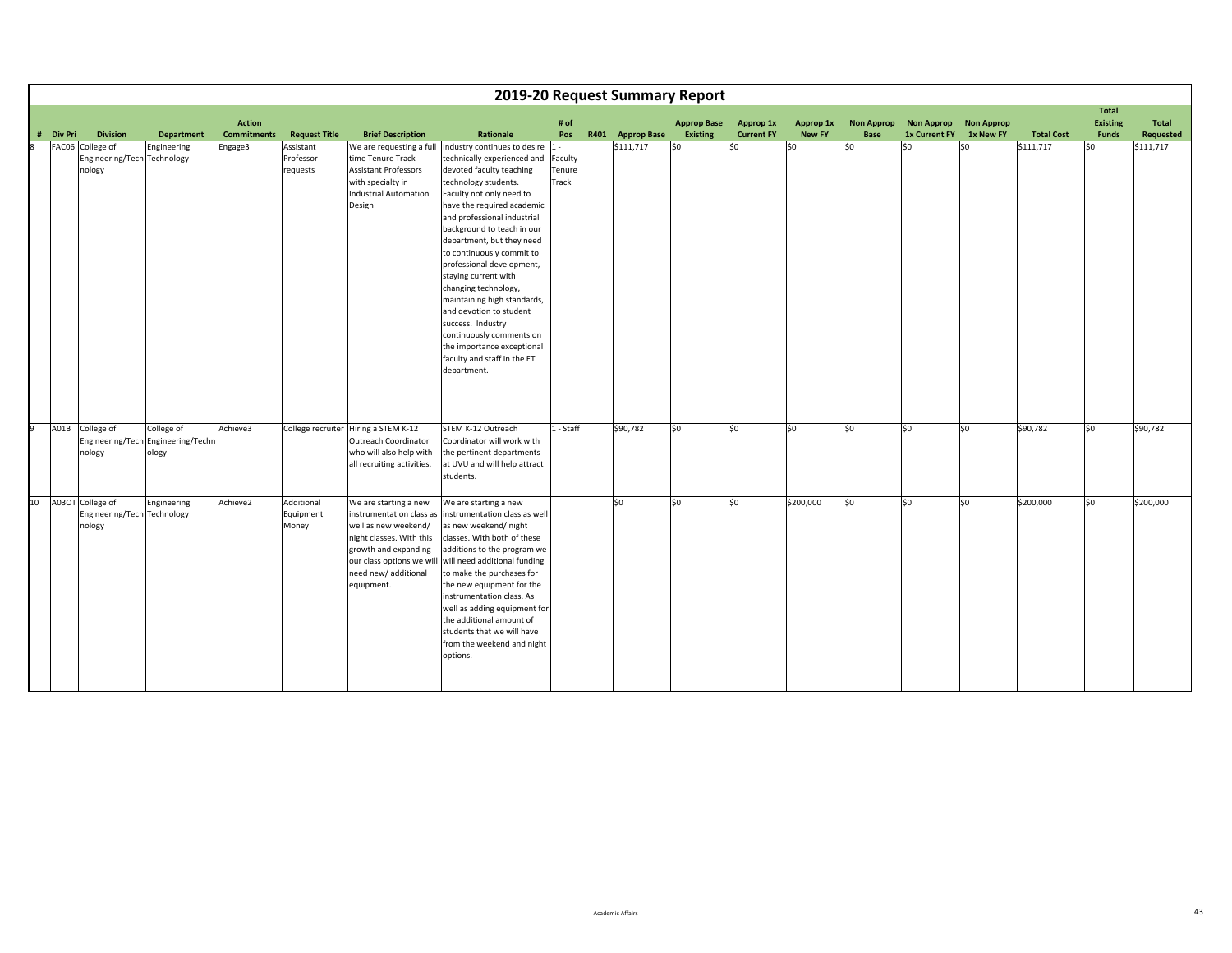|    |           |                                                                              |                                                           |                               |                                                            |                                                                                                                                                                                                  |                                                                                                                                                                                                                                                                                                                                                                                                                                                                                                                                                                                                             |                                            | 2019-20 Request Summary Report |                    |                          |                      |                    |                                           |                   |                                |                                 |                        |
|----|-----------|------------------------------------------------------------------------------|-----------------------------------------------------------|-------------------------------|------------------------------------------------------------|--------------------------------------------------------------------------------------------------------------------------------------------------------------------------------------------------|-------------------------------------------------------------------------------------------------------------------------------------------------------------------------------------------------------------------------------------------------------------------------------------------------------------------------------------------------------------------------------------------------------------------------------------------------------------------------------------------------------------------------------------------------------------------------------------------------------------|--------------------------------------------|--------------------------------|--------------------|--------------------------|----------------------|--------------------|-------------------------------------------|-------------------|--------------------------------|---------------------------------|------------------------|
|    |           |                                                                              |                                                           | <b>Action</b>                 |                                                            |                                                                                                                                                                                                  |                                                                                                                                                                                                                                                                                                                                                                                                                                                                                                                                                                                                             | # of                                       |                                | <b>Approp Base</b> | Approp 1x                | Approp 1x            | <b>Non Approp</b>  | <b>Non Approp</b>                         | <b>Non Approp</b> |                                | <b>Total</b><br><b>Existing</b> | Total                  |
| 8  | # Div Pri | <b>Division</b><br>FAC06 College of<br>Engineering/Tech Technology<br>nology | <b>Department</b><br>Engineering                          | <b>Commitments</b><br>Engage3 | <b>Request Title</b><br>Assistant<br>Professor<br>requests | <b>Brief Description</b><br>time Tenure Track<br><b>Assistant Professors</b><br>with specialty in<br><b>Industrial Automation</b><br>Design                                                      | Rationale<br>We are requesting a full  Industry continues to desire<br>technically experienced and<br>devoted faculty teaching<br>technology students.<br>Faculty not only need to<br>have the required academic<br>and professional industrial<br>background to teach in our<br>department, but they need<br>to continuously commit to<br>professional development,<br>staying current with<br>changing technology,<br>maintaining high standards,<br>and devotion to student<br>success. Industry<br>continuously comments on<br>the importance exceptional<br>faculty and staff in the ET<br>department. | Pos<br>$1 -$<br>Faculty<br>Tenure<br>Track | R401 Approp Base<br>\$111,717  | Existing<br>lso    | <b>Current FY</b><br>lso | <b>New FY</b><br>\$0 | <b>Base</b><br>lso | 1x Current FY 1x New FY<br>S <sub>0</sub> | lso               | <b>Total Cost</b><br>\$111,717 | <b>Funds</b><br>\$0             | Requested<br>\$111,717 |
| q  |           | A01B College of<br>nology                                                    | College of<br>Engineering/Tech Engineering/Techn<br>ology | Achieve3                      |                                                            | College recruiter Hiring a STEM K-12<br><b>Outreach Coordinator</b><br>who will also help with<br>all recruiting activities.                                                                     | STEM K-12 Outreach<br>Coordinator will work with<br>the pertinent departments<br>at UVU and will help attract<br>students.                                                                                                                                                                                                                                                                                                                                                                                                                                                                                  | 1 - Staff                                  | \$90,782                       | lso                | lso                      | \$0                  | lso                | \$0                                       | lso               | \$90,782                       | \$0                             | \$90,782               |
| 10 |           | A03OT College of<br>Engineering/Tech Technology<br>nology                    | Engineering                                               | Achieve2                      | Additional<br>Equipment<br>Money                           | We are starting a new<br>instrumentation class as<br>well as new weekend/<br>night classes. With this<br>growth and expanding<br>our class options we will<br>need new/ additional<br>equipment. | We are starting a new<br>instrumentation class as well<br>as new weekend/night<br>classes. With both of these<br>additions to the program we<br>will need additional funding<br>to make the purchases for<br>the new equipment for the<br>instrumentation class. As<br>well as adding equipment for<br>the additional amount of<br>students that we will have<br>from the weekend and night<br>options.                                                                                                                                                                                                     |                                            | \$0                            | \$0                | \$0                      | \$200,000            | l\$0               | \$0                                       | lso               | \$200,000                      | \$0                             | \$200,000              |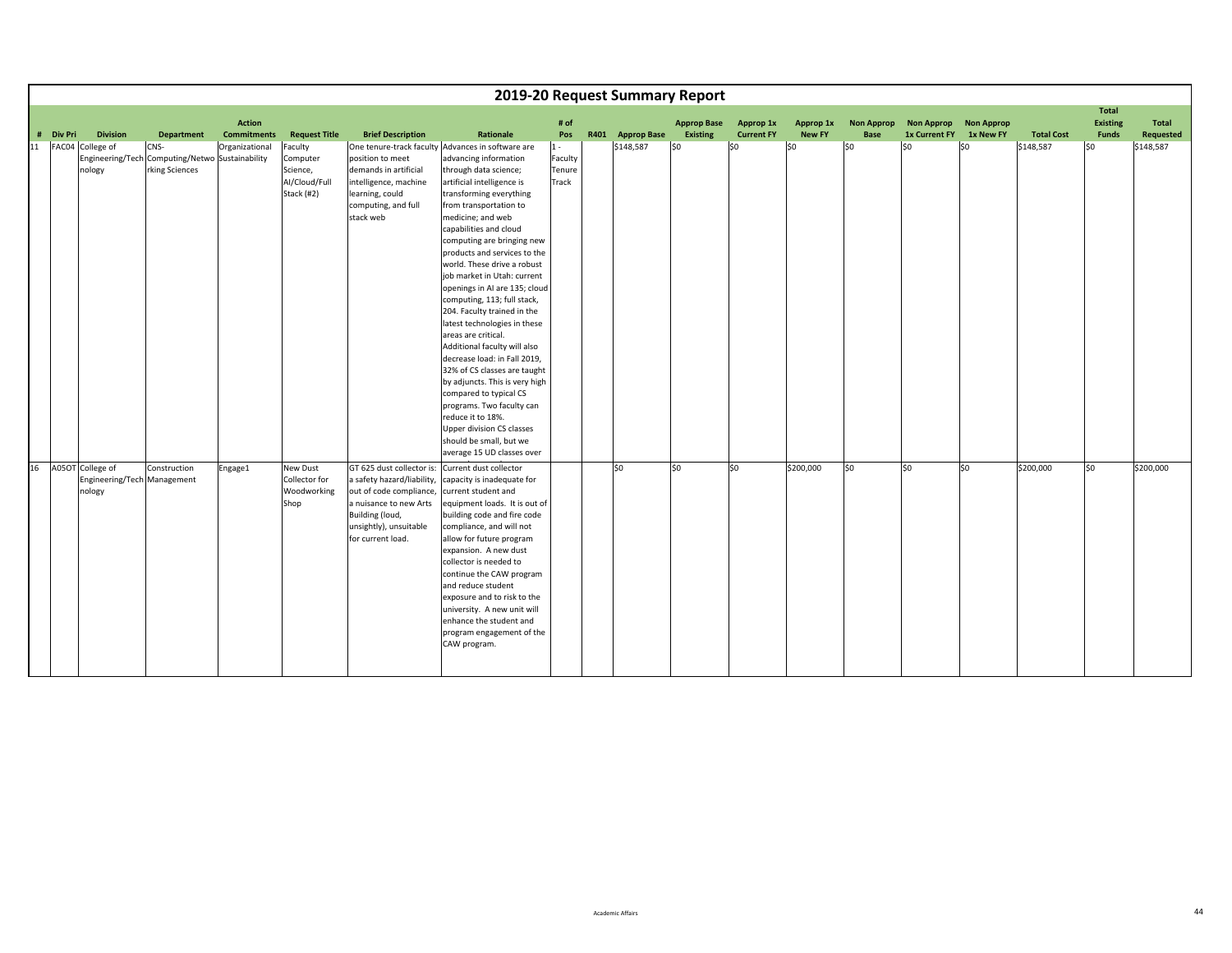|    |           |                             |                                                 |                    |                      |                            |                                                             |         | 2019-20 Request Summary Report |                    |                   |               |                   |                         |                   |                   |                                 |           |
|----|-----------|-----------------------------|-------------------------------------------------|--------------------|----------------------|----------------------------|-------------------------------------------------------------|---------|--------------------------------|--------------------|-------------------|---------------|-------------------|-------------------------|-------------------|-------------------|---------------------------------|-----------|
|    |           |                             |                                                 | <b>Action</b>      |                      |                            |                                                             | # of    |                                | <b>Approp Base</b> | Approp 1x         | Approp 1x     | <b>Non Approp</b> | <b>Non Approp</b>       | <b>Non Approp</b> |                   | <b>Total</b><br><b>Existing</b> | Total     |
|    | # Div Pri | <b>Division</b>             | <b>Department</b>                               | <b>Commitments</b> | <b>Request Title</b> | <b>Brief Description</b>   | Rationale                                                   | Pos     | R401 Approp Base               | Existing           | <b>Current FY</b> | <b>New FY</b> | <b>Base</b>       | 1x Current FY 1x New FY |                   | <b>Total Cost</b> | Funds                           | Requested |
| 11 |           | FAC04 College of            | CNS-                                            | Organizational     | Faculty              |                            | One tenure-track faculty Advances in software are           | $1 -$   | \$148,587                      | \$0                | \$0               | \$0           | lso               | SO.                     | S <sub>0</sub>    | \$148,587         | lso                             | \$148,587 |
|    |           |                             | Engineering/Tech Computing/Netwo Sustainability |                    | Computer             | position to meet           | advancing information                                       | Faculty |                                |                    |                   |               |                   |                         |                   |                   |                                 |           |
|    |           | nology                      | rking Sciences                                  |                    | Science,             | demands in artificial      | through data science;                                       | Tenure  |                                |                    |                   |               |                   |                         |                   |                   |                                 |           |
|    |           |                             |                                                 |                    | Al/Cloud/Full        | intelligence, machine      | artificial intelligence is                                  | Track   |                                |                    |                   |               |                   |                         |                   |                   |                                 |           |
|    |           |                             |                                                 |                    | Stack (#2)           | learning, could            | transforming everything                                     |         |                                |                    |                   |               |                   |                         |                   |                   |                                 |           |
|    |           |                             |                                                 |                    |                      | computing, and full        | from transportation to                                      |         |                                |                    |                   |               |                   |                         |                   |                   |                                 |           |
|    |           |                             |                                                 |                    |                      | stack web                  | medicine; and web                                           |         |                                |                    |                   |               |                   |                         |                   |                   |                                 |           |
|    |           |                             |                                                 |                    |                      |                            | capabilities and cloud                                      |         |                                |                    |                   |               |                   |                         |                   |                   |                                 |           |
|    |           |                             |                                                 |                    |                      |                            | computing are bringing new                                  |         |                                |                    |                   |               |                   |                         |                   |                   |                                 |           |
|    |           |                             |                                                 |                    |                      |                            | products and services to the                                |         |                                |                    |                   |               |                   |                         |                   |                   |                                 |           |
|    |           |                             |                                                 |                    |                      |                            | world. These drive a robust                                 |         |                                |                    |                   |               |                   |                         |                   |                   |                                 |           |
|    |           |                             |                                                 |                    |                      |                            | job market in Utah: current                                 |         |                                |                    |                   |               |                   |                         |                   |                   |                                 |           |
|    |           |                             |                                                 |                    |                      |                            | openings in AI are 135; cloud                               |         |                                |                    |                   |               |                   |                         |                   |                   |                                 |           |
|    |           |                             |                                                 |                    |                      |                            | computing, 113; full stack,                                 |         |                                |                    |                   |               |                   |                         |                   |                   |                                 |           |
|    |           |                             |                                                 |                    |                      |                            | 204. Faculty trained in the<br>latest technologies in these |         |                                |                    |                   |               |                   |                         |                   |                   |                                 |           |
|    |           |                             |                                                 |                    |                      |                            | areas are critical.                                         |         |                                |                    |                   |               |                   |                         |                   |                   |                                 |           |
|    |           |                             |                                                 |                    |                      |                            | Additional faculty will also                                |         |                                |                    |                   |               |                   |                         |                   |                   |                                 |           |
|    |           |                             |                                                 |                    |                      |                            | decrease load: in Fall 2019,                                |         |                                |                    |                   |               |                   |                         |                   |                   |                                 |           |
|    |           |                             |                                                 |                    |                      |                            | 32% of CS classes are taught                                |         |                                |                    |                   |               |                   |                         |                   |                   |                                 |           |
|    |           |                             |                                                 |                    |                      |                            | by adjuncts. This is very high                              |         |                                |                    |                   |               |                   |                         |                   |                   |                                 |           |
|    |           |                             |                                                 |                    |                      |                            | compared to typical CS                                      |         |                                |                    |                   |               |                   |                         |                   |                   |                                 |           |
|    |           |                             |                                                 |                    |                      |                            | programs. Two faculty can                                   |         |                                |                    |                   |               |                   |                         |                   |                   |                                 |           |
|    |           |                             |                                                 |                    |                      |                            | reduce it to 18%.                                           |         |                                |                    |                   |               |                   |                         |                   |                   |                                 |           |
|    |           |                             |                                                 |                    |                      |                            | <b>Upper division CS classes</b>                            |         |                                |                    |                   |               |                   |                         |                   |                   |                                 |           |
|    |           |                             |                                                 |                    |                      |                            | should be small, but we                                     |         |                                |                    |                   |               |                   |                         |                   |                   |                                 |           |
|    |           |                             |                                                 |                    |                      |                            | average 15 UD classes over                                  |         |                                |                    |                   |               |                   |                         |                   |                   |                                 |           |
| 16 |           | A05OT College of            | Construction                                    | Engage1            | New Dust             | GT 625 dust collector is:  | Current dust collector                                      |         | \$0                            | lso                | lso               | \$200,000     | lso               | lso.                    | so                | \$200,000         | lso                             | \$200,000 |
|    |           | Engineering/Tech Management |                                                 |                    | Collector for        | a safety hazard/liability, | capacity is inadequate for                                  |         |                                |                    |                   |               |                   |                         |                   |                   |                                 |           |
|    |           | nology                      |                                                 |                    | Woodworking          | out of code compliance,    | current student and                                         |         |                                |                    |                   |               |                   |                         |                   |                   |                                 |           |
|    |           |                             |                                                 |                    | Shop                 | a nuisance to new Arts     | equipment loads. It is out of                               |         |                                |                    |                   |               |                   |                         |                   |                   |                                 |           |
|    |           |                             |                                                 |                    |                      | Building (loud,            | building code and fire code                                 |         |                                |                    |                   |               |                   |                         |                   |                   |                                 |           |
|    |           |                             |                                                 |                    |                      | unsightly), unsuitable     | compliance, and will not                                    |         |                                |                    |                   |               |                   |                         |                   |                   |                                 |           |
|    |           |                             |                                                 |                    |                      | for current load.          | allow for future program                                    |         |                                |                    |                   |               |                   |                         |                   |                   |                                 |           |
|    |           |                             |                                                 |                    |                      |                            | expansion. A new dust<br>collector is needed to             |         |                                |                    |                   |               |                   |                         |                   |                   |                                 |           |
|    |           |                             |                                                 |                    |                      |                            | continue the CAW program                                    |         |                                |                    |                   |               |                   |                         |                   |                   |                                 |           |
|    |           |                             |                                                 |                    |                      |                            | and reduce student                                          |         |                                |                    |                   |               |                   |                         |                   |                   |                                 |           |
|    |           |                             |                                                 |                    |                      |                            | exposure and to risk to the                                 |         |                                |                    |                   |               |                   |                         |                   |                   |                                 |           |
|    |           |                             |                                                 |                    |                      |                            | university. A new unit will                                 |         |                                |                    |                   |               |                   |                         |                   |                   |                                 |           |
|    |           |                             |                                                 |                    |                      |                            | enhance the student and                                     |         |                                |                    |                   |               |                   |                         |                   |                   |                                 |           |
|    |           |                             |                                                 |                    |                      |                            | program engagement of the                                   |         |                                |                    |                   |               |                   |                         |                   |                   |                                 |           |
|    |           |                             |                                                 |                    |                      |                            | CAW program.                                                |         |                                |                    |                   |               |                   |                         |                   |                   |                                 |           |
|    |           |                             |                                                 |                    |                      |                            |                                                             |         |                                |                    |                   |               |                   |                         |                   |                   |                                 |           |
|    |           |                             |                                                 |                    |                      |                            |                                                             |         |                                |                    |                   |               |                   |                         |                   |                   |                                 |           |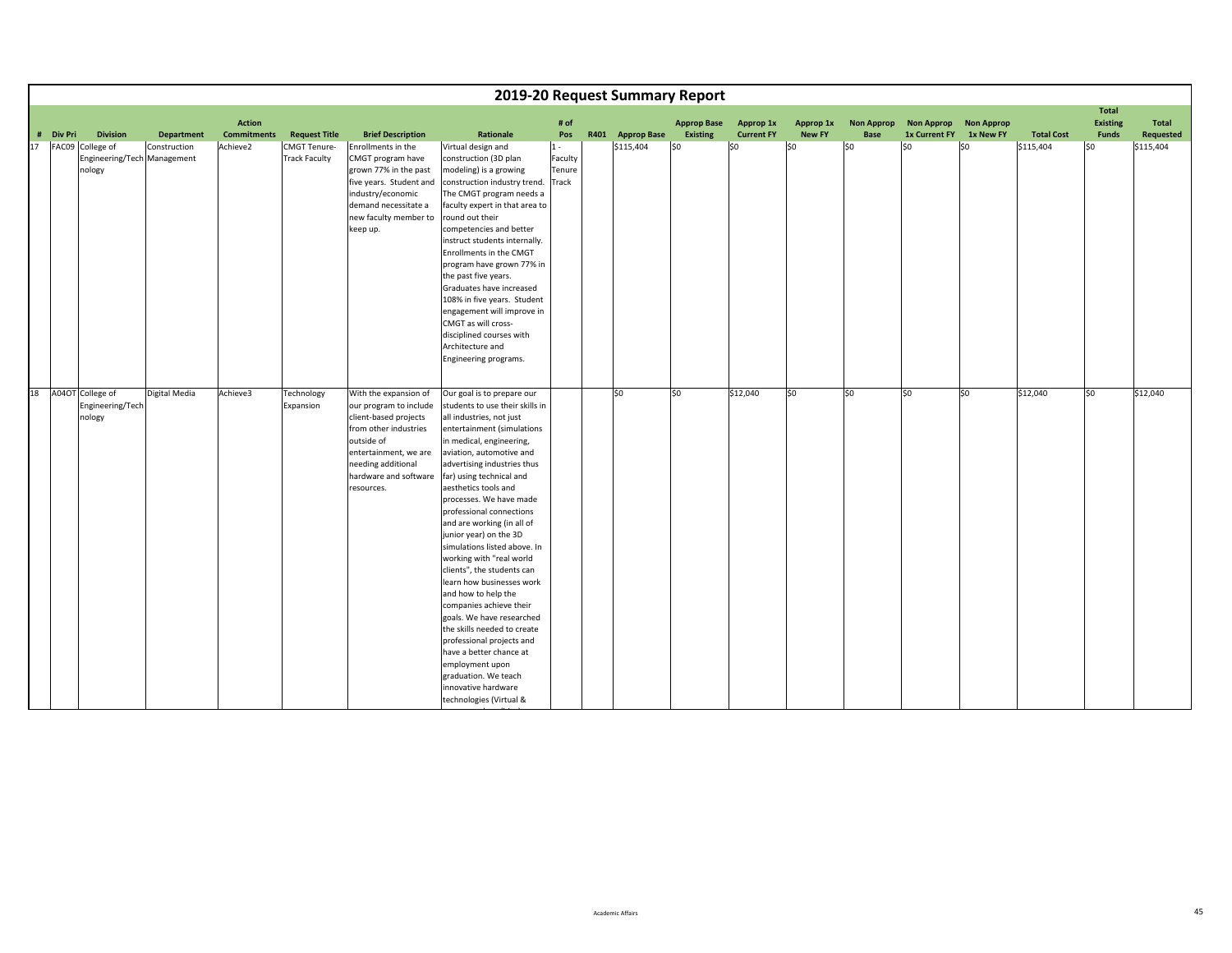|    |           |                                                           |                   |                                     |                                             |                                                                                                                                                                                                       |                                                                                                                                                                                                                                                                                                                                                                                                                                                                                                                                                                                                                                                                                                                                                                             |                                     | 2019-20 Request Summary Report |                                       |                                       |                            |                           |                                           |                                |                   |                                                 |                    |
|----|-----------|-----------------------------------------------------------|-------------------|-------------------------------------|---------------------------------------------|-------------------------------------------------------------------------------------------------------------------------------------------------------------------------------------------------------|-----------------------------------------------------------------------------------------------------------------------------------------------------------------------------------------------------------------------------------------------------------------------------------------------------------------------------------------------------------------------------------------------------------------------------------------------------------------------------------------------------------------------------------------------------------------------------------------------------------------------------------------------------------------------------------------------------------------------------------------------------------------------------|-------------------------------------|--------------------------------|---------------------------------------|---------------------------------------|----------------------------|---------------------------|-------------------------------------------|--------------------------------|-------------------|-------------------------------------------------|--------------------|
|    | # Div Pri | <b>Division</b>                                           | <b>Department</b> | <b>Action</b><br><b>Commitments</b> | <b>Request Title</b>                        | <b>Brief Description</b>                                                                                                                                                                              | Rationale                                                                                                                                                                                                                                                                                                                                                                                                                                                                                                                                                                                                                                                                                                                                                                   | # of<br>Pos                         | R401 Approp Base               | <b>Approp Base</b><br><b>Existing</b> | <b>Approp 1x</b><br><b>Current FY</b> | Approp 1x<br><b>New FY</b> | <b>Non Approp</b><br>Base | <b>Non Approp</b><br><b>1x Current FY</b> | <b>Non Approp</b><br>1x New FY | <b>Total Cost</b> | <b>Total</b><br><b>Existing</b><br><b>Funds</b> | Total<br>Requested |
| 17 |           | FAC09 College of<br>Engineering/Tech Management<br>nology | Construction      | Achieve2                            | <b>CMGT Tenure-</b><br><b>Track Faculty</b> | Enrollments in the<br>CMGT program have<br>grown 77% in the past<br>five years. Student and<br>industry/economic<br>demand necessitate a<br>new faculty member to<br>keep up.                         | Virtual design and<br>construction (3D plan<br>modeling) is a growing<br>construction industry trend.<br>The CMGT program needs a<br>faculty expert in that area to<br>round out their<br>competencies and better<br>instruct students internally.<br>Enrollments in the CMGT<br>program have grown 77% in<br>the past five years.<br>Graduates have increased<br>108% in five years. Student<br>engagement will improve in<br>CMGT as will cross-<br>disciplined courses with<br>Architecture and<br>Engineering programs.                                                                                                                                                                                                                                                 | $1 -$<br>Faculty<br>Tenure<br>Track | \$115,404                      | lso                                   | \$0                                   | \$0                        | S <sub>0</sub>            | S <sub>0</sub>                            | \$0                            | \$115,404         | l\$0                                            | \$115,404          |
| 18 |           | A04OT College of<br>Engineering/Tech<br>nology            | Digital Media     | Achieve3                            | Technology<br>Expansion                     | With the expansion of<br>our program to include<br>client-based projects<br>from other industries<br>outside of<br>entertainment, we are<br>needing additional<br>hardware and software<br>resources. | Our goal is to prepare our<br>students to use their skills in<br>all industries, not just<br>entertainment (simulations<br>in medical, engineering,<br>aviation, automotive and<br>advertising industries thus<br>far) using technical and<br>aesthetics tools and<br>processes. We have made<br>professional connections<br>and are working (in all of<br>junior year) on the 3D<br>simulations listed above. In<br>working with "real world<br>clients", the students can<br>learn how businesses work<br>and how to help the<br>companies achieve their<br>goals. We have researched<br>the skills needed to create<br>professional projects and<br>have a better chance at<br>employment upon<br>graduation. We teach<br>innovative hardware<br>technologies (Virtual & |                                     | \$0                            | \$0                                   | \$12,040                              | \$0                        | SO.                       | \$0                                       | \$0                            | \$12,040          | \$0                                             | \$12,040           |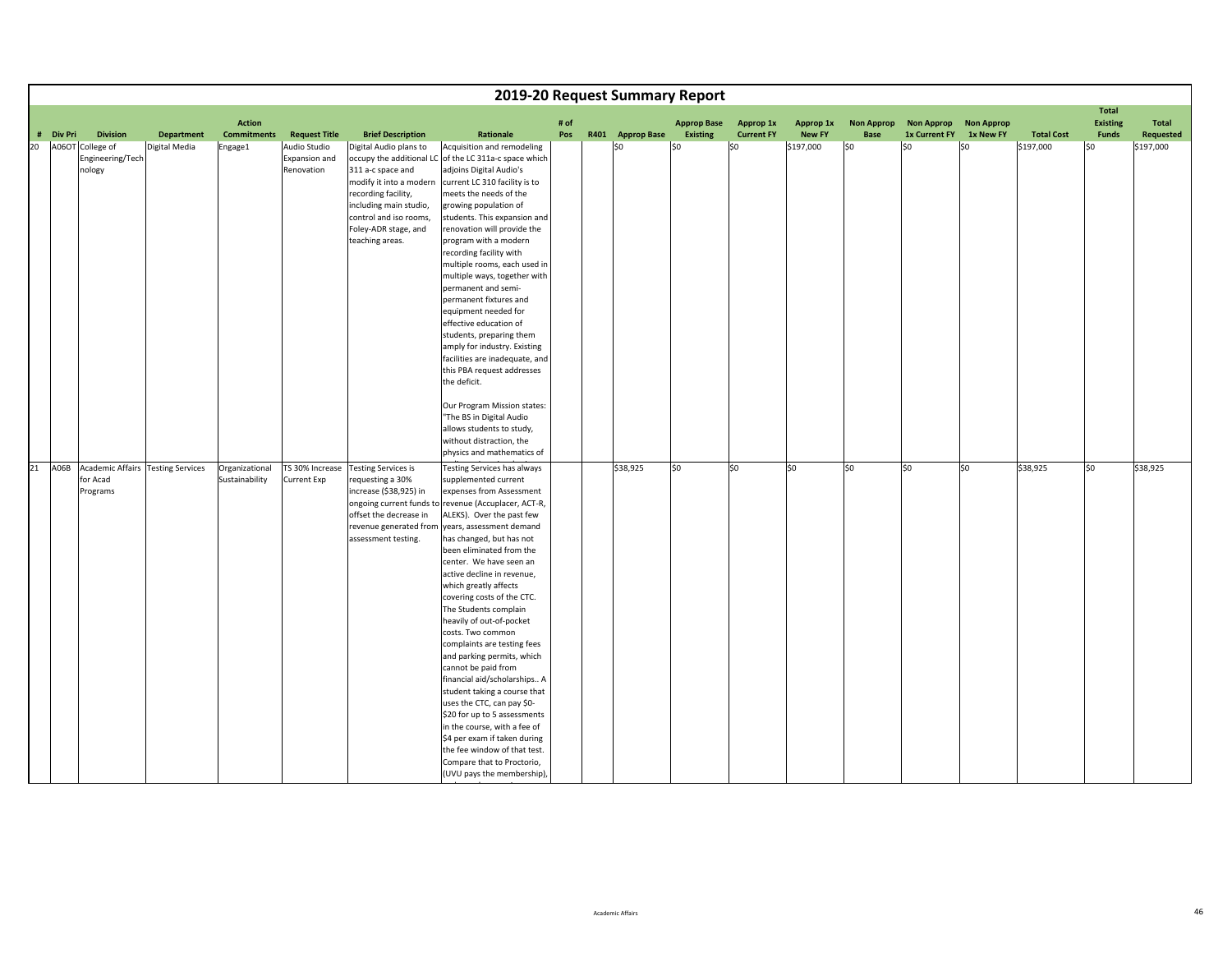|    |           |                                                                |                   |                                     |                                             |                                                                                                                                                                                              | 2019-20 Request Summary Report                                                                                                                                                                                                                                                                                                                                                                                                                                                                                                                                                                                                                                                                                                                                                                                                   |             |                  |                                |                                |                            |                           |                                           |                                |                   |                                                 |                    |
|----|-----------|----------------------------------------------------------------|-------------------|-------------------------------------|---------------------------------------------|----------------------------------------------------------------------------------------------------------------------------------------------------------------------------------------------|----------------------------------------------------------------------------------------------------------------------------------------------------------------------------------------------------------------------------------------------------------------------------------------------------------------------------------------------------------------------------------------------------------------------------------------------------------------------------------------------------------------------------------------------------------------------------------------------------------------------------------------------------------------------------------------------------------------------------------------------------------------------------------------------------------------------------------|-------------|------------------|--------------------------------|--------------------------------|----------------------------|---------------------------|-------------------------------------------|--------------------------------|-------------------|-------------------------------------------------|--------------------|
|    | # Div Pri | <b>Division</b>                                                | <b>Department</b> | <b>Action</b><br><b>Commitments</b> | <b>Request Title</b>                        | <b>Brief Description</b>                                                                                                                                                                     | Rationale                                                                                                                                                                                                                                                                                                                                                                                                                                                                                                                                                                                                                                                                                                                                                                                                                        | # of<br>Pos | R401 Approp Base | <b>Approp Base</b><br>Existing | Approp 1x<br><b>Current FY</b> | Approp 1x<br><b>New FY</b> | <b>Non Approp</b><br>Base | <b>Non Approp</b><br><b>1x Current FY</b> | <b>Non Approp</b><br>1x New FY | <b>Total Cost</b> | <b>Total</b><br><b>Existing</b><br><b>Funds</b> | Total<br>Requested |
| 20 |           | A06OT College of<br>Engineering/Tech<br>nology                 | Digital Media     | Engage1                             | Audio Studio<br>Expansion and<br>Renovation | Digital Audio plans to<br>311 a-c space and<br>modify it into a modern<br>recording facility,<br>including main studio,<br>control and iso rooms,<br>Foley-ADR stage, and<br>teaching areas. | Acquisition and remodeling<br>occupy the additional LC of the LC 311a-c space which<br>adjoins Digital Audio's<br>current LC 310 facility is to<br>meets the needs of the<br>growing population of<br>students. This expansion and<br>renovation will provide the<br>program with a modern<br>recording facility with<br>multiple rooms, each used in<br>multiple ways, together with<br>permanent and semi-<br>permanent fixtures and<br>equipment needed for<br>effective education of<br>students, preparing them<br>amply for industry. Existing<br>facilities are inadequate, and<br>this PBA request addresses<br>the deficit.<br>Our Program Mission states:<br>'The BS in Digital Audio<br>allows students to study,<br>without distraction, the<br>physics and mathematics of                                           |             | \$0              | \$0                            | \$0                            | \$197,000                  | lso                       | \$0                                       | \$0                            | \$197,000         | l\$0                                            | \$197,000          |
| 21 |           | A06B Academic Affairs Testing Services<br>for Acad<br>Programs |                   | Organizational<br>Sustainability    | TS 30% Increase<br><b>Current Exp</b>       | <b>Testing Services is</b><br>requesting a 30%<br>increase (\$38,925) in<br>offset the decrease in<br>revenue generated from<br>assessment testing.                                          | Testing Services has always<br>supplemented current<br>expenses from Assessment<br>ongoing current funds to revenue (Accuplacer, ACT-R,<br>ALEKS). Over the past few<br>years, assessment demand<br>has changed, but has not<br>been eliminated from the<br>center. We have seen an<br>active decline in revenue,<br>which greatly affects<br>covering costs of the CTC.<br>The Students complain<br>heavily of out-of-pocket<br>costs. Two common<br>complaints are testing fees<br>and parking permits, which<br>cannot be paid from<br>financial aid/scholarships A<br>student taking a course that<br>uses the CTC, can pay \$0-<br>\$20 for up to 5 assessments<br>in the course, with a fee of<br>\$4 per exam if taken during<br>the fee window of that test.<br>Compare that to Proctorio,<br>(UVU pays the membership), |             | \$38,925         | \$0                            | \$0                            | lso                        | SO.                       | \$0                                       | \$0                            | \$38,925          | \$0                                             | \$38,925           |

dd in the second control of the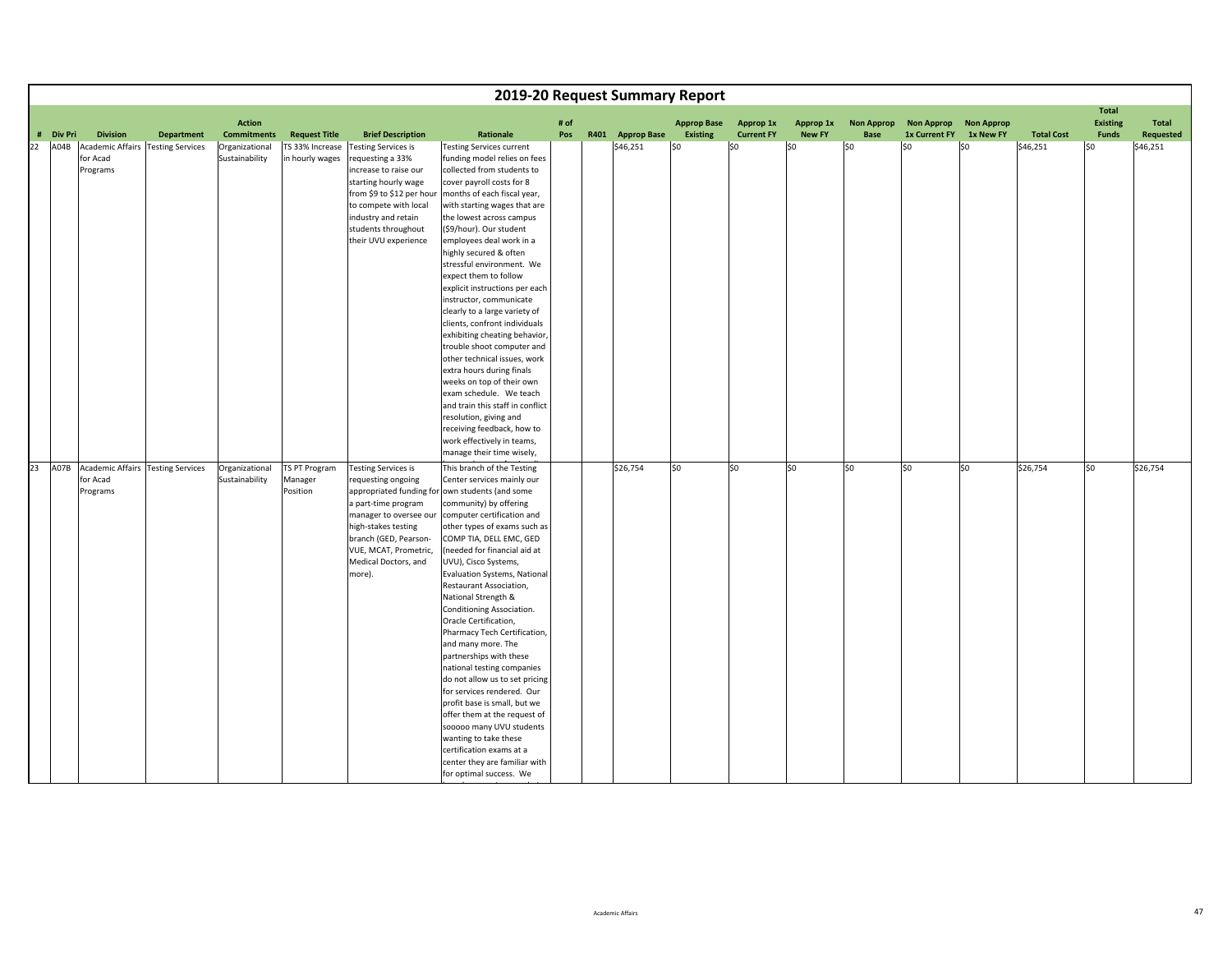|        |                   |                                                                              |                   |                                                        |                                                            |                                                                                                                                                                                                                                                         |                                                                                                                                                                                                                                                                                                                                                                                                                                                                                                                                                                                                                                                                                                                                                                                                                                                     |      | 2019-20 Request Summary Report |                        |                          |                      |                   |                             |                   |                               |                                 |                       |
|--------|-------------------|------------------------------------------------------------------------------|-------------------|--------------------------------------------------------|------------------------------------------------------------|---------------------------------------------------------------------------------------------------------------------------------------------------------------------------------------------------------------------------------------------------------|-----------------------------------------------------------------------------------------------------------------------------------------------------------------------------------------------------------------------------------------------------------------------------------------------------------------------------------------------------------------------------------------------------------------------------------------------------------------------------------------------------------------------------------------------------------------------------------------------------------------------------------------------------------------------------------------------------------------------------------------------------------------------------------------------------------------------------------------------------|------|--------------------------------|------------------------|--------------------------|----------------------|-------------------|-----------------------------|-------------------|-------------------------------|---------------------------------|-----------------------|
|        |                   |                                                                              |                   | <b>Action</b>                                          |                                                            |                                                                                                                                                                                                                                                         |                                                                                                                                                                                                                                                                                                                                                                                                                                                                                                                                                                                                                                                                                                                                                                                                                                                     | # of |                                | <b>Approp Base</b>     | Approp 1x                | Approp 1x            | <b>Non Approp</b> | <b>Non Approp</b>           | <b>Non Approp</b> |                               | <b>Total</b><br><b>Existing</b> | Total                 |
| 22     | # Div Pri<br>A04B | <b>Division</b><br>Academic Affairs Testing Services<br>for Acad<br>Programs | <b>Department</b> | <b>Commitments</b><br>Organizational<br>Sustainability | <b>Request Title</b><br>TS 33% Increase<br>in hourly wages | <b>Brief Description</b><br><b>Testing Services is</b><br>requesting a 33%<br>increase to raise our<br>starting hourly wage<br>from \$9 to \$12 per hour<br>to compete with local<br>industry and retain<br>students throughout<br>their UVU experience | Rationale<br><b>Testing Services current</b><br>funding model relies on fees<br>collected from students to<br>cover payroll costs for 8<br>months of each fiscal year,<br>with starting wages that are<br>the lowest across campus<br>(\$9/hour). Our student<br>employees deal work in a<br>highly secured & often<br>stressful environment. We<br>expect them to follow<br>explicit instructions per each<br>instructor, communicate<br>clearly to a large variety of<br>clients, confront individuals<br>exhibiting cheating behavior,<br>trouble shoot computer and<br>other technical issues, work<br>extra hours during finals<br>weeks on top of their own<br>exam schedule. We teach<br>and train this staff in conflict<br>resolution, giving and<br>receiving feedback, how to<br>work effectively in teams,<br>manage their time wisely, | Pos  | R401 Approp Base<br>\$46,251   | <b>Existing</b><br>SO. | <b>Current FY</b><br>\$0 | <b>New FY</b><br>\$0 | Base<br>SO        | <b>1x Current FY</b><br>\$0 | 1x New FY<br>l\$0 | <b>Total Cost</b><br>\$46,251 | <b>Funds</b><br>l\$0            | Requested<br>\$46,251 |
| $23 -$ |                   | A07B Academic Affairs Testing Services<br>for Acad<br>Programs               |                   | Organizational<br>Sustainability                       | TS PT Program<br>Manager<br>Position                       | <b>Testing Services is</b><br>requesting ongoing<br>a part-time program<br>manager to oversee our<br>high-stakes testing<br>branch (GED, Pearson-<br>VUE, MCAT, Prometric,<br>Medical Doctors, and<br>more).                                            | This branch of the Testing<br>Center services mainly our<br>appropriated funding for own students (and some<br>community) by offering<br>computer certification and<br>other types of exams such as<br>COMP TIA, DELL EMC, GED<br>(needed for financial aid at<br>UVU), Cisco Systems,<br>Evaluation Systems, National<br>Restaurant Association,<br>National Strength &<br>Conditioning Association.<br>Oracle Certification,<br>Pharmacy Tech Certification,<br>and many more. The<br>partnerships with these<br>national testing companies<br>do not allow us to set pricing<br>for services rendered. Our<br>profit base is small, but we<br>offer them at the request of<br>sooooo many UVU students<br>wanting to take these<br>certification exams at a<br>center they are familiar with<br>for optimal success. We                          |      | \$26,754                       | \$0                    | \$0                      | lso                  | S <sub>0</sub>    | lso                         | \$0               | \$26,754                      | so                              | \$26,754              |

h

b i de la constantina de la constantina de la constantina de la constantina de la constantina de la constantin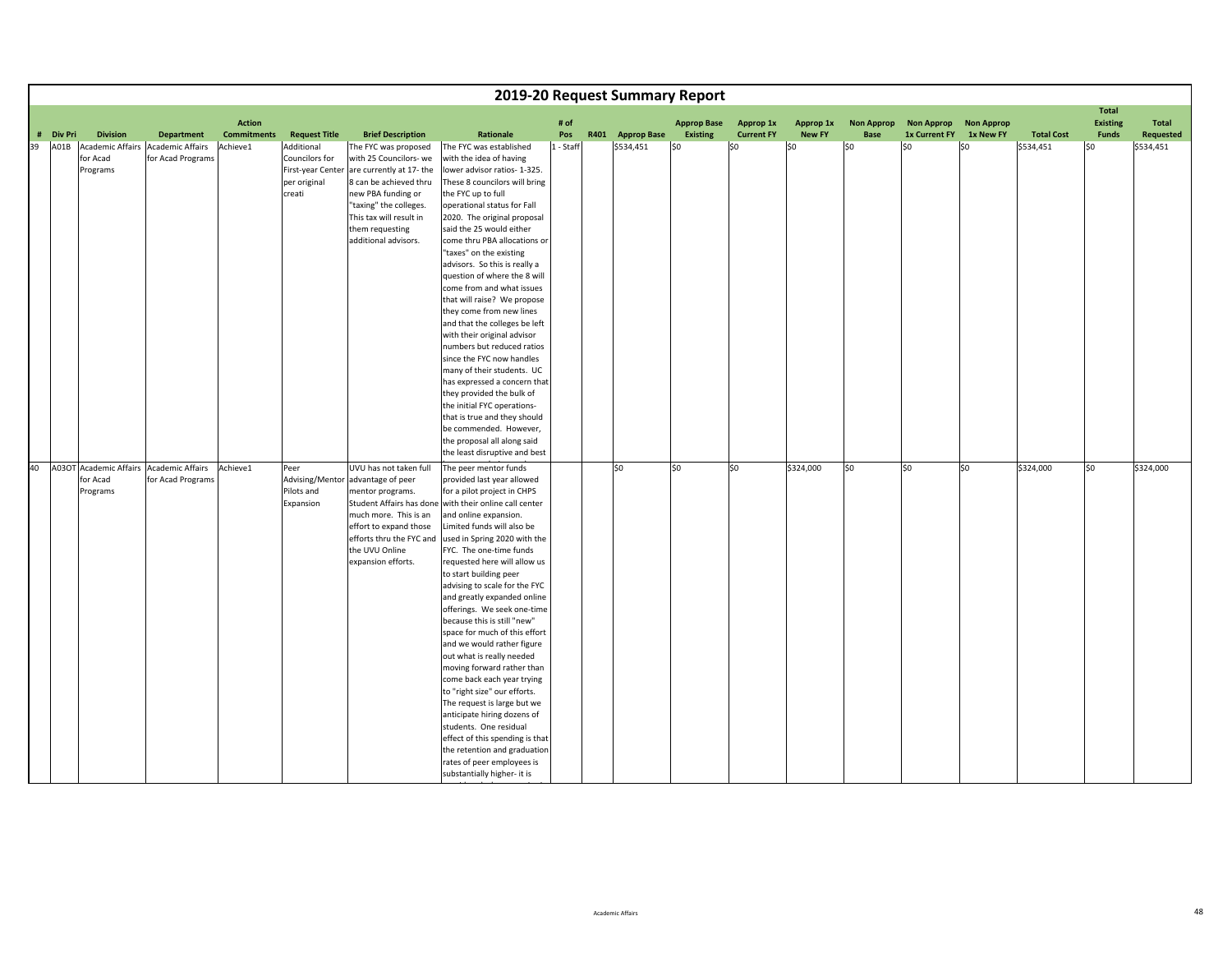|    |           |                      |                                                              |                    |                                                                             |                                                                                                                                                                                                                                    |                                                                                                                                                                                                                                                                                                                                                                                                                                                                                                                                                                                                                                                                                                                                                                                                                                               |           | 2019-20 Request Summary Report |                    |                   |               |                   |                      |                   |                   |                                 |           |
|----|-----------|----------------------|--------------------------------------------------------------|--------------------|-----------------------------------------------------------------------------|------------------------------------------------------------------------------------------------------------------------------------------------------------------------------------------------------------------------------------|-----------------------------------------------------------------------------------------------------------------------------------------------------------------------------------------------------------------------------------------------------------------------------------------------------------------------------------------------------------------------------------------------------------------------------------------------------------------------------------------------------------------------------------------------------------------------------------------------------------------------------------------------------------------------------------------------------------------------------------------------------------------------------------------------------------------------------------------------|-----------|--------------------------------|--------------------|-------------------|---------------|-------------------|----------------------|-------------------|-------------------|---------------------------------|-----------|
|    |           |                      |                                                              | <b>Action</b>      |                                                                             |                                                                                                                                                                                                                                    |                                                                                                                                                                                                                                                                                                                                                                                                                                                                                                                                                                                                                                                                                                                                                                                                                                               | # of      |                                | <b>Approp Base</b> | Approp 1x         | Approp 1x     | <b>Non Approp</b> | <b>Non Approp</b>    | <b>Non Approp</b> |                   | <b>Total</b><br><b>Existing</b> | Total     |
|    | # Div Pri | <b>Division</b>      | <b>Department</b>                                            | <b>Commitments</b> | <b>Request Title</b>                                                        | <b>Brief Description</b>                                                                                                                                                                                                           | Rationale                                                                                                                                                                                                                                                                                                                                                                                                                                                                                                                                                                                                                                                                                                                                                                                                                                     | Pos       | R401 Approp Base               | Existing           | <b>Current FY</b> | <b>New FY</b> | Base              | <b>1x Current FY</b> | 1x New FY         | <b>Total Cost</b> | <b>Funds</b>                    | Requested |
| 39 | A01B      | for Acad<br>Programs | Academic Affairs Academic Affairs<br>for Acad Programs       | Achieve1           | Additional<br>Councilors for<br>First-year Center<br>per original<br>creati | The FYC was proposed<br>with 25 Councilors- we<br>are currently at 17- the<br>8 can be achieved thru<br>new PBA funding or<br>"taxing" the colleges.<br>This tax will result in<br>them requesting<br>additional advisors.         | The FYC was established<br>with the idea of having<br>lower advisor ratios- 1-325.<br>These 8 councilors will bring<br>the FYC up to full<br>operational status for Fall<br>2020. The original proposal<br>said the 25 would either<br>come thru PBA allocations or<br>"taxes" on the existing<br>advisors. So this is really a<br>question of where the 8 will<br>come from and what issues<br>that will raise? We propose<br>they come from new lines<br>and that the colleges be left<br>with their original advisor<br>numbers but reduced ratios<br>since the FYC now handles<br>many of their students. UC<br>has expressed a concern that<br>they provided the bulk of<br>the initial FYC operations-<br>that is true and they should<br>be commended. However,<br>the proposal all along said                                         | 1 - Staff | \$534,451                      | \$0                | \$0               | \$0           | \$0               | lso                  | \$0               | \$534,451         | l\$0                            | \$534,451 |
|    |           |                      |                                                              |                    |                                                                             |                                                                                                                                                                                                                                    | the least disruptive and best                                                                                                                                                                                                                                                                                                                                                                                                                                                                                                                                                                                                                                                                                                                                                                                                                 |           |                                |                    |                   |               |                   |                      |                   |                   |                                 |           |
| 40 |           | for Acad<br>Programs | A03OT Academic Affairs Academic Affairs<br>for Acad Programs | Achieve1           | Peer<br>Pilots and<br>Expansion                                             | UVU has not taken full<br>Advising/Mentor advantage of peer<br>mentor programs.<br>Student Affairs has done<br>much more. This is an<br>effort to expand those<br>efforts thru the FYC and<br>the UVU Online<br>expansion efforts. | The peer mentor funds<br>provided last year allowed<br>for a pilot project in CHPS<br>with their online call center<br>and online expansion.<br>Limited funds will also be<br>used in Spring 2020 with the<br>FYC. The one-time funds<br>requested here will allow us<br>to start building peer<br>advising to scale for the FYC<br>and greatly expanded online<br>offerings. We seek one-time<br>because this is still "new"<br>space for much of this effort<br>and we would rather figure<br>out what is really needed<br>moving forward rather than<br>come back each year trying<br>to "right size" our efforts.<br>The request is large but we<br>anticipate hiring dozens of<br>students. One residual<br>effect of this spending is that<br>the retention and graduation<br>rates of peer employees is<br>substantially higher- it is |           | \$0                            | lso                | \$0               | \$324,000     | \$0               | S <sub>0</sub>       | so                | \$324,000         | so                              | \$324,000 |

id dhe

b i i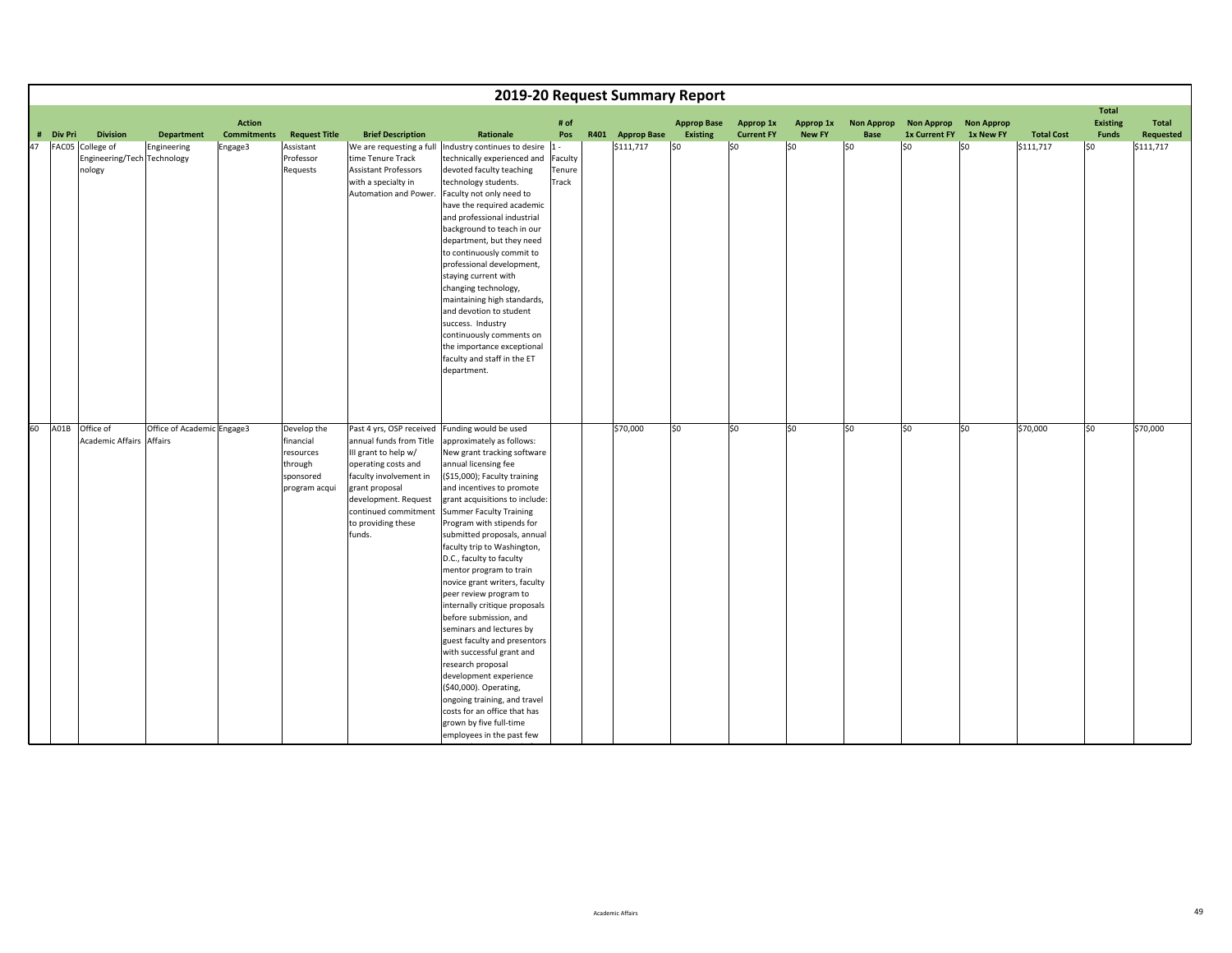|    |           |                                                           |                            |                                     |                                                                                |                                                                                                                                                                                                    |                                                                                                                                                                                                                                                                                                                                                                                                                                                                                                                                                                                                                                                                                                                                                                                                                                       |                                     | 2019-20 Request Summary Report |                                |                                |                            |                                  |                                              |                   |                   |                                                 |                    |
|----|-----------|-----------------------------------------------------------|----------------------------|-------------------------------------|--------------------------------------------------------------------------------|----------------------------------------------------------------------------------------------------------------------------------------------------------------------------------------------------|---------------------------------------------------------------------------------------------------------------------------------------------------------------------------------------------------------------------------------------------------------------------------------------------------------------------------------------------------------------------------------------------------------------------------------------------------------------------------------------------------------------------------------------------------------------------------------------------------------------------------------------------------------------------------------------------------------------------------------------------------------------------------------------------------------------------------------------|-------------------------------------|--------------------------------|--------------------------------|--------------------------------|----------------------------|----------------------------------|----------------------------------------------|-------------------|-------------------|-------------------------------------------------|--------------------|
|    | # Div Pri | <b>Division</b>                                           | <b>Department</b>          | <b>Action</b><br><b>Commitments</b> | <b>Request Title</b>                                                           | <b>Brief Description</b>                                                                                                                                                                           | Rationale                                                                                                                                                                                                                                                                                                                                                                                                                                                                                                                                                                                                                                                                                                                                                                                                                             | # of<br>Pos                         | R401 Approp Base               | <b>Approp Base</b><br>Existing | Approp 1x<br><b>Current FY</b> | Approp 1x<br><b>New FY</b> | <b>Non Approp</b><br><b>Base</b> | <b>Non Approp</b><br>1x Current FY 1x New FY | <b>Non Approp</b> | <b>Total Cost</b> | <b>Total</b><br><b>Existing</b><br><b>Funds</b> | Total<br>Requested |
| 47 |           | FAC05 College of<br>Engineering/Tech Technology<br>nology | Engineering                | Engage3                             | Assistant<br>Professor<br>Requests                                             | time Tenure Track<br><b>Assistant Professors</b><br>with a specialty in<br>Automation and Power.                                                                                                   | We are requesting a full Industry continues to desire<br>technically experienced and<br>devoted faculty teaching<br>technology students.<br>Faculty not only need to<br>have the required academic<br>and professional industrial<br>background to teach in our<br>department, but they need<br>to continuously commit to<br>professional development,<br>staying current with<br>changing technology,<br>maintaining high standards,<br>and devotion to student<br>success. Industry<br>continuously comments on<br>the importance exceptional<br>faculty and staff in the ET<br>department.                                                                                                                                                                                                                                         | $1 -$<br>Faculty<br>Tenure<br>Track | \$111,717                      | \$0                            | \$0                            | \$0                        | \$0                              | lso                                          | \$0               | \$111,717         | \$0                                             | \$111,717          |
|    |           | 60 A01B Office of<br><b>Academic Affairs Affairs</b>      | Office of Academic Engage3 |                                     | Develop the<br>financial<br>resources<br>through<br>sponsored<br>program acqui | annual funds from Title<br>III grant to help w/<br>operating costs and<br>faculty involvement in<br>grant proposal<br>development. Request<br>continued commitment<br>to providing these<br>funds. | Past 4 yrs, OSP received Funding would be used<br>approximately as follows:<br>New grant tracking software<br>annual licensing fee<br>(\$15,000); Faculty training<br>and incentives to promote<br>grant acquisitions to include:<br><b>Summer Faculty Training</b><br>Program with stipends for<br>submitted proposals, annual<br>faculty trip to Washington,<br>D.C., faculty to faculty<br>mentor program to train<br>novice grant writers, faculty<br>peer review program to<br>internally critique proposals<br>before submission, and<br>seminars and lectures by<br>guest faculty and presentors<br>with successful grant and<br>research proposal<br>development experience<br>(\$40,000). Operating,<br>ongoing training, and travel<br>costs for an office that has<br>grown by five full-time<br>employees in the past few |                                     | \$70,000                       | \$0                            | \$0                            | \$0                        | \$0                              | lso                                          | \$0               | \$70,000          | SO.                                             | \$70,000           |

hi da filma da film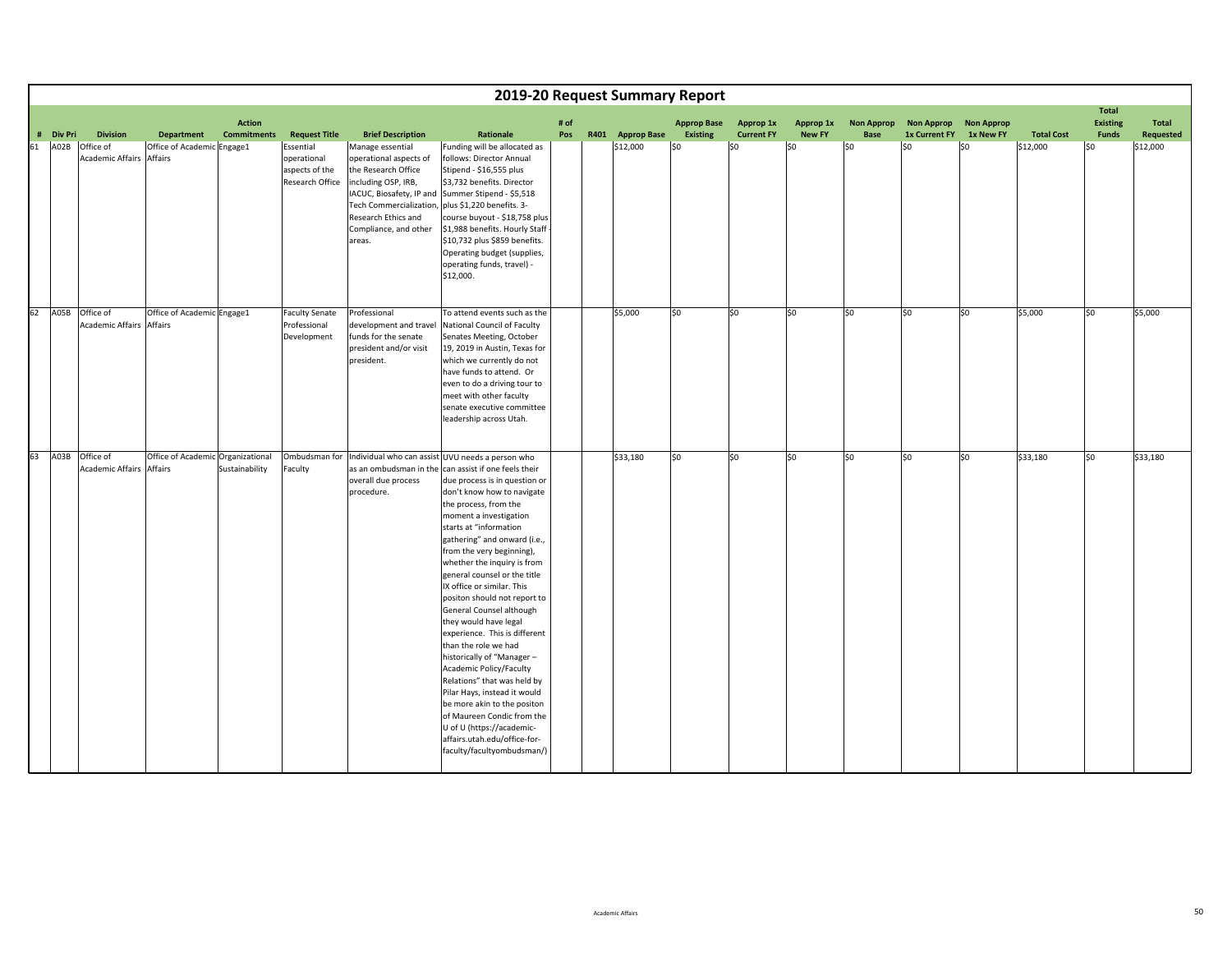|    |           |                                                   |                                   |                                     |                                                               |                                                                                                                                                                                                           | 2019-20 Request Summary Report                                                                                                                                                                                                                                                                                                                                                                                                                                                                                                                                                                                                                                                                                                                                                                                                               |             |                  |                                       |                                |                            |                           |                                    |                                |                   |                                                 |                           |
|----|-----------|---------------------------------------------------|-----------------------------------|-------------------------------------|---------------------------------------------------------------|-----------------------------------------------------------------------------------------------------------------------------------------------------------------------------------------------------------|----------------------------------------------------------------------------------------------------------------------------------------------------------------------------------------------------------------------------------------------------------------------------------------------------------------------------------------------------------------------------------------------------------------------------------------------------------------------------------------------------------------------------------------------------------------------------------------------------------------------------------------------------------------------------------------------------------------------------------------------------------------------------------------------------------------------------------------------|-------------|------------------|---------------------------------------|--------------------------------|----------------------------|---------------------------|------------------------------------|--------------------------------|-------------------|-------------------------------------------------|---------------------------|
|    | # Div Pri | <b>Division</b>                                   | <b>Department</b>                 | <b>Action</b><br><b>Commitments</b> | <b>Request Title</b>                                          | <b>Brief Description</b>                                                                                                                                                                                  | Rationale                                                                                                                                                                                                                                                                                                                                                                                                                                                                                                                                                                                                                                                                                                                                                                                                                                    | # of<br>Pos | R401 Approp Base | <b>Approp Base</b><br><b>Existing</b> | Approp 1x<br><b>Current FY</b> | Approp 1x<br><b>New FY</b> | <b>Non Approp</b><br>Base | <b>Non Approp</b><br>1x Current FY | <b>Non Approp</b><br>1x New FY | <b>Total Cost</b> | <b>Total</b><br><b>Existing</b><br><b>Funds</b> | <b>Total</b><br>Requested |
| 61 | A02B      | Office of<br><b>Academic Affairs Affairs</b>      | Office of Academic Engage1        |                                     | Essential<br>operational<br>aspects of the<br>Research Office | Manage essential<br>operational aspects of<br>the Research Office<br>including OSP, IRB,<br>IACUC, Biosafety, IP and<br>Tech Commercialization,<br>Research Ethics and<br>Compliance, and other<br>areas. | Funding will be allocated as<br>follows: Director Annual<br>Stipend - \$16,555 plus<br>\$3,732 benefits. Director<br>Summer Stipend - \$5,518<br>plus \$1,220 benefits. 3-<br>course buyout - \$18,758 plus<br>\$1,988 benefits. Hourly Staff<br>\$10,732 plus \$859 benefits.<br>Operating budget (supplies,<br>operating funds, travel) -<br>\$12,000.                                                                                                                                                                                                                                                                                                                                                                                                                                                                                     |             | \$12,000         | \$0                                   | S0                             | \$0                        | \$0                       | lso                                | \$0                            | \$12,000          | \$0                                             | \$12,000                  |
| 62 | A05B      | Office of<br><b>Academic Affairs Affairs</b>      | Office of Academic Engage1        |                                     | <b>Faculty Senate</b><br>Professional<br>Development          | Professional<br>development and travel<br>funds for the senate<br>president and/or visit<br>president.                                                                                                    | To attend events such as the<br>National Council of Faculty<br>Senates Meeting, October<br>19, 2019 in Austin, Texas for<br>which we currently do not<br>have funds to attend. Or<br>even to do a driving tour to<br>meet with other faculty<br>senate executive committee<br>leadership across Utah.                                                                                                                                                                                                                                                                                                                                                                                                                                                                                                                                        |             | \$5,000          | \$0                                   | lso                            | \$0                        | lso                       | lso.                               | \$0                            | \$5,000           | SO.                                             | \$5,000                   |
| 63 |           | A03B Office of<br><b>Academic Affairs Affairs</b> | Office of Academic Organizational | Sustainability                      | Ombudsman for<br>Faculty                                      | overall due process<br>procedure.                                                                                                                                                                         | Individual who can assist UVU needs a person who<br>as an ombudsman in the can assist if one feels their<br>due process is in question or<br>don't know how to navigate<br>the process, from the<br>moment a investigation<br>starts at "information<br>gathering" and onward (i.e.,<br>from the very beginning),<br>whether the inquiry is from<br>general counsel or the title<br>IX office or similar. This<br>positon should not report to<br>General Counsel although<br>they would have legal<br>experience. This is different<br>than the role we had<br>historically of "Manager -<br>Academic Policy/Faculty<br>Relations" that was held by<br>Pilar Hays, instead it would<br>be more akin to the positon<br>of Maureen Condic from the<br>U of U (https://academic-<br>affairs.utah.edu/office-for-<br>faculty/facultyombudsman/) |             | \$33,180         | 50                                    | $\sqrt{50}$                    | \$0                        | $\overline{50}$           | 50                                 | 50                             | \$33,180          | $\overline{\text{so}}$                          | \$33,180                  |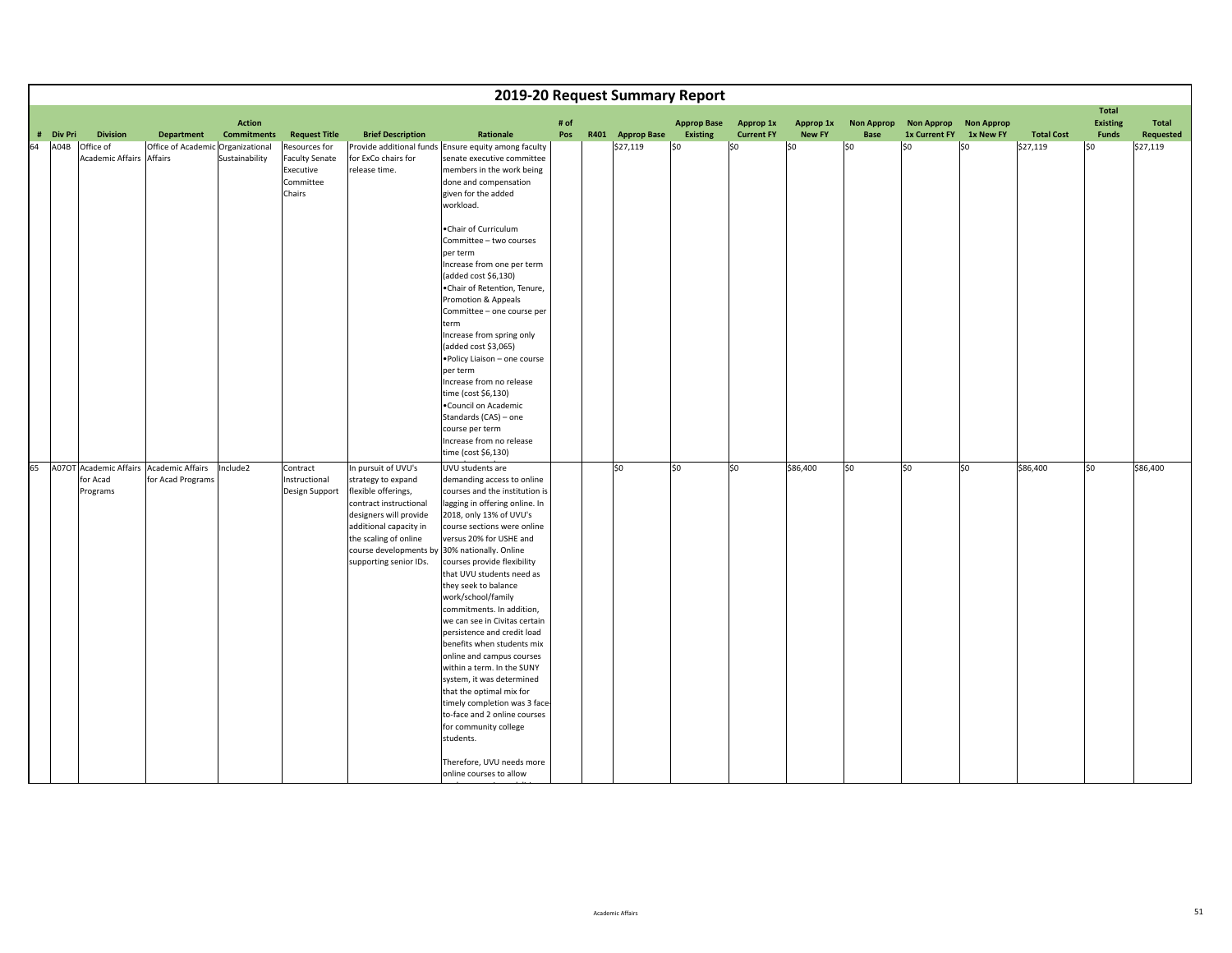|            |                                                                    |                                              |                                     |                                                                            |                                                                                                                                                         |                                                                                                                                                                                                                                                                                                                                                                                                                                                                                                                                                                                                                                                                       |             | 2019-20 Request Summary Report |                                       |                                |                            |                           |                                           |                                |                   |                                                 |                    |
|------------|--------------------------------------------------------------------|----------------------------------------------|-------------------------------------|----------------------------------------------------------------------------|---------------------------------------------------------------------------------------------------------------------------------------------------------|-----------------------------------------------------------------------------------------------------------------------------------------------------------------------------------------------------------------------------------------------------------------------------------------------------------------------------------------------------------------------------------------------------------------------------------------------------------------------------------------------------------------------------------------------------------------------------------------------------------------------------------------------------------------------|-------------|--------------------------------|---------------------------------------|--------------------------------|----------------------------|---------------------------|-------------------------------------------|--------------------------------|-------------------|-------------------------------------------------|--------------------|
| # Div Pri  | <b>Division</b>                                                    | <b>Department</b>                            | <b>Action</b><br><b>Commitments</b> | <b>Request Title</b>                                                       | <b>Brief Description</b>                                                                                                                                | Rationale                                                                                                                                                                                                                                                                                                                                                                                                                                                                                                                                                                                                                                                             | # of<br>Pos | R401 Approp Base               | <b>Approp Base</b><br><b>Existing</b> | Approp 1x<br><b>Current FY</b> | Approp 1x<br><b>New FY</b> | <b>Non Approp</b><br>Base | <b>Non Approp</b><br><b>1x Current FY</b> | <b>Non Approp</b><br>1x New FY | <b>Total Cost</b> | <b>Total</b><br><b>Existing</b><br><b>Funds</b> | Total<br>Requested |
| A04B<br>64 | Office of<br><b>Academic Affairs</b>                               | Office of Academic Organizational<br>Affairs | Sustainability                      | Resources for<br><b>Faculty Senate</b><br>Executive<br>Committee<br>Chairs | for ExCo chairs for<br>release time.                                                                                                                    | Provide additional funds Ensure equity among faculty<br>senate executive committee<br>members in the work being<br>done and compensation<br>given for the added<br>workload.                                                                                                                                                                                                                                                                                                                                                                                                                                                                                          |             | \$27,119                       | \$0                                   | \$0                            | \$0                        | lso                       | l\$0                                      | lso                            | \$27,119          | l\$0                                            | \$27,119           |
|            |                                                                    |                                              |                                     |                                                                            |                                                                                                                                                         | .Chair of Curriculum<br>Committee - two courses<br>per term<br>Increase from one per term<br>(added cost \$6,130)<br>.Chair of Retention, Tenure,<br>Promotion & Appeals<br>Committee - one course per<br>term<br>Increase from spring only<br>(added cost \$3,065)<br>. Policy Liaison - one course<br>per term<br>Increase from no release<br>time (cost \$6,130)<br>. Council on Academic<br>Standards (CAS) - one<br>course per term<br>Increase from no release                                                                                                                                                                                                  |             |                                |                                       |                                |                            |                           |                                           |                                |                   |                                                 |                    |
|            | 65 A07OT Academic Affairs Academic Affairs<br>for Acad<br>Programs | for Acad Programs                            | Include2                            | Contract<br>Instructional<br>Design Support                                | In pursuit of UVU's<br>strategy to expand<br>flexible offerings,                                                                                        | time (cost \$6,130)<br>UVU students are<br>demanding access to online<br>courses and the institution is                                                                                                                                                                                                                                                                                                                                                                                                                                                                                                                                                               |             | 50                             | lso                                   | $\overline{\text{so}}$         | \$86,400                   | 50                        | $\overline{\mathsf{S}}$                   | S <sub>0</sub>                 | \$86,400          | \$0                                             | \$86,400           |
|            |                                                                    |                                              |                                     |                                                                            | contract instructional<br>designers will provide<br>additional capacity in<br>the scaling of online<br>course developments by<br>supporting senior IDs. | lagging in offering online. In<br>2018, only 13% of UVU's<br>course sections were online<br>versus 20% for USHE and<br>30% nationally. Online<br>courses provide flexibility<br>that UVU students need as<br>they seek to balance<br>work/school/family<br>commitments. In addition,<br>we can see in Civitas certain<br>persistence and credit load<br>benefits when students mix<br>online and campus courses<br>within a term. In the SUNY<br>system, it was determined<br>that the optimal mix for<br>timely completion was 3 face-<br>to-face and 2 online courses<br>for community college<br>students.<br>Therefore, UVU needs more<br>online courses to allow |             |                                |                                       |                                |                            |                           |                                           |                                |                   |                                                 |                    |

d

i di li indiana della contratta della contratta della contratta della contratta della contratta della contratt<br>Il indiana di li indiana di li indiana di li indiana di li indiana di li indiana di li indiana di li indiana d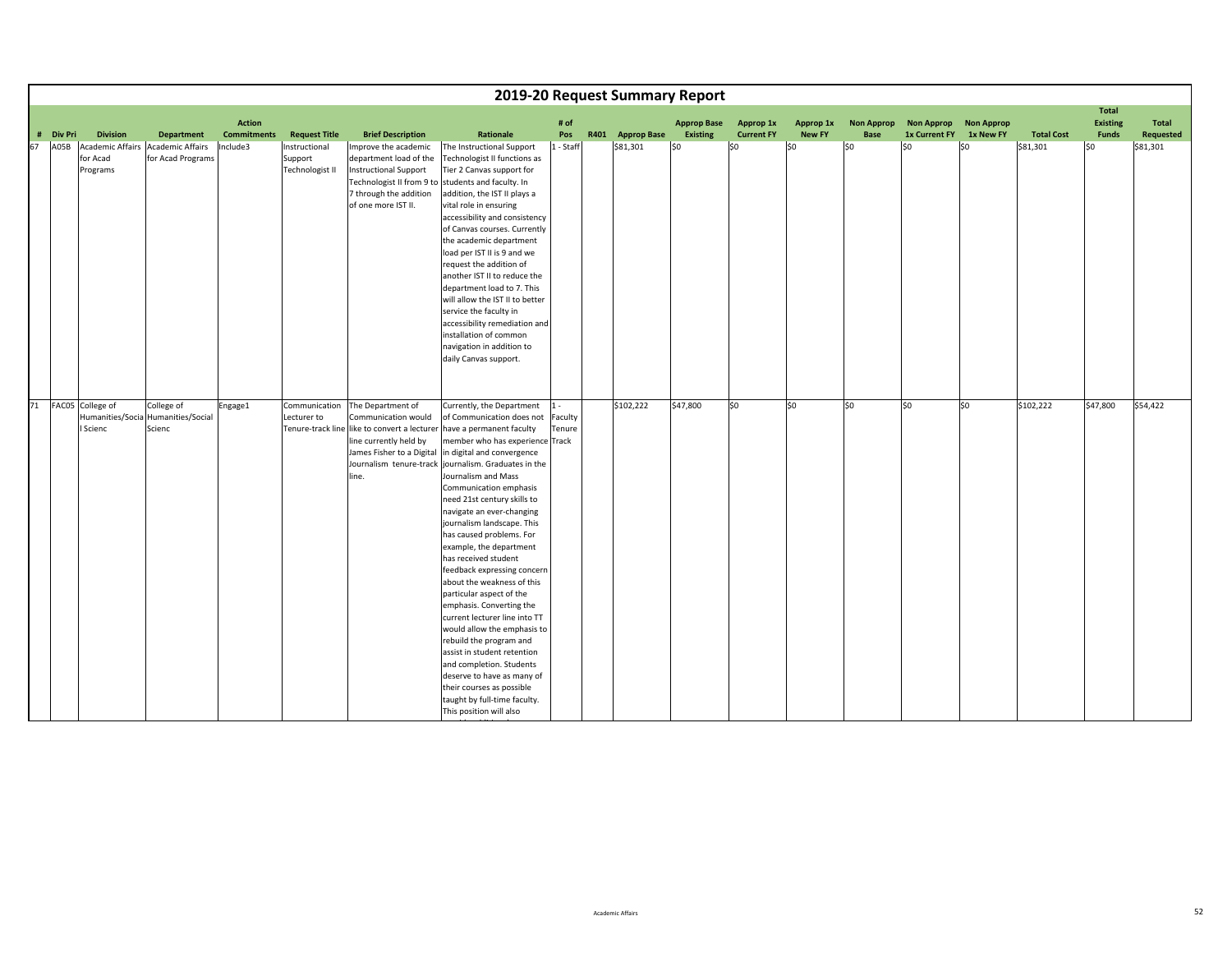|    |                |                  |                                    |                                     |                      |                                                     |                                                                                    |             | 2019-20 Request Summary Report |                                |                                       |                            |                                  |                                    |                                |                   |                                 |                           |
|----|----------------|------------------|------------------------------------|-------------------------------------|----------------------|-----------------------------------------------------|------------------------------------------------------------------------------------|-------------|--------------------------------|--------------------------------|---------------------------------------|----------------------------|----------------------------------|------------------------------------|--------------------------------|-------------------|---------------------------------|---------------------------|
|    |                |                  |                                    |                                     |                      |                                                     |                                                                                    |             |                                |                                |                                       |                            |                                  |                                    |                                |                   | <b>Total</b>                    |                           |
| #  | <b>Div Pri</b> | <b>Division</b>  | <b>Department</b>                  | <b>Action</b><br><b>Commitments</b> | <b>Request Title</b> | <b>Brief Description</b>                            | Rationale                                                                          | # of<br>Pos | R401 Approp Base               | <b>Approp Base</b><br>Existing | <b>Approp 1x</b><br><b>Current FY</b> | Approp 1x<br><b>New FY</b> | <b>Non Approp</b><br><b>Base</b> | <b>Non Approp</b><br>1x Current FY | <b>Non Approp</b><br>1x New FY | <b>Total Cost</b> | <b>Existing</b><br><b>Funds</b> | <b>Total</b><br>Requested |
| 67 | A05B           |                  | Academic Affairs Academic Affairs  | Include3                            | Instructional        | Improve the academic                                | The Instructional Support                                                          | 1 - Staff   | \$81,301                       | \$0                            | \$0                                   | \$0                        | lso                              | S <sub>0</sub>                     | \$0                            | \$81,301          | l\$0                            | \$81,301                  |
|    |                | for Acad         | for Acad Programs                  |                                     | Support              | department load of the                              | Technologist II functions as                                                       |             |                                |                                |                                       |                            |                                  |                                    |                                |                   |                                 |                           |
|    |                | Programs         |                                    |                                     | Technologist II      | Instructional Support                               | Tier 2 Canvas support for                                                          |             |                                |                                |                                       |                            |                                  |                                    |                                |                   |                                 |                           |
|    |                |                  |                                    |                                     |                      | Technologist II from 9 to                           | students and faculty. In                                                           |             |                                |                                |                                       |                            |                                  |                                    |                                |                   |                                 |                           |
|    |                |                  |                                    |                                     |                      | 7 through the addition                              | addition, the IST II plays a                                                       |             |                                |                                |                                       |                            |                                  |                                    |                                |                   |                                 |                           |
|    |                |                  |                                    |                                     |                      | of one more IST II.                                 | vital role in ensuring                                                             |             |                                |                                |                                       |                            |                                  |                                    |                                |                   |                                 |                           |
|    |                |                  |                                    |                                     |                      |                                                     | accessibility and consistency                                                      |             |                                |                                |                                       |                            |                                  |                                    |                                |                   |                                 |                           |
|    |                |                  |                                    |                                     |                      |                                                     | of Canvas courses. Currently<br>the academic department                            |             |                                |                                |                                       |                            |                                  |                                    |                                |                   |                                 |                           |
|    |                |                  |                                    |                                     |                      |                                                     | load per IST II is 9 and we                                                        |             |                                |                                |                                       |                            |                                  |                                    |                                |                   |                                 |                           |
|    |                |                  |                                    |                                     |                      |                                                     | request the addition of                                                            |             |                                |                                |                                       |                            |                                  |                                    |                                |                   |                                 |                           |
|    |                |                  |                                    |                                     |                      |                                                     | another IST II to reduce the                                                       |             |                                |                                |                                       |                            |                                  |                                    |                                |                   |                                 |                           |
|    |                |                  |                                    |                                     |                      |                                                     | department load to 7. This                                                         |             |                                |                                |                                       |                            |                                  |                                    |                                |                   |                                 |                           |
|    |                |                  |                                    |                                     |                      |                                                     | will allow the IST II to better                                                    |             |                                |                                |                                       |                            |                                  |                                    |                                |                   |                                 |                           |
|    |                |                  |                                    |                                     |                      |                                                     | service the faculty in                                                             |             |                                |                                |                                       |                            |                                  |                                    |                                |                   |                                 |                           |
|    |                |                  |                                    |                                     |                      |                                                     | accessibility remediation and                                                      |             |                                |                                |                                       |                            |                                  |                                    |                                |                   |                                 |                           |
|    |                |                  |                                    |                                     |                      |                                                     | installation of common                                                             |             |                                |                                |                                       |                            |                                  |                                    |                                |                   |                                 |                           |
|    |                |                  |                                    |                                     |                      |                                                     | navigation in addition to                                                          |             |                                |                                |                                       |                            |                                  |                                    |                                |                   |                                 |                           |
|    |                |                  |                                    |                                     |                      |                                                     | daily Canvas support.                                                              |             |                                |                                |                                       |                            |                                  |                                    |                                |                   |                                 |                           |
|    |                |                  |                                    |                                     |                      |                                                     |                                                                                    |             |                                |                                |                                       |                            |                                  |                                    |                                |                   |                                 |                           |
|    |                |                  |                                    |                                     |                      |                                                     |                                                                                    |             |                                |                                |                                       |                            |                                  |                                    |                                |                   |                                 |                           |
| 71 |                | FAC05 College of | College of                         | Engage1                             | Communication        | The Department of                                   | Currently, the Department                                                          | $1 -$       | \$102,222                      | \$47,800                       | \$0                                   | \$0                        | lso                              | lso                                | \$0                            | \$102,222         | \$47,800                        | \$54,422                  |
|    |                |                  | Humanities/Socia Humanities/Social |                                     | Lecturer to          | Communication would                                 | of Communication does not                                                          | Faculty     |                                |                                |                                       |                            |                                  |                                    |                                |                   |                                 |                           |
|    |                | Scienc           | Scienc                             |                                     |                      |                                                     | Tenure-track line like to convert a lecturer have a permanent faculty              | Tenure      |                                |                                |                                       |                            |                                  |                                    |                                |                   |                                 |                           |
|    |                |                  |                                    |                                     |                      | line currently held by<br>James Fisher to a Digital | member who has experience Track                                                    |             |                                |                                |                                       |                            |                                  |                                    |                                |                   |                                 |                           |
|    |                |                  |                                    |                                     |                      |                                                     | in digital and convergence<br>Journalism tenure-track journalism. Graduates in the |             |                                |                                |                                       |                            |                                  |                                    |                                |                   |                                 |                           |
|    |                |                  |                                    |                                     |                      | line.                                               | Journalism and Mass                                                                |             |                                |                                |                                       |                            |                                  |                                    |                                |                   |                                 |                           |
|    |                |                  |                                    |                                     |                      |                                                     | Communication emphasis                                                             |             |                                |                                |                                       |                            |                                  |                                    |                                |                   |                                 |                           |
|    |                |                  |                                    |                                     |                      |                                                     | need 21st century skills to                                                        |             |                                |                                |                                       |                            |                                  |                                    |                                |                   |                                 |                           |
|    |                |                  |                                    |                                     |                      |                                                     | navigate an ever-changing                                                          |             |                                |                                |                                       |                            |                                  |                                    |                                |                   |                                 |                           |
|    |                |                  |                                    |                                     |                      |                                                     | journalism landscape. This                                                         |             |                                |                                |                                       |                            |                                  |                                    |                                |                   |                                 |                           |
|    |                |                  |                                    |                                     |                      |                                                     | has caused problems. For                                                           |             |                                |                                |                                       |                            |                                  |                                    |                                |                   |                                 |                           |
|    |                |                  |                                    |                                     |                      |                                                     | example, the department                                                            |             |                                |                                |                                       |                            |                                  |                                    |                                |                   |                                 |                           |
|    |                |                  |                                    |                                     |                      |                                                     | has received student<br>feedback expressing concern                                |             |                                |                                |                                       |                            |                                  |                                    |                                |                   |                                 |                           |
|    |                |                  |                                    |                                     |                      |                                                     | about the weakness of this                                                         |             |                                |                                |                                       |                            |                                  |                                    |                                |                   |                                 |                           |
|    |                |                  |                                    |                                     |                      |                                                     | particular aspect of the                                                           |             |                                |                                |                                       |                            |                                  |                                    |                                |                   |                                 |                           |
|    |                |                  |                                    |                                     |                      |                                                     | emphasis. Converting the                                                           |             |                                |                                |                                       |                            |                                  |                                    |                                |                   |                                 |                           |
|    |                |                  |                                    |                                     |                      |                                                     | current lecturer line into TT                                                      |             |                                |                                |                                       |                            |                                  |                                    |                                |                   |                                 |                           |
|    |                |                  |                                    |                                     |                      |                                                     | would allow the emphasis to                                                        |             |                                |                                |                                       |                            |                                  |                                    |                                |                   |                                 |                           |
|    |                |                  |                                    |                                     |                      |                                                     | rebuild the program and                                                            |             |                                |                                |                                       |                            |                                  |                                    |                                |                   |                                 |                           |
|    |                |                  |                                    |                                     |                      |                                                     | assist in student retention                                                        |             |                                |                                |                                       |                            |                                  |                                    |                                |                   |                                 |                           |
|    |                |                  |                                    |                                     |                      |                                                     | and completion. Students                                                           |             |                                |                                |                                       |                            |                                  |                                    |                                |                   |                                 |                           |
|    |                |                  |                                    |                                     |                      |                                                     | deserve to have as many of                                                         |             |                                |                                |                                       |                            |                                  |                                    |                                |                   |                                 |                           |
|    |                |                  |                                    |                                     |                      |                                                     | their courses as possible                                                          |             |                                |                                |                                       |                            |                                  |                                    |                                |                   |                                 |                           |
|    |                |                  |                                    |                                     |                      |                                                     | taught by full-time faculty.<br>This position will also                            |             |                                |                                |                                       |                            |                                  |                                    |                                |                   |                                 |                           |
|    |                |                  |                                    |                                     |                      |                                                     |                                                                                    |             |                                |                                |                                       |                            |                                  |                                    |                                |                   |                                 |                           |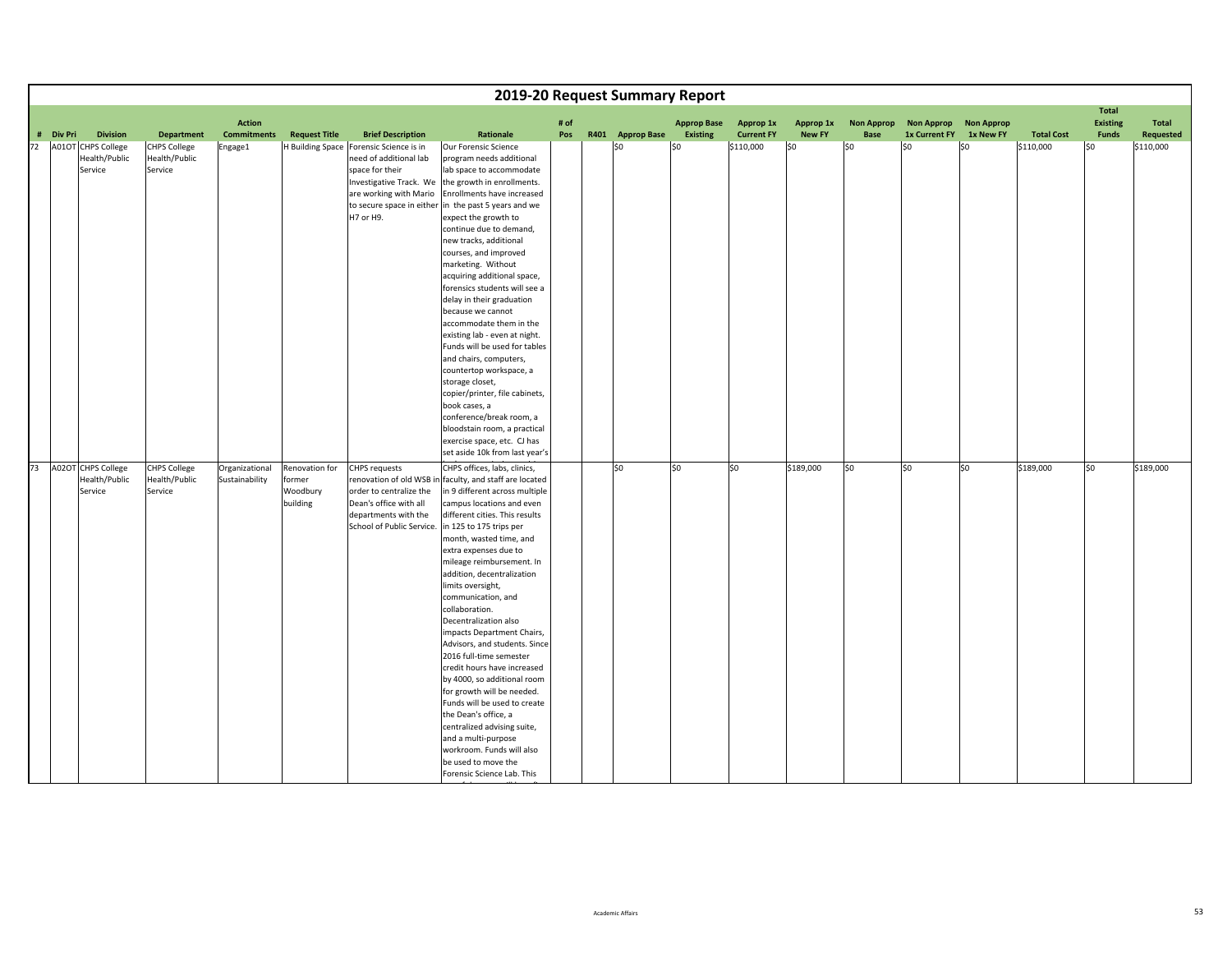|    |           |                                                                   |                                                                      |                                  |                                                  |                                                                                                                                                                                    |                                                                                                                                                                                                                                                                                                                                                                                                                                                                                                                                                                                                                                                                                                                                                                                                                  |      | 2019-20 Request Summary Report |                        |                                |                      |                    |                             |                   |                                |                                 |                        |
|----|-----------|-------------------------------------------------------------------|----------------------------------------------------------------------|----------------------------------|--------------------------------------------------|------------------------------------------------------------------------------------------------------------------------------------------------------------------------------------|------------------------------------------------------------------------------------------------------------------------------------------------------------------------------------------------------------------------------------------------------------------------------------------------------------------------------------------------------------------------------------------------------------------------------------------------------------------------------------------------------------------------------------------------------------------------------------------------------------------------------------------------------------------------------------------------------------------------------------------------------------------------------------------------------------------|------|--------------------------------|------------------------|--------------------------------|----------------------|--------------------|-----------------------------|-------------------|--------------------------------|---------------------------------|------------------------|
|    |           |                                                                   |                                                                      | <b>Action</b>                    |                                                  |                                                                                                                                                                                    |                                                                                                                                                                                                                                                                                                                                                                                                                                                                                                                                                                                                                                                                                                                                                                                                                  | # of |                                | <b>Approp Base</b>     | Approp 1x                      | Approp 1x            | <b>Non Approp</b>  | <b>Non Approp</b>           | <b>Non Approp</b> |                                | <b>Total</b><br><b>Existing</b> | Total                  |
| 72 | # Div Pri | <b>Division</b><br>A01OT CHPS College<br>Health/Public<br>Service | <b>Department</b><br><b>CHPS College</b><br>Health/Public<br>Service | <b>Commitments</b><br>Engage1    | <b>Request Title</b>                             | <b>Brief Description</b><br>H Building Space Forensic Science is in<br>need of additional lab<br>space for their<br>Investigative Track. We<br>are working with Mario<br>H7 or H9. | Rationale<br>Our Forensic Science<br>program needs additional<br>lab space to accommodate<br>the growth in enrollments.<br>Enrollments have increased<br>to secure space in either in the past 5 years and we<br>expect the growth to<br>continue due to demand,<br>new tracks, additional<br>courses, and improved<br>marketing. Without<br>acquiring additional space,<br>forensics students will see a<br>delay in their graduation<br>because we cannot<br>accommodate them in the<br>existing lab - even at night.<br>Funds will be used for tables<br>and chairs, computers,<br>countertop workspace, a<br>storage closet,<br>copier/printer, file cabinets,<br>book cases, a<br>conference/break room, a<br>bloodstain room, a practical<br>exercise space, etc. CJ has<br>set aside 10k from last year's | Pos  | R401 Approp Base<br>SO.        | <b>Existing</b><br>\$0 | <b>Current FY</b><br>\$110,000 | <b>New FY</b><br> 50 | <b>Base</b><br>lso | <b>1x Current FY</b><br>\$0 | 1x New FY<br>lso  | <b>Total Cost</b><br>\$110,000 | <b>Funds</b><br>l\$0            | Requested<br>\$110,000 |
|    |           | 73 A02OT CHPS College<br>Health/Public<br>Service                 | <b>CHPS College</b><br>Health/Public<br>Service                      | Organizational<br>Sustainability | Renovation for<br>former<br>Woodbury<br>building | <b>CHPS requests</b><br>order to centralize the<br>Dean's office with all<br>departments with the<br>School of Public Service.                                                     | CHPS offices, labs, clinics,<br>renovation of old WSB in faculty, and staff are located<br>in 9 different across multiple<br>campus locations and even<br>different cities. This results<br>in 125 to 175 trips per<br>month, wasted time, and<br>extra expenses due to<br>mileage reimbursement. In<br>addition, decentralization<br>limits oversight,<br>communication, and<br>collaboration.<br>Decentralization also<br>impacts Department Chairs,<br>Advisors, and students. Since<br>2016 full-time semester<br>credit hours have increased<br>by 4000, so additional room<br>for growth will be needed.<br>Funds will be used to create<br>the Dean's office, a<br>centralized advising suite,<br>and a multi-purpose<br>workroom. Funds will also<br>be used to move the<br>Forensic Science Lab. This   |      | $\boldsymbol{\mathsf{S}}$      | \$0                    | \$0                            | \$189,000            | \$0                | \$0                         | \$0               | \$189,000                      | \$0                             | \$189,000              |

fh

ill b fill b fill b fill b fill b fill b fill b fill b fill b fill b fill b fill b fill b fill b fill b fill b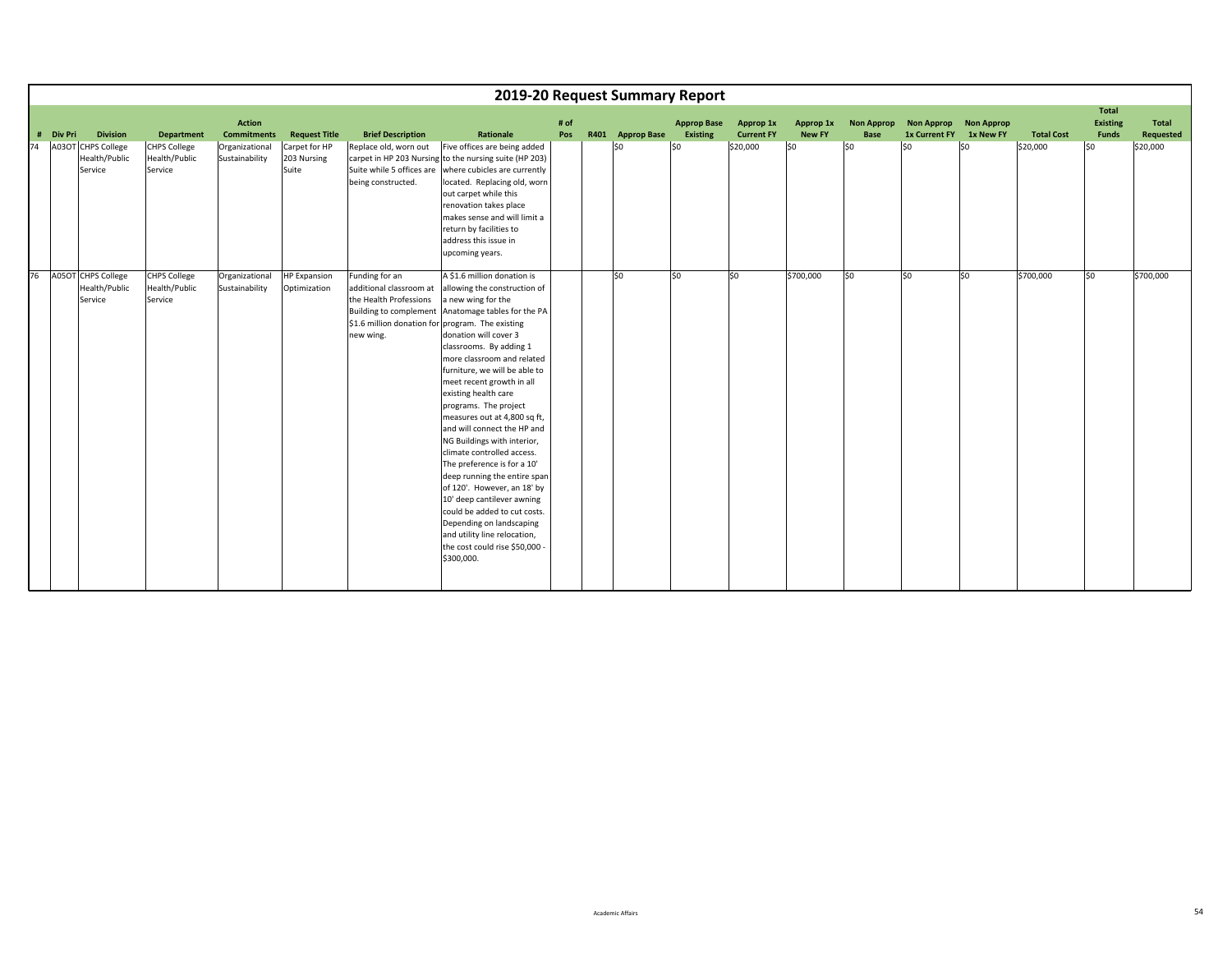|    |           |                                                       |                                                 |                                     |                                       |                                                                                                                                      | 2019-20 Request Summary Report                                                                                                                                                                                                                                                                                                                                                                                                                                                                                                                                                                                                                                                                                                             |             |                  |                                |                                |                            |                                  |                         |                       |                   |                                          |                    |
|----|-----------|-------------------------------------------------------|-------------------------------------------------|-------------------------------------|---------------------------------------|--------------------------------------------------------------------------------------------------------------------------------------|--------------------------------------------------------------------------------------------------------------------------------------------------------------------------------------------------------------------------------------------------------------------------------------------------------------------------------------------------------------------------------------------------------------------------------------------------------------------------------------------------------------------------------------------------------------------------------------------------------------------------------------------------------------------------------------------------------------------------------------------|-------------|------------------|--------------------------------|--------------------------------|----------------------------|----------------------------------|-------------------------|-----------------------|-------------------|------------------------------------------|--------------------|
|    | # Div Pri | <b>Division</b>                                       | <b>Department</b>                               | <b>Action</b><br><b>Commitments</b> | <b>Request Title</b>                  | <b>Brief Description</b>                                                                                                             | Rationale                                                                                                                                                                                                                                                                                                                                                                                                                                                                                                                                                                                                                                                                                                                                  | # of<br>Pos | R401 Approp Base | <b>Approp Base</b><br>Existing | Approp 1x<br><b>Current FY</b> | Approp 1x<br><b>New FY</b> | <b>Non Approp</b><br><b>Base</b> | 1x Current FY 1x New FY | Non Approp Non Approp | <b>Total Cost</b> | <b>Total</b><br>Existing<br><b>Funds</b> | Total<br>Requested |
| 74 |           | A03OT CHPS College<br>Health/Public<br>Service        | <b>CHPS College</b><br>Health/Public<br>Service | Organizational<br>Sustainability    | Carpet for HP<br>203 Nursing<br>Suite | Replace old, worn out<br>Suite while 5 offices are<br>being constructed.                                                             | Five offices are being added<br>carpet in HP 203 Nursing to the nursing suite (HP 203)<br>where cubicles are currently<br>located. Replacing old, worn<br>out carpet while this<br>renovation takes place<br>makes sense and will limit a<br>return by facilities to<br>address this issue in<br>upcoming years.                                                                                                                                                                                                                                                                                                                                                                                                                           |             | l\$0             | SO                             | \$20,000                       | lso                        | lso                              | S <sub>0</sub>          | lso                   | \$20,000          | SO.                                      | \$20,000           |
| 76 |           | <b>A05OT CHPS College</b><br>Health/Public<br>Service | <b>CHPS College</b><br>Health/Public<br>Service | Organizational<br>Sustainability    | <b>HP Expansion</b><br>Optimization   | Funding for an<br>additional classroom at<br>the Health Professions<br>\$1.6 million donation for program. The existing<br>new wing. | A \$1.6 million donation is<br>allowing the construction of<br>a new wing for the<br>Building to complement Anatomage tables for the PA<br>donation will cover 3<br>classrooms. By adding 1<br>more classroom and related<br>furniture, we will be able to<br>meet recent growth in all<br>existing health care<br>programs. The project<br>measures out at 4,800 sq ft,<br>and will connect the HP and<br>NG Buildings with interior,<br>climate controlled access.<br>The preference is for a 10'<br>deep running the entire span<br>of 120'. However, an 18' by<br>10' deep cantilever awning<br>could be added to cut costs.<br>Depending on landscaping<br>and utility line relocation,<br>the cost could rise \$50,000<br>\$300,000. |             | lso              | lso                            | \$0                            | \$700,000                  | lso                              | \$0                     | \$0                   | \$700,000         | \$0                                      | \$700,000          |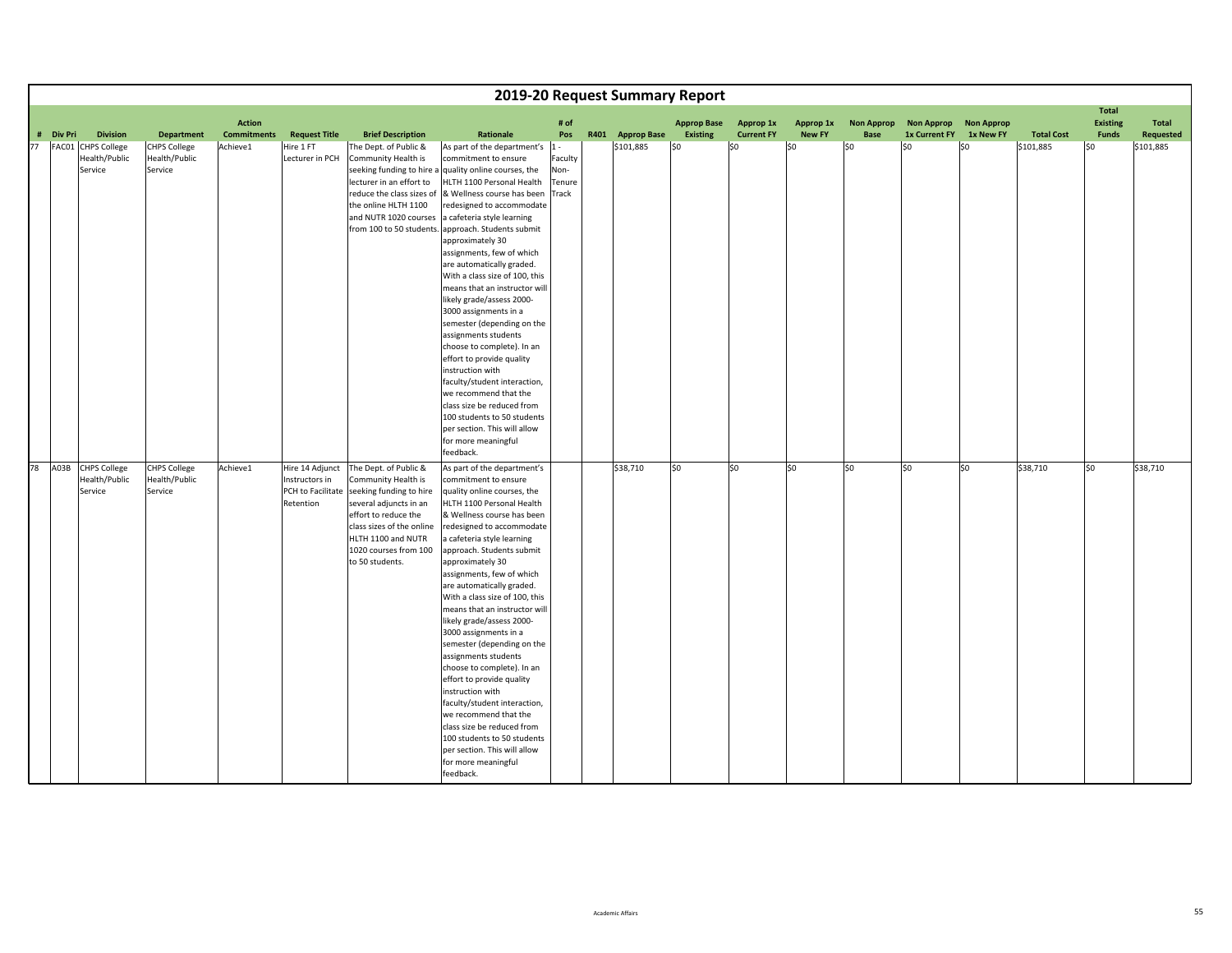|    |           |                                      |                                      |                                     |                                   |                                                   |                                                                                                            |                           | 2019-20 Request Summary Report |                                       |                                |                            |                                  |                                           |                                |                   |                                                 |                    |
|----|-----------|--------------------------------------|--------------------------------------|-------------------------------------|-----------------------------------|---------------------------------------------------|------------------------------------------------------------------------------------------------------------|---------------------------|--------------------------------|---------------------------------------|--------------------------------|----------------------------|----------------------------------|-------------------------------------------|--------------------------------|-------------------|-------------------------------------------------|--------------------|
|    | # Div Pri | <b>Division</b>                      | <b>Department</b>                    | <b>Action</b><br><b>Commitments</b> | <b>Request Title</b>              | <b>Brief Description</b>                          | Rationale                                                                                                  | # of<br>Pos               | R401 Approp Base               | <b>Approp Base</b><br><b>Existing</b> | Approp 1x<br><b>Current FY</b> | Approp 1x<br><b>New FY</b> | <b>Non Approp</b><br><b>Base</b> | <b>Non Approp</b><br><b>1x Current FY</b> | <b>Non Approp</b><br>1x New FY | <b>Total Cost</b> | <b>Total</b><br><b>Existing</b><br><b>Funds</b> | Total<br>Requested |
| 77 |           | FAC01 CHPS College                   | <b>CHPS College</b>                  | Achieve1                            | Hire 1 FT                         | The Dept. of Public &                             | As part of the department's                                                                                | $ 1 -$                    | \$101,885                      | \$0                                   | \$0                            | SO.                        | \$0                              | lso                                       | \$0                            | \$101,885         | l\$0                                            | \$101,885          |
|    |           | Health/Public<br>Service             | Health/Public<br>Service             |                                     | Lecturer in PCH                   | Community Health is<br>lecturer in an effort to   | commitment to ensure<br>seeking funding to hire a quality online courses, the<br>HLTH 1100 Personal Health | Faculty<br>Non-<br>Tenure |                                |                                       |                                |                            |                                  |                                           |                                |                   |                                                 |                    |
|    |           |                                      |                                      |                                     |                                   | reduce the class sizes of<br>the online HLTH 1100 | & Wellness course has been<br>redesigned to accommodate                                                    | Track                     |                                |                                       |                                |                            |                                  |                                           |                                |                   |                                                 |                    |
|    |           |                                      |                                      |                                     |                                   | and NUTR 1020 courses                             | a cafeteria style learning                                                                                 |                           |                                |                                       |                                |                            |                                  |                                           |                                |                   |                                                 |                    |
|    |           |                                      |                                      |                                     |                                   |                                                   | from 100 to 50 students. approach. Students submit                                                         |                           |                                |                                       |                                |                            |                                  |                                           |                                |                   |                                                 |                    |
|    |           |                                      |                                      |                                     |                                   |                                                   | approximately 30                                                                                           |                           |                                |                                       |                                |                            |                                  |                                           |                                |                   |                                                 |                    |
|    |           |                                      |                                      |                                     |                                   |                                                   | assignments, few of which<br>are automatically graded.                                                     |                           |                                |                                       |                                |                            |                                  |                                           |                                |                   |                                                 |                    |
|    |           |                                      |                                      |                                     |                                   |                                                   | With a class size of 100, this                                                                             |                           |                                |                                       |                                |                            |                                  |                                           |                                |                   |                                                 |                    |
|    |           |                                      |                                      |                                     |                                   |                                                   | means that an instructor will                                                                              |                           |                                |                                       |                                |                            |                                  |                                           |                                |                   |                                                 |                    |
|    |           |                                      |                                      |                                     |                                   |                                                   | likely grade/assess 2000-                                                                                  |                           |                                |                                       |                                |                            |                                  |                                           |                                |                   |                                                 |                    |
|    |           |                                      |                                      |                                     |                                   |                                                   | 3000 assignments in a                                                                                      |                           |                                |                                       |                                |                            |                                  |                                           |                                |                   |                                                 |                    |
|    |           |                                      |                                      |                                     |                                   |                                                   | semester (depending on the                                                                                 |                           |                                |                                       |                                |                            |                                  |                                           |                                |                   |                                                 |                    |
|    |           |                                      |                                      |                                     |                                   |                                                   | assignments students                                                                                       |                           |                                |                                       |                                |                            |                                  |                                           |                                |                   |                                                 |                    |
|    |           |                                      |                                      |                                     |                                   |                                                   | choose to complete). In an                                                                                 |                           |                                |                                       |                                |                            |                                  |                                           |                                |                   |                                                 |                    |
|    |           |                                      |                                      |                                     |                                   |                                                   | effort to provide quality<br>instruction with                                                              |                           |                                |                                       |                                |                            |                                  |                                           |                                |                   |                                                 |                    |
|    |           |                                      |                                      |                                     |                                   |                                                   | faculty/student interaction,                                                                               |                           |                                |                                       |                                |                            |                                  |                                           |                                |                   |                                                 |                    |
|    |           |                                      |                                      |                                     |                                   |                                                   | we recommend that the                                                                                      |                           |                                |                                       |                                |                            |                                  |                                           |                                |                   |                                                 |                    |
|    |           |                                      |                                      |                                     |                                   |                                                   | class size be reduced from                                                                                 |                           |                                |                                       |                                |                            |                                  |                                           |                                |                   |                                                 |                    |
|    |           |                                      |                                      |                                     |                                   |                                                   | 100 students to 50 students                                                                                |                           |                                |                                       |                                |                            |                                  |                                           |                                |                   |                                                 |                    |
|    |           |                                      |                                      |                                     |                                   |                                                   | per section. This will allow                                                                               |                           |                                |                                       |                                |                            |                                  |                                           |                                |                   |                                                 |                    |
|    |           |                                      |                                      |                                     |                                   |                                                   | for more meaningful                                                                                        |                           |                                |                                       |                                |                            |                                  |                                           |                                |                   |                                                 |                    |
|    |           |                                      |                                      |                                     |                                   |                                                   | feedback.                                                                                                  |                           |                                |                                       |                                |                            |                                  |                                           |                                |                   |                                                 |                    |
|    | 78 A03B   | <b>CHPS College</b><br>Health/Public | <b>CHPS College</b><br>Health/Public | Achieve1                            | Hire 14 Adjunct<br>Instructors in | The Dept. of Public &<br>Community Health is      | As part of the department's<br>commitment to ensure                                                        |                           | \$38,710                       | \$0                                   | \$0                            | S <sub>0</sub>             | S <sub>0</sub>                   | lso                                       | \$0                            | \$38,710          | \$0                                             | \$38,710           |
|    |           | Service                              | Service                              |                                     | PCH to Facilitate                 | seeking funding to hire                           | quality online courses, the                                                                                |                           |                                |                                       |                                |                            |                                  |                                           |                                |                   |                                                 |                    |
|    |           |                                      |                                      |                                     | Retention                         | several adjuncts in an                            | HLTH 1100 Personal Health                                                                                  |                           |                                |                                       |                                |                            |                                  |                                           |                                |                   |                                                 |                    |
|    |           |                                      |                                      |                                     |                                   | effort to reduce the                              | & Wellness course has been                                                                                 |                           |                                |                                       |                                |                            |                                  |                                           |                                |                   |                                                 |                    |
|    |           |                                      |                                      |                                     |                                   | class sizes of the online                         | redesigned to accommodate                                                                                  |                           |                                |                                       |                                |                            |                                  |                                           |                                |                   |                                                 |                    |
|    |           |                                      |                                      |                                     |                                   | HLTH 1100 and NUTR                                | a cafeteria style learning                                                                                 |                           |                                |                                       |                                |                            |                                  |                                           |                                |                   |                                                 |                    |
|    |           |                                      |                                      |                                     |                                   | 1020 courses from 100                             | approach. Students submit                                                                                  |                           |                                |                                       |                                |                            |                                  |                                           |                                |                   |                                                 |                    |
|    |           |                                      |                                      |                                     |                                   | to 50 students.                                   | approximately 30                                                                                           |                           |                                |                                       |                                |                            |                                  |                                           |                                |                   |                                                 |                    |
|    |           |                                      |                                      |                                     |                                   |                                                   | assignments, few of which<br>are automatically graded.                                                     |                           |                                |                                       |                                |                            |                                  |                                           |                                |                   |                                                 |                    |
|    |           |                                      |                                      |                                     |                                   |                                                   | With a class size of 100, this                                                                             |                           |                                |                                       |                                |                            |                                  |                                           |                                |                   |                                                 |                    |
|    |           |                                      |                                      |                                     |                                   |                                                   | means that an instructor will                                                                              |                           |                                |                                       |                                |                            |                                  |                                           |                                |                   |                                                 |                    |
|    |           |                                      |                                      |                                     |                                   |                                                   | likely grade/assess 2000-                                                                                  |                           |                                |                                       |                                |                            |                                  |                                           |                                |                   |                                                 |                    |
|    |           |                                      |                                      |                                     |                                   |                                                   | 3000 assignments in a                                                                                      |                           |                                |                                       |                                |                            |                                  |                                           |                                |                   |                                                 |                    |
|    |           |                                      |                                      |                                     |                                   |                                                   | semester (depending on the                                                                                 |                           |                                |                                       |                                |                            |                                  |                                           |                                |                   |                                                 |                    |
|    |           |                                      |                                      |                                     |                                   |                                                   | assignments students                                                                                       |                           |                                |                                       |                                |                            |                                  |                                           |                                |                   |                                                 |                    |
|    |           |                                      |                                      |                                     |                                   |                                                   | choose to complete). In an                                                                                 |                           |                                |                                       |                                |                            |                                  |                                           |                                |                   |                                                 |                    |
|    |           |                                      |                                      |                                     |                                   |                                                   | effort to provide quality<br>instruction with                                                              |                           |                                |                                       |                                |                            |                                  |                                           |                                |                   |                                                 |                    |
|    |           |                                      |                                      |                                     |                                   |                                                   | faculty/student interaction,                                                                               |                           |                                |                                       |                                |                            |                                  |                                           |                                |                   |                                                 |                    |
|    |           |                                      |                                      |                                     |                                   |                                                   | we recommend that the                                                                                      |                           |                                |                                       |                                |                            |                                  |                                           |                                |                   |                                                 |                    |
|    |           |                                      |                                      |                                     |                                   |                                                   | class size be reduced from                                                                                 |                           |                                |                                       |                                |                            |                                  |                                           |                                |                   |                                                 |                    |
|    |           |                                      |                                      |                                     |                                   |                                                   | 100 students to 50 students                                                                                |                           |                                |                                       |                                |                            |                                  |                                           |                                |                   |                                                 |                    |
|    |           |                                      |                                      |                                     |                                   |                                                   | per section. This will allow                                                                               |                           |                                |                                       |                                |                            |                                  |                                           |                                |                   |                                                 |                    |
|    |           |                                      |                                      |                                     |                                   |                                                   | for more meaningful                                                                                        |                           |                                |                                       |                                |                            |                                  |                                           |                                |                   |                                                 |                    |
|    |           |                                      |                                      |                                     |                                   |                                                   | feedback.                                                                                                  |                           |                                |                                       |                                |                            |                                  |                                           |                                |                   |                                                 |                    |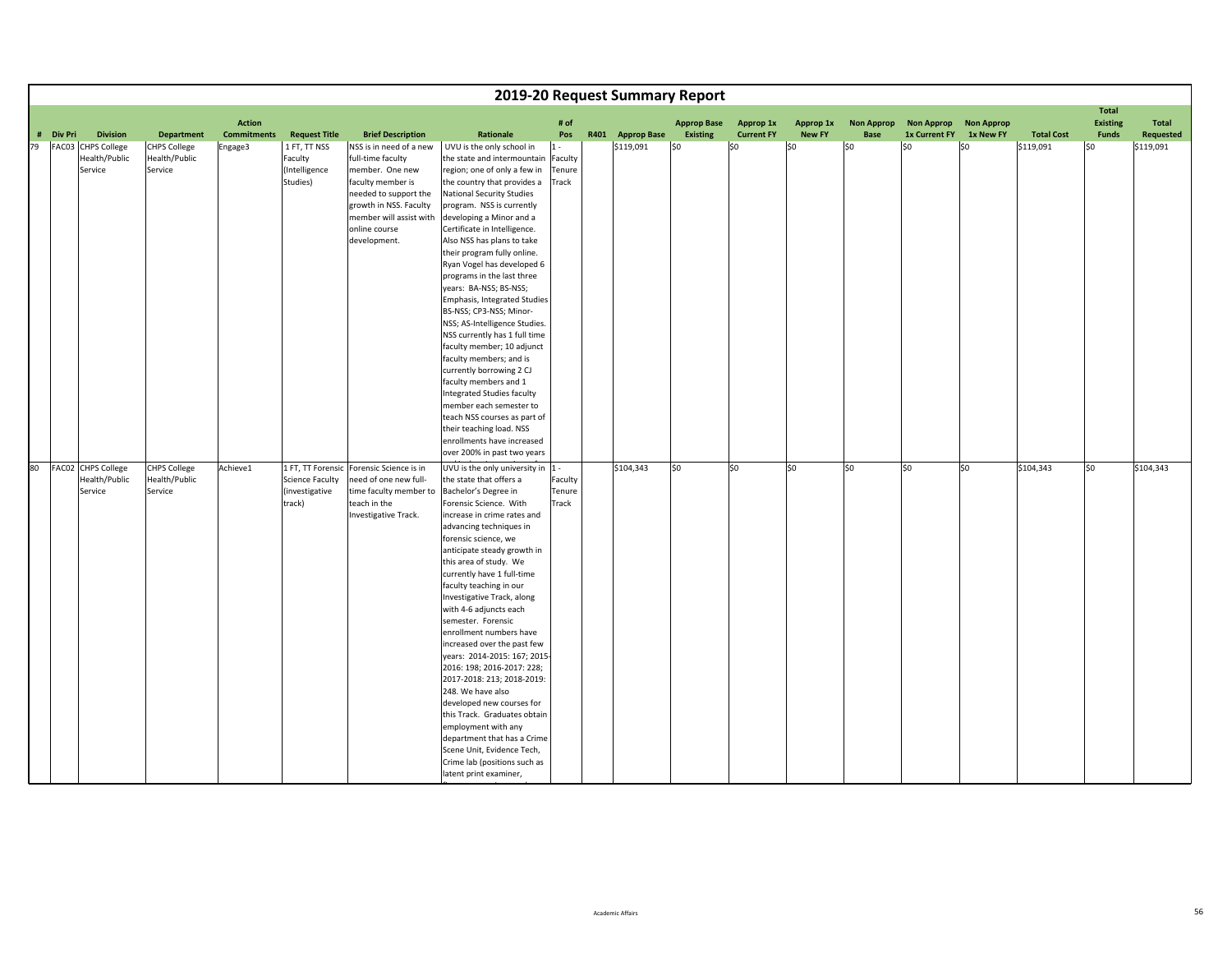|    |           |                                                |                                                 |                                     |                                                      |                                                                                                                                                                                                     |                                                                                                                                                                                                                                                                                                                                                                                                                                                                                                                                                                                                                                                                                                                                                   |                            | 2019-20 Request Summary Report |                                |                                |                            |                                  |                                           |                                |                   |                                                 |                    |
|----|-----------|------------------------------------------------|-------------------------------------------------|-------------------------------------|------------------------------------------------------|-----------------------------------------------------------------------------------------------------------------------------------------------------------------------------------------------------|---------------------------------------------------------------------------------------------------------------------------------------------------------------------------------------------------------------------------------------------------------------------------------------------------------------------------------------------------------------------------------------------------------------------------------------------------------------------------------------------------------------------------------------------------------------------------------------------------------------------------------------------------------------------------------------------------------------------------------------------------|----------------------------|--------------------------------|--------------------------------|--------------------------------|----------------------------|----------------------------------|-------------------------------------------|--------------------------------|-------------------|-------------------------------------------------|--------------------|
|    | # Div Pri | <b>Division</b>                                | <b>Department</b>                               | <b>Action</b><br><b>Commitments</b> | <b>Request Title</b>                                 | <b>Brief Description</b>                                                                                                                                                                            | Rationale                                                                                                                                                                                                                                                                                                                                                                                                                                                                                                                                                                                                                                                                                                                                         | # of<br>Pos                | R401 Approp Base               | <b>Approp Base</b><br>Existing | Approp 1x<br><b>Current FY</b> | Approp 1x<br><b>New FY</b> | <b>Non Approp</b><br><b>Base</b> | <b>Non Approp</b><br><b>1x Current FY</b> | <b>Non Approp</b><br>1x New FY | <b>Total Cost</b> | <b>Total</b><br><b>Existing</b><br><b>Funds</b> | Total<br>Requested |
| 79 |           |                                                |                                                 |                                     |                                                      |                                                                                                                                                                                                     |                                                                                                                                                                                                                                                                                                                                                                                                                                                                                                                                                                                                                                                                                                                                                   | $1 -$                      |                                | $ $ \$0                        | \$0                            |                            | \$0                              | lso                                       | \$0                            |                   | l\$0                                            |                    |
|    |           | FAC03 CHPS College<br>Health/Public<br>Service | <b>CHPS College</b><br>Health/Public<br>Service | Engage3                             | 1 FT, TT NSS<br>Faculty<br>(Intelligence<br>Studies) | NSS is in need of a new<br>full-time faculty<br>member. One new<br>faculty member is<br>needed to support the<br>growth in NSS. Faculty<br>member will assist with<br>online course<br>development. | UVU is the only school in<br>the state and intermountain<br>region; one of only a few in<br>the country that provides a<br>National Security Studies<br>program. NSS is currently<br>developing a Minor and a<br>Certificate in Intelligence.<br>Also NSS has plans to take<br>their program fully online.<br>Ryan Vogel has developed 6<br>programs in the last three<br>years: BA-NSS; BS-NSS;<br>Emphasis, Integrated Studies<br>BS-NSS; CP3-NSS; Minor-<br>NSS; AS-Intelligence Studies.<br>NSS currently has 1 full time<br>faculty member; 10 adjunct<br>faculty members; and is<br>currently borrowing 2 CJ<br>faculty members and 1<br>Integrated Studies faculty                                                                         | Faculty<br>Tenure<br>Track | \$119,091                      |                                |                                | \$0                        |                                  |                                           |                                | \$119,091         |                                                 | \$119,091          |
|    |           |                                                |                                                 |                                     |                                                      |                                                                                                                                                                                                     | member each semester to<br>teach NSS courses as part of                                                                                                                                                                                                                                                                                                                                                                                                                                                                                                                                                                                                                                                                                           |                            |                                |                                |                                |                            |                                  |                                           |                                |                   |                                                 |                    |
|    |           |                                                |                                                 |                                     |                                                      |                                                                                                                                                                                                     | their teaching load. NSS                                                                                                                                                                                                                                                                                                                                                                                                                                                                                                                                                                                                                                                                                                                          |                            |                                |                                |                                |                            |                                  |                                           |                                |                   |                                                 |                    |
|    |           |                                                |                                                 |                                     |                                                      |                                                                                                                                                                                                     | enrollments have increased<br>over 200% in past two years                                                                                                                                                                                                                                                                                                                                                                                                                                                                                                                                                                                                                                                                                         |                            |                                |                                |                                |                            |                                  |                                           |                                |                   |                                                 |                    |
|    |           | 80 FAC02 CHPS College                          | <b>CHPS College</b>                             | Achieve1                            |                                                      | 1 FT, TT Forensic Forensic Science is in                                                                                                                                                            | UVU is the only university in 1 -                                                                                                                                                                                                                                                                                                                                                                                                                                                                                                                                                                                                                                                                                                                 |                            | \$104,343                      | \$0                            | lso                            | $\overline{\text{S}}$      | lso.                             | S <sub>0</sub>                            | S <sub>0</sub>                 | \$104,343         | so                                              | \$104,343          |
|    |           | Health/Public<br>Service                       | Health/Public<br>Service                        |                                     | Science Faculty<br>(investigative<br>track)          | need of one new full-<br>time faculty member to<br>teach in the<br>Investigative Track.                                                                                                             | the state that offers a<br>Bachelor's Degree in<br>Forensic Science. With<br>increase in crime rates and<br>advancing techniques in<br>forensic science, we<br>anticipate steady growth in<br>this area of study. We<br>currently have 1 full-time<br>faculty teaching in our<br>Investigative Track, along<br>with 4-6 adjuncts each<br>semester. Forensic<br>enrollment numbers have<br>increased over the past few<br>years: 2014-2015: 167; 2015-<br>2016: 198; 2016-2017: 228;<br>2017-2018: 213; 2018-2019:<br>248. We have also<br>developed new courses for<br>this Track. Graduates obtain<br>employment with any<br>department that has a Crime<br>Scene Unit, Evidence Tech,<br>Crime lab (positions such as<br>latent print examiner, | Faculty<br>Tenure<br>Track |                                |                                |                                |                            |                                  |                                           |                                |                   |                                                 |                    |

fi

i d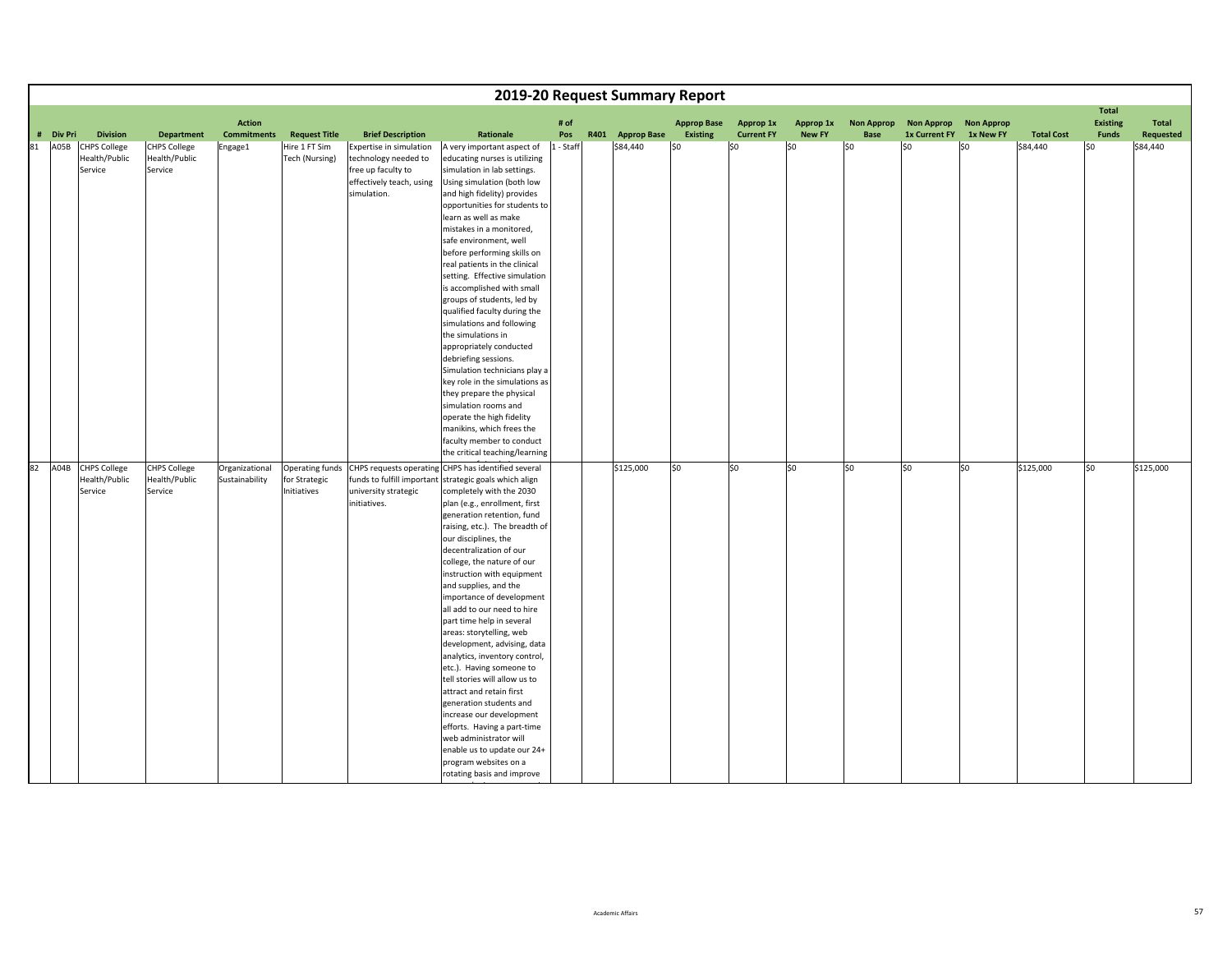|    |                   |                                                                    |                                                                      |                                  |                                                         |                                                                                                                                              |                                                                                                                                                                                                                                                                                                                                                                                                                                                                                                                                                                                                                                                                                                                                                                                                                                                                                                                                       |                  | 2019-20 Request Summary Report |                        |                          |                      |                   |                      |                   |                               |                                 |                       |
|----|-------------------|--------------------------------------------------------------------|----------------------------------------------------------------------|----------------------------------|---------------------------------------------------------|----------------------------------------------------------------------------------------------------------------------------------------------|---------------------------------------------------------------------------------------------------------------------------------------------------------------------------------------------------------------------------------------------------------------------------------------------------------------------------------------------------------------------------------------------------------------------------------------------------------------------------------------------------------------------------------------------------------------------------------------------------------------------------------------------------------------------------------------------------------------------------------------------------------------------------------------------------------------------------------------------------------------------------------------------------------------------------------------|------------------|--------------------------------|------------------------|--------------------------|----------------------|-------------------|----------------------|-------------------|-------------------------------|---------------------------------|-----------------------|
|    |                   |                                                                    |                                                                      | <b>Action</b>                    |                                                         |                                                                                                                                              |                                                                                                                                                                                                                                                                                                                                                                                                                                                                                                                                                                                                                                                                                                                                                                                                                                                                                                                                       | # of             |                                | <b>Approp Base</b>     | Approp 1x                | Approp 1x            | <b>Non Approp</b> | <b>Non Approp</b>    | <b>Non Approp</b> |                               | <b>Total</b><br><b>Existing</b> | Total                 |
| 81 | # Div Pri<br>A05B | <b>Division</b><br><b>CHPS College</b><br>Health/Public<br>Service | <b>Department</b><br><b>CHPS College</b><br>Health/Public<br>Service | <b>Commitments</b><br>Engage1    | <b>Request Title</b><br>Hire 1 FT Sim<br>Tech (Nursing) | <b>Brief Description</b><br>Expertise in simulation<br>technology needed to<br>free up faculty to<br>effectively teach, using<br>simulation. | Rationale<br>A very important aspect of<br>educating nurses is utilizing<br>simulation in lab settings.<br>Using simulation (both low<br>and high fidelity) provides<br>opportunities for students to<br>learn as well as make<br>mistakes in a monitored,<br>safe environment, well<br>before performing skills on<br>real patients in the clinical<br>setting. Effective simulation<br>is accomplished with small<br>groups of students, led by<br>qualified faculty during the<br>simulations and following<br>the simulations in<br>appropriately conducted<br>debriefing sessions.<br>Simulation technicians play a<br>key role in the simulations as<br>they prepare the physical<br>simulation rooms and<br>operate the high fidelity<br>manikins, which frees the                                                                                                                                                             | Pos<br>1 - Staff | R401 Approp Base<br>\$84,440   | <b>Existing</b><br>\$0 | <b>Current FY</b><br>\$0 | <b>New FY</b><br> 50 | Base<br>SO        | 1x Current FY<br>\$0 | 1x New FY<br>l\$0 | <b>Total Cost</b><br>\$84,440 | <b>Funds</b><br>l\$0            | Requested<br>\$84,440 |
| 82 |                   | A04B CHPS College<br>Health/Public<br>Service                      | <b>CHPS College</b><br>Health/Public<br>Service                      | Organizational<br>Sustainability | Operating funds<br>for Strategic<br>Initiatives         | university strategic<br>initiatives.                                                                                                         | faculty member to conduct<br>the critical teaching/learning<br>CHPS requests operating CHPS has identified several<br>funds to fulfill important strategic goals which align<br>completely with the 2030<br>plan (e.g., enrollment, first<br>generation retention, fund<br>raising, etc.). The breadth of<br>our disciplines, the<br>decentralization of our<br>college, the nature of our<br>instruction with equipment<br>and supplies, and the<br>importance of development<br>all add to our need to hire<br>part time help in several<br>areas: storytelling, web<br>development, advising, data<br>analytics, inventory control,<br>etc.). Having someone to<br>tell stories will allow us to<br>attract and retain first<br>generation students and<br>increase our development<br>efforts. Having a part-time<br>web administrator will<br>enable us to update our 24+<br>program websites on a<br>rotating basis and improve |                  | \$125,000                      | \$0                    | \$0                      | S <sub>0</sub>       | S <sub>0</sub>    | so                   | \$0               | \$125,000                     | \$0                             | \$125,000             |

k i

in the control of the control of the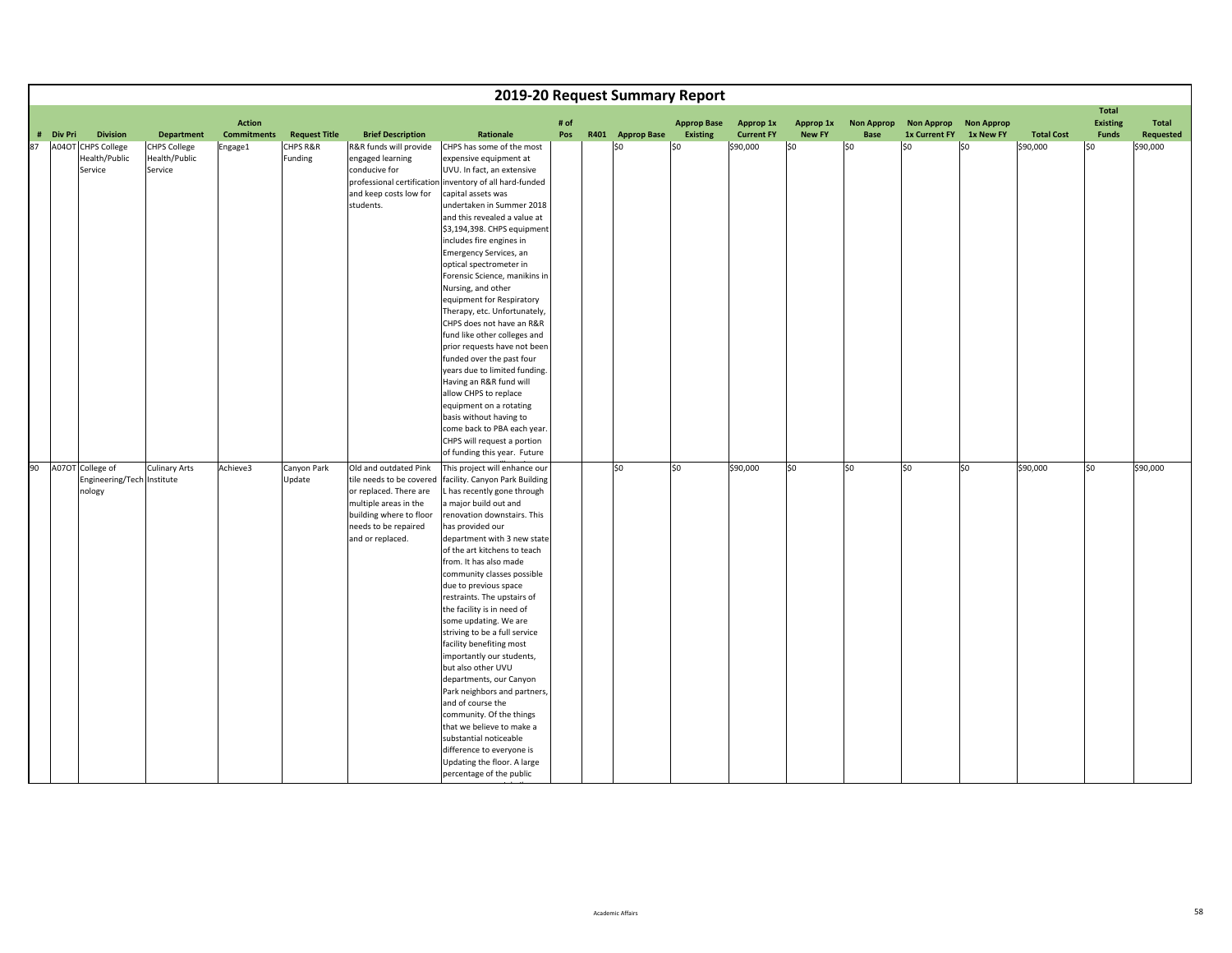|    |           |                                      |                                                 |                                     |                      |                                                                                                                                                    |                                                                                                                                                                                                                                                                                                                                                                                                                                                                                                                                                                                                                                                                                                                                                            |             | 2019-20 Request Summary Report |                                       |                                       |                            |                           |                                           |                                |                   |                                                 |                    |
|----|-----------|--------------------------------------|-------------------------------------------------|-------------------------------------|----------------------|----------------------------------------------------------------------------------------------------------------------------------------------------|------------------------------------------------------------------------------------------------------------------------------------------------------------------------------------------------------------------------------------------------------------------------------------------------------------------------------------------------------------------------------------------------------------------------------------------------------------------------------------------------------------------------------------------------------------------------------------------------------------------------------------------------------------------------------------------------------------------------------------------------------------|-------------|--------------------------------|---------------------------------------|---------------------------------------|----------------------------|---------------------------|-------------------------------------------|--------------------------------|-------------------|-------------------------------------------------|--------------------|
|    | # Div Pri | <b>Division</b>                      | <b>Department</b>                               | <b>Action</b><br><b>Commitments</b> | <b>Request Title</b> | <b>Brief Description</b>                                                                                                                           | Rationale                                                                                                                                                                                                                                                                                                                                                                                                                                                                                                                                                                                                                                                                                                                                                  | # of<br>Pos | R401 Approp Base               | <b>Approp Base</b><br><b>Existing</b> | <b>Approp 1x</b><br><b>Current FY</b> | Approp 1x<br><b>New FY</b> | <b>Non Approp</b><br>Base | <b>Non Approp</b><br><b>1x Current FY</b> | <b>Non Approp</b><br>1x New FY | <b>Total Cost</b> | <b>Total</b><br><b>Existing</b><br><b>Funds</b> | Total<br>Requested |
| 87 |           | A04OT CHPS College                   |                                                 |                                     | CHPS R&R             |                                                                                                                                                    |                                                                                                                                                                                                                                                                                                                                                                                                                                                                                                                                                                                                                                                                                                                                                            |             | \$0                            | \$0                                   |                                       | SO.                        | \$0                       | \$0                                       | \$0                            |                   | l\$0                                            |                    |
|    |           | Health/Public<br>Service             | <b>CHPS College</b><br>Health/Public<br>Service | Engage1                             | Funding              | R&R funds will provide<br>engaged learning<br>conducive for<br>professional certification<br>and keep costs low for<br>students.                   | CHPS has some of the most<br>expensive equipment at<br>UVU. In fact, an extensive<br>inventory of all hard-funded<br>capital assets was<br>undertaken in Summer 2018<br>and this revealed a value at<br>\$3,194,398. CHPS equipment<br>includes fire engines in<br>Emergency Services, an<br>optical spectrometer in<br>Forensic Science, manikins in<br>Nursing, and other<br>equipment for Respiratory<br>Therapy, etc. Unfortunately,<br>CHPS does not have an R&R<br>fund like other colleges and<br>prior requests have not been<br>funded over the past four<br>years due to limited funding.<br>Having an R&R fund will<br>allow CHPS to replace<br>equipment on a rotating                                                                         |             |                                |                                       | \$90,000                              |                            |                           |                                           |                                | \$90,000          |                                                 | \$90,000           |
|    |           |                                      |                                                 |                                     |                      |                                                                                                                                                    | basis without having to                                                                                                                                                                                                                                                                                                                                                                                                                                                                                                                                                                                                                                                                                                                                    |             |                                |                                       |                                       |                            |                           |                                           |                                |                   |                                                 |                    |
|    |           |                                      |                                                 |                                     |                      |                                                                                                                                                    | come back to PBA each year.                                                                                                                                                                                                                                                                                                                                                                                                                                                                                                                                                                                                                                                                                                                                |             |                                |                                       |                                       |                            |                           |                                           |                                |                   |                                                 |                    |
|    |           |                                      |                                                 |                                     |                      |                                                                                                                                                    | CHPS will request a portion<br>of funding this year. Future                                                                                                                                                                                                                                                                                                                                                                                                                                                                                                                                                                                                                                                                                                |             |                                |                                       |                                       |                            |                           |                                           |                                |                   |                                                 |                    |
|    |           | 90 A07OT College of                  | <b>Culinary Arts</b>                            | Achieve3                            | Canyon Park          | Old and outdated Pink                                                                                                                              | This project will enhance our                                                                                                                                                                                                                                                                                                                                                                                                                                                                                                                                                                                                                                                                                                                              |             | \$0                            | \$0                                   | \$90,000                              | so                         | \$0                       | S <sub>0</sub>                            | \$0                            | \$90,000          | SO.                                             | \$90,000           |
|    |           | Engineering/Tech Institute<br>nology |                                                 |                                     | Update               | tile needs to be covered<br>or replaced. There are<br>multiple areas in the<br>building where to floor<br>needs to be repaired<br>and or replaced. | facility. Canyon Park Building<br>L has recently gone through<br>a major build out and<br>renovation downstairs. This<br>has provided our<br>department with 3 new state<br>of the art kitchens to teach<br>from. It has also made<br>community classes possible<br>due to previous space<br>restraints. The upstairs of<br>the facility is in need of<br>some updating. We are<br>striving to be a full service<br>facility benefiting most<br>importantly our students,<br>but also other UVU<br>departments, our Canyon<br>Park neighbors and partners,<br>and of course the<br>community. Of the things<br>that we believe to make a<br>substantial noticeable<br>difference to everyone is<br>Updating the floor. A large<br>percentage of the public |             |                                |                                       |                                       |                            |                           |                                           |                                |                   |                                                 |                    |

i k<u>.</u>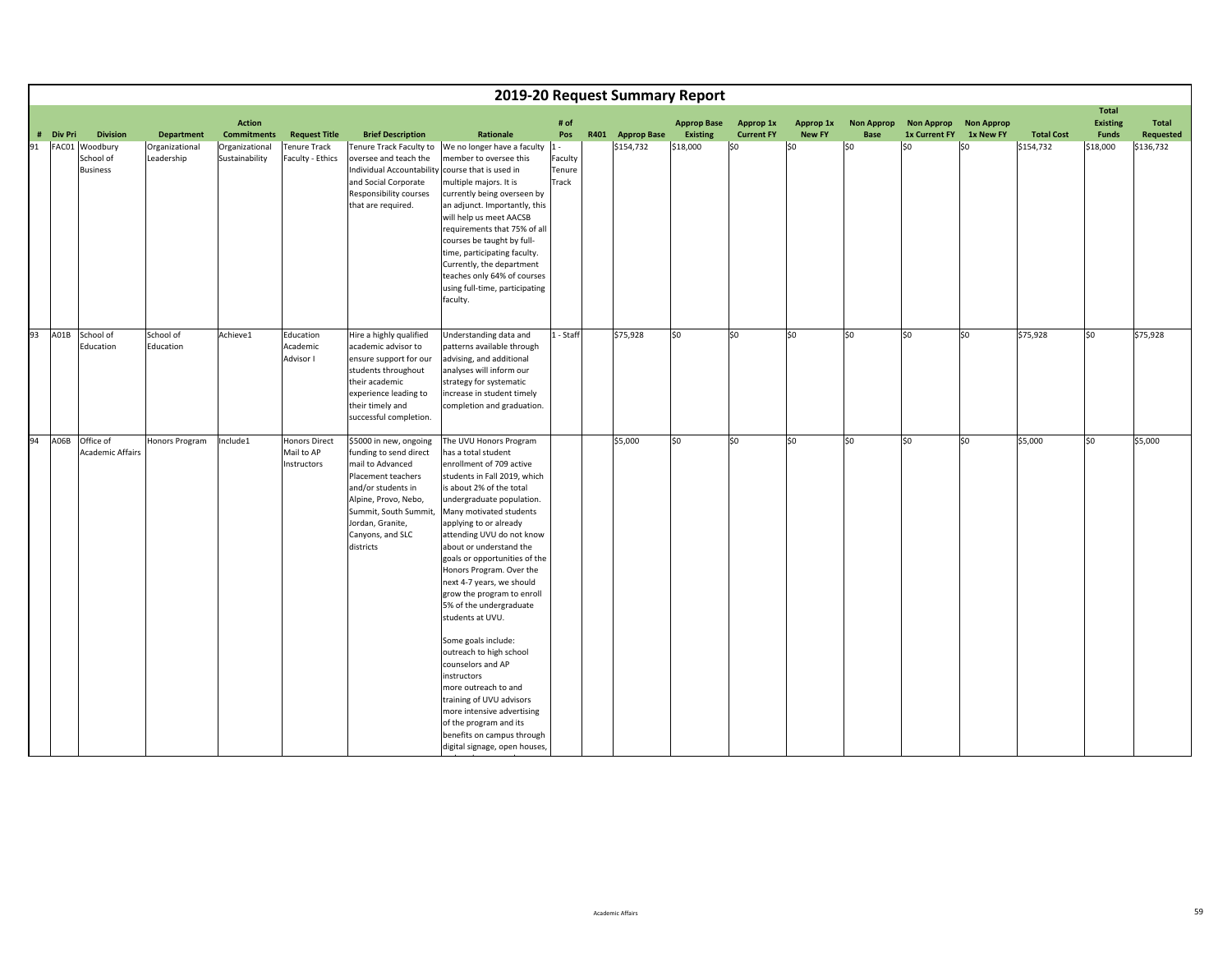|    |                                                |                              |                                     |                                                   |                                                                                                                                                                                                                        |                                                                                                                                                                                                                                                                                                                                                                                                                                                                                                                                                                                                                                                                                                                         |                                     |                  | 2019-20 Request Summary Report |                                |                            |                           |                                           |                                |                   |                                                 |                           |
|----|------------------------------------------------|------------------------------|-------------------------------------|---------------------------------------------------|------------------------------------------------------------------------------------------------------------------------------------------------------------------------------------------------------------------------|-------------------------------------------------------------------------------------------------------------------------------------------------------------------------------------------------------------------------------------------------------------------------------------------------------------------------------------------------------------------------------------------------------------------------------------------------------------------------------------------------------------------------------------------------------------------------------------------------------------------------------------------------------------------------------------------------------------------------|-------------------------------------|------------------|--------------------------------|--------------------------------|----------------------------|---------------------------|-------------------------------------------|--------------------------------|-------------------|-------------------------------------------------|---------------------------|
|    | # Div Pri<br><b>Division</b>                   | <b>Department</b>            | <b>Action</b><br><b>Commitments</b> | <b>Request Title</b>                              | <b>Brief Description</b>                                                                                                                                                                                               | Rationale                                                                                                                                                                                                                                                                                                                                                                                                                                                                                                                                                                                                                                                                                                               | # of<br>Pos                         | R401 Approp Base | <b>Approp Base</b><br>Existing | Approp 1x<br><b>Current FY</b> | Approp 1x<br><b>New FY</b> | <b>Non Approp</b><br>Base | <b>Non Approp</b><br><b>1x Current FY</b> | <b>Non Approp</b><br>1x New FY | <b>Total Cost</b> | <b>Total</b><br><b>Existing</b><br><b>Funds</b> | Total<br><b>Requested</b> |
| 91 | FAC01 Woodbury<br>School of<br><b>Business</b> | Organizational<br>Leadership | Organizational<br>Sustainability    | Tenure Track<br>Faculty - Ethics                  | Tenure Track Faculty to<br>oversee and teach the<br>Individual Accountability<br>and Social Corporate<br>Responsibility courses<br>that are required.                                                                  | We no longer have a faculty<br>member to oversee this<br>course that is used in<br>multiple majors. It is<br>currently being overseen by<br>an adjunct. Importantly, this<br>will help us meet AACSB<br>requirements that 75% of all<br>courses be taught by full-<br>time, participating faculty.<br>Currently, the department<br>teaches only 64% of courses<br>using full-time, participating<br>faculty.                                                                                                                                                                                                                                                                                                            | $1 -$<br>Faculty<br>Tenure<br>Track | \$154,732        | \$18,000                       | \$0                            | \$0                        | lso                       | lso                                       | \$0                            | \$154,732         | \$18,000                                        | \$136,732                 |
| 93 | A01B School of<br>Education                    | School of<br>Education       | Achieve1                            | Education<br>Academic<br>Advisor I                | Hire a highly qualified<br>academic advisor to<br>ensure support for our<br>students throughout<br>their academic<br>experience leading to<br>their timely and<br>successful completion.                               | Understanding data and<br>patterns available through<br>advising, and additional<br>analyses will inform our<br>strategy for systematic<br>increase in student timely<br>completion and graduation.                                                                                                                                                                                                                                                                                                                                                                                                                                                                                                                     | 1 - Staff                           | \$75,928         | \$0                            | \$0                            | \$0                        | \$0                       | \$0                                       | \$0                            | \$75,928          | \$0                                             | \$75,928                  |
| 94 | A06B Office of<br><b>Academic Affairs</b>      | Honors Program               | Include1                            | <b>Honors Direct</b><br>Mail to AP<br>Instructors | \$5000 in new, ongoing<br>funding to send direct<br>mail to Advanced<br>Placement teachers<br>and/or students in<br>Alpine, Provo, Nebo,<br>Summit, South Summit,<br>Jordan, Granite,<br>Canyons, and SLC<br>districts | The UVU Honors Program<br>has a total student<br>enrollment of 709 active<br>students in Fall 2019, which<br>is about 2% of the total<br>undergraduate population.<br>Many motivated students<br>applying to or already<br>attending UVU do not know<br>about or understand the<br>goals or opportunities of the<br>Honors Program. Over the<br>next 4-7 years, we should<br>grow the program to enroll<br>5% of the undergraduate<br>students at UVU.<br>Some goals include:<br>outreach to high school<br>counselors and AP<br>instructors<br>more outreach to and<br>training of UVU advisors<br>more intensive advertising<br>of the program and its<br>benefits on campus through<br>digital signage, open houses, |                                     | \$5,000          | \$0                            | \$0                            | \$0                        | \$0                       | \$0                                       | \$0                            | \$5,000           | so                                              | \$5,000                   |

dd de la construction de la construction de la construction de la construction de la construction de la construction de la construction de la construction de la construction de la construction de la construction de la const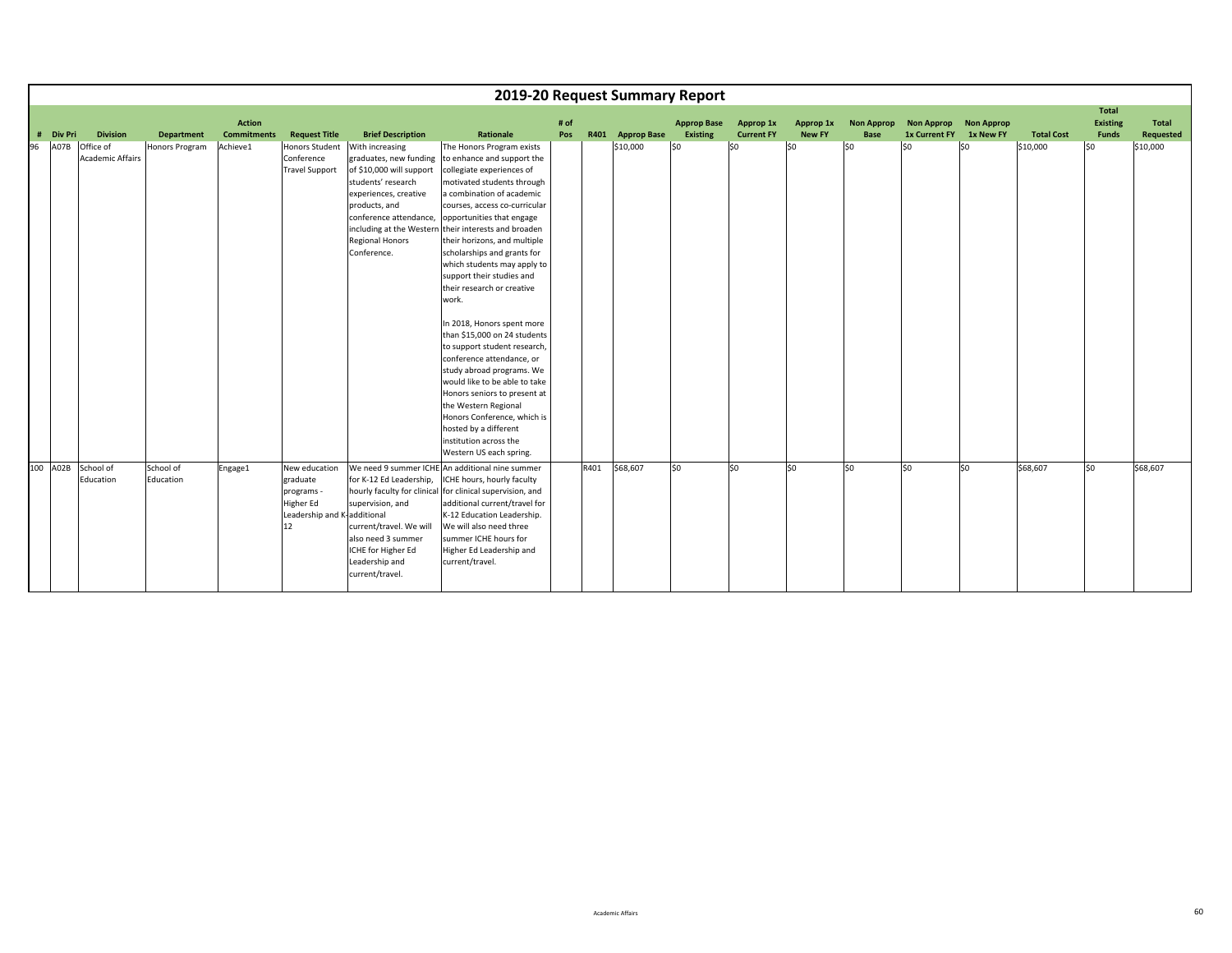|    |                     |                                      |                        |                    |                                                                                           |                                                                                                                                                                                                          | 2019-20 Request Summary Report                                                                                                                                                                                                                                                                                                                                                                                                                                                                                                                                                                                                                                                                                                                                                                        |      |      |                  |                    |                   |               |                   |                       |           |                   |                   |                  |
|----|---------------------|--------------------------------------|------------------------|--------------------|-------------------------------------------------------------------------------------------|----------------------------------------------------------------------------------------------------------------------------------------------------------------------------------------------------------|-------------------------------------------------------------------------------------------------------------------------------------------------------------------------------------------------------------------------------------------------------------------------------------------------------------------------------------------------------------------------------------------------------------------------------------------------------------------------------------------------------------------------------------------------------------------------------------------------------------------------------------------------------------------------------------------------------------------------------------------------------------------------------------------------------|------|------|------------------|--------------------|-------------------|---------------|-------------------|-----------------------|-----------|-------------------|-------------------|------------------|
|    |                     |                                      |                        | <b>Action</b>      |                                                                                           |                                                                                                                                                                                                          |                                                                                                                                                                                                                                                                                                                                                                                                                                                                                                                                                                                                                                                                                                                                                                                                       | # of |      |                  | <b>Approp Base</b> | Approp 1x         | Approp 1x     | <b>Non Approp</b> | Non Approp Non Approp |           |                   | Total<br>Existing | Total            |
|    | <b>Div Pri</b><br># | <b>Division</b>                      | <b>Department</b>      | <b>Commitments</b> | <b>Request Title</b>                                                                      | <b>Brief Description</b>                                                                                                                                                                                 | Rationale                                                                                                                                                                                                                                                                                                                                                                                                                                                                                                                                                                                                                                                                                                                                                                                             | Pos  |      | R401 Approp Base | Existing           | <b>Current FY</b> | <b>New FY</b> | <b>Base</b>       | <b>1x Current FY</b>  | 1x New FY | <b>Total Cost</b> | <b>Funds</b>      | <b>Requested</b> |
| 96 | A07B                | Office of<br><b>Academic Affairs</b> | Honors Program         | Achieve1           | <b>Honors Student</b><br>Conference<br><b>Travel Support</b>                              | With increasing<br>graduates, new funding<br>of \$10,000 will support<br>students' research<br>experiences, creative<br>products, and<br>conference attendance,<br><b>Regional Honors</b><br>Conference. | The Honors Program exists<br>to enhance and support the<br>collegiate experiences of<br>motivated students through<br>a combination of academic<br>courses, access co-curricular<br>opportunities that engage<br>including at the Western their interests and broaden<br>their horizons, and multiple<br>scholarships and grants for<br>which students may apply to<br>support their studies and<br>their research or creative<br>work.<br>In 2018, Honors spent more<br>than \$15,000 on 24 students<br>to support student research,<br>conference attendance, or<br>study abroad programs. We<br>would like to be able to take<br>Honors seniors to present at<br>the Western Regional<br>Honors Conference, which is<br>hosted by a different<br>institution across the<br>Western US each spring. |      |      | \$10,000         | \$0                | l\$0              | 50            | S <sub>0</sub>    | S <sub>0</sub>        | \$0       | \$10,000          | SO.               | \$10,000         |
|    |                     |                                      |                        |                    |                                                                                           |                                                                                                                                                                                                          |                                                                                                                                                                                                                                                                                                                                                                                                                                                                                                                                                                                                                                                                                                                                                                                                       |      |      |                  |                    |                   |               |                   |                       |           |                   |                   |                  |
|    |                     | 100 A02B School of<br>Education      | School of<br>Education | Engage1            | New education<br>graduate<br>programs -<br>Higher Ed<br>Leadership and K-additional<br>12 | for K-12 Ed Leadership,<br>supervision, and<br>current/travel. We will<br>also need 3 summer<br>ICHE for Higher Ed<br>Leadership and<br>current/travel.                                                  | We need 9 summer ICHE An additional nine summer<br>ICHE hours, hourly faculty<br>hourly faculty for clinical for clinical supervision, and<br>additional current/travel for<br>K-12 Education Leadership.<br>We will also need three<br>summer ICHE hours for<br>Higher Ed Leadership and<br>current/travel.                                                                                                                                                                                                                                                                                                                                                                                                                                                                                          |      | R401 | \$68,607         | lso                | \$0               | lso           | S <sub>0</sub>    | S <sub>0</sub>        | lso       | \$68,607          | SO.               | \$68,607         |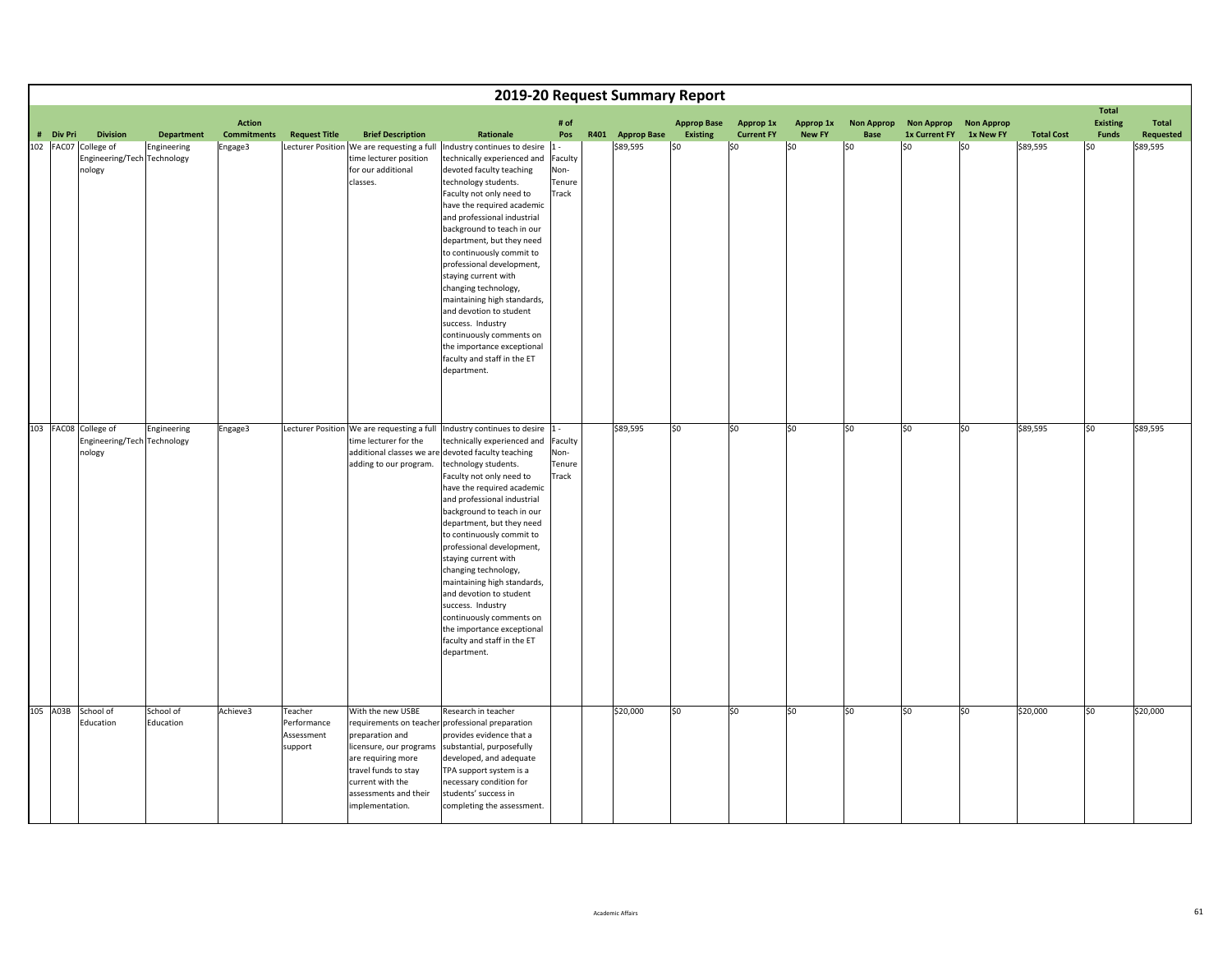|           |                                 |                 |                                                                 |                                                |                                                 |                                                                                                                                                                               |                                                                                                                                                                                                                                                                                                                                                                                                                                                                                                                                                                                                                                               |                                                   | 2019-20 Request Summary Report |                                       |                                       |                                   |                                  |                                           |                                       |                               |                                                 |                                |
|-----------|---------------------------------|-----------------|-----------------------------------------------------------------|------------------------------------------------|-------------------------------------------------|-------------------------------------------------------------------------------------------------------------------------------------------------------------------------------|-----------------------------------------------------------------------------------------------------------------------------------------------------------------------------------------------------------------------------------------------------------------------------------------------------------------------------------------------------------------------------------------------------------------------------------------------------------------------------------------------------------------------------------------------------------------------------------------------------------------------------------------------|---------------------------------------------------|--------------------------------|---------------------------------------|---------------------------------------|-----------------------------------|----------------------------------|-------------------------------------------|---------------------------------------|-------------------------------|-------------------------------------------------|--------------------------------|
| # Div Pri | 102 FAC07 College of<br>nology  | <b>Division</b> | <b>Department</b><br>Engineering<br>Engineering/Tech Technology | <b>Action</b><br><b>Commitments</b><br>Engage3 | <b>Request Title</b>                            | <b>Brief Description</b><br>time lecturer position<br>for our additional<br>classes.                                                                                          | Rationale<br>Lecturer Position We are requesting a full Industry continues to desire 1 -<br>technically experienced and<br>devoted faculty teaching<br>technology students.<br>Faculty not only need to<br>have the required academic<br>and professional industrial<br>background to teach in our<br>department, but they need<br>to continuously commit to<br>professional development,<br>staying current with<br>changing technology,<br>maintaining high standards,<br>and devotion to student<br>success. Industry<br>continuously comments on<br>the importance exceptional<br>faculty and staff in the ET<br>department.              | # of<br>Pos<br>Faculty<br>Non-<br>Tenure<br>Track | R401 Approp Base<br>\$89,595   | <b>Approp Base</b><br>Existing<br>\$0 | Approp 1x<br><b>Current FY</b><br>\$0 | Approp 1x<br><b>New FY</b><br> 50 | <b>Non Approp</b><br>Base<br>lso | <b>Non Approp</b><br>1x Current FY<br>lso | <b>Non Approp</b><br>1x New FY<br>SO. | <b>Total Cost</b><br>\$89,595 | <b>Total</b><br><b>Existing</b><br>Funds<br>\$0 | Total<br>Requested<br>\$89,595 |
|           | 103 FAC08 College of<br>nology  |                 | Engineering<br>Engineering/Tech Technology                      | Engage3                                        |                                                 | time lecturer for the<br>adding to our program.                                                                                                                               | Lecturer Position We are requesting a full Industry continues to desire 1 -<br>technically experienced and<br>additional classes we are devoted faculty teaching<br>technology students.<br>Faculty not only need to<br>have the required academic<br>and professional industrial<br>background to teach in our<br>department, but they need<br>to continuously commit to<br>professional development,<br>staying current with<br>changing technology,<br>maintaining high standards,<br>and devotion to student<br>success. Industry<br>continuously comments on<br>the importance exceptional<br>faculty and staff in the ET<br>department. | Faculty<br>Non-<br>Tenure<br>Track                | \$89,595                       | \$0                                   | l\$0                                  | \$0                               | SO.                              | 50                                        | \$0                                   | \$89,595                      | 50                                              | \$89,595                       |
|           | 105 A03B School of<br>Education |                 | School of<br>Education                                          | Achieve3                                       | Teacher<br>Performance<br>Assessment<br>support | With the new USBE<br>preparation and<br>licensure, our programs<br>are requiring more<br>travel funds to stay<br>current with the<br>assessments and their<br>implementation. | Research in teacher<br>requirements on teacher professional preparation<br>provides evidence that a<br>substantial, purposefully<br>developed, and adequate<br>TPA support system is a<br>necessary condition for<br>students' success in<br>completing the assessment.                                                                                                                                                                                                                                                                                                                                                                       |                                                   | \$20,000                       | \$0                                   | \$0                                   | \$0                               | \$0                              | \$0                                       | \$0                                   | \$20,000                      | \$0                                             | \$20,000                       |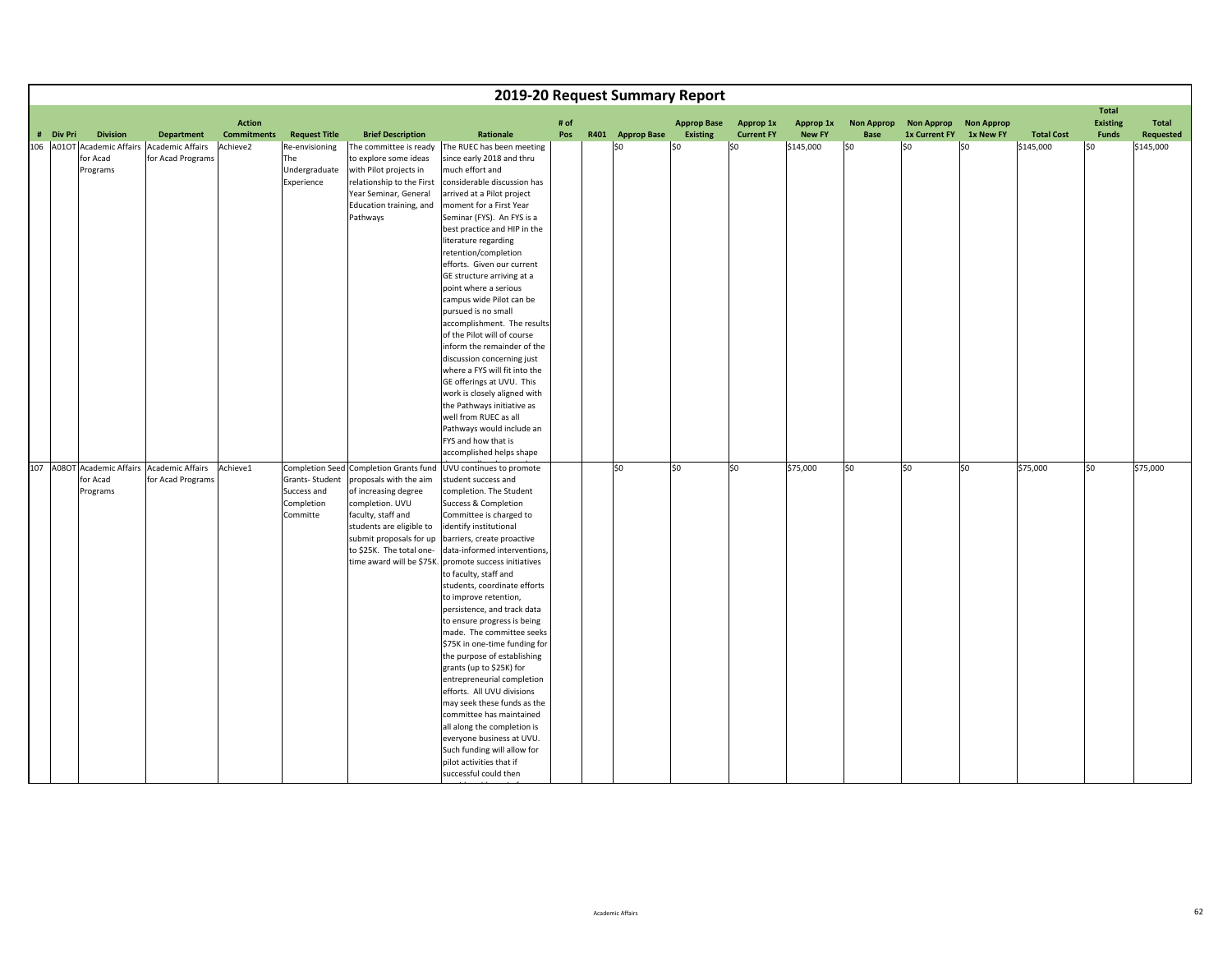|           |                      |                                                                  |                                     |                                                         |                                                                                                                                                                                                                      |                                                                                                                                                                                                                                                                                                                                                                                                                                                                                                                                                                                                                                                                                                                                                                                                                                |             | 2019-20 Request Summary Report |                                |                                       |                            |                                  |                                           |                                |                   |                                                 |                    |
|-----------|----------------------|------------------------------------------------------------------|-------------------------------------|---------------------------------------------------------|----------------------------------------------------------------------------------------------------------------------------------------------------------------------------------------------------------------------|--------------------------------------------------------------------------------------------------------------------------------------------------------------------------------------------------------------------------------------------------------------------------------------------------------------------------------------------------------------------------------------------------------------------------------------------------------------------------------------------------------------------------------------------------------------------------------------------------------------------------------------------------------------------------------------------------------------------------------------------------------------------------------------------------------------------------------|-------------|--------------------------------|--------------------------------|---------------------------------------|----------------------------|----------------------------------|-------------------------------------------|--------------------------------|-------------------|-------------------------------------------------|--------------------|
| # Div Pri | <b>Division</b>      | <b>Department</b>                                                | <b>Action</b><br><b>Commitments</b> | <b>Request Title</b>                                    | <b>Brief Description</b>                                                                                                                                                                                             | Rationale                                                                                                                                                                                                                                                                                                                                                                                                                                                                                                                                                                                                                                                                                                                                                                                                                      | # of<br>Pos | R401 Approp Base               | <b>Approp Base</b><br>Existing | <b>Approp 1x</b><br><b>Current FY</b> | Approp 1x<br><b>New FY</b> | <b>Non Approp</b><br><b>Base</b> | <b>Non Approp</b><br><b>1x Current FY</b> | <b>Non Approp</b><br>1x New FY | <b>Total Cost</b> | <b>Total</b><br><b>Existing</b><br><b>Funds</b> | Total<br>Requested |
|           | for Acad<br>Programs | 106 A01OT Academic Affairs Academic Affairs<br>for Acad Programs | Achieve2                            | Re-envisioning<br>The<br>Undergraduate<br>Experience    | The committee is ready<br>to explore some ideas<br>with Pilot projects in<br>relationship to the First<br>Year Seminar, General<br>Education training, and<br>Pathways                                               | The RUEC has been meeting<br>since early 2018 and thru<br>much effort and<br>considerable discussion has<br>arrived at a Pilot project<br>moment for a First Year<br>Seminar (FYS). An FYS is a<br>best practice and HIP in the<br>literature regarding<br>retention/completion<br>efforts. Given our current<br>GE structure arriving at a<br>point where a serious<br>campus wide Pilot can be<br>pursued is no small<br>accomplishment. The results<br>of the Pilot will of course<br>inform the remainder of the<br>discussion concerning just<br>where a FYS will fit into the<br>GE offerings at UVU. This<br>work is closely aligned with<br>the Pathways initiative as<br>well from RUEC as all<br>Pathways would include an<br>FYS and how that is<br>accomplished helps shape                                        |             | \$0                            | SO                             | \$0                                   | \$145,000                  | \$0                              | lso                                       | l\$0                           | \$145,000         | l\$0                                            | \$145,000          |
|           | for Acad<br>Programs | 107 A08OT Academic Affairs Academic Affairs<br>for Acad Programs | Achieve1                            | Grants-Student<br>Success and<br>Completion<br>Committe | Completion Seed Completion Grants fund<br>proposals with the aim<br>of increasing degree<br>completion. UVU<br>faculty, staff and<br>students are eligible to<br>submit proposals for up<br>to \$25K. The total one- | UVU continues to promote<br>student success and<br>completion. The Student<br>Success & Completion<br>Committee is charged to<br>identify institutional<br>barriers, create proactive<br>data-informed interventions,<br>time award will be \$75K. promote success initiatives<br>to faculty, staff and<br>students, coordinate efforts<br>to improve retention,<br>persistence, and track data<br>to ensure progress is being<br>made. The committee seeks<br>\$75K in one-time funding for<br>the purpose of establishing<br>grants (up to \$25K) for<br>entrepreneurial completion<br>efforts. All UVU divisions<br>may seek these funds as the<br>committee has maintained<br>all along the completion is<br>everyone business at UVU.<br>Such funding will allow for<br>pilot activities that if<br>successful could then |             | lso                            | \$0                            | lso                                   | \$75,000                   | SO.                              | S <sub>0</sub>                            | S <sub>0</sub>                 | \$75,000          | so                                              | \$75,000           |

idid i film i film i film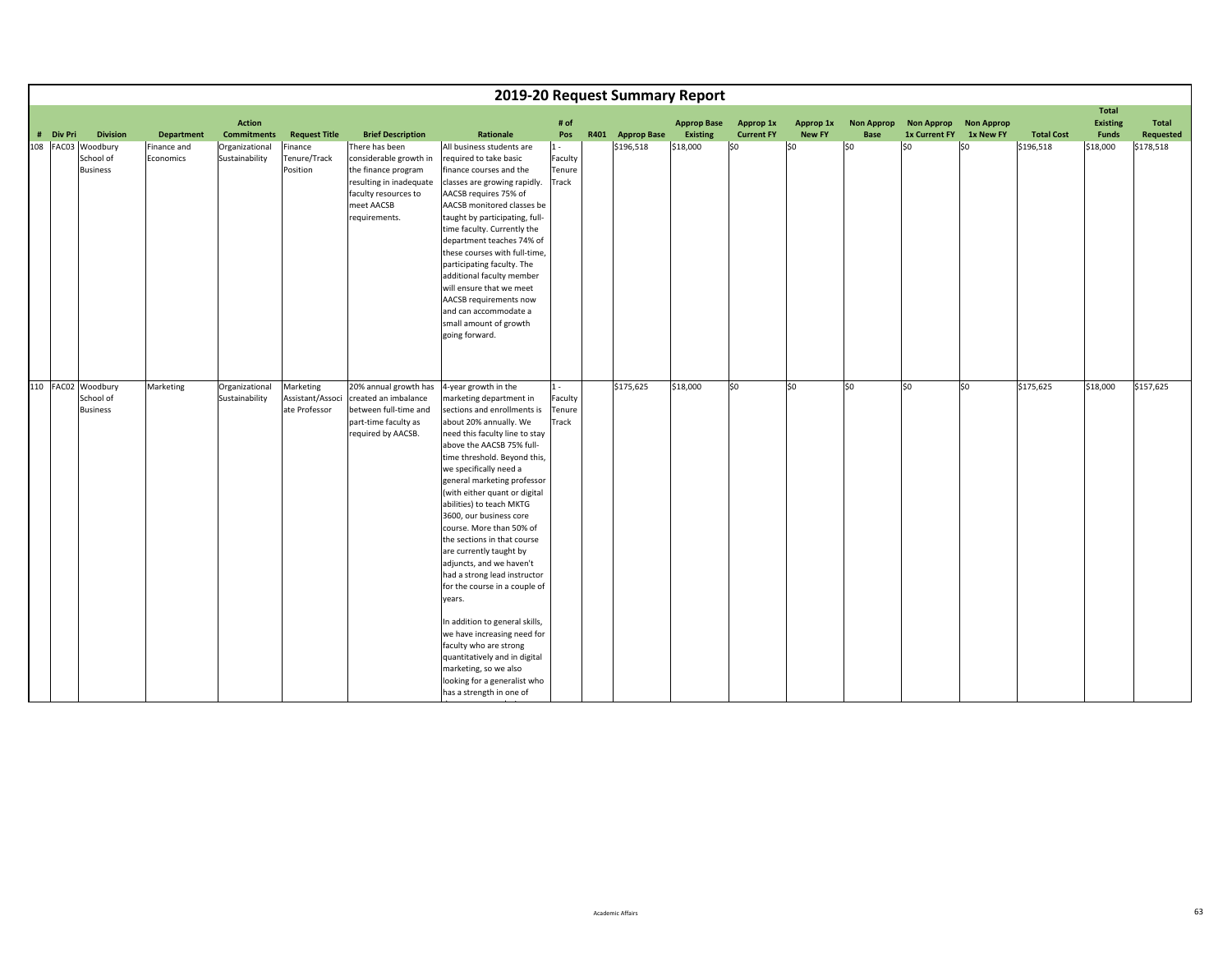|           |                    |                   |                                     |                      |                                            | 2019-20 Request Summary Report                                |             |      |                    |                                |                                |                            |                                  |                                           |                                |                   |                                 |                           |
|-----------|--------------------|-------------------|-------------------------------------|----------------------|--------------------------------------------|---------------------------------------------------------------|-------------|------|--------------------|--------------------------------|--------------------------------|----------------------------|----------------------------------|-------------------------------------------|--------------------------------|-------------------|---------------------------------|---------------------------|
|           |                    |                   |                                     |                      |                                            |                                                               |             |      |                    |                                |                                |                            |                                  |                                           |                                |                   | <b>Total</b>                    |                           |
| # Div Pri | <b>Division</b>    | <b>Department</b> | <b>Action</b><br><b>Commitments</b> | <b>Request Title</b> | <b>Brief Description</b>                   | Rationale                                                     | # of<br>Pos | R401 | <b>Approp Base</b> | <b>Approp Base</b><br>Existing | Approp 1x<br><b>Current FY</b> | Approp 1x<br><b>New FY</b> | <b>Non Approp</b><br><b>Base</b> | <b>Non Approp</b><br><b>1x Current FY</b> | <b>Non Approp</b><br>1x New FY | <b>Total Cost</b> | <b>Existing</b><br><b>Funds</b> | <b>Total</b><br>Requested |
|           | 108 FAC03 Woodbury | Finance and       | Organizational                      | Finance              | There has been                             | All business students are                                     | $1 -$       |      | \$196,518          | \$18,000                       | \$0                            | 50                         | lso                              | lso                                       | l\$0                           | \$196,518         | \$18,000                        | \$178,518                 |
|           | School of          | Economics         | Sustainability                      | Tenure/Track         | considerable growth in                     | required to take basic                                        | Faculty     |      |                    |                                |                                |                            |                                  |                                           |                                |                   |                                 |                           |
|           | <b>Business</b>    |                   |                                     | Position             | the finance program                        | finance courses and the                                       | Tenure      |      |                    |                                |                                |                            |                                  |                                           |                                |                   |                                 |                           |
|           |                    |                   |                                     |                      | resulting in inadequate                    | classes are growing rapidly.                                  | Track       |      |                    |                                |                                |                            |                                  |                                           |                                |                   |                                 |                           |
|           |                    |                   |                                     |                      | faculty resources to                       | AACSB requires 75% of                                         |             |      |                    |                                |                                |                            |                                  |                                           |                                |                   |                                 |                           |
|           |                    |                   |                                     |                      | meet AACSB                                 | AACSB monitored classes be                                    |             |      |                    |                                |                                |                            |                                  |                                           |                                |                   |                                 |                           |
|           |                    |                   |                                     |                      | requirements.                              | taught by participating, full-<br>time faculty. Currently the |             |      |                    |                                |                                |                            |                                  |                                           |                                |                   |                                 |                           |
|           |                    |                   |                                     |                      |                                            | department teaches 74% of                                     |             |      |                    |                                |                                |                            |                                  |                                           |                                |                   |                                 |                           |
|           |                    |                   |                                     |                      |                                            | these courses with full-time,                                 |             |      |                    |                                |                                |                            |                                  |                                           |                                |                   |                                 |                           |
|           |                    |                   |                                     |                      |                                            | participating faculty. The                                    |             |      |                    |                                |                                |                            |                                  |                                           |                                |                   |                                 |                           |
|           |                    |                   |                                     |                      |                                            | additional faculty member                                     |             |      |                    |                                |                                |                            |                                  |                                           |                                |                   |                                 |                           |
|           |                    |                   |                                     |                      |                                            | will ensure that we meet                                      |             |      |                    |                                |                                |                            |                                  |                                           |                                |                   |                                 |                           |
|           |                    |                   |                                     |                      |                                            | AACSB requirements now                                        |             |      |                    |                                |                                |                            |                                  |                                           |                                |                   |                                 |                           |
|           |                    |                   |                                     |                      |                                            | and can accommodate a<br>small amount of growth               |             |      |                    |                                |                                |                            |                                  |                                           |                                |                   |                                 |                           |
|           |                    |                   |                                     |                      |                                            | going forward.                                                |             |      |                    |                                |                                |                            |                                  |                                           |                                |                   |                                 |                           |
|           |                    |                   |                                     |                      |                                            |                                                               |             |      |                    |                                |                                |                            |                                  |                                           |                                |                   |                                 |                           |
|           |                    |                   |                                     |                      |                                            |                                                               |             |      |                    |                                |                                |                            |                                  |                                           |                                |                   |                                 |                           |
|           |                    |                   |                                     |                      |                                            |                                                               |             |      |                    |                                |                                |                            |                                  |                                           |                                |                   |                                 |                           |
|           | 110 FAC02 Woodbury | Marketing         | Organizational                      | Marketing            | 20% annual growth has                      | 4-year growth in the                                          | $1 -$       |      | \$175,625          | \$18,000                       | \$0                            | lso                        | S <sub>0</sub>                   | lso                                       | \$0                            | \$175,625         | \$18,000                        | \$157,625                 |
|           | School of          |                   | Sustainability                      | Assistant/Associ     | created an imbalance                       | marketing department in                                       | Faculty     |      |                    |                                |                                |                            |                                  |                                           |                                |                   |                                 |                           |
|           | <b>Business</b>    |                   |                                     | ate Professor        | between full-time and                      | sections and enrollments is                                   | Tenure      |      |                    |                                |                                |                            |                                  |                                           |                                |                   |                                 |                           |
|           |                    |                   |                                     |                      | part-time faculty as<br>required by AACSB. | about 20% annually. We<br>need this faculty line to stay      | Track       |      |                    |                                |                                |                            |                                  |                                           |                                |                   |                                 |                           |
|           |                    |                   |                                     |                      |                                            | above the AACSB 75% full-                                     |             |      |                    |                                |                                |                            |                                  |                                           |                                |                   |                                 |                           |
|           |                    |                   |                                     |                      |                                            | time threshold. Beyond this,                                  |             |      |                    |                                |                                |                            |                                  |                                           |                                |                   |                                 |                           |
|           |                    |                   |                                     |                      |                                            | we specifically need a                                        |             |      |                    |                                |                                |                            |                                  |                                           |                                |                   |                                 |                           |
|           |                    |                   |                                     |                      |                                            | general marketing professor                                   |             |      |                    |                                |                                |                            |                                  |                                           |                                |                   |                                 |                           |
|           |                    |                   |                                     |                      |                                            | (with either quant or digital                                 |             |      |                    |                                |                                |                            |                                  |                                           |                                |                   |                                 |                           |
|           |                    |                   |                                     |                      |                                            | abilities) to teach MKTG                                      |             |      |                    |                                |                                |                            |                                  |                                           |                                |                   |                                 |                           |
|           |                    |                   |                                     |                      |                                            | 3600, our business core<br>course. More than 50% of           |             |      |                    |                                |                                |                            |                                  |                                           |                                |                   |                                 |                           |
|           |                    |                   |                                     |                      |                                            | the sections in that course                                   |             |      |                    |                                |                                |                            |                                  |                                           |                                |                   |                                 |                           |
|           |                    |                   |                                     |                      |                                            | are currently taught by                                       |             |      |                    |                                |                                |                            |                                  |                                           |                                |                   |                                 |                           |
|           |                    |                   |                                     |                      |                                            | adjuncts, and we haven't                                      |             |      |                    |                                |                                |                            |                                  |                                           |                                |                   |                                 |                           |
|           |                    |                   |                                     |                      |                                            | had a strong lead instructor                                  |             |      |                    |                                |                                |                            |                                  |                                           |                                |                   |                                 |                           |
|           |                    |                   |                                     |                      |                                            | for the course in a couple of                                 |             |      |                    |                                |                                |                            |                                  |                                           |                                |                   |                                 |                           |
|           |                    |                   |                                     |                      |                                            | years.                                                        |             |      |                    |                                |                                |                            |                                  |                                           |                                |                   |                                 |                           |
|           |                    |                   |                                     |                      |                                            | In addition to general skills,                                |             |      |                    |                                |                                |                            |                                  |                                           |                                |                   |                                 |                           |
|           |                    |                   |                                     |                      |                                            | we have increasing need for                                   |             |      |                    |                                |                                |                            |                                  |                                           |                                |                   |                                 |                           |
|           |                    |                   |                                     |                      |                                            | faculty who are strong                                        |             |      |                    |                                |                                |                            |                                  |                                           |                                |                   |                                 |                           |
|           |                    |                   |                                     |                      |                                            | quantitatively and in digital                                 |             |      |                    |                                |                                |                            |                                  |                                           |                                |                   |                                 |                           |
|           |                    |                   |                                     |                      |                                            | marketing, so we also                                         |             |      |                    |                                |                                |                            |                                  |                                           |                                |                   |                                 |                           |
|           |                    |                   |                                     |                      |                                            | looking for a generalist who                                  |             |      |                    |                                |                                |                            |                                  |                                           |                                |                   |                                 |                           |
|           |                    |                   |                                     |                      |                                            | has a strength in one of                                      |             |      |                    |                                |                                |                            |                                  |                                           |                                |                   |                                 |                           |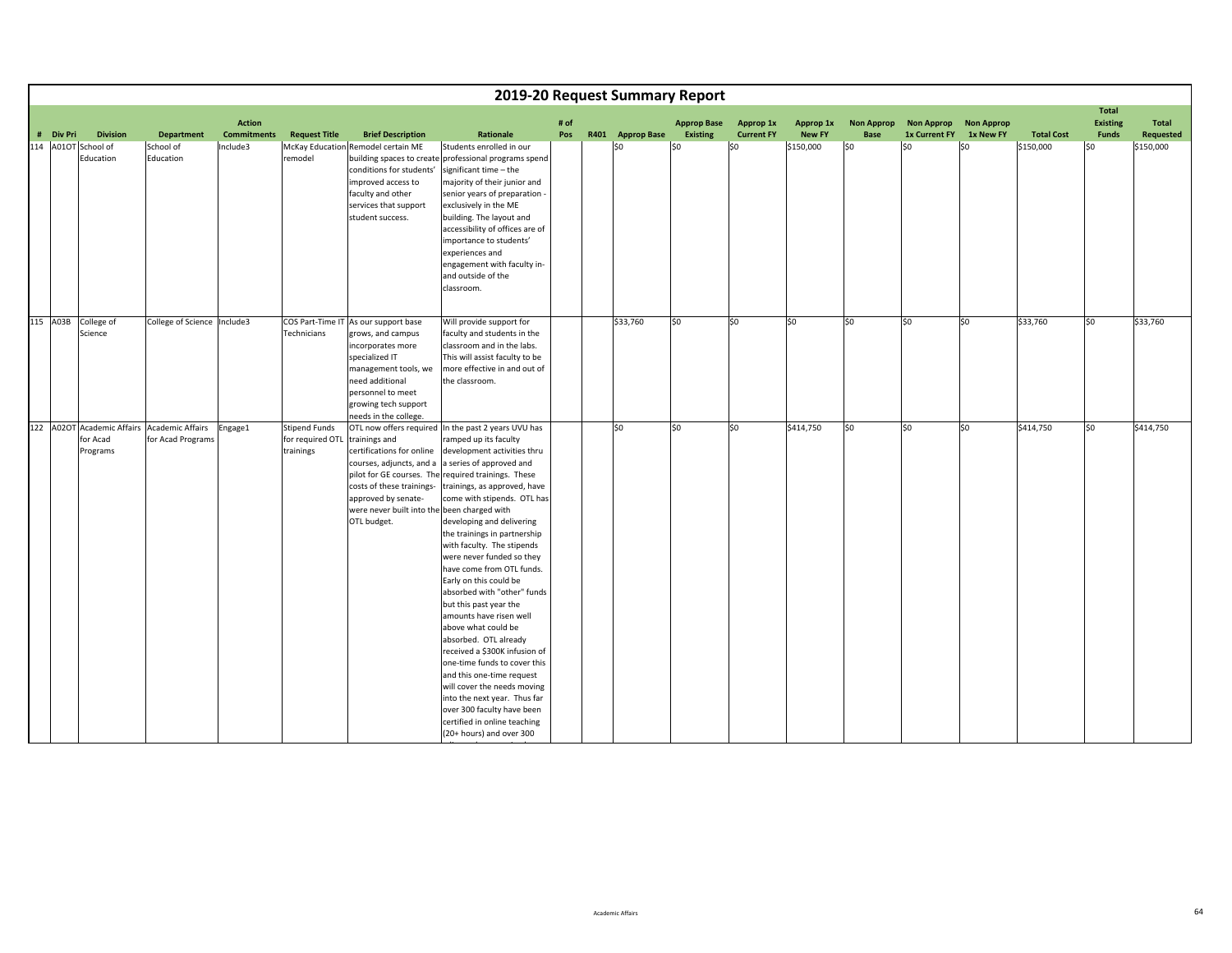|  |                                                            |                                                                  |                                     |                                                       |                                                                                                                                                                                                                   | 2019-20 Request Summary Report                                                                                                                                                                                                                                                                                                                                                                                                                                                                                                                                                                                                                                                                                                                                                                                                          |             |                  |                                       |                                |                            |                           |                                    |                                |                   |                                                 |                    |
|--|------------------------------------------------------------|------------------------------------------------------------------|-------------------------------------|-------------------------------------------------------|-------------------------------------------------------------------------------------------------------------------------------------------------------------------------------------------------------------------|-----------------------------------------------------------------------------------------------------------------------------------------------------------------------------------------------------------------------------------------------------------------------------------------------------------------------------------------------------------------------------------------------------------------------------------------------------------------------------------------------------------------------------------------------------------------------------------------------------------------------------------------------------------------------------------------------------------------------------------------------------------------------------------------------------------------------------------------|-------------|------------------|---------------------------------------|--------------------------------|----------------------------|---------------------------|------------------------------------|--------------------------------|-------------------|-------------------------------------------------|--------------------|
|  | <b>Division</b><br># Div Pri Divisi<br>114 A010T School of | <b>Department</b>                                                | <b>Action</b><br><b>Commitments</b> | <b>Request Title</b>                                  | <b>Brief Description</b>                                                                                                                                                                                          | Rationale                                                                                                                                                                                                                                                                                                                                                                                                                                                                                                                                                                                                                                                                                                                                                                                                                               | # of<br>Pos | R401 Approp Base | <b>Approp Base</b><br><b>Existing</b> | Approp 1x<br><b>Current FY</b> | Approp 1x<br><b>New FY</b> | <b>Non Approp</b><br>Base | <b>Non Approp</b><br>1x Current FY | <b>Non Approp</b><br>1x New FY | <b>Total Cost</b> | <b>Total</b><br><b>Existing</b><br><b>Funds</b> | Total<br>Requested |
|  | Education                                                  | School of<br>Education                                           | Include3                            | remodel                                               | McKay Education Remodel certain ME<br>building spaces to create<br>conditions for students'<br>improved access to<br>faculty and other<br>services that support<br>student success.                               | Students enrolled in our<br>professional programs spend<br>significant time - the<br>majority of their junior and<br>senior years of preparation -<br>exclusively in the ME<br>building. The layout and<br>accessibility of offices are of<br>importance to students'<br>experiences and<br>engagement with faculty in-<br>and outside of the<br>classroom.                                                                                                                                                                                                                                                                                                                                                                                                                                                                             |             | \$0              | \$0                                   | SO.                            | \$150,000                  | S <sub>0</sub>            | lso                                | \$0                            | \$150,000         | l\$0                                            | \$150,000          |
|  | 115 A03B College of<br>Science                             | College of Science  Include3                                     |                                     | Technicians                                           | COS Part-Time IT As our support base<br>grows, and campus<br>incorporates more<br>specialized IT<br>management tools, we<br>need additional<br>personnel to meet<br>growing tech support<br>needs in the college. | Will provide support for<br>faculty and students in the<br>classroom and in the labs.<br>This will assist faculty to be<br>more effective in and out of<br>the classroom.                                                                                                                                                                                                                                                                                                                                                                                                                                                                                                                                                                                                                                                               |             | \$33,760         | \$0                                   | \$0                            | lso                        | \$0                       | so                                 | \$0                            | \$33,760          | so                                              | \$33,760           |
|  | for Acad<br>Programs                                       | 122 A02OT Academic Affairs Academic Affairs<br>for Acad Programs | Engage1                             | <b>Stipend Funds</b><br>for required OTL<br>trainings | trainings and<br>certifications for online<br>courses, adjuncts, and a<br>costs of these trainings-<br>approved by senate-<br>were never built into the been charged with<br>OTL budget.                          | OTL now offers required In the past 2 years UVU has<br>ramped up its faculty<br>development activities thru<br>a series of approved and<br>pilot for GE courses. The required trainings. These<br>trainings, as approved, have<br>come with stipends. OTL has<br>developing and delivering<br>the trainings in partnership<br>with faculty. The stipends<br>were never funded so they<br>have come from OTL funds.<br>Early on this could be<br>absorbed with "other" funds<br>but this past year the<br>amounts have risen well<br>above what could be<br>absorbed. OTL already<br>received a \$300K infusion of<br>one-time funds to cover this<br>and this one-time request<br>will cover the needs moving<br>into the next year. Thus far<br>over 300 faculty have been<br>certified in online teaching<br>(20+ hours) and over 300 |             | \$0              | 50                                    | S <sub>0</sub>                 | \$414,750                  | $\overline{50}$           | 50                                 | \$0                            | \$414,750         | 50                                              | \$414,750          |

die die 19de eeu n.C. Soos ander het die 19de eeu n.C. In die 19de eeu n.C. In die 19de eeu n.C. In die 19de e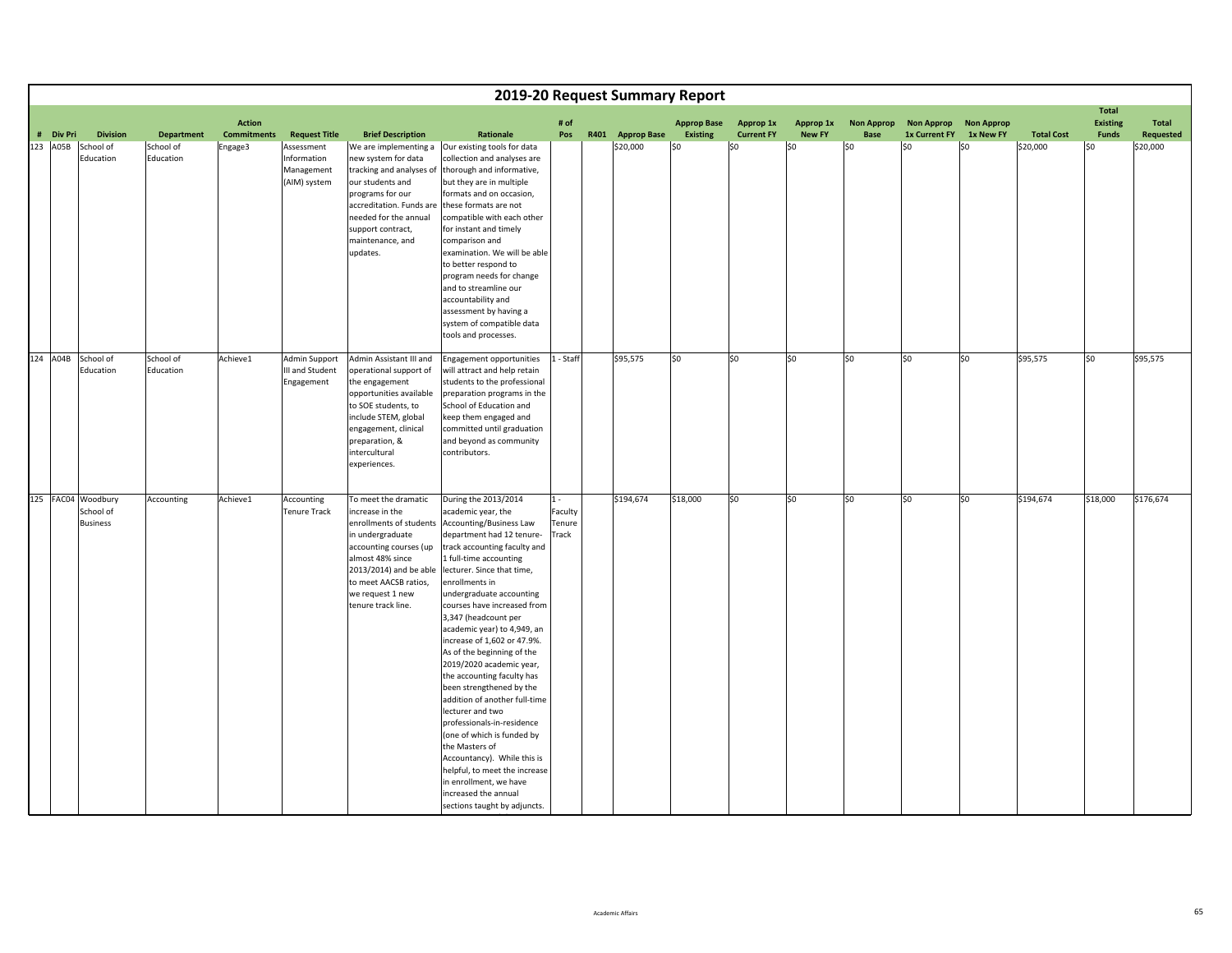|           |                                                    |                        |                                     |                                                         |                                                                                                                                                                                                                                   |                                                                                                                                                                                                                                                                                                                                                                                                                                                                                                                                                                                                                                                                                                                                                                        |                                     | 2019-20 Request Summary Report |                                       |                                |                            |                                  |                                           |                                |                   |                                                 |                           |
|-----------|----------------------------------------------------|------------------------|-------------------------------------|---------------------------------------------------------|-----------------------------------------------------------------------------------------------------------------------------------------------------------------------------------------------------------------------------------|------------------------------------------------------------------------------------------------------------------------------------------------------------------------------------------------------------------------------------------------------------------------------------------------------------------------------------------------------------------------------------------------------------------------------------------------------------------------------------------------------------------------------------------------------------------------------------------------------------------------------------------------------------------------------------------------------------------------------------------------------------------------|-------------------------------------|--------------------------------|---------------------------------------|--------------------------------|----------------------------|----------------------------------|-------------------------------------------|--------------------------------|-------------------|-------------------------------------------------|---------------------------|
| # Div Pri | <b>Division</b>                                    | <b>Department</b>      | <b>Action</b><br><b>Commitments</b> | <b>Request Title</b>                                    | <b>Brief Description</b>                                                                                                                                                                                                          | Rationale                                                                                                                                                                                                                                                                                                                                                                                                                                                                                                                                                                                                                                                                                                                                                              | # of<br>Pos                         | R401 Approp Base               | <b>Approp Base</b><br><b>Existing</b> | Approp 1x<br><b>Current FY</b> | Approp 1x<br><b>New FY</b> | <b>Non Approp</b><br><b>Base</b> | <b>Non Approp</b><br><b>1x Current FY</b> | <b>Non Approp</b><br>1x New FY | <b>Total Cost</b> | <b>Total</b><br><b>Existing</b><br><b>Funds</b> | Total<br><b>Requested</b> |
| 123 A05B  | School of<br>Education                             | School of<br>Education | Engage3                             | Assessment<br>Information<br>Management<br>(AIM) system | We are implementing a<br>new system for data<br>tracking and analyses of<br>our students and<br>programs for our<br>accreditation. Funds are<br>needed for the annual<br>support contract,<br>maintenance, and<br>updates.        | Our existing tools for data<br>collection and analyses are<br>thorough and informative,<br>but they are in multiple<br>formats and on occasion,<br>these formats are not<br>compatible with each other<br>for instant and timely<br>comparison and<br>examination. We will be able<br>to better respond to<br>program needs for change<br>and to streamline our<br>accountability and<br>assessment by having a<br>system of compatible data<br>tools and processes.                                                                                                                                                                                                                                                                                                   |                                     | \$20,000                       | \$0                                   | S0                             | \$0                        | 50                               | \$0                                       | \$0                            | \$20,000          | \$0                                             | \$20,000                  |
|           | 124 A04B School of<br>Education                    | School of<br>Education | Achieve1                            | Admin Support<br>III and Student<br>Engagement          | Admin Assistant III and<br>operational support of<br>the engagement<br>opportunities available<br>to SOE students, to<br>include STEM, global<br>engagement, clinical<br>preparation, &<br>intercultural<br>experiences.          | Engagement opportunities<br>will attract and help retain<br>students to the professional<br>preparation programs in the<br>School of Education and<br>keep them engaged and<br>committed until graduation<br>and beyond as community<br>contributors.                                                                                                                                                                                                                                                                                                                                                                                                                                                                                                                  | 1 - Staff                           | \$95,575                       | \$0                                   | lso                            | \$0                        | lso                              | SO.                                       | \$0                            | \$95,575          | S <sub>0</sub>                                  | \$95,575                  |
|           | 125 FAC04 Woodbury<br>School of<br><b>Business</b> | Accounting             | Achieve1                            | Accounting<br><b>Tenure Track</b>                       | To meet the dramatic<br>increase in the<br>enrollments of students<br>in undergraduate<br>accounting courses (up<br>almost 48% since<br>2013/2014) and be able<br>to meet AACSB ratios,<br>we request 1 new<br>tenure track line. | During the 2013/2014<br>academic year, the<br>Accounting/Business Law<br>department had 12 tenure-<br>track accounting faculty and<br>1 full-time accounting<br>lecturer. Since that time,<br>enrollments in<br>undergraduate accounting<br>courses have increased from<br>3,347 (headcount per<br>academic year) to 4,949, an<br>increase of 1,602 or 47.9%.<br>As of the beginning of the<br>2019/2020 academic year,<br>the accounting faculty has<br>been strengthened by the<br>addition of another full-time<br>lecturer and two<br>professionals-in-residence<br>(one of which is funded by<br>the Masters of<br>Accountancy). While this is<br>helpful, to meet the increase<br>in enrollment, we have<br>increased the annual<br>sections taught by adjuncts. | $1 -$<br>Faculty<br>Tenure<br>Track | \$194,674                      | \$18,000                              | $\sqrt{50}$                    | \$0                        | \$0                              | 50                                        | 50                             | \$194,674         | \$18,000                                        | \$176,674                 |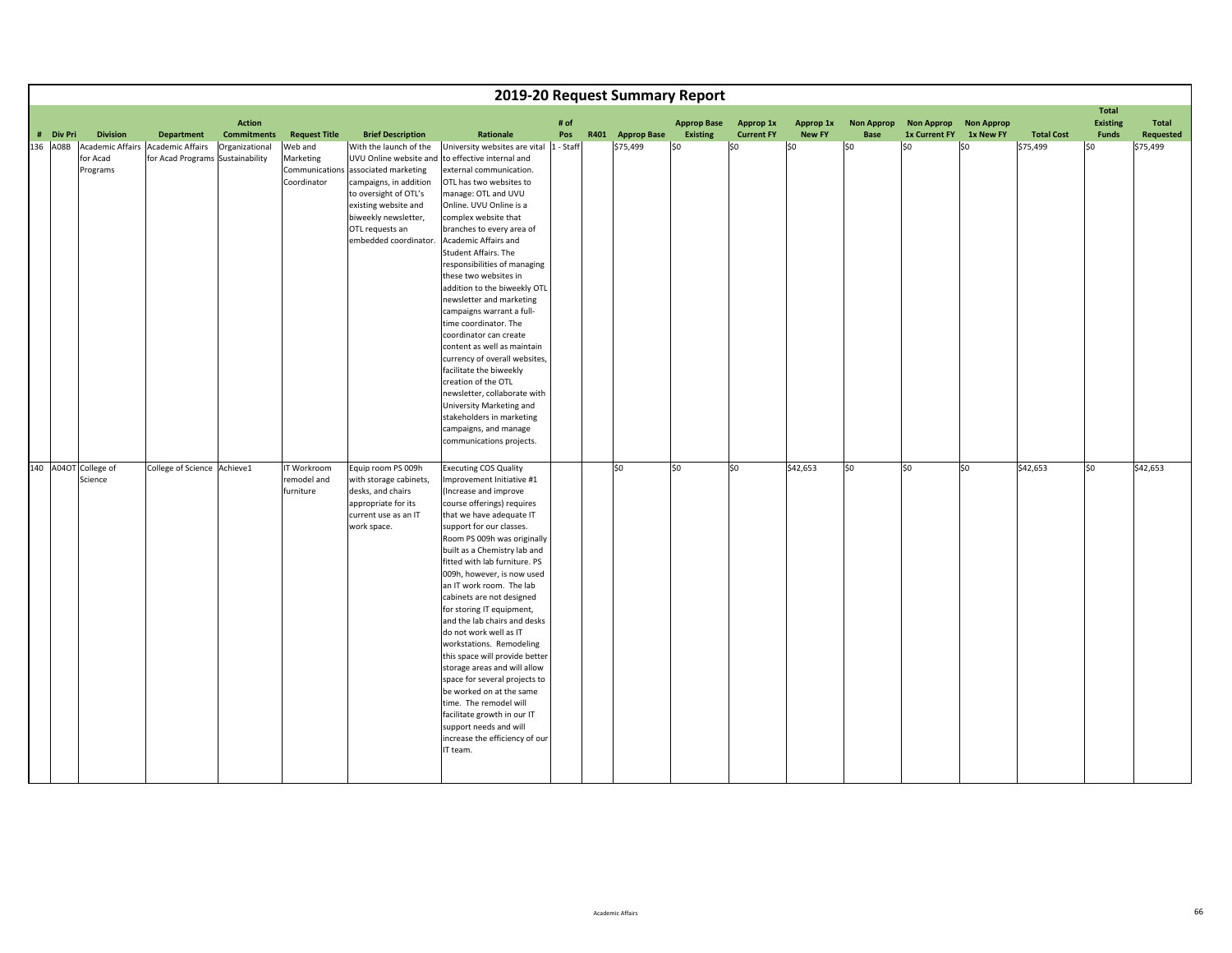|           |                                                 |                                                             |                                     |                                         |                                                                                                                                                                                                              |                                                                                                                                                                                                                                                                                                                                                                                                                                                                                                                                                                                                                                                                                                                                                                                |             | 2019-20 Request Summary Report |                                       |                                |                            |                           |                                    |                                |                   |                                                 |                    |
|-----------|-------------------------------------------------|-------------------------------------------------------------|-------------------------------------|-----------------------------------------|--------------------------------------------------------------------------------------------------------------------------------------------------------------------------------------------------------------|--------------------------------------------------------------------------------------------------------------------------------------------------------------------------------------------------------------------------------------------------------------------------------------------------------------------------------------------------------------------------------------------------------------------------------------------------------------------------------------------------------------------------------------------------------------------------------------------------------------------------------------------------------------------------------------------------------------------------------------------------------------------------------|-------------|--------------------------------|---------------------------------------|--------------------------------|----------------------------|---------------------------|------------------------------------|--------------------------------|-------------------|-------------------------------------------------|--------------------|
| # Div Pri | <b>Division</b>                                 | Department                                                  | <b>Action</b><br><b>Commitments</b> | <b>Request Title</b>                    | <b>Brief Description</b>                                                                                                                                                                                     | Rationale                                                                                                                                                                                                                                                                                                                                                                                                                                                                                                                                                                                                                                                                                                                                                                      | # of<br>Pos | R401 Approp Base               | <b>Approp Base</b><br><b>Existing</b> | Approp 1x<br><b>Current FY</b> | Approp 1x<br><b>New FY</b> | <b>Non Approp</b><br>Base | <b>Non Approp</b><br>1x Current FY | <b>Non Approp</b><br>1x New FY | <b>Total Cost</b> | <b>Total</b><br><b>Existing</b><br><b>Funds</b> | Total<br>Requested |
| 136 A08B  | <b>Academic Affairs</b><br>for Acad<br>Programs | <b>Academic Affairs</b><br>for Acad Programs Sustainability | Organizational                      | Web and<br>Marketing<br>Coordinator     | With the launch of the<br>Communications associated marketing<br>campaigns, in addition<br>to oversight of OTL's<br>existing website and<br>biweekly newsletter,<br>OTL requests an<br>embedded coordinator. | University websites are vital  1 - Staff<br>UVU Online website and to effective internal and<br>external communication.<br>OTL has two websites to<br>manage: OTL and UVU<br>Online. UVU Online is a<br>complex website that<br>branches to every area of<br>Academic Affairs and<br>Student Affairs. The<br>responsibilities of managing<br>these two websites in<br>addition to the biweekly OTL<br>newsletter and marketing<br>campaigns warrant a full-<br>time coordinator. The<br>coordinator can create<br>content as well as maintain<br>currency of overall websites,<br>facilitate the biweekly<br>creation of the OTL<br>newsletter, collaborate with<br>University Marketing and<br>stakeholders in marketing<br>campaigns, and manage<br>communications projects. |             | \$75,499                       | \$0                                   | \$0                            | 50                         | \$0                       | \$0                                | l\$0                           | \$75,499          | l\$0                                            | \$75,499           |
|           | 140 A04OT College of<br>Science                 | College of Science Achieve1                                 |                                     | IT Workroom<br>remodel and<br>furniture | Equip room PS 009h<br>with storage cabinets,<br>desks, and chairs<br>appropriate for its<br>current use as an IT<br>work space.                                                                              | <b>Executing COS Quality</b><br>Improvement Initiative #1<br>(Increase and improve<br>course offerings) requires<br>that we have adequate IT<br>support for our classes.<br>Room PS 009h was originally<br>built as a Chemistry lab and<br>fitted with lab furniture. PS<br>009h, however, is now used<br>an IT work room. The lab<br>cabinets are not designed<br>for storing IT equipment,<br>and the lab chairs and desks<br>do not work well as IT<br>workstations. Remodeling<br>this space will provide better<br>storage areas and will allow<br>space for several projects to<br>be worked on at the same<br>time. The remodel will<br>facilitate growth in our IT<br>support needs and will<br>increase the efficiency of our<br>IT team.                             |             | \$0                            | \$0                                   | \$0                            | \$42,653                   | \$0                       | \$0                                | \$0                            | \$42,653          | \$0                                             | \$42,653           |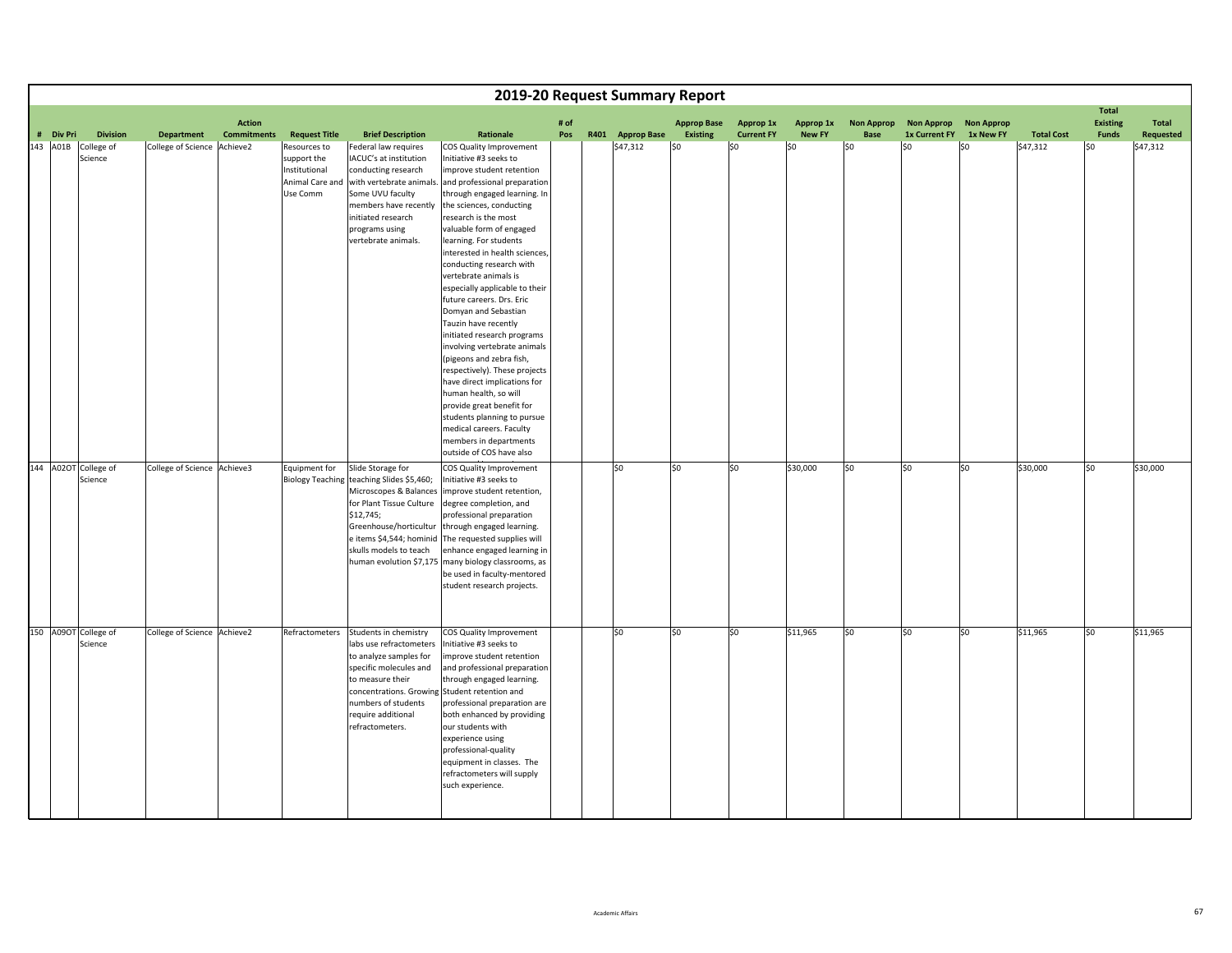|                       |                                          |                                                  |                    |                                                                                                     |                                                                                                                                                                                                                                              |                                                                                                                                                                                                                                                                                                                                                                                                                                                                                                                                                                                                                                                                                                                                                                                                                |      | 2019-20 Request Summary Report |                    |                          |                      |                    |                                        |                   |                               |                                 |                       |
|-----------------------|------------------------------------------|--------------------------------------------------|--------------------|-----------------------------------------------------------------------------------------------------|----------------------------------------------------------------------------------------------------------------------------------------------------------------------------------------------------------------------------------------------|----------------------------------------------------------------------------------------------------------------------------------------------------------------------------------------------------------------------------------------------------------------------------------------------------------------------------------------------------------------------------------------------------------------------------------------------------------------------------------------------------------------------------------------------------------------------------------------------------------------------------------------------------------------------------------------------------------------------------------------------------------------------------------------------------------------|------|--------------------------------|--------------------|--------------------------|----------------------|--------------------|----------------------------------------|-------------------|-------------------------------|---------------------------------|-----------------------|
|                       |                                          |                                                  | <b>Action</b>      |                                                                                                     |                                                                                                                                                                                                                                              |                                                                                                                                                                                                                                                                                                                                                                                                                                                                                                                                                                                                                                                                                                                                                                                                                | # of |                                | <b>Approp Base</b> | Approp 1x                | Approp 1x            | <b>Non Approp</b>  | <b>Non Approp</b>                      | <b>Non Approp</b> |                               | <b>Total</b><br><b>Existing</b> | Total                 |
| # Div Pri<br>143 A01B | <b>Division</b><br>College of<br>Science | <b>Department</b><br>College of Science Achieve2 | <b>Commitments</b> | <b>Request Title</b><br>Resources to<br>support the<br>Institutional<br>Animal Care and<br>Use Comm | <b>Brief Description</b><br>Federal law requires<br>IACUC's at institution<br>conducting research<br>with vertebrate animals.<br>Some UVU faculty<br>members have recently<br>initiated research<br>programs using<br>vertebrate animals.    | Rationale<br>COS Quality Improvement<br>Initiative #3 seeks to<br>improve student retention<br>and professional preparation<br>through engaged learning. In<br>the sciences, conducting<br>research is the most<br>valuable form of engaged<br>learning. For students<br>interested in health sciences,<br>conducting research with<br>vertebrate animals is<br>especially applicable to their<br>future careers. Drs. Eric<br>Domyan and Sebastian<br>Tauzin have recently<br>initiated research programs<br>involving vertebrate animals<br>(pigeons and zebra fish,<br>respectively). These projects<br>have direct implications for<br>human health, so will<br>provide great benefit for<br>students planning to pursue<br>medical careers. Faculty<br>members in departments<br>outside of COS have also | Pos  | R401 Approp Base<br>\$47,312   | Existing<br>\$0    | <b>Current FY</b><br>\$0 | <b>New FY</b><br>\$0 | <b>Base</b><br>lso | <b>1x Current FY</b><br>S <sub>0</sub> | 1x New FY<br>\$0  | <b>Total Cost</b><br>\$47,312 | Funds<br>\$0                    | Requested<br>\$47,312 |
|                       | 144 A02OT College of<br>Science          | College of Science Achieve3                      |                    | Equipment for                                                                                       | Slide Storage for<br>Biology Teaching teaching Slides \$5,460;<br>Microscopes & Balances<br>for Plant Tissue Culture<br>\$12,745;<br>Greenhouse/horticultur<br>e items \$4,544; hominid<br>skulls models to teach<br>human evolution \$7,175 | COS Quality Improvement<br>Initiative #3 seeks to<br>improve student retention,<br>degree completion, and<br>professional preparation<br>through engaged learning.<br>The requested supplies will<br>enhance engaged learning in<br>many biology classrooms, as<br>be used in faculty-mentored<br>student research projects.                                                                                                                                                                                                                                                                                                                                                                                                                                                                                   |      | \$0                            | \$0                | \$0                      | \$30,000             | \$0                | \$0                                    | \$0               | \$30,000                      | \$0                             | \$30,000              |
|                       | 150 A09OT College of<br>Science          | College of Science Achieve2                      |                    | Refractometers                                                                                      | Students in chemistry<br>labs use refractometers<br>to analyze samples for<br>specific molecules and<br>to measure their<br>concentrations. Growin<br>numbers of students<br>require additional<br>refractometers.                           | COS Quality Improvement<br>Initiative #3 seeks to<br>improve student retention<br>and professional preparation<br>through engaged learning.<br>Student retention and<br>professional preparation are<br>both enhanced by providing<br>our students with<br>experience using<br>professional-quality<br>equipment in classes. The<br>refractometers will supply<br>such experience.                                                                                                                                                                                                                                                                                                                                                                                                                             |      | \$0                            | \$0                | \$0                      | \$11,965             | \$0                | \$0                                    | \$0               | \$11,965                      | \$0                             | \$11,965              |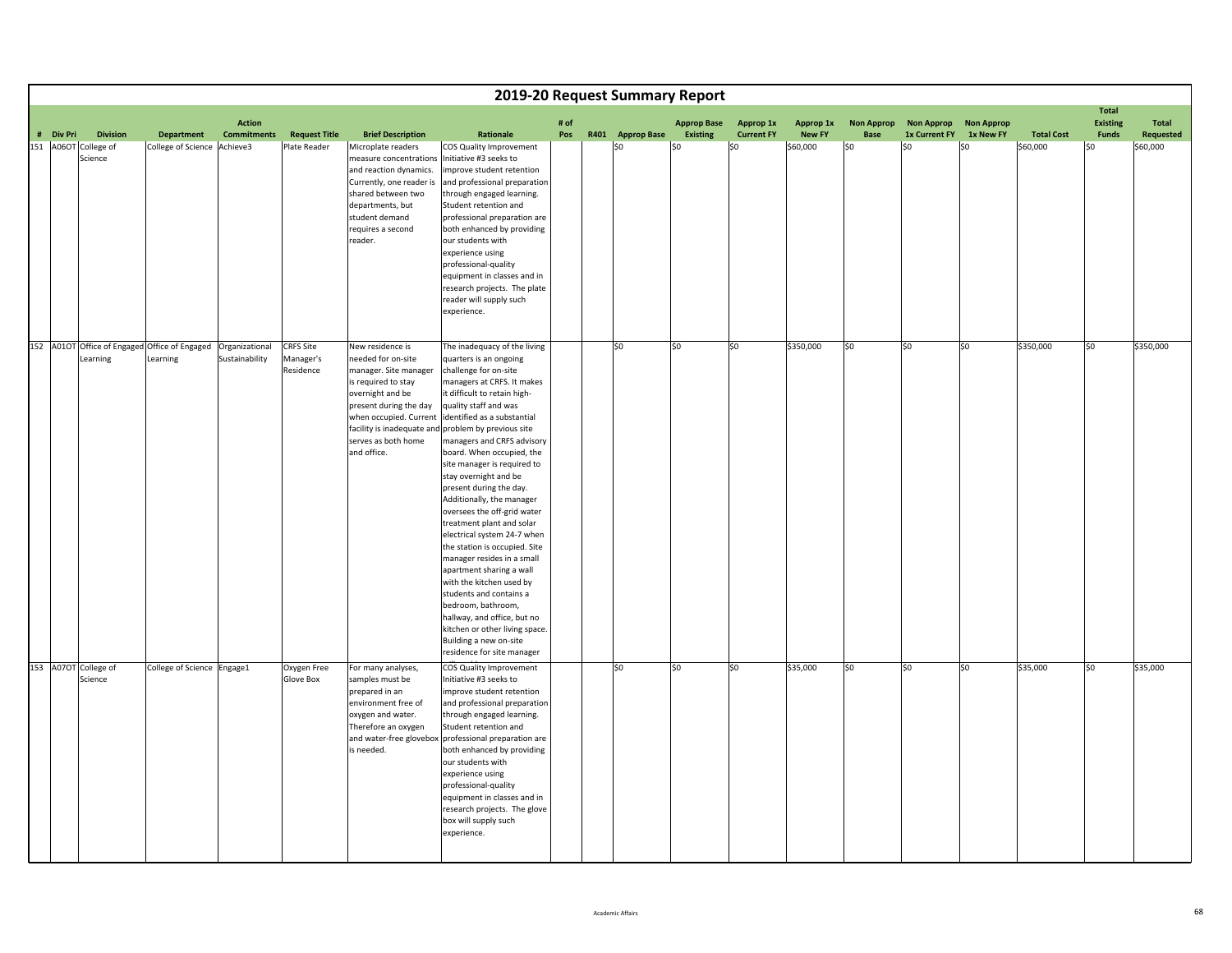|                                                                          |                            |                                     |                                            |                                                                                                                                                                                                      |                                                                                                                                                                                                                                                                                                                                                                                                                                                                                                                                                                                                                                                                                                                                                                                                                                     |             | 2019-20 Request Summary Report |                                       |                                |                            |                                  |                                        |           |                   |                                          |                           |
|--------------------------------------------------------------------------|----------------------------|-------------------------------------|--------------------------------------------|------------------------------------------------------------------------------------------------------------------------------------------------------------------------------------------------------|-------------------------------------------------------------------------------------------------------------------------------------------------------------------------------------------------------------------------------------------------------------------------------------------------------------------------------------------------------------------------------------------------------------------------------------------------------------------------------------------------------------------------------------------------------------------------------------------------------------------------------------------------------------------------------------------------------------------------------------------------------------------------------------------------------------------------------------|-------------|--------------------------------|---------------------------------------|--------------------------------|----------------------------|----------------------------------|----------------------------------------|-----------|-------------------|------------------------------------------|---------------------------|
| # Div Pri<br><b>Division</b>                                             | <b>Department</b>          | <b>Action</b><br><b>Commitments</b> | <b>Request Title</b>                       | <b>Brief Description</b>                                                                                                                                                                             | Rationale                                                                                                                                                                                                                                                                                                                                                                                                                                                                                                                                                                                                                                                                                                                                                                                                                           | # of<br>Pos | R401 Approp Base               | <b>Approp Base</b><br><b>Existing</b> | Approp 1x<br><b>Current FY</b> | Approp 1x<br><b>New FY</b> | <b>Non Approp</b><br><b>Base</b> | Non Approp Non Approp<br>1x Current FY | 1x New FY | <b>Total Cost</b> | <b>Total</b><br><b>Existing</b><br>Funds | <b>Total</b><br>Requested |
| 151 A06OT College of<br>Science                                          | College of Science         | Achieve3                            | Plate Reader                               | Microplate readers<br>measure concentrations<br>and reaction dynamics.<br>Currently, one reader is<br>shared between two<br>departments, but<br>student demand<br>requires a second<br>reader.       | COS Quality Improvement<br>Initiative #3 seeks to<br>improve student retention<br>and professional preparation<br>through engaged learning.<br>Student retention and<br>professional preparation are<br>both enhanced by providing<br>our students with<br>experience using<br>professional-quality<br>equipment in classes and in<br>research projects. The plate<br>reader will supply such<br>experience.                                                                                                                                                                                                                                                                                                                                                                                                                        |             | \$0                            | \$0                                   | \$0                            | \$60,000                   | \$0                              | \$0                                    | \$0       | \$60,000          | \$0                                      | \$60,000                  |
| 152 A01OT Office of Engaged Office of Engaged Organizational<br>Learning | Learning                   | Sustainability                      | <b>CRFS Site</b><br>Manager's<br>Residence | New residence is<br>needed for on-site<br>manager. Site manager<br>is required to stay<br>overnight and be<br>present during the day<br>when occupied. Current<br>serves as both home<br>and office. | The inadequacy of the living<br>quarters is an ongoing<br>challenge for on-site<br>managers at CRFS. It makes<br>it difficult to retain high-<br>quality staff and was<br>identified as a substantial<br>facility is inadequate and problem by previous site<br>managers and CRFS advisory<br>board. When occupied, the<br>site manager is required to<br>stay overnight and be<br>present during the day.<br>Additionally, the manager<br>oversees the off-grid water<br>treatment plant and solar<br>electrical system 24-7 when<br>the station is occupied. Site<br>manager resides in a small<br>apartment sharing a wall<br>with the kitchen used by<br>students and contains a<br>bedroom, bathroom,<br>hallway, and office, but no<br>kitchen or other living space.<br>Building a new on-site<br>residence for site manager |             | \$0                            | \$0                                   | \$0                            | \$350,000                  | \$0                              | \$0                                    | \$0       | \$350,000         | \$0                                      | \$350,000                 |
| 153 A07OT College of<br>Science                                          | College of Science Engage1 |                                     | Oxygen Free<br>Glove Box                   | For many analyses,<br>samples must be<br>prepared in an<br>environment free of<br>oxygen and water.<br>Therefore an oxygen<br>and water-free glovebox<br>is needed.                                  | COS Quality Improvement<br>Initiative #3 seeks to<br>improve student retention<br>and professional preparation<br>through engaged learning.<br>Student retention and<br>professional preparation are<br>both enhanced by providing<br>our students with<br>experience using<br>professional-quality<br>equipment in classes and in<br>research projects. The glove<br>box will supply such<br>experience.                                                                                                                                                                                                                                                                                                                                                                                                                           |             | \$0                            | \$0                                   | S <sub>0</sub>                 | \$35,000                   | \$0                              | \$0                                    | \$0       | \$35,000          | \$0                                      | \$35,000                  |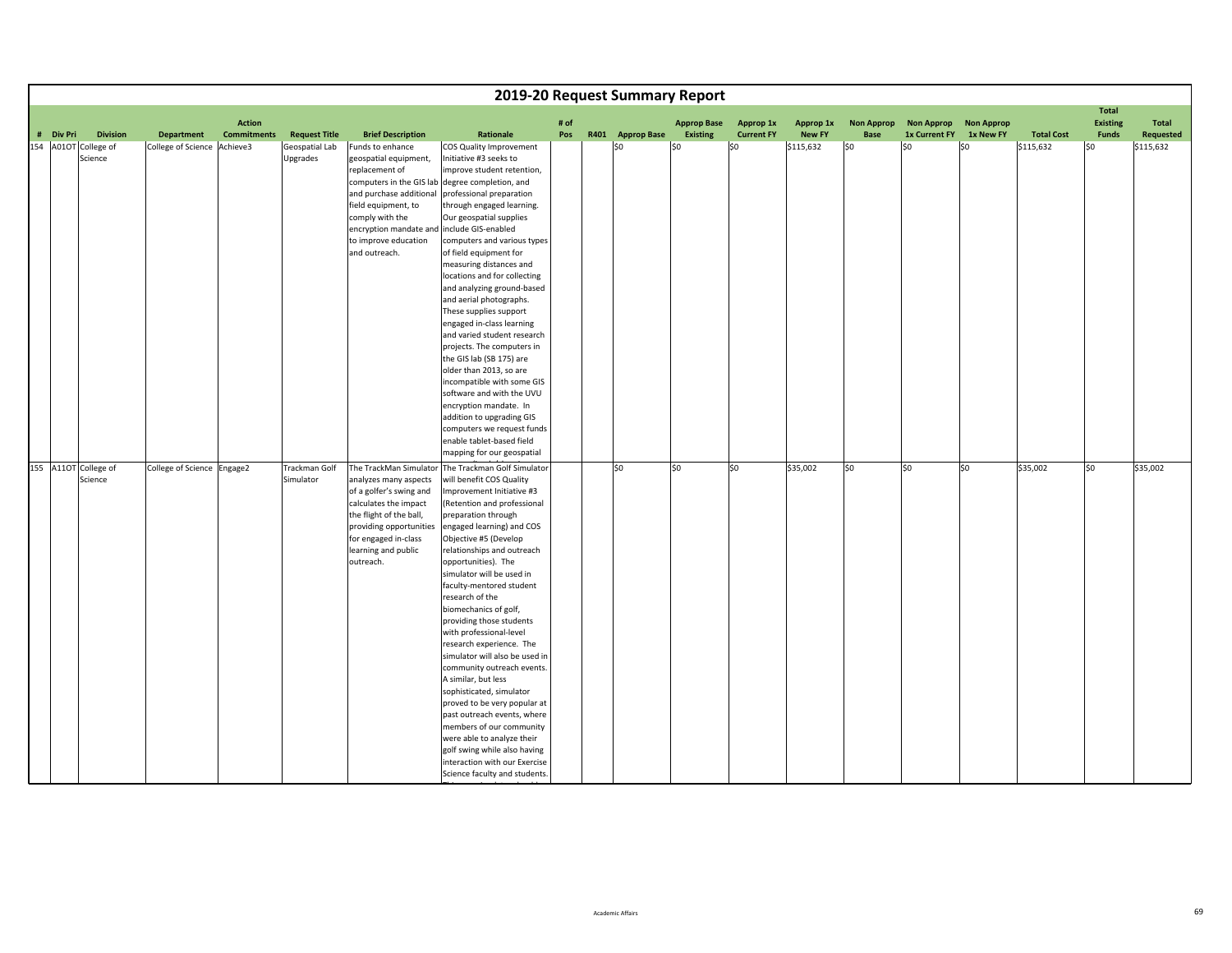|           |                                 |                            |                    |                            |                                                                                                                                                                                                                                 |                                                                                                                                                                                                                                                                                                                                                                                                                                                                                                                                                                                                                                                                                                                                                                                             |      | 2019-20 Request Summary Report |                    |                   |               |                   |                   |                   |                   |                                 |           |
|-----------|---------------------------------|----------------------------|--------------------|----------------------------|---------------------------------------------------------------------------------------------------------------------------------------------------------------------------------------------------------------------------------|---------------------------------------------------------------------------------------------------------------------------------------------------------------------------------------------------------------------------------------------------------------------------------------------------------------------------------------------------------------------------------------------------------------------------------------------------------------------------------------------------------------------------------------------------------------------------------------------------------------------------------------------------------------------------------------------------------------------------------------------------------------------------------------------|------|--------------------------------|--------------------|-------------------|---------------|-------------------|-------------------|-------------------|-------------------|---------------------------------|-----------|
|           |                                 |                            | <b>Action</b>      |                            |                                                                                                                                                                                                                                 |                                                                                                                                                                                                                                                                                                                                                                                                                                                                                                                                                                                                                                                                                                                                                                                             | # of |                                | <b>Approp Base</b> | Approp 1x         | Approp 1x     | <b>Non Approp</b> | <b>Non Approp</b> | <b>Non Approp</b> |                   | <b>Total</b><br><b>Existing</b> | Total     |
| # Div Pri | <b>Division</b>                 | <b>Department</b>          | <b>Commitments</b> | <b>Request Title</b>       | <b>Brief Description</b>                                                                                                                                                                                                        | Rationale                                                                                                                                                                                                                                                                                                                                                                                                                                                                                                                                                                                                                                                                                                                                                                                   | Pos  | R401 Approp Base               | <b>Existing</b>    | <b>Current FY</b> | <b>New FY</b> | Base              | 1x Current FY     | 1x New FY         | <b>Total Cost</b> | <b>Funds</b>                    | Requested |
|           | 154 A01OT College of<br>Science | College of Science         | Achieve3           | Geospatial Lab<br>Upgrades | Funds to enhance<br>geospatial equipment,<br>replacement of<br>computers in the GIS lab<br>and purchase additional<br>field equipment, to<br>comply with the<br>encryption mandate and<br>to improve education<br>and outreach. | COS Quality Improvement<br>Initiative #3 seeks to<br>improve student retention,<br>degree completion, and<br>professional preparation<br>through engaged learning.<br>Our geospatial supplies<br>include GIS-enabled<br>computers and various types<br>of field equipment for<br>measuring distances and<br>locations and for collecting<br>and analyzing ground-based<br>and aerial photographs.<br>These supplies support<br>engaged in-class learning<br>and varied student research<br>projects. The computers in                                                                                                                                                                                                                                                                       |      | \$0                            | \$0                | \$0               | \$115,632     | lso               | l\$0              | \$0               | \$115,632         | l\$0                            | \$115,632 |
|           |                                 |                            |                    |                            |                                                                                                                                                                                                                                 | the GIS lab (SB 175) are<br>older than 2013, so are<br>incompatible with some GIS<br>software and with the UVU<br>encryption mandate. In<br>addition to upgrading GIS<br>computers we request funds<br>enable tablet-based field<br>mapping for our geospatial                                                                                                                                                                                                                                                                                                                                                                                                                                                                                                                              |      |                                |                    |                   |               |                   |                   |                   |                   |                                 |           |
|           | 155 A11OT College of<br>Science | College of Science Engage2 |                    | Trackman Golf<br>Simulator | The TrackMan Simulator<br>analyzes many aspects<br>of a golfer's swing and<br>calculates the impact<br>the flight of the ball,<br>providing opportunities<br>for engaged in-class<br>learning and public<br>outreach.           | The Trackman Golf Simulator<br>will benefit COS Quality<br>Improvement Initiative #3<br>(Retention and professional<br>preparation through<br>engaged learning) and COS<br>Objective #5 (Develop<br>relationships and outreach<br>opportunities). The<br>simulator will be used in<br>faculty-mentored student<br>research of the<br>biomechanics of golf,<br>providing those students<br>with professional-level<br>research experience. The<br>simulator will also be used in<br>community outreach events.<br>A similar, but less<br>sophisticated, simulator<br>proved to be very popular at<br>past outreach events, where<br>members of our community<br>were able to analyze their<br>golf swing while also having<br>interaction with our Exercise<br>Science faculty and students. |      | \$0                            | SO.                | S <sub>0</sub>    | \$35,002      | SO                | \$0               | \$0               | \$35,002          | \$0                             | \$35,002  |

Thii <del>la controllata de la con</del>

h latin dan bagai dan bagi dan bagi dan bagi dan bagi dan bagi dan bagi dan bagi dan bagi dan bagi dan bagi da<br>Dan bagai dan bagi dan bagi dan bagi dan bagi dan bagi dan bagi dan bagi dan bagi dan bagi dan bagi dan bagi d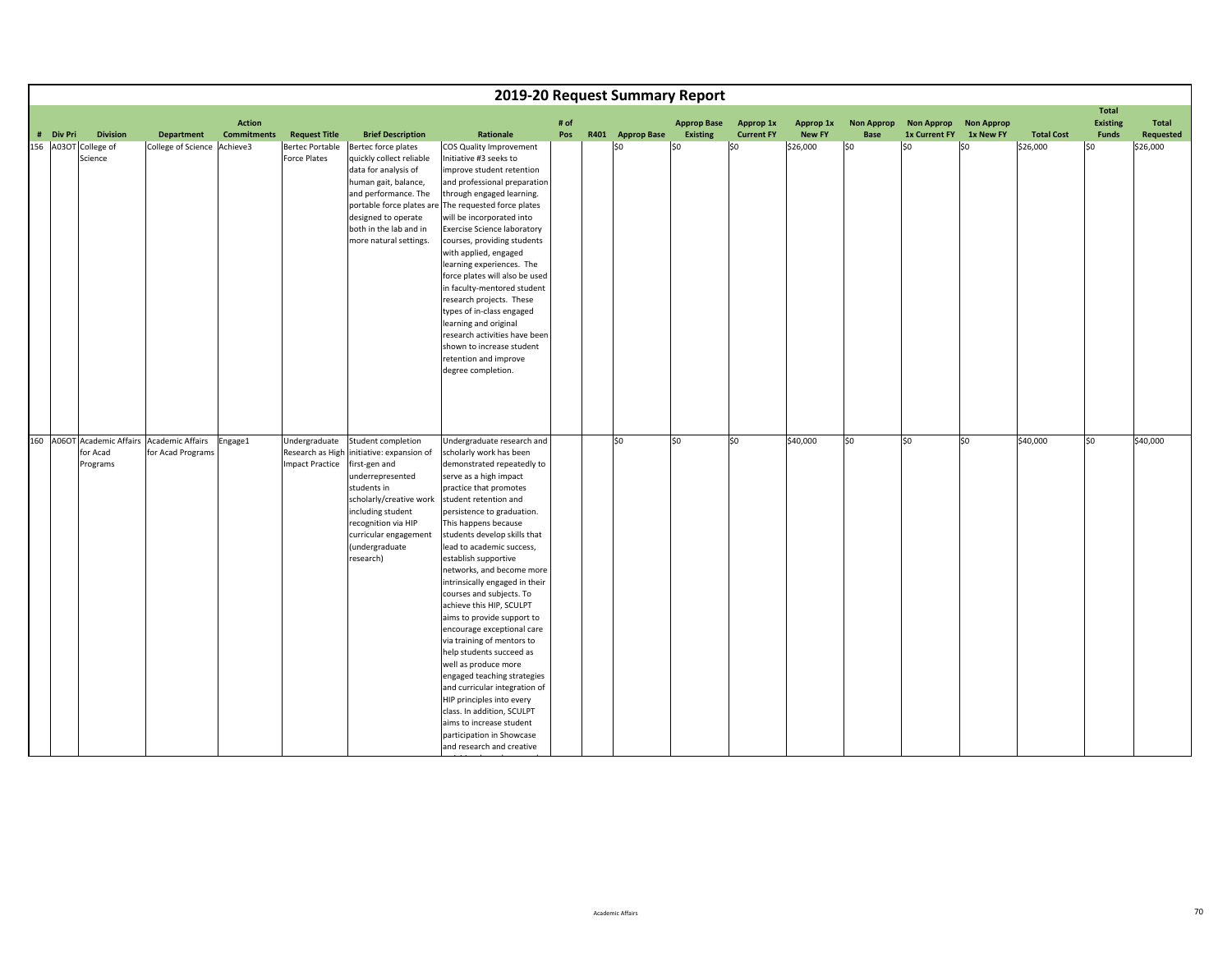|                      |                 |                                             |                                     |                        |                                         | 2019-20 Request Summary Report                               |             |                  |                                       |                                |                            |                           |                                    |                                |                   |                          |                    |
|----------------------|-----------------|---------------------------------------------|-------------------------------------|------------------------|-----------------------------------------|--------------------------------------------------------------|-------------|------------------|---------------------------------------|--------------------------------|----------------------------|---------------------------|------------------------------------|--------------------------------|-------------------|--------------------------|--------------------|
|                      |                 |                                             |                                     |                        |                                         |                                                              |             |                  |                                       |                                |                            |                           |                                    |                                |                   | <b>Total</b>             |                    |
| # Div Pri            | <b>Division</b> | <b>Department</b>                           | <b>Action</b><br><b>Commitments</b> | <b>Request Title</b>   | <b>Brief Description</b>                | Rationale                                                    | # of<br>Pos | R401 Approp Base | <b>Approp Base</b><br><b>Existing</b> | Approp 1x<br><b>Current FY</b> | Approp 1x<br><b>New FY</b> | <b>Non Approp</b><br>Base | <b>Non Approp</b><br>1x Current FY | <b>Non Approp</b><br>1x New FY | <b>Total Cost</b> | <b>Existing</b><br>Funds | Total<br>Requested |
| 156 A03OT College of |                 | College of Science Achieve3                 |                                     | <b>Bertec Portable</b> | Bertec force plates                     | COS Quality Improvement                                      |             | \$0              | \$0                                   | \$0                            | \$26,000                   | \$0                       | so                                 | \$0                            | \$26,000          | SO.                      | \$26,000           |
|                      | Science         |                                             |                                     | <b>Force Plates</b>    | quickly collect reliable                | Initiative #3 seeks to                                       |             |                  |                                       |                                |                            |                           |                                    |                                |                   |                          |                    |
|                      |                 |                                             |                                     |                        | data for analysis of                    | improve student retention                                    |             |                  |                                       |                                |                            |                           |                                    |                                |                   |                          |                    |
|                      |                 |                                             |                                     |                        | human gait, balance,                    | and professional preparation                                 |             |                  |                                       |                                |                            |                           |                                    |                                |                   |                          |                    |
|                      |                 |                                             |                                     |                        | and performance. The                    | through engaged learning.                                    |             |                  |                                       |                                |                            |                           |                                    |                                |                   |                          |                    |
|                      |                 |                                             |                                     |                        | portable force plates ar                | The requested force plates                                   |             |                  |                                       |                                |                            |                           |                                    |                                |                   |                          |                    |
|                      |                 |                                             |                                     |                        | designed to operate                     | will be incorporated into                                    |             |                  |                                       |                                |                            |                           |                                    |                                |                   |                          |                    |
|                      |                 |                                             |                                     |                        | both in the lab and in                  | <b>Exercise Science laboratory</b>                           |             |                  |                                       |                                |                            |                           |                                    |                                |                   |                          |                    |
|                      |                 |                                             |                                     |                        | more natural settings.                  | courses, providing students<br>with applied, engaged         |             |                  |                                       |                                |                            |                           |                                    |                                |                   |                          |                    |
|                      |                 |                                             |                                     |                        |                                         | learning experiences. The                                    |             |                  |                                       |                                |                            |                           |                                    |                                |                   |                          |                    |
|                      |                 |                                             |                                     |                        |                                         | force plates will also be used                               |             |                  |                                       |                                |                            |                           |                                    |                                |                   |                          |                    |
|                      |                 |                                             |                                     |                        |                                         | in faculty-mentored student                                  |             |                  |                                       |                                |                            |                           |                                    |                                |                   |                          |                    |
|                      |                 |                                             |                                     |                        |                                         | research projects. These                                     |             |                  |                                       |                                |                            |                           |                                    |                                |                   |                          |                    |
|                      |                 |                                             |                                     |                        |                                         | types of in-class engaged                                    |             |                  |                                       |                                |                            |                           |                                    |                                |                   |                          |                    |
|                      |                 |                                             |                                     |                        |                                         | learning and original                                        |             |                  |                                       |                                |                            |                           |                                    |                                |                   |                          |                    |
|                      |                 |                                             |                                     |                        |                                         | research activities have been                                |             |                  |                                       |                                |                            |                           |                                    |                                |                   |                          |                    |
|                      |                 |                                             |                                     |                        |                                         | shown to increase student                                    |             |                  |                                       |                                |                            |                           |                                    |                                |                   |                          |                    |
|                      |                 |                                             |                                     |                        |                                         | retention and improve                                        |             |                  |                                       |                                |                            |                           |                                    |                                |                   |                          |                    |
|                      |                 |                                             |                                     |                        |                                         | degree completion.                                           |             |                  |                                       |                                |                            |                           |                                    |                                |                   |                          |                    |
|                      |                 |                                             |                                     |                        |                                         |                                                              |             |                  |                                       |                                |                            |                           |                                    |                                |                   |                          |                    |
|                      |                 |                                             |                                     |                        |                                         |                                                              |             |                  |                                       |                                |                            |                           |                                    |                                |                   |                          |                    |
|                      |                 |                                             |                                     |                        |                                         |                                                              |             |                  |                                       |                                |                            |                           |                                    |                                |                   |                          |                    |
|                      |                 |                                             |                                     |                        |                                         |                                                              |             |                  |                                       |                                |                            |                           |                                    |                                |                   |                          |                    |
|                      |                 | 160 A06OT Academic Affairs Academic Affairs | Engage1                             | Undergraduate          | Student completion                      | Undergraduate research and                                   |             | \$0              | \$0                                   | \$0                            | \$40,000                   | \$0                       | \$0                                | \$0                            | \$40,000          | S <sub>0</sub>           | \$40,000           |
|                      | for Acad        | for Acad Programs                           |                                     | Research as High       | initiative: expansion of                | scholarly work has been                                      |             |                  |                                       |                                |                            |                           |                                    |                                |                   |                          |                    |
|                      | Programs        |                                             |                                     | <b>Impact Practice</b> | first-gen and                           | demonstrated repeatedly to                                   |             |                  |                                       |                                |                            |                           |                                    |                                |                   |                          |                    |
|                      |                 |                                             |                                     |                        | underrepresented                        | serve as a high impact                                       |             |                  |                                       |                                |                            |                           |                                    |                                |                   |                          |                    |
|                      |                 |                                             |                                     |                        | students in                             | practice that promotes                                       |             |                  |                                       |                                |                            |                           |                                    |                                |                   |                          |                    |
|                      |                 |                                             |                                     |                        | scholarly/creative work                 | student retention and                                        |             |                  |                                       |                                |                            |                           |                                    |                                |                   |                          |                    |
|                      |                 |                                             |                                     |                        | including student                       | persistence to graduation.                                   |             |                  |                                       |                                |                            |                           |                                    |                                |                   |                          |                    |
|                      |                 |                                             |                                     |                        | recognition via HIP                     | This happens because<br>students develop skills that         |             |                  |                                       |                                |                            |                           |                                    |                                |                   |                          |                    |
|                      |                 |                                             |                                     |                        | curricular engagement<br>(undergraduate | lead to academic success,                                    |             |                  |                                       |                                |                            |                           |                                    |                                |                   |                          |                    |
|                      |                 |                                             |                                     |                        | research)                               | establish supportive                                         |             |                  |                                       |                                |                            |                           |                                    |                                |                   |                          |                    |
|                      |                 |                                             |                                     |                        |                                         | networks, and become more                                    |             |                  |                                       |                                |                            |                           |                                    |                                |                   |                          |                    |
|                      |                 |                                             |                                     |                        |                                         | intrinsically engaged in their                               |             |                  |                                       |                                |                            |                           |                                    |                                |                   |                          |                    |
|                      |                 |                                             |                                     |                        |                                         | courses and subjects. To                                     |             |                  |                                       |                                |                            |                           |                                    |                                |                   |                          |                    |
|                      |                 |                                             |                                     |                        |                                         | achieve this HIP, SCULPT                                     |             |                  |                                       |                                |                            |                           |                                    |                                |                   |                          |                    |
|                      |                 |                                             |                                     |                        |                                         | aims to provide support to                                   |             |                  |                                       |                                |                            |                           |                                    |                                |                   |                          |                    |
|                      |                 |                                             |                                     |                        |                                         | encourage exceptional care                                   |             |                  |                                       |                                |                            |                           |                                    |                                |                   |                          |                    |
|                      |                 |                                             |                                     |                        |                                         | via training of mentors to                                   |             |                  |                                       |                                |                            |                           |                                    |                                |                   |                          |                    |
|                      |                 |                                             |                                     |                        |                                         | help students succeed as                                     |             |                  |                                       |                                |                            |                           |                                    |                                |                   |                          |                    |
|                      |                 |                                             |                                     |                        |                                         | well as produce more                                         |             |                  |                                       |                                |                            |                           |                                    |                                |                   |                          |                    |
|                      |                 |                                             |                                     |                        |                                         | engaged teaching strategies<br>and curricular integration of |             |                  |                                       |                                |                            |                           |                                    |                                |                   |                          |                    |
|                      |                 |                                             |                                     |                        |                                         | HIP principles into every                                    |             |                  |                                       |                                |                            |                           |                                    |                                |                   |                          |                    |
|                      |                 |                                             |                                     |                        |                                         | class. In addition, SCULPT                                   |             |                  |                                       |                                |                            |                           |                                    |                                |                   |                          |                    |
|                      |                 |                                             |                                     |                        |                                         | aims to increase student                                     |             |                  |                                       |                                |                            |                           |                                    |                                |                   |                          |                    |
|                      |                 |                                             |                                     |                        |                                         | participation in Showcase                                    |             |                  |                                       |                                |                            |                           |                                    |                                |                   |                          |                    |
|                      |                 |                                             |                                     |                        |                                         | and research and creative                                    |             |                  |                                       |                                |                            |                           |                                    |                                |                   |                          |                    |

h h

han a shekara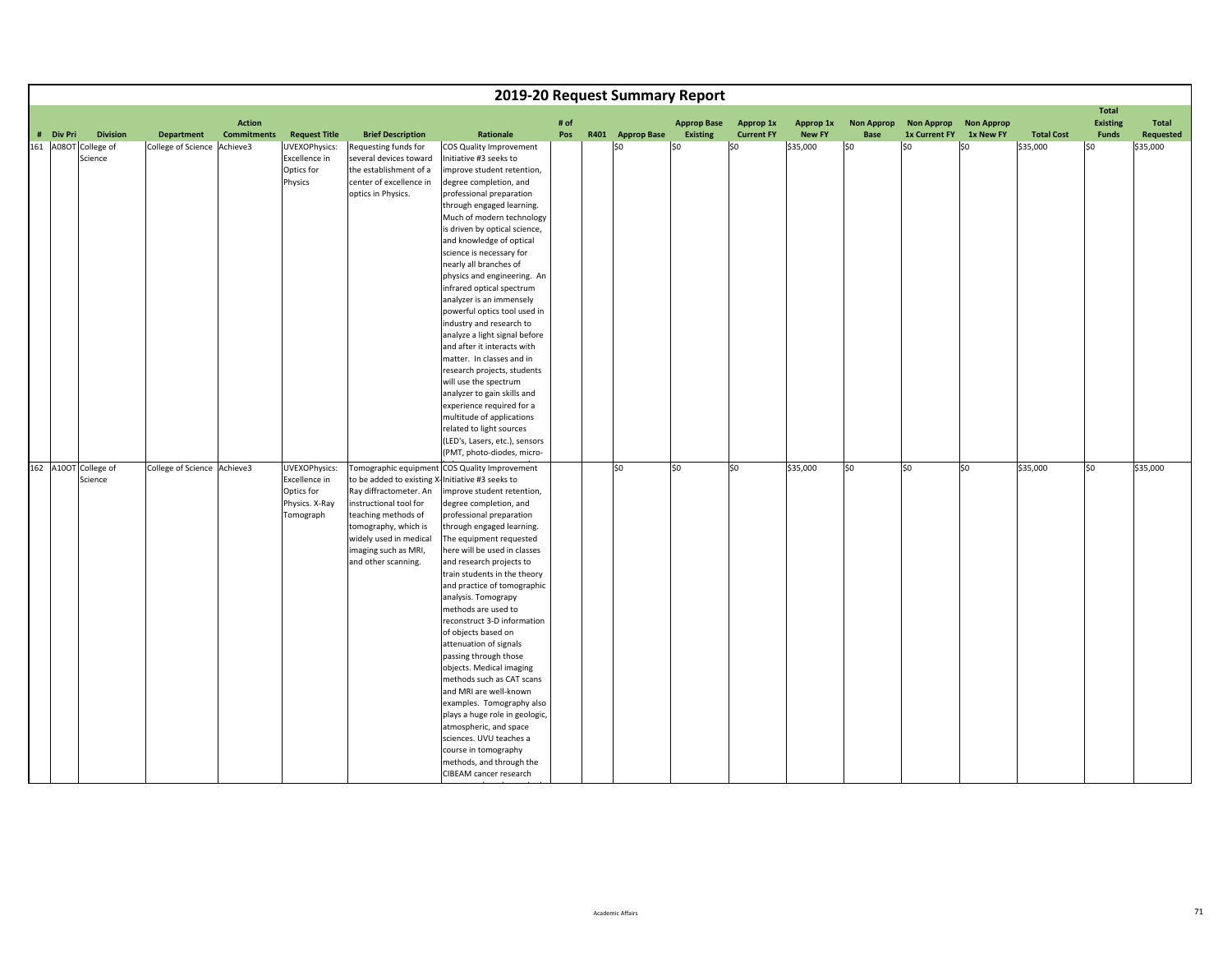|                      |                 |                             |                                     |                                                                             |                                                                                                                                                                                                                              |                                                                                                                                                                                                                                                                                                                                                                                                                                                                                                                                                                                                                                                                                                                                                                      |      | 2019-20 Request Summary Report |                                       |                                |               |                           |                      |                                |                   |                                                 |                    |
|----------------------|-----------------|-----------------------------|-------------------------------------|-----------------------------------------------------------------------------|------------------------------------------------------------------------------------------------------------------------------------------------------------------------------------------------------------------------------|----------------------------------------------------------------------------------------------------------------------------------------------------------------------------------------------------------------------------------------------------------------------------------------------------------------------------------------------------------------------------------------------------------------------------------------------------------------------------------------------------------------------------------------------------------------------------------------------------------------------------------------------------------------------------------------------------------------------------------------------------------------------|------|--------------------------------|---------------------------------------|--------------------------------|---------------|---------------------------|----------------------|--------------------------------|-------------------|-------------------------------------------------|--------------------|
| # Div Pri            | <b>Division</b> |                             | <b>Action</b><br><b>Commitments</b> |                                                                             | <b>Brief Description</b>                                                                                                                                                                                                     | Rationale                                                                                                                                                                                                                                                                                                                                                                                                                                                                                                                                                                                                                                                                                                                                                            | # of |                                | <b>Approp Base</b><br><b>Existing</b> | Approp 1x<br><b>Current FY</b> | Approp 1x     | <b>Non Approp</b><br>Base | <b>Non Approp</b>    | <b>Non Approp</b><br>1x New FY |                   | <b>Total</b><br><b>Existing</b><br><b>Funds</b> | Total<br>Requested |
|                      |                 | <b>Department</b>           |                                     | <b>Request Title</b>                                                        |                                                                                                                                                                                                                              |                                                                                                                                                                                                                                                                                                                                                                                                                                                                                                                                                                                                                                                                                                                                                                      | Pos  | R401 Approp Base               |                                       |                                | <b>New FY</b> |                           | <b>1x Current FY</b> |                                | <b>Total Cost</b> |                                                 |                    |
| 161 A08OT College of | Science         | College of Science Achieve3 |                                     | UVEXOPhysics:<br><b>Excellence</b> in<br>Optics for<br>Physics              | Requesting funds for<br>several devices toward<br>the establishment of a<br>center of excellence in<br>optics in Physics.                                                                                                    | COS Quality Improvement<br>Initiative #3 seeks to<br>improve student retention,<br>degree completion, and<br>professional preparation<br>through engaged learning.<br>Much of modern technology<br>is driven by optical science,<br>and knowledge of optical<br>science is necessary for<br>nearly all branches of<br>physics and engineering. An<br>infrared optical spectrum<br>analyzer is an immensely<br>powerful optics tool used in<br>industry and research to<br>analyze a light signal before<br>and after it interacts with<br>matter. In classes and in<br>research projects, students<br>will use the spectrum<br>analyzer to gain skills and<br>experience required for a                                                                              |      | \$0                            | \$0                                   | \$0                            | \$35,000      | lso                       | l\$0                 | \$0                            | \$35,000          | l\$0                                            | \$35,000           |
|                      |                 |                             |                                     |                                                                             |                                                                                                                                                                                                                              | multitude of applications<br>related to light sources                                                                                                                                                                                                                                                                                                                                                                                                                                                                                                                                                                                                                                                                                                                |      |                                |                                       |                                |               |                           |                      |                                |                   |                                                 |                    |
|                      |                 |                             |                                     |                                                                             |                                                                                                                                                                                                                              | (LED's, Lasers, etc.), sensors<br>(PMT, photo-diodes, micro-                                                                                                                                                                                                                                                                                                                                                                                                                                                                                                                                                                                                                                                                                                         |      |                                |                                       |                                |               |                           |                      |                                |                   |                                                 |                    |
| 162 A10OT College of | Science         | College of Science Achieve3 |                                     | UVEXOPhysics:<br>Excellence in<br>Optics for<br>Physics. X-Ray<br>Tomograph | Tomographic equipment<br>to be added to existing<br>Ray diffractometer. An<br>instructional tool for<br>teaching methods of<br>tomography, which is<br>widely used in medical<br>imaging such as MRI,<br>and other scanning. | COS Quality Improvement<br>Initiative #3 seeks to<br>improve student retention,<br>degree completion, and<br>professional preparation<br>through engaged learning.<br>The equipment requested<br>here will be used in classes<br>and research projects to<br>train students in the theory<br>and practice of tomographic<br>analysis. Tomograpy<br>methods are used to<br>reconstruct 3-D information<br>of objects based on<br>attenuation of signals<br>passing through those<br>objects. Medical imaging<br>methods such as CAT scans<br>and MRI are well-known<br>examples. Tomography also<br>plays a huge role in geologic,<br>atmospheric, and space<br>sciences. UVU teaches a<br>course in tomography<br>methods, and through the<br>CIBEAM cancer research |      | lso                            | \$0                                   | \$0                            | \$35,000      | \$0                       | so                   | \$0                            | \$35,000          | SO.                                             | \$35,000           |

l hh d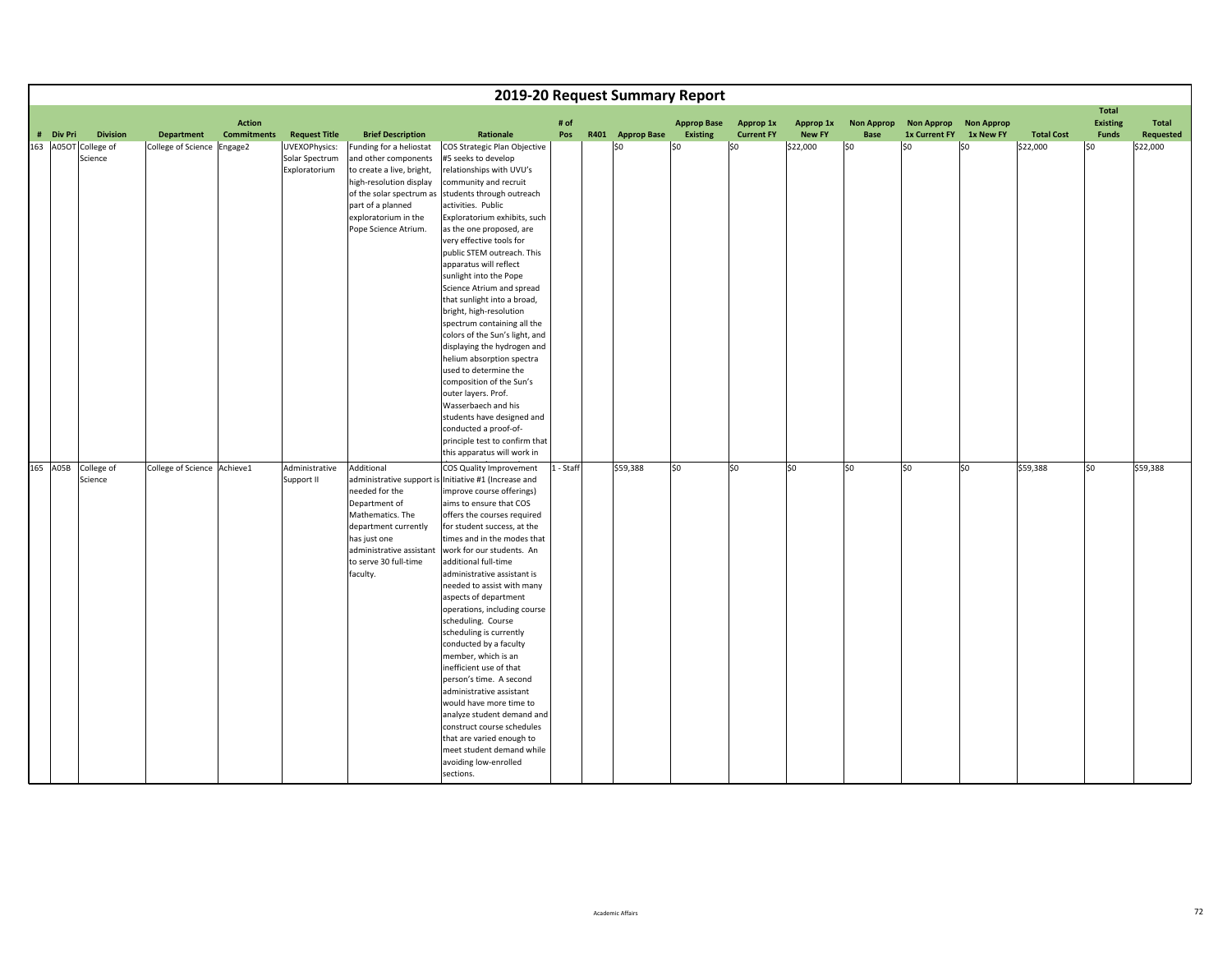|           |                                 |                             |                    |                                                  |                                                                                                                                                                                                          |                                                                                                                                                                                                                                                                                                                                                                                                                                                                                                                                                                                                                                                                                                                                                                   |         | 2019-20 Request Summary Report |                    |                   |               |                   |                      |                   |                   |                                 |           |
|-----------|---------------------------------|-----------------------------|--------------------|--------------------------------------------------|----------------------------------------------------------------------------------------------------------------------------------------------------------------------------------------------------------|-------------------------------------------------------------------------------------------------------------------------------------------------------------------------------------------------------------------------------------------------------------------------------------------------------------------------------------------------------------------------------------------------------------------------------------------------------------------------------------------------------------------------------------------------------------------------------------------------------------------------------------------------------------------------------------------------------------------------------------------------------------------|---------|--------------------------------|--------------------|-------------------|---------------|-------------------|----------------------|-------------------|-------------------|---------------------------------|-----------|
|           |                                 |                             | <b>Action</b>      |                                                  |                                                                                                                                                                                                          |                                                                                                                                                                                                                                                                                                                                                                                                                                                                                                                                                                                                                                                                                                                                                                   | # of    |                                | <b>Approp Base</b> | Approp 1x         | Approp 1x     | <b>Non Approp</b> | <b>Non Approp</b>    | <b>Non Approp</b> |                   | <b>Total</b><br><b>Existing</b> | Total     |
| # Div Pri | <b>Division</b>                 | <b>Department</b>           | <b>Commitments</b> | <b>Request Title</b>                             | <b>Brief Description</b>                                                                                                                                                                                 | Rationale                                                                                                                                                                                                                                                                                                                                                                                                                                                                                                                                                                                                                                                                                                                                                         | Pos     | R401 Approp Base               | <b>Existing</b>    | <b>Current FY</b> | <b>New FY</b> | Base              | <b>1x Current FY</b> | 1x New FY         | <b>Total Cost</b> | <b>Funds</b>                    | Requested |
|           | 163 A05OT College of<br>Science | College of Science          | Engage2            | UVEXOPhysics:<br>Solar Spectrum<br>Exploratorium | Funding for a heliostat<br>and other components<br>to create a live, bright,<br>high-resolution display<br>of the solar spectrum as<br>part of a planned<br>exploratorium in the<br>Pope Science Atrium. | COS Strategic Plan Objective<br>#5 seeks to develop<br>relationships with UVU's<br>community and recruit<br>students through outreach<br>activities. Public<br>Exploratorium exhibits, such<br>as the one proposed, are<br>very effective tools for<br>public STEM outreach. This<br>apparatus will reflect<br>sunlight into the Pope<br>Science Atrium and spread<br>that sunlight into a broad,<br>bright, high-resolution<br>spectrum containing all the<br>colors of the Sun's light, and<br>displaying the hydrogen and<br>helium absorption spectra<br>used to determine the<br>composition of the Sun's<br>outer layers. Prof.<br>Wasserbaech and his                                                                                                      |         | \$0                            | \$0                | \$0               | \$22,000      | lso               | l\$0                 | \$0               | \$22,000          | l\$0                            | \$22,000  |
|           |                                 |                             |                    |                                                  |                                                                                                                                                                                                          | students have designed and                                                                                                                                                                                                                                                                                                                                                                                                                                                                                                                                                                                                                                                                                                                                        |         |                                |                    |                   |               |                   |                      |                   |                   |                                 |           |
|           |                                 |                             |                    |                                                  |                                                                                                                                                                                                          | conducted a proof-of-<br>principle test to confirm that                                                                                                                                                                                                                                                                                                                                                                                                                                                                                                                                                                                                                                                                                                           |         |                                |                    |                   |               |                   |                      |                   |                   |                                 |           |
|           |                                 |                             |                    |                                                  |                                                                                                                                                                                                          | this apparatus will work in                                                                                                                                                                                                                                                                                                                                                                                                                                                                                                                                                                                                                                                                                                                                       |         |                                |                    |                   |               |                   |                      |                   |                   |                                 |           |
|           | 165 A05B College of<br>Science  | College of Science Achieve1 |                    | Administrative<br>Support II                     | Additional<br>administrative support is<br>needed for the<br>Department of<br>Mathematics. The<br>department currently<br>has just one<br>administrative assistant<br>to serve 30 full-time<br>faculty.  | COS Quality Improvement<br>Initiative #1 (Increase and<br>improve course offerings)<br>aims to ensure that COS<br>offers the courses required<br>for student success, at the<br>times and in the modes that<br>work for our students. An<br>additional full-time<br>administrative assistant is<br>needed to assist with many<br>aspects of department<br>operations, including course<br>scheduling. Course<br>scheduling is currently<br>conducted by a faculty<br>member, which is an<br>inefficient use of that<br>person's time. A second<br>administrative assistant<br>would have more time to<br>analyze student demand and<br>construct course schedules<br>that are varied enough to<br>meet student demand while<br>avoiding low-enrolled<br>sections. | - Staff | \$59,388                       | \$0                | \$0               | \$0           | \$0               | \$0                  | \$0               | \$59,388          | \$0                             | \$59,388  |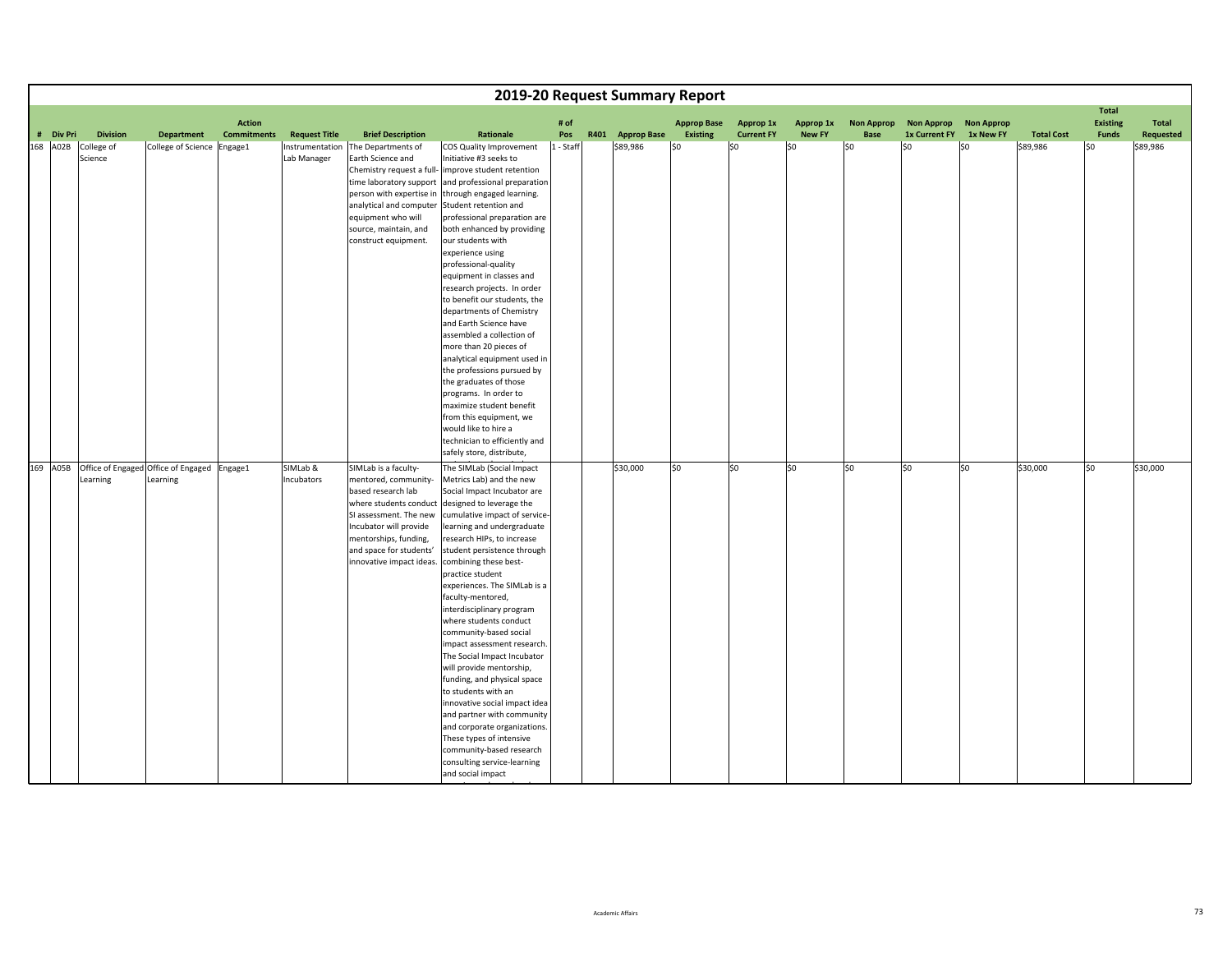|           |         |                 |                                             |                    |                                |                                                                                |                                                                                         |           | 2019-20 Request Summary Report |                    |                   |               |                   |                      |                   |                   |                                 |           |
|-----------|---------|-----------------|---------------------------------------------|--------------------|--------------------------------|--------------------------------------------------------------------------------|-----------------------------------------------------------------------------------------|-----------|--------------------------------|--------------------|-------------------|---------------|-------------------|----------------------|-------------------|-------------------|---------------------------------|-----------|
|           |         |                 |                                             | <b>Action</b>      |                                |                                                                                |                                                                                         | # of      |                                | <b>Approp Base</b> | Approp 1x         | Approp 1x     | <b>Non Approp</b> | <b>Non Approp</b>    | <b>Non Approp</b> |                   | <b>Total</b><br><b>Existing</b> | Total     |
| # Div Pri |         | <b>Division</b> | <b>Department</b>                           | <b>Commitments</b> | <b>Request Title</b>           | <b>Brief Description</b>                                                       | Rationale                                                                               | Pos       | R401 Approp Base               | <b>Existing</b>    | <b>Current FY</b> | <b>New FY</b> | Base              | <b>1x Current FY</b> | 1x New FY         | <b>Total Cost</b> | <b>Funds</b>                    | Requested |
| 168 A02B  | Science | College of      | College of Science Engage1                  |                    | Instrumentation<br>Lab Manager | The Departments of<br>Earth Science and<br>Chemistry request a full-           | COS Quality Improvement<br>Initiative #3 seeks to<br>improve student retention          | 1 - Staff | \$89,986                       | \$0                | \$0               | \$0           | lso               | l\$0                 | lso               | \$89,986          | l\$0                            | \$89,986  |
|           |         |                 |                                             |                    |                                | time laboratory support<br>person with expertise in<br>analytical and computer | and professional preparation<br>through engaged learning.<br>Student retention and      |           |                                |                    |                   |               |                   |                      |                   |                   |                                 |           |
|           |         |                 |                                             |                    |                                | equipment who will<br>source, maintain, and<br>construct equipment.            | professional preparation are<br>both enhanced by providing<br>our students with         |           |                                |                    |                   |               |                   |                      |                   |                   |                                 |           |
|           |         |                 |                                             |                    |                                |                                                                                | experience using<br>professional-quality<br>equipment in classes and                    |           |                                |                    |                   |               |                   |                      |                   |                   |                                 |           |
|           |         |                 |                                             |                    |                                |                                                                                | research projects. In order<br>to benefit our students, the<br>departments of Chemistry |           |                                |                    |                   |               |                   |                      |                   |                   |                                 |           |
|           |         |                 |                                             |                    |                                |                                                                                | and Earth Science have<br>assembled a collection of<br>more than 20 pieces of           |           |                                |                    |                   |               |                   |                      |                   |                   |                                 |           |
|           |         |                 |                                             |                    |                                |                                                                                | analytical equipment used in<br>the professions pursued by<br>the graduates of those    |           |                                |                    |                   |               |                   |                      |                   |                   |                                 |           |
|           |         |                 |                                             |                    |                                |                                                                                | programs. In order to<br>maximize student benefit<br>from this equipment, we            |           |                                |                    |                   |               |                   |                      |                   |                   |                                 |           |
|           |         |                 |                                             |                    |                                |                                                                                | would like to hire a<br>technician to efficiently and<br>safely store, distribute,      |           |                                |                    |                   |               |                   |                      |                   |                   |                                 |           |
| 169 A05B  |         |                 | Office of Engaged Office of Engaged Engage1 |                    | SIMLab &                       | SIMLab is a faculty-                                                           | The SIMLab (Social Impact                                                               |           | \$30,000                       | lso                | \$0               | \$0           | lso               | so                   | \$0               | \$30,000          | SO.                             | \$30,000  |
|           |         | Learning        | Learning                                    |                    | Incubators                     | mentored, community-                                                           | Metrics Lab) and the new                                                                |           |                                |                    |                   |               |                   |                      |                   |                   |                                 |           |
|           |         |                 |                                             |                    |                                | based research lab                                                             | Social Impact Incubator are                                                             |           |                                |                    |                   |               |                   |                      |                   |                   |                                 |           |
|           |         |                 |                                             |                    |                                | where students conduct                                                         | designed to leverage the                                                                |           |                                |                    |                   |               |                   |                      |                   |                   |                                 |           |
|           |         |                 |                                             |                    |                                | SI assessment. The new                                                         | cumulative impact of service-                                                           |           |                                |                    |                   |               |                   |                      |                   |                   |                                 |           |
|           |         |                 |                                             |                    |                                | Incubator will provide                                                         | learning and undergraduate                                                              |           |                                |                    |                   |               |                   |                      |                   |                   |                                 |           |
|           |         |                 |                                             |                    |                                | mentorships, funding,                                                          | research HIPs, to increase                                                              |           |                                |                    |                   |               |                   |                      |                   |                   |                                 |           |
|           |         |                 |                                             |                    |                                | and space for students'                                                        | student persistence through                                                             |           |                                |                    |                   |               |                   |                      |                   |                   |                                 |           |
|           |         |                 |                                             |                    |                                | innovative impact ideas.                                                       | combining these best-                                                                   |           |                                |                    |                   |               |                   |                      |                   |                   |                                 |           |
|           |         |                 |                                             |                    |                                |                                                                                | practice student<br>experiences. The SIMLab is a                                        |           |                                |                    |                   |               |                   |                      |                   |                   |                                 |           |
|           |         |                 |                                             |                    |                                |                                                                                | faculty-mentored,                                                                       |           |                                |                    |                   |               |                   |                      |                   |                   |                                 |           |
|           |         |                 |                                             |                    |                                |                                                                                | interdisciplinary program                                                               |           |                                |                    |                   |               |                   |                      |                   |                   |                                 |           |
|           |         |                 |                                             |                    |                                |                                                                                | where students conduct                                                                  |           |                                |                    |                   |               |                   |                      |                   |                   |                                 |           |
|           |         |                 |                                             |                    |                                |                                                                                | community-based social                                                                  |           |                                |                    |                   |               |                   |                      |                   |                   |                                 |           |
|           |         |                 |                                             |                    |                                |                                                                                | impact assessment research.                                                             |           |                                |                    |                   |               |                   |                      |                   |                   |                                 |           |
|           |         |                 |                                             |                    |                                |                                                                                | The Social Impact Incubator                                                             |           |                                |                    |                   |               |                   |                      |                   |                   |                                 |           |
|           |         |                 |                                             |                    |                                |                                                                                | will provide mentorship,                                                                |           |                                |                    |                   |               |                   |                      |                   |                   |                                 |           |
|           |         |                 |                                             |                    |                                |                                                                                | funding, and physical space                                                             |           |                                |                    |                   |               |                   |                      |                   |                   |                                 |           |
|           |         |                 |                                             |                    |                                |                                                                                | to students with an                                                                     |           |                                |                    |                   |               |                   |                      |                   |                   |                                 |           |
|           |         |                 |                                             |                    |                                |                                                                                | innovative social impact idea                                                           |           |                                |                    |                   |               |                   |                      |                   |                   |                                 |           |
|           |         |                 |                                             |                    |                                |                                                                                | and partner with community                                                              |           |                                |                    |                   |               |                   |                      |                   |                   |                                 |           |
|           |         |                 |                                             |                    |                                |                                                                                | and corporate organizations.                                                            |           |                                |                    |                   |               |                   |                      |                   |                   |                                 |           |
|           |         |                 |                                             |                    |                                |                                                                                | These types of intensive                                                                |           |                                |                    |                   |               |                   |                      |                   |                   |                                 |           |
|           |         |                 |                                             |                    |                                |                                                                                | community-based research<br>consulting service-learning                                 |           |                                |                    |                   |               |                   |                      |                   |                   |                                 |           |
|           |         |                 |                                             |                    |                                |                                                                                | and social impact                                                                       |           |                                |                    |                   |               |                   |                      |                   |                   |                                 |           |

ih

l de la construction de la construction de la construction de la construction de la construction de la construction de la construction de la construction de la construction de la construction de la construction de la const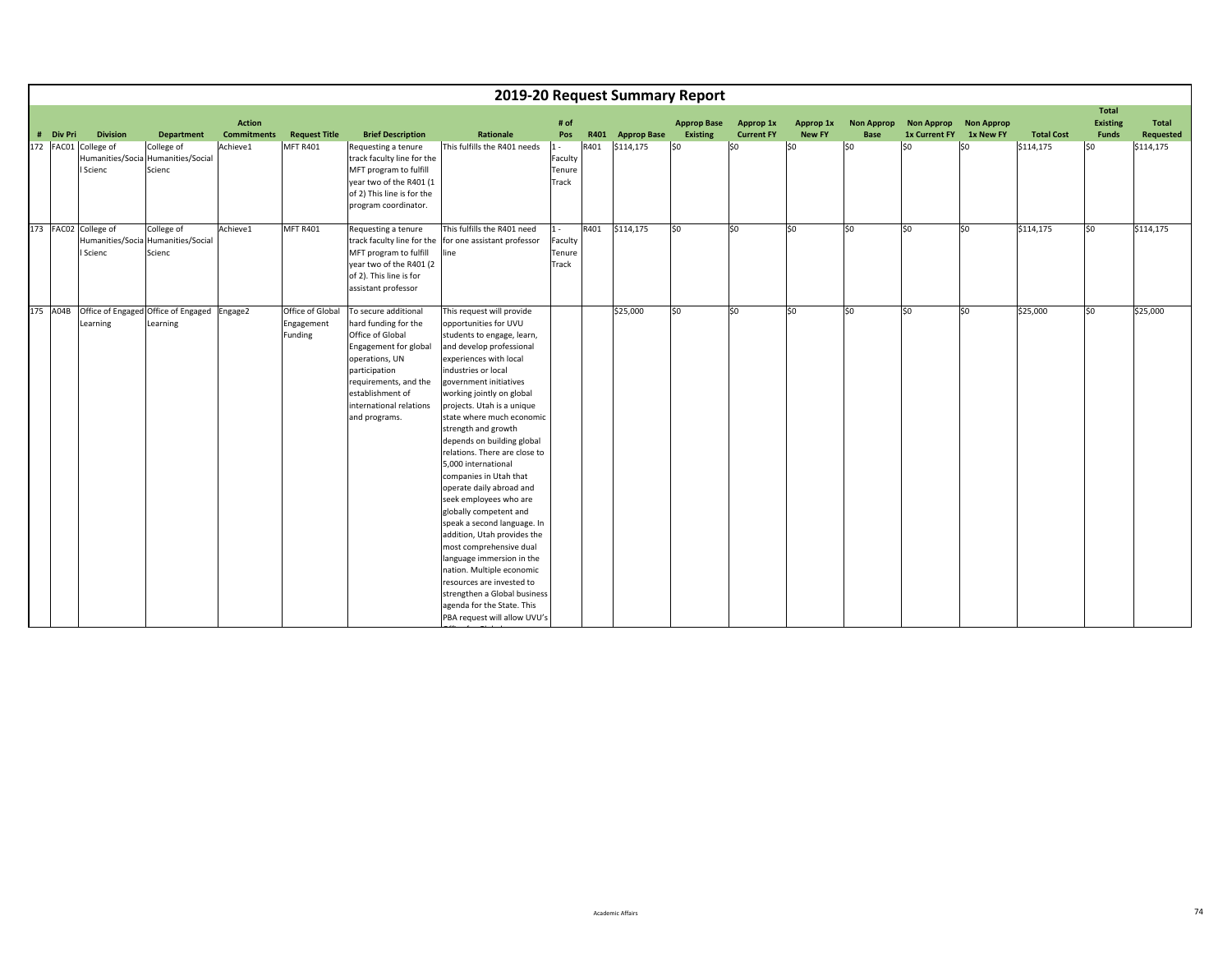|           |                                                      |                                                            |                                     |                                           |                                                                                                                                                                                                                       |                                                                                                                                                                                                                                                                                                                                                                                                                                                                                                                                                                                                                                                                                                                                                                                      |                                     |      |                  | 2019-20 Request Summary Report        |                                |                            |                                  |                                           |                                |                   |                                                 |                           |
|-----------|------------------------------------------------------|------------------------------------------------------------|-------------------------------------|-------------------------------------------|-----------------------------------------------------------------------------------------------------------------------------------------------------------------------------------------------------------------------|--------------------------------------------------------------------------------------------------------------------------------------------------------------------------------------------------------------------------------------------------------------------------------------------------------------------------------------------------------------------------------------------------------------------------------------------------------------------------------------------------------------------------------------------------------------------------------------------------------------------------------------------------------------------------------------------------------------------------------------------------------------------------------------|-------------------------------------|------|------------------|---------------------------------------|--------------------------------|----------------------------|----------------------------------|-------------------------------------------|--------------------------------|-------------------|-------------------------------------------------|---------------------------|
| # Div Pri | <b>Division</b>                                      | <b>Department</b>                                          | <b>Action</b><br><b>Commitments</b> | <b>Request Title</b>                      | <b>Brief Description</b>                                                                                                                                                                                              | Rationale                                                                                                                                                                                                                                                                                                                                                                                                                                                                                                                                                                                                                                                                                                                                                                            | # of<br>Pos                         |      | R401 Approp Base | <b>Approp Base</b><br><b>Existing</b> | Approp 1x<br><b>Current FY</b> | Approp 1x<br><b>New FY</b> | <b>Non Approp</b><br><b>Base</b> | <b>Non Approp</b><br><b>1x Current FY</b> | <b>Non Approp</b><br>1x New FY | <b>Total Cost</b> | <b>Total</b><br><b>Existing</b><br><b>Funds</b> | <b>Total</b><br>Requested |
|           | 172 FAC01 College of<br>Humanities/Socia<br>I Scienc | College of<br>Humanities/Social<br>Scienc                  | Achieve1                            | <b>MFT R401</b>                           | Requesting a tenure<br>track faculty line for the<br>MFT program to fulfill<br>year two of the R401 (1<br>of 2) This line is for the<br>program coordinator.                                                          | This fulfills the R401 needs                                                                                                                                                                                                                                                                                                                                                                                                                                                                                                                                                                                                                                                                                                                                                         | $1 -$<br>Faculty<br>Tenure<br>Track | R401 | \$114,175        | lso                                   | lso                            | \$0                        | 50                               | so.                                       | \$0                            | \$114,175         | lso.                                            | \$114,175                 |
|           | 173 FAC02 College of<br>I Scienc                     | College of<br>Humanities/Socia Humanities/Social<br>Scienc | Achieve1                            | <b>MFT R401</b>                           | Requesting a tenure<br>track faculty line for the<br>MFT program to fulfill<br>year two of the R401 (2<br>of 2). This line is for<br>assistant professor                                                              | This fulfills the R401 need<br>for one assistant professor<br>line                                                                                                                                                                                                                                                                                                                                                                                                                                                                                                                                                                                                                                                                                                                   | $1 -$<br>Faculty<br>Tenure<br>Track | R401 | \$114,175        | \$0                                   | \$0                            | \$0                        | \$0                              | \$0                                       | \$0                            | \$114,175         | so                                              | \$114,175                 |
| 175 A04B  | Learning                                             | Office of Engaged Office of Engaged Engage2<br>Learning    |                                     | Office of Global<br>Engagement<br>Funding | To secure additional<br>hard funding for the<br>Office of Global<br>Engagement for global<br>operations, UN<br>participation<br>requirements, and the<br>establishment of<br>international relations<br>and programs. | This request will provide<br>opportunities for UVU<br>students to engage, learn,<br>and develop professional<br>experiences with local<br>industries or local<br>government initiatives<br>working jointly on global<br>projects. Utah is a unique<br>state where much economic<br>strength and growth<br>depends on building global<br>relations. There are close to<br>5.000 international<br>companies in Utah that<br>operate daily abroad and<br>seek employees who are<br>globally competent and<br>speak a second language. In<br>addition, Utah provides the<br>most comprehensive dual<br>language immersion in the<br>nation. Multiple economic<br>resources are invested to<br>strengthen a Global business<br>agenda for the State. This<br>PBA request will allow UVU's |                                     |      | \$25,000         | SO.                                   | lso                            | \$0                        | lso.                             | lso                                       | \$0                            | \$25,000          | lso.                                            | \$25,000                  |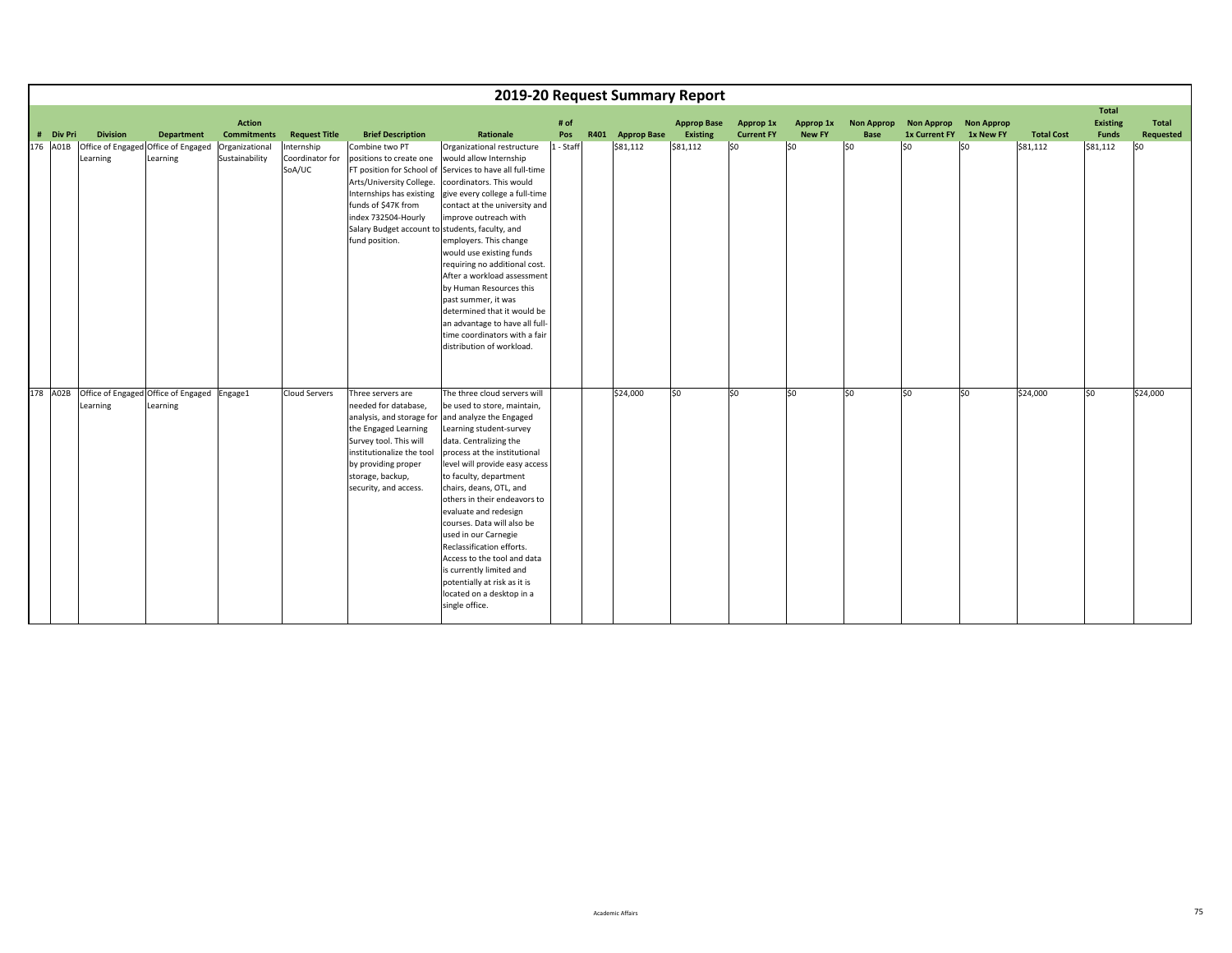|           |                 |                                                         |                                     |                                         |                                                                                                                                                                                                                      |                                                                                                                                                                                                                                                                                                                                                                                                                                                                                                                                                                                    |             |                  | 2019-20 Request Summary Report |                                |                            |                                  |                                              |                   |                   |                                          |                    |
|-----------|-----------------|---------------------------------------------------------|-------------------------------------|-----------------------------------------|----------------------------------------------------------------------------------------------------------------------------------------------------------------------------------------------------------------------|------------------------------------------------------------------------------------------------------------------------------------------------------------------------------------------------------------------------------------------------------------------------------------------------------------------------------------------------------------------------------------------------------------------------------------------------------------------------------------------------------------------------------------------------------------------------------------|-------------|------------------|--------------------------------|--------------------------------|----------------------------|----------------------------------|----------------------------------------------|-------------------|-------------------|------------------------------------------|--------------------|
| # Div Pri | <b>Division</b> | <b>Department</b>                                       | <b>Action</b><br><b>Commitments</b> | <b>Request Title</b>                    | <b>Brief Description</b>                                                                                                                                                                                             | Rationale                                                                                                                                                                                                                                                                                                                                                                                                                                                                                                                                                                          | # of<br>Pos | R401 Approp Base | <b>Approp Base</b><br>Existing | Approp 1x<br><b>Current FY</b> | Approp 1x<br><b>New FY</b> | <b>Non Approp</b><br><b>Base</b> | <b>Non Approp</b><br>1x Current FY 1x New FY | <b>Non Approp</b> | <b>Total Cost</b> | <b>Total</b><br><b>Existing</b><br>Funds | Total<br>Requested |
| 176 A01B  | Learning        | Office of Engaged Office of Engaged<br>Learning         | Organizational<br>Sustainability    | Internship<br>Coordinator for<br>SoA/UC | Combine two PT<br>positions to create one<br>Arts/University College.<br>Internships has existing<br>funds of \$47K from<br>index 732504-Hourly<br>Salary Budget account to students, faculty, and<br>fund position. | Organizational restructure<br>would allow Internship<br>FT position for School of Services to have all full-time<br>coordinators. This would<br>give every college a full-time<br>contact at the university and<br>improve outreach with<br>employers. This change<br>would use existing funds<br>requiring no additional cost.<br>After a workload assessment<br>by Human Resources this<br>past summer, it was<br>determined that it would be<br>an advantage to have all full-<br>time coordinators with a fair<br>distribution of workload.                                    | 1 - Staff   | \$81,112         | \$81,112                       | \$0                            | \$0                        | lso                              | \$0                                          | lso               | \$81,112          | \$81,112                                 | SO                 |
| 178 A02B  | Learning        | Office of Engaged Office of Engaged Engage1<br>Learning |                                     | <b>Cloud Servers</b>                    | Three servers are<br>needed for database,<br>the Engaged Learning<br>Survey tool. This will<br>institutionalize the tool<br>by providing proper<br>storage, backup,<br>security, and access.                         | The three cloud servers will<br>be used to store, maintain,<br>analysis, and storage for and analyze the Engaged<br>Learning student-survey<br>data. Centralizing the<br>process at the institutional<br>level will provide easy access<br>to faculty, department<br>chairs, deans, OTL, and<br>others in their endeavors to<br>evaluate and redesign<br>courses. Data will also be<br>used in our Carnegie<br>Reclassification efforts.<br>Access to the tool and data<br>is currently limited and<br>potentially at risk as it is<br>located on a desktop in a<br>single office. |             | \$24,000         | lso                            | lso                            | \$0                        | lso.                             | \$0                                          | lso               | \$24,000          | SO.                                      | \$24,000           |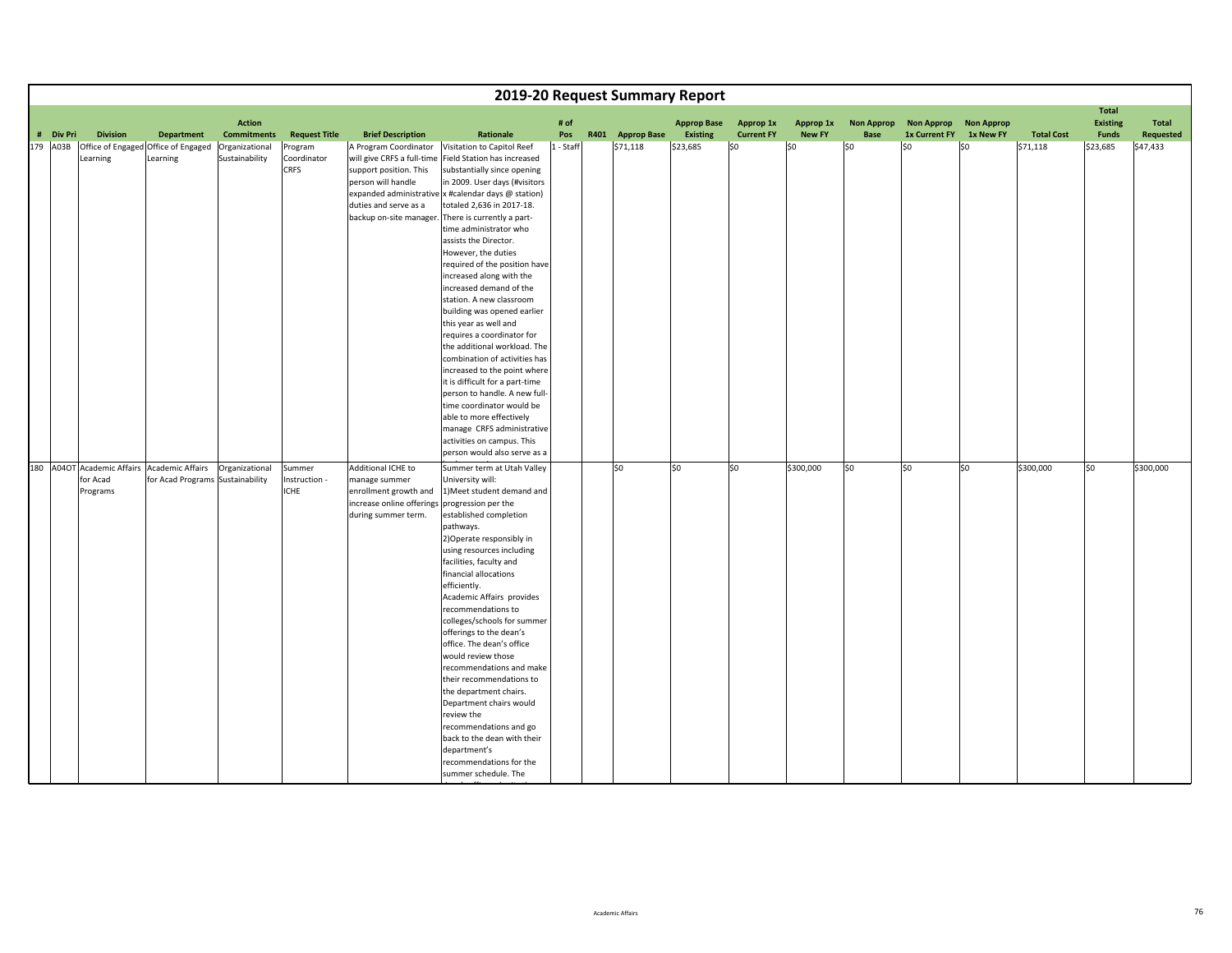|           |                      |                                                                                 |                                     |                                        |                                                                                                                                                         |                                                                                                                                                                                                                                                                                                                                                                                                                                                                                                                                                                                                                                                                                                                                                                                                                                                           |             | 2019-20 Request Summary Report |                                       |                                |                            |                           |                                           |                                |                   |                                                 |                    |
|-----------|----------------------|---------------------------------------------------------------------------------|-------------------------------------|----------------------------------------|---------------------------------------------------------------------------------------------------------------------------------------------------------|-----------------------------------------------------------------------------------------------------------------------------------------------------------------------------------------------------------------------------------------------------------------------------------------------------------------------------------------------------------------------------------------------------------------------------------------------------------------------------------------------------------------------------------------------------------------------------------------------------------------------------------------------------------------------------------------------------------------------------------------------------------------------------------------------------------------------------------------------------------|-------------|--------------------------------|---------------------------------------|--------------------------------|----------------------------|---------------------------|-------------------------------------------|--------------------------------|-------------------|-------------------------------------------------|--------------------|
| # Div Pri | <b>Division</b>      | <b>Department</b>                                                               | <b>Action</b><br><b>Commitments</b> | <b>Request Title</b>                   | <b>Brief Description</b>                                                                                                                                | Rationale                                                                                                                                                                                                                                                                                                                                                                                                                                                                                                                                                                                                                                                                                                                                                                                                                                                 | # of<br>Pos | R401 Approp Base               | <b>Approp Base</b><br><b>Existing</b> | Approp 1x<br><b>Current FY</b> | Approp 1x<br><b>New FY</b> | <b>Non Approp</b><br>Base | <b>Non Approp</b><br><b>1x Current FY</b> | <b>Non Approp</b><br>1x New FY | <b>Total Cost</b> | <b>Total</b><br><b>Existing</b><br><b>Funds</b> | Total<br>Requested |
| 179 A03B  | Learning             | Office of Engaged Office of Engaged<br>Learning                                 | Organizational<br>Sustainability    | Program<br>Coordinator<br>CRFS         | A Program Coordinator<br>will give CRFS a full-time<br>support position. This<br>person will handle<br>duties and serve as a<br>backup on-site manager. | Visitation to Capitol Reef<br>Field Station has increased<br>substantially since opening<br>in 2009. User days (#visitors<br>expanded administrative x #calendar days @ station)<br>totaled 2,636 in 2017-18.<br>There is currently a part-<br>time administrator who<br>assists the Director.<br>However, the duties<br>required of the position have<br>increased along with the<br>increased demand of the<br>station. A new classroom<br>building was opened earlier<br>this year as well and<br>requires a coordinator for<br>the additional workload. The<br>combination of activities has<br>increased to the point where<br>it is difficult for a part-time<br>person to handle. A new full-<br>time coordinator would be<br>able to more effectively<br>manage CRFS administrative<br>activities on campus. This<br>person would also serve as a | 1 - Staff   | \$71,118                       | \$23,685                              | SO.                            | \$0                        | \$0                       | \$0                                       | S <sub>0</sub>                 | \$71,118          | \$23,685                                        | \$47,433           |
|           | for Acad<br>Programs | 180 A04OT Academic Affairs Academic Affairs<br>for Acad Programs Sustainability | Organizational                      | Summer<br>Instruction -<br><b>ICHE</b> | Additional ICHE to<br>manage summer<br>enrollment growth and<br>increase online offerings progression per the<br>during summer term.                    | Summer term at Utah Valley<br>University will:<br>1) Meet student demand and<br>established completion<br>pathways.<br>2) Operate responsibly in<br>using resources including<br>facilities, faculty and<br>financial allocations<br>efficiently.<br>Academic Affairs provides<br>recommendations to<br>colleges/schools for summer<br>offerings to the dean's<br>office. The dean's office<br>would review those<br>recommendations and make<br>their recommendations to<br>the department chairs.<br>Department chairs would<br>review the<br>recommendations and go<br>back to the dean with their<br>department's<br>recommendations for the<br>summer schedule. The                                                                                                                                                                                  |             | lso                            | \$0                                   | lso                            | \$300,000                  | lso                       | S <sub>0</sub>                            | \$0                            | \$300,000         | SO.                                             | \$300,000          |

<u>a - 1</u>

<u>ffile by the international property</u>

th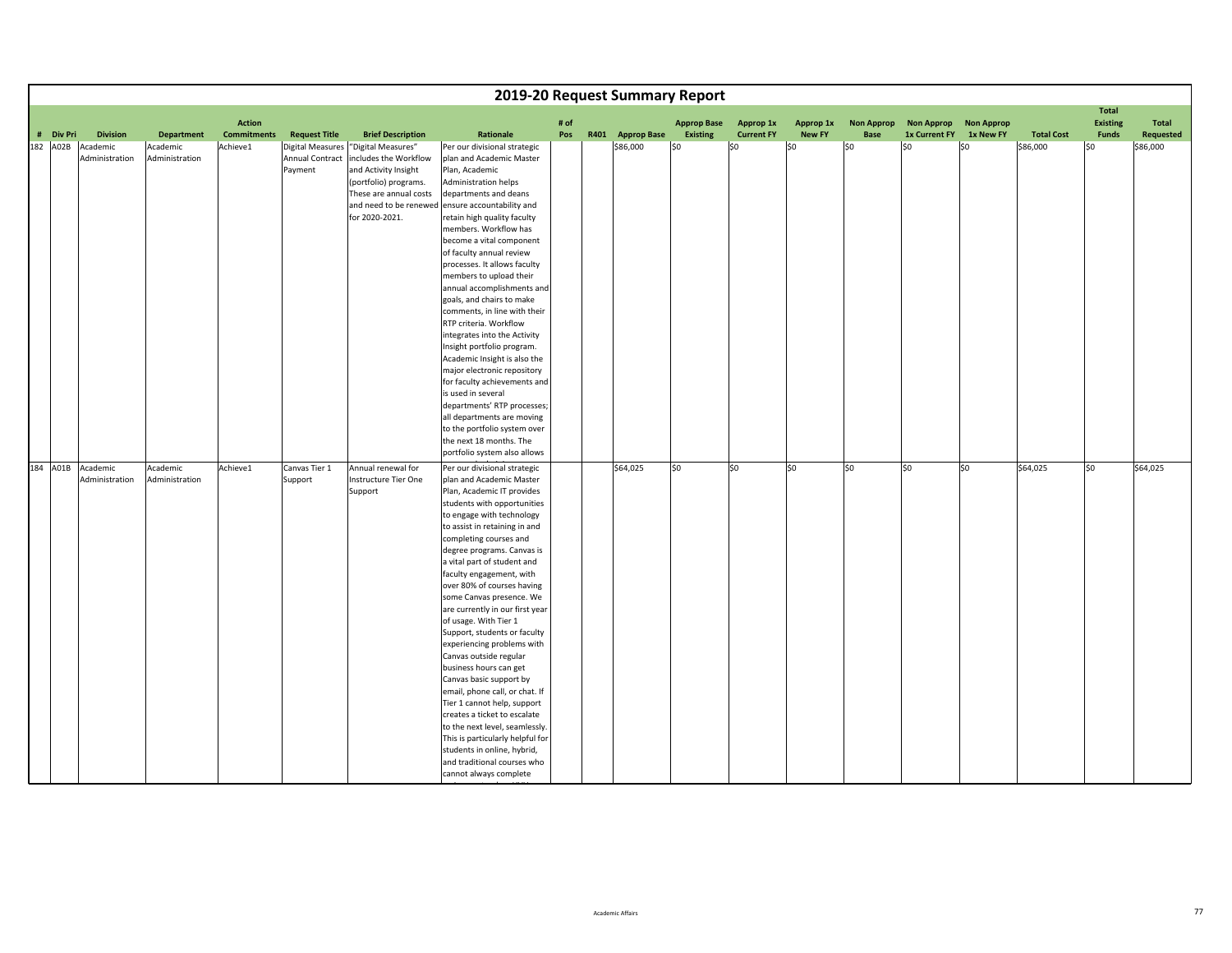|           |                                     |                            |                                     |                            |                                                                                                                                                           |                                                                                                                                                                                                                                                                                                                                                                                                                                                                                                                                                                                                                                                                                                                                                                                                                                          |      | 2019-20 Request Summary Report |                                       |                   |               |                   |                      |                   |                   |                                                 |           |
|-----------|-------------------------------------|----------------------------|-------------------------------------|----------------------------|-----------------------------------------------------------------------------------------------------------------------------------------------------------|------------------------------------------------------------------------------------------------------------------------------------------------------------------------------------------------------------------------------------------------------------------------------------------------------------------------------------------------------------------------------------------------------------------------------------------------------------------------------------------------------------------------------------------------------------------------------------------------------------------------------------------------------------------------------------------------------------------------------------------------------------------------------------------------------------------------------------------|------|--------------------------------|---------------------------------------|-------------------|---------------|-------------------|----------------------|-------------------|-------------------|-------------------------------------------------|-----------|
|           | <b>Division</b>                     |                            | <b>Action</b><br><b>Commitments</b> |                            |                                                                                                                                                           | Rationale                                                                                                                                                                                                                                                                                                                                                                                                                                                                                                                                                                                                                                                                                                                                                                                                                                | # of |                                | <b>Approp Base</b><br><b>Existing</b> | Approp 1x         | Approp 1x     | <b>Non Approp</b> | <b>Non Approp</b>    | <b>Non Approp</b> |                   | <b>Total</b><br><b>Existing</b><br><b>Funds</b> | Total     |
| # Div Pri |                                     | <b>Department</b>          |                                     | <b>Request Title</b>       | <b>Brief Description</b>                                                                                                                                  |                                                                                                                                                                                                                                                                                                                                                                                                                                                                                                                                                                                                                                                                                                                                                                                                                                          | Pos  | R401 Approp Base               |                                       | <b>Current FY</b> | <b>New FY</b> | Base              | <b>1x Current FY</b> | 1x New FY         | <b>Total Cost</b> |                                                 | Requested |
| 182 A02B  | Academic<br>Administration          | Academic<br>Administration | Achieve1                            | Annual Contract<br>Payment | Digital Measures "Digital Measures"<br>includes the Workflow<br>and Activity Insight<br>(portfolio) programs.<br>These are annual costs<br>for 2020-2021. | Per our divisional strategic<br>plan and Academic Master<br>Plan, Academic<br>Administration helps<br>departments and deans<br>and need to be renewed ensure accountability and<br>retain high quality faculty<br>members. Workflow has<br>become a vital component<br>of faculty annual review<br>processes. It allows faculty<br>members to upload their<br>annual accomplishments and<br>goals, and chairs to make<br>comments, in line with their<br>RTP criteria. Workflow<br>integrates into the Activity<br>Insight portfolio program.<br>Academic Insight is also the<br>major electronic repository<br>for faculty achievements and<br>is used in several<br>departments' RTP processes;<br>all departments are moving<br>to the portfolio system over                                                                          |      | \$86,000                       | \$0                                   | \$0               | 50            | SO                | l\$0                 | l\$0              | \$86,000          | l\$0                                            | \$86,000  |
|           |                                     |                            |                                     |                            |                                                                                                                                                           | the next 18 months. The                                                                                                                                                                                                                                                                                                                                                                                                                                                                                                                                                                                                                                                                                                                                                                                                                  |      |                                |                                       |                   |               |                   |                      |                   |                   |                                                 |           |
|           |                                     |                            |                                     |                            |                                                                                                                                                           | portfolio system also allows                                                                                                                                                                                                                                                                                                                                                                                                                                                                                                                                                                                                                                                                                                                                                                                                             |      |                                |                                       |                   |               |                   |                      |                   |                   |                                                 |           |
|           | 184 A01B Academic<br>Administration | Academic<br>Administration | Achieve1                            | Canvas Tier 1<br>Support   | Annual renewal for<br>Instructure Tier One<br>Support                                                                                                     | Per our divisional strategic<br>plan and Academic Master<br>Plan, Academic IT provides<br>students with opportunities<br>to engage with technology<br>to assist in retaining in and<br>completing courses and<br>degree programs. Canvas is<br>a vital part of student and<br>faculty engagement, with<br>over 80% of courses having<br>some Canvas presence. We<br>are currently in our first year<br>of usage. With Tier 1<br>Support, students or faculty<br>experiencing problems with<br>Canvas outside regular<br>business hours can get<br>Canvas basic support by<br>email, phone call, or chat. If<br>Tier 1 cannot help, support<br>creates a ticket to escalate<br>to the next level, seamlessly.<br>This is particularly helpful for<br>students in online, hybrid,<br>and traditional courses who<br>cannot always complete |      | \$64,025                       | \$0                                   | \$0               | \$0           | S <sub>0</sub>    | \$0                  | \$0               | \$64,025          | \$0                                             | \$64,025  |

i terminaln h<u>UVU m</u>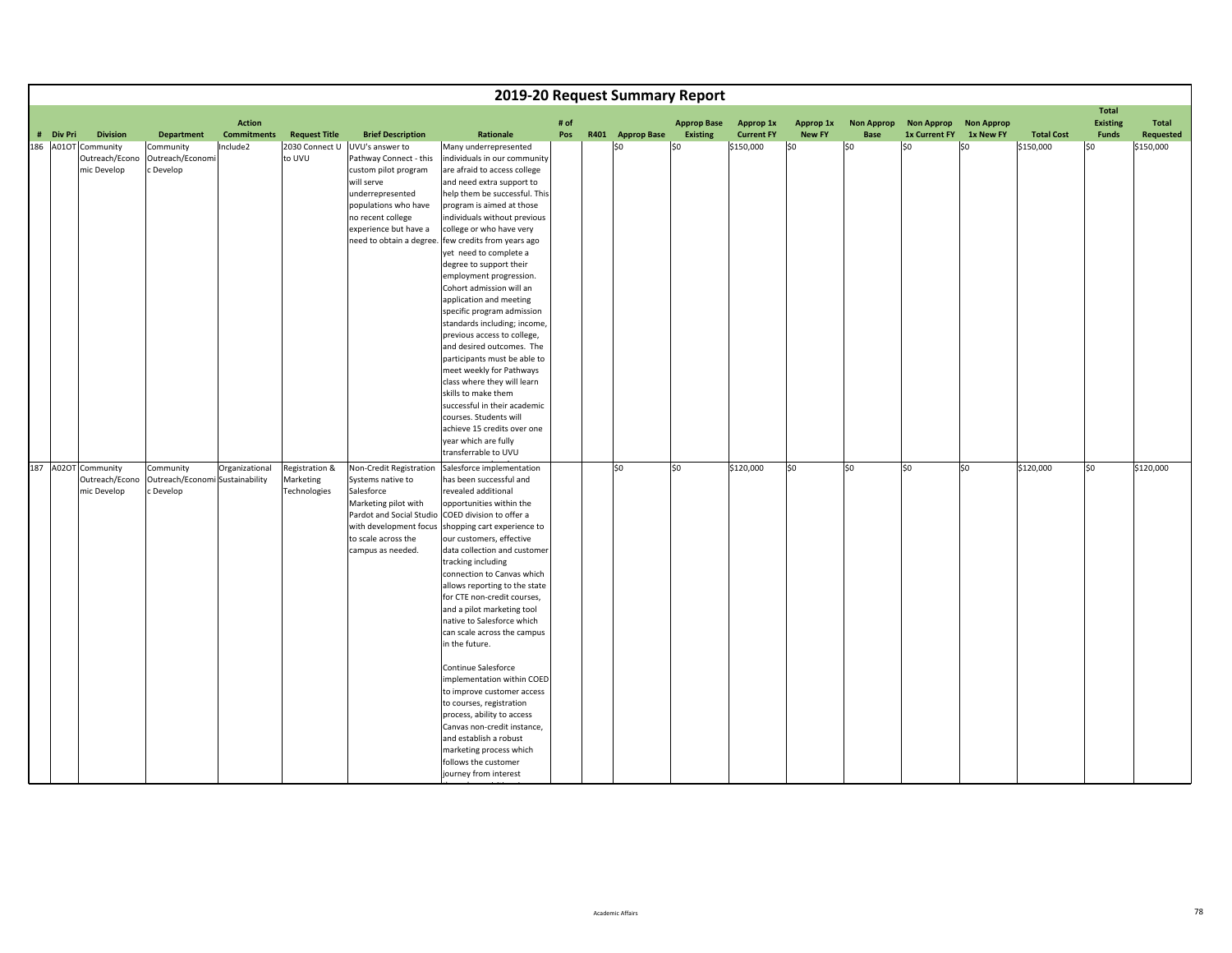|           |                                                      |                                                           |                                     |                                             |                                                                                                                                                                                    |                                                                                                                                                                                                                                                                                                                                                                                                                                                                                                                                                                                                                                                                                                                                                                                                   |             | 2019-20 Request Summary Report |                                       |                                |                            |                           |                                           |                                |                   |                                                 |                    |
|-----------|------------------------------------------------------|-----------------------------------------------------------|-------------------------------------|---------------------------------------------|------------------------------------------------------------------------------------------------------------------------------------------------------------------------------------|---------------------------------------------------------------------------------------------------------------------------------------------------------------------------------------------------------------------------------------------------------------------------------------------------------------------------------------------------------------------------------------------------------------------------------------------------------------------------------------------------------------------------------------------------------------------------------------------------------------------------------------------------------------------------------------------------------------------------------------------------------------------------------------------------|-------------|--------------------------------|---------------------------------------|--------------------------------|----------------------------|---------------------------|-------------------------------------------|--------------------------------|-------------------|-------------------------------------------------|--------------------|
| # Div Pri | <b>Division</b>                                      | <b>Department</b>                                         | <b>Action</b><br><b>Commitments</b> | <b>Request Title</b>                        | <b>Brief Description</b>                                                                                                                                                           | Rationale                                                                                                                                                                                                                                                                                                                                                                                                                                                                                                                                                                                                                                                                                                                                                                                         | # of<br>Pos | R401 Approp Base               | <b>Approp Base</b><br><b>Existing</b> | Approp 1x<br><b>Current FY</b> | Approp 1x<br><b>New FY</b> | <b>Non Approp</b><br>Base | <b>Non Approp</b><br><b>1x Current FY</b> | <b>Non Approp</b><br>1x New FY | <b>Total Cost</b> | <b>Total</b><br><b>Existing</b><br><b>Funds</b> | Total<br>Requested |
|           | 186 A01OT Community                                  | Community                                                 | Include2                            | 2030 Connect U                              | UVU's answer to                                                                                                                                                                    | Many underrepresented                                                                                                                                                                                                                                                                                                                                                                                                                                                                                                                                                                                                                                                                                                                                                                             |             | \$0                            | SO.                                   | \$150,000                      | 50                         | SO                        | lso                                       | l\$0                           | \$150,000         | l\$0                                            | \$150,000          |
|           | Outreach/Econo<br>mic Develop                        | Outreach/Economi<br>c Develop                             |                                     | to UVU                                      | Pathway Connect - this<br>custom pilot program<br>will serve<br>underrepresented<br>populations who have<br>no recent college<br>experience but have a<br>need to obtain a degree. | individuals in our community<br>are afraid to access college<br>and need extra support to<br>help them be successful. This<br>program is aimed at those<br>individuals without previous<br>college or who have very<br>few credits from years ago<br>yet need to complete a<br>degree to support their<br>employment progression.<br>Cohort admission will an<br>application and meeting<br>specific program admission<br>standards including; income,<br>previous access to college,<br>and desired outcomes. The<br>participants must be able to                                                                                                                                                                                                                                                |             |                                |                                       |                                |                            |                           |                                           |                                |                   |                                                 |                    |
|           |                                                      |                                                           |                                     |                                             |                                                                                                                                                                                    | meet weekly for Pathways<br>class where they will learn<br>skills to make them<br>successful in their academic<br>courses. Students will<br>achieve 15 credits over one<br>year which are fully<br>transferrable to UVU                                                                                                                                                                                                                                                                                                                                                                                                                                                                                                                                                                           |             |                                |                                       |                                |                            |                           |                                           |                                |                   |                                                 |                    |
|           | 187 A02OT Community<br>Outreach/Econo<br>mic Develop | Community<br>Outreach/Economi Sustainability<br>c Develop | Organizational                      | Registration &<br>Marketing<br>Technologies | Non-Credit Registration<br>Systems native to<br>Salesforce<br>Marketing pilot with<br>to scale across the<br>campus as needed.                                                     | Salesforce implementation<br>has been successful and<br>revealed additional<br>opportunities within the<br>Pardot and Social Studio COED division to offer a<br>with development focus shopping cart experience to<br>our customers, effective<br>data collection and customer<br>tracking including<br>connection to Canvas which<br>allows reporting to the state<br>for CTE non-credit courses,<br>and a pilot marketing tool<br>native to Salesforce which<br>can scale across the campus<br>in the future.<br>Continue Salesforce<br>implementation within COED<br>to improve customer access<br>to courses, registration<br>process, ability to access<br>Canvas non-credit instance,<br>and establish a robust<br>marketing process which<br>follows the customer<br>journey from interest |             | S <sub>0</sub>                 | \$0                                   | \$120,000                      | \$0                        | SO                        | so                                        | S <sub>0</sub>                 | \$120,000         | so                                              | \$120,000          |

th h

i <del>i istoria della contra di una contra di una contra di una contra di una contra di una contra di una contra di</del>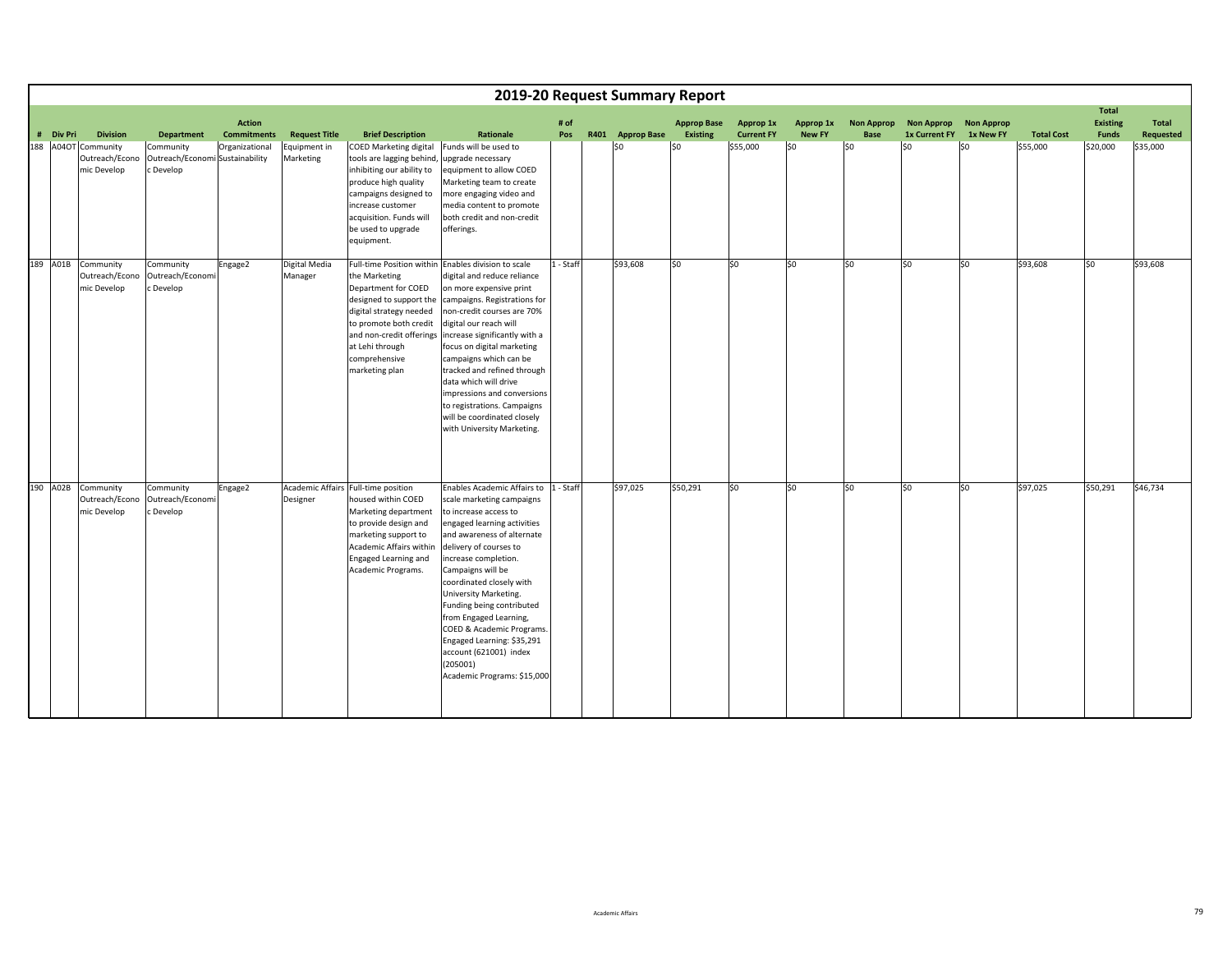|     |           |                                                     |                                                           |                                     |                           |                                                                                                                                                                                                                              |                                                                                                                                                                                                                                                                                                                                                                                                                                                                                   |             | 2019-20 Request Summary Report |                                       |                                |                            |                           |                                           |                                |                   |                                                 |                    |
|-----|-----------|-----------------------------------------------------|-----------------------------------------------------------|-------------------------------------|---------------------------|------------------------------------------------------------------------------------------------------------------------------------------------------------------------------------------------------------------------------|-----------------------------------------------------------------------------------------------------------------------------------------------------------------------------------------------------------------------------------------------------------------------------------------------------------------------------------------------------------------------------------------------------------------------------------------------------------------------------------|-------------|--------------------------------|---------------------------------------|--------------------------------|----------------------------|---------------------------|-------------------------------------------|--------------------------------|-------------------|-------------------------------------------------|--------------------|
|     | # Div Pri | <b>Division</b>                                     | <b>Department</b>                                         | <b>Action</b><br><b>Commitments</b> | <b>Request Title</b>      | <b>Brief Description</b>                                                                                                                                                                                                     | Rationale                                                                                                                                                                                                                                                                                                                                                                                                                                                                         | # of<br>Pos | R401 Approp Base               | <b>Approp Base</b><br><b>Existing</b> | Approp 1x<br><b>Current FY</b> | Approp 1x<br><b>New FY</b> | <b>Non Approp</b><br>Base | <b>Non Approp</b><br><b>1x Current FY</b> | <b>Non Approp</b><br>1x New FY | <b>Total Cost</b> | <b>Total</b><br><b>Existing</b><br><b>Funds</b> | Total<br>Requested |
| 188 |           | A04OT Community<br>Outreach/Econo<br>mic Develop    | Community<br>Outreach/Economi Sustainability<br>c Develop | Organizational                      | Equipment in<br>Marketing | <b>COED Marketing digital</b><br>tools are lagging behind,<br>inhibiting our ability to<br>produce high quality<br>campaigns designed to<br>increase customer<br>acquisition. Funds will<br>be used to upgrade<br>equipment. | Funds will be used to<br>upgrade necessary<br>equipment to allow COED<br>Marketing team to create<br>more engaging video and<br>media content to promote<br>both credit and non-credit<br>offerings.                                                                                                                                                                                                                                                                              |             | \$0                            | \$0                                   | \$55,000                       | \$0                        | lso                       | S <sub>0</sub>                            | \$0                            | \$55,000          | \$20,000                                        | \$35,000           |
|     |           | 189 A01B Community<br>Outreach/Econo<br>mic Develop | Community<br>Outreach/Economi<br>c Develop                | Engage2                             | Digital Media<br>Manager  | the Marketing<br>Department for COED<br>designed to support the<br>digital strategy needed<br>to promote both credit<br>and non-credit offerings<br>at Lehi through<br>comprehensive<br>marketing plan                       | Full-time Position within Enables division to scale<br>digital and reduce reliance<br>on more expensive print<br>campaigns. Registrations for<br>non-credit courses are 70%<br>digital our reach will<br>increase significantly with a<br>focus on digital marketing<br>campaigns which can be<br>tracked and refined through<br>data which will drive<br>impressions and conversions<br>to registrations. Campaigns<br>will be coordinated closely<br>with University Marketing. | 1 - Staff   | \$93,608                       | \$0                                   | lso                            | \$0                        | lso                       | lso                                       | \$0                            | \$93,608          | S <sub>0</sub>                                  | \$93,608           |
|     |           | 190 A02B Community<br>Outreach/Econo<br>mic Develop | Community<br>Outreach/Economi<br>c Develop                | Engage2                             | Designer                  | Academic Affairs Full-time position<br>housed within COED<br>Marketing department<br>to provide design and<br>marketing support to<br>Academic Affairs within<br>Engaged Learning and<br>Academic Programs.                  | Enables Academic Affairs to  1 - Staff<br>scale marketing campaigns<br>to increase access to<br>engaged learning activities<br>and awareness of alternate<br>delivery of courses to<br>increase completion.<br>Campaigns will be<br>coordinated closely with<br>University Marketing.<br>Funding being contributed<br>from Engaged Learning,<br>COED & Academic Programs.<br>Engaged Learning: \$35,291<br>account (621001) index<br>(205001)<br>Academic Programs: \$15,000      |             | \$97,025                       | \$50,291                              | \$0                            | \$0                        | lso                       | \$0                                       | \$0                            | \$97,025          | \$50,291                                        | \$46,734           |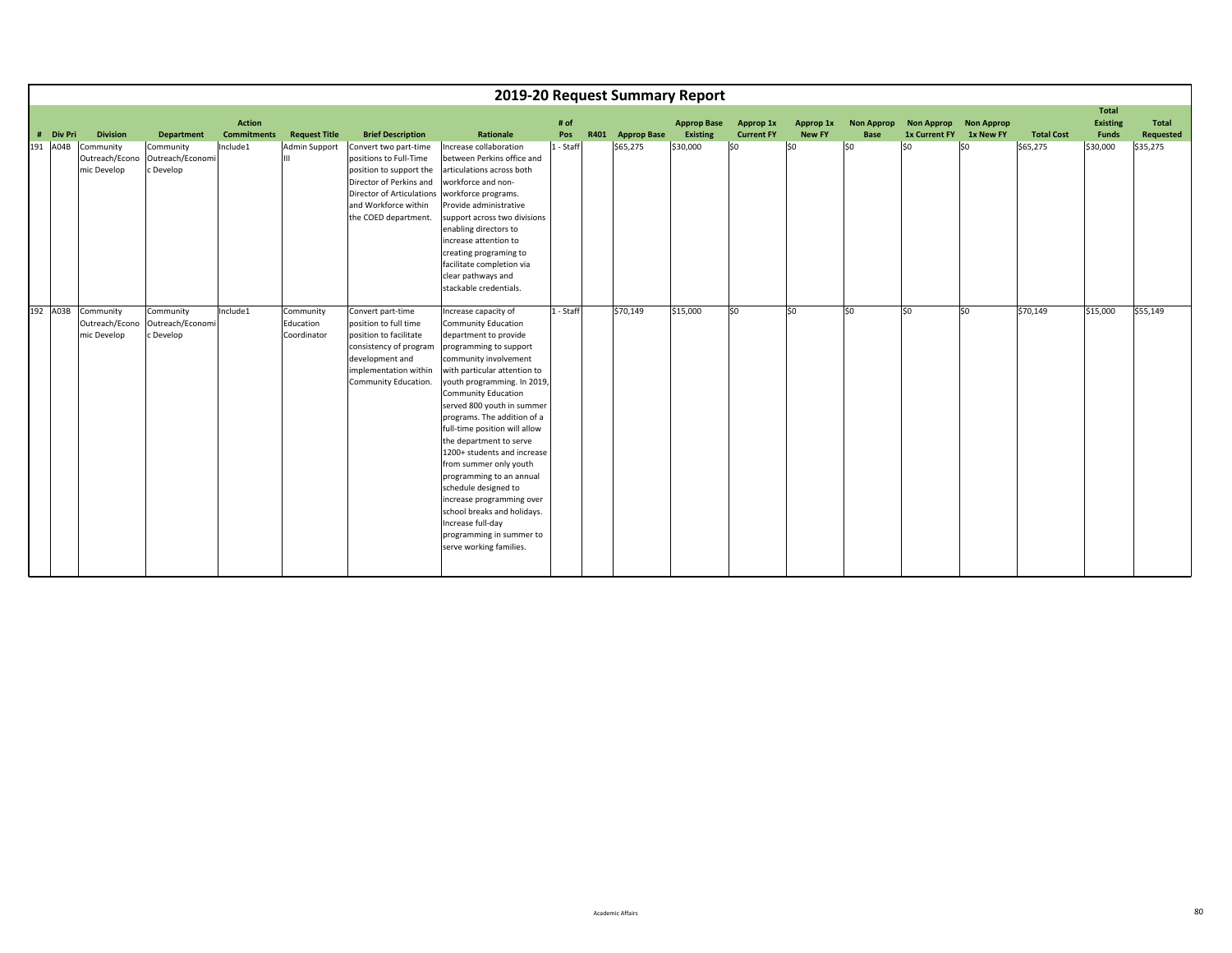|           |                                            |                                            |                    |                                       |                                                                                                                                                                                    |                                                                                                                                                                                                                                                                                                                                                                                                                                                                                                                                                                                                    |           | 2019-20 Request Summary Report |                    |                   |               |                   |                         |     |                   |                          |           |
|-----------|--------------------------------------------|--------------------------------------------|--------------------|---------------------------------------|------------------------------------------------------------------------------------------------------------------------------------------------------------------------------------|----------------------------------------------------------------------------------------------------------------------------------------------------------------------------------------------------------------------------------------------------------------------------------------------------------------------------------------------------------------------------------------------------------------------------------------------------------------------------------------------------------------------------------------------------------------------------------------------------|-----------|--------------------------------|--------------------|-------------------|---------------|-------------------|-------------------------|-----|-------------------|--------------------------|-----------|
|           |                                            |                                            | <b>Action</b>      |                                       |                                                                                                                                                                                    |                                                                                                                                                                                                                                                                                                                                                                                                                                                                                                                                                                                                    | # of      |                                | <b>Approp Base</b> | Approp 1x         | Approp 1x     | <b>Non Approp</b> | Non Approp Non Approp   |     |                   | Total<br><b>Existing</b> | Total     |
| # Div Pri | <b>Division</b>                            | Department                                 | <b>Commitments</b> | <b>Request Title</b>                  | <b>Brief Description</b>                                                                                                                                                           | Rationale                                                                                                                                                                                                                                                                                                                                                                                                                                                                                                                                                                                          | Pos       | R401 Approp Base               | Existing           | <b>Current FY</b> | <b>New FY</b> | <b>Base</b>       | 1x Current FY 1x New FY |     | <b>Total Cost</b> | Funds                    | Requested |
| 191 A04B  | Community<br>Outreach/Econo<br>mic Develop | Community<br>Outreach/Economi<br>c Develop | Include1           | <b>Admin Support</b>                  | Convert two part-time<br>positions to Full-Time<br>position to support the<br>Director of Perkins and<br>Director of Articulations<br>and Workforce within<br>the COED department. | Increase collaboration<br>between Perkins office and<br>articulations across both<br>workforce and non-<br>workforce programs.<br>Provide administrative<br>support across two divisions<br>enabling directors to<br>increase attention to<br>creating programing to<br>facilitate completion via<br>clear pathways and<br>stackable credentials.                                                                                                                                                                                                                                                  | 1 - Staff | \$65,275                       | \$30,000           | \$0               | lso           | lso               | S <sub>0</sub>          | \$0 | \$65,275          | \$30,000                 | \$35,275  |
| 192 A03B  | Community<br>Outreach/Econo<br>mic Develop | Community<br>Outreach/Economi<br>c Develop | Include1           | Community<br>Education<br>Coordinator | Convert part-time<br>position to full time<br>position to facilitate<br>consistency of program<br>development and<br>implementation within<br>Community Education.                 | Increase capacity of<br>Community Education<br>department to provide<br>programming to support<br>community involvement<br>with particular attention to<br>youth programming. In 2019,<br><b>Community Education</b><br>served 800 youth in summer<br>programs. The addition of a<br>full-time position will allow<br>the department to serve<br>1200+ students and increase<br>from summer only youth<br>programming to an annual<br>schedule designed to<br>increase programming over<br>school breaks and holidays.<br>Increase full-day<br>programming in summer to<br>serve working families. | 1 - Staff | \$70,149                       | \$15,000           | lso               | \$0           | lso.              | lso                     | SO. | \$70,149          | \$15,000                 | \$55,149  |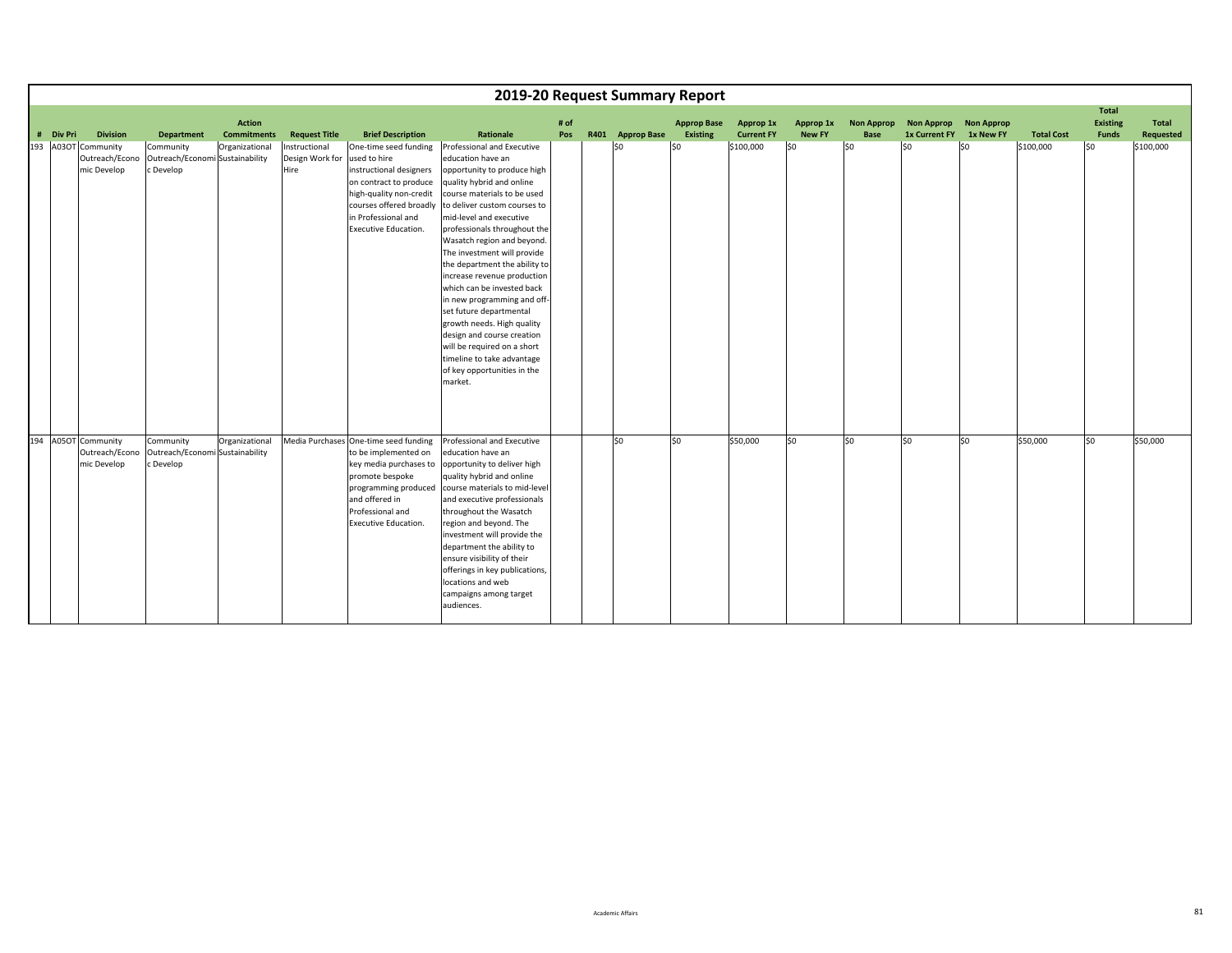|           |                                                      |                                                           |                                     |                                          |                                                                                                                                                                                                         | 2019-20 Request Summary Report                                                                                                                                                                                                                                                                                                                                                                                                                                                                                                                                                                                                |             |                  |                                |                                |                            |                                  |                                              |                   |                   |                                                 |                           |
|-----------|------------------------------------------------------|-----------------------------------------------------------|-------------------------------------|------------------------------------------|---------------------------------------------------------------------------------------------------------------------------------------------------------------------------------------------------------|-------------------------------------------------------------------------------------------------------------------------------------------------------------------------------------------------------------------------------------------------------------------------------------------------------------------------------------------------------------------------------------------------------------------------------------------------------------------------------------------------------------------------------------------------------------------------------------------------------------------------------|-------------|------------------|--------------------------------|--------------------------------|----------------------------|----------------------------------|----------------------------------------------|-------------------|-------------------|-------------------------------------------------|---------------------------|
| # Div Pri | <b>Division</b>                                      | <b>Department</b>                                         | <b>Action</b><br><b>Commitments</b> | <b>Request Title</b>                     | <b>Brief Description</b>                                                                                                                                                                                | Rationale                                                                                                                                                                                                                                                                                                                                                                                                                                                                                                                                                                                                                     | # of<br>Pos | R401 Approp Base | <b>Approp Base</b><br>Existing | Approp 1x<br><b>Current FY</b> | Approp 1x<br><b>New FY</b> | <b>Non Approp</b><br><b>Base</b> | <b>Non Approp</b><br>1x Current FY 1x New FY | <b>Non Approp</b> | <b>Total Cost</b> | <b>Total</b><br><b>Existing</b><br><b>Funds</b> | <b>Total</b><br>Requested |
|           | 193 A03OT Community<br>Outreach/Econo<br>mic Develop | Community<br>Outreach/Economi Sustainability<br>c Develop | Organizational                      | Instructional<br>Design Work for<br>Hire | One-time seed funding<br>used to hire<br>instructional designers<br>on contract to produce<br>high-quality non-credit<br>courses offered broadly<br>in Professional and<br>Executive Education.         | Professional and Executive<br>education have an<br>opportunity to produce high<br>quality hybrid and online<br>course materials to be used<br>to deliver custom courses to<br>mid-level and executive<br>professionals throughout the<br>Wasatch region and beyond.<br>The investment will provide<br>the department the ability to<br>increase revenue production<br>which can be invested back<br>in new programming and off-<br>set future departmental<br>growth needs. High quality<br>design and course creation<br>will be required on a short<br>timeline to take advantage<br>of key opportunities in the<br>market. |             | \$0              | lso                            | \$100,000                      | \$0                        | lso                              | SO.                                          | S <sub>0</sub>    | \$100,000         | lso                                             | \$100,000                 |
|           | 194 A05OT Community<br>Outreach/Econo<br>mic Develop | Community<br>Outreach/Economi Sustainability<br>c Develop | Organizational                      |                                          | Media Purchases One-time seed funding<br>to be implemented on<br>key media purchases to<br>promote bespoke<br>programming produced<br>and offered in<br>Professional and<br><b>Executive Education.</b> | Professional and Executive<br>education have an<br>opportunity to deliver high<br>quality hybrid and online<br>course materials to mid-level<br>and executive professionals<br>throughout the Wasatch<br>region and beyond. The<br>investment will provide the<br>department the ability to<br>ensure visibility of their<br>offerings in key publications,<br>locations and web<br>campaigns among target<br>audiences.                                                                                                                                                                                                      |             | \$0              | \$0                            | \$50,000                       | 50                         | lso                              | lso                                          | lso.              | \$50,000          | lso                                             | \$50,000                  |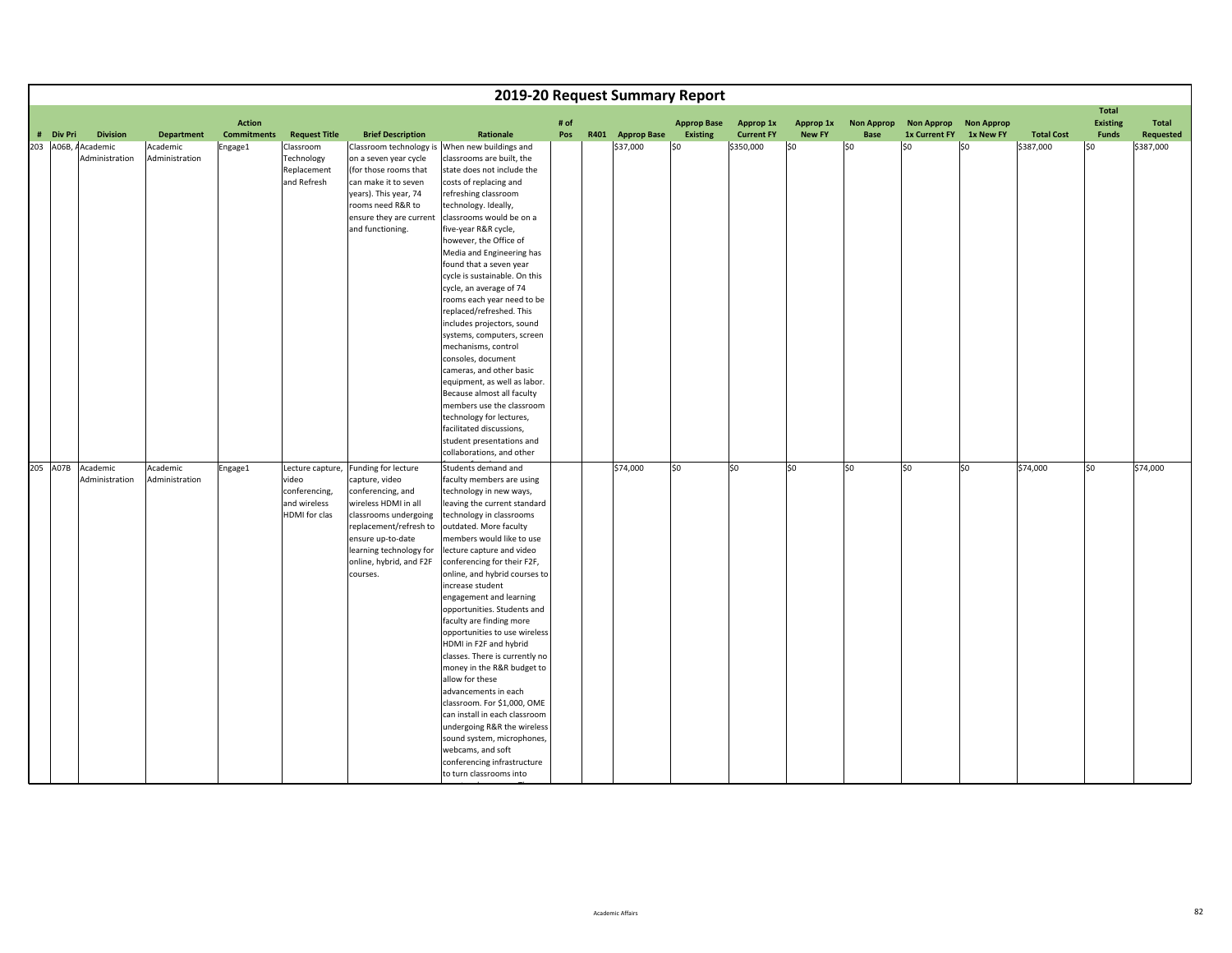|                     |                            |                            |                                     |                                                                             |                                                                                                                                                                                                                              |                                                                                                                                                                                                                                                                                                                                                                                                                                                                                                                                                                                                                                                                                                                                                                                                   |             | 2019-20 Request Summary Report |                                       |                                |                            |                           |                                    |                                |                   |                                                 |                    |
|---------------------|----------------------------|----------------------------|-------------------------------------|-----------------------------------------------------------------------------|------------------------------------------------------------------------------------------------------------------------------------------------------------------------------------------------------------------------------|---------------------------------------------------------------------------------------------------------------------------------------------------------------------------------------------------------------------------------------------------------------------------------------------------------------------------------------------------------------------------------------------------------------------------------------------------------------------------------------------------------------------------------------------------------------------------------------------------------------------------------------------------------------------------------------------------------------------------------------------------------------------------------------------------|-------------|--------------------------------|---------------------------------------|--------------------------------|----------------------------|---------------------------|------------------------------------|--------------------------------|-------------------|-------------------------------------------------|--------------------|
| # Div Pri           | <b>Division</b>            | <b>Department</b>          | <b>Action</b><br><b>Commitments</b> | <b>Request Title</b>                                                        | <b>Brief Description</b>                                                                                                                                                                                                     | Rationale                                                                                                                                                                                                                                                                                                                                                                                                                                                                                                                                                                                                                                                                                                                                                                                         | # of<br>Pos | R401 Approp Base               | <b>Approp Base</b><br><b>Existing</b> | Approp 1x<br><b>Current FY</b> | Approp 1x<br><b>New FY</b> | <b>Non Approp</b><br>Base | <b>Non Approp</b><br>1x Current FY | <b>Non Approp</b><br>1x New FY | <b>Total Cost</b> | <b>Total</b><br><b>Existing</b><br><b>Funds</b> | Total<br>Requested |
| 203 A06B, AAcademic | Administration             | Academic<br>Administration | Engage1                             | Classroom<br>Technology<br>Replacement<br>and Refresh                       | on a seven year cycle<br>(for those rooms that<br>can make it to seven<br>years). This year, 74<br>rooms need R&R to<br>ensure they are current<br>and functioning.                                                          | Classroom technology is When new buildings and<br>classrooms are built, the<br>state does not include the<br>costs of replacing and<br>refreshing classroom<br>technology. Ideally,<br>classrooms would be on a<br>five-year R&R cycle,<br>however, the Office of<br>Media and Engineering has<br>found that a seven year<br>cycle is sustainable. On this<br>cycle, an average of 74<br>rooms each year need to be<br>replaced/refreshed. This<br>includes projectors, sound<br>systems, computers, screen<br>mechanisms, control<br>consoles, document<br>cameras, and other basic<br>equipment, as well as labor.<br>Because almost all faculty<br>members use the classroom<br>technology for lectures,<br>facilitated discussions,<br>student presentations and<br>collaborations, and other |             | \$37,000                       | SO.                                   | \$350,000                      | 50                         | l\$0                      | \$0                                | l\$0                           | \$387,000         | l\$0                                            | \$387,000          |
| 205 A07B            | Academic<br>Administration | Academic<br>Administration | Engage1                             | Lecture capture,<br>video<br>conferencing,<br>and wireless<br>HDMI for clas | Funding for lecture<br>capture, video<br>conferencing, and<br>wireless HDMI in all<br>classrooms undergoing<br>replacement/refresh to<br>ensure up-to-date<br>learning technology for<br>online, hybrid, and F2F<br>courses. | Students demand and<br>faculty members are using<br>technology in new ways,<br>leaving the current standard<br>technology in classrooms<br>outdated. More faculty<br>members would like to use<br>lecture capture and video<br>conferencing for their F2F,<br>online, and hybrid courses to<br>increase student<br>engagement and learning<br>opportunities. Students and<br>faculty are finding more<br>opportunities to use wireless<br>HDMI in F2F and hybrid<br>classes. There is currently no<br>money in the R&R budget to<br>allow for these<br>advancements in each<br>classroom. For \$1,000, OME<br>can install in each classroom<br>undergoing R&R the wireless<br>sound system, microphones,<br>webcams, and soft<br>conferencing infrastructure<br>to turn classrooms into           |             | \$74,000                       | \$0                                   | \$0                            | \$0                        | lso                       | so                                 | \$0                            | \$74,000          | so                                              | \$74,000           |

t

l The Second Second Second Second Second Second Second Second Second Second Second Second Second Second Second <br>Second Second Second Second Second Second Second Second Second Second Second Second Second Second Second Secon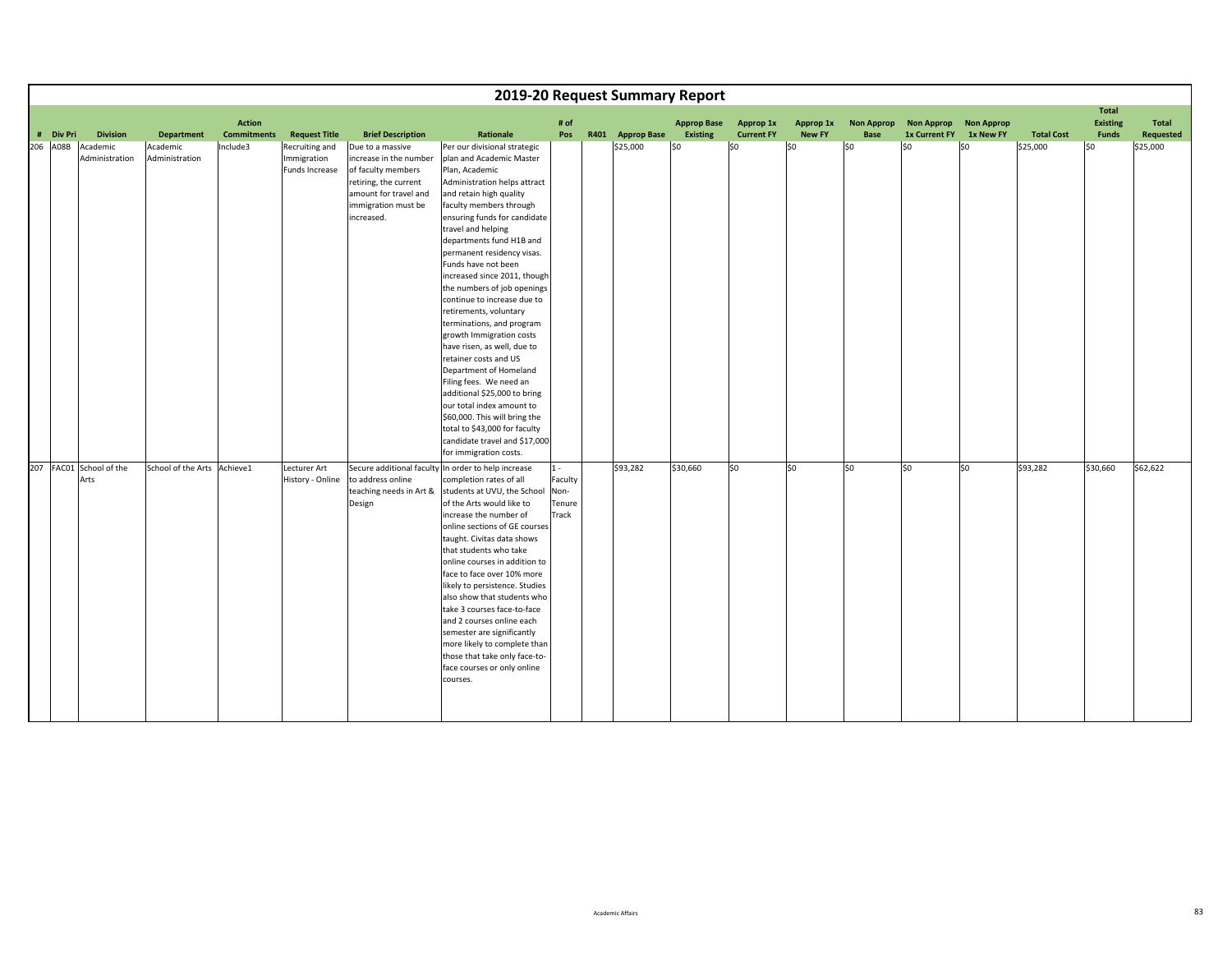|           |                                 |                             |                                     |                                                 |                                                                                                                                                         |                                                                                                                                                                                                                                                                                                                                                                                                                                                                                                                                                                                                                                                                                                                                                                                                 |                                             |                  | 2019-20 Request Summary Report |                                       |                            |                           |                                    |                                |                   |                                                 |                           |
|-----------|---------------------------------|-----------------------------|-------------------------------------|-------------------------------------------------|---------------------------------------------------------------------------------------------------------------------------------------------------------|-------------------------------------------------------------------------------------------------------------------------------------------------------------------------------------------------------------------------------------------------------------------------------------------------------------------------------------------------------------------------------------------------------------------------------------------------------------------------------------------------------------------------------------------------------------------------------------------------------------------------------------------------------------------------------------------------------------------------------------------------------------------------------------------------|---------------------------------------------|------------------|--------------------------------|---------------------------------------|----------------------------|---------------------------|------------------------------------|--------------------------------|-------------------|-------------------------------------------------|---------------------------|
| # Div Pri | <b>Division</b>                 | <b>Department</b>           | <b>Action</b><br><b>Commitments</b> | <b>Request Title</b>                            | <b>Brief Description</b>                                                                                                                                | Rationale                                                                                                                                                                                                                                                                                                                                                                                                                                                                                                                                                                                                                                                                                                                                                                                       | # of<br>Pos                                 | R401 Approp Base | <b>Approp Base</b><br>Existing | <b>Approp 1x</b><br><b>Current FY</b> | Approp 1x<br><b>New FY</b> | <b>Non Approp</b><br>Base | <b>Non Approp</b><br>1x Current FY | <b>Non Approp</b><br>1x New FY | <b>Total Cost</b> | <b>Total</b><br><b>Existing</b><br><b>Funds</b> | <b>Total</b><br>Requested |
| 206 A08B  | Academic<br>Administration      | Academic<br>Administration  | Include3                            | Recruiting and<br>Immigration<br>Funds Increase | Due to a massive<br>increase in the number<br>of faculty members<br>retiring, the current<br>amount for travel and<br>immigration must be<br>increased. | Per our divisional strategic<br>plan and Academic Master<br>Plan, Academic<br>Administration helps attract<br>and retain high quality<br>faculty members through<br>ensuring funds for candidate<br>travel and helping<br>departments fund H1B and<br>permanent residency visas.<br>Funds have not been<br>increased since 2011, though<br>the numbers of job openings<br>continue to increase due to<br>retirements, voluntary<br>terminations, and program<br>growth Immigration costs<br>have risen, as well, due to<br>retainer costs and US<br>Department of Homeland<br>Filing fees. We need an<br>additional \$25,000 to bring<br>our total index amount to<br>\$60,000. This will bring the<br>total to \$43,000 for faculty<br>candidate travel and \$17,000<br>for immigration costs. |                                             | \$25,000         | lso                            | \$0                                   | \$0                        | lso                       | lso                                | lso                            | \$25,000          | SO.                                             | \$25,000                  |
|           | 207 FAC01 School of the<br>Arts | School of the Arts Achieve1 |                                     | Lecturer Art<br>History - Online                | to address online<br>teaching needs in Art &<br>Design                                                                                                  | Secure additional faculty In order to help increase<br>completion rates of all<br>students at UVU, the School<br>of the Arts would like to<br>increase the number of<br>online sections of GE courses<br>taught. Civitas data shows<br>that students who take<br>online courses in addition to<br>face to face over 10% more<br>likely to persistence. Studies<br>also show that students who<br>take 3 courses face-to-face<br>and 2 courses online each<br>semester are significantly<br>more likely to complete than<br>those that take only face-to-<br>face courses or only online<br>courses.                                                                                                                                                                                             | $1 -$<br>Faculty<br>Non-<br>Tenure<br>Track | \$93,282         | \$30,660                       | \$0                                   | 50                         | S <sub>0</sub>            | l\$0                               | \$0                            | \$93,282          | \$30,660                                        | \$62,622                  |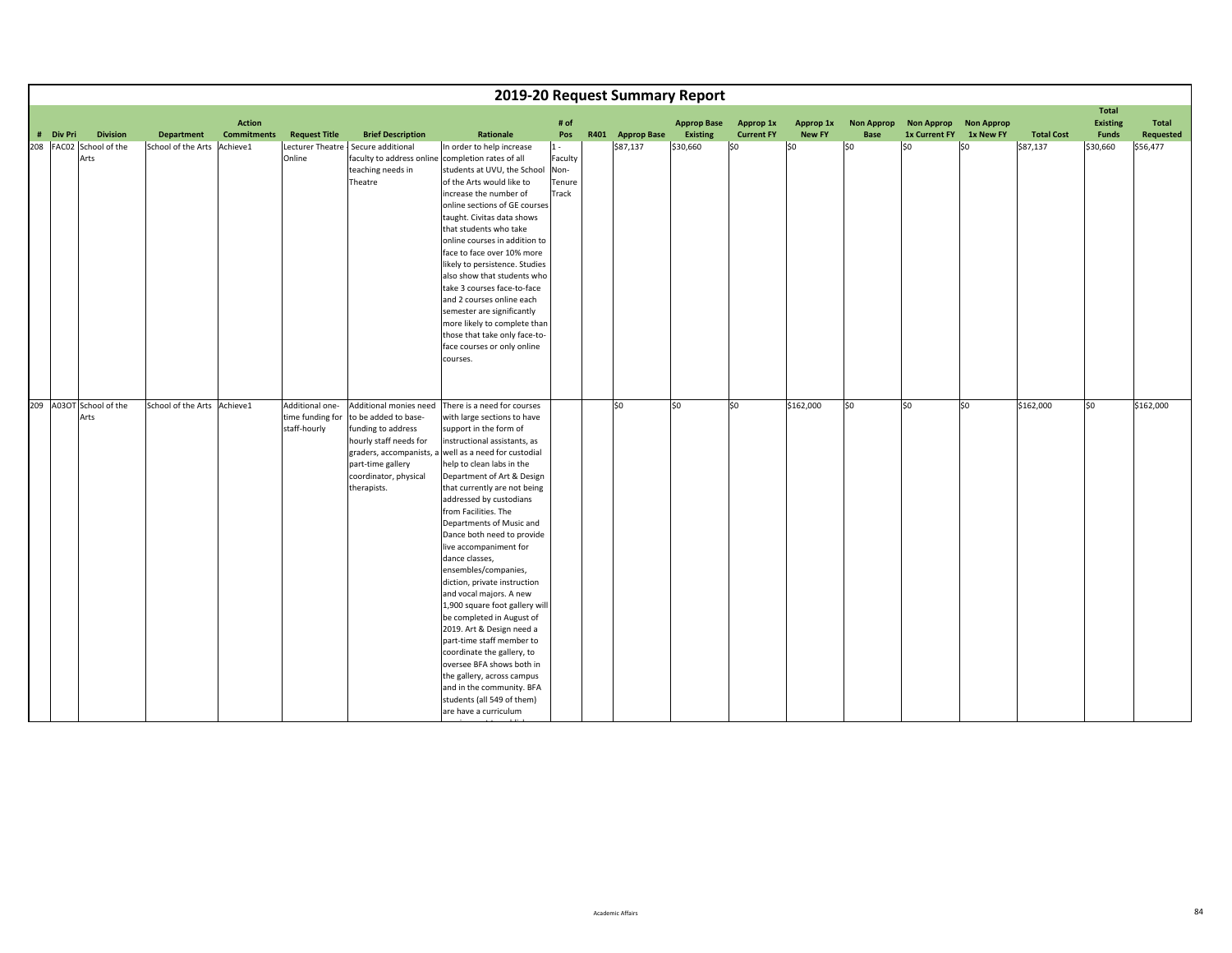|           |                                 |                             |                                     |                                                     |                                                                                                                                                             |                                                                                                                                                                                                                                                                                                                                                                                                                                                                                                                                                                                                                                                                                                                                                                                                                            |                                             |                  | 2019-20 Request Summary Report        |                                |                            |                                  |                                              |                   |                   |                                                 |                           |
|-----------|---------------------------------|-----------------------------|-------------------------------------|-----------------------------------------------------|-------------------------------------------------------------------------------------------------------------------------------------------------------------|----------------------------------------------------------------------------------------------------------------------------------------------------------------------------------------------------------------------------------------------------------------------------------------------------------------------------------------------------------------------------------------------------------------------------------------------------------------------------------------------------------------------------------------------------------------------------------------------------------------------------------------------------------------------------------------------------------------------------------------------------------------------------------------------------------------------------|---------------------------------------------|------------------|---------------------------------------|--------------------------------|----------------------------|----------------------------------|----------------------------------------------|-------------------|-------------------|-------------------------------------------------|---------------------------|
| # Div Pri | <b>Division</b>                 | <b>Department</b>           | <b>Action</b><br><b>Commitments</b> | <b>Request Title</b>                                | <b>Brief Description</b>                                                                                                                                    | Rationale                                                                                                                                                                                                                                                                                                                                                                                                                                                                                                                                                                                                                                                                                                                                                                                                                  | # of<br>Pos                                 | R401 Approp Base | <b>Approp Base</b><br><b>Existing</b> | Approp 1x<br><b>Current FY</b> | Approp 1x<br><b>New FY</b> | <b>Non Approp</b><br><b>Base</b> | <b>Non Approp</b><br>1x Current FY 1x New FY | <b>Non Approp</b> | <b>Total Cost</b> | <b>Total</b><br><b>Existing</b><br><b>Funds</b> | <b>Total</b><br>Requested |
|           | 208 FAC02 School of the<br>Arts | School of the Arts Achieve1 |                                     | Online                                              | Lecturer Theatre - Secure additional<br>teaching needs in<br>Theatre                                                                                        | In order to help increase<br>faculty to address online completion rates of all<br>students at UVU, the School<br>of the Arts would like to<br>increase the number of<br>online sections of GE courses<br>taught. Civitas data shows<br>that students who take<br>online courses in addition to<br>face to face over 10% more<br>likely to persistence. Studies<br>also show that students who<br>take 3 courses face-to-face<br>and 2 courses online each<br>semester are significantly<br>more likely to complete than<br>those that take only face-to-<br>face courses or only online<br>courses.                                                                                                                                                                                                                        | $1 -$<br>Faculty<br>Non-<br>Tenure<br>Track | \$87,137         | \$30,660                              | \$0                            | \$0                        | S0                               | l\$0                                         | l\$0              | \$87,137          | \$30,660                                        | \$56,477                  |
|           | 209 A03OT School of the<br>Arts | School of the Arts Achieve1 |                                     | Additional one-<br>time funding for<br>staff-hourly | Additional monies need<br>to be added to base-<br>funding to address<br>hourly staff needs for<br>part-time gallery<br>coordinator, physical<br>therapists. | There is a need for courses<br>with large sections to have<br>support in the form of<br>instructional assistants, as<br>graders, accompanists, a well as a need for custodial<br>help to clean labs in the<br>Department of Art & Design<br>that currently are not being<br>addressed by custodians<br>from Facilities. The<br>Departments of Music and<br>Dance both need to provide<br>live accompaniment for<br>dance classes,<br>ensembles/companies,<br>diction, private instruction<br>and vocal majors. A new<br>1,900 square foot gallery will<br>be completed in August of<br>2019. Art & Design need a<br>part-time staff member to<br>coordinate the gallery, to<br>oversee BFA shows both in<br>the gallery, across campus<br>and in the community. BFA<br>students (all 549 of them)<br>are have a curriculum |                                             | \$0              | \$0                                   | \$0                            | \$162,000                  | SO                               | \$0                                          | \$0               | \$162,000         | \$0                                             | \$162,000                 |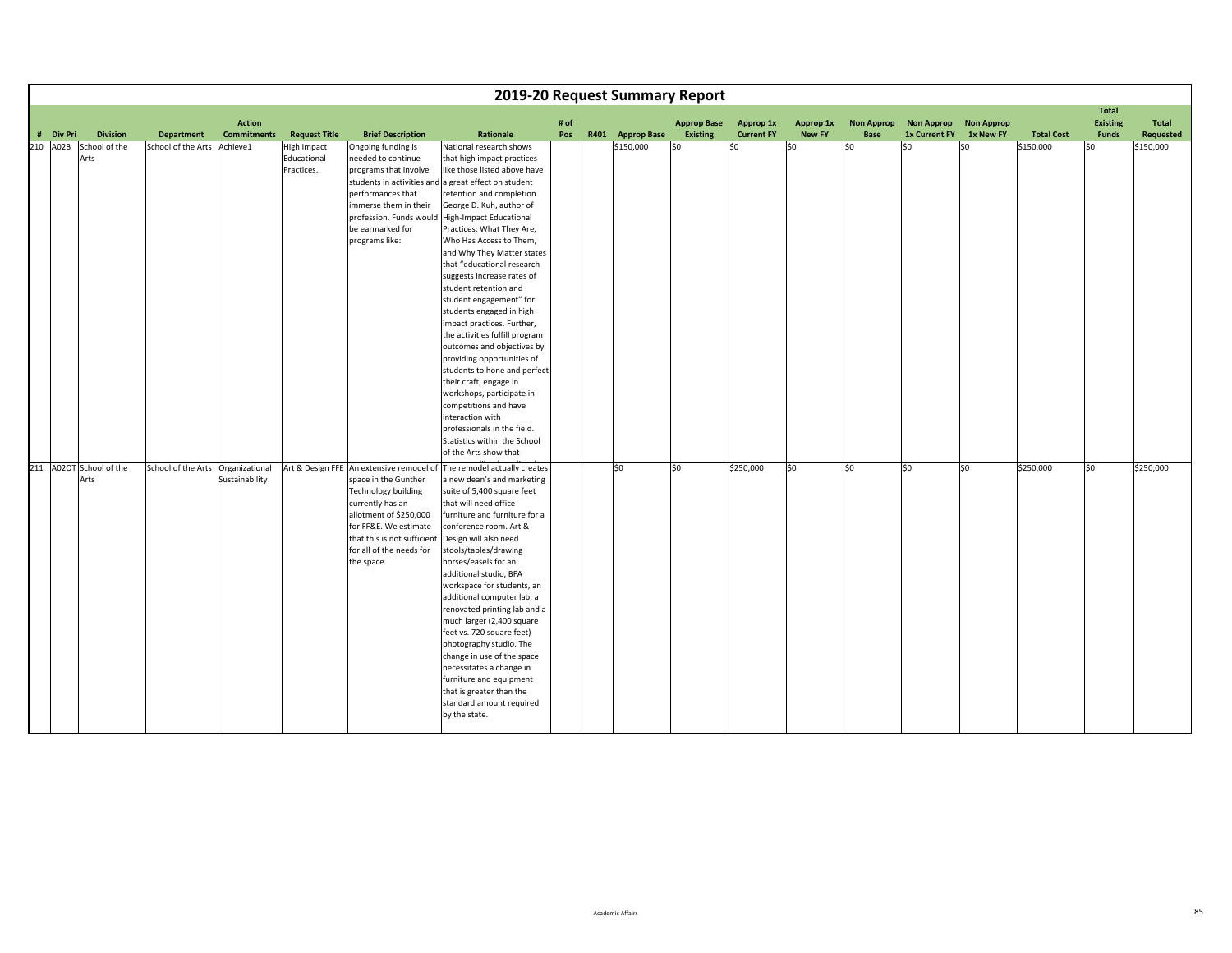|           |                                 |                                   |                                     |                                                 |                                                                                                                                                                                                                                                | 2019-20 Request Summary Report                                                                                                                                                                                                                                                                                                                                                                                                                                                                                                                                                                                                                                     |             |                  |                                       |                                |                            |                           |                                           |                                |                   |                                   |                    |
|-----------|---------------------------------|-----------------------------------|-------------------------------------|-------------------------------------------------|------------------------------------------------------------------------------------------------------------------------------------------------------------------------------------------------------------------------------------------------|--------------------------------------------------------------------------------------------------------------------------------------------------------------------------------------------------------------------------------------------------------------------------------------------------------------------------------------------------------------------------------------------------------------------------------------------------------------------------------------------------------------------------------------------------------------------------------------------------------------------------------------------------------------------|-------------|------------------|---------------------------------------|--------------------------------|----------------------------|---------------------------|-------------------------------------------|--------------------------------|-------------------|-----------------------------------|--------------------|
| # Div Pri | <b>Division</b>                 | <b>Department</b>                 | <b>Action</b><br><b>Commitments</b> | <b>Request Title</b>                            | <b>Brief Description</b>                                                                                                                                                                                                                       | Rationale                                                                                                                                                                                                                                                                                                                                                                                                                                                                                                                                                                                                                                                          | # of<br>Pos | R401 Approp Base | <b>Approp Base</b><br><b>Existing</b> | Approp 1x<br><b>Current FY</b> | Approp 1x<br><b>New FY</b> | <b>Non Approp</b><br>Base | <b>Non Approp</b><br><b>1x Current FY</b> | <b>Non Approp</b><br>1x New FY | <b>Total Cost</b> | <b>Total</b><br>Existing<br>Funds | Total<br>Requested |
|           |                                 |                                   |                                     |                                                 |                                                                                                                                                                                                                                                |                                                                                                                                                                                                                                                                                                                                                                                                                                                                                                                                                                                                                                                                    |             |                  |                                       |                                |                            |                           |                                           |                                |                   |                                   |                    |
| 210 A02B  | School of the<br>Arts           | School of the Arts Achieve1       |                                     | <b>High Impact</b><br>Educational<br>Practices. | Ongoing funding is<br>needed to continue<br>programs that involve<br>students in activities and<br>performances that<br>immerse them in their<br>profession. Funds would<br>be earmarked for<br>programs like:                                 | National research shows<br>that high impact practices<br>like those listed above have<br>a great effect on student<br>retention and completion.<br>George D. Kuh, author of<br><b>High-Impact Educational</b><br>Practices: What They Are,<br>Who Has Access to Them,<br>and Why They Matter states<br>that "educational research<br>suggests increase rates of<br>student retention and<br>student engagement" for<br>students engaged in high<br>impact practices. Further,<br>the activities fulfill program<br>outcomes and objectives by<br>providing opportunities of<br>students to hone and perfect<br>their craft, engage in<br>workshops, participate in |             | \$150,000        | \$0                                   | \$0                            | 50                         | \$0                       | \$0                                       | \$0                            | \$150,000         | \$0                               | \$150,000          |
|           |                                 |                                   |                                     |                                                 |                                                                                                                                                                                                                                                | competitions and have<br>interaction with<br>professionals in the field.<br>Statistics within the School<br>of the Arts show that                                                                                                                                                                                                                                                                                                                                                                                                                                                                                                                                  |             |                  |                                       |                                |                            |                           |                                           |                                |                   |                                   |                    |
|           | 211 A02OT School of the<br>Arts | School of the Arts Organizational | Sustainability                      |                                                 | Art & Design FFE An extensive remodel of<br>space in the Gunther<br><b>Technology building</b><br>currently has an<br>allotment of \$250,000<br>for FF&E. We estimate<br>that this is not sufficient<br>for all of the needs for<br>the space. | The remodel actually creates<br>a new dean's and marketing<br>suite of 5,400 square feet<br>that will need office<br>furniture and furniture for a<br>conference room. Art &<br>Design will also need<br>stools/tables/drawing<br>horses/easels for an<br>additional studio, BFA<br>workspace for students, an<br>additional computer lab, a<br>renovated printing lab and a<br>much larger (2,400 square<br>feet vs. 720 square feet)<br>photography studio. The<br>change in use of the space<br>necessitates a change in<br>furniture and equipment<br>that is greater than the<br>standard amount required<br>by the state.                                    |             | \$0              | lso                                   | \$250,000                      | \$0                        | S <sub>0</sub>            | so                                        | \$0                            | \$250,000         | so                                | \$250,000          |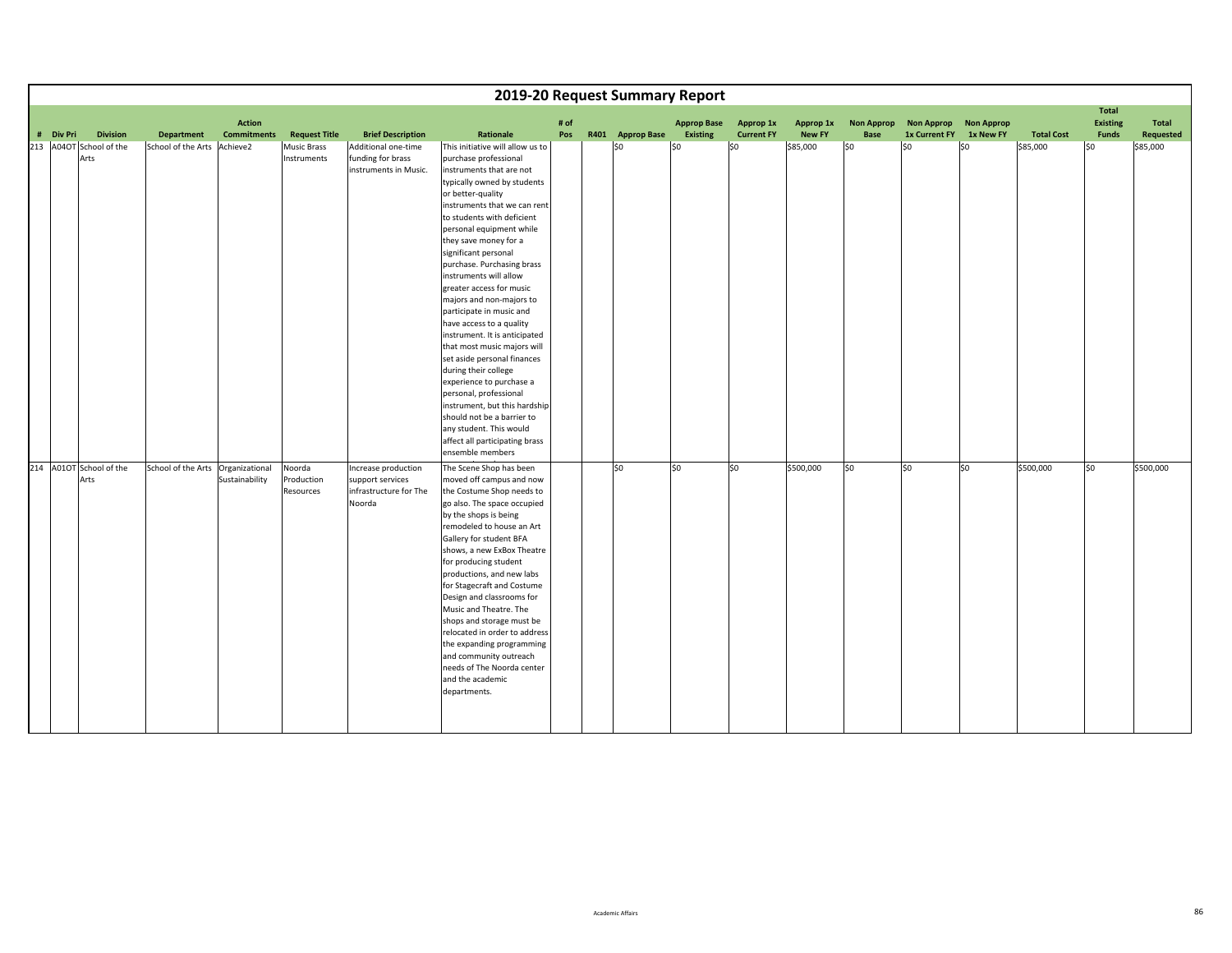|                                 |                                   |                                     |                                   |                                                                             | 2019-20 Request Summary Report                                                                                                                                                                                                                                                                                                                                                                                                                                                                                                                                                                                                                                                                                                                                                            |             |                  |                                       |                                |                            |                           |                                    |                                |                   |                                   |                    |
|---------------------------------|-----------------------------------|-------------------------------------|-----------------------------------|-----------------------------------------------------------------------------|-------------------------------------------------------------------------------------------------------------------------------------------------------------------------------------------------------------------------------------------------------------------------------------------------------------------------------------------------------------------------------------------------------------------------------------------------------------------------------------------------------------------------------------------------------------------------------------------------------------------------------------------------------------------------------------------------------------------------------------------------------------------------------------------|-------------|------------------|---------------------------------------|--------------------------------|----------------------------|---------------------------|------------------------------------|--------------------------------|-------------------|-----------------------------------|--------------------|
| <b>Division</b><br># Div Pri    | <b>Department</b>                 | <b>Action</b><br><b>Commitments</b> | <b>Request Title</b>              | <b>Brief Description</b>                                                    | Rationale                                                                                                                                                                                                                                                                                                                                                                                                                                                                                                                                                                                                                                                                                                                                                                                 | # of<br>Pos | R401 Approp Base | <b>Approp Base</b><br><b>Existing</b> | Approp 1x<br><b>Current FY</b> | Approp 1x<br><b>New FY</b> | <b>Non Approp</b><br>Base | <b>Non Approp</b><br>1x Current FY | <b>Non Approp</b><br>1x New FY | <b>Total Cost</b> | <b>Total</b><br>Existing<br>Funds | Total<br>Requested |
| 213 A04OT School of the<br>Arts | School of the Arts                | Achieve2                            | <b>Music Brass</b><br>Instruments | Additional one-time<br>funding for brass<br>instruments in Music.           | This initiative will allow us to<br>purchase professional<br>instruments that are not<br>typically owned by students<br>or better-quality<br>instruments that we can rent<br>to students with deficient<br>personal equipment while<br>they save money for a<br>significant personal<br>purchase. Purchasing brass<br>instruments will allow<br>greater access for music<br>majors and non-majors to<br>participate in music and<br>have access to a quality<br>instrument. It is anticipated<br>that most music majors will<br>set aside personal finances<br>during their college<br>experience to purchase a<br>personal, professional<br>instrument, but this hardship<br>should not be a barrier to<br>any student. This would<br>affect all participating brass<br>ensemble members |             | \$0              | \$0                                   | \$0                            | \$85,000                   | SO                        | \$0                                | \$0                            | \$85,000          | \$0                               | \$85,000           |
| 214 A01OT School of the<br>Arts | School of the Arts Organizational | Sustainability                      | Noorda<br>Production<br>Resources | Increase production<br>support services<br>infrastructure for The<br>Noorda | The Scene Shop has been<br>moved off campus and now<br>the Costume Shop needs to<br>go also. The space occupied<br>by the shops is being<br>remodeled to house an Art<br>Gallery for student BFA<br>shows, a new ExBox Theatre<br>for producing student<br>productions, and new labs<br>for Stagecraft and Costume<br>Design and classrooms for<br>Music and Theatre. The<br>shops and storage must be<br>relocated in order to address<br>the expanding programming<br>and community outreach<br>needs of The Noorda center<br>and the academic<br>departments.                                                                                                                                                                                                                          |             | $ $ \$0          | SO.                                   | S <sub>0</sub>                 | \$500,000                  | \$0                       | \$0                                | \$0                            | \$500,000         | \$0                               | \$500,000          |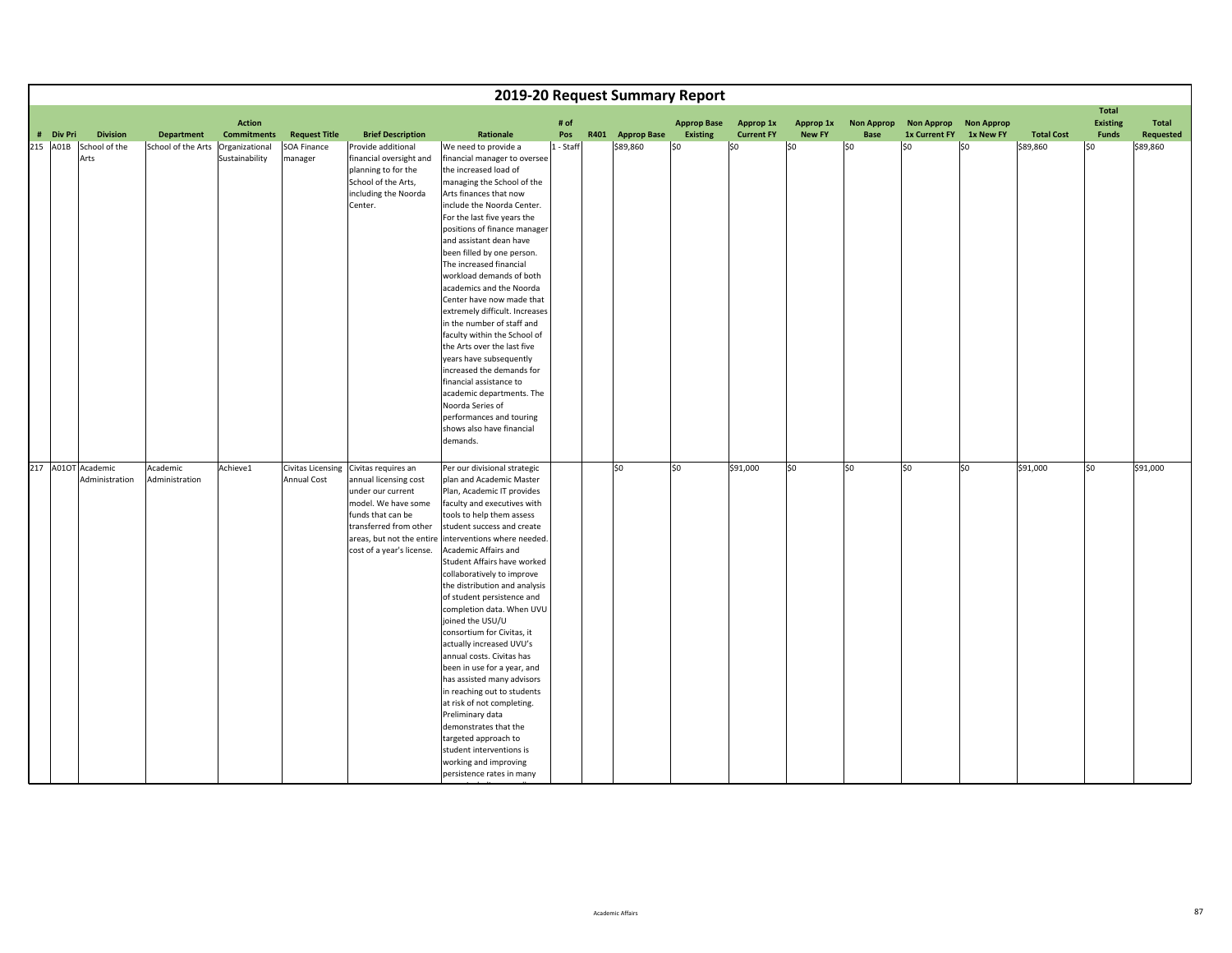|                    |                 |                    |                    |                          |                           |                                                           |           | 2019-20 Request Summary Report |                    |                   |               |                   |                      |                   |                   |                                 |           |
|--------------------|-----------------|--------------------|--------------------|--------------------------|---------------------------|-----------------------------------------------------------|-----------|--------------------------------|--------------------|-------------------|---------------|-------------------|----------------------|-------------------|-------------------|---------------------------------|-----------|
|                    |                 |                    | <b>Action</b>      |                          |                           |                                                           | # of      |                                | <b>Approp Base</b> | Approp 1x         | Approp 1x     | <b>Non Approp</b> | <b>Non Approp</b>    | <b>Non Approp</b> |                   | <b>Total</b><br><b>Existing</b> | Total     |
| # Div Pri          | <b>Division</b> | <b>Department</b>  | <b>Commitments</b> | <b>Request Title</b>     | <b>Brief Description</b>  | Rationale                                                 | Pos       | R401 Approp Base               | <b>Existing</b>    | <b>Current FY</b> | <b>New FY</b> | Base              | <b>1x Current FY</b> | 1x New FY         | <b>Total Cost</b> | <b>Funds</b>                    | Requested |
| 215 A01B           | School of the   | School of the Arts | Organizational     | SOA Finance              | Provide additional        | We need to provide a                                      | 1 - Staff | \$89,860                       | \$0                | \$0               | \$0           | lso               | l\$0                 | l\$0              | \$89,860          | l\$0                            | \$89,860  |
|                    | Arts            |                    | Sustainability     | manager                  | financial oversight and   | financial manager to oversee                              |           |                                |                    |                   |               |                   |                      |                   |                   |                                 |           |
|                    |                 |                    |                    |                          | planning to for the       | the increased load of                                     |           |                                |                    |                   |               |                   |                      |                   |                   |                                 |           |
|                    |                 |                    |                    |                          | School of the Arts,       | managing the School of the                                |           |                                |                    |                   |               |                   |                      |                   |                   |                                 |           |
|                    |                 |                    |                    |                          | including the Noorda      | Arts finances that now                                    |           |                                |                    |                   |               |                   |                      |                   |                   |                                 |           |
|                    |                 |                    |                    |                          | Center.                   | include the Noorda Center.                                |           |                                |                    |                   |               |                   |                      |                   |                   |                                 |           |
|                    |                 |                    |                    |                          |                           | For the last five years the                               |           |                                |                    |                   |               |                   |                      |                   |                   |                                 |           |
|                    |                 |                    |                    |                          |                           | positions of finance manager                              |           |                                |                    |                   |               |                   |                      |                   |                   |                                 |           |
|                    |                 |                    |                    |                          |                           | and assistant dean have<br>been filled by one person.     |           |                                |                    |                   |               |                   |                      |                   |                   |                                 |           |
|                    |                 |                    |                    |                          |                           | The increased financial                                   |           |                                |                    |                   |               |                   |                      |                   |                   |                                 |           |
|                    |                 |                    |                    |                          |                           | workload demands of both                                  |           |                                |                    |                   |               |                   |                      |                   |                   |                                 |           |
|                    |                 |                    |                    |                          |                           | academics and the Noorda                                  |           |                                |                    |                   |               |                   |                      |                   |                   |                                 |           |
|                    |                 |                    |                    |                          |                           | Center have now made that                                 |           |                                |                    |                   |               |                   |                      |                   |                   |                                 |           |
|                    |                 |                    |                    |                          |                           | extremely difficult. Increases                            |           |                                |                    |                   |               |                   |                      |                   |                   |                                 |           |
|                    |                 |                    |                    |                          |                           | in the number of staff and                                |           |                                |                    |                   |               |                   |                      |                   |                   |                                 |           |
|                    |                 |                    |                    |                          |                           | faculty within the School of                              |           |                                |                    |                   |               |                   |                      |                   |                   |                                 |           |
|                    |                 |                    |                    |                          |                           | the Arts over the last five                               |           |                                |                    |                   |               |                   |                      |                   |                   |                                 |           |
|                    |                 |                    |                    |                          |                           | years have subsequently                                   |           |                                |                    |                   |               |                   |                      |                   |                   |                                 |           |
|                    |                 |                    |                    |                          |                           | increased the demands for                                 |           |                                |                    |                   |               |                   |                      |                   |                   |                                 |           |
|                    |                 |                    |                    |                          |                           | financial assistance to                                   |           |                                |                    |                   |               |                   |                      |                   |                   |                                 |           |
|                    |                 |                    |                    |                          |                           | academic departments. The                                 |           |                                |                    |                   |               |                   |                      |                   |                   |                                 |           |
|                    |                 |                    |                    |                          |                           | Noorda Series of                                          |           |                                |                    |                   |               |                   |                      |                   |                   |                                 |           |
|                    |                 |                    |                    |                          |                           | performances and touring                                  |           |                                |                    |                   |               |                   |                      |                   |                   |                                 |           |
|                    |                 |                    |                    |                          |                           | shows also have financial                                 |           |                                |                    |                   |               |                   |                      |                   |                   |                                 |           |
|                    |                 |                    |                    |                          |                           | demands.                                                  |           |                                |                    |                   |               |                   |                      |                   |                   |                                 |           |
| 217 A01OT Academic |                 | Academic           | Achieve1           | <b>Civitas Licensing</b> | Civitas requires an       | Per our divisional strategic                              |           | lso                            | \$0                | \$91,000          | \$0           | lso               | so                   | \$0               | \$91,000          | SO.                             | \$91,000  |
|                    | Administration  | Administration     |                    | <b>Annual Cost</b>       | annual licensing cost     | plan and Academic Master                                  |           |                                |                    |                   |               |                   |                      |                   |                   |                                 |           |
|                    |                 |                    |                    |                          | under our current         | Plan, Academic IT provides                                |           |                                |                    |                   |               |                   |                      |                   |                   |                                 |           |
|                    |                 |                    |                    |                          | model. We have some       | faculty and executives with                               |           |                                |                    |                   |               |                   |                      |                   |                   |                                 |           |
|                    |                 |                    |                    |                          | funds that can be         | tools to help them assess                                 |           |                                |                    |                   |               |                   |                      |                   |                   |                                 |           |
|                    |                 |                    |                    |                          | transferred from other    | student success and create                                |           |                                |                    |                   |               |                   |                      |                   |                   |                                 |           |
|                    |                 |                    |                    |                          | areas, but not the entire | interventions where needed.                               |           |                                |                    |                   |               |                   |                      |                   |                   |                                 |           |
|                    |                 |                    |                    |                          | cost of a year's license. | Academic Affairs and                                      |           |                                |                    |                   |               |                   |                      |                   |                   |                                 |           |
|                    |                 |                    |                    |                          |                           | Student Affairs have worked                               |           |                                |                    |                   |               |                   |                      |                   |                   |                                 |           |
|                    |                 |                    |                    |                          |                           | collaboratively to improve                                |           |                                |                    |                   |               |                   |                      |                   |                   |                                 |           |
|                    |                 |                    |                    |                          |                           | the distribution and analysis                             |           |                                |                    |                   |               |                   |                      |                   |                   |                                 |           |
|                    |                 |                    |                    |                          |                           | of student persistence and                                |           |                                |                    |                   |               |                   |                      |                   |                   |                                 |           |
|                    |                 |                    |                    |                          |                           | completion data. When UVU                                 |           |                                |                    |                   |               |                   |                      |                   |                   |                                 |           |
|                    |                 |                    |                    |                          |                           | joined the USU/U                                          |           |                                |                    |                   |               |                   |                      |                   |                   |                                 |           |
|                    |                 |                    |                    |                          |                           | consortium for Civitas, it                                |           |                                |                    |                   |               |                   |                      |                   |                   |                                 |           |
|                    |                 |                    |                    |                          |                           | actually increased UVU's                                  |           |                                |                    |                   |               |                   |                      |                   |                   |                                 |           |
|                    |                 |                    |                    |                          |                           | annual costs. Civitas has                                 |           |                                |                    |                   |               |                   |                      |                   |                   |                                 |           |
|                    |                 |                    |                    |                          |                           | been in use for a year, and                               |           |                                |                    |                   |               |                   |                      |                   |                   |                                 |           |
|                    |                 |                    |                    |                          |                           | has assisted many advisors<br>in reaching out to students |           |                                |                    |                   |               |                   |                      |                   |                   |                                 |           |
|                    |                 |                    |                    |                          |                           | at risk of not completing.                                |           |                                |                    |                   |               |                   |                      |                   |                   |                                 |           |
|                    |                 |                    |                    |                          |                           | Preliminary data                                          |           |                                |                    |                   |               |                   |                      |                   |                   |                                 |           |
|                    |                 |                    |                    |                          |                           | demonstrates that the                                     |           |                                |                    |                   |               |                   |                      |                   |                   |                                 |           |
|                    |                 |                    |                    |                          |                           | targeted approach to                                      |           |                                |                    |                   |               |                   |                      |                   |                   |                                 |           |
|                    |                 |                    |                    |                          |                           | student interventions is                                  |           |                                |                    |                   |               |                   |                      |                   |                   |                                 |           |
|                    |                 |                    |                    |                          |                           | working and improving                                     |           |                                |                    |                   |               |                   |                      |                   |                   |                                 |           |
|                    |                 |                    |                    |                          |                           | persistence rates in many                                 |           |                                |                    |                   |               |                   |                      |                   |                   |                                 |           |

i <del>di secolo</del> ll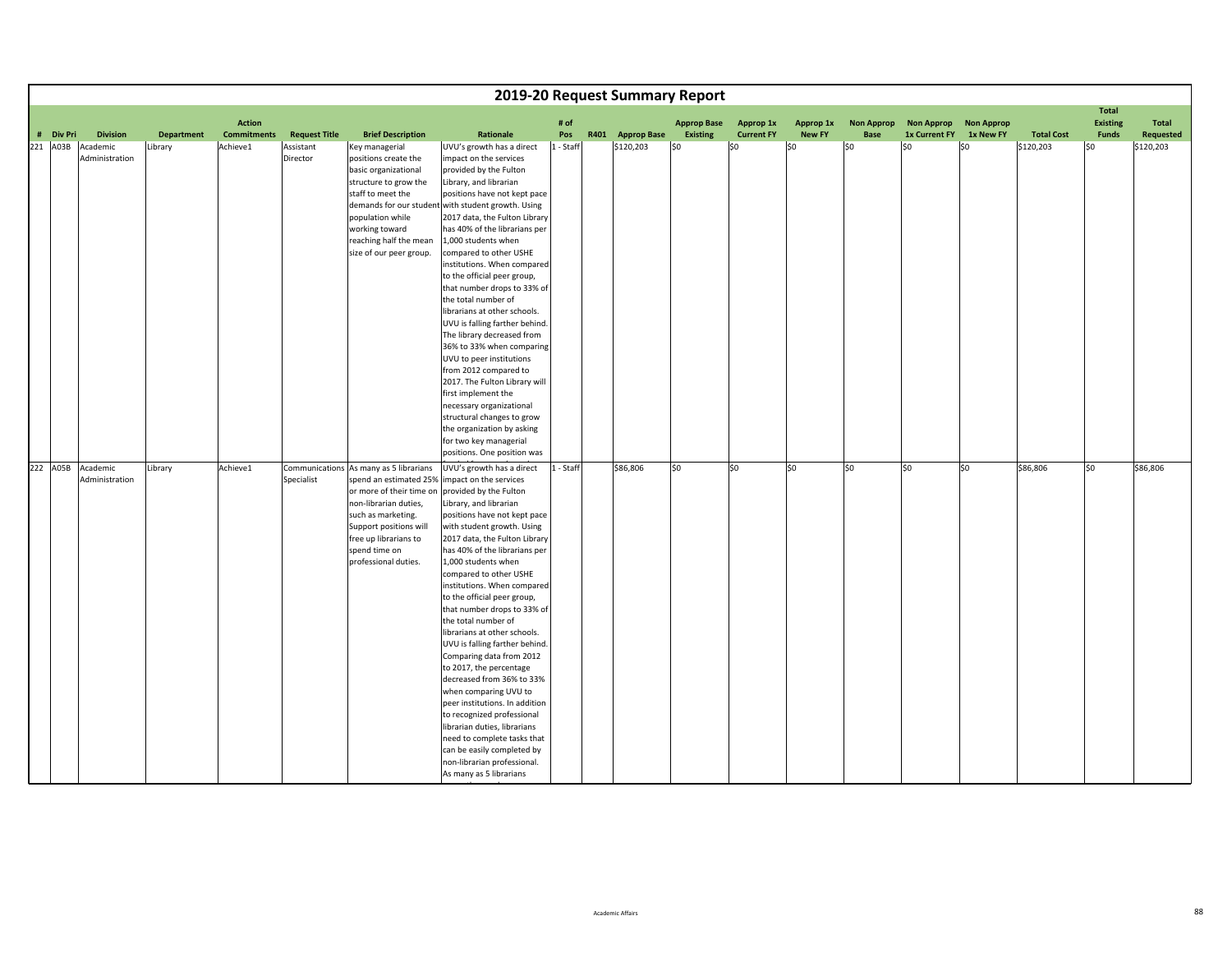|           |                                     |                   |                                     |                      |                                                                                                                                                                                                                                         |                                                                                                                                                                                                                                                                                                                                                                                                                                                                                                                                                                                                                                                                                                                                                                                                                    |             | 2019-20 Request Summary Report |                                       |                                |                            |                           |                                    |                                |                   |                                                 |                    |
|-----------|-------------------------------------|-------------------|-------------------------------------|----------------------|-----------------------------------------------------------------------------------------------------------------------------------------------------------------------------------------------------------------------------------------|--------------------------------------------------------------------------------------------------------------------------------------------------------------------------------------------------------------------------------------------------------------------------------------------------------------------------------------------------------------------------------------------------------------------------------------------------------------------------------------------------------------------------------------------------------------------------------------------------------------------------------------------------------------------------------------------------------------------------------------------------------------------------------------------------------------------|-------------|--------------------------------|---------------------------------------|--------------------------------|----------------------------|---------------------------|------------------------------------|--------------------------------|-------------------|-------------------------------------------------|--------------------|
| # Div Pri | <b>Division</b>                     | <b>Department</b> | <b>Action</b><br><b>Commitments</b> | <b>Request Title</b> | <b>Brief Description</b>                                                                                                                                                                                                                | Rationale                                                                                                                                                                                                                                                                                                                                                                                                                                                                                                                                                                                                                                                                                                                                                                                                          | # of<br>Pos | R401 Approp Base               | <b>Approp Base</b><br><b>Existing</b> | Approp 1x<br><b>Current FY</b> | Approp 1x<br><b>New FY</b> | <b>Non Approp</b><br>Base | <b>Non Approp</b><br>1x Current FY | <b>Non Approp</b><br>1x New FY | <b>Total Cost</b> | <b>Total</b><br><b>Existing</b><br><b>Funds</b> | Total<br>Requested |
| 221 A03B  | Academic                            | Library           | Achieve1                            | Assistant            | Key managerial                                                                                                                                                                                                                          | UVU's growth has a direct                                                                                                                                                                                                                                                                                                                                                                                                                                                                                                                                                                                                                                                                                                                                                                                          | 1 - Staff   | \$120,203                      | \$0                                   | \$0                            | 50                         | SO                        | \$0                                | l\$0                           | \$120,203         | l\$0                                            | \$120,203          |
|           | Administration                      |                   |                                     | Director             | positions create the<br>basic organizational<br>structure to grow the<br>staff to meet the<br>population while<br>working toward<br>reaching half the mean<br>size of our peer group.                                                   | impact on the services<br>provided by the Fulton<br>Library, and librarian<br>positions have not kept pace<br>demands for our student with student growth. Using<br>2017 data, the Fulton Library<br>has 40% of the librarians per<br>1,000 students when<br>compared to other USHE<br>institutions. When compared<br>to the official peer group,<br>that number drops to 33% of<br>the total number of<br>librarians at other schools.<br>UVU is falling farther behind.<br>The library decreased from<br>36% to 33% when comparing<br>UVU to peer institutions<br>from 2012 compared to<br>2017. The Fulton Library will<br>first implement the                                                                                                                                                                  |             |                                |                                       |                                |                            |                           |                                    |                                |                   |                                                 |                    |
|           |                                     |                   |                                     |                      |                                                                                                                                                                                                                                         | necessary organizational<br>structural changes to grow                                                                                                                                                                                                                                                                                                                                                                                                                                                                                                                                                                                                                                                                                                                                                             |             |                                |                                       |                                |                            |                           |                                    |                                |                   |                                                 |                    |
|           |                                     |                   |                                     |                      |                                                                                                                                                                                                                                         | the organization by asking                                                                                                                                                                                                                                                                                                                                                                                                                                                                                                                                                                                                                                                                                                                                                                                         |             |                                |                                       |                                |                            |                           |                                    |                                |                   |                                                 |                    |
|           |                                     |                   |                                     |                      |                                                                                                                                                                                                                                         | for two key managerial<br>positions. One position was                                                                                                                                                                                                                                                                                                                                                                                                                                                                                                                                                                                                                                                                                                                                                              |             |                                |                                       |                                |                            |                           |                                    |                                |                   |                                                 |                    |
|           | 222 A05B Academic<br>Administration | Library           | Achieve1                            | Specialist           | Communications As many as 5 librarians<br>spend an estimated 25%<br>or more of their time on<br>non-librarian duties,<br>such as marketing.<br>Support positions will<br>free up librarians to<br>spend time on<br>professional duties. | UVU's growth has a direct<br>impact on the services<br>provided by the Fulton<br>Library, and librarian<br>positions have not kept pace<br>with student growth. Using<br>2017 data, the Fulton Library<br>has 40% of the librarians per<br>1,000 students when<br>compared to other USHE<br>institutions. When compared<br>to the official peer group,<br>that number drops to 33% of<br>the total number of<br>librarians at other schools.<br>UVU is falling farther behind.<br>Comparing data from 2012<br>to 2017, the percentage<br>decreased from 36% to 33%<br>when comparing UVU to<br>peer institutions. In addition<br>to recognized professional<br>librarian duties, librarians<br>need to complete tasks that<br>can be easily completed by<br>non-librarian professional.<br>As many as 5 librarians | 1 - Staff   | \$86,806                       | \$0                                   | \$0                            | lso                        | S <sub>0</sub>            | lso                                | \$0                            | \$86,806          | so                                              | \$86,806           |

tld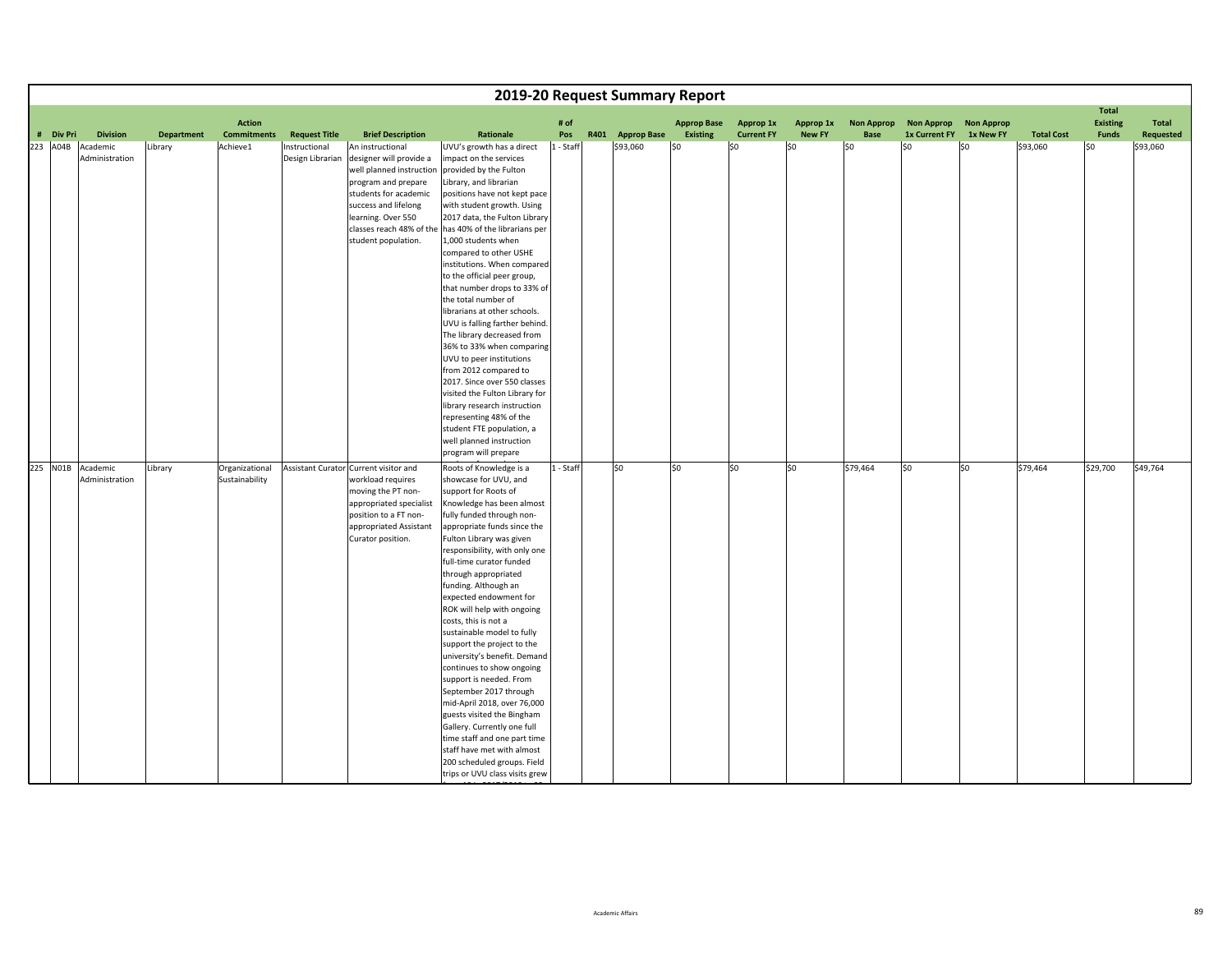|           |                   |                   |                    |                      |                                       |                                                                |           | 2019-20 Request Summary Report |                    |                                |                            |                           |                                    |                                |                   |                                 |           |
|-----------|-------------------|-------------------|--------------------|----------------------|---------------------------------------|----------------------------------------------------------------|-----------|--------------------------------|--------------------|--------------------------------|----------------------------|---------------------------|------------------------------------|--------------------------------|-------------------|---------------------------------|-----------|
|           |                   |                   | <b>Action</b>      |                      |                                       |                                                                | # of      |                                | <b>Approp Base</b> |                                |                            |                           |                                    |                                |                   | <b>Total</b><br><b>Existing</b> | Total     |
| # Div Pri | <b>Division</b>   | <b>Department</b> | <b>Commitments</b> | <b>Request Title</b> | <b>Brief Description</b>              | Rationale                                                      | Pos       | R401 Approp Base               | <b>Existing</b>    | Approp 1x<br><b>Current FY</b> | Approp 1x<br><b>New FY</b> | <b>Non Approp</b><br>Base | <b>Non Approp</b><br>1x Current FY | <b>Non Approp</b><br>1x New FY | <b>Total Cost</b> | <b>Funds</b>                    | Requested |
| 223 A04B  | Academic          | Library           | Achieve1           | Instructional        | An instructional                      | UVU's growth has a direct                                      | 1 - Staff | \$93,060                       | \$0                | \$0                            | 50                         | SO                        | lso                                | l\$0                           | \$93,060          | l\$0                            | \$93,060  |
|           | Administration    |                   |                    | Design Librarian     | designer will provide a               | impact on the services                                         |           |                                |                    |                                |                            |                           |                                    |                                |                   |                                 |           |
|           |                   |                   |                    |                      | well planned instruction              | provided by the Fulton                                         |           |                                |                    |                                |                            |                           |                                    |                                |                   |                                 |           |
|           |                   |                   |                    |                      | program and prepare                   | Library, and librarian                                         |           |                                |                    |                                |                            |                           |                                    |                                |                   |                                 |           |
|           |                   |                   |                    |                      | students for academic                 | positions have not kept pace                                   |           |                                |                    |                                |                            |                           |                                    |                                |                   |                                 |           |
|           |                   |                   |                    |                      | success and lifelong                  | with student growth. Using                                     |           |                                |                    |                                |                            |                           |                                    |                                |                   |                                 |           |
|           |                   |                   |                    |                      | learning. Over 550                    | 2017 data, the Fulton Library                                  |           |                                |                    |                                |                            |                           |                                    |                                |                   |                                 |           |
|           |                   |                   |                    |                      | classes reach 48% of the              | has 40% of the librarians per                                  |           |                                |                    |                                |                            |                           |                                    |                                |                   |                                 |           |
|           |                   |                   |                    |                      | student population.                   | 1,000 students when                                            |           |                                |                    |                                |                            |                           |                                    |                                |                   |                                 |           |
|           |                   |                   |                    |                      |                                       | compared to other USHE                                         |           |                                |                    |                                |                            |                           |                                    |                                |                   |                                 |           |
|           |                   |                   |                    |                      |                                       | institutions. When compared                                    |           |                                |                    |                                |                            |                           |                                    |                                |                   |                                 |           |
|           |                   |                   |                    |                      |                                       | to the official peer group,                                    |           |                                |                    |                                |                            |                           |                                    |                                |                   |                                 |           |
|           |                   |                   |                    |                      |                                       | that number drops to 33% of                                    |           |                                |                    |                                |                            |                           |                                    |                                |                   |                                 |           |
|           |                   |                   |                    |                      |                                       | the total number of                                            |           |                                |                    |                                |                            |                           |                                    |                                |                   |                                 |           |
|           |                   |                   |                    |                      |                                       | librarians at other schools.<br>UVU is falling farther behind. |           |                                |                    |                                |                            |                           |                                    |                                |                   |                                 |           |
|           |                   |                   |                    |                      |                                       | The library decreased from                                     |           |                                |                    |                                |                            |                           |                                    |                                |                   |                                 |           |
|           |                   |                   |                    |                      |                                       | 36% to 33% when comparing                                      |           |                                |                    |                                |                            |                           |                                    |                                |                   |                                 |           |
|           |                   |                   |                    |                      |                                       | UVU to peer institutions                                       |           |                                |                    |                                |                            |                           |                                    |                                |                   |                                 |           |
|           |                   |                   |                    |                      |                                       | from 2012 compared to                                          |           |                                |                    |                                |                            |                           |                                    |                                |                   |                                 |           |
|           |                   |                   |                    |                      |                                       | 2017. Since over 550 classes                                   |           |                                |                    |                                |                            |                           |                                    |                                |                   |                                 |           |
|           |                   |                   |                    |                      |                                       | visited the Fulton Library for                                 |           |                                |                    |                                |                            |                           |                                    |                                |                   |                                 |           |
|           |                   |                   |                    |                      |                                       | library research instruction                                   |           |                                |                    |                                |                            |                           |                                    |                                |                   |                                 |           |
|           |                   |                   |                    |                      |                                       | representing 48% of the                                        |           |                                |                    |                                |                            |                           |                                    |                                |                   |                                 |           |
|           |                   |                   |                    |                      |                                       | student FTE population, a                                      |           |                                |                    |                                |                            |                           |                                    |                                |                   |                                 |           |
|           |                   |                   |                    |                      |                                       | well planned instruction                                       |           |                                |                    |                                |                            |                           |                                    |                                |                   |                                 |           |
|           |                   |                   |                    |                      |                                       | program will prepare                                           |           |                                |                    |                                |                            |                           |                                    |                                |                   |                                 |           |
|           | 225 NO1B Academic | Library           | Organizational     |                      | Assistant Curator Current visitor and | Roots of Knowledge is a                                        | 1 - Staff | S <sub>0</sub>                 | \$0                | lso                            | S <sub>0</sub>             | \$79,464                  | so                                 | S <sub>0</sub>                 | \$79,464          | \$29,700                        | \$49,764  |
|           | Administration    |                   | Sustainability     |                      | workload requires                     | showcase for UVU, and                                          |           |                                |                    |                                |                            |                           |                                    |                                |                   |                                 |           |
|           |                   |                   |                    |                      | moving the PT non-                    | support for Roots of                                           |           |                                |                    |                                |                            |                           |                                    |                                |                   |                                 |           |
|           |                   |                   |                    |                      | appropriated specialist               | Knowledge has been almost                                      |           |                                |                    |                                |                            |                           |                                    |                                |                   |                                 |           |
|           |                   |                   |                    |                      | position to a FT non-                 | fully funded through non-                                      |           |                                |                    |                                |                            |                           |                                    |                                |                   |                                 |           |
|           |                   |                   |                    |                      | appropriated Assistant                | appropriate funds since the                                    |           |                                |                    |                                |                            |                           |                                    |                                |                   |                                 |           |
|           |                   |                   |                    |                      | Curator position.                     | Fulton Library was given                                       |           |                                |                    |                                |                            |                           |                                    |                                |                   |                                 |           |
|           |                   |                   |                    |                      |                                       | responsibility, with only one                                  |           |                                |                    |                                |                            |                           |                                    |                                |                   |                                 |           |
|           |                   |                   |                    |                      |                                       | full-time curator funded                                       |           |                                |                    |                                |                            |                           |                                    |                                |                   |                                 |           |
|           |                   |                   |                    |                      |                                       | through appropriated                                           |           |                                |                    |                                |                            |                           |                                    |                                |                   |                                 |           |
|           |                   |                   |                    |                      |                                       | funding. Although an<br>expected endowment for                 |           |                                |                    |                                |                            |                           |                                    |                                |                   |                                 |           |
|           |                   |                   |                    |                      |                                       | ROK will help with ongoing                                     |           |                                |                    |                                |                            |                           |                                    |                                |                   |                                 |           |
|           |                   |                   |                    |                      |                                       | costs, this is not a                                           |           |                                |                    |                                |                            |                           |                                    |                                |                   |                                 |           |
|           |                   |                   |                    |                      |                                       | sustainable model to fully                                     |           |                                |                    |                                |                            |                           |                                    |                                |                   |                                 |           |
|           |                   |                   |                    |                      |                                       | support the project to the                                     |           |                                |                    |                                |                            |                           |                                    |                                |                   |                                 |           |
|           |                   |                   |                    |                      |                                       | university's benefit. Demand                                   |           |                                |                    |                                |                            |                           |                                    |                                |                   |                                 |           |
|           |                   |                   |                    |                      |                                       | continues to show ongoing                                      |           |                                |                    |                                |                            |                           |                                    |                                |                   |                                 |           |
|           |                   |                   |                    |                      |                                       | support is needed. From                                        |           |                                |                    |                                |                            |                           |                                    |                                |                   |                                 |           |
|           |                   |                   |                    |                      |                                       | September 2017 through                                         |           |                                |                    |                                |                            |                           |                                    |                                |                   |                                 |           |
|           |                   |                   |                    |                      |                                       | mid-April 2018, over 76,000                                    |           |                                |                    |                                |                            |                           |                                    |                                |                   |                                 |           |
|           |                   |                   |                    |                      |                                       | guests visited the Bingham                                     |           |                                |                    |                                |                            |                           |                                    |                                |                   |                                 |           |
|           |                   |                   |                    |                      |                                       | Gallery. Currently one full                                    |           |                                |                    |                                |                            |                           |                                    |                                |                   |                                 |           |
|           |                   |                   |                    |                      |                                       | time staff and one part time                                   |           |                                |                    |                                |                            |                           |                                    |                                |                   |                                 |           |
|           |                   |                   |                    |                      |                                       | staff have met with almost                                     |           |                                |                    |                                |                            |                           |                                    |                                |                   |                                 |           |
|           |                   |                   |                    |                      |                                       | 200 scheduled groups. Field                                    |           |                                |                    |                                |                            |                           |                                    |                                |                   |                                 |           |
|           |                   |                   |                    |                      |                                       | trips or UVU class visits grew                                 |           |                                |                    |                                |                            |                           |                                    |                                |                   |                                 |           |

f10

<u>i 2017/2018 t</u>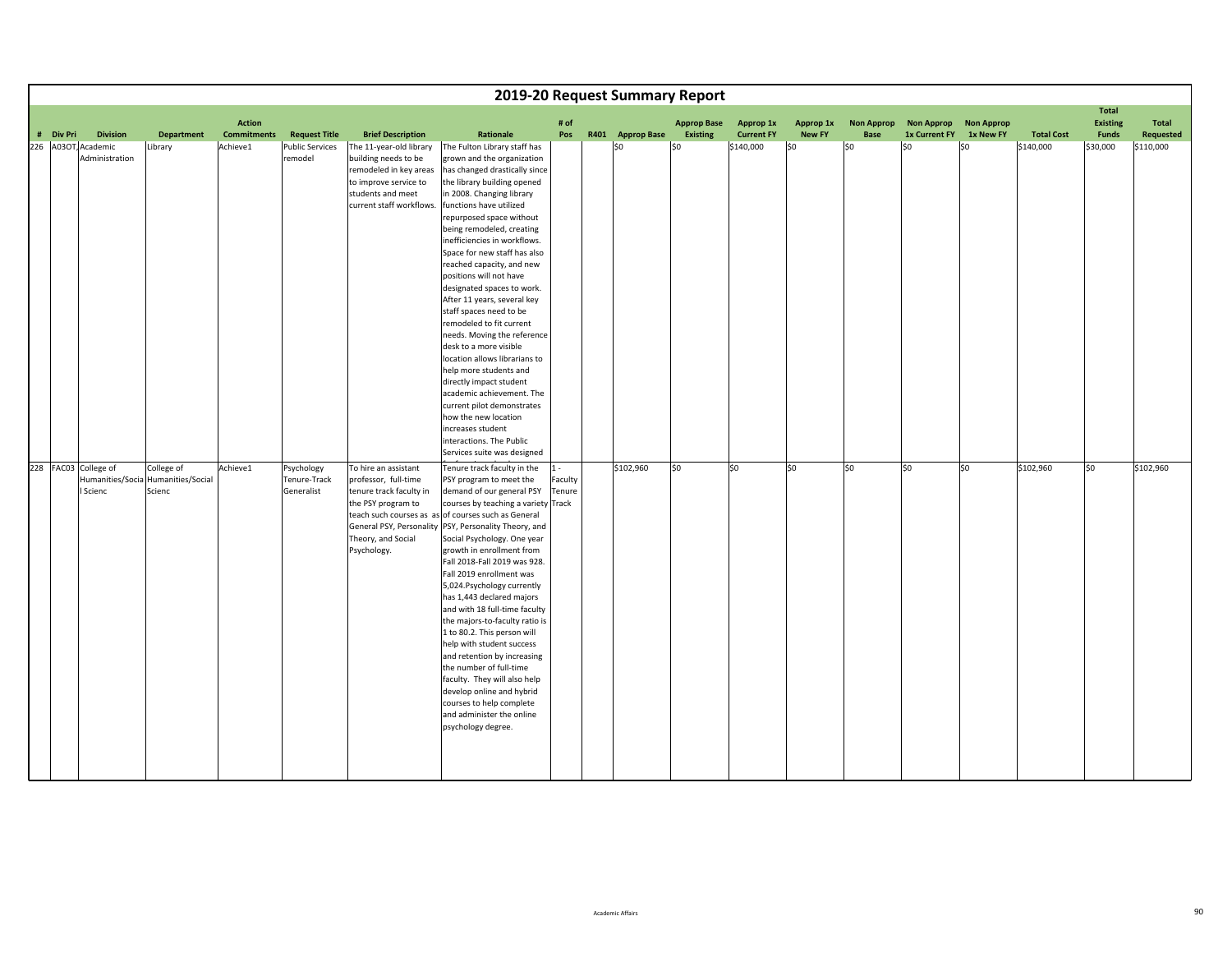|           |                                                      |                                           |                                     |                                          |                                                                                                                                                     |                                                                                                                                                                                                                                                                                                                                                                                                                                                                                                                                                                                                                                                                                                                                                                                                           |                            | 2019-20 Request Summary Report |                                       |                                |                            |                           |                                    |                                |                   |                                                 |                    |
|-----------|------------------------------------------------------|-------------------------------------------|-------------------------------------|------------------------------------------|-----------------------------------------------------------------------------------------------------------------------------------------------------|-----------------------------------------------------------------------------------------------------------------------------------------------------------------------------------------------------------------------------------------------------------------------------------------------------------------------------------------------------------------------------------------------------------------------------------------------------------------------------------------------------------------------------------------------------------------------------------------------------------------------------------------------------------------------------------------------------------------------------------------------------------------------------------------------------------|----------------------------|--------------------------------|---------------------------------------|--------------------------------|----------------------------|---------------------------|------------------------------------|--------------------------------|-------------------|-------------------------------------------------|--------------------|
| # Div Pri | <b>Division</b>                                      | <b>Department</b>                         | <b>Action</b><br><b>Commitments</b> | <b>Request Title</b>                     | <b>Brief Description</b>                                                                                                                            | Rationale                                                                                                                                                                                                                                                                                                                                                                                                                                                                                                                                                                                                                                                                                                                                                                                                 | # of<br>Pos                | R401 Approp Base               | <b>Approp Base</b><br><b>Existing</b> | Approp 1x<br><b>Current FY</b> | Approp 1x<br><b>New FY</b> | <b>Non Approp</b><br>Base | <b>Non Approp</b><br>1x Current FY | <b>Non Approp</b><br>1x New FY | <b>Total Cost</b> | <b>Total</b><br><b>Existing</b><br><b>Funds</b> | Total<br>Requested |
|           | 226 A03OT, Academic<br>Administration                | Library                                   | Achieve1                            | <b>Public Services</b><br>remodel        | The 11-year-old library<br>building needs to be<br>remodeled in key areas<br>to improve service to<br>students and meet<br>current staff workflows. | The Fulton Library staff has<br>grown and the organization<br>has changed drastically since<br>the library building opened<br>in 2008. Changing library<br>functions have utilized<br>repurposed space without<br>being remodeled, creating<br>inefficiencies in workflows.<br>Space for new staff has also<br>reached capacity, and new<br>positions will not have<br>designated spaces to work.<br>After 11 years, several key<br>staff spaces need to be<br>remodeled to fit current<br>needs. Moving the reference<br>desk to a more visible<br>location allows librarians to<br>help more students and<br>directly impact student<br>academic achievement. The<br>current pilot demonstrates<br>how the new location<br>increases student<br>interactions. The Public<br>Services suite was designed |                            | lso                            | $ $ \$0                               | \$140,000                      | \$0                        | \$0                       | S <sub>0</sub>                     | lso                            | \$140,000         | \$30,000                                        | \$110,000          |
|           | 228 FAC03 College of<br>Humanities/Socia<br>I Scienc | College of<br>Humanities/Social<br>Scienc | Achieve1                            | Psychology<br>Tenure-Track<br>Generalist | To hire an assistant<br>professor, full-time<br>tenure track faculty in<br>the PSY program to<br>Theory, and Social<br>Psychology.                  | Tenure track faculty in the<br>PSY program to meet the<br>demand of our general PSY<br>courses by teaching a variety Track<br>teach such courses as as of courses such as General<br>General PSY, Personality PSY, Personality Theory, and<br>Social Psychology. One year<br>growth in enrollment from<br>Fall 2018-Fall 2019 was 928.<br>Fall 2019 enrollment was<br>5,024. Psychology currently<br>has 1,443 declared majors<br>and with 18 full-time faculty<br>the majors-to-faculty ratio is<br>1 to 80.2. This person will<br>help with student success<br>and retention by increasing<br>the number of full-time<br>faculty. They will also help<br>develop online and hybrid<br>courses to help complete<br>and administer the online<br>psychology degree.                                       | $1 -$<br>Faculty<br>Tenure | \$102,960                      | \$0                                   | lso                            | lso                        | \$0                       | lso                                | S <sub>0</sub>                 | \$102,960         | so                                              | \$102,960          |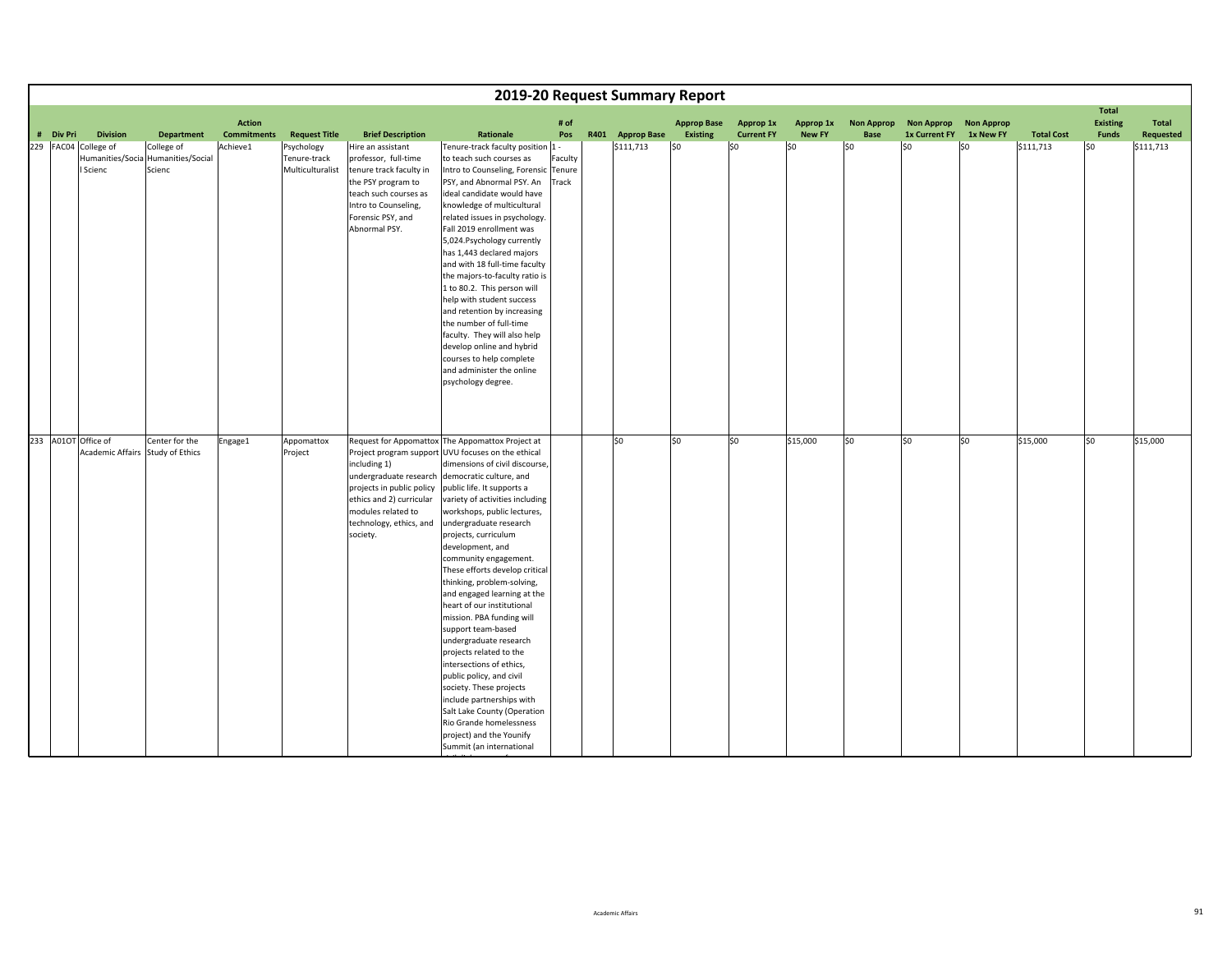|           |                                                         |                                           |                    |                                                |                                                                                                                                                                                   |                                                                                                                                                                                                                                                                                                                                                                                                                                                                                                                                                                                                                                                                                                                                                                                                                                           |                  |                  | 2019-20 Request Summary Report |                   |               |                   |                   |                   |                   |                                 |           |
|-----------|---------------------------------------------------------|-------------------------------------------|--------------------|------------------------------------------------|-----------------------------------------------------------------------------------------------------------------------------------------------------------------------------------|-------------------------------------------------------------------------------------------------------------------------------------------------------------------------------------------------------------------------------------------------------------------------------------------------------------------------------------------------------------------------------------------------------------------------------------------------------------------------------------------------------------------------------------------------------------------------------------------------------------------------------------------------------------------------------------------------------------------------------------------------------------------------------------------------------------------------------------------|------------------|------------------|--------------------------------|-------------------|---------------|-------------------|-------------------|-------------------|-------------------|---------------------------------|-----------|
|           |                                                         |                                           | <b>Action</b>      |                                                |                                                                                                                                                                                   |                                                                                                                                                                                                                                                                                                                                                                                                                                                                                                                                                                                                                                                                                                                                                                                                                                           | # of             |                  | <b>Approp Base</b>             | Approp 1x         | Approp 1x     | <b>Non Approp</b> | <b>Non Approp</b> | <b>Non Approp</b> |                   | <b>Total</b><br><b>Existing</b> | Total     |
| # Div Pri | <b>Division</b>                                         | <b>Department</b>                         | <b>Commitments</b> | <b>Request Title</b>                           | <b>Brief Description</b>                                                                                                                                                          | Rationale                                                                                                                                                                                                                                                                                                                                                                                                                                                                                                                                                                                                                                                                                                                                                                                                                                 | Pos              | R401 Approp Base | Existing                       | <b>Current FY</b> | <b>New FY</b> | Base              | 1x Current FY     | 1x New FY         | <b>Total Cost</b> | <b>Funds</b>                    | Requested |
|           | 229 FAC04 College of<br>Humanities/Socia<br>I Scienc    | College of<br>Humanities/Social<br>Scienc | Achieve1           | Psychology<br>Tenure-track<br>Multiculturalist | Hire an assistant<br>professor, full-time<br>tenure track faculty in<br>the PSY program to<br>teach such courses as<br>Intro to Counseling,<br>Forensic PSY, and<br>Abnormal PSY. | Tenure-track faculty position 1 -<br>to teach such courses as<br>Intro to Counseling, Forensic Tenure<br>PSY, and Abnormal PSY. An<br>ideal candidate would have<br>knowledge of multicultural<br>related issues in psychology.<br>Fall 2019 enrollment was<br>5,024. Psychology currently<br>has 1,443 declared majors<br>and with 18 full-time faculty<br>the majors-to-faculty ratio is<br>1 to 80.2. This person will<br>help with student success<br>and retention by increasing<br>the number of full-time<br>faculty. They will also help<br>develop online and hybrid<br>courses to help complete<br>and administer the online<br>psychology degree.                                                                                                                                                                              | Faculty<br>Track | \$111,713        | \$0                            | \$0               | \$0           | \$0               | lso               | \$0               | \$111,713         | \$0                             | \$111,713 |
|           |                                                         |                                           |                    |                                                |                                                                                                                                                                                   |                                                                                                                                                                                                                                                                                                                                                                                                                                                                                                                                                                                                                                                                                                                                                                                                                                           |                  |                  |                                |                   |               |                   |                   |                   |                   |                                 |           |
|           | 233 A01OT Office of<br>Academic Affairs Study of Ethics | Center for the                            | Engage1            | Appomattox<br>Project                          | including 1)<br>undergraduate research<br>projects in public policy<br>ethics and 2) curricular<br>modules related to<br>technology, ethics, and<br>society.                      | Request for Appomattox The Appomattox Project at<br>Project program support UVU focuses on the ethical<br>dimensions of civil discourse,<br>democratic culture, and<br>public life. It supports a<br>variety of activities including<br>workshops, public lectures,<br>undergraduate research<br>projects, curriculum<br>development, and<br>community engagement.<br>These efforts develop critical<br>thinking, problem-solving,<br>and engaged learning at the<br>heart of our institutional<br>mission. PBA funding will<br>support team-based<br>undergraduate research<br>projects related to the<br>intersections of ethics,<br>public policy, and civil<br>society. These projects<br>include partnerships with<br>Salt Lake County (Operation<br>Rio Grande homelessness<br>project) and the Younify<br>Summit (an international |                  | \$0              | \$0                            | \$0               | \$15,000      | \$0               | S <sub>0</sub>    | S <sub>0</sub>    | \$15,000          | SO.                             | \$15,000  |

i il di language di language di language di language di language di language di language di language di language di<br>Language di language di language di language di language di language di language di language di language di la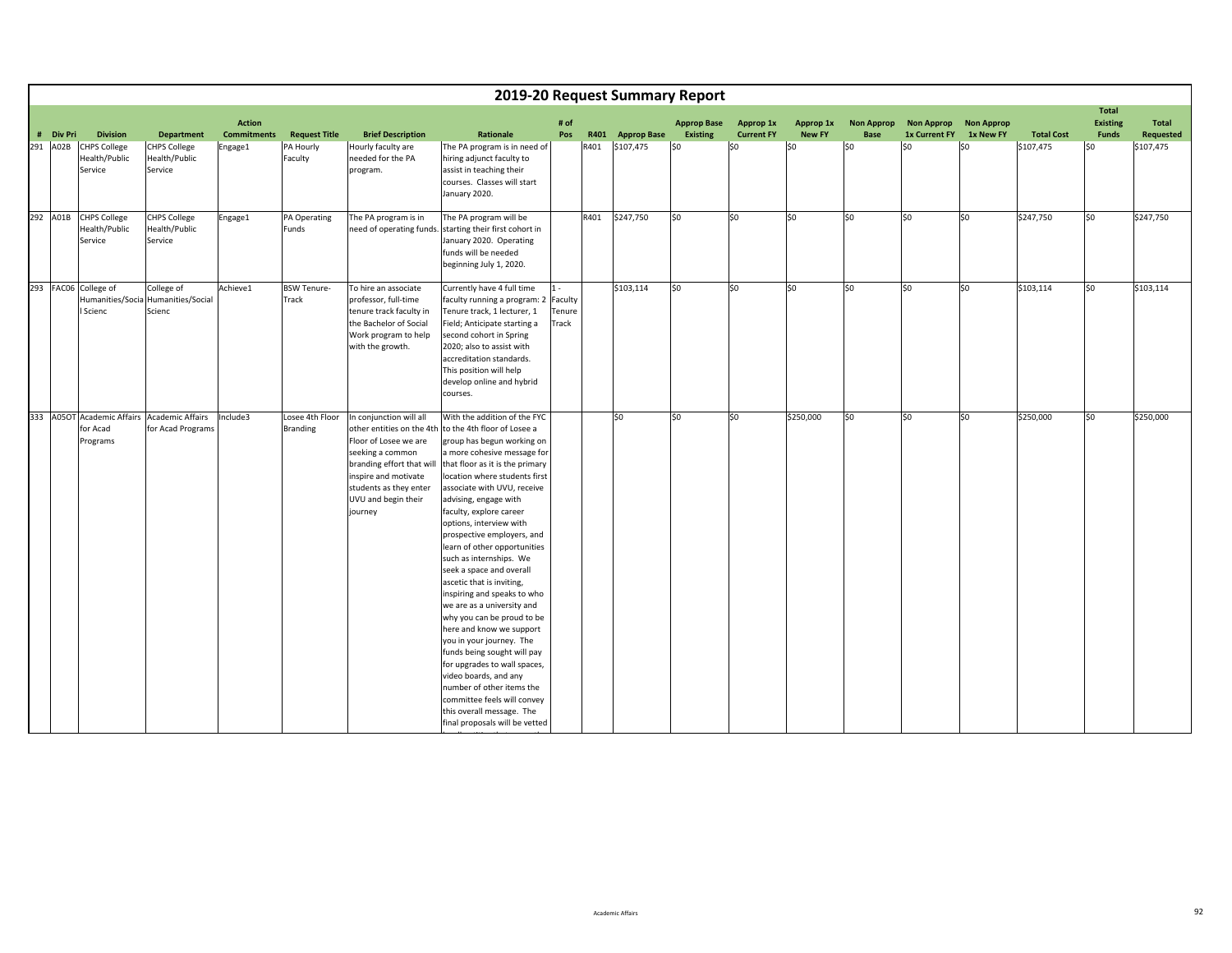|           |                                                 |                                                                  |                                     |                                    |                                                                                                                                                                                                                    |                                                                                                                                                                                                                                                                                                                                                                                                                                                                                                                                                                                                                                                                                                                                                                                                                                    |                                     |      |                    | 2019-20 Request Summary Report        |                                |                            |                                  |                                    |                                |                   |                                                 |                    |
|-----------|-------------------------------------------------|------------------------------------------------------------------|-------------------------------------|------------------------------------|--------------------------------------------------------------------------------------------------------------------------------------------------------------------------------------------------------------------|------------------------------------------------------------------------------------------------------------------------------------------------------------------------------------------------------------------------------------------------------------------------------------------------------------------------------------------------------------------------------------------------------------------------------------------------------------------------------------------------------------------------------------------------------------------------------------------------------------------------------------------------------------------------------------------------------------------------------------------------------------------------------------------------------------------------------------|-------------------------------------|------|--------------------|---------------------------------------|--------------------------------|----------------------------|----------------------------------|------------------------------------|--------------------------------|-------------------|-------------------------------------------------|--------------------|
| # Div Pri | <b>Division</b>                                 | <b>Department</b>                                                | <b>Action</b><br><b>Commitments</b> | <b>Request Title</b>               | <b>Brief Description</b>                                                                                                                                                                                           | <b>Rationale</b>                                                                                                                                                                                                                                                                                                                                                                                                                                                                                                                                                                                                                                                                                                                                                                                                                   | # of<br>Pos                         | R401 | <b>Approp Base</b> | <b>Approp Base</b><br><b>Existing</b> | Approp 1x<br><b>Current FY</b> | Approp 1x<br><b>New FY</b> | <b>Non Approp</b><br><b>Base</b> | <b>Non Approp</b><br>1x Current FY | <b>Non Approp</b><br>1x New FY | <b>Total Cost</b> | <b>Total</b><br><b>Existing</b><br><b>Funds</b> | Total<br>Requested |
| 291 A02B  | <b>CHPS College</b><br>Health/Public<br>Service | <b>CHPS College</b><br>Health/Public<br>Service                  | Engage1                             | PA Hourly<br>Faculty               | Hourly faculty are<br>needed for the PA<br>program.                                                                                                                                                                | The PA program is in need of<br>hiring adjunct faculty to<br>assist in teaching their<br>courses. Classes will start<br>January 2020.                                                                                                                                                                                                                                                                                                                                                                                                                                                                                                                                                                                                                                                                                              |                                     | R401 | \$107,475          | \$0                                   | lso                            | S <sub>0</sub>             | SO.                              | \$0                                | l\$0                           | \$107,475         | l\$0                                            | \$107,475          |
| 292 A01B  | <b>CHPS College</b><br>Health/Public<br>Service | <b>CHPS College</b><br>Health/Public<br>Service                  | Engage1                             | PA Operating<br>Funds              | The PA program is in<br>need of operating funds.                                                                                                                                                                   | The PA program will be<br>starting their first cohort in<br>January 2020. Operating<br>funds will be needed<br>beginning July 1, 2020.                                                                                                                                                                                                                                                                                                                                                                                                                                                                                                                                                                                                                                                                                             |                                     | R401 | \$247,750          | \$0                                   | S <sub>0</sub>                 | so                         | \$0                              | \$0                                | \$0                            | \$247,750         | \$0                                             | \$247,750          |
|           | 293 FAC06 College of<br>Scienc                  | College of<br>Humanities/Socia Humanities/Social<br>Scienc       | Achieve1                            | <b>BSW Tenure-</b><br>Track        | To hire an associate<br>professor, full-time<br>tenure track faculty in<br>the Bachelor of Social<br>Work program to help<br>with the growth.                                                                      | Currently have 4 full time<br>faculty running a program: 2<br>Tenure track, 1 lecturer, 1<br>Field; Anticipate starting a<br>second cohort in Spring<br>2020; also to assist with<br>accreditation standards.<br>This position will help<br>develop online and hybrid<br>courses.                                                                                                                                                                                                                                                                                                                                                                                                                                                                                                                                                  | $1 -$<br>Faculty<br>Tenure<br>Track |      | \$103,114          | \$0                                   | lso                            | so                         | \$0                              | \$0                                | so                             | \$103,114         | \$0                                             | \$103,114          |
|           | for Acad<br>Programs                            | 333 A05OT Academic Affairs Academic Affairs<br>for Acad Programs | Include3                            | Losee 4th Floor<br><b>Branding</b> | In conjunction will all<br>other entities on the 4th<br>Floor of Losee we are<br>seeking a common<br>branding effort that will<br>inspire and motivate<br>students as they enter<br>UVU and begin their<br>journey | With the addition of the FYC<br>to the 4th floor of Losee a<br>group has begun working on<br>a more cohesive message for<br>that floor as it is the primary<br>location where students first<br>associate with UVU, receive<br>advising, engage with<br>faculty, explore career<br>options, interview with<br>prospective employers, and<br>learn of other opportunities<br>such as internships. We<br>seek a space and overall<br>ascetic that is inviting,<br>inspiring and speaks to who<br>we are as a university and<br>why you can be proud to be<br>here and know we support<br>you in your journey. The<br>funds being sought will pay<br>for upgrades to wall spaces,<br>video boards, and any<br>number of other items the<br>committee feels will convey<br>this overall message. The<br>final proposals will be vetted |                                     |      | \$0                | \$0                                   | lso                            | \$250,000                  | \$0                              | \$0                                | \$0                            | \$250,000         | \$0                                             | \$250,000          |